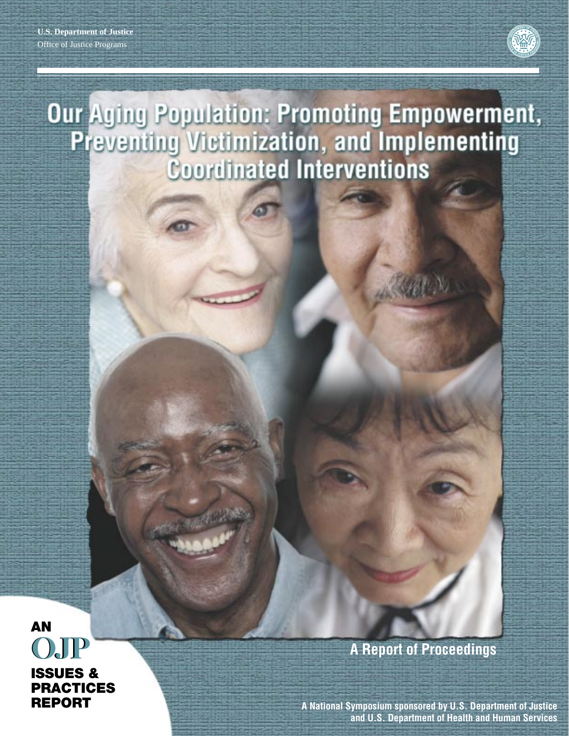

# Our Aging Population: Promoting Empowerment,<br>Preventing Victimization, and Implementing **Coordinated Interventions**

**AN OJP OJP ISSUES & PRACTICES REPORT**

**A Report of Proceedings**

**A National Symposium sponsored by U.S. Department of Justice and U.S. Department of Health and Human Services**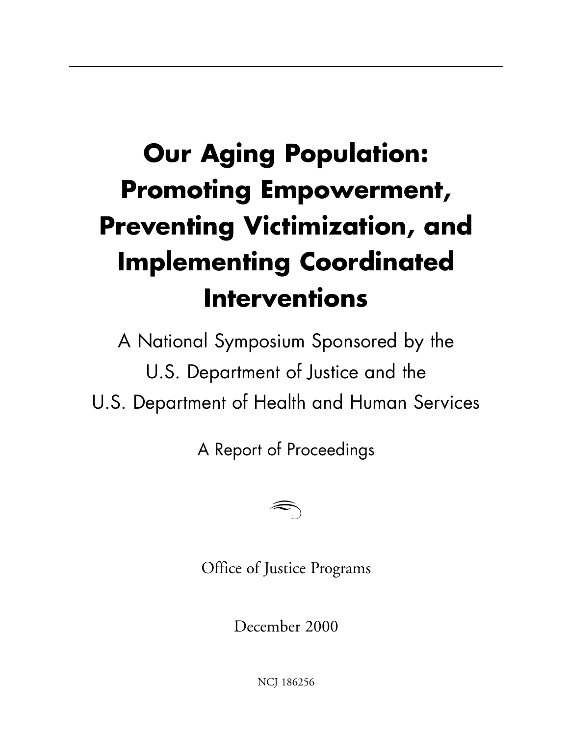## **Our Aging Population: Promoting Empowerment, Preventing Victimization, and Implementing Coordinated Interventions**

A National Symposium Sponsored by the U.S. Department of Justice and the U.S. Department of Health and Human Services

A Report of Proceedings



Office of Justice Programs

December 2000

NCJ 186256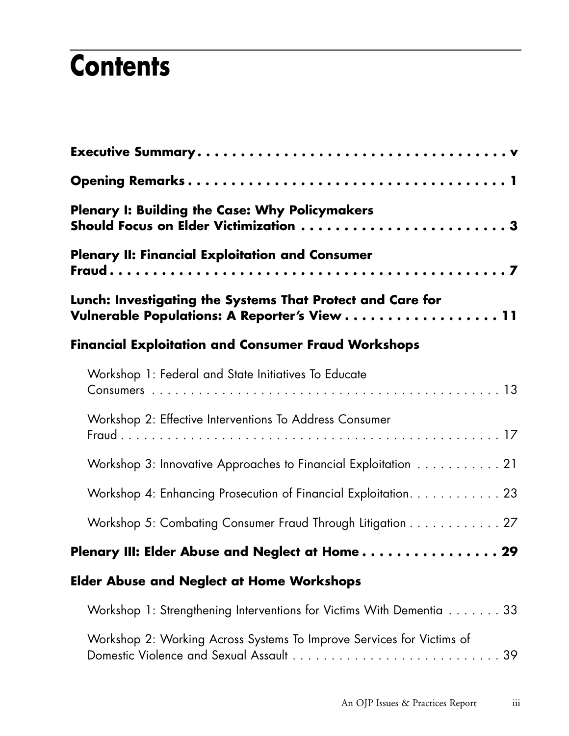## **Contents**

| <b>Plenary I: Building the Case: Why Policymakers</b><br>Should Focus on Elder Victimization 3             |  |
|------------------------------------------------------------------------------------------------------------|--|
| <b>Plenary II: Financial Exploitation and Consumer</b>                                                     |  |
| Lunch: Investigating the Systems That Protect and Care for<br>Vulnerable Populations: A Reporter's View 11 |  |
| <b>Financial Exploitation and Consumer Fraud Workshops</b>                                                 |  |
| Workshop 1: Federal and State Initiatives To Educate                                                       |  |
| Workshop 2: Effective Interventions To Address Consumer                                                    |  |
| Workshop 3: Innovative Approaches to Financial Exploitation 21                                             |  |
| Workshop 4: Enhancing Prosecution of Financial Exploitation. 23                                            |  |
| Workshop 5: Combating Consumer Fraud Through Litigation 27                                                 |  |
| Plenary III: Elder Abuse and Neglect at Home 29                                                            |  |
| <b>Elder Abuse and Neglect at Home Workshops</b>                                                           |  |
| Workshop 1: Strengthening Interventions for Victims With Dementia 33                                       |  |
| Workshop 2: Working Across Systems To Improve Services for Victims of                                      |  |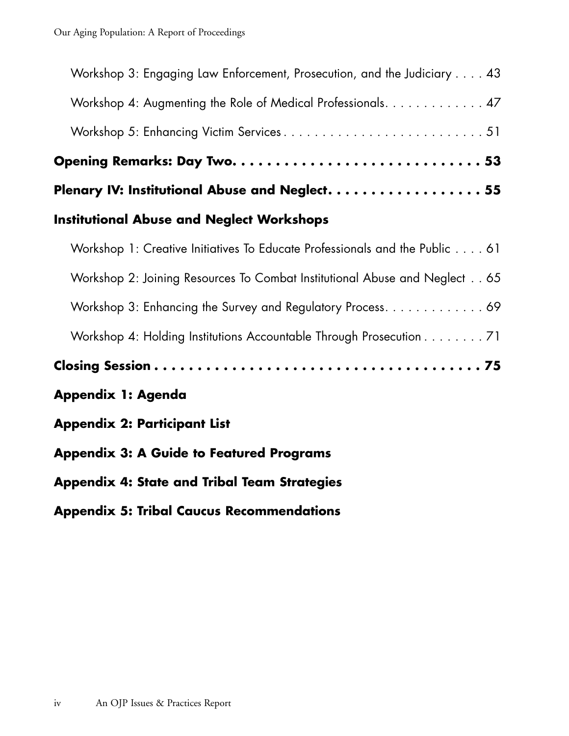| Workshop 3: Engaging Law Enforcement, Prosecution, and the Judiciary 43     |
|-----------------------------------------------------------------------------|
| Workshop 4: Augmenting the Role of Medical Professionals. 47                |
|                                                                             |
|                                                                             |
| Plenary IV: Institutional Abuse and Neglect. 55                             |
| <b>Institutional Abuse and Neglect Workshops</b>                            |
| Workshop 1: Creative Initiatives To Educate Professionals and the Public 61 |
| Workshop 2: Joining Resources To Combat Institutional Abuse and Neglect 65  |
| Workshop 3: Enhancing the Survey and Regulatory Process. 69                 |
| Workshop 4: Holding Institutions Accountable Through Prosecution 71         |
|                                                                             |
| Appendix 1: Agenda                                                          |
| <b>Appendix 2: Participant List</b>                                         |
| <b>Appendix 3: A Guide to Featured Programs</b>                             |
| <b>Appendix 4: State and Tribal Team Strategies</b>                         |
| <b>Appendix 5: Tribal Caucus Recommendations</b>                            |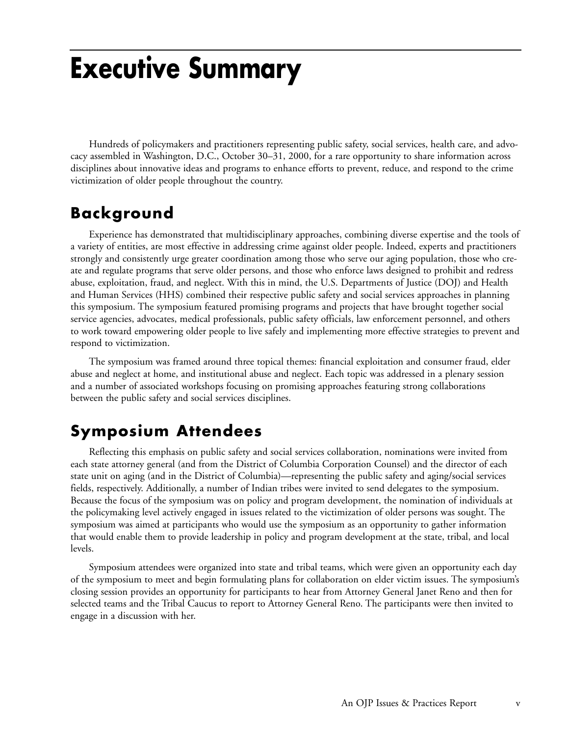## **Executive Summary**

Hundreds of policymakers and practitioners representing public safety, social services, health care, and advocacy assembled in Washington, D.C., October 30–31, 2000, for a rare opportunity to share information across disciplines about innovative ideas and programs to enhance efforts to prevent, reduce, and respond to the crime victimization of older people throughout the country.

### **Background**

Experience has demonstrated that multidisciplinary approaches, combining diverse expertise and the tools of a variety of entities, are most effective in addressing crime against older people. Indeed, experts and practitioners strongly and consistently urge greater coordination among those who serve our aging population, those who create and regulate programs that serve older persons, and those who enforce laws designed to prohibit and redress abuse, exploitation, fraud, and neglect. With this in mind, the U.S. Departments of Justice (DOJ) and Health and Human Services (HHS) combined their respective public safety and social services approaches in planning this symposium. The symposium featured promising programs and projects that have brought together social service agencies, advocates, medical professionals, public safety officials, law enforcement personnel, and others to work toward empowering older people to live safely and implementing more effective strategies to prevent and respond to victimization.

The symposium was framed around three topical themes: financial exploitation and consumer fraud, elder abuse and neglect at home, and institutional abuse and neglect. Each topic was addressed in a plenary session and a number of associated workshops focusing on promising approaches featuring strong collaborations between the public safety and social services disciplines.

### **Symposium Attendees**

Reflecting this emphasis on public safety and social services collaboration, nominations were invited from each state attorney general (and from the District of Columbia Corporation Counsel) and the director of each state unit on aging (and in the District of Columbia)—representing the public safety and aging/social services fields, respectively. Additionally, a number of Indian tribes were invited to send delegates to the symposium. Because the focus of the symposium was on policy and program development, the nomination of individuals at the policymaking level actively engaged in issues related to the victimization of older persons was sought. The symposium was aimed at participants who would use the symposium as an opportunity to gather information that would enable them to provide leadership in policy and program development at the state, tribal, and local levels.

Symposium attendees were organized into state and tribal teams, which were given an opportunity each day of the symposium to meet and begin formulating plans for collaboration on elder victim issues. The symposium's closing session provides an opportunity for participants to hear from Attorney General Janet Reno and then for selected teams and the Tribal Caucus to report to Attorney General Reno. The participants were then invited to engage in a discussion with her.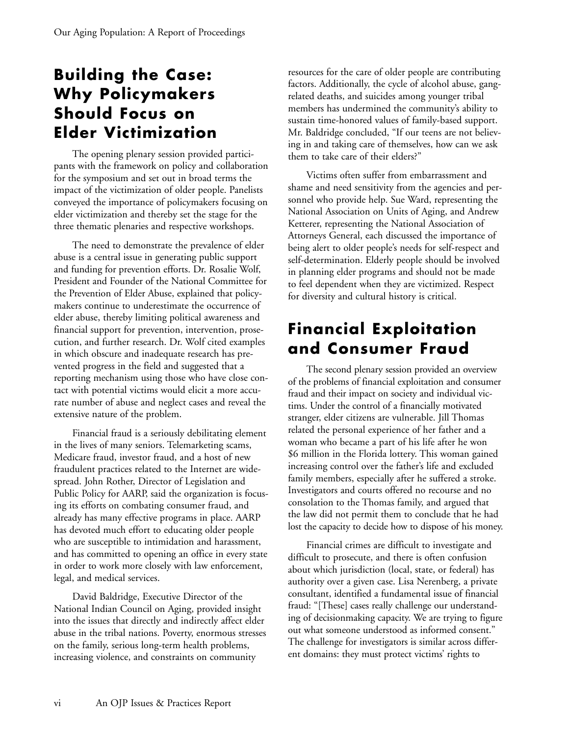### **Building the Case: Why Policymakers Should Focus on Elder Victimization**

The opening plenary session provided participants with the framework on policy and collaboration for the symposium and set out in broad terms the impact of the victimization of older people. Panelists conveyed the importance of policymakers focusing on elder victimization and thereby set the stage for the three thematic plenaries and respective workshops.

The need to demonstrate the prevalence of elder abuse is a central issue in generating public support and funding for prevention efforts. Dr. Rosalie Wolf, President and Founder of the National Committee for the Prevention of Elder Abuse, explained that policymakers continue to underestimate the occurrence of elder abuse, thereby limiting political awareness and financial support for prevention, intervention, prosecution, and further research. Dr. Wolf cited examples in which obscure and inadequate research has prevented progress in the field and suggested that a reporting mechanism using those who have close contact with potential victims would elicit a more accurate number of abuse and neglect cases and reveal the extensive nature of the problem.

Financial fraud is a seriously debilitating element in the lives of many seniors. Telemarketing scams, Medicare fraud, investor fraud, and a host of new fraudulent practices related to the Internet are widespread. John Rother, Director of Legislation and Public Policy for AARP, said the organization is focusing its efforts on combating consumer fraud, and already has many effective programs in place. AARP has devoted much effort to educating older people who are susceptible to intimidation and harassment, and has committed to opening an office in every state in order to work more closely with law enforcement, legal, and medical services.

David Baldridge, Executive Director of the National Indian Council on Aging, provided insight into the issues that directly and indirectly affect elder abuse in the tribal nations. Poverty, enormous stresses on the family, serious long-term health problems, increasing violence, and constraints on community

resources for the care of older people are contributing factors. Additionally, the cycle of alcohol abuse, gangrelated deaths, and suicides among younger tribal members has undermined the community's ability to sustain time-honored values of family-based support. Mr. Baldridge concluded, "If our teens are not believing in and taking care of themselves, how can we ask them to take care of their elders?"

Victims often suffer from embarrassment and shame and need sensitivity from the agencies and personnel who provide help. Sue Ward, representing the National Association on Units of Aging, and Andrew Ketterer, representing the National Association of Attorneys General, each discussed the importance of being alert to older people's needs for self-respect and self-determination. Elderly people should be involved in planning elder programs and should not be made to feel dependent when they are victimized. Respect for diversity and cultural history is critical.

### **Financial Exploitation and Consumer Fraud**

The second plenary session provided an overview of the problems of financial exploitation and consumer fraud and their impact on society and individual victims. Under the control of a financially motivated stranger, elder citizens are vulnerable. Jill Thomas related the personal experience of her father and a woman who became a part of his life after he won \$6 million in the Florida lottery. This woman gained increasing control over the father's life and excluded family members, especially after he suffered a stroke. Investigators and courts offered no recourse and no consolation to the Thomas family, and argued that the law did not permit them to conclude that he had lost the capacity to decide how to dispose of his money.

Financial crimes are difficult to investigate and difficult to prosecute, and there is often confusion about which jurisdiction (local, state, or federal) has authority over a given case. Lisa Nerenberg, a private consultant, identified a fundamental issue of financial fraud: "[These] cases really challenge our understanding of decisionmaking capacity. We are trying to figure out what someone understood as informed consent." The challenge for investigators is similar across different domains: they must protect victims' rights to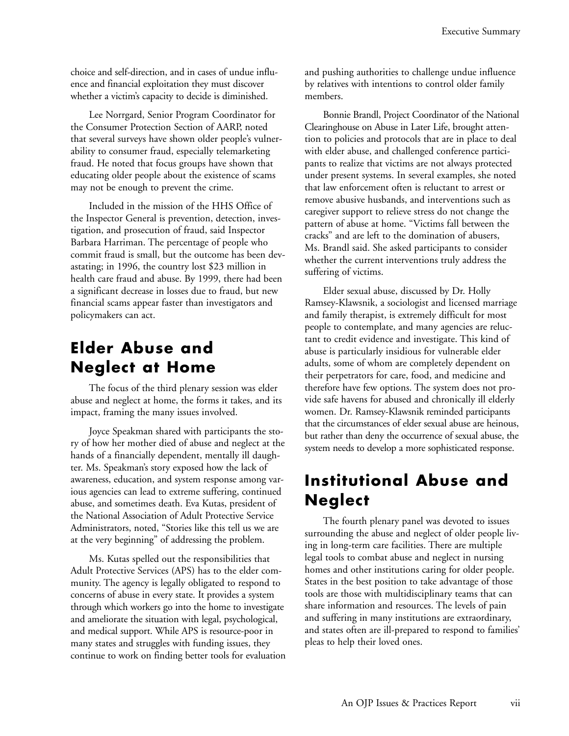choice and self-direction, and in cases of undue influence and financial exploitation they must discover whether a victim's capacity to decide is diminished.

Lee Norrgard, Senior Program Coordinator for the Consumer Protection Section of AARP, noted that several surveys have shown older people's vulnerability to consumer fraud, especially telemarketing fraud. He noted that focus groups have shown that educating older people about the existence of scams may not be enough to prevent the crime.

Included in the mission of the HHS Office of the Inspector General is prevention, detection, investigation, and prosecution of fraud, said Inspector Barbara Harriman. The percentage of people who commit fraud is small, but the outcome has been devastating; in 1996, the country lost \$23 million in health care fraud and abuse. By 1999, there had been a significant decrease in losses due to fraud, but new financial scams appear faster than investigators and policymakers can act.

### **Elder Abuse and Neglect at Home**

The focus of the third plenary session was elder abuse and neglect at home, the forms it takes, and its impact, framing the many issues involved.

Joyce Speakman shared with participants the story of how her mother died of abuse and neglect at the hands of a financially dependent, mentally ill daughter. Ms. Speakman's story exposed how the lack of awareness, education, and system response among various agencies can lead to extreme suffering, continued abuse, and sometimes death. Eva Kutas, president of the National Association of Adult Protective Service Administrators, noted, "Stories like this tell us we are at the very beginning" of addressing the problem.

Ms. Kutas spelled out the responsibilities that Adult Protective Services (APS) has to the elder community. The agency is legally obligated to respond to concerns of abuse in every state. It provides a system through which workers go into the home to investigate and ameliorate the situation with legal, psychological, and medical support. While APS is resource-poor in many states and struggles with funding issues, they continue to work on finding better tools for evaluation and pushing authorities to challenge undue influence by relatives with intentions to control older family members.

Bonnie Brandl, Project Coordinator of the National Clearinghouse on Abuse in Later Life, brought attention to policies and protocols that are in place to deal with elder abuse, and challenged conference participants to realize that victims are not always protected under present systems. In several examples, she noted that law enforcement often is reluctant to arrest or remove abusive husbands, and interventions such as caregiver support to relieve stress do not change the pattern of abuse at home. "Victims fall between the cracks" and are left to the domination of abusers, Ms. Brandl said. She asked participants to consider whether the current interventions truly address the suffering of victims.

Elder sexual abuse, discussed by Dr. Holly Ramsey-Klawsnik, a sociologist and licensed marriage and family therapist, is extremely difficult for most people to contemplate, and many agencies are reluctant to credit evidence and investigate. This kind of abuse is particularly insidious for vulnerable elder adults, some of whom are completely dependent on their perpetrators for care, food, and medicine and therefore have few options. The system does not provide safe havens for abused and chronically ill elderly women. Dr. Ramsey-Klawsnik reminded participants that the circumstances of elder sexual abuse are heinous, but rather than deny the occurrence of sexual abuse, the system needs to develop a more sophisticated response.

### **Institutional Abuse and Neglect**

The fourth plenary panel was devoted to issues surrounding the abuse and neglect of older people living in long-term care facilities. There are multiple legal tools to combat abuse and neglect in nursing homes and other institutions caring for older people. States in the best position to take advantage of those tools are those with multidisciplinary teams that can share information and resources. The levels of pain and suffering in many institutions are extraordinary, and states often are ill-prepared to respond to families' pleas to help their loved ones.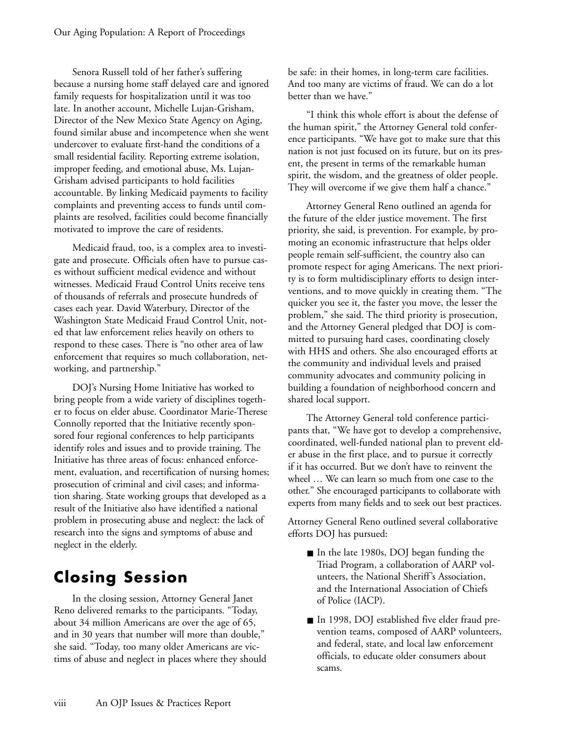Senora Russell told of her father's suffering because a nursing home staff delayed care and ignored family requests for hospitalization until it was too late. In another account, Michelle Lujan-Grisham, Director of the New Mexico State Agency on Aging, found similar abuse and incompetence when she went undercover to evaluate first-hand the conditions of a small residential facility. Reporting extreme isolation, improper feeding, and emotional abuse, Ms. Lujan-Grisham advised participants to hold facilities accountable. By linking Medicaid payments to facility complaints and preventing access to funds until complaints are resolved, facilities could become financially motivated to improve the care of residents.

Medicaid fraud, too, is a complex area to investigate and prosecute. Officials often have to pursue cases without sufficient medical evidence and without witnesses. Medicaid Fraud Control Units receive tens of thousands of referrals and prosecute hundreds of cases each year. David Waterbury, Director of the Washington State Medicaid Fraud Control Unit, noted that law enforcement relies heavily on others to respond to these cases. There is "no other area of law enforcement that requires so much collaboration, networking, and partnership."

DOJ's Nursing Home Initiative has worked to bring people from a wide variety of disciplines together to focus on elder abuse. Coordinator Marie-Therese Connolly reported that the Initiative recently sponsored four regional conferences to help participants identify roles and issues and to provide training. The Initiative has three areas of focus: enhanced enforcement, evaluation, and recertification of nursing homes; prosecution of criminal and civil cases; and information sharing. State working groups that developed as a result of the Initiative also have identified a national problem in prosecuting abuse and neglect: the lack of research into the signs and symptoms of abuse and neglect in the elderly.

### **Closing Session**

In the closing session, Attorney General Janet Reno delivered remarks to the participants. "Today, about 34 million Americans are over the age of 65, and in 30 years that number will more than double," she said. "Today, too many older Americans are victims of abuse and neglect in places where they should be safe: in their homes, in long-term care facilities. And too many are victims of fraud. We can do a lot better than we have."

"I think this whole effort is about the defense of the human spirit," the Attorney General told conference participants. "We have got to make sure that this nation is not just focused on its future, but on its present, the present in terms of the remarkable human spirit, the wisdom, and the greatness of older people. They will overcome if we give them half a chance."

Attorney General Reno outlined an agenda for the future of the elder justice movement. The first priority, she said, is prevention. For example, by promoting an economic infrastructure that helps older people remain self-sufficient, the country also can promote respect for aging Americans. The next priority is to form multidisciplinary efforts to design interventions, and to move quickly in creating them. "The quicker you see it, the faster you move, the lesser the problem," she said. The third priority is prosecution, and the Attorney General pledged that DOJ is committed to pursuing hard cases, coordinating closely with HHS and others. She also encouraged efforts at the community and individual levels and praised community advocates and community policing in building a foundation of neighborhood concern and shared local support.

The Attorney General told conference participants that, "We have got to develop a comprehensive, coordinated, well-funded national plan to prevent elder abuse in the first place, and to pursue it correctly if it has occurred. But we don't have to reinvent the wheel … We can learn so much from one case to the other." She encouraged participants to collaborate with experts from many fields and to seek out best practices.

Attorney General Reno outlined several collaborative efforts DOJ has pursued:

- In the late 1980s, DOJ began funding the Triad Program, a collaboration of AARP volunteers, the National Sheriff's Association, and the International Association of Chiefs of Police (IACP).
- In 1998, DOJ established five elder fraud prevention teams, composed of AARP volunteers, and federal, state, and local law enforcement officials, to educate older consumers about scams.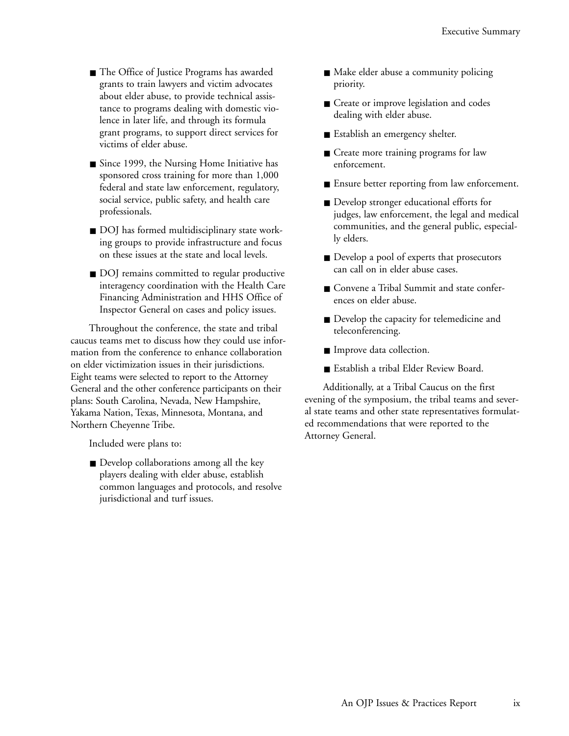- The Office of Justice Programs has awarded grants to train lawyers and victim advocates about elder abuse, to provide technical assistance to programs dealing with domestic violence in later life, and through its formula grant programs, to support direct services for victims of elder abuse.
- Since 1999, the Nursing Home Initiative has sponsored cross training for more than 1,000 federal and state law enforcement, regulatory, social service, public safety, and health care professionals.
- DOJ has formed multidisciplinary state working groups to provide infrastructure and focus on these issues at the state and local levels.
- DOJ remains committed to regular productive interagency coordination with the Health Care Financing Administration and HHS Office of Inspector General on cases and policy issues.

Throughout the conference, the state and tribal caucus teams met to discuss how they could use information from the conference to enhance collaboration on elder victimization issues in their jurisdictions. Eight teams were selected to report to the Attorney General and the other conference participants on their plans: South Carolina, Nevada, New Hampshire, Yakama Nation, Texas, Minnesota, Montana, and Northern Cheyenne Tribe.

Included were plans to:

■ Develop collaborations among all the key players dealing with elder abuse, establish common languages and protocols, and resolve jurisdictional and turf issues.

- Make elder abuse a community policing priority.
- Create or improve legislation and codes dealing with elder abuse.
- Establish an emergency shelter.
- Create more training programs for law enforcement.
- Ensure better reporting from law enforcement.
- Develop stronger educational efforts for judges, law enforcement, the legal and medical communities, and the general public, especially elders.
- Develop a pool of experts that prosecutors can call on in elder abuse cases.
- Convene a Tribal Summit and state conferences on elder abuse.
- Develop the capacity for telemedicine and teleconferencing.
- Improve data collection.
- Establish a tribal Elder Review Board.

Additionally, at a Tribal Caucus on the first evening of the symposium, the tribal teams and several state teams and other state representatives formulated recommendations that were reported to the Attorney General.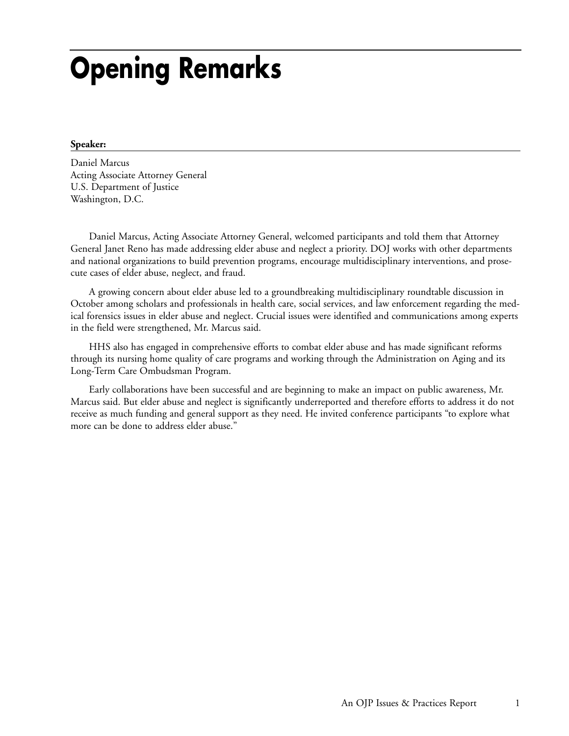## **Opening Remarks**

#### **Speaker:**

Daniel Marcus Acting Associate Attorney General U.S. Department of Justice Washington, D.C.

Daniel Marcus, Acting Associate Attorney General, welcomed participants and told them that Attorney General Janet Reno has made addressing elder abuse and neglect a priority. DOJ works with other departments and national organizations to build prevention programs, encourage multidisciplinary interventions, and prosecute cases of elder abuse, neglect, and fraud.

A growing concern about elder abuse led to a groundbreaking multidisciplinary roundtable discussion in October among scholars and professionals in health care, social services, and law enforcement regarding the medical forensics issues in elder abuse and neglect. Crucial issues were identified and communications among experts in the field were strengthened, Mr. Marcus said.

HHS also has engaged in comprehensive efforts to combat elder abuse and has made significant reforms through its nursing home quality of care programs and working through the Administration on Aging and its Long-Term Care Ombudsman Program.

Early collaborations have been successful and are beginning to make an impact on public awareness, Mr. Marcus said. But elder abuse and neglect is significantly underreported and therefore efforts to address it do not receive as much funding and general support as they need. He invited conference participants "to explore what more can be done to address elder abuse."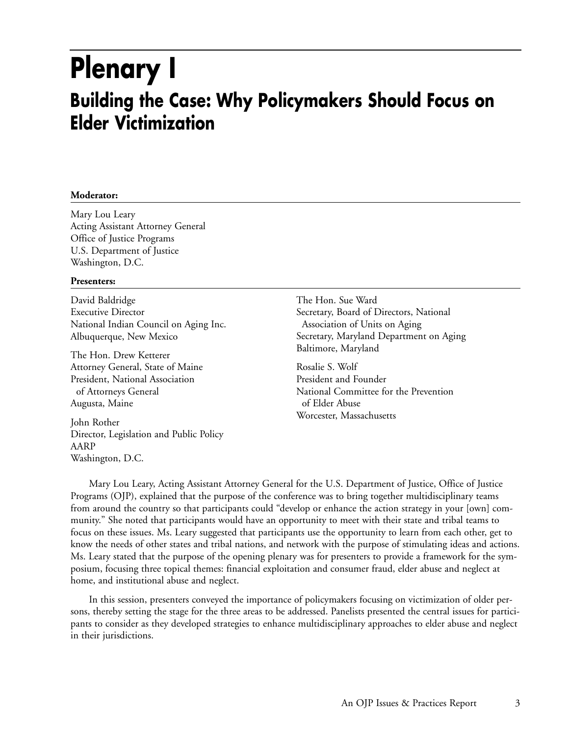## **Plenary I Building the Case: Why Policymakers Should Focus on Elder Victimization**

#### **Moderator:**

Mary Lou Leary Acting Assistant Attorney General Office of Justice Programs U.S. Department of Justice Washington, D.C.

#### **Presenters:**

David Baldridge Executive Director National Indian Council on Aging Inc. Albuquerque, New Mexico

The Hon. Drew Ketterer Attorney General, State of Maine President, National Association of Attorneys General Augusta, Maine

John Rother Director, Legislation and Public Policy AARP Washington, D.C.

The Hon. Sue Ward Secretary, Board of Directors, National Association of Units on Aging Secretary, Maryland Department on Aging Baltimore, Maryland

Rosalie S. Wolf President and Founder National Committee for the Prevention of Elder Abuse Worcester, Massachusetts

Mary Lou Leary, Acting Assistant Attorney General for the U.S. Department of Justice, Office of Justice Programs (OJP), explained that the purpose of the conference was to bring together multidisciplinary teams from around the country so that participants could "develop or enhance the action strategy in your [own] community." She noted that participants would have an opportunity to meet with their state and tribal teams to focus on these issues. Ms. Leary suggested that participants use the opportunity to learn from each other, get to know the needs of other states and tribal nations, and network with the purpose of stimulating ideas and actions. Ms. Leary stated that the purpose of the opening plenary was for presenters to provide a framework for the symposium, focusing three topical themes: financial exploitation and consumer fraud, elder abuse and neglect at home, and institutional abuse and neglect.

In this session, presenters conveyed the importance of policymakers focusing on victimization of older persons, thereby setting the stage for the three areas to be addressed. Panelists presented the central issues for participants to consider as they developed strategies to enhance multidisciplinary approaches to elder abuse and neglect in their jurisdictions.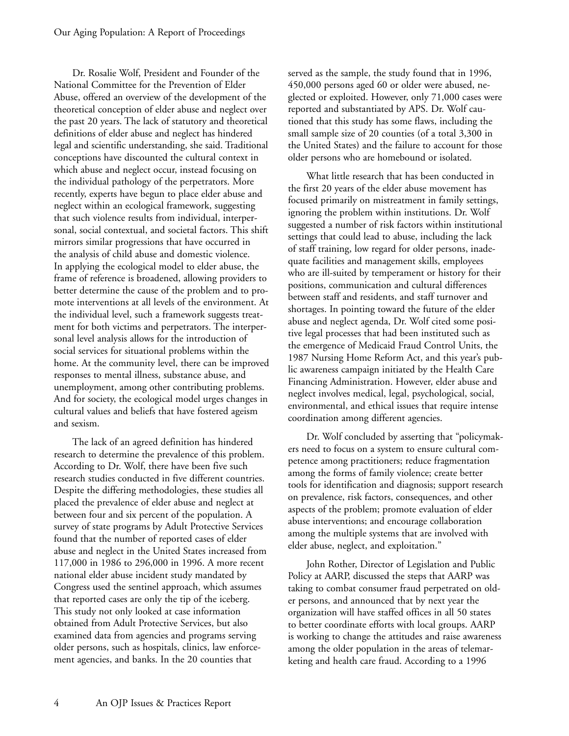Dr. Rosalie Wolf, President and Founder of the National Committee for the Prevention of Elder Abuse, offered an overview of the development of the theoretical conception of elder abuse and neglect over the past 20 years. The lack of statutory and theoretical definitions of elder abuse and neglect has hindered legal and scientific understanding, she said. Traditional conceptions have discounted the cultural context in which abuse and neglect occur, instead focusing on the individual pathology of the perpetrators. More recently, experts have begun to place elder abuse and neglect within an ecological framework, suggesting that such violence results from individual, interpersonal, social contextual, and societal factors. This shift mirrors similar progressions that have occurred in the analysis of child abuse and domestic violence. In applying the ecological model to elder abuse, the frame of reference is broadened, allowing providers to better determine the cause of the problem and to promote interventions at all levels of the environment. At the individual level, such a framework suggests treatment for both victims and perpetrators. The interpersonal level analysis allows for the introduction of social services for situational problems within the home. At the community level, there can be improved responses to mental illness, substance abuse, and unemployment, among other contributing problems. And for society, the ecological model urges changes in cultural values and beliefs that have fostered ageism and sexism.

The lack of an agreed definition has hindered research to determine the prevalence of this problem. According to Dr. Wolf, there have been five such research studies conducted in five different countries. Despite the differing methodologies, these studies all placed the prevalence of elder abuse and neglect at between four and six percent of the population. A survey of state programs by Adult Protective Services found that the number of reported cases of elder abuse and neglect in the United States increased from 117,000 in 1986 to 296,000 in 1996. A more recent national elder abuse incident study mandated by Congress used the sentinel approach, which assumes that reported cases are only the tip of the iceberg. This study not only looked at case information obtained from Adult Protective Services, but also examined data from agencies and programs serving older persons, such as hospitals, clinics, law enforcement agencies, and banks. In the 20 counties that

served as the sample, the study found that in 1996, 450,000 persons aged 60 or older were abused, neglected or exploited. However, only 71,000 cases were reported and substantiated by APS. Dr. Wolf cautioned that this study has some flaws, including the small sample size of 20 counties (of a total 3,300 in the United States) and the failure to account for those older persons who are homebound or isolated.

What little research that has been conducted in the first 20 years of the elder abuse movement has focused primarily on mistreatment in family settings, ignoring the problem within institutions. Dr. Wolf suggested a number of risk factors within institutional settings that could lead to abuse, including the lack of staff training, low regard for older persons, inadequate facilities and management skills, employees who are ill-suited by temperament or history for their positions, communication and cultural differences between staff and residents, and staff turnover and shortages. In pointing toward the future of the elder abuse and neglect agenda, Dr. Wolf cited some positive legal processes that had been instituted such as the emergence of Medicaid Fraud Control Units, the 1987 Nursing Home Reform Act, and this year's public awareness campaign initiated by the Health Care Financing Administration. However, elder abuse and neglect involves medical, legal, psychological, social, environmental, and ethical issues that require intense coordination among different agencies.

Dr. Wolf concluded by asserting that "policymakers need to focus on a system to ensure cultural competence among practitioners; reduce fragmentation among the forms of family violence; create better tools for identification and diagnosis; support research on prevalence, risk factors, consequences, and other aspects of the problem; promote evaluation of elder abuse interventions; and encourage collaboration among the multiple systems that are involved with elder abuse, neglect, and exploitation."

John Rother, Director of Legislation and Public Policy at AARP, discussed the steps that AARP was taking to combat consumer fraud perpetrated on older persons, and announced that by next year the organization will have staffed offices in all 50 states to better coordinate efforts with local groups. AARP is working to change the attitudes and raise awareness among the older population in the areas of telemarketing and health care fraud. According to a 1996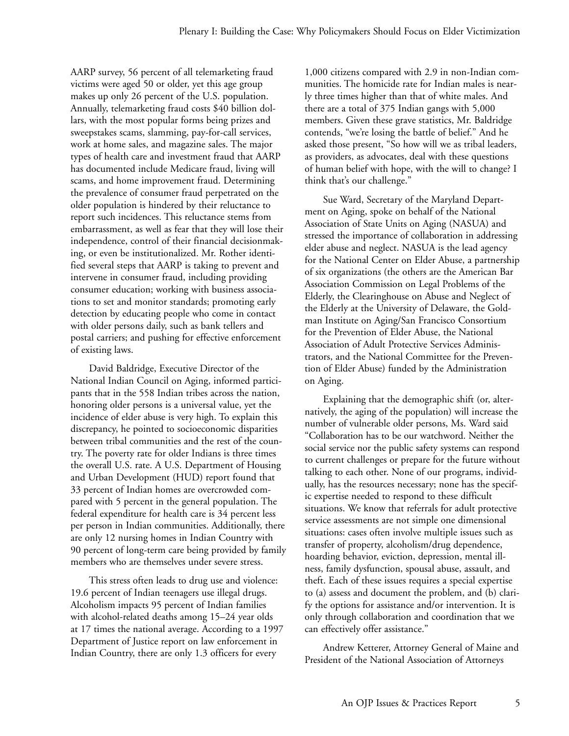AARP survey, 56 percent of all telemarketing fraud victims were aged 50 or older, yet this age group makes up only 26 percent of the U.S. population. Annually, telemarketing fraud costs \$40 billion dollars, with the most popular forms being prizes and sweepstakes scams, slamming, pay-for-call services, work at home sales, and magazine sales. The major types of health care and investment fraud that AARP has documented include Medicare fraud, living will scams, and home improvement fraud. Determining the prevalence of consumer fraud perpetrated on the older population is hindered by their reluctance to report such incidences. This reluctance stems from embarrassment, as well as fear that they will lose their independence, control of their financial decisionmaking, or even be institutionalized. Mr. Rother identified several steps that AARP is taking to prevent and intervene in consumer fraud, including providing consumer education; working with business associations to set and monitor standards; promoting early detection by educating people who come in contact with older persons daily, such as bank tellers and postal carriers; and pushing for effective enforcement of existing laws.

David Baldridge, Executive Director of the National Indian Council on Aging, informed participants that in the 558 Indian tribes across the nation, honoring older persons is a universal value, yet the incidence of elder abuse is very high. To explain this discrepancy, he pointed to socioeconomic disparities between tribal communities and the rest of the country. The poverty rate for older Indians is three times the overall U.S. rate. A U.S. Department of Housing and Urban Development (HUD) report found that 33 percent of Indian homes are overcrowded compared with 5 percent in the general population. The federal expenditure for health care is 34 percent less per person in Indian communities. Additionally, there are only 12 nursing homes in Indian Country with 90 percent of long-term care being provided by family members who are themselves under severe stress.

This stress often leads to drug use and violence: 19.6 percent of Indian teenagers use illegal drugs. Alcoholism impacts 95 percent of Indian families with alcohol-related deaths among 15–24 year olds at 17 times the national average. According to a 1997 Department of Justice report on law enforcement in Indian Country, there are only 1.3 officers for every

1,000 citizens compared with 2.9 in non-Indian communities. The homicide rate for Indian males is nearly three times higher than that of white males. And there are a total of 375 Indian gangs with 5,000 members. Given these grave statistics, Mr. Baldridge contends, "we're losing the battle of belief." And he asked those present, "So how will we as tribal leaders, as providers, as advocates, deal with these questions of human belief with hope, with the will to change? I think that's our challenge."

Sue Ward, Secretary of the Maryland Department on Aging, spoke on behalf of the National Association of State Units on Aging (NASUA) and stressed the importance of collaboration in addressing elder abuse and neglect. NASUA is the lead agency for the National Center on Elder Abuse, a partnership of six organizations (the others are the American Bar Association Commission on Legal Problems of the Elderly, the Clearinghouse on Abuse and Neglect of the Elderly at the University of Delaware, the Goldman Institute on Aging/San Francisco Consortium for the Prevention of Elder Abuse, the National Association of Adult Protective Services Administrators, and the National Committee for the Prevention of Elder Abuse) funded by the Administration on Aging.

Explaining that the demographic shift (or, alternatively, the aging of the population) will increase the number of vulnerable older persons, Ms. Ward said "Collaboration has to be our watchword. Neither the social service nor the public safety systems can respond to current challenges or prepare for the future without talking to each other. None of our programs, individually, has the resources necessary; none has the specific expertise needed to respond to these difficult situations. We know that referrals for adult protective service assessments are not simple one dimensional situations: cases often involve multiple issues such as transfer of property, alcoholism/drug dependence, hoarding behavior, eviction, depression, mental illness, family dysfunction, spousal abuse, assault, and theft. Each of these issues requires a special expertise to (a) assess and document the problem, and (b) clarify the options for assistance and/or intervention. It is only through collaboration and coordination that we can effectively offer assistance."

Andrew Ketterer, Attorney General of Maine and President of the National Association of Attorneys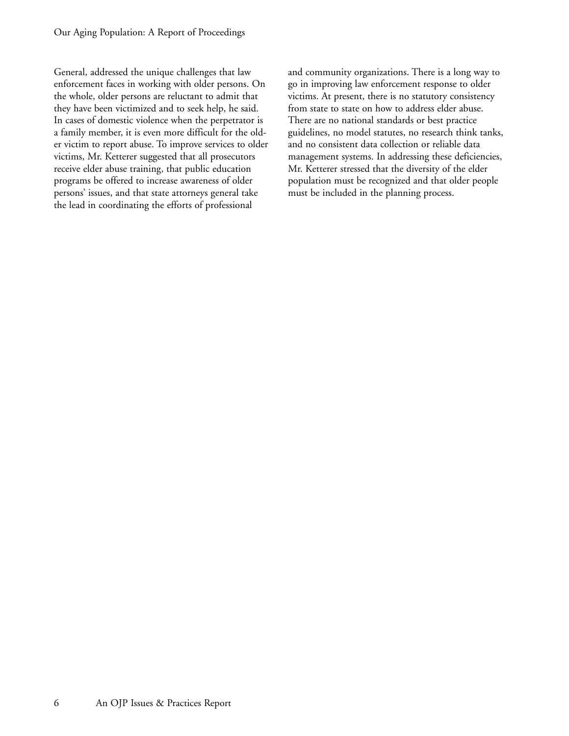General, addressed the unique challenges that law enforcement faces in working with older persons. On the whole, older persons are reluctant to admit that they have been victimized and to seek help, he said. In cases of domestic violence when the perpetrator is a family member, it is even more difficult for the older victim to report abuse. To improve services to older victims, Mr. Ketterer suggested that all prosecutors receive elder abuse training, that public education programs be offered to increase awareness of older persons' issues, and that state attorneys general take the lead in coordinating the efforts of professional

and community organizations. There is a long way to go in improving law enforcement response to older victims. At present, there is no statutory consistency from state to state on how to address elder abuse. There are no national standards or best practice guidelines, no model statutes, no research think tanks, and no consistent data collection or reliable data management systems. In addressing these deficiencies, Mr. Ketterer stressed that the diversity of the elder population must be recognized and that older people must be included in the planning process.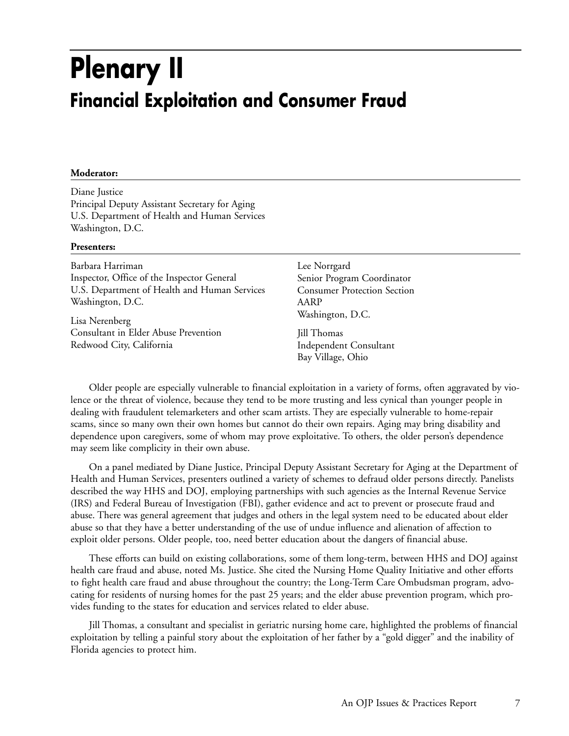## **Plenary II Financial Exploitation and Consumer Fraud**

#### **Moderator:**

Diane Justice Principal Deputy Assistant Secretary for Aging U.S. Department of Health and Human Services Washington, D.C.

#### **Presenters:**

Barbara Harriman Inspector, Office of the Inspector General U.S. Department of Health and Human Services Washington, D.C.

Lisa Nerenberg Consultant in Elder Abuse Prevention Redwood City, California

Lee Norrgard Senior Program Coordinator Consumer Protection Section AARP Washington, D.C.

Jill Thomas Independent Consultant Bay Village, Ohio

Older people are especially vulnerable to financial exploitation in a variety of forms, often aggravated by violence or the threat of violence, because they tend to be more trusting and less cynical than younger people in dealing with fraudulent telemarketers and other scam artists. They are especially vulnerable to home-repair scams, since so many own their own homes but cannot do their own repairs. Aging may bring disability and dependence upon caregivers, some of whom may prove exploitative. To others, the older person's dependence may seem like complicity in their own abuse.

On a panel mediated by Diane Justice, Principal Deputy Assistant Secretary for Aging at the Department of Health and Human Services, presenters outlined a variety of schemes to defraud older persons directly. Panelists described the way HHS and DOJ, employing partnerships with such agencies as the Internal Revenue Service (IRS) and Federal Bureau of Investigation (FBI), gather evidence and act to prevent or prosecute fraud and abuse. There was general agreement that judges and others in the legal system need to be educated about elder abuse so that they have a better understanding of the use of undue influence and alienation of affection to exploit older persons. Older people, too, need better education about the dangers of financial abuse.

These efforts can build on existing collaborations, some of them long-term, between HHS and DOJ against health care fraud and abuse, noted Ms. Justice. She cited the Nursing Home Quality Initiative and other efforts to fight health care fraud and abuse throughout the country; the Long-Term Care Ombudsman program, advocating for residents of nursing homes for the past 25 years; and the elder abuse prevention program, which provides funding to the states for education and services related to elder abuse.

Jill Thomas, a consultant and specialist in geriatric nursing home care, highlighted the problems of financial exploitation by telling a painful story about the exploitation of her father by a "gold digger" and the inability of Florida agencies to protect him.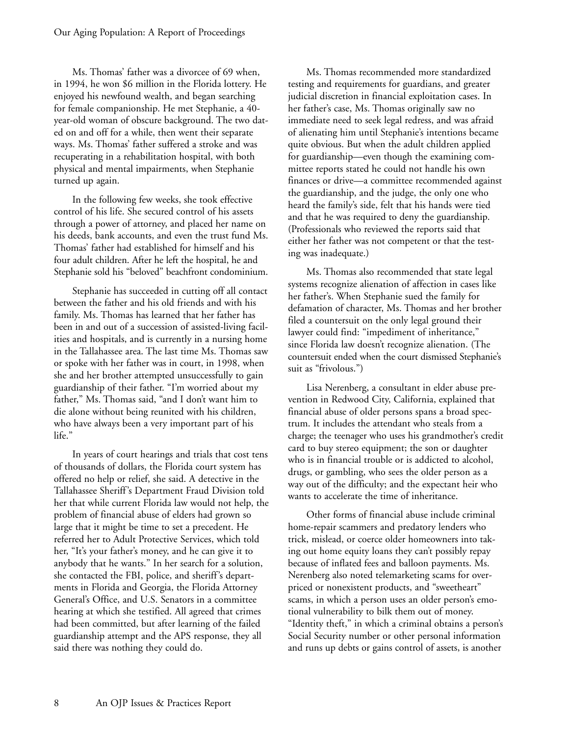Ms. Thomas' father was a divorcee of 69 when, in 1994, he won \$6 million in the Florida lottery. He enjoyed his newfound wealth, and began searching for female companionship. He met Stephanie, a 40 year-old woman of obscure background. The two dated on and off for a while, then went their separate ways. Ms. Thomas' father suffered a stroke and was recuperating in a rehabilitation hospital, with both physical and mental impairments, when Stephanie turned up again.

In the following few weeks, she took effective control of his life. She secured control of his assets through a power of attorney, and placed her name on his deeds, bank accounts, and even the trust fund Ms. Thomas' father had established for himself and his four adult children. After he left the hospital, he and Stephanie sold his "beloved" beachfront condominium.

Stephanie has succeeded in cutting off all contact between the father and his old friends and with his family. Ms. Thomas has learned that her father has been in and out of a succession of assisted-living facilities and hospitals, and is currently in a nursing home in the Tallahassee area. The last time Ms. Thomas saw or spoke with her father was in court, in 1998, when she and her brother attempted unsuccessfully to gain guardianship of their father. "I'm worried about my father," Ms. Thomas said, "and I don't want him to die alone without being reunited with his children, who have always been a very important part of his life."

In years of court hearings and trials that cost tens of thousands of dollars, the Florida court system has offered no help or relief, she said. A detective in the Tallahassee Sheriff's Department Fraud Division told her that while current Florida law would not help, the problem of financial abuse of elders had grown so large that it might be time to set a precedent. He referred her to Adult Protective Services, which told her, "It's your father's money, and he can give it to anybody that he wants." In her search for a solution, she contacted the FBI, police, and sheriff's departments in Florida and Georgia, the Florida Attorney General's Office, and U.S. Senators in a committee hearing at which she testified. All agreed that crimes had been committed, but after learning of the failed guardianship attempt and the APS response, they all said there was nothing they could do.

Ms. Thomas recommended more standardized testing and requirements for guardians, and greater judicial discretion in financial exploitation cases. In her father's case, Ms. Thomas originally saw no immediate need to seek legal redress, and was afraid of alienating him until Stephanie's intentions became quite obvious. But when the adult children applied for guardianship—even though the examining committee reports stated he could not handle his own finances or drive—a committee recommended against the guardianship, and the judge, the only one who heard the family's side, felt that his hands were tied and that he was required to deny the guardianship. (Professionals who reviewed the reports said that either her father was not competent or that the testing was inadequate.)

Ms. Thomas also recommended that state legal systems recognize alienation of affection in cases like her father's. When Stephanie sued the family for defamation of character, Ms. Thomas and her brother filed a countersuit on the only legal ground their lawyer could find: "impediment of inheritance," since Florida law doesn't recognize alienation. (The countersuit ended when the court dismissed Stephanie's suit as "frivolous.")

Lisa Nerenberg, a consultant in elder abuse prevention in Redwood City, California, explained that financial abuse of older persons spans a broad spectrum. It includes the attendant who steals from a charge; the teenager who uses his grandmother's credit card to buy stereo equipment; the son or daughter who is in financial trouble or is addicted to alcohol, drugs, or gambling, who sees the older person as a way out of the difficulty; and the expectant heir who wants to accelerate the time of inheritance.

Other forms of financial abuse include criminal home-repair scammers and predatory lenders who trick, mislead, or coerce older homeowners into taking out home equity loans they can't possibly repay because of inflated fees and balloon payments. Ms. Nerenberg also noted telemarketing scams for overpriced or nonexistent products, and "sweetheart" scams, in which a person uses an older person's emotional vulnerability to bilk them out of money. "Identity theft," in which a criminal obtains a person's Social Security number or other personal information and runs up debts or gains control of assets, is another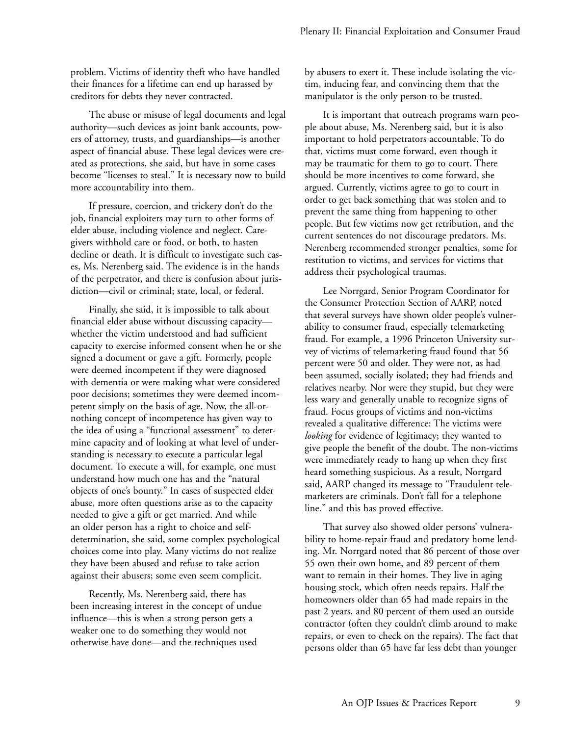problem. Victims of identity theft who have handled their finances for a lifetime can end up harassed by creditors for debts they never contracted.

The abuse or misuse of legal documents and legal authority—such devices as joint bank accounts, powers of attorney, trusts, and guardianships—is another aspect of financial abuse. These legal devices were created as protections, she said, but have in some cases become "licenses to steal." It is necessary now to build more accountability into them.

If pressure, coercion, and trickery don't do the job, financial exploiters may turn to other forms of elder abuse, including violence and neglect. Caregivers withhold care or food, or both, to hasten decline or death. It is difficult to investigate such cases, Ms. Nerenberg said. The evidence is in the hands of the perpetrator, and there is confusion about jurisdiction—civil or criminal; state, local, or federal.

Finally, she said, it is impossible to talk about financial elder abuse without discussing capacity whether the victim understood and had sufficient capacity to exercise informed consent when he or she signed a document or gave a gift. Formerly, people were deemed incompetent if they were diagnosed with dementia or were making what were considered poor decisions; sometimes they were deemed incompetent simply on the basis of age. Now, the all-ornothing concept of incompetence has given way to the idea of using a "functional assessment" to determine capacity and of looking at what level of understanding is necessary to execute a particular legal document. To execute a will, for example, one must understand how much one has and the "natural objects of one's bounty." In cases of suspected elder abuse, more often questions arise as to the capacity needed to give a gift or get married. And while an older person has a right to choice and selfdetermination, she said, some complex psychological choices come into play. Many victims do not realize they have been abused and refuse to take action against their abusers; some even seem complicit.

Recently, Ms. Nerenberg said, there has been increasing interest in the concept of undue influence—this is when a strong person gets a weaker one to do something they would not otherwise have done—and the techniques used

by abusers to exert it. These include isolating the victim, inducing fear, and convincing them that the manipulator is the only person to be trusted.

It is important that outreach programs warn people about abuse, Ms. Nerenberg said, but it is also important to hold perpetrators accountable. To do that, victims must come forward, even though it may be traumatic for them to go to court. There should be more incentives to come forward, she argued. Currently, victims agree to go to court in order to get back something that was stolen and to prevent the same thing from happening to other people. But few victims now get retribution, and the current sentences do not discourage predators. Ms. Nerenberg recommended stronger penalties, some for restitution to victims, and services for victims that address their psychological traumas.

Lee Norrgard, Senior Program Coordinator for the Consumer Protection Section of AARP, noted that several surveys have shown older people's vulnerability to consumer fraud, especially telemarketing fraud. For example, a 1996 Princeton University survey of victims of telemarketing fraud found that 56 percent were 50 and older. They were not, as had been assumed, socially isolated; they had friends and relatives nearby. Nor were they stupid, but they were less wary and generally unable to recognize signs of fraud. Focus groups of victims and non-victims revealed a qualitative difference: The victims were *looking* for evidence of legitimacy; they wanted to give people the benefit of the doubt. The non-victims were immediately ready to hang up when they first heard something suspicious. As a result, Norrgard said, AARP changed its message to "Fraudulent telemarketers are criminals. Don't fall for a telephone line." and this has proved effective.

That survey also showed older persons' vulnerability to home-repair fraud and predatory home lending. Mr. Norrgard noted that 86 percent of those over 55 own their own home, and 89 percent of them want to remain in their homes. They live in aging housing stock, which often needs repairs. Half the homeowners older than 65 had made repairs in the past 2 years, and 80 percent of them used an outside contractor (often they couldn't climb around to make repairs, or even to check on the repairs). The fact that persons older than 65 have far less debt than younger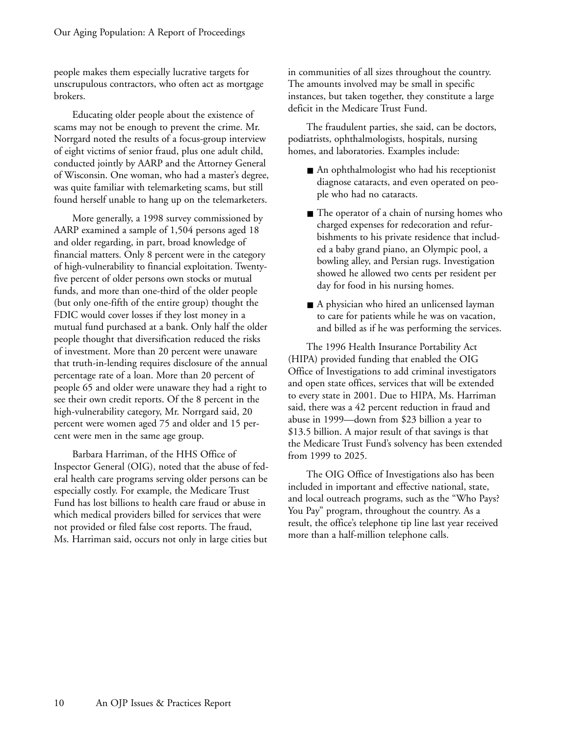people makes them especially lucrative targets for unscrupulous contractors, who often act as mortgage brokers.

Educating older people about the existence of scams may not be enough to prevent the crime. Mr. Norrgard noted the results of a focus-group interview of eight victims of senior fraud, plus one adult child, conducted jointly by AARP and the Attorney General of Wisconsin. One woman, who had a master's degree, was quite familiar with telemarketing scams, but still found herself unable to hang up on the telemarketers.

More generally, a 1998 survey commissioned by AARP examined a sample of 1,504 persons aged 18 and older regarding, in part, broad knowledge of financial matters. Only 8 percent were in the category of high-vulnerability to financial exploitation. Twentyfive percent of older persons own stocks or mutual funds, and more than one-third of the older people (but only one-fifth of the entire group) thought the FDIC would cover losses if they lost money in a mutual fund purchased at a bank. Only half the older people thought that diversification reduced the risks of investment. More than 20 percent were unaware that truth-in-lending requires disclosure of the annual percentage rate of a loan. More than 20 percent of people 65 and older were unaware they had a right to see their own credit reports. Of the 8 percent in the high-vulnerability category, Mr. Norrgard said, 20 percent were women aged 75 and older and 15 percent were men in the same age group.

Barbara Harriman, of the HHS Office of Inspector General (OIG), noted that the abuse of federal health care programs serving older persons can be especially costly. For example, the Medicare Trust Fund has lost billions to health care fraud or abuse in which medical providers billed for services that were not provided or filed false cost reports. The fraud, Ms. Harriman said, occurs not only in large cities but

in communities of all sizes throughout the country. The amounts involved may be small in specific instances, but taken together, they constitute a large deficit in the Medicare Trust Fund.

The fraudulent parties, she said, can be doctors, podiatrists, ophthalmologists, hospitals, nursing homes, and laboratories. Examples include:

- An ophthalmologist who had his receptionist diagnose cataracts, and even operated on people who had no cataracts.
- The operator of a chain of nursing homes who charged expenses for redecoration and refurbishments to his private residence that included a baby grand piano, an Olympic pool, a bowling alley, and Persian rugs. Investigation showed he allowed two cents per resident per day for food in his nursing homes.
- A physician who hired an unlicensed layman to care for patients while he was on vacation, and billed as if he was performing the services.

The 1996 Health Insurance Portability Act (HIPA) provided funding that enabled the OIG Office of Investigations to add criminal investigators and open state offices, services that will be extended to every state in 2001. Due to HIPA, Ms. Harriman said, there was a 42 percent reduction in fraud and abuse in 1999—down from \$23 billion a year to \$13.5 billion. A major result of that savings is that the Medicare Trust Fund's solvency has been extended from 1999 to 2025.

The OIG Office of Investigations also has been included in important and effective national, state, and local outreach programs, such as the "Who Pays? You Pay" program, throughout the country. As a result, the office's telephone tip line last year received more than a half-million telephone calls.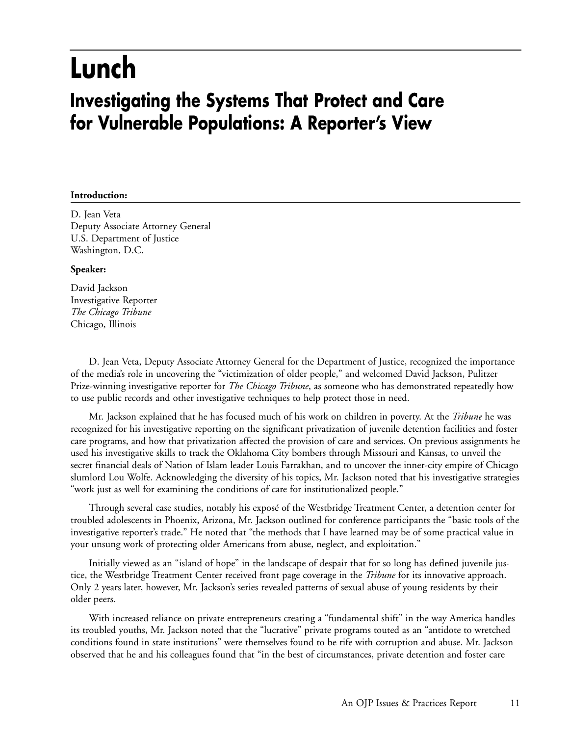## **Lunch**

### **Investigating the Systems That Protect and Care for Vulnerable Populations: A Reporter's View**

#### **Introduction:**

D. Jean Veta Deputy Associate Attorney General U.S. Department of Justice Washington, D.C.

#### **Speaker:**

David Jackson Investigative Reporter *The Chicago Tribune* Chicago, Illinois

D. Jean Veta, Deputy Associate Attorney General for the Department of Justice, recognized the importance of the media's role in uncovering the "victimization of older people," and welcomed David Jackson, Pulitzer Prize-winning investigative reporter for *The Chicago Tribune*, as someone who has demonstrated repeatedly how to use public records and other investigative techniques to help protect those in need.

Mr. Jackson explained that he has focused much of his work on children in poverty. At the *Tribune* he was recognized for his investigative reporting on the significant privatization of juvenile detention facilities and foster care programs, and how that privatization affected the provision of care and services. On previous assignments he used his investigative skills to track the Oklahoma City bombers through Missouri and Kansas, to unveil the secret financial deals of Nation of Islam leader Louis Farrakhan, and to uncover the inner-city empire of Chicago slumlord Lou Wolfe. Acknowledging the diversity of his topics, Mr. Jackson noted that his investigative strategies "work just as well for examining the conditions of care for institutionalized people."

Through several case studies, notably his exposé of the Westbridge Treatment Center, a detention center for troubled adolescents in Phoenix, Arizona, Mr. Jackson outlined for conference participants the "basic tools of the investigative reporter's trade." He noted that "the methods that I have learned may be of some practical value in your unsung work of protecting older Americans from abuse, neglect, and exploitation."

Initially viewed as an "island of hope" in the landscape of despair that for so long has defined juvenile justice, the Westbridge Treatment Center received front page coverage in the *Tribune* for its innovative approach. Only 2 years later, however, Mr. Jackson's series revealed patterns of sexual abuse of young residents by their older peers.

With increased reliance on private entrepreneurs creating a "fundamental shift" in the way America handles its troubled youths, Mr. Jackson noted that the "lucrative" private programs touted as an "antidote to wretched conditions found in state institutions" were themselves found to be rife with corruption and abuse. Mr. Jackson observed that he and his colleagues found that "in the best of circumstances, private detention and foster care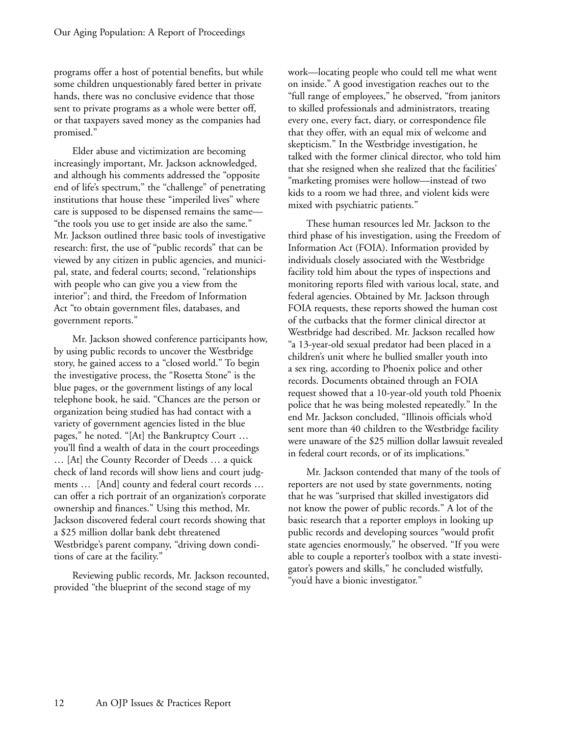programs offer a host of potential benefits, but while some children unquestionably fared better in private hands, there was no conclusive evidence that those sent to private programs as a whole were better off, or that taxpayers saved money as the companies had promised."

Elder abuse and victimization are becoming increasingly important, Mr. Jackson acknowledged, and although his comments addressed the "opposite end of life's spectrum," the "challenge" of penetrating institutions that house these "imperiled lives" where care is supposed to be dispensed remains the same— "the tools you use to get inside are also the same." Mr. Jackson outlined three basic tools of investigative research: first, the use of "public records" that can be viewed by any citizen in public agencies, and municipal, state, and federal courts; second, "relationships with people who can give you a view from the interior"; and third, the Freedom of Information Act "to obtain government files, databases, and government reports."

Mr. Jackson showed conference participants how, by using public records to uncover the Westbridge story, he gained access to a "closed world." To begin the investigative process, the "Rosetta Stone" is the blue pages, or the government listings of any local telephone book, he said. "Chances are the person or organization being studied has had contact with a variety of government agencies listed in the blue pages," he noted. "[At] the Bankruptcy Court … you'll find a wealth of data in the court proceedings … [At] the County Recorder of Deeds … a quick check of land records will show liens and court judgments … [And] county and federal court records … can offer a rich portrait of an organization's corporate ownership and finances." Using this method, Mr. Jackson discovered federal court records showing that a \$25 million dollar bank debt threatened Westbridge's parent company, "driving down conditions of care at the facility."

Reviewing public records, Mr. Jackson recounted, provided "the blueprint of the second stage of my

work—locating people who could tell me what went on inside." A good investigation reaches out to the "full range of employees," he observed, "from janitors to skilled professionals and administrators, treating every one, every fact, diary, or correspondence file that they offer, with an equal mix of welcome and skepticism." In the Westbridge investigation, he talked with the former clinical director, who told him that she resigned when she realized that the facilities' "marketing promises were hollow—instead of two kids to a room we had three, and violent kids were mixed with psychiatric patients."

These human resources led Mr. Jackson to the third phase of his investigation, using the Freedom of Information Act (FOIA). Information provided by individuals closely associated with the Westbridge facility told him about the types of inspections and monitoring reports filed with various local, state, and federal agencies. Obtained by Mr. Jackson through FOIA requests, these reports showed the human cost of the cutbacks that the former clinical director at Westbridge had described. Mr. Jackson recalled how "a 13-year-old sexual predator had been placed in a children's unit where he bullied smaller youth into a sex ring, according to Phoenix police and other records. Documents obtained through an FOIA request showed that a 10-year-old youth told Phoenix police that he was being molested repeatedly." In the end Mr. Jackson concluded, "Illinois officials who'd sent more than 40 children to the Westbridge facility were unaware of the \$25 million dollar lawsuit revealed in federal court records, or of its implications."

Mr. Jackson contended that many of the tools of reporters are not used by state governments, noting that he was "surprised that skilled investigators did not know the power of public records." A lot of the basic research that a reporter employs in looking up public records and developing sources "would profit state agencies enormously," he observed. "If you were able to couple a reporter's toolbox with a state investigator's powers and skills," he concluded wistfully, "you'd have a bionic investigator."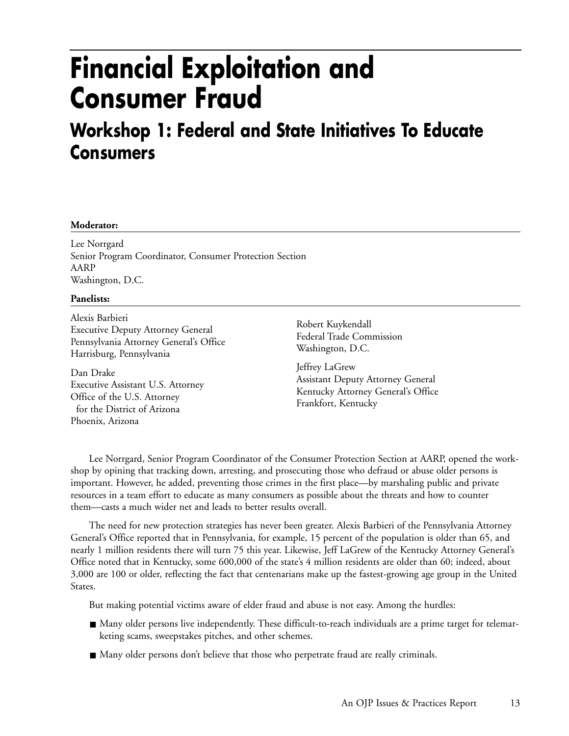## **Financial Exploitation and Consumer Fraud**

### **Workshop 1: Federal and State Initiatives To Educate Consumers**

#### **Moderator:**

Lee Norrgard Senior Program Coordinator, Consumer Protection Section AARP Washington, D.C.

#### **Panelists:**

Alexis Barbieri Executive Deputy Attorney General Pennsylvania Attorney General's Office Harrisburg, Pennsylvania

Dan Drake Executive Assistant U.S. Attorney Office of the U.S. Attorney for the District of Arizona Phoenix, Arizona

Robert Kuykendall Federal Trade Commission Washington, D.C.

Jeffrey LaGrew Assistant Deputy Attorney General Kentucky Attorney General's Office Frankfort, Kentucky

Lee Norrgard, Senior Program Coordinator of the Consumer Protection Section at AARP, opened the workshop by opining that tracking down, arresting, and prosecuting those who defraud or abuse older persons is important. However, he added, preventing those crimes in the first place—by marshaling public and private resources in a team effort to educate as many consumers as possible about the threats and how to counter them—casts a much wider net and leads to better results overall.

The need for new protection strategies has never been greater. Alexis Barbieri of the Pennsylvania Attorney General's Office reported that in Pennsylvania, for example, 15 percent of the population is older than 65, and nearly 1 million residents there will turn 75 this year. Likewise, Jeff LaGrew of the Kentucky Attorney General's Office noted that in Kentucky, some 600,000 of the state's 4 million residents are older than 60; indeed, about 3,000 are 100 or older, reflecting the fact that centenarians make up the fastest-growing age group in the United States.

But making potential victims aware of elder fraud and abuse is not easy. Among the hurdles:

- Many older persons live independently. These difficult-to-reach individuals are a prime target for telemarketing scams, sweepstakes pitches, and other schemes.
- Many older persons don't believe that those who perpetrate fraud are really criminals.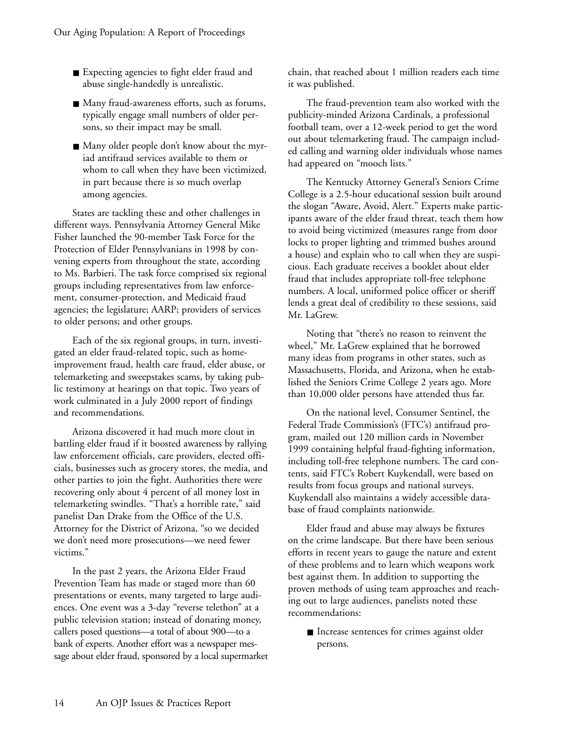- Expecting agencies to fight elder fraud and abuse single-handedly is unrealistic.
- Many fraud-awareness efforts, such as forums, typically engage small numbers of older persons, so their impact may be small.
- Many older people don't know about the myriad antifraud services available to them or whom to call when they have been victimized, in part because there is so much overlap among agencies.

States are tackling these and other challenges in different ways. Pennsylvania Attorney General Mike Fisher launched the 90-member Task Force for the Protection of Elder Pennsylvanians in 1998 by convening experts from throughout the state, according to Ms. Barbieri. The task force comprised six regional groups including representatives from law enforcement, consumer-protection, and Medicaid fraud agencies; the legislature; AARP; providers of services to older persons; and other groups.

Each of the six regional groups, in turn, investigated an elder fraud-related topic, such as homeimprovement fraud, health care fraud, elder abuse, or telemarketing and sweepstakes scams, by taking public testimony at hearings on that topic. Two years of work culminated in a July 2000 report of findings and recommendations.

Arizona discovered it had much more clout in battling elder fraud if it boosted awareness by rallying law enforcement officials, care providers, elected officials, businesses such as grocery stores, the media, and other parties to join the fight. Authorities there were recovering only about 4 percent of all money lost in telemarketing swindles. "That's a horrible rate," said panelist Dan Drake from the Office of the U.S. Attorney for the District of Arizona, "so we decided we don't need more prosecutions—we need fewer victims."

In the past 2 years, the Arizona Elder Fraud Prevention Team has made or staged more than 60 presentations or events, many targeted to large audiences. One event was a 3-day "reverse telethon" at a public television station; instead of donating money, callers posed questions—a total of about 900—to a bank of experts. Another effort was a newspaper message about elder fraud, sponsored by a local supermarket chain, that reached about 1 million readers each time it was published.

The fraud-prevention team also worked with the publicity-minded Arizona Cardinals, a professional football team, over a 12-week period to get the word out about telemarketing fraud. The campaign included calling and warning older individuals whose names had appeared on "mooch lists."

The Kentucky Attorney General's Seniors Crime College is a 2.5-hour educational session built around the slogan "Aware, Avoid, Alert." Experts make participants aware of the elder fraud threat, teach them how to avoid being victimized (measures range from door locks to proper lighting and trimmed bushes around a house) and explain who to call when they are suspicious. Each graduate receives a booklet about elder fraud that includes appropriate toll-free telephone numbers. A local, uniformed police officer or sheriff lends a great deal of credibility to these sessions, said Mr. LaGrew.

Noting that "there's no reason to reinvent the wheel," Mr. LaGrew explained that he borrowed many ideas from programs in other states, such as Massachusetts, Florida, and Arizona, when he established the Seniors Crime College 2 years ago. More than 10,000 older persons have attended thus far.

On the national level, Consumer Sentinel, the Federal Trade Commission's (FTC's) antifraud program, mailed out 120 million cards in November 1999 containing helpful fraud-fighting information, including toll-free telephone numbers. The card contents, said FTC's Robert Kuykendall, were based on results from focus groups and national surveys. Kuykendall also maintains a widely accessible database of fraud complaints nationwide.

Elder fraud and abuse may always be fixtures on the crime landscape. But there have been serious efforts in recent years to gauge the nature and extent of these problems and to learn which weapons work best against them. In addition to supporting the proven methods of using team approaches and reaching out to large audiences, panelists noted these recommendations:

■ Increase sentences for crimes against older persons.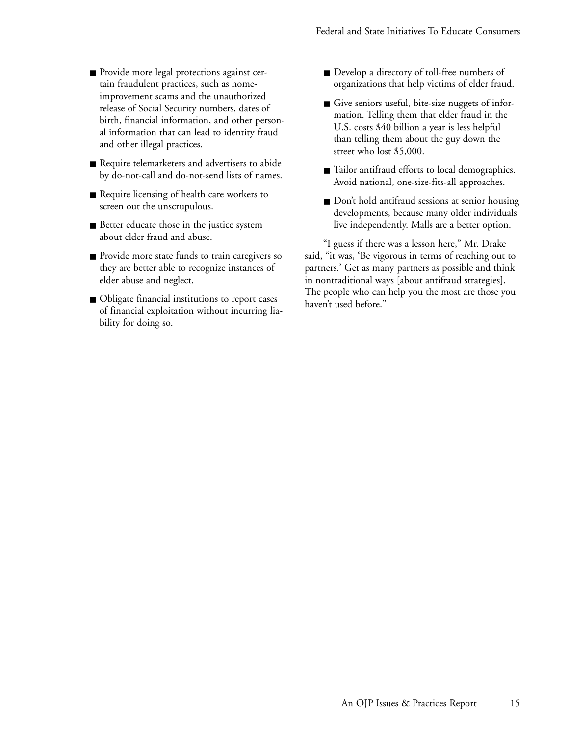- Provide more legal protections against certain fraudulent practices, such as homeimprovement scams and the unauthorized release of Social Security numbers, dates of birth, financial information, and other personal information that can lead to identity fraud and other illegal practices.
- Require telemarketers and advertisers to abide by do-not-call and do-not-send lists of names.
- Require licensing of health care workers to screen out the unscrupulous.
- Better educate those in the justice system about elder fraud and abuse.
- Provide more state funds to train caregivers so they are better able to recognize instances of elder abuse and neglect.
- Obligate financial institutions to report cases of financial exploitation without incurring liability for doing so.
- Develop a directory of toll-free numbers of organizations that help victims of elder fraud.
- Give seniors useful, bite-size nuggets of information. Telling them that elder fraud in the U.S. costs \$40 billion a year is less helpful than telling them about the guy down the street who lost \$5,000.
- Tailor antifraud efforts to local demographics. Avoid national, one-size-fits-all approaches.
- Don't hold antifraud sessions at senior housing developments, because many older individuals live independently. Malls are a better option.

"I guess if there was a lesson here," Mr. Drake said, "it was, 'Be vigorous in terms of reaching out to partners.' Get as many partners as possible and think in nontraditional ways [about antifraud strategies]. The people who can help you the most are those you haven't used before."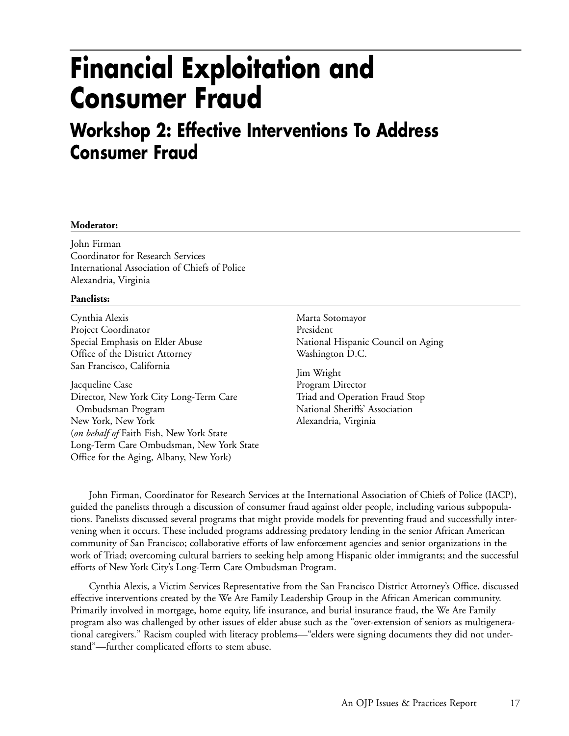## **Financial Exploitation and Consumer Fraud**

### **Workshop 2: Effective Interventions To Address Consumer Fraud**

#### **Moderator:**

John Firman Coordinator for Research Services International Association of Chiefs of Police Alexandria, Virginia

#### **Panelists:**

Cynthia Alexis Project Coordinator Special Emphasis on Elder Abuse Office of the District Attorney San Francisco, California

Jacqueline Case Director, New York City Long-Term Care Ombudsman Program New York, New York (*on behalf of* Faith Fish, New York State Long-Term Care Ombudsman, New York State Office for the Aging, Albany, New York)

Marta Sotomayor President National Hispanic Council on Aging Washington D.C.

Jim Wright Program Director Triad and Operation Fraud Stop National Sheriffs' Association Alexandria, Virginia

John Firman, Coordinator for Research Services at the International Association of Chiefs of Police (IACP), guided the panelists through a discussion of consumer fraud against older people, including various subpopulations. Panelists discussed several programs that might provide models for preventing fraud and successfully intervening when it occurs. These included programs addressing predatory lending in the senior African American community of San Francisco; collaborative efforts of law enforcement agencies and senior organizations in the work of Triad; overcoming cultural barriers to seeking help among Hispanic older immigrants; and the successful efforts of New York City's Long-Term Care Ombudsman Program.

Cynthia Alexis, a Victim Services Representative from the San Francisco District Attorney's Office, discussed effective interventions created by the We Are Family Leadership Group in the African American community. Primarily involved in mortgage, home equity, life insurance, and burial insurance fraud, the We Are Family program also was challenged by other issues of elder abuse such as the "over-extension of seniors as multigenerational caregivers." Racism coupled with literacy problems—"elders were signing documents they did not understand"—further complicated efforts to stem abuse.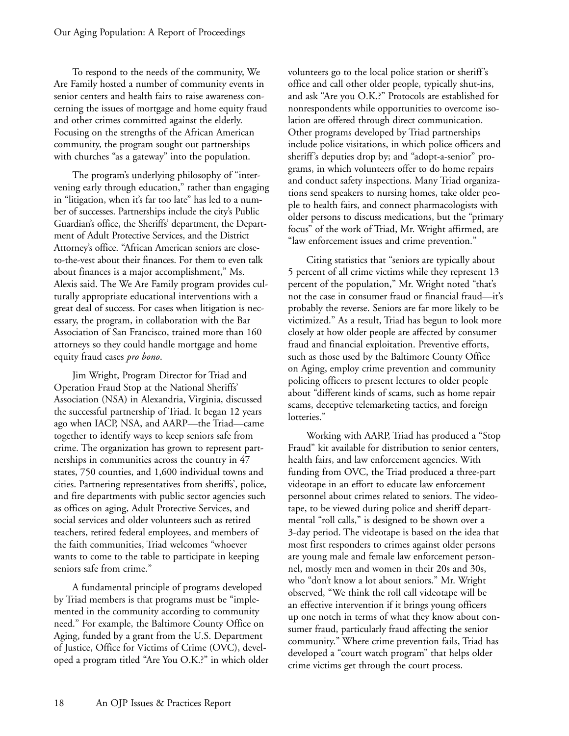To respond to the needs of the community, We Are Family hosted a number of community events in senior centers and health fairs to raise awareness concerning the issues of mortgage and home equity fraud and other crimes committed against the elderly. Focusing on the strengths of the African American community, the program sought out partnerships with churches "as a gateway" into the population.

The program's underlying philosophy of "intervening early through education," rather than engaging in "litigation, when it's far too late" has led to a number of successes. Partnerships include the city's Public Guardian's office, the Sheriffs' department, the Department of Adult Protective Services, and the District Attorney's office. "African American seniors are closeto-the-vest about their finances. For them to even talk about finances is a major accomplishment," Ms. Alexis said. The We Are Family program provides culturally appropriate educational interventions with a great deal of success. For cases when litigation is necessary, the program, in collaboration with the Bar Association of San Francisco, trained more than 160 attorneys so they could handle mortgage and home equity fraud cases *pro bono*.

Jim Wright, Program Director for Triad and Operation Fraud Stop at the National Sheriffs' Association (NSA) in Alexandria, Virginia, discussed the successful partnership of Triad. It began 12 years ago when IACP, NSA, and AARP—the Triad—came together to identify ways to keep seniors safe from crime. The organization has grown to represent partnerships in communities across the country in 47 states, 750 counties, and 1,600 individual towns and cities. Partnering representatives from sheriffs', police, and fire departments with public sector agencies such as offices on aging, Adult Protective Services, and social services and older volunteers such as retired teachers, retired federal employees, and members of the faith communities, Triad welcomes "whoever wants to come to the table to participate in keeping seniors safe from crime."

A fundamental principle of programs developed by Triad members is that programs must be "implemented in the community according to community need." For example, the Baltimore County Office on Aging, funded by a grant from the U.S. Department of Justice, Office for Victims of Crime (OVC), developed a program titled "Are You O.K.?" in which older volunteers go to the local police station or sheriff's office and call other older people, typically shut-ins, and ask "Are you O.K.?" Protocols are established for nonrespondents while opportunities to overcome isolation are offered through direct communication. Other programs developed by Triad partnerships include police visitations, in which police officers and sheriff's deputies drop by; and "adopt-a-senior" programs, in which volunteers offer to do home repairs and conduct safety inspections. Many Triad organizations send speakers to nursing homes, take older people to health fairs, and connect pharmacologists with older persons to discuss medications, but the "primary focus" of the work of Triad, Mr. Wright affirmed, are "law enforcement issues and crime prevention."

Citing statistics that "seniors are typically about 5 percent of all crime victims while they represent 13 percent of the population," Mr. Wright noted "that's not the case in consumer fraud or financial fraud—it's probably the reverse. Seniors are far more likely to be victimized." As a result, Triad has begun to look more closely at how older people are affected by consumer fraud and financial exploitation. Preventive efforts, such as those used by the Baltimore County Office on Aging, employ crime prevention and community policing officers to present lectures to older people about "different kinds of scams, such as home repair scams, deceptive telemarketing tactics, and foreign lotteries."

Working with AARP, Triad has produced a "Stop Fraud" kit available for distribution to senior centers, health fairs, and law enforcement agencies. With funding from OVC, the Triad produced a three-part videotape in an effort to educate law enforcement personnel about crimes related to seniors. The videotape, to be viewed during police and sheriff departmental "roll calls," is designed to be shown over a 3-day period. The videotape is based on the idea that most first responders to crimes against older persons are young male and female law enforcement personnel, mostly men and women in their 20s and 30s, who "don't know a lot about seniors." Mr. Wright observed, "We think the roll call videotape will be an effective intervention if it brings young officers up one notch in terms of what they know about consumer fraud, particularly fraud affecting the senior community." Where crime prevention fails, Triad has developed a "court watch program" that helps older crime victims get through the court process.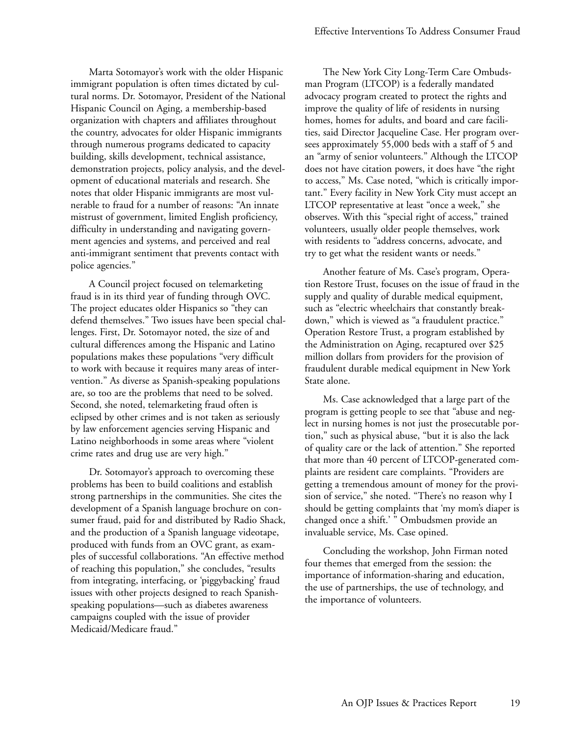Marta Sotomayor's work with the older Hispanic immigrant population is often times dictated by cultural norms. Dr. Sotomayor, President of the National Hispanic Council on Aging, a membership-based organization with chapters and affiliates throughout the country, advocates for older Hispanic immigrants through numerous programs dedicated to capacity building, skills development, technical assistance, demonstration projects, policy analysis, and the development of educational materials and research. She notes that older Hispanic immigrants are most vulnerable to fraud for a number of reasons: "An innate mistrust of government, limited English proficiency, difficulty in understanding and navigating government agencies and systems, and perceived and real anti-immigrant sentiment that prevents contact with police agencies."

A Council project focused on telemarketing fraud is in its third year of funding through OVC. The project educates older Hispanics so "they can defend themselves." Two issues have been special challenges. First, Dr. Sotomayor noted, the size of and cultural differences among the Hispanic and Latino populations makes these populations "very difficult to work with because it requires many areas of intervention." As diverse as Spanish-speaking populations are, so too are the problems that need to be solved. Second, she noted, telemarketing fraud often is eclipsed by other crimes and is not taken as seriously by law enforcement agencies serving Hispanic and Latino neighborhoods in some areas where "violent crime rates and drug use are very high."

Dr. Sotomayor's approach to overcoming these problems has been to build coalitions and establish strong partnerships in the communities. She cites the development of a Spanish language brochure on consumer fraud, paid for and distributed by Radio Shack, and the production of a Spanish language videotape, produced with funds from an OVC grant, as examples of successful collaborations. "An effective method of reaching this population," she concludes, "results from integrating, interfacing, or 'piggybacking' fraud issues with other projects designed to reach Spanishspeaking populations—such as diabetes awareness campaigns coupled with the issue of provider Medicaid/Medicare fraud."

The New York City Long-Term Care Ombudsman Program (LTCOP) is a federally mandated advocacy program created to protect the rights and improve the quality of life of residents in nursing homes, homes for adults, and board and care facilities, said Director Jacqueline Case. Her program oversees approximately 55,000 beds with a staff of 5 and an "army of senior volunteers." Although the LTCOP does not have citation powers, it does have "the right to access," Ms. Case noted, "which is critically important." Every facility in New York City must accept an LTCOP representative at least "once a week," she observes. With this "special right of access," trained volunteers, usually older people themselves, work with residents to "address concerns, advocate, and try to get what the resident wants or needs."

Another feature of Ms. Case's program, Operation Restore Trust, focuses on the issue of fraud in the supply and quality of durable medical equipment, such as "electric wheelchairs that constantly breakdown," which is viewed as "a fraudulent practice." Operation Restore Trust, a program established by the Administration on Aging, recaptured over \$25 million dollars from providers for the provision of fraudulent durable medical equipment in New York State alone.

Ms. Case acknowledged that a large part of the program is getting people to see that "abuse and neglect in nursing homes is not just the prosecutable portion," such as physical abuse, "but it is also the lack of quality care or the lack of attention." She reported that more than 40 percent of LTCOP-generated complaints are resident care complaints. "Providers are getting a tremendous amount of money for the provision of service," she noted. "There's no reason why I should be getting complaints that 'my mom's diaper is changed once a shift.' " Ombudsmen provide an invaluable service, Ms. Case opined.

Concluding the workshop, John Firman noted four themes that emerged from the session: the importance of information-sharing and education, the use of partnerships, the use of technology, and the importance of volunteers.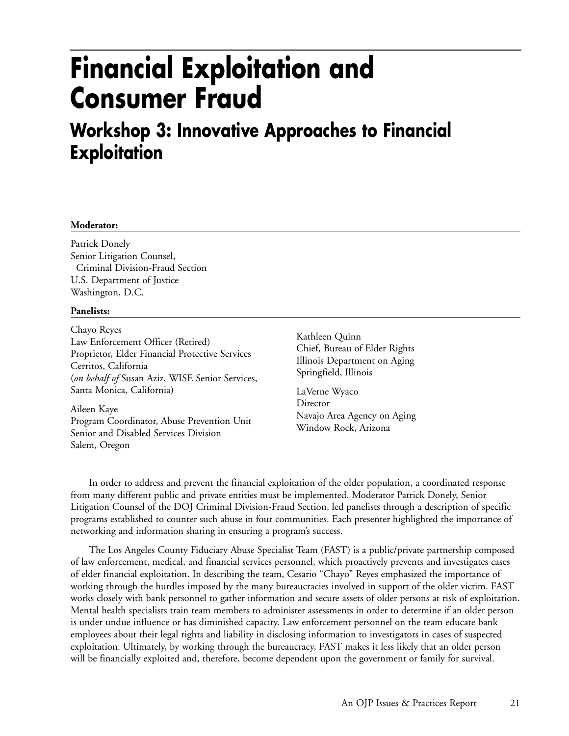## **Financial Exploitation and Consumer Fraud**

### **Workshop 3: Innovative Approaches to Financial Exploitation**

#### **Moderator:**

Patrick Donely Senior Litigation Counsel, Criminal Division-Fraud Section U.S. Department of Justice Washington, D.C.

#### **Panelists:**

Chayo Reyes Law Enforcement Officer (Retired) Proprietor, Elder Financial Protective Services Cerritos, California (*on behalf of* Susan Aziz, WISE Senior Services, Santa Monica, California)

Aileen Kaye Program Coordinator, Abuse Prevention Unit Senior and Disabled Services Division Salem, Oregon

Kathleen Quinn Chief, Bureau of Elder Rights Illinois Department on Aging Springfield, Illinois

LaVerne Wyaco **Director** Navajo Area Agency on Aging Window Rock, Arizona

In order to address and prevent the financial exploitation of the older population, a coordinated response from many different public and private entities must be implemented. Moderator Patrick Donely, Senior Litigation Counsel of the DOJ Criminal Division-Fraud Section, led panelists through a description of specific programs established to counter such abuse in four communities. Each presenter highlighted the importance of networking and information sharing in ensuring a program's success.

The Los Angeles County Fiduciary Abuse Specialist Team (FAST) is a public/private partnership composed of law enforcement, medical, and financial services personnel, which proactively prevents and investigates cases of elder financial exploitation. In describing the team, Cesario "Chayo" Reyes emphasized the importance of working through the hurdles imposed by the many bureaucracies involved in support of the older victim. FAST works closely with bank personnel to gather information and secure assets of older persons at risk of exploitation. Mental health specialists train team members to administer assessments in order to determine if an older person is under undue influence or has diminished capacity. Law enforcement personnel on the team educate bank employees about their legal rights and liability in disclosing information to investigators in cases of suspected exploitation. Ultimately, by working through the bureaucracy, FAST makes it less likely that an older person will be financially exploited and, therefore, become dependent upon the government or family for survival.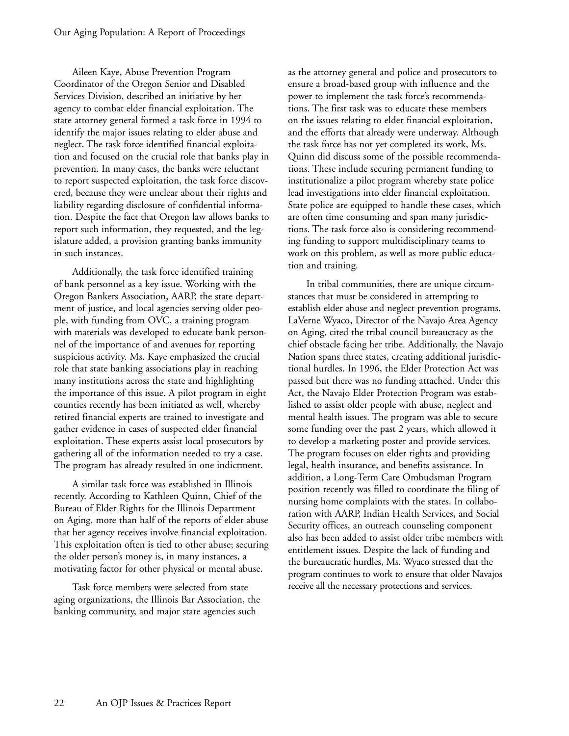Aileen Kaye, Abuse Prevention Program Coordinator of the Oregon Senior and Disabled Services Division, described an initiative by her agency to combat elder financial exploitation. The state attorney general formed a task force in 1994 to identify the major issues relating to elder abuse and neglect. The task force identified financial exploitation and focused on the crucial role that banks play in prevention. In many cases, the banks were reluctant to report suspected exploitation, the task force discovered, because they were unclear about their rights and liability regarding disclosure of confidential information. Despite the fact that Oregon law allows banks to report such information, they requested, and the legislature added, a provision granting banks immunity in such instances.

Additionally, the task force identified training of bank personnel as a key issue. Working with the Oregon Bankers Association, AARP, the state department of justice, and local agencies serving older people, with funding from OVC, a training program with materials was developed to educate bank personnel of the importance of and avenues for reporting suspicious activity. Ms. Kaye emphasized the crucial role that state banking associations play in reaching many institutions across the state and highlighting the importance of this issue. A pilot program in eight counties recently has been initiated as well, whereby retired financial experts are trained to investigate and gather evidence in cases of suspected elder financial exploitation. These experts assist local prosecutors by gathering all of the information needed to try a case. The program has already resulted in one indictment.

A similar task force was established in Illinois recently. According to Kathleen Quinn, Chief of the Bureau of Elder Rights for the Illinois Department on Aging, more than half of the reports of elder abuse that her agency receives involve financial exploitation. This exploitation often is tied to other abuse; securing the older person's money is, in many instances, a motivating factor for other physical or mental abuse.

Task force members were selected from state aging organizations, the Illinois Bar Association, the banking community, and major state agencies such

as the attorney general and police and prosecutors to ensure a broad-based group with influence and the power to implement the task force's recommendations. The first task was to educate these members on the issues relating to elder financial exploitation, and the efforts that already were underway. Although the task force has not yet completed its work, Ms. Quinn did discuss some of the possible recommendations. These include securing permanent funding to institutionalize a pilot program whereby state police lead investigations into elder financial exploitation. State police are equipped to handle these cases, which are often time consuming and span many jurisdictions. The task force also is considering recommending funding to support multidisciplinary teams to work on this problem, as well as more public education and training.

In tribal communities, there are unique circumstances that must be considered in attempting to establish elder abuse and neglect prevention programs. LaVerne Wyaco, Director of the Navajo Area Agency on Aging, cited the tribal council bureaucracy as the chief obstacle facing her tribe. Additionally, the Navajo Nation spans three states, creating additional jurisdictional hurdles. In 1996, the Elder Protection Act was passed but there was no funding attached. Under this Act, the Navajo Elder Protection Program was established to assist older people with abuse, neglect and mental health issues. The program was able to secure some funding over the past 2 years, which allowed it to develop a marketing poster and provide services. The program focuses on elder rights and providing legal, health insurance, and benefits assistance. In addition, a Long-Term Care Ombudsman Program position recently was filled to coordinate the filing of nursing home complaints with the states. In collaboration with AARP, Indian Health Services, and Social Security offices, an outreach counseling component also has been added to assist older tribe members with entitlement issues. Despite the lack of funding and the bureaucratic hurdles, Ms. Wyaco stressed that the program continues to work to ensure that older Navajos receive all the necessary protections and services.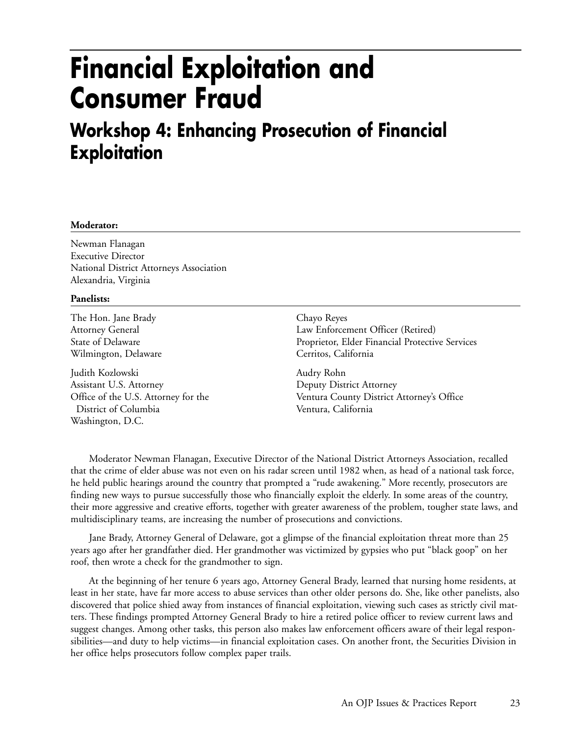## **Financial Exploitation and Consumer Fraud**

### **Workshop 4: Enhancing Prosecution of Financial Exploitation**

#### **Moderator:**

Newman Flanagan Executive Director National District Attorneys Association Alexandria, Virginia

#### **Panelists:**

The Hon. Jane Brady Attorney General State of Delaware Wilmington, Delaware

Judith Kozlowski Assistant U.S. Attorney Office of the U.S. Attorney for the District of Columbia Washington, D.C.

Chayo Reyes Law Enforcement Officer (Retired) Proprietor, Elder Financial Protective Services Cerritos, California

Audry Rohn Deputy District Attorney Ventura County District Attorney's Office Ventura, California

Moderator Newman Flanagan, Executive Director of the National District Attorneys Association, recalled that the crime of elder abuse was not even on his radar screen until 1982 when, as head of a national task force, he held public hearings around the country that prompted a "rude awakening." More recently, prosecutors are finding new ways to pursue successfully those who financially exploit the elderly. In some areas of the country, their more aggressive and creative efforts, together with greater awareness of the problem, tougher state laws, and multidisciplinary teams, are increasing the number of prosecutions and convictions.

Jane Brady, Attorney General of Delaware, got a glimpse of the financial exploitation threat more than 25 years ago after her grandfather died. Her grandmother was victimized by gypsies who put "black goop" on her roof, then wrote a check for the grandmother to sign.

At the beginning of her tenure 6 years ago, Attorney General Brady, learned that nursing home residents, at least in her state, have far more access to abuse services than other older persons do. She, like other panelists, also discovered that police shied away from instances of financial exploitation, viewing such cases as strictly civil matters. These findings prompted Attorney General Brady to hire a retired police officer to review current laws and suggest changes. Among other tasks, this person also makes law enforcement officers aware of their legal responsibilities—and duty to help victims—in financial exploitation cases. On another front, the Securities Division in her office helps prosecutors follow complex paper trails.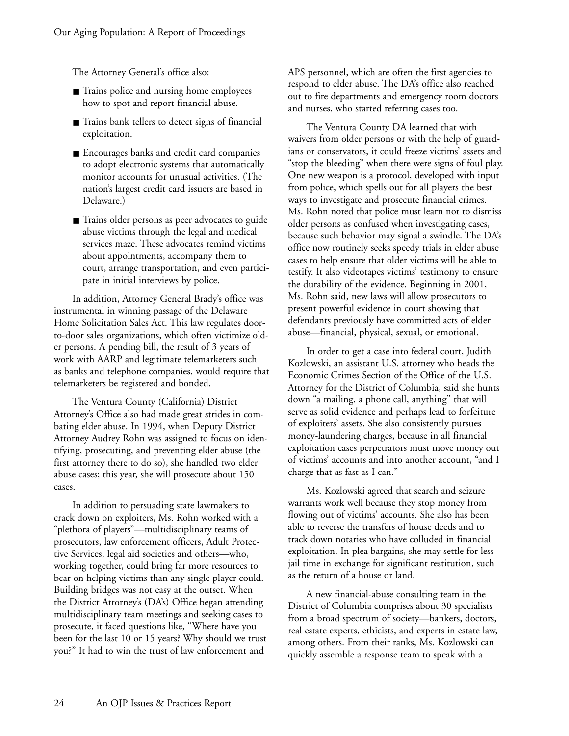The Attorney General's office also:

- Trains police and nursing home employees how to spot and report financial abuse.
- Trains bank tellers to detect signs of financial exploitation.
- Encourages banks and credit card companies to adopt electronic systems that automatically monitor accounts for unusual activities. (The nation's largest credit card issuers are based in Delaware.)
- Trains older persons as peer advocates to guide abuse victims through the legal and medical services maze. These advocates remind victims about appointments, accompany them to court, arrange transportation, and even participate in initial interviews by police.

In addition, Attorney General Brady's office was instrumental in winning passage of the Delaware Home Solicitation Sales Act. This law regulates doorto-door sales organizations, which often victimize older persons. A pending bill, the result of 3 years of work with AARP and legitimate telemarketers such as banks and telephone companies, would require that telemarketers be registered and bonded.

The Ventura County (California) District Attorney's Office also had made great strides in combating elder abuse. In 1994, when Deputy District Attorney Audrey Rohn was assigned to focus on identifying, prosecuting, and preventing elder abuse (the first attorney there to do so), she handled two elder abuse cases; this year, she will prosecute about 150 cases.

In addition to persuading state lawmakers to crack down on exploiters, Ms. Rohn worked with a "plethora of players"—multidisciplinary teams of prosecutors, law enforcement officers, Adult Protective Services, legal aid societies and others—who, working together, could bring far more resources to bear on helping victims than any single player could. Building bridges was not easy at the outset. When the District Attorney's (DA's) Office began attending multidisciplinary team meetings and seeking cases to prosecute, it faced questions like, "Where have you been for the last 10 or 15 years? Why should we trust you?" It had to win the trust of law enforcement and

APS personnel, which are often the first agencies to respond to elder abuse. The DA's office also reached out to fire departments and emergency room doctors and nurses, who started referring cases too.

The Ventura County DA learned that with waivers from older persons or with the help of guardians or conservators, it could freeze victims' assets and "stop the bleeding" when there were signs of foul play. One new weapon is a protocol, developed with input from police, which spells out for all players the best ways to investigate and prosecute financial crimes. Ms. Rohn noted that police must learn not to dismiss older persons as confused when investigating cases, because such behavior may signal a swindle. The DA's office now routinely seeks speedy trials in elder abuse cases to help ensure that older victims will be able to testify. It also videotapes victims' testimony to ensure the durability of the evidence. Beginning in 2001, Ms. Rohn said, new laws will allow prosecutors to present powerful evidence in court showing that defendants previously have committed acts of elder abuse—financial, physical, sexual, or emotional.

In order to get a case into federal court, Judith Kozlowski, an assistant U.S. attorney who heads the Economic Crimes Section of the Office of the U.S. Attorney for the District of Columbia, said she hunts down "a mailing, a phone call, anything" that will serve as solid evidence and perhaps lead to forfeiture of exploiters' assets. She also consistently pursues money-laundering charges, because in all financial exploitation cases perpetrators must move money out of victims' accounts and into another account, "and I charge that as fast as I can."

Ms. Kozlowski agreed that search and seizure warrants work well because they stop money from flowing out of victims' accounts. She also has been able to reverse the transfers of house deeds and to track down notaries who have colluded in financial exploitation. In plea bargains, she may settle for less jail time in exchange for significant restitution, such as the return of a house or land.

A new financial-abuse consulting team in the District of Columbia comprises about 30 specialists from a broad spectrum of society—bankers, doctors, real estate experts, ethicists, and experts in estate law, among others. From their ranks, Ms. Kozlowski can quickly assemble a response team to speak with a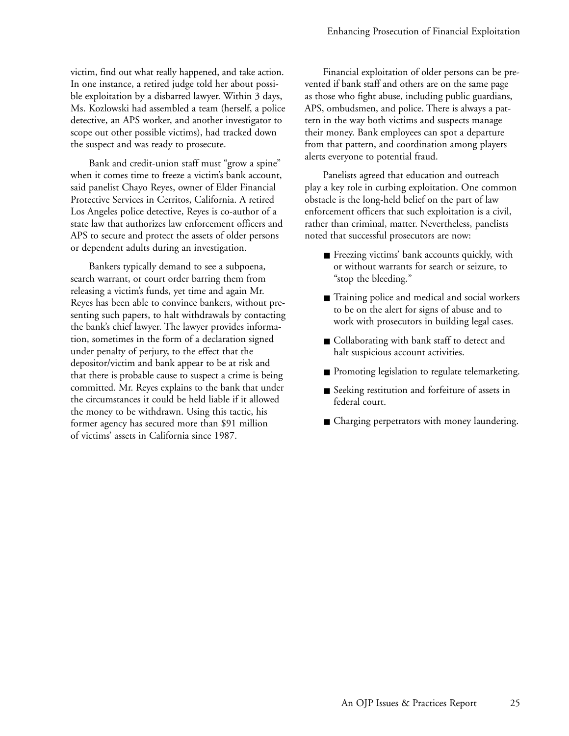victim, find out what really happened, and take action. In one instance, a retired judge told her about possible exploitation by a disbarred lawyer. Within 3 days, Ms. Kozlowski had assembled a team (herself, a police detective, an APS worker, and another investigator to scope out other possible victims), had tracked down the suspect and was ready to prosecute.

Bank and credit-union staff must "grow a spine" when it comes time to freeze a victim's bank account, said panelist Chayo Reyes, owner of Elder Financial Protective Services in Cerritos, California. A retired Los Angeles police detective, Reyes is co-author of a state law that authorizes law enforcement officers and APS to secure and protect the assets of older persons or dependent adults during an investigation.

Bankers typically demand to see a subpoena, search warrant, or court order barring them from releasing a victim's funds, yet time and again Mr. Reyes has been able to convince bankers, without presenting such papers, to halt withdrawals by contacting the bank's chief lawyer. The lawyer provides information, sometimes in the form of a declaration signed under penalty of perjury, to the effect that the depositor/victim and bank appear to be at risk and that there is probable cause to suspect a crime is being committed. Mr. Reyes explains to the bank that under the circumstances it could be held liable if it allowed the money to be withdrawn. Using this tactic, his former agency has secured more than \$91 million of victims' assets in California since 1987.

Financial exploitation of older persons can be prevented if bank staff and others are on the same page as those who fight abuse, including public guardians, APS, ombudsmen, and police. There is always a pattern in the way both victims and suspects manage their money. Bank employees can spot a departure from that pattern, and coordination among players alerts everyone to potential fraud.

Panelists agreed that education and outreach play a key role in curbing exploitation. One common obstacle is the long-held belief on the part of law enforcement officers that such exploitation is a civil, rather than criminal, matter. Nevertheless, panelists noted that successful prosecutors are now:

- Freezing victims' bank accounts quickly, with or without warrants for search or seizure, to "stop the bleeding."
- Training police and medical and social workers to be on the alert for signs of abuse and to work with prosecutors in building legal cases.
- Collaborating with bank staff to detect and halt suspicious account activities.
- Promoting legislation to regulate telemarketing.
- Seeking restitution and forfeiture of assets in federal court.
- Charging perpetrators with money laundering.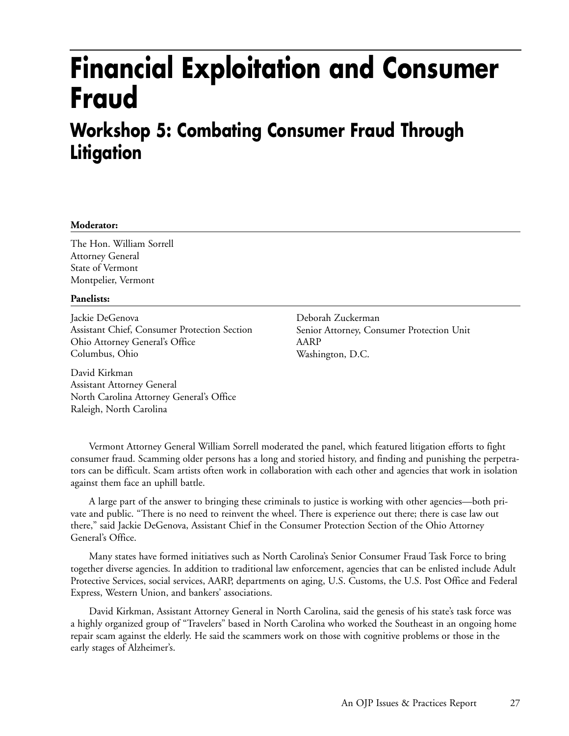## **Financial Exploitation and Consumer Fraud**

### **Workshop 5: Combating Consumer Fraud Through Litigation**

#### **Moderator:**

The Hon. William Sorrell Attorney General State of Vermont Montpelier, Vermont

#### **Panelists:**

Jackie DeGenova Assistant Chief, Consumer Protection Section Ohio Attorney General's Office Columbus, Ohio

David Kirkman Assistant Attorney General North Carolina Attorney General's Office Raleigh, North Carolina

Deborah Zuckerman Senior Attorney, Consumer Protection Unit AARP Washington, D.C.

Vermont Attorney General William Sorrell moderated the panel, which featured litigation efforts to fight consumer fraud. Scamming older persons has a long and storied history, and finding and punishing the perpetrators can be difficult. Scam artists often work in collaboration with each other and agencies that work in isolation against them face an uphill battle.

A large part of the answer to bringing these criminals to justice is working with other agencies—both private and public. "There is no need to reinvent the wheel. There is experience out there; there is case law out there," said Jackie DeGenova, Assistant Chief in the Consumer Protection Section of the Ohio Attorney General's Office.

Many states have formed initiatives such as North Carolina's Senior Consumer Fraud Task Force to bring together diverse agencies. In addition to traditional law enforcement, agencies that can be enlisted include Adult Protective Services, social services, AARP, departments on aging, U.S. Customs, the U.S. Post Office and Federal Express, Western Union, and bankers' associations.

David Kirkman, Assistant Attorney General in North Carolina, said the genesis of his state's task force was a highly organized group of "Travelers" based in North Carolina who worked the Southeast in an ongoing home repair scam against the elderly. He said the scammers work on those with cognitive problems or those in the early stages of Alzheimer's.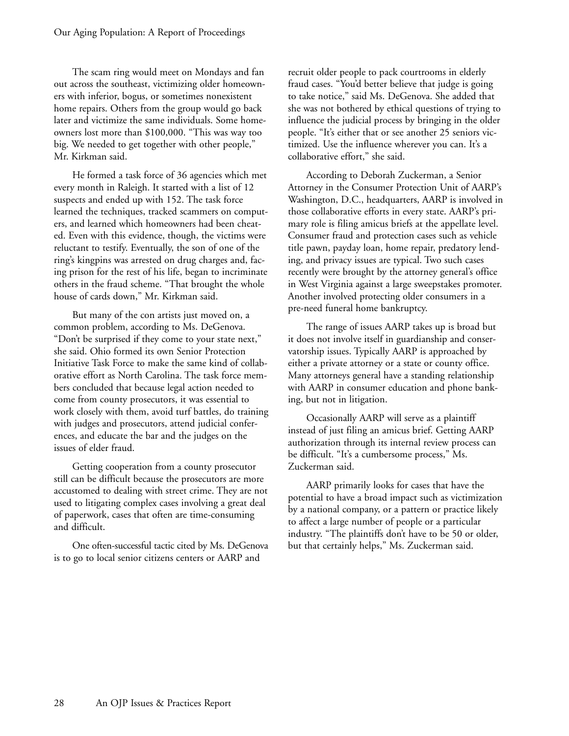The scam ring would meet on Mondays and fan out across the southeast, victimizing older homeowners with inferior, bogus, or sometimes nonexistent home repairs. Others from the group would go back later and victimize the same individuals. Some homeowners lost more than \$100,000. "This was way too big. We needed to get together with other people," Mr. Kirkman said.

He formed a task force of 36 agencies which met every month in Raleigh. It started with a list of 12 suspects and ended up with 152. The task force learned the techniques, tracked scammers on computers, and learned which homeowners had been cheated. Even with this evidence, though, the victims were reluctant to testify. Eventually, the son of one of the ring's kingpins was arrested on drug charges and, facing prison for the rest of his life, began to incriminate others in the fraud scheme. "That brought the whole house of cards down," Mr. Kirkman said.

But many of the con artists just moved on, a common problem, according to Ms. DeGenova. "Don't be surprised if they come to your state next," she said. Ohio formed its own Senior Protection Initiative Task Force to make the same kind of collaborative effort as North Carolina. The task force members concluded that because legal action needed to come from county prosecutors, it was essential to work closely with them, avoid turf battles, do training with judges and prosecutors, attend judicial conferences, and educate the bar and the judges on the issues of elder fraud.

Getting cooperation from a county prosecutor still can be difficult because the prosecutors are more accustomed to dealing with street crime. They are not used to litigating complex cases involving a great deal of paperwork, cases that often are time-consuming and difficult.

One often-successful tactic cited by Ms. DeGenova is to go to local senior citizens centers or AARP and

recruit older people to pack courtrooms in elderly fraud cases. "You'd better believe that judge is going to take notice," said Ms. DeGenova. She added that she was not bothered by ethical questions of trying to influence the judicial process by bringing in the older people. "It's either that or see another 25 seniors victimized. Use the influence wherever you can. It's a collaborative effort," she said.

According to Deborah Zuckerman, a Senior Attorney in the Consumer Protection Unit of AARP's Washington, D.C., headquarters, AARP is involved in those collaborative efforts in every state. AARP's primary role is filing amicus briefs at the appellate level. Consumer fraud and protection cases such as vehicle title pawn, payday loan, home repair, predatory lending, and privacy issues are typical. Two such cases recently were brought by the attorney general's office in West Virginia against a large sweepstakes promoter. Another involved protecting older consumers in a pre-need funeral home bankruptcy.

The range of issues AARP takes up is broad but it does not involve itself in guardianship and conservatorship issues. Typically AARP is approached by either a private attorney or a state or county office. Many attorneys general have a standing relationship with AARP in consumer education and phone banking, but not in litigation.

Occasionally AARP will serve as a plaintiff instead of just filing an amicus brief. Getting AARP authorization through its internal review process can be difficult. "It's a cumbersome process," Ms. Zuckerman said.

AARP primarily looks for cases that have the potential to have a broad impact such as victimization by a national company, or a pattern or practice likely to affect a large number of people or a particular industry. "The plaintiffs don't have to be 50 or older, but that certainly helps," Ms. Zuckerman said.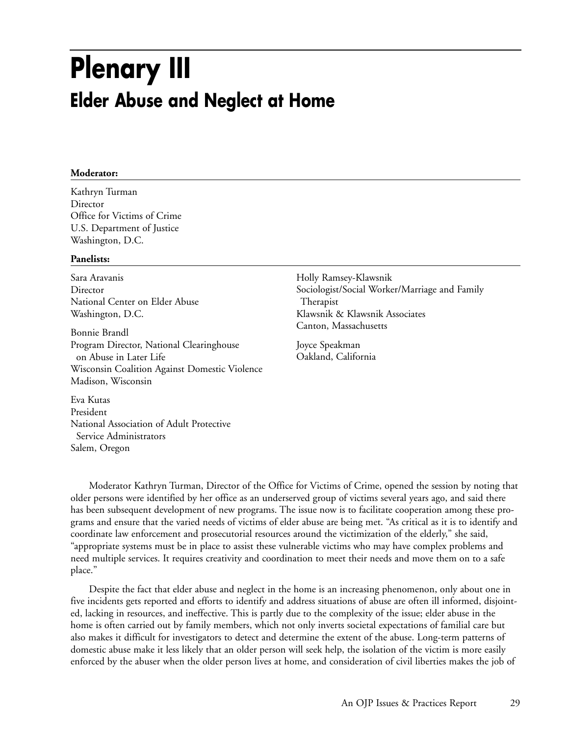## **Plenary III Elder Abuse and Neglect at Home**

#### **Moderator:**

Kathryn Turman Director Office for Victims of Crime U.S. Department of Justice Washington, D.C.

#### **Panelists:**

Sara Aravanis Director National Center on Elder Abuse Washington, D.C.

Bonnie Brandl Program Director, National Clearinghouse on Abuse in Later Life Wisconsin Coalition Against Domestic Violence Madison, Wisconsin

Eva Kutas President National Association of Adult Protective Service Administrators Salem, Oregon

Holly Ramsey-Klawsnik Sociologist/Social Worker/Marriage and Family Therapist Klawsnik & Klawsnik Associates Canton, Massachusetts

Joyce Speakman Oakland, California

Moderator Kathryn Turman, Director of the Office for Victims of Crime, opened the session by noting that older persons were identified by her office as an underserved group of victims several years ago, and said there has been subsequent development of new programs. The issue now is to facilitate cooperation among these programs and ensure that the varied needs of victims of elder abuse are being met. "As critical as it is to identify and coordinate law enforcement and prosecutorial resources around the victimization of the elderly," she said, "appropriate systems must be in place to assist these vulnerable victims who may have complex problems and need multiple services. It requires creativity and coordination to meet their needs and move them on to a safe place."

Despite the fact that elder abuse and neglect in the home is an increasing phenomenon, only about one in five incidents gets reported and efforts to identify and address situations of abuse are often ill informed, disjointed, lacking in resources, and ineffective. This is partly due to the complexity of the issue; elder abuse in the home is often carried out by family members, which not only inverts societal expectations of familial care but also makes it difficult for investigators to detect and determine the extent of the abuse. Long-term patterns of domestic abuse make it less likely that an older person will seek help, the isolation of the victim is more easily enforced by the abuser when the older person lives at home, and consideration of civil liberties makes the job of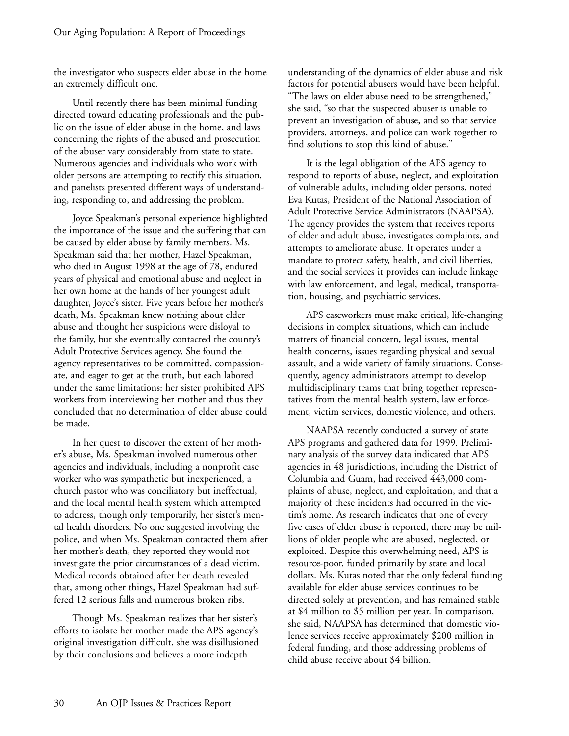the investigator who suspects elder abuse in the home an extremely difficult one.

Until recently there has been minimal funding directed toward educating professionals and the public on the issue of elder abuse in the home, and laws concerning the rights of the abused and prosecution of the abuser vary considerably from state to state. Numerous agencies and individuals who work with older persons are attempting to rectify this situation, and panelists presented different ways of understanding, responding to, and addressing the problem.

Joyce Speakman's personal experience highlighted the importance of the issue and the suffering that can be caused by elder abuse by family members. Ms. Speakman said that her mother, Hazel Speakman, who died in August 1998 at the age of 78, endured years of physical and emotional abuse and neglect in her own home at the hands of her youngest adult daughter, Joyce's sister. Five years before her mother's death, Ms. Speakman knew nothing about elder abuse and thought her suspicions were disloyal to the family, but she eventually contacted the county's Adult Protective Services agency. She found the agency representatives to be committed, compassionate, and eager to get at the truth, but each labored under the same limitations: her sister prohibited APS workers from interviewing her mother and thus they concluded that no determination of elder abuse could be made.

In her quest to discover the extent of her mother's abuse, Ms. Speakman involved numerous other agencies and individuals, including a nonprofit case worker who was sympathetic but inexperienced, a church pastor who was conciliatory but ineffectual, and the local mental health system which attempted to address, though only temporarily, her sister's mental health disorders. No one suggested involving the police, and when Ms. Speakman contacted them after her mother's death, they reported they would not investigate the prior circumstances of a dead victim. Medical records obtained after her death revealed that, among other things, Hazel Speakman had suffered 12 serious falls and numerous broken ribs.

Though Ms. Speakman realizes that her sister's efforts to isolate her mother made the APS agency's original investigation difficult, she was disillusioned by their conclusions and believes a more indepth

understanding of the dynamics of elder abuse and risk factors for potential abusers would have been helpful. "The laws on elder abuse need to be strengthened," she said, "so that the suspected abuser is unable to prevent an investigation of abuse, and so that service providers, attorneys, and police can work together to find solutions to stop this kind of abuse."

It is the legal obligation of the APS agency to respond to reports of abuse, neglect, and exploitation of vulnerable adults, including older persons, noted Eva Kutas, President of the National Association of Adult Protective Service Administrators (NAAPSA). The agency provides the system that receives reports of elder and adult abuse, investigates complaints, and attempts to ameliorate abuse. It operates under a mandate to protect safety, health, and civil liberties, and the social services it provides can include linkage with law enforcement, and legal, medical, transportation, housing, and psychiatric services.

APS caseworkers must make critical, life-changing decisions in complex situations, which can include matters of financial concern, legal issues, mental health concerns, issues regarding physical and sexual assault, and a wide variety of family situations. Consequently, agency administrators attempt to develop multidisciplinary teams that bring together representatives from the mental health system, law enforcement, victim services, domestic violence, and others.

NAAPSA recently conducted a survey of state APS programs and gathered data for 1999. Preliminary analysis of the survey data indicated that APS agencies in 48 jurisdictions, including the District of Columbia and Guam, had received 443,000 complaints of abuse, neglect, and exploitation, and that a majority of these incidents had occurred in the victim's home. As research indicates that one of every five cases of elder abuse is reported, there may be millions of older people who are abused, neglected, or exploited. Despite this overwhelming need, APS is resource-poor, funded primarily by state and local dollars. Ms. Kutas noted that the only federal funding available for elder abuse services continues to be directed solely at prevention, and has remained stable at \$4 million to \$5 million per year. In comparison, she said, NAAPSA has determined that domestic violence services receive approximately \$200 million in federal funding, and those addressing problems of child abuse receive about \$4 billion.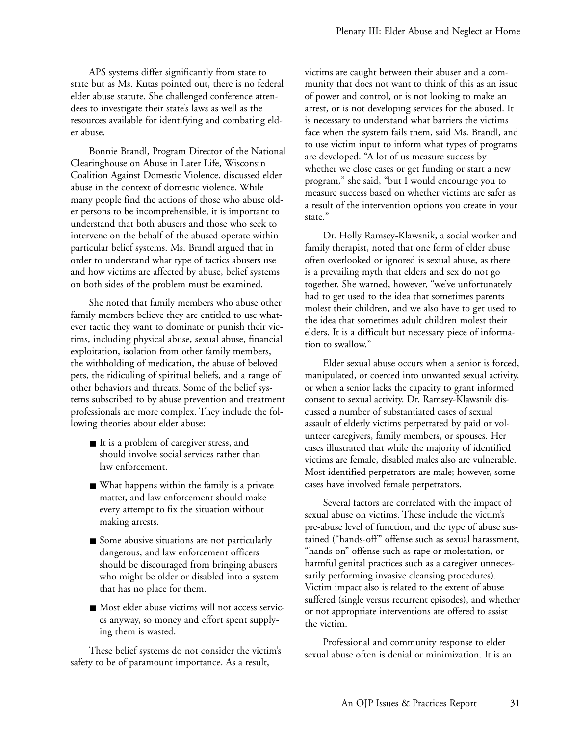APS systems differ significantly from state to state but as Ms. Kutas pointed out, there is no federal elder abuse statute. She challenged conference attendees to investigate their state's laws as well as the resources available for identifying and combating elder abuse.

Bonnie Brandl, Program Director of the National Clearinghouse on Abuse in Later Life, Wisconsin Coalition Against Domestic Violence, discussed elder abuse in the context of domestic violence. While many people find the actions of those who abuse older persons to be incomprehensible, it is important to understand that both abusers and those who seek to intervene on the behalf of the abused operate within particular belief systems. Ms. Brandl argued that in order to understand what type of tactics abusers use and how victims are affected by abuse, belief systems on both sides of the problem must be examined.

She noted that family members who abuse other family members believe they are entitled to use whatever tactic they want to dominate or punish their victims, including physical abuse, sexual abuse, financial exploitation, isolation from other family members, the withholding of medication, the abuse of beloved pets, the ridiculing of spiritual beliefs, and a range of other behaviors and threats. Some of the belief systems subscribed to by abuse prevention and treatment professionals are more complex. They include the following theories about elder abuse:

- It is a problem of caregiver stress, and should involve social services rather than law enforcement.
- What happens within the family is a private matter, and law enforcement should make every attempt to fix the situation without making arrests.
- Some abusive situations are not particularly dangerous, and law enforcement officers should be discouraged from bringing abusers who might be older or disabled into a system that has no place for them.
- Most elder abuse victims will not access services anyway, so money and effort spent supplying them is wasted.

These belief systems do not consider the victim's safety to be of paramount importance. As a result,

victims are caught between their abuser and a community that does not want to think of this as an issue of power and control, or is not looking to make an arrest, or is not developing services for the abused. It is necessary to understand what barriers the victims face when the system fails them, said Ms. Brandl, and to use victim input to inform what types of programs are developed. "A lot of us measure success by whether we close cases or get funding or start a new program," she said, "but I would encourage you to measure success based on whether victims are safer as a result of the intervention options you create in your state."

Dr. Holly Ramsey-Klawsnik, a social worker and family therapist, noted that one form of elder abuse often overlooked or ignored is sexual abuse, as there is a prevailing myth that elders and sex do not go together. She warned, however, "we've unfortunately had to get used to the idea that sometimes parents molest their children, and we also have to get used to the idea that sometimes adult children molest their elders. It is a difficult but necessary piece of information to swallow."

Elder sexual abuse occurs when a senior is forced, manipulated, or coerced into unwanted sexual activity, or when a senior lacks the capacity to grant informed consent to sexual activity. Dr. Ramsey-Klawsnik discussed a number of substantiated cases of sexual assault of elderly victims perpetrated by paid or volunteer caregivers, family members, or spouses. Her cases illustrated that while the majority of identified victims are female, disabled males also are vulnerable. Most identified perpetrators are male; however, some cases have involved female perpetrators.

Several factors are correlated with the impact of sexual abuse on victims. These include the victim's pre-abuse level of function, and the type of abuse sustained ("hands-off" offense such as sexual harassment, "hands-on" offense such as rape or molestation, or harmful genital practices such as a caregiver unnecessarily performing invasive cleansing procedures). Victim impact also is related to the extent of abuse suffered (single versus recurrent episodes), and whether or not appropriate interventions are offered to assist the victim.

Professional and community response to elder sexual abuse often is denial or minimization. It is an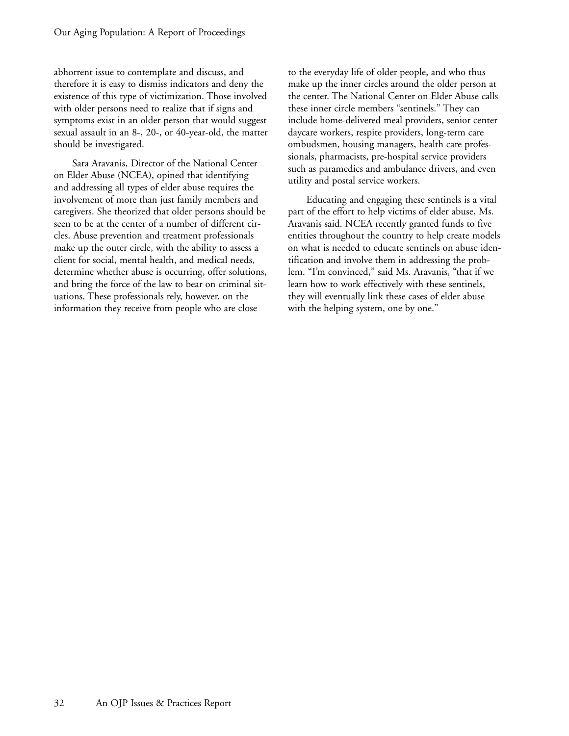abhorrent issue to contemplate and discuss, and therefore it is easy to dismiss indicators and deny the existence of this type of victimization. Those involved with older persons need to realize that if signs and symptoms exist in an older person that would suggest sexual assault in an 8-, 20-, or 40-year-old, the matter should be investigated.

Sara Aravanis, Director of the National Center on Elder Abuse (NCEA), opined that identifying and addressing all types of elder abuse requires the involvement of more than just family members and caregivers. She theorized that older persons should be seen to be at the center of a number of different circles. Abuse prevention and treatment professionals make up the outer circle, with the ability to assess a client for social, mental health, and medical needs, determine whether abuse is occurring, offer solutions, and bring the force of the law to bear on criminal situations. These professionals rely, however, on the information they receive from people who are close

to the everyday life of older people, and who thus make up the inner circles around the older person at the center. The National Center on Elder Abuse calls these inner circle members "sentinels." They can include home-delivered meal providers, senior center daycare workers, respite providers, long-term care ombudsmen, housing managers, health care professionals, pharmacists, pre-hospital service providers such as paramedics and ambulance drivers, and even utility and postal service workers.

Educating and engaging these sentinels is a vital part of the effort to help victims of elder abuse, Ms. Aravanis said. NCEA recently granted funds to five entities throughout the country to help create models on what is needed to educate sentinels on abuse identification and involve them in addressing the problem. "I'm convinced," said Ms. Aravanis, "that if we learn how to work effectively with these sentinels, they will eventually link these cases of elder abuse with the helping system, one by one."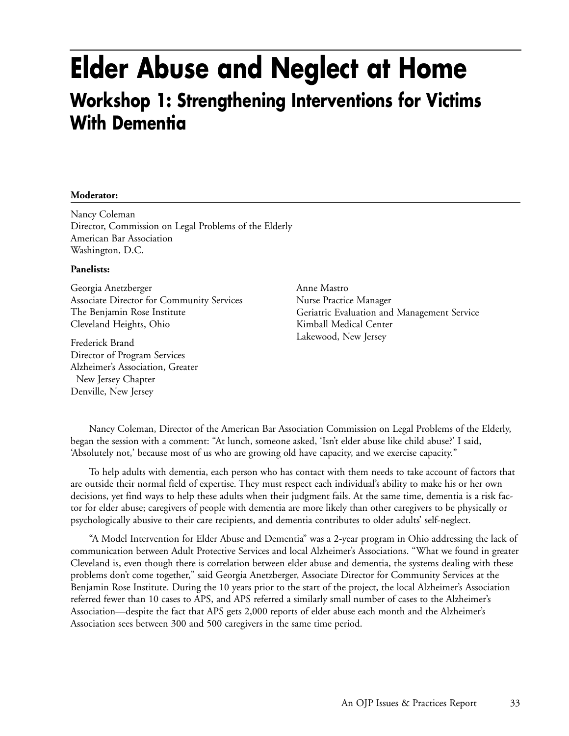### **Elder Abuse and Neglect at Home Workshop 1: Strengthening Interventions for Victims With Dementia**

### **Moderator:**

Nancy Coleman Director, Commission on Legal Problems of the Elderly American Bar Association Washington, D.C.

#### **Panelists:**

Georgia Anetzberger Associate Director for Community Services The Benjamin Rose Institute Cleveland Heights, Ohio

Frederick Brand Director of Program Services Alzheimer's Association, Greater New Jersey Chapter Denville, New Jersey

Anne Mastro Nurse Practice Manager Geriatric Evaluation and Management Service Kimball Medical Center Lakewood, New Jersey

Nancy Coleman, Director of the American Bar Association Commission on Legal Problems of the Elderly, began the session with a comment: "At lunch, someone asked, 'Isn't elder abuse like child abuse?' I said, 'Absolutely not,' because most of us who are growing old have capacity, and we exercise capacity."

To help adults with dementia, each person who has contact with them needs to take account of factors that are outside their normal field of expertise. They must respect each individual's ability to make his or her own decisions, yet find ways to help these adults when their judgment fails. At the same time, dementia is a risk factor for elder abuse; caregivers of people with dementia are more likely than other caregivers to be physically or psychologically abusive to their care recipients, and dementia contributes to older adults' self-neglect.

"A Model Intervention for Elder Abuse and Dementia" was a 2-year program in Ohio addressing the lack of communication between Adult Protective Services and local Alzheimer's Associations. "What we found in greater Cleveland is, even though there is correlation between elder abuse and dementia, the systems dealing with these problems don't come together," said Georgia Anetzberger, Associate Director for Community Services at the Benjamin Rose Institute. During the 10 years prior to the start of the project, the local Alzheimer's Association referred fewer than 10 cases to APS, and APS referred a similarly small number of cases to the Alzheimer's Association—despite the fact that APS gets 2,000 reports of elder abuse each month and the Alzheimer's Association sees between 300 and 500 caregivers in the same time period.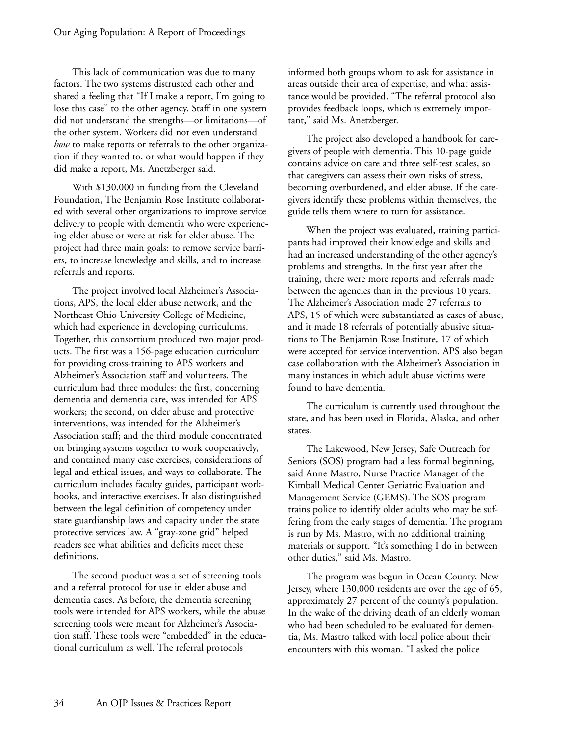This lack of communication was due to many factors. The two systems distrusted each other and shared a feeling that "If I make a report, I'm going to lose this case" to the other agency. Staff in one system did not understand the strengths—or limitations—of the other system. Workers did not even understand *how* to make reports or referrals to the other organization if they wanted to, or what would happen if they did make a report, Ms. Anetzberger said.

With \$130,000 in funding from the Cleveland Foundation, The Benjamin Rose Institute collaborated with several other organizations to improve service delivery to people with dementia who were experiencing elder abuse or were at risk for elder abuse. The project had three main goals: to remove service barriers, to increase knowledge and skills, and to increase referrals and reports.

The project involved local Alzheimer's Associations, APS, the local elder abuse network, and the Northeast Ohio University College of Medicine, which had experience in developing curriculums. Together, this consortium produced two major products. The first was a 156-page education curriculum for providing cross-training to APS workers and Alzheimer's Association staff and volunteers. The curriculum had three modules: the first, concerning dementia and dementia care, was intended for APS workers; the second, on elder abuse and protective interventions, was intended for the Alzheimer's Association staff; and the third module concentrated on bringing systems together to work cooperatively, and contained many case exercises, considerations of legal and ethical issues, and ways to collaborate. The curriculum includes faculty guides, participant workbooks, and interactive exercises. It also distinguished between the legal definition of competency under state guardianship laws and capacity under the state protective services law. A "gray-zone grid" helped readers see what abilities and deficits meet these definitions.

The second product was a set of screening tools and a referral protocol for use in elder abuse and dementia cases. As before, the dementia screening tools were intended for APS workers, while the abuse screening tools were meant for Alzheimer's Association staff. These tools were "embedded" in the educational curriculum as well. The referral protocols

informed both groups whom to ask for assistance in areas outside their area of expertise, and what assistance would be provided. "The referral protocol also provides feedback loops, which is extremely important," said Ms. Anetzberger.

The project also developed a handbook for caregivers of people with dementia. This 10-page guide contains advice on care and three self-test scales, so that caregivers can assess their own risks of stress, becoming overburdened, and elder abuse. If the caregivers identify these problems within themselves, the guide tells them where to turn for assistance.

When the project was evaluated, training participants had improved their knowledge and skills and had an increased understanding of the other agency's problems and strengths. In the first year after the training, there were more reports and referrals made between the agencies than in the previous 10 years. The Alzheimer's Association made 27 referrals to APS, 15 of which were substantiated as cases of abuse, and it made 18 referrals of potentially abusive situations to The Benjamin Rose Institute, 17 of which were accepted for service intervention. APS also began case collaboration with the Alzheimer's Association in many instances in which adult abuse victims were found to have dementia.

The curriculum is currently used throughout the state, and has been used in Florida, Alaska, and other states.

The Lakewood, New Jersey, Safe Outreach for Seniors (SOS) program had a less formal beginning, said Anne Mastro, Nurse Practice Manager of the Kimball Medical Center Geriatric Evaluation and Management Service (GEMS). The SOS program trains police to identify older adults who may be suffering from the early stages of dementia. The program is run by Ms. Mastro, with no additional training materials or support. "It's something I do in between other duties," said Ms. Mastro.

The program was begun in Ocean County, New Jersey, where 130,000 residents are over the age of 65, approximately 27 percent of the county's population. In the wake of the driving death of an elderly woman who had been scheduled to be evaluated for dementia, Ms. Mastro talked with local police about their encounters with this woman. "I asked the police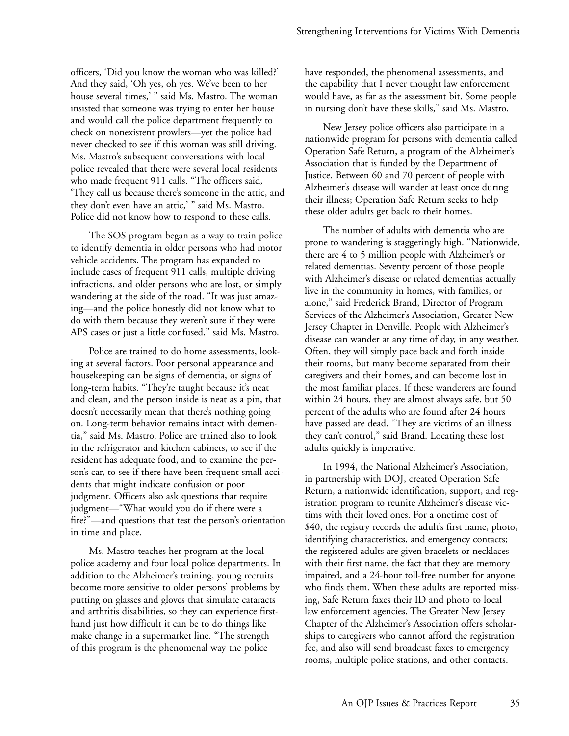officers, 'Did you know the woman who was killed?' And they said, 'Oh yes, oh yes. We've been to her house several times,' " said Ms. Mastro. The woman insisted that someone was trying to enter her house and would call the police department frequently to check on nonexistent prowlers—yet the police had never checked to see if this woman was still driving. Ms. Mastro's subsequent conversations with local police revealed that there were several local residents who made frequent 911 calls. "The officers said, 'They call us because there's someone in the attic, and they don't even have an attic,' " said Ms. Mastro. Police did not know how to respond to these calls.

The SOS program began as a way to train police to identify dementia in older persons who had motor vehicle accidents. The program has expanded to include cases of frequent 911 calls, multiple driving infractions, and older persons who are lost, or simply wandering at the side of the road. "It was just amazing—and the police honestly did not know what to do with them because they weren't sure if they were APS cases or just a little confused," said Ms. Mastro.

Police are trained to do home assessments, looking at several factors. Poor personal appearance and housekeeping can be signs of dementia, or signs of long-term habits. "They're taught because it's neat and clean, and the person inside is neat as a pin, that doesn't necessarily mean that there's nothing going on. Long-term behavior remains intact with dementia," said Ms. Mastro. Police are trained also to look in the refrigerator and kitchen cabinets, to see if the resident has adequate food, and to examine the person's car, to see if there have been frequent small accidents that might indicate confusion or poor judgment. Officers also ask questions that require judgment—"What would you do if there were a fire?"—and questions that test the person's orientation in time and place.

Ms. Mastro teaches her program at the local police academy and four local police departments. In addition to the Alzheimer's training, young recruits become more sensitive to older persons' problems by putting on glasses and gloves that simulate cataracts and arthritis disabilities, so they can experience firsthand just how difficult it can be to do things like make change in a supermarket line. "The strength of this program is the phenomenal way the police

have responded, the phenomenal assessments, and the capability that I never thought law enforcement would have, as far as the assessment bit. Some people in nursing don't have these skills," said Ms. Mastro.

New Jersey police officers also participate in a nationwide program for persons with dementia called Operation Safe Return, a program of the Alzheimer's Association that is funded by the Department of Justice. Between 60 and 70 percent of people with Alzheimer's disease will wander at least once during their illness; Operation Safe Return seeks to help these older adults get back to their homes.

The number of adults with dementia who are prone to wandering is staggeringly high. "Nationwide, there are 4 to 5 million people with Alzheimer's or related dementias. Seventy percent of those people with Alzheimer's disease or related dementias actually live in the community in homes, with families, or alone," said Frederick Brand, Director of Program Services of the Alzheimer's Association, Greater New Jersey Chapter in Denville. People with Alzheimer's disease can wander at any time of day, in any weather. Often, they will simply pace back and forth inside their rooms, but many become separated from their caregivers and their homes, and can become lost in the most familiar places. If these wanderers are found within 24 hours, they are almost always safe, but 50 percent of the adults who are found after 24 hours have passed are dead. "They are victims of an illness they can't control," said Brand. Locating these lost adults quickly is imperative.

In 1994, the National Alzheimer's Association, in partnership with DOJ, created Operation Safe Return, a nationwide identification, support, and registration program to reunite Alzheimer's disease victims with their loved ones. For a onetime cost of \$40, the registry records the adult's first name, photo, identifying characteristics, and emergency contacts; the registered adults are given bracelets or necklaces with their first name, the fact that they are memory impaired, and a 24-hour toll-free number for anyone who finds them. When these adults are reported missing, Safe Return faxes their ID and photo to local law enforcement agencies. The Greater New Jersey Chapter of the Alzheimer's Association offers scholarships to caregivers who cannot afford the registration fee, and also will send broadcast faxes to emergency rooms, multiple police stations, and other contacts.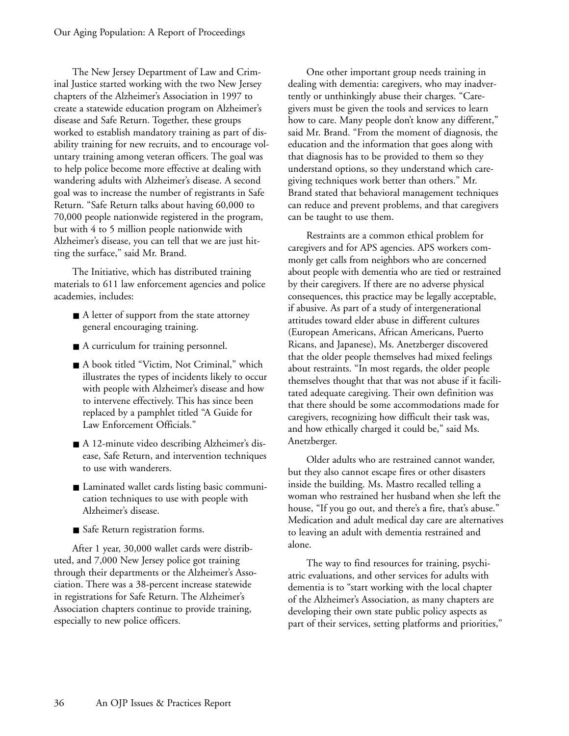The New Jersey Department of Law and Criminal Justice started working with the two New Jersey chapters of the Alzheimer's Association in 1997 to create a statewide education program on Alzheimer's disease and Safe Return. Together, these groups worked to establish mandatory training as part of disability training for new recruits, and to encourage voluntary training among veteran officers. The goal was to help police become more effective at dealing with wandering adults with Alzheimer's disease. A second goal was to increase the number of registrants in Safe Return. "Safe Return talks about having 60,000 to 70,000 people nationwide registered in the program, but with 4 to 5 million people nationwide with Alzheimer's disease, you can tell that we are just hitting the surface," said Mr. Brand.

The Initiative, which has distributed training materials to 611 law enforcement agencies and police academies, includes:

- A letter of support from the state attorney general encouraging training.
- A curriculum for training personnel.
- A book titled "Victim, Not Criminal," which illustrates the types of incidents likely to occur with people with Alzheimer's disease and how to intervene effectively. This has since been replaced by a pamphlet titled "A Guide for Law Enforcement Officials."
- A 12-minute video describing Alzheimer's disease, Safe Return, and intervention techniques to use with wanderers.
- Laminated wallet cards listing basic communication techniques to use with people with Alzheimer's disease.
- Safe Return registration forms.

After 1 year, 30,000 wallet cards were distributed, and 7,000 New Jersey police got training through their departments or the Alzheimer's Association. There was a 38-percent increase statewide in registrations for Safe Return. The Alzheimer's Association chapters continue to provide training, especially to new police officers.

One other important group needs training in dealing with dementia: caregivers, who may inadvertently or unthinkingly abuse their charges. "Caregivers must be given the tools and services to learn how to care. Many people don't know any different," said Mr. Brand. "From the moment of diagnosis, the education and the information that goes along with that diagnosis has to be provided to them so they understand options, so they understand which caregiving techniques work better than others." Mr. Brand stated that behavioral management techniques can reduce and prevent problems, and that caregivers can be taught to use them.

Restraints are a common ethical problem for caregivers and for APS agencies. APS workers commonly get calls from neighbors who are concerned about people with dementia who are tied or restrained by their caregivers. If there are no adverse physical consequences, this practice may be legally acceptable, if abusive. As part of a study of intergenerational attitudes toward elder abuse in different cultures (European Americans, African Americans, Puerto Ricans, and Japanese), Ms. Anetzberger discovered that the older people themselves had mixed feelings about restraints. "In most regards, the older people themselves thought that that was not abuse if it facilitated adequate caregiving. Their own definition was that there should be some accommodations made for caregivers, recognizing how difficult their task was, and how ethically charged it could be," said Ms. Anetzberger.

Older adults who are restrained cannot wander, but they also cannot escape fires or other disasters inside the building. Ms. Mastro recalled telling a woman who restrained her husband when she left the house, "If you go out, and there's a fire, that's abuse." Medication and adult medical day care are alternatives to leaving an adult with dementia restrained and alone.

The way to find resources for training, psychiatric evaluations, and other services for adults with dementia is to "start working with the local chapter of the Alzheimer's Association, as many chapters are developing their own state public policy aspects as part of their services, setting platforms and priorities,"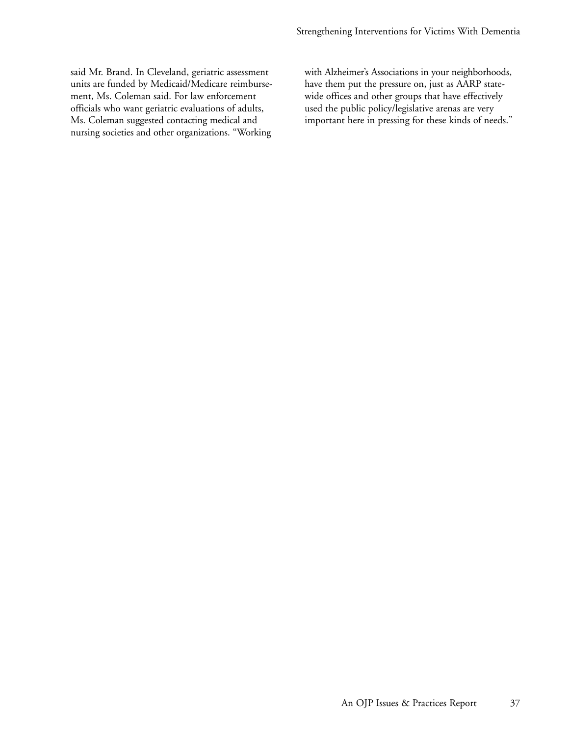said Mr. Brand. In Cleveland, geriatric assessment units are funded by Medicaid/Medicare reimbursement, Ms. Coleman said. For law enforcement officials who want geriatric evaluations of adults, Ms. Coleman suggested contacting medical and nursing societies and other organizations. "Working with Alzheimer's Associations in your neighborhoods, have them put the pressure on, just as AARP statewide offices and other groups that have effectively used the public policy/legislative arenas are very important here in pressing for these kinds of needs."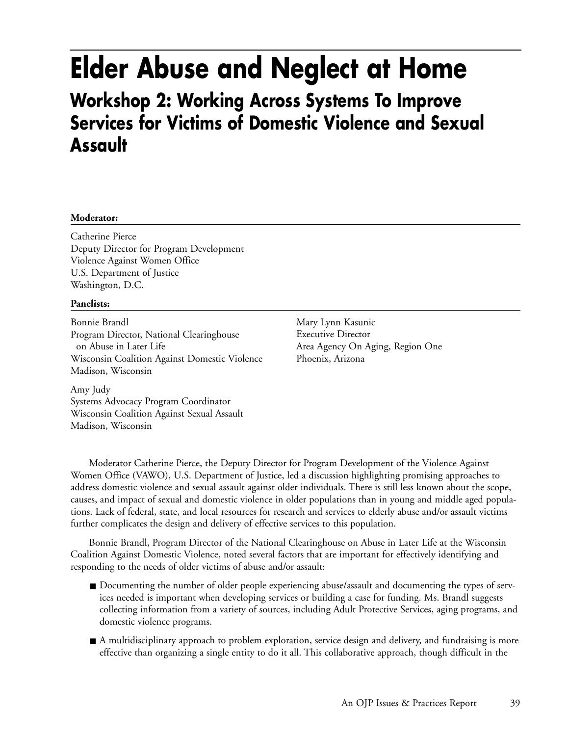# **Elder Abuse and Neglect at Home**

### **Workshop 2: Working Across Systems To Improve Services for Victims of Domestic Violence and Sexual Assault**

### **Moderator:**

Catherine Pierce Deputy Director for Program Development Violence Against Women Office U.S. Department of Justice Washington, D.C.

### **Panelists:**

Bonnie Brandl Program Director, National Clearinghouse on Abuse in Later Life Wisconsin Coalition Against Domestic Violence Madison, Wisconsin

Mary Lynn Kasunic Executive Director Area Agency On Aging, Region One Phoenix, Arizona

Amy Judy Systems Advocacy Program Coordinator Wisconsin Coalition Against Sexual Assault Madison, Wisconsin

Moderator Catherine Pierce, the Deputy Director for Program Development of the Violence Against Women Office (VAWO), U.S. Department of Justice, led a discussion highlighting promising approaches to address domestic violence and sexual assault against older individuals. There is still less known about the scope, causes, and impact of sexual and domestic violence in older populations than in young and middle aged populations. Lack of federal, state, and local resources for research and services to elderly abuse and/or assault victims further complicates the design and delivery of effective services to this population.

Bonnie Brandl, Program Director of the National Clearinghouse on Abuse in Later Life at the Wisconsin Coalition Against Domestic Violence, noted several factors that are important for effectively identifying and responding to the needs of older victims of abuse and/or assault:

- Documenting the number of older people experiencing abuse/assault and documenting the types of services needed is important when developing services or building a case for funding. Ms. Brandl suggests collecting information from a variety of sources, including Adult Protective Services, aging programs, and domestic violence programs.
- A multidisciplinary approach to problem exploration, service design and delivery, and fundraising is more effective than organizing a single entity to do it all. This collaborative approach, though difficult in the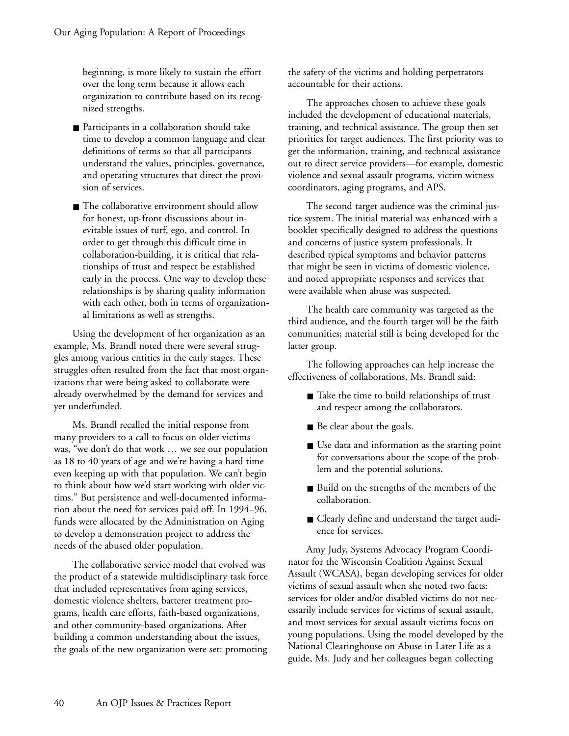beginning, is more likely to sustain the effort over the long term because it allows each organization to contribute based on its recognized strengths.

- Participants in a collaboration should take time to develop a common language and clear definitions of terms so that all participants understand the values, principles, governance, and operating structures that direct the provision of services.
- The collaborative environment should allow for honest, up-front discussions about inevitable issues of turf, ego, and control. In order to get through this difficult time in collaboration-building, it is critical that relationships of trust and respect be established early in the process. One way to develop these relationships is by sharing quality information with each other, both in terms of organizational limitations as well as strengths.

Using the development of her organization as an example, Ms. Brandl noted there were several struggles among various entities in the early stages. These struggles often resulted from the fact that most organizations that were being asked to collaborate were already overwhelmed by the demand for services and yet underfunded.

Ms. Brandl recalled the initial response from many providers to a call to focus on older victims was, "we don't do that work … we see our population as 18 to 40 years of age and we're having a hard time even keeping up with that population. We can't begin to think about how we'd start working with older victims." But persistence and well-documented information about the need for services paid off. In 1994–96, funds were allocated by the Administration on Aging to develop a demonstration project to address the needs of the abused older population.

The collaborative service model that evolved was the product of a statewide multidisciplinary task force that included representatives from aging services, domestic violence shelters, batterer treatment programs, health care efforts, faith-based organizations, and other community-based organizations. After building a common understanding about the issues, the goals of the new organization were set: promoting

the safety of the victims and holding perpetrators accountable for their actions.

The approaches chosen to achieve these goals included the development of educational materials, training, and technical assistance. The group then set priorities for target audiences. The first priority was to get the information, training, and technical assistance out to direct service providers—for example, domestic violence and sexual assault programs, victim witness coordinators, aging programs, and APS.

The second target audience was the criminal justice system. The initial material was enhanced with a booklet specifically designed to address the questions and concerns of justice system professionals. It described typical symptoms and behavior patterns that might be seen in victims of domestic violence, and noted appropriate responses and services that were available when abuse was suspected.

The health care community was targeted as the third audience, and the fourth target will be the faith communities; material still is being developed for the latter group.

The following approaches can help increase the effectiveness of collaborations, Ms. Brandl said:

- Take the time to build relationships of trust and respect among the collaborators.
- Be clear about the goals.
- Use data and information as the starting point for conversations about the scope of the problem and the potential solutions.
- Build on the strengths of the members of the collaboration.
- Clearly define and understand the target audience for services.

Amy Judy, Systems Advocacy Program Coordinator for the Wisconsin Coalition Against Sexual Assault (WCASA), began developing services for older victims of sexual assault when she noted two facts: services for older and/or disabled victims do not necessarily include services for victims of sexual assault, and most services for sexual assault victims focus on young populations. Using the model developed by the National Clearinghouse on Abuse in Later Life as a guide, Ms. Judy and her colleagues began collecting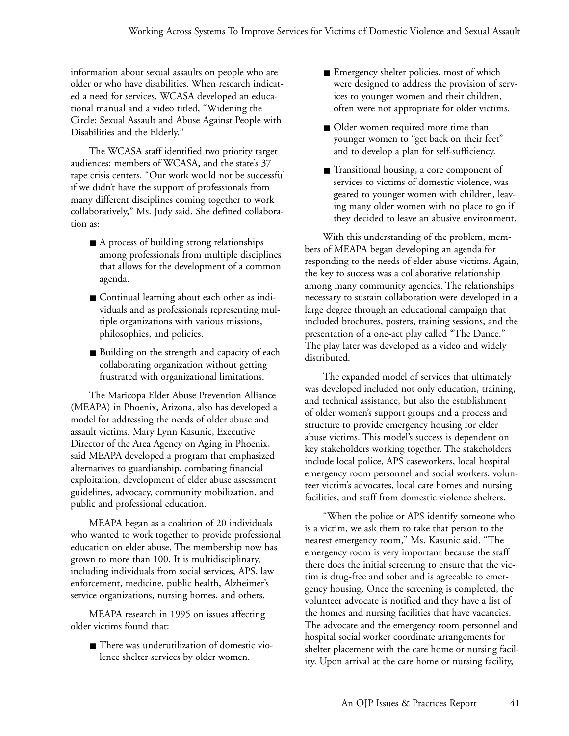information about sexual assaults on people who are older or who have disabilities. When research indicated a need for services, WCASA developed an educational manual and a video titled, "Widening the Circle: Sexual Assault and Abuse Against People with Disabilities and the Elderly."

The WCASA staff identified two priority target audiences: members of WCASA, and the state's 37 rape crisis centers. "Our work would not be successful if we didn't have the support of professionals from many different disciplines coming together to work collaboratively," Ms. Judy said. She defined collaboration as:

- A process of building strong relationships among professionals from multiple disciplines that allows for the development of a common agenda.
- Continual learning about each other as individuals and as professionals representing multiple organizations with various missions, philosophies, and policies.
- Building on the strength and capacity of each collaborating organization without getting frustrated with organizational limitations.

The Maricopa Elder Abuse Prevention Alliance (MEAPA) in Phoenix, Arizona, also has developed a model for addressing the needs of older abuse and assault victims. Mary Lynn Kasunic, Executive Director of the Area Agency on Aging in Phoenix, said MEAPA developed a program that emphasized alternatives to guardianship, combating financial exploitation, development of elder abuse assessment guidelines, advocacy, community mobilization, and public and professional education.

MEAPA began as a coalition of 20 individuals who wanted to work together to provide professional education on elder abuse. The membership now has grown to more than 100. It is multidisciplinary, including individuals from social services, APS, law enforcement, medicine, public health, Alzheimer's service organizations, nursing homes, and others.

MEAPA research in 1995 on issues affecting older victims found that:

■ There was underutilization of domestic violence shelter services by older women.

- Emergency shelter policies, most of which were designed to address the provision of services to younger women and their children, often were not appropriate for older victims.
- Older women required more time than younger women to "get back on their feet" and to develop a plan for self-sufficiency.
- Transitional housing, a core component of services to victims of domestic violence, was geared to younger women with children, leaving many older women with no place to go if they decided to leave an abusive environment.

With this understanding of the problem, members of MEAPA began developing an agenda for responding to the needs of elder abuse victims. Again, the key to success was a collaborative relationship among many community agencies. The relationships necessary to sustain collaboration were developed in a large degree through an educational campaign that included brochures, posters, training sessions, and the presentation of a one-act play called "The Dance." The play later was developed as a video and widely distributed.

The expanded model of services that ultimately was developed included not only education, training, and technical assistance, but also the establishment of older women's support groups and a process and structure to provide emergency housing for elder abuse victims. This model's success is dependent on key stakeholders working together. The stakeholders include local police, APS caseworkers, local hospital emergency room personnel and social workers, volunteer victim's advocates, local care homes and nursing facilities, and staff from domestic violence shelters.

"When the police or APS identify someone who is a victim, we ask them to take that person to the nearest emergency room," Ms. Kasunic said. "The emergency room is very important because the staff there does the initial screening to ensure that the victim is drug-free and sober and is agreeable to emergency housing. Once the screening is completed, the volunteer advocate is notified and they have a list of the homes and nursing facilities that have vacancies. The advocate and the emergency room personnel and hospital social worker coordinate arrangements for shelter placement with the care home or nursing facility. Upon arrival at the care home or nursing facility,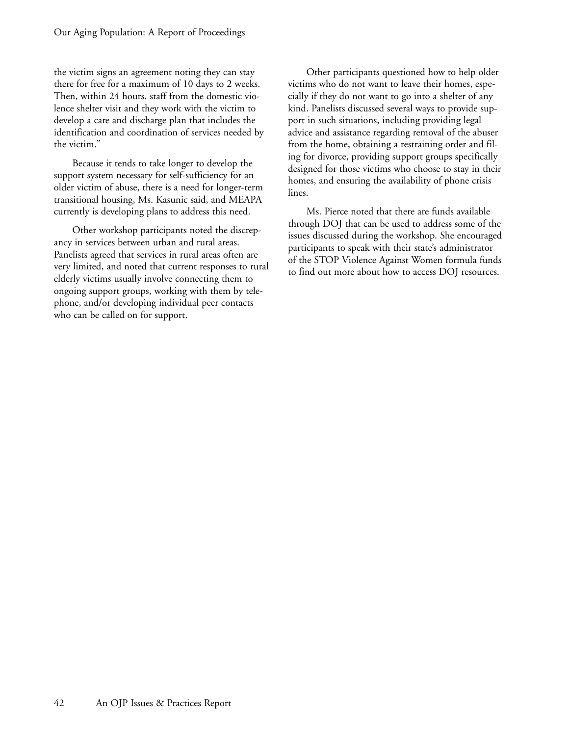the victim signs an agreement noting they can stay there for free for a maximum of 10 days to 2 weeks. Then, within 24 hours, staff from the domestic violence shelter visit and they work with the victim to develop a care and discharge plan that includes the identification and coordination of services needed by the victim."

Because it tends to take longer to develop the support system necessary for self-sufficiency for an older victim of abuse, there is a need for longer-term transitional housing, Ms. Kasunic said, and MEAPA currently is developing plans to address this need.

Other workshop participants noted the discrepancy in services between urban and rural areas. Panelists agreed that services in rural areas often are very limited, and noted that current responses to rural elderly victims usually involve connecting them to ongoing support groups, working with them by telephone, and/or developing individual peer contacts who can be called on for support.

Other participants questioned how to help older victims who do not want to leave their homes, especially if they do not want to go into a shelter of any kind. Panelists discussed several ways to provide support in such situations, including providing legal advice and assistance regarding removal of the abuser from the home, obtaining a restraining order and filing for divorce, providing support groups specifically designed for those victims who choose to stay in their homes, and ensuring the availability of phone crisis lines.

Ms. Pierce noted that there are funds available through DOJ that can be used to address some of the issues discussed during the workshop. She encouraged participants to speak with their state's administrator of the STOP Violence Against Women formula funds to find out more about how to access DOJ resources.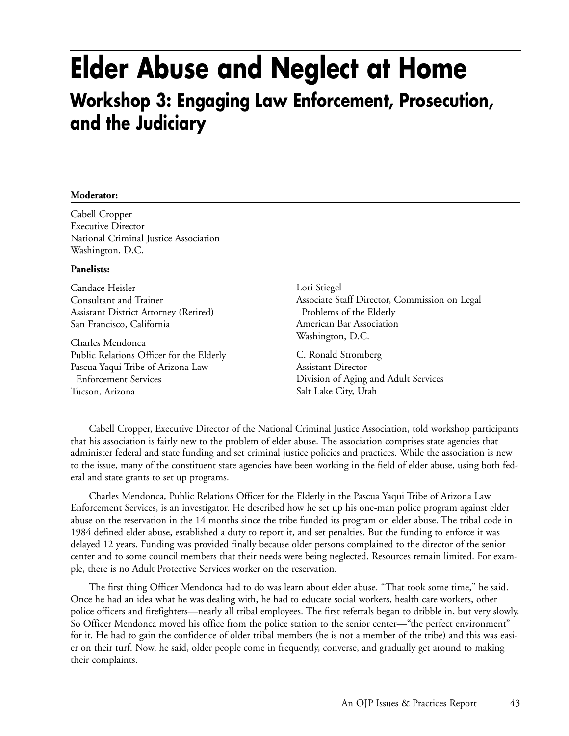### **Elder Abuse and Neglect at Home Workshop 3: Engaging Law Enforcement, Prosecution, and the Judiciary**

### **Moderator:**

Cabell Cropper Executive Director National Criminal Justice Association Washington, D.C.

### **Panelists:**

Candace Heisler Consultant and Trainer Assistant District Attorney (Retired) San Francisco, California

Charles Mendonca Public Relations Officer for the Elderly Pascua Yaqui Tribe of Arizona Law Enforcement Services Tucson, Arizona

Lori Stiegel Associate Staff Director, Commission on Legal Problems of the Elderly American Bar Association Washington, D.C.

C. Ronald Stromberg Assistant Director Division of Aging and Adult Services Salt Lake City, Utah

Cabell Cropper, Executive Director of the National Criminal Justice Association, told workshop participants that his association is fairly new to the problem of elder abuse. The association comprises state agencies that administer federal and state funding and set criminal justice policies and practices. While the association is new to the issue, many of the constituent state agencies have been working in the field of elder abuse, using both federal and state grants to set up programs.

Charles Mendonca, Public Relations Officer for the Elderly in the Pascua Yaqui Tribe of Arizona Law Enforcement Services, is an investigator. He described how he set up his one-man police program against elder abuse on the reservation in the 14 months since the tribe funded its program on elder abuse. The tribal code in 1984 defined elder abuse, established a duty to report it, and set penalties. But the funding to enforce it was delayed 12 years. Funding was provided finally because older persons complained to the director of the senior center and to some council members that their needs were being neglected. Resources remain limited. For example, there is no Adult Protective Services worker on the reservation.

The first thing Officer Mendonca had to do was learn about elder abuse. "That took some time," he said. Once he had an idea what he was dealing with, he had to educate social workers, health care workers, other police officers and firefighters—nearly all tribal employees. The first referrals began to dribble in, but very slowly. So Officer Mendonca moved his office from the police station to the senior center—"the perfect environment" for it. He had to gain the confidence of older tribal members (he is not a member of the tribe) and this was easier on their turf. Now, he said, older people come in frequently, converse, and gradually get around to making their complaints.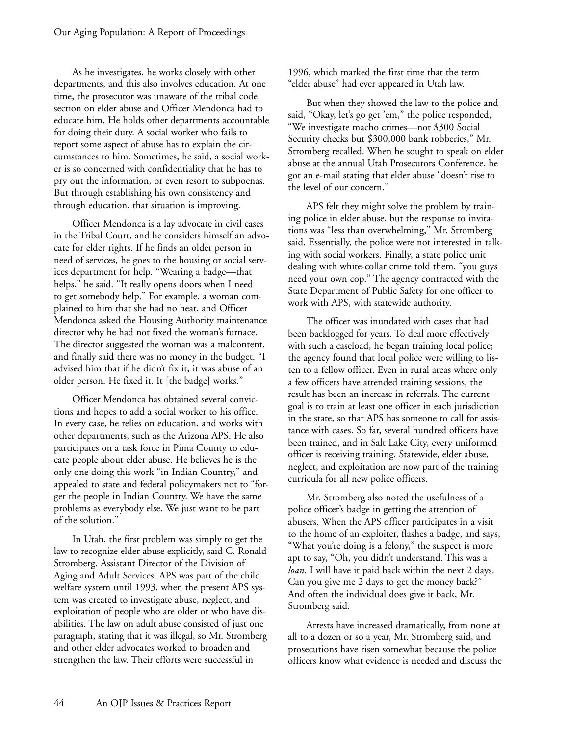As he investigates, he works closely with other departments, and this also involves education. At one time, the prosecutor was unaware of the tribal code section on elder abuse and Officer Mendonca had to educate him. He holds other departments accountable for doing their duty. A social worker who fails to report some aspect of abuse has to explain the circumstances to him. Sometimes, he said, a social worker is so concerned with confidentiality that he has to pry out the information, or even resort to subpoenas. But through establishing his own consistency and through education, that situation is improving.

Officer Mendonca is a lay advocate in civil cases in the Tribal Court, and he considers himself an advocate for elder rights. If he finds an older person in need of services, he goes to the housing or social services department for help. "Wearing a badge—that helps," he said. "It really opens doors when I need to get somebody help." For example, a woman complained to him that she had no heat, and Officer Mendonca asked the Housing Authority maintenance director why he had not fixed the woman's furnace. The director suggested the woman was a malcontent, and finally said there was no money in the budget. "I advised him that if he didn't fix it, it was abuse of an older person. He fixed it. It [the badge] works."

Officer Mendonca has obtained several convictions and hopes to add a social worker to his office. In every case, he relies on education, and works with other departments, such as the Arizona APS. He also participates on a task force in Pima County to educate people about elder abuse. He believes he is the only one doing this work "in Indian Country," and appealed to state and federal policymakers not to "forget the people in Indian Country. We have the same problems as everybody else. We just want to be part of the solution."

In Utah, the first problem was simply to get the law to recognize elder abuse explicitly, said C. Ronald Stromberg, Assistant Director of the Division of Aging and Adult Services. APS was part of the child welfare system until 1993, when the present APS system was created to investigate abuse, neglect, and exploitation of people who are older or who have disabilities. The law on adult abuse consisted of just one paragraph, stating that it was illegal, so Mr. Stromberg and other elder advocates worked to broaden and strengthen the law. Their efforts were successful in

1996, which marked the first time that the term "elder abuse" had ever appeared in Utah law.

But when they showed the law to the police and said, "Okay, let's go get 'em," the police responded, "We investigate macho crimes—not \$300 Social Security checks but \$300,000 bank robberies," Mr. Stromberg recalled. When he sought to speak on elder abuse at the annual Utah Prosecutors Conference, he got an e-mail stating that elder abuse "doesn't rise to the level of our concern."

APS felt they might solve the problem by training police in elder abuse, but the response to invitations was "less than overwhelming," Mr. Stromberg said. Essentially, the police were not interested in talking with social workers. Finally, a state police unit dealing with white-collar crime told them, "you guys need your own cop." The agency contracted with the State Department of Public Safety for one officer to work with APS, with statewide authority.

The officer was inundated with cases that had been backlogged for years. To deal more effectively with such a caseload, he began training local police; the agency found that local police were willing to listen to a fellow officer. Even in rural areas where only a few officers have attended training sessions, the result has been an increase in referrals. The current goal is to train at least one officer in each jurisdiction in the state, so that APS has someone to call for assistance with cases. So far, several hundred officers have been trained, and in Salt Lake City, every uniformed officer is receiving training. Statewide, elder abuse, neglect, and exploitation are now part of the training curricula for all new police officers.

Mr. Stromberg also noted the usefulness of a police officer's badge in getting the attention of abusers. When the APS officer participates in a visit to the home of an exploiter, flashes a badge, and says, "What you're doing is a felony," the suspect is more apt to say, "Oh, you didn't understand. This was a *loan*. I will have it paid back within the next 2 days. Can you give me 2 days to get the money back?" And often the individual does give it back, Mr. Stromberg said.

Arrests have increased dramatically, from none at all to a dozen or so a year, Mr. Stromberg said, and prosecutions have risen somewhat because the police officers know what evidence is needed and discuss the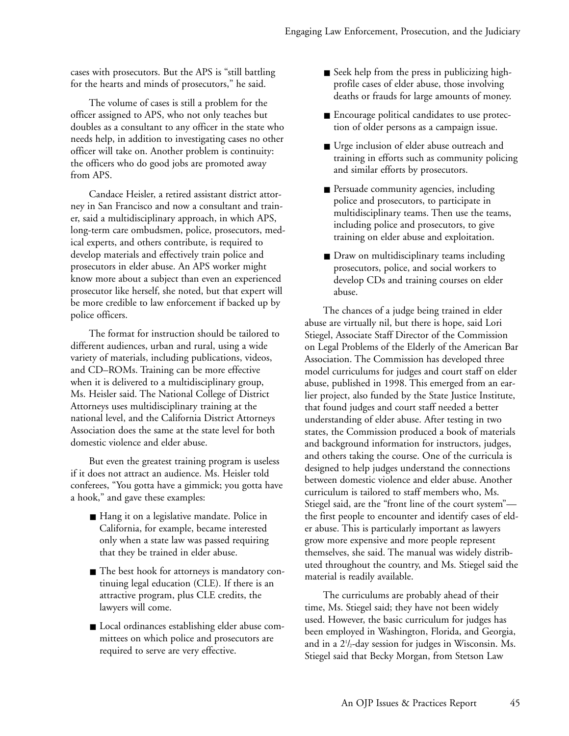cases with prosecutors. But the APS is "still battling for the hearts and minds of prosecutors," he said.

The volume of cases is still a problem for the officer assigned to APS, who not only teaches but doubles as a consultant to any officer in the state who needs help, in addition to investigating cases no other officer will take on. Another problem is continuity: the officers who do good jobs are promoted away from APS.

Candace Heisler, a retired assistant district attorney in San Francisco and now a consultant and trainer, said a multidisciplinary approach, in which APS, long-term care ombudsmen, police, prosecutors, medical experts, and others contribute, is required to develop materials and effectively train police and prosecutors in elder abuse. An APS worker might know more about a subject than even an experienced prosecutor like herself, she noted, but that expert will be more credible to law enforcement if backed up by police officers.

The format for instruction should be tailored to different audiences, urban and rural, using a wide variety of materials, including publications, videos, and CD–ROMs. Training can be more effective when it is delivered to a multidisciplinary group, Ms. Heisler said. The National College of District Attorneys uses multidisciplinary training at the national level, and the California District Attorneys Association does the same at the state level for both domestic violence and elder abuse.

But even the greatest training program is useless if it does not attract an audience. Ms. Heisler told conferees, "You gotta have a gimmick; you gotta have a hook," and gave these examples:

- Hang it on a legislative mandate. Police in California, for example, became interested only when a state law was passed requiring that they be trained in elder abuse.
- The best hook for attorneys is mandatory continuing legal education (CLE). If there is an attractive program, plus CLE credits, the lawyers will come.
- Local ordinances establishing elder abuse committees on which police and prosecutors are required to serve are very effective.
- Seek help from the press in publicizing highprofile cases of elder abuse, those involving deaths or frauds for large amounts of money.
- Encourage political candidates to use protection of older persons as a campaign issue.
- Urge inclusion of elder abuse outreach and training in efforts such as community policing and similar efforts by prosecutors.
- Persuade community agencies, including police and prosecutors, to participate in multidisciplinary teams. Then use the teams, including police and prosecutors, to give training on elder abuse and exploitation.
- Draw on multidisciplinary teams including prosecutors, police, and social workers to develop CDs and training courses on elder abuse.

The chances of a judge being trained in elder abuse are virtually nil, but there is hope, said Lori Stiegel, Associate Staff Director of the Commission on Legal Problems of the Elderly of the American Bar Association. The Commission has developed three model curriculums for judges and court staff on elder abuse, published in 1998. This emerged from an earlier project, also funded by the State Justice Institute, that found judges and court staff needed a better understanding of elder abuse. After testing in two states, the Commission produced a book of materials and background information for instructors, judges, and others taking the course. One of the curricula is designed to help judges understand the connections between domestic violence and elder abuse. Another curriculum is tailored to staff members who, Ms. Stiegel said, are the "front line of the court system" the first people to encounter and identify cases of elder abuse. This is particularly important as lawyers grow more expensive and more people represent themselves, she said. The manual was widely distributed throughout the country, and Ms. Stiegel said the material is readily available.

The curriculums are probably ahead of their time, Ms. Stiegel said; they have not been widely used. However, the basic curriculum for judges has been employed in Washington, Florida, and Georgia, and in a 21 /2-day session for judges in Wisconsin. Ms. Stiegel said that Becky Morgan, from Stetson Law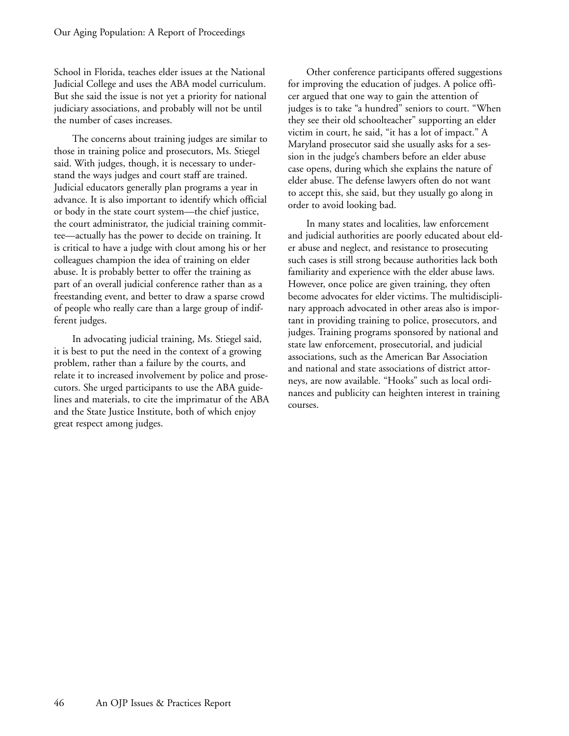School in Florida, teaches elder issues at the National Judicial College and uses the ABA model curriculum. But she said the issue is not yet a priority for national judiciary associations, and probably will not be until the number of cases increases.

The concerns about training judges are similar to those in training police and prosecutors, Ms. Stiegel said. With judges, though, it is necessary to understand the ways judges and court staff are trained. Judicial educators generally plan programs a year in advance. It is also important to identify which official or body in the state court system—the chief justice, the court administrator, the judicial training committee—actually has the power to decide on training. It is critical to have a judge with clout among his or her colleagues champion the idea of training on elder abuse. It is probably better to offer the training as part of an overall judicial conference rather than as a freestanding event, and better to draw a sparse crowd of people who really care than a large group of indifferent judges.

In advocating judicial training, Ms. Stiegel said, it is best to put the need in the context of a growing problem, rather than a failure by the courts, and relate it to increased involvement by police and prosecutors. She urged participants to use the ABA guidelines and materials, to cite the imprimatur of the ABA and the State Justice Institute, both of which enjoy great respect among judges.

Other conference participants offered suggestions for improving the education of judges. A police officer argued that one way to gain the attention of judges is to take "a hundred" seniors to court. "When they see their old schoolteacher" supporting an elder victim in court, he said, "it has a lot of impact." A Maryland prosecutor said she usually asks for a session in the judge's chambers before an elder abuse case opens, during which she explains the nature of elder abuse. The defense lawyers often do not want to accept this, she said, but they usually go along in order to avoid looking bad.

In many states and localities, law enforcement and judicial authorities are poorly educated about elder abuse and neglect, and resistance to prosecuting such cases is still strong because authorities lack both familiarity and experience with the elder abuse laws. However, once police are given training, they often become advocates for elder victims. The multidisciplinary approach advocated in other areas also is important in providing training to police, prosecutors, and judges. Training programs sponsored by national and state law enforcement, prosecutorial, and judicial associations, such as the American Bar Association and national and state associations of district attorneys, are now available. "Hooks" such as local ordinances and publicity can heighten interest in training courses.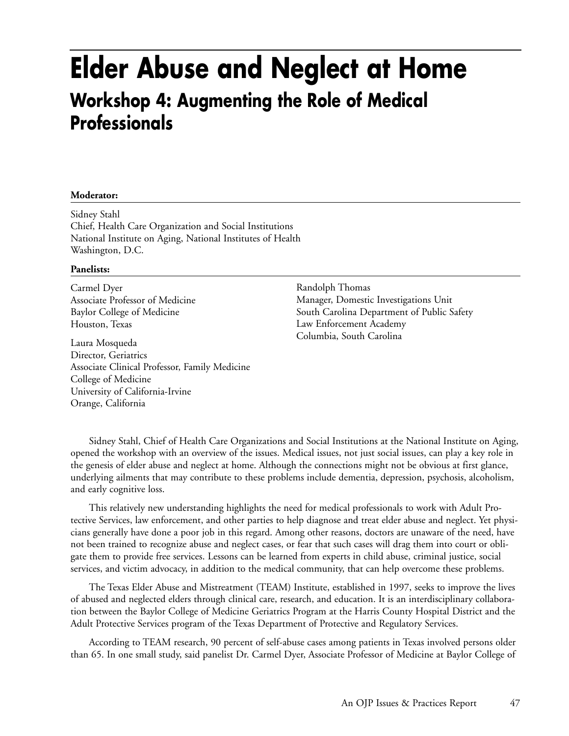### **Elder Abuse and Neglect at Home Workshop 4: Augmenting the Role of Medical Professionals**

### **Moderator:**

Sidney Stahl Chief, Health Care Organization and Social Institutions National Institute on Aging, National Institutes of Health Washington, D.C.

### **Panelists:**

Carmel Dyer Associate Professor of Medicine Baylor College of Medicine Houston, Texas

Laura Mosqueda Director, Geriatrics Associate Clinical Professor, Family Medicine College of Medicine University of California-Irvine Orange, California

Randolph Thomas Manager, Domestic Investigations Unit South Carolina Department of Public Safety Law Enforcement Academy Columbia, South Carolina

Sidney Stahl, Chief of Health Care Organizations and Social Institutions at the National Institute on Aging, opened the workshop with an overview of the issues. Medical issues, not just social issues, can play a key role in the genesis of elder abuse and neglect at home. Although the connections might not be obvious at first glance, underlying ailments that may contribute to these problems include dementia, depression, psychosis, alcoholism, and early cognitive loss.

This relatively new understanding highlights the need for medical professionals to work with Adult Protective Services, law enforcement, and other parties to help diagnose and treat elder abuse and neglect. Yet physicians generally have done a poor job in this regard. Among other reasons, doctors are unaware of the need, have not been trained to recognize abuse and neglect cases, or fear that such cases will drag them into court or obligate them to provide free services. Lessons can be learned from experts in child abuse, criminal justice, social services, and victim advocacy, in addition to the medical community, that can help overcome these problems.

The Texas Elder Abuse and Mistreatment (TEAM) Institute, established in 1997, seeks to improve the lives of abused and neglected elders through clinical care, research, and education. It is an interdisciplinary collaboration between the Baylor College of Medicine Geriatrics Program at the Harris County Hospital District and the Adult Protective Services program of the Texas Department of Protective and Regulatory Services.

According to TEAM research, 90 percent of self-abuse cases among patients in Texas involved persons older than 65. In one small study, said panelist Dr. Carmel Dyer, Associate Professor of Medicine at Baylor College of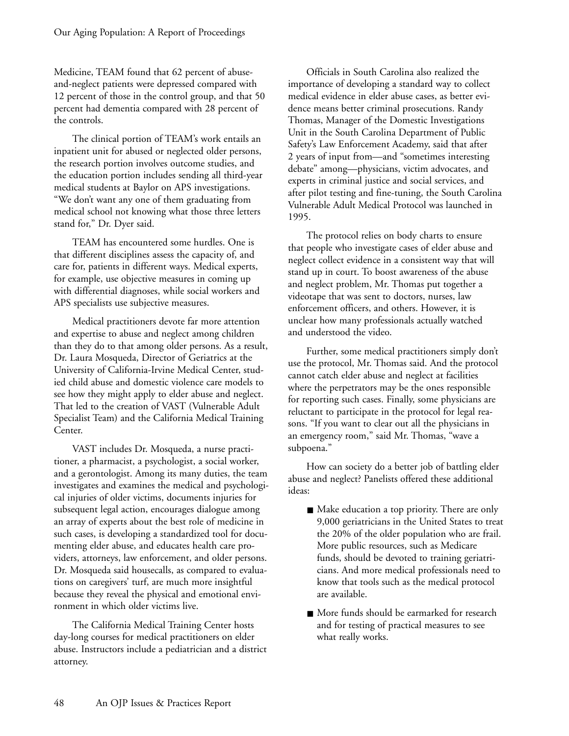Medicine, TEAM found that 62 percent of abuseand-neglect patients were depressed compared with 12 percent of those in the control group, and that 50 percent had dementia compared with 28 percent of the controls.

The clinical portion of TEAM's work entails an inpatient unit for abused or neglected older persons, the research portion involves outcome studies, and the education portion includes sending all third-year medical students at Baylor on APS investigations. "We don't want any one of them graduating from medical school not knowing what those three letters stand for," Dr. Dyer said.

TEAM has encountered some hurdles. One is that different disciplines assess the capacity of, and care for, patients in different ways. Medical experts, for example, use objective measures in coming up with differential diagnoses, while social workers and APS specialists use subjective measures.

Medical practitioners devote far more attention and expertise to abuse and neglect among children than they do to that among older persons. As a result, Dr. Laura Mosqueda, Director of Geriatrics at the University of California-Irvine Medical Center, studied child abuse and domestic violence care models to see how they might apply to elder abuse and neglect. That led to the creation of VAST (Vulnerable Adult Specialist Team) and the California Medical Training Center.

VAST includes Dr. Mosqueda, a nurse practitioner, a pharmacist, a psychologist, a social worker, and a gerontologist. Among its many duties, the team investigates and examines the medical and psychological injuries of older victims, documents injuries for subsequent legal action, encourages dialogue among an array of experts about the best role of medicine in such cases, is developing a standardized tool for documenting elder abuse, and educates health care providers, attorneys, law enforcement, and older persons. Dr. Mosqueda said housecalls, as compared to evaluations on caregivers' turf, are much more insightful because they reveal the physical and emotional environment in which older victims live.

The California Medical Training Center hosts day-long courses for medical practitioners on elder abuse. Instructors include a pediatrician and a district attorney.

Officials in South Carolina also realized the importance of developing a standard way to collect medical evidence in elder abuse cases, as better evidence means better criminal prosecutions. Randy Thomas, Manager of the Domestic Investigations Unit in the South Carolina Department of Public Safety's Law Enforcement Academy, said that after 2 years of input from—and "sometimes interesting debate" among—physicians, victim advocates, and experts in criminal justice and social services, and after pilot testing and fine-tuning, the South Carolina Vulnerable Adult Medical Protocol was launched in 1995.

The protocol relies on body charts to ensure that people who investigate cases of elder abuse and neglect collect evidence in a consistent way that will stand up in court. To boost awareness of the abuse and neglect problem, Mr. Thomas put together a videotape that was sent to doctors, nurses, law enforcement officers, and others. However, it is unclear how many professionals actually watched and understood the video.

Further, some medical practitioners simply don't use the protocol, Mr. Thomas said. And the protocol cannot catch elder abuse and neglect at facilities where the perpetrators may be the ones responsible for reporting such cases. Finally, some physicians are reluctant to participate in the protocol for legal reasons. "If you want to clear out all the physicians in an emergency room," said Mr. Thomas, "wave a subpoena."

How can society do a better job of battling elder abuse and neglect? Panelists offered these additional ideas:

- Make education a top priority. There are only 9,000 geriatricians in the United States to treat the 20% of the older population who are frail. More public resources, such as Medicare funds, should be devoted to training geriatricians. And more medical professionals need to know that tools such as the medical protocol are available.
- More funds should be earmarked for research and for testing of practical measures to see what really works.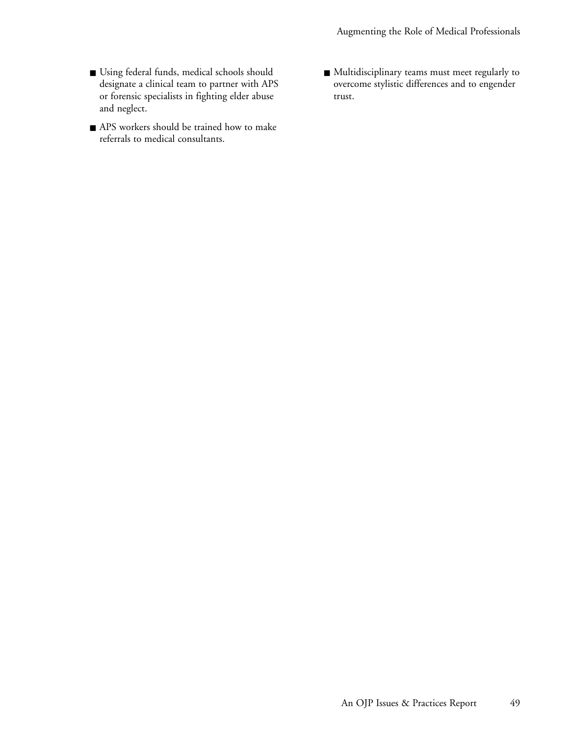Augmenting the Role of Medical Professionals

- Using federal funds, medical schools should designate a clinical team to partner with APS or forensic specialists in fighting elder abuse and neglect.
- APS workers should be trained how to make referrals to medical consultants.
- Multidisciplinary teams must meet regularly to overcome stylistic differences and to engender trust.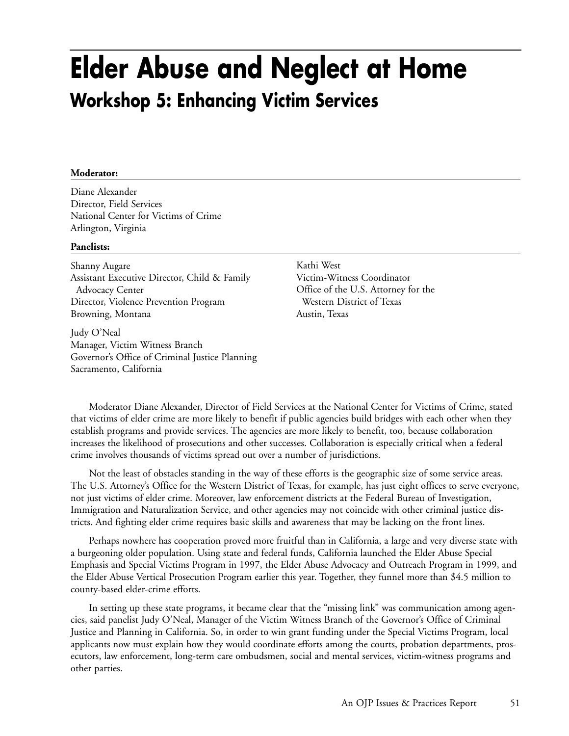## **Elder Abuse and Neglect at Home Workshop 5: Enhancing Victim Services**

### **Moderator:**

Diane Alexander Director, Field Services National Center for Victims of Crime Arlington, Virginia

#### **Panelists:**

Shanny Augare Assistant Executive Director, Child & Family Advocacy Center Director, Violence Prevention Program Browning, Montana

Judy O'Neal Manager, Victim Witness Branch Governor's Office of Criminal Justice Planning Sacramento, California

Kathi West Victim-Witness Coordinator Office of the U.S. Attorney for the Western District of Texas Austin, Texas

Moderator Diane Alexander, Director of Field Services at the National Center for Victims of Crime, stated that victims of elder crime are more likely to benefit if public agencies build bridges with each other when they establish programs and provide services. The agencies are more likely to benefit, too, because collaboration increases the likelihood of prosecutions and other successes. Collaboration is especially critical when a federal crime involves thousands of victims spread out over a number of jurisdictions.

Not the least of obstacles standing in the way of these efforts is the geographic size of some service areas. The U.S. Attorney's Office for the Western District of Texas, for example, has just eight offices to serve everyone, not just victims of elder crime. Moreover, law enforcement districts at the Federal Bureau of Investigation, Immigration and Naturalization Service, and other agencies may not coincide with other criminal justice districts. And fighting elder crime requires basic skills and awareness that may be lacking on the front lines.

Perhaps nowhere has cooperation proved more fruitful than in California, a large and very diverse state with a burgeoning older population. Using state and federal funds, California launched the Elder Abuse Special Emphasis and Special Victims Program in 1997, the Elder Abuse Advocacy and Outreach Program in 1999, and the Elder Abuse Vertical Prosecution Program earlier this year. Together, they funnel more than \$4.5 million to county-based elder-crime efforts.

In setting up these state programs, it became clear that the "missing link" was communication among agencies, said panelist Judy O'Neal, Manager of the Victim Witness Branch of the Governor's Office of Criminal Justice and Planning in California. So, in order to win grant funding under the Special Victims Program, local applicants now must explain how they would coordinate efforts among the courts, probation departments, prosecutors, law enforcement, long-term care ombudsmen, social and mental services, victim-witness programs and other parties.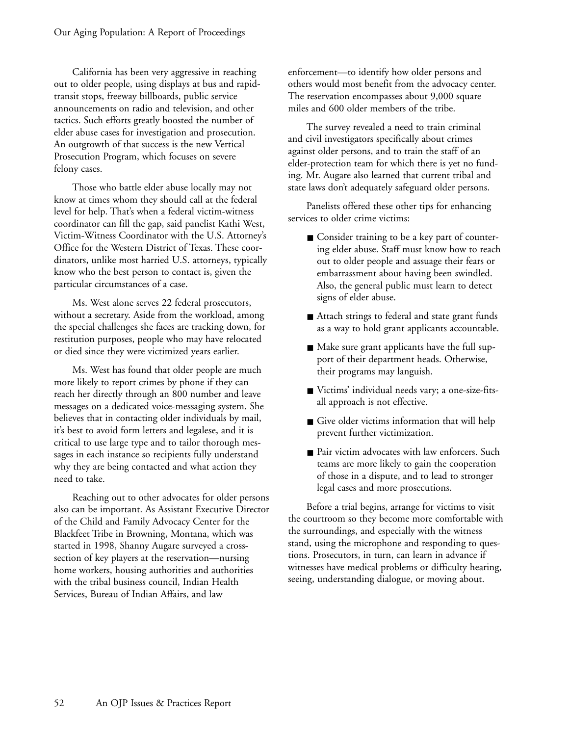California has been very aggressive in reaching out to older people, using displays at bus and rapidtransit stops, freeway billboards, public service announcements on radio and television, and other tactics. Such efforts greatly boosted the number of elder abuse cases for investigation and prosecution. An outgrowth of that success is the new Vertical Prosecution Program, which focuses on severe felony cases.

Those who battle elder abuse locally may not know at times whom they should call at the federal level for help. That's when a federal victim-witness coordinator can fill the gap, said panelist Kathi West, Victim-Witness Coordinator with the U.S. Attorney's Office for the Western District of Texas. These coordinators, unlike most harried U.S. attorneys, typically know who the best person to contact is, given the particular circumstances of a case.

Ms. West alone serves 22 federal prosecutors, without a secretary. Aside from the workload, among the special challenges she faces are tracking down, for restitution purposes, people who may have relocated or died since they were victimized years earlier.

Ms. West has found that older people are much more likely to report crimes by phone if they can reach her directly through an 800 number and leave messages on a dedicated voice-messaging system. She believes that in contacting older individuals by mail, it's best to avoid form letters and legalese, and it is critical to use large type and to tailor thorough messages in each instance so recipients fully understand why they are being contacted and what action they need to take.

Reaching out to other advocates for older persons also can be important. As Assistant Executive Director of the Child and Family Advocacy Center for the Blackfeet Tribe in Browning, Montana, which was started in 1998, Shanny Augare surveyed a crosssection of key players at the reservation—nursing home workers, housing authorities and authorities with the tribal business council, Indian Health Services, Bureau of Indian Affairs, and law

enforcement—to identify how older persons and others would most benefit from the advocacy center. The reservation encompasses about 9,000 square miles and 600 older members of the tribe.

The survey revealed a need to train criminal and civil investigators specifically about crimes against older persons, and to train the staff of an elder-protection team for which there is yet no funding. Mr. Augare also learned that current tribal and state laws don't adequately safeguard older persons.

Panelists offered these other tips for enhancing services to older crime victims:

- Consider training to be a key part of countering elder abuse. Staff must know how to reach out to older people and assuage their fears or embarrassment about having been swindled. Also, the general public must learn to detect signs of elder abuse.
- Attach strings to federal and state grant funds as a way to hold grant applicants accountable.
- Make sure grant applicants have the full support of their department heads. Otherwise, their programs may languish.
- Victims' individual needs vary; a one-size-fitsall approach is not effective.
- Give older victims information that will help prevent further victimization.
- Pair victim advocates with law enforcers. Such teams are more likely to gain the cooperation of those in a dispute, and to lead to stronger legal cases and more prosecutions.

Before a trial begins, arrange for victims to visit the courtroom so they become more comfortable with the surroundings, and especially with the witness stand, using the microphone and responding to questions. Prosecutors, in turn, can learn in advance if witnesses have medical problems or difficulty hearing, seeing, understanding dialogue, or moving about.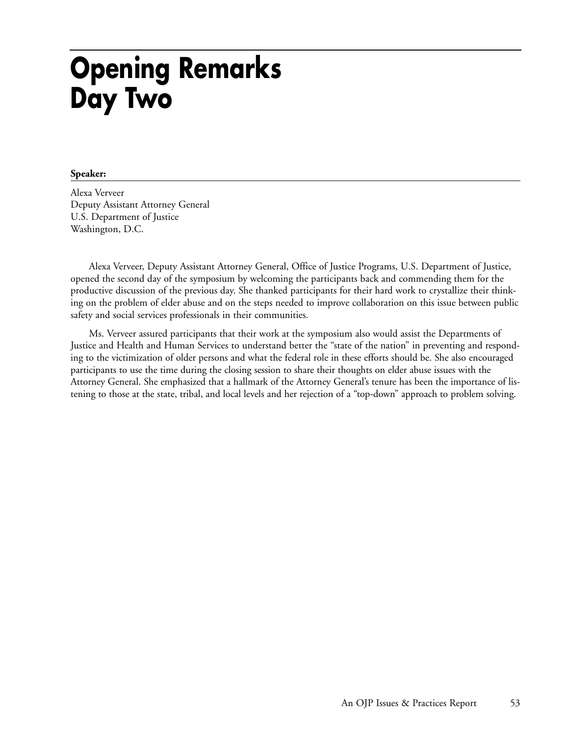## **Opening Remarks Day Two**

### **Speaker:**

Alexa Verveer Deputy Assistant Attorney General U.S. Department of Justice Washington, D.C.

Alexa Verveer, Deputy Assistant Attorney General, Office of Justice Programs, U.S. Department of Justice, opened the second day of the symposium by welcoming the participants back and commending them for the productive discussion of the previous day. She thanked participants for their hard work to crystallize their thinking on the problem of elder abuse and on the steps needed to improve collaboration on this issue between public safety and social services professionals in their communities.

Ms. Verveer assured participants that their work at the symposium also would assist the Departments of Justice and Health and Human Services to understand better the "state of the nation" in preventing and responding to the victimization of older persons and what the federal role in these efforts should be. She also encouraged participants to use the time during the closing session to share their thoughts on elder abuse issues with the Attorney General. She emphasized that a hallmark of the Attorney General's tenure has been the importance of listening to those at the state, tribal, and local levels and her rejection of a "top-down" approach to problem solving.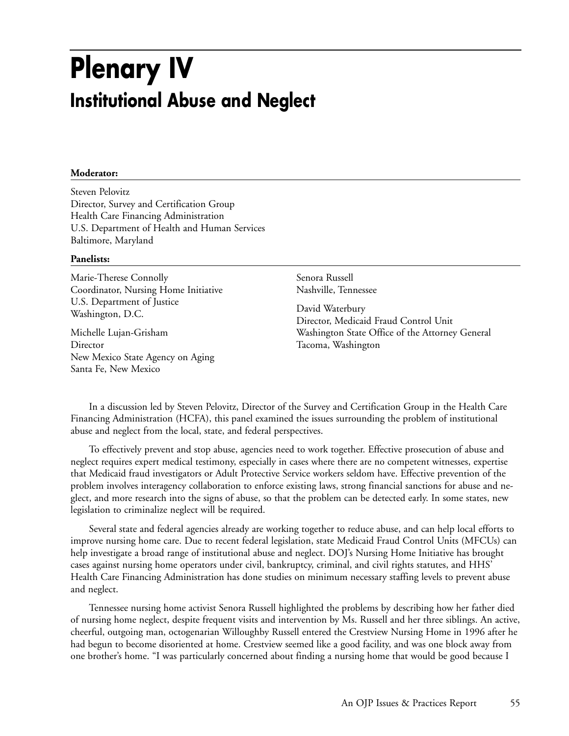## **Plenary IV Institutional Abuse and Neglect**

### **Moderator:**

Steven Pelovitz Director, Survey and Certification Group Health Care Financing Administration U.S. Department of Health and Human Services Baltimore, Maryland

### **Panelists:**

Marie-Therese Connolly Coordinator, Nursing Home Initiative U.S. Department of Justice Washington, D.C.

Michelle Lujan-Grisham Director New Mexico State Agency on Aging Santa Fe, New Mexico

Senora Russell Nashville, Tennessee

David Waterbury Director, Medicaid Fraud Control Unit Washington State Office of the Attorney General Tacoma, Washington

In a discussion led by Steven Pelovitz, Director of the Survey and Certification Group in the Health Care Financing Administration (HCFA), this panel examined the issues surrounding the problem of institutional abuse and neglect from the local, state, and federal perspectives.

To effectively prevent and stop abuse, agencies need to work together. Effective prosecution of abuse and neglect requires expert medical testimony, especially in cases where there are no competent witnesses, expertise that Medicaid fraud investigators or Adult Protective Service workers seldom have. Effective prevention of the problem involves interagency collaboration to enforce existing laws, strong financial sanctions for abuse and neglect, and more research into the signs of abuse, so that the problem can be detected early. In some states, new legislation to criminalize neglect will be required.

Several state and federal agencies already are working together to reduce abuse, and can help local efforts to improve nursing home care. Due to recent federal legislation, state Medicaid Fraud Control Units (MFCUs) can help investigate a broad range of institutional abuse and neglect. DOJ's Nursing Home Initiative has brought cases against nursing home operators under civil, bankruptcy, criminal, and civil rights statutes, and HHS' Health Care Financing Administration has done studies on minimum necessary staffing levels to prevent abuse and neglect.

Tennessee nursing home activist Senora Russell highlighted the problems by describing how her father died of nursing home neglect, despite frequent visits and intervention by Ms. Russell and her three siblings. An active, cheerful, outgoing man, octogenarian Willoughby Russell entered the Crestview Nursing Home in 1996 after he had begun to become disoriented at home. Crestview seemed like a good facility, and was one block away from one brother's home. "I was particularly concerned about finding a nursing home that would be good because I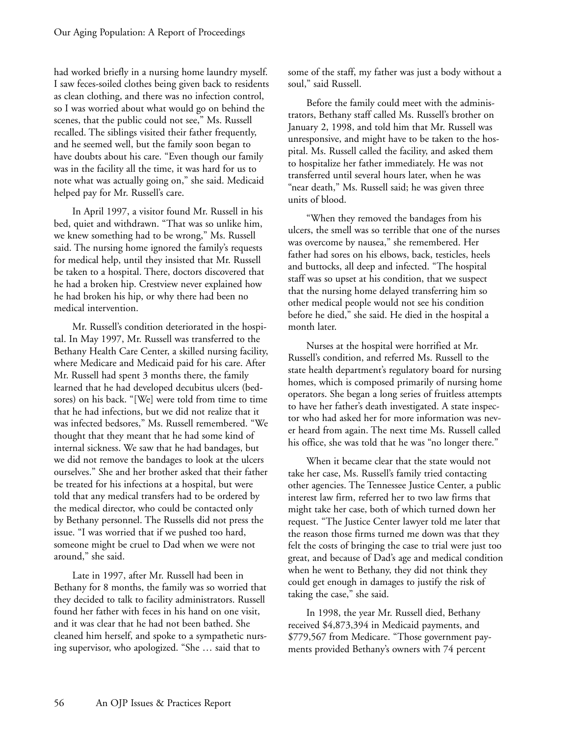had worked briefly in a nursing home laundry myself. I saw feces-soiled clothes being given back to residents as clean clothing, and there was no infection control, so I was worried about what would go on behind the scenes, that the public could not see," Ms. Russell recalled. The siblings visited their father frequently, and he seemed well, but the family soon began to have doubts about his care. "Even though our family was in the facility all the time, it was hard for us to note what was actually going on," she said. Medicaid helped pay for Mr. Russell's care.

In April 1997, a visitor found Mr. Russell in his bed, quiet and withdrawn. "That was so unlike him, we knew something had to be wrong," Ms. Russell said. The nursing home ignored the family's requests for medical help, until they insisted that Mr. Russell be taken to a hospital. There, doctors discovered that he had a broken hip. Crestview never explained how he had broken his hip, or why there had been no medical intervention.

Mr. Russell's condition deteriorated in the hospital. In May 1997, Mr. Russell was transferred to the Bethany Health Care Center, a skilled nursing facility, where Medicare and Medicaid paid for his care. After Mr. Russell had spent 3 months there, the family learned that he had developed decubitus ulcers (bedsores) on his back. "[We] were told from time to time that he had infections, but we did not realize that it was infected bedsores," Ms. Russell remembered. "We thought that they meant that he had some kind of internal sickness. We saw that he had bandages, but we did not remove the bandages to look at the ulcers ourselves." She and her brother asked that their father be treated for his infections at a hospital, but were told that any medical transfers had to be ordered by the medical director, who could be contacted only by Bethany personnel. The Russells did not press the issue. "I was worried that if we pushed too hard, someone might be cruel to Dad when we were not around," she said.

Late in 1997, after Mr. Russell had been in Bethany for 8 months, the family was so worried that they decided to talk to facility administrators. Russell found her father with feces in his hand on one visit, and it was clear that he had not been bathed. She cleaned him herself, and spoke to a sympathetic nursing supervisor, who apologized. "She … said that to

some of the staff, my father was just a body without a soul," said Russell.

Before the family could meet with the administrators, Bethany staff called Ms. Russell's brother on January 2, 1998, and told him that Mr. Russell was unresponsive, and might have to be taken to the hospital. Ms. Russell called the facility, and asked them to hospitalize her father immediately. He was not transferred until several hours later, when he was "near death," Ms. Russell said; he was given three units of blood.

"When they removed the bandages from his ulcers, the smell was so terrible that one of the nurses was overcome by nausea," she remembered. Her father had sores on his elbows, back, testicles, heels and buttocks, all deep and infected. "The hospital staff was so upset at his condition, that we suspect that the nursing home delayed transferring him so other medical people would not see his condition before he died," she said. He died in the hospital a month later.

Nurses at the hospital were horrified at Mr. Russell's condition, and referred Ms. Russell to the state health department's regulatory board for nursing homes, which is composed primarily of nursing home operators. She began a long series of fruitless attempts to have her father's death investigated. A state inspector who had asked her for more information was never heard from again. The next time Ms. Russell called his office, she was told that he was "no longer there."

When it became clear that the state would not take her case, Ms. Russell's family tried contacting other agencies. The Tennessee Justice Center, a public interest law firm, referred her to two law firms that might take her case, both of which turned down her request. "The Justice Center lawyer told me later that the reason those firms turned me down was that they felt the costs of bringing the case to trial were just too great, and because of Dad's age and medical condition when he went to Bethany, they did not think they could get enough in damages to justify the risk of taking the case," she said.

In 1998, the year Mr. Russell died, Bethany received \$4,873,394 in Medicaid payments, and \$779,567 from Medicare. "Those government payments provided Bethany's owners with 74 percent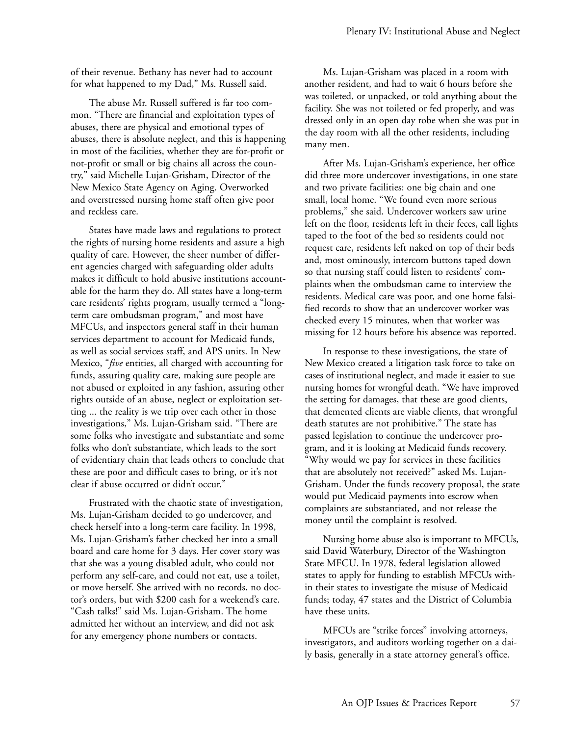of their revenue. Bethany has never had to account for what happened to my Dad," Ms. Russell said.

The abuse Mr. Russell suffered is far too common. "There are financial and exploitation types of abuses, there are physical and emotional types of abuses, there is absolute neglect, and this is happening in most of the facilities, whether they are for-profit or not-profit or small or big chains all across the country," said Michelle Lujan-Grisham, Director of the New Mexico State Agency on Aging. Overworked and overstressed nursing home staff often give poor and reckless care.

States have made laws and regulations to protect the rights of nursing home residents and assure a high quality of care. However, the sheer number of different agencies charged with safeguarding older adults makes it difficult to hold abusive institutions accountable for the harm they do. All states have a long-term care residents' rights program, usually termed a "longterm care ombudsman program," and most have MFCUs, and inspectors general staff in their human services department to account for Medicaid funds, as well as social services staff, and APS units. In New Mexico, "*five* entities, all charged with accounting for funds, assuring quality care, making sure people are not abused or exploited in any fashion, assuring other rights outside of an abuse, neglect or exploitation setting ... the reality is we trip over each other in those investigations," Ms. Lujan-Grisham said. "There are some folks who investigate and substantiate and some folks who don't substantiate, which leads to the sort of evidentiary chain that leads others to conclude that these are poor and difficult cases to bring, or it's not clear if abuse occurred or didn't occur."

Frustrated with the chaotic state of investigation, Ms. Lujan-Grisham decided to go undercover, and check herself into a long-term care facility. In 1998, Ms. Lujan-Grisham's father checked her into a small board and care home for 3 days. Her cover story was that she was a young disabled adult, who could not perform any self-care, and could not eat, use a toilet, or move herself. She arrived with no records, no doctor's orders, but with \$200 cash for a weekend's care. "Cash talks!" said Ms. Lujan-Grisham. The home admitted her without an interview, and did not ask for any emergency phone numbers or contacts.

Ms. Lujan-Grisham was placed in a room with another resident, and had to wait 6 hours before she was toileted, or unpacked, or told anything about the facility. She was not toileted or fed properly, and was dressed only in an open day robe when she was put in the day room with all the other residents, including many men.

After Ms. Lujan-Grisham's experience, her office did three more undercover investigations, in one state and two private facilities: one big chain and one small, local home. "We found even more serious problems," she said. Undercover workers saw urine left on the floor, residents left in their feces, call lights taped to the foot of the bed so residents could not request care, residents left naked on top of their beds and, most ominously, intercom buttons taped down so that nursing staff could listen to residents' complaints when the ombudsman came to interview the residents. Medical care was poor, and one home falsified records to show that an undercover worker was checked every 15 minutes, when that worker was missing for 12 hours before his absence was reported.

In response to these investigations, the state of New Mexico created a litigation task force to take on cases of institutional neglect, and made it easier to sue nursing homes for wrongful death. "We have improved the setting for damages, that these are good clients, that demented clients are viable clients, that wrongful death statutes are not prohibitive." The state has passed legislation to continue the undercover program, and it is looking at Medicaid funds recovery. "Why would we pay for services in these facilities that are absolutely not received?" asked Ms. Lujan-Grisham. Under the funds recovery proposal, the state would put Medicaid payments into escrow when complaints are substantiated, and not release the money until the complaint is resolved.

Nursing home abuse also is important to MFCUs, said David Waterbury, Director of the Washington State MFCU. In 1978, federal legislation allowed states to apply for funding to establish MFCUs within their states to investigate the misuse of Medicaid funds; today, 47 states and the District of Columbia have these units.

MFCUs are "strike forces" involving attorneys, investigators, and auditors working together on a daily basis, generally in a state attorney general's office.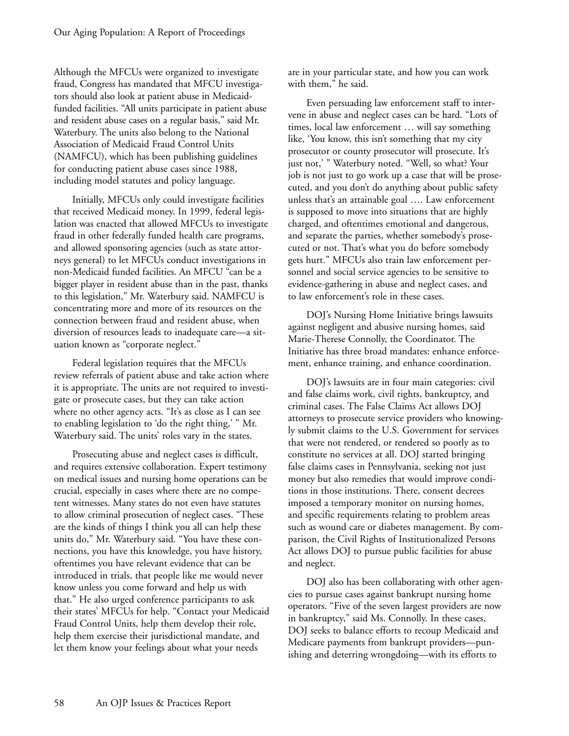Although the MFCUs were organized to investigate fraud, Congress has mandated that MFCU investigators should also look at patient abuse in Medicaidfunded facilities. "All units participate in patient abuse and resident abuse cases on a regular basis," said Mr. Waterbury. The units also belong to the National Association of Medicaid Fraud Control Units (NAMFCU), which has been publishing guidelines for conducting patient abuse cases since 1988, including model statutes and policy language.

Initially, MFCUs only could investigate facilities that received Medicaid money. In 1999, federal legislation was enacted that allowed MFCUs to investigate fraud in other federally funded health care programs, and allowed sponsoring agencies (such as state attorneys general) to let MFCUs conduct investigations in non-Medicaid funded facilities. An MFCU "can be a bigger player in resident abuse than in the past, thanks to this legislation," Mr. Waterbury said. NAMFCU is concentrating more and more of its resources on the connection between fraud and resident abuse, when diversion of resources leads to inadequate care—a situation known as "corporate neglect."

Federal legislation requires that the MFCUs review referrals of patient abuse and take action where it is appropriate. The units are not required to investigate or prosecute cases, but they can take action where no other agency acts. "It's as close as I can see to enabling legislation to 'do the right thing,' " Mr. Waterbury said. The units' roles vary in the states.

Prosecuting abuse and neglect cases is difficult, and requires extensive collaboration. Expert testimony on medical issues and nursing home operations can be crucial, especially in cases where there are no competent witnesses. Many states do not even have statutes to allow criminal prosecution of neglect cases. "These are the kinds of things I think you all can help these units do," Mr. Waterbury said. "You have these connections, you have this knowledge, you have history, oftentimes you have relevant evidence that can be introduced in trials, that people like me would never know unless you come forward and help us with that." He also urged conference participants to ask their states' MFCUs for help. "Contact your Medicaid Fraud Control Units, help them develop their role, help them exercise their jurisdictional mandate, and let them know your feelings about what your needs

are in your particular state, and how you can work with them," he said.

Even persuading law enforcement staff to intervene in abuse and neglect cases can be hard. "Lots of times, local law enforcement … will say something like, 'You know, this isn't something that my city prosecutor or county prosecutor will prosecute. It's just not,' " Waterbury noted. "Well, so what? Your job is not just to go work up a case that will be prosecuted, and you don't do anything about public safety unless that's an attainable goal …. Law enforcement is supposed to move into situations that are highly charged, and oftentimes emotional and dangerous, and separate the parties, whether somebody's prosecuted or not. That's what you do before somebody gets hurt." MFCUs also train law enforcement personnel and social service agencies to be sensitive to evidence-gathering in abuse and neglect cases, and to law enforcement's role in these cases.

DOJ's Nursing Home Initiative brings lawsuits against negligent and abusive nursing homes, said Marie-Therese Connolly, the Coordinator. The Initiative has three broad mandates: enhance enforcement, enhance training, and enhance coordination.

DOJ's lawsuits are in four main categories: civil and false claims work, civil rights, bankruptcy, and criminal cases. The False Claims Act allows DOJ attorneys to prosecute service providers who knowingly submit claims to the U.S. Government for services that were not rendered, or rendered so poorly as to constitute no services at all. DOJ started bringing false claims cases in Pennsylvania, seeking not just money but also remedies that would improve conditions in those institutions. There, consent decrees imposed a temporary monitor on nursing homes, and specific requirements relating to problem areas such as wound care or diabetes management. By comparison, the Civil Rights of Institutionalized Persons Act allows DOJ to pursue public facilities for abuse and neglect.

DOJ also has been collaborating with other agencies to pursue cases against bankrupt nursing home operators. "Five of the seven largest providers are now in bankruptcy," said Ms. Connolly. In these cases, DOJ seeks to balance efforts to recoup Medicaid and Medicare payments from bankrupt providers—punishing and deterring wrongdoing—with its efforts to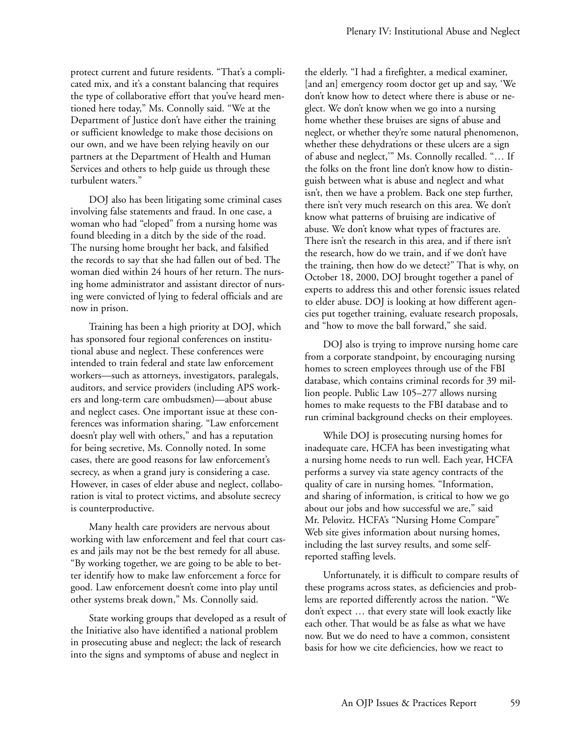protect current and future residents. "That's a complicated mix, and it's a constant balancing that requires the type of collaborative effort that you've heard mentioned here today," Ms. Connolly said. "We at the Department of Justice don't have either the training or sufficient knowledge to make those decisions on our own, and we have been relying heavily on our partners at the Department of Health and Human Services and others to help guide us through these turbulent waters."

DOJ also has been litigating some criminal cases involving false statements and fraud. In one case, a woman who had "eloped" from a nursing home was found bleeding in a ditch by the side of the road. The nursing home brought her back, and falsified the records to say that she had fallen out of bed. The woman died within 24 hours of her return. The nursing home administrator and assistant director of nursing were convicted of lying to federal officials and are now in prison.

Training has been a high priority at DOJ, which has sponsored four regional conferences on institutional abuse and neglect. These conferences were intended to train federal and state law enforcement workers—such as attorneys, investigators, paralegals, auditors, and service providers (including APS workers and long-term care ombudsmen)—about abuse and neglect cases. One important issue at these conferences was information sharing. "Law enforcement doesn't play well with others," and has a reputation for being secretive, Ms. Connolly noted. In some cases, there are good reasons for law enforcement's secrecy, as when a grand jury is considering a case. However, in cases of elder abuse and neglect, collaboration is vital to protect victims, and absolute secrecy is counterproductive.

Many health care providers are nervous about working with law enforcement and feel that court cases and jails may not be the best remedy for all abuse. "By working together, we are going to be able to better identify how to make law enforcement a force for good. Law enforcement doesn't come into play until other systems break down," Ms. Connolly said.

State working groups that developed as a result of the Initiative also have identified a national problem in prosecuting abuse and neglect; the lack of research into the signs and symptoms of abuse and neglect in

the elderly. "I had a firefighter, a medical examiner, [and an] emergency room doctor get up and say, 'We don't know how to detect where there is abuse or neglect. We don't know when we go into a nursing home whether these bruises are signs of abuse and neglect, or whether they're some natural phenomenon, whether these dehydrations or these ulcers are a sign of abuse and neglect,'" Ms. Connolly recalled. "… If the folks on the front line don't know how to distinguish between what is abuse and neglect and what isn't, then we have a problem. Back one step further, there isn't very much research on this area. We don't know what patterns of bruising are indicative of abuse. We don't know what types of fractures are. There isn't the research in this area, and if there isn't the research, how do we train, and if we don't have the training, then how do we detect?" That is why, on October 18, 2000, DOJ brought together a panel of experts to address this and other forensic issues related to elder abuse. DOJ is looking at how different agencies put together training, evaluate research proposals, and "how to move the ball forward," she said.

DOJ also is trying to improve nursing home care from a corporate standpoint, by encouraging nursing homes to screen employees through use of the FBI database, which contains criminal records for 39 million people. Public Law 105–277 allows nursing homes to make requests to the FBI database and to run criminal background checks on their employees.

While DOJ is prosecuting nursing homes for inadequate care, HCFA has been investigating what a nursing home needs to run well. Each year, HCFA performs a survey via state agency contracts of the quality of care in nursing homes. "Information, and sharing of information, is critical to how we go about our jobs and how successful we are," said Mr. Pelovitz. HCFA's "Nursing Home Compare" Web site gives information about nursing homes, including the last survey results, and some selfreported staffing levels.

Unfortunately, it is difficult to compare results of these programs across states, as deficiencies and problems are reported differently across the nation. "We don't expect … that every state will look exactly like each other. That would be as false as what we have now. But we do need to have a common, consistent basis for how we cite deficiencies, how we react to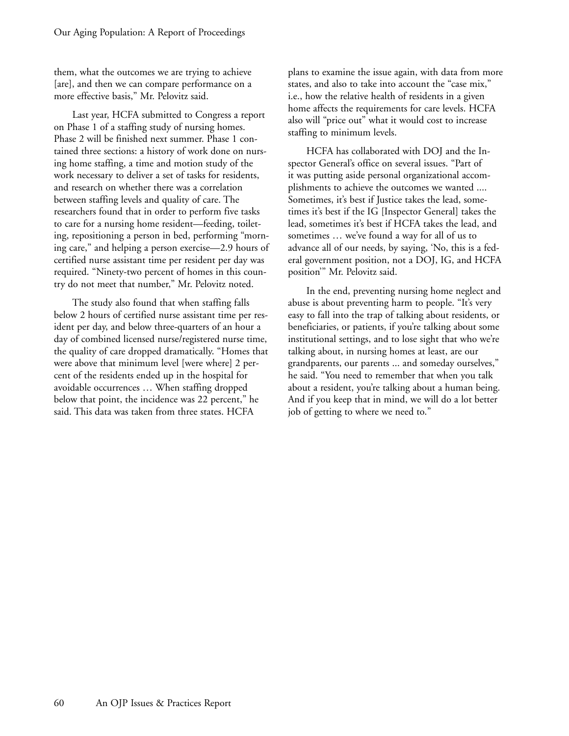them, what the outcomes we are trying to achieve [are], and then we can compare performance on a more effective basis," Mr. Pelovitz said.

Last year, HCFA submitted to Congress a report on Phase 1 of a staffing study of nursing homes. Phase 2 will be finished next summer. Phase 1 contained three sections: a history of work done on nursing home staffing, a time and motion study of the work necessary to deliver a set of tasks for residents, and research on whether there was a correlation between staffing levels and quality of care. The researchers found that in order to perform five tasks to care for a nursing home resident—feeding, toileting, repositioning a person in bed, performing "morning care," and helping a person exercise—2.9 hours of certified nurse assistant time per resident per day was required. "Ninety-two percent of homes in this country do not meet that number," Mr. Pelovitz noted.

The study also found that when staffing falls below 2 hours of certified nurse assistant time per resident per day, and below three-quarters of an hour a day of combined licensed nurse/registered nurse time, the quality of care dropped dramatically. "Homes that were above that minimum level [were where] 2 percent of the residents ended up in the hospital for avoidable occurrences … When staffing dropped below that point, the incidence was 22 percent," he said. This data was taken from three states. HCFA

plans to examine the issue again, with data from more states, and also to take into account the "case mix," i.e., how the relative health of residents in a given home affects the requirements for care levels. HCFA also will "price out" what it would cost to increase staffing to minimum levels.

HCFA has collaborated with DOJ and the Inspector General's office on several issues. "Part of it was putting aside personal organizational accomplishments to achieve the outcomes we wanted .... Sometimes, it's best if Justice takes the lead, sometimes it's best if the IG [Inspector General] takes the lead, sometimes it's best if HCFA takes the lead, and sometimes … we've found a way for all of us to advance all of our needs, by saying, 'No, this is a federal government position, not a DOJ, IG, and HCFA position'" Mr. Pelovitz said.

In the end, preventing nursing home neglect and abuse is about preventing harm to people. "It's very easy to fall into the trap of talking about residents, or beneficiaries, or patients, if you're talking about some institutional settings, and to lose sight that who we're talking about, in nursing homes at least, are our grandparents, our parents ... and someday ourselves," he said. "You need to remember that when you talk about a resident, you're talking about a human being. And if you keep that in mind, we will do a lot better job of getting to where we need to."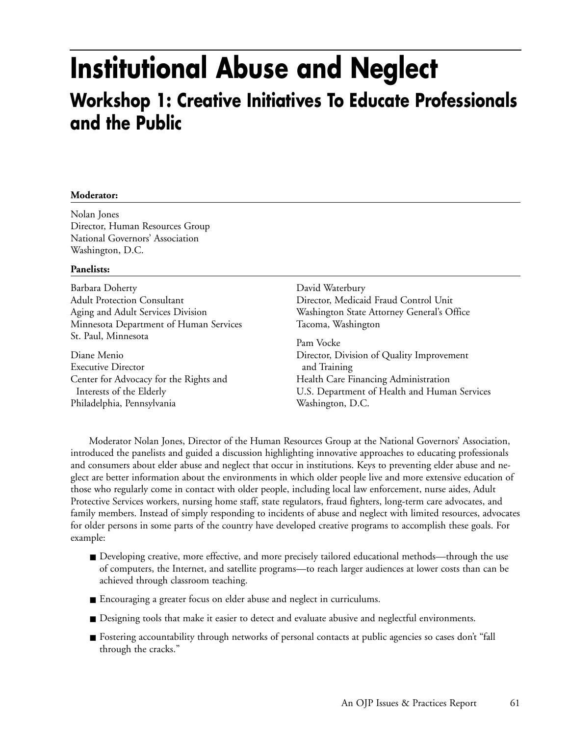# **Institutional Abuse and Neglect**

### **Workshop 1: Creative Initiatives To Educate Professionals and the Public**

### **Moderator:**

Nolan Jones Director, Human Resources Group National Governors' Association Washington, D.C.

### **Panelists:**

Barbara Doherty Adult Protection Consultant Aging and Adult Services Division Minnesota Department of Human Services St. Paul, Minnesota

Diane Menio Executive Director Center for Advocacy for the Rights and Interests of the Elderly Philadelphia, Pennsylvania

David Waterbury Director, Medicaid Fraud Control Unit Washington State Attorney General's Office Tacoma, Washington

Pam Vocke Director, Division of Quality Improvement and Training Health Care Financing Administration U.S. Department of Health and Human Services Washington, D.C.

Moderator Nolan Jones, Director of the Human Resources Group at the National Governors' Association, introduced the panelists and guided a discussion highlighting innovative approaches to educating professionals and consumers about elder abuse and neglect that occur in institutions. Keys to preventing elder abuse and neglect are better information about the environments in which older people live and more extensive education of those who regularly come in contact with older people, including local law enforcement, nurse aides, Adult Protective Services workers, nursing home staff, state regulators, fraud fighters, long-term care advocates, and family members. Instead of simply responding to incidents of abuse and neglect with limited resources, advocates for older persons in some parts of the country have developed creative programs to accomplish these goals. For example:

- Developing creative, more effective, and more precisely tailored educational methods—through the use of computers, the Internet, and satellite programs—to reach larger audiences at lower costs than can be achieved through classroom teaching.
- Encouraging a greater focus on elder abuse and neglect in curriculums.
- Designing tools that make it easier to detect and evaluate abusive and neglectful environments.
- Fostering accountability through networks of personal contacts at public agencies so cases don't "fall through the cracks."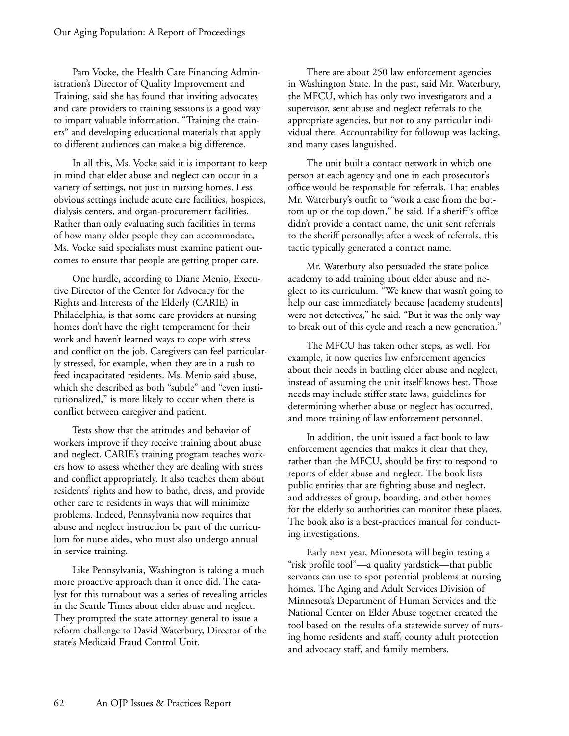Pam Vocke, the Health Care Financing Administration's Director of Quality Improvement and Training, said she has found that inviting advocates and care providers to training sessions is a good way to impart valuable information. "Training the trainers" and developing educational materials that apply to different audiences can make a big difference.

In all this, Ms. Vocke said it is important to keep in mind that elder abuse and neglect can occur in a variety of settings, not just in nursing homes. Less obvious settings include acute care facilities, hospices, dialysis centers, and organ-procurement facilities. Rather than only evaluating such facilities in terms of how many older people they can accommodate, Ms. Vocke said specialists must examine patient outcomes to ensure that people are getting proper care.

One hurdle, according to Diane Menio, Executive Director of the Center for Advocacy for the Rights and Interests of the Elderly (CARIE) in Philadelphia, is that some care providers at nursing homes don't have the right temperament for their work and haven't learned ways to cope with stress and conflict on the job. Caregivers can feel particularly stressed, for example, when they are in a rush to feed incapacitated residents. Ms. Menio said abuse, which she described as both "subtle" and "even institutionalized," is more likely to occur when there is conflict between caregiver and patient.

Tests show that the attitudes and behavior of workers improve if they receive training about abuse and neglect. CARIE's training program teaches workers how to assess whether they are dealing with stress and conflict appropriately. It also teaches them about residents' rights and how to bathe, dress, and provide other care to residents in ways that will minimize problems. Indeed, Pennsylvania now requires that abuse and neglect instruction be part of the curriculum for nurse aides, who must also undergo annual in-service training.

Like Pennsylvania, Washington is taking a much more proactive approach than it once did. The catalyst for this turnabout was a series of revealing articles in the Seattle Times about elder abuse and neglect. They prompted the state attorney general to issue a reform challenge to David Waterbury, Director of the state's Medicaid Fraud Control Unit.

There are about 250 law enforcement agencies in Washington State. In the past, said Mr. Waterbury, the MFCU, which has only two investigators and a supervisor, sent abuse and neglect referrals to the appropriate agencies, but not to any particular individual there. Accountability for followup was lacking, and many cases languished.

The unit built a contact network in which one person at each agency and one in each prosecutor's office would be responsible for referrals. That enables Mr. Waterbury's outfit to "work a case from the bottom up or the top down," he said. If a sheriff's office didn't provide a contact name, the unit sent referrals to the sheriff personally; after a week of referrals, this tactic typically generated a contact name.

Mr. Waterbury also persuaded the state police academy to add training about elder abuse and neglect to its curriculum. "We knew that wasn't going to help our case immediately because [academy students] were not detectives," he said. "But it was the only way to break out of this cycle and reach a new generation."

The MFCU has taken other steps, as well. For example, it now queries law enforcement agencies about their needs in battling elder abuse and neglect, instead of assuming the unit itself knows best. Those needs may include stiffer state laws, guidelines for determining whether abuse or neglect has occurred, and more training of law enforcement personnel.

In addition, the unit issued a fact book to law enforcement agencies that makes it clear that they, rather than the MFCU, should be first to respond to reports of elder abuse and neglect. The book lists public entities that are fighting abuse and neglect, and addresses of group, boarding, and other homes for the elderly so authorities can monitor these places. The book also is a best-practices manual for conducting investigations.

Early next year, Minnesota will begin testing a "risk profile tool"—a quality yardstick—that public servants can use to spot potential problems at nursing homes. The Aging and Adult Services Division of Minnesota's Department of Human Services and the National Center on Elder Abuse together created the tool based on the results of a statewide survey of nursing home residents and staff, county adult protection and advocacy staff, and family members.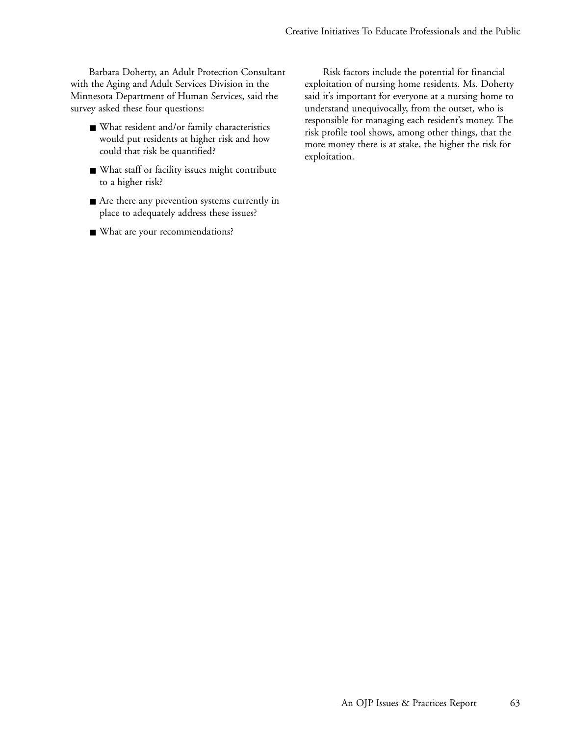Barbara Doherty, an Adult Protection Consultant with the Aging and Adult Services Division in the Minnesota Department of Human Services, said the survey asked these four questions:

- What resident and/or family characteristics would put residents at higher risk and how could that risk be quantified?
- What staff or facility issues might contribute to a higher risk?
- Are there any prevention systems currently in place to adequately address these issues?
- What are your recommendations?

Risk factors include the potential for financial exploitation of nursing home residents. Ms. Doherty said it's important for everyone at a nursing home to understand unequivocally, from the outset, who is responsible for managing each resident's money. The risk profile tool shows, among other things, that the more money there is at stake, the higher the risk for exploitation.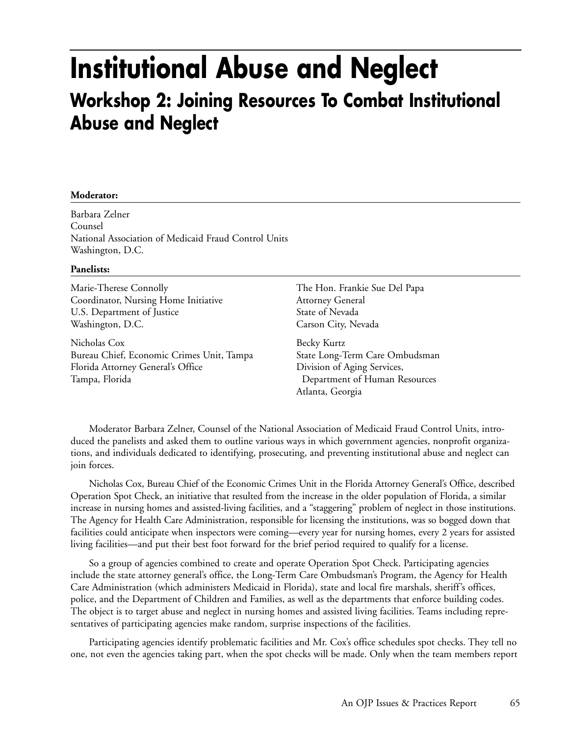### **Institutional Abuse and Neglect Workshop 2: Joining Resources To Combat Institutional Abuse and Neglect**

### **Moderator:**

Barbara Zelner Counsel National Association of Medicaid Fraud Control Units Washington, D.C.

#### **Panelists:**

Marie-Therese Connolly Coordinator, Nursing Home Initiative U.S. Department of Justice Washington, D.C.

Nicholas Cox Bureau Chief, Economic Crimes Unit, Tampa Florida Attorney General's Office Tampa, Florida

The Hon. Frankie Sue Del Papa Attorney General State of Nevada Carson City, Nevada

Becky Kurtz State Long-Term Care Ombudsman Division of Aging Services, Department of Human Resources Atlanta, Georgia

Moderator Barbara Zelner, Counsel of the National Association of Medicaid Fraud Control Units, introduced the panelists and asked them to outline various ways in which government agencies, nonprofit organizations, and individuals dedicated to identifying, prosecuting, and preventing institutional abuse and neglect can join forces.

Nicholas Cox, Bureau Chief of the Economic Crimes Unit in the Florida Attorney General's Office, described Operation Spot Check, an initiative that resulted from the increase in the older population of Florida, a similar increase in nursing homes and assisted-living facilities, and a "staggering" problem of neglect in those institutions. The Agency for Health Care Administration, responsible for licensing the institutions, was so bogged down that facilities could anticipate when inspectors were coming—every year for nursing homes, every 2 years for assisted living facilities—and put their best foot forward for the brief period required to qualify for a license.

So a group of agencies combined to create and operate Operation Spot Check. Participating agencies include the state attorney general's office, the Long-Term Care Ombudsman's Program, the Agency for Health Care Administration (which administers Medicaid in Florida), state and local fire marshals, sheriff's offices, police, and the Department of Children and Families, as well as the departments that enforce building codes. The object is to target abuse and neglect in nursing homes and assisted living facilities. Teams including representatives of participating agencies make random, surprise inspections of the facilities.

Participating agencies identify problematic facilities and Mr. Cox's office schedules spot checks. They tell no one, not even the agencies taking part, when the spot checks will be made. Only when the team members report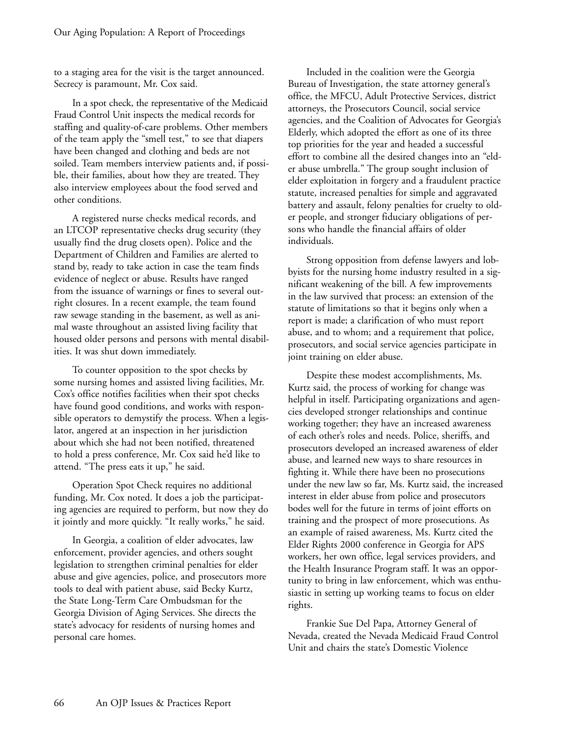to a staging area for the visit is the target announced. Secrecy is paramount, Mr. Cox said.

In a spot check, the representative of the Medicaid Fraud Control Unit inspects the medical records for staffing and quality-of-care problems. Other members of the team apply the "smell test," to see that diapers have been changed and clothing and beds are not soiled. Team members interview patients and, if possible, their families, about how they are treated. They also interview employees about the food served and other conditions.

A registered nurse checks medical records, and an LTCOP representative checks drug security (they usually find the drug closets open). Police and the Department of Children and Families are alerted to stand by, ready to take action in case the team finds evidence of neglect or abuse. Results have ranged from the issuance of warnings or fines to several outright closures. In a recent example, the team found raw sewage standing in the basement, as well as animal waste throughout an assisted living facility that housed older persons and persons with mental disabilities. It was shut down immediately.

To counter opposition to the spot checks by some nursing homes and assisted living facilities, Mr. Cox's office notifies facilities when their spot checks have found good conditions, and works with responsible operators to demystify the process. When a legislator, angered at an inspection in her jurisdiction about which she had not been notified, threatened to hold a press conference, Mr. Cox said he'd like to attend. "The press eats it up," he said.

Operation Spot Check requires no additional funding, Mr. Cox noted. It does a job the participating agencies are required to perform, but now they do it jointly and more quickly. "It really works," he said.

In Georgia, a coalition of elder advocates, law enforcement, provider agencies, and others sought legislation to strengthen criminal penalties for elder abuse and give agencies, police, and prosecutors more tools to deal with patient abuse, said Becky Kurtz, the State Long-Term Care Ombudsman for the Georgia Division of Aging Services. She directs the state's advocacy for residents of nursing homes and personal care homes.

Included in the coalition were the Georgia Bureau of Investigation, the state attorney general's office, the MFCU, Adult Protective Services, district attorneys, the Prosecutors Council, social service agencies, and the Coalition of Advocates for Georgia's Elderly, which adopted the effort as one of its three top priorities for the year and headed a successful effort to combine all the desired changes into an "elder abuse umbrella." The group sought inclusion of elder exploitation in forgery and a fraudulent practice statute, increased penalties for simple and aggravated battery and assault, felony penalties for cruelty to older people, and stronger fiduciary obligations of persons who handle the financial affairs of older individuals.

Strong opposition from defense lawyers and lobbyists for the nursing home industry resulted in a significant weakening of the bill. A few improvements in the law survived that process: an extension of the statute of limitations so that it begins only when a report is made; a clarification of who must report abuse, and to whom; and a requirement that police, prosecutors, and social service agencies participate in joint training on elder abuse.

Despite these modest accomplishments, Ms. Kurtz said, the process of working for change was helpful in itself. Participating organizations and agencies developed stronger relationships and continue working together; they have an increased awareness of each other's roles and needs. Police, sheriffs, and prosecutors developed an increased awareness of elder abuse, and learned new ways to share resources in fighting it. While there have been no prosecutions under the new law so far, Ms. Kurtz said, the increased interest in elder abuse from police and prosecutors bodes well for the future in terms of joint efforts on training and the prospect of more prosecutions. As an example of raised awareness, Ms. Kurtz cited the Elder Rights 2000 conference in Georgia for APS workers, her own office, legal services providers, and the Health Insurance Program staff. It was an opportunity to bring in law enforcement, which was enthusiastic in setting up working teams to focus on elder rights.

Frankie Sue Del Papa, Attorney General of Nevada, created the Nevada Medicaid Fraud Control Unit and chairs the state's Domestic Violence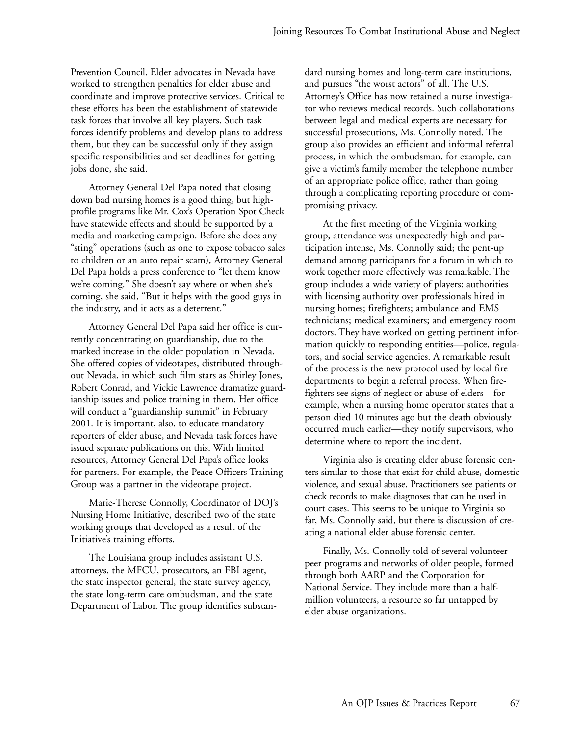Prevention Council. Elder advocates in Nevada have worked to strengthen penalties for elder abuse and coordinate and improve protective services. Critical to these efforts has been the establishment of statewide task forces that involve all key players. Such task forces identify problems and develop plans to address them, but they can be successful only if they assign specific responsibilities and set deadlines for getting jobs done, she said.

Attorney General Del Papa noted that closing down bad nursing homes is a good thing, but highprofile programs like Mr. Cox's Operation Spot Check have statewide effects and should be supported by a media and marketing campaign. Before she does any "sting" operations (such as one to expose tobacco sales to children or an auto repair scam), Attorney General Del Papa holds a press conference to "let them know we're coming." She doesn't say where or when she's coming, she said, "But it helps with the good guys in the industry, and it acts as a deterrent."

Attorney General Del Papa said her office is currently concentrating on guardianship, due to the marked increase in the older population in Nevada. She offered copies of videotapes, distributed throughout Nevada, in which such film stars as Shirley Jones, Robert Conrad, and Vickie Lawrence dramatize guardianship issues and police training in them. Her office will conduct a "guardianship summit" in February 2001. It is important, also, to educate mandatory reporters of elder abuse, and Nevada task forces have issued separate publications on this. With limited resources, Attorney General Del Papa's office looks for partners. For example, the Peace Officers Training Group was a partner in the videotape project.

Marie-Therese Connolly, Coordinator of DOJ's Nursing Home Initiative, described two of the state working groups that developed as a result of the Initiative's training efforts.

The Louisiana group includes assistant U.S. attorneys, the MFCU, prosecutors, an FBI agent, the state inspector general, the state survey agency, the state long-term care ombudsman, and the state Department of Labor. The group identifies substandard nursing homes and long-term care institutions, and pursues "the worst actors" of all. The U.S. Attorney's Office has now retained a nurse investigator who reviews medical records. Such collaborations between legal and medical experts are necessary for successful prosecutions, Ms. Connolly noted. The group also provides an efficient and informal referral process, in which the ombudsman, for example, can give a victim's family member the telephone number of an appropriate police office, rather than going through a complicating reporting procedure or compromising privacy.

At the first meeting of the Virginia working group, attendance was unexpectedly high and participation intense, Ms. Connolly said; the pent-up demand among participants for a forum in which to work together more effectively was remarkable. The group includes a wide variety of players: authorities with licensing authority over professionals hired in nursing homes; firefighters; ambulance and EMS technicians; medical examiners; and emergency room doctors. They have worked on getting pertinent information quickly to responding entities—police, regulators, and social service agencies. A remarkable result of the process is the new protocol used by local fire departments to begin a referral process. When firefighters see signs of neglect or abuse of elders—for example, when a nursing home operator states that a person died 10 minutes ago but the death obviously occurred much earlier—they notify supervisors, who determine where to report the incident.

Virginia also is creating elder abuse forensic centers similar to those that exist for child abuse, domestic violence, and sexual abuse. Practitioners see patients or check records to make diagnoses that can be used in court cases. This seems to be unique to Virginia so far, Ms. Connolly said, but there is discussion of creating a national elder abuse forensic center.

Finally, Ms. Connolly told of several volunteer peer programs and networks of older people, formed through both AARP and the Corporation for National Service. They include more than a halfmillion volunteers, a resource so far untapped by elder abuse organizations.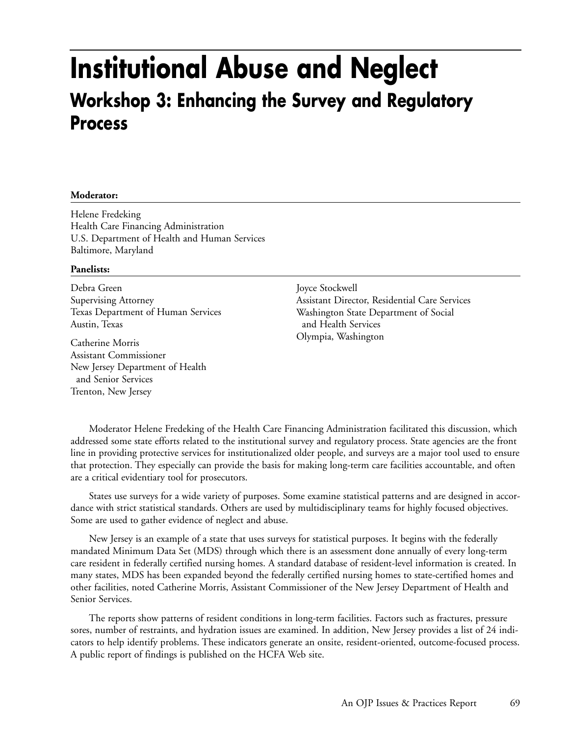### **Institutional Abuse and Neglect Workshop 3: Enhancing the Survey and Regulatory Process**

### **Moderator:**

Helene Fredeking Health Care Financing Administration U.S. Department of Health and Human Services Baltimore, Maryland

### **Panelists:**

Debra Green Supervising Attorney Texas Department of Human Services Austin, Texas

Catherine Morris Assistant Commissioner New Jersey Department of Health and Senior Services Trenton, New Jersey

Joyce Stockwell Assistant Director, Residential Care Services Washington State Department of Social and Health Services Olympia, Washington

Moderator Helene Fredeking of the Health Care Financing Administration facilitated this discussion, which addressed some state efforts related to the institutional survey and regulatory process. State agencies are the front line in providing protective services for institutionalized older people, and surveys are a major tool used to ensure that protection. They especially can provide the basis for making long-term care facilities accountable, and often are a critical evidentiary tool for prosecutors.

States use surveys for a wide variety of purposes. Some examine statistical patterns and are designed in accordance with strict statistical standards. Others are used by multidisciplinary teams for highly focused objectives. Some are used to gather evidence of neglect and abuse.

New Jersey is an example of a state that uses surveys for statistical purposes. It begins with the federally mandated Minimum Data Set (MDS) through which there is an assessment done annually of every long-term care resident in federally certified nursing homes. A standard database of resident-level information is created. In many states, MDS has been expanded beyond the federally certified nursing homes to state-certified homes and other facilities, noted Catherine Morris, Assistant Commissioner of the New Jersey Department of Health and Senior Services.

The reports show patterns of resident conditions in long-term facilities. Factors such as fractures, pressure sores, number of restraints, and hydration issues are examined. In addition, New Jersey provides a list of 24 indicators to help identify problems. These indicators generate an onsite, resident-oriented, outcome-focused process. A public report of findings is published on the HCFA Web site.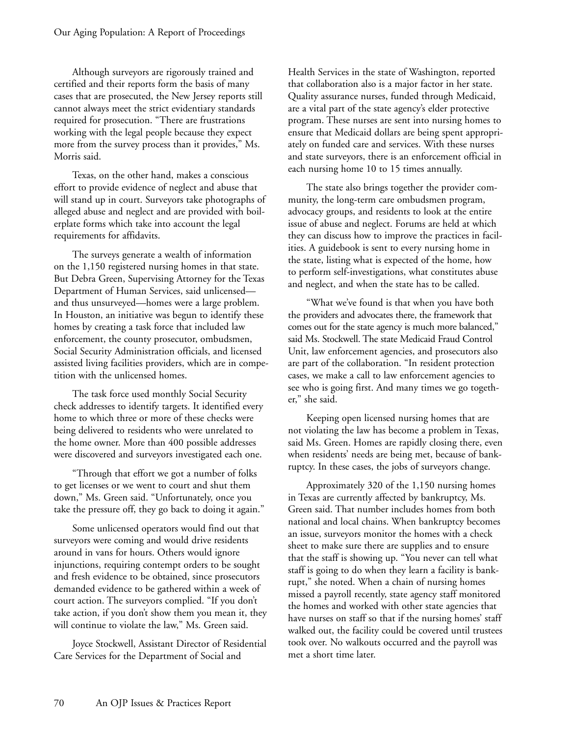Although surveyors are rigorously trained and certified and their reports form the basis of many cases that are prosecuted, the New Jersey reports still cannot always meet the strict evidentiary standards required for prosecution. "There are frustrations working with the legal people because they expect more from the survey process than it provides," Ms. Morris said.

Texas, on the other hand, makes a conscious effort to provide evidence of neglect and abuse that will stand up in court. Surveyors take photographs of alleged abuse and neglect and are provided with boilerplate forms which take into account the legal requirements for affidavits.

The surveys generate a wealth of information on the 1,150 registered nursing homes in that state. But Debra Green, Supervising Attorney for the Texas Department of Human Services, said unlicensed and thus unsurveyed—homes were a large problem. In Houston, an initiative was begun to identify these homes by creating a task force that included law enforcement, the county prosecutor, ombudsmen, Social Security Administration officials, and licensed assisted living facilities providers, which are in competition with the unlicensed homes.

The task force used monthly Social Security check addresses to identify targets. It identified every home to which three or more of these checks were being delivered to residents who were unrelated to the home owner. More than 400 possible addresses were discovered and surveyors investigated each one.

"Through that effort we got a number of folks to get licenses or we went to court and shut them down," Ms. Green said. "Unfortunately, once you take the pressure off, they go back to doing it again."

Some unlicensed operators would find out that surveyors were coming and would drive residents around in vans for hours. Others would ignore injunctions, requiring contempt orders to be sought and fresh evidence to be obtained, since prosecutors demanded evidence to be gathered within a week of court action. The surveyors complied. "If you don't take action, if you don't show them you mean it, they will continue to violate the law," Ms. Green said.

Joyce Stockwell, Assistant Director of Residential Care Services for the Department of Social and

Health Services in the state of Washington, reported that collaboration also is a major factor in her state. Quality assurance nurses, funded through Medicaid, are a vital part of the state agency's elder protective program. These nurses are sent into nursing homes to ensure that Medicaid dollars are being spent appropriately on funded care and services. With these nurses and state surveyors, there is an enforcement official in each nursing home 10 to 15 times annually.

The state also brings together the provider community, the long-term care ombudsmen program, advocacy groups, and residents to look at the entire issue of abuse and neglect. Forums are held at which they can discuss how to improve the practices in facilities. A guidebook is sent to every nursing home in the state, listing what is expected of the home, how to perform self-investigations, what constitutes abuse and neglect, and when the state has to be called.

"What we've found is that when you have both the providers and advocates there, the framework that comes out for the state agency is much more balanced," said Ms. Stockwell. The state Medicaid Fraud Control Unit, law enforcement agencies, and prosecutors also are part of the collaboration. "In resident protection cases, we make a call to law enforcement agencies to see who is going first. And many times we go together," she said.

Keeping open licensed nursing homes that are not violating the law has become a problem in Texas, said Ms. Green. Homes are rapidly closing there, even when residents' needs are being met, because of bankruptcy. In these cases, the jobs of surveyors change.

Approximately 320 of the 1,150 nursing homes in Texas are currently affected by bankruptcy, Ms. Green said. That number includes homes from both national and local chains. When bankruptcy becomes an issue, surveyors monitor the homes with a check sheet to make sure there are supplies and to ensure that the staff is showing up. "You never can tell what staff is going to do when they learn a facility is bankrupt," she noted. When a chain of nursing homes missed a payroll recently, state agency staff monitored the homes and worked with other state agencies that have nurses on staff so that if the nursing homes' staff walked out, the facility could be covered until trustees took over. No walkouts occurred and the payroll was met a short time later.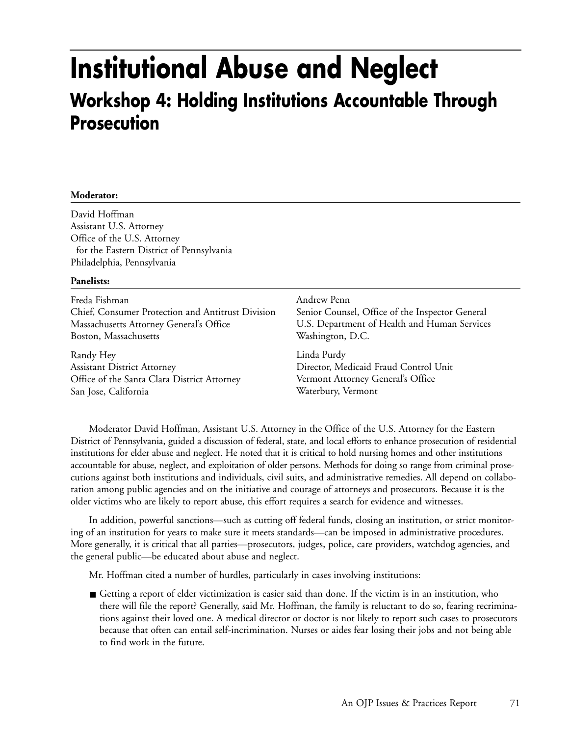### **Institutional Abuse and Neglect Workshop 4: Holding Institutions Accountable Through Prosecution**

### **Moderator:**

David Hoffman Assistant U.S. Attorney Office of the U.S. Attorney for the Eastern District of Pennsylvania Philadelphia, Pennsylvania

### **Panelists:**

| Freda Fishman                                     | Andrew Penn                                     |
|---------------------------------------------------|-------------------------------------------------|
| Chief, Consumer Protection and Antitrust Division | Senior Counsel, Office of the Inspector General |
| Massachusetts Attorney General's Office           | U.S. Department of Health and Human Services    |
| Boston, Massachusetts                             | Washington, D.C.                                |
| Randy Hey                                         | Linda Purdy                                     |
| <b>Assistant District Attorney</b>                | Director, Medicaid Fraud Control Unit           |
| Office of the Santa Clara District Attorney       | Vermont Attorney General's Office               |
| San Jose, California                              | Waterbury, Vermont                              |

Moderator David Hoffman, Assistant U.S. Attorney in the Office of the U.S. Attorney for the Eastern District of Pennsylvania, guided a discussion of federal, state, and local efforts to enhance prosecution of residential institutions for elder abuse and neglect. He noted that it is critical to hold nursing homes and other institutions accountable for abuse, neglect, and exploitation of older persons. Methods for doing so range from criminal prosecutions against both institutions and individuals, civil suits, and administrative remedies. All depend on collaboration among public agencies and on the initiative and courage of attorneys and prosecutors. Because it is the older victims who are likely to report abuse, this effort requires a search for evidence and witnesses.

In addition, powerful sanctions—such as cutting off federal funds, closing an institution, or strict monitoring of an institution for years to make sure it meets standards—can be imposed in administrative procedures. More generally, it is critical that all parties—prosecutors, judges, police, care providers, watchdog agencies, and the general public—be educated about abuse and neglect.

Mr. Hoffman cited a number of hurdles, particularly in cases involving institutions:

■ Getting a report of elder victimization is easier said than done. If the victim is in an institution, who there will file the report? Generally, said Mr. Hoffman, the family is reluctant to do so, fearing recriminations against their loved one. A medical director or doctor is not likely to report such cases to prosecutors because that often can entail self-incrimination. Nurses or aides fear losing their jobs and not being able to find work in the future.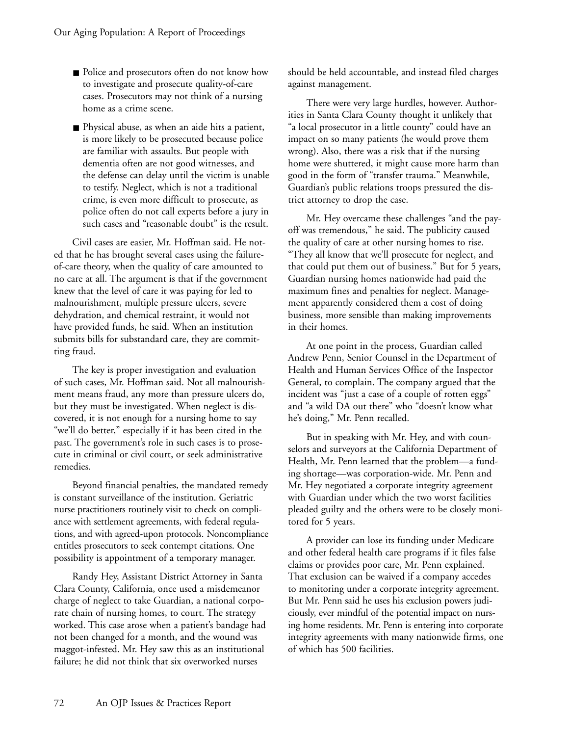- Police and prosecutors often do not know how to investigate and prosecute quality-of-care cases. Prosecutors may not think of a nursing home as a crime scene.
- Physical abuse, as when an aide hits a patient, is more likely to be prosecuted because police are familiar with assaults. But people with dementia often are not good witnesses, and the defense can delay until the victim is unable to testify. Neglect, which is not a traditional crime, is even more difficult to prosecute, as police often do not call experts before a jury in such cases and "reasonable doubt" is the result.

Civil cases are easier, Mr. Hoffman said. He noted that he has brought several cases using the failureof-care theory, when the quality of care amounted to no care at all. The argument is that if the government knew that the level of care it was paying for led to malnourishment, multiple pressure ulcers, severe dehydration, and chemical restraint, it would not have provided funds, he said. When an institution submits bills for substandard care, they are committing fraud.

The key is proper investigation and evaluation of such cases, Mr. Hoffman said. Not all malnourishment means fraud, any more than pressure ulcers do, but they must be investigated. When neglect is discovered, it is not enough for a nursing home to say "we'll do better," especially if it has been cited in the past. The government's role in such cases is to prosecute in criminal or civil court, or seek administrative remedies.

Beyond financial penalties, the mandated remedy is constant surveillance of the institution. Geriatric nurse practitioners routinely visit to check on compliance with settlement agreements, with federal regulations, and with agreed-upon protocols. Noncompliance entitles prosecutors to seek contempt citations. One possibility is appointment of a temporary manager.

Randy Hey, Assistant District Attorney in Santa Clara County, California, once used a misdemeanor charge of neglect to take Guardian, a national corporate chain of nursing homes, to court. The strategy worked. This case arose when a patient's bandage had not been changed for a month, and the wound was maggot-infested. Mr. Hey saw this as an institutional failure; he did not think that six overworked nurses

should be held accountable, and instead filed charges against management.

There were very large hurdles, however. Authorities in Santa Clara County thought it unlikely that "a local prosecutor in a little county" could have an impact on so many patients (he would prove them wrong). Also, there was a risk that if the nursing home were shuttered, it might cause more harm than good in the form of "transfer trauma." Meanwhile, Guardian's public relations troops pressured the district attorney to drop the case.

Mr. Hey overcame these challenges "and the payoff was tremendous," he said. The publicity caused the quality of care at other nursing homes to rise. "They all know that we'll prosecute for neglect, and that could put them out of business." But for 5 years, Guardian nursing homes nationwide had paid the maximum fines and penalties for neglect. Management apparently considered them a cost of doing business, more sensible than making improvements in their homes.

At one point in the process, Guardian called Andrew Penn, Senior Counsel in the Department of Health and Human Services Office of the Inspector General, to complain. The company argued that the incident was "just a case of a couple of rotten eggs" and "a wild DA out there" who "doesn't know what he's doing," Mr. Penn recalled.

But in speaking with Mr. Hey, and with counselors and surveyors at the California Department of Health, Mr. Penn learned that the problem—a funding shortage—was corporation-wide. Mr. Penn and Mr. Hey negotiated a corporate integrity agreement with Guardian under which the two worst facilities pleaded guilty and the others were to be closely monitored for 5 years.

A provider can lose its funding under Medicare and other federal health care programs if it files false claims or provides poor care, Mr. Penn explained. That exclusion can be waived if a company accedes to monitoring under a corporate integrity agreement. But Mr. Penn said he uses his exclusion powers judiciously, ever mindful of the potential impact on nursing home residents. Mr. Penn is entering into corporate integrity agreements with many nationwide firms, one of which has 500 facilities.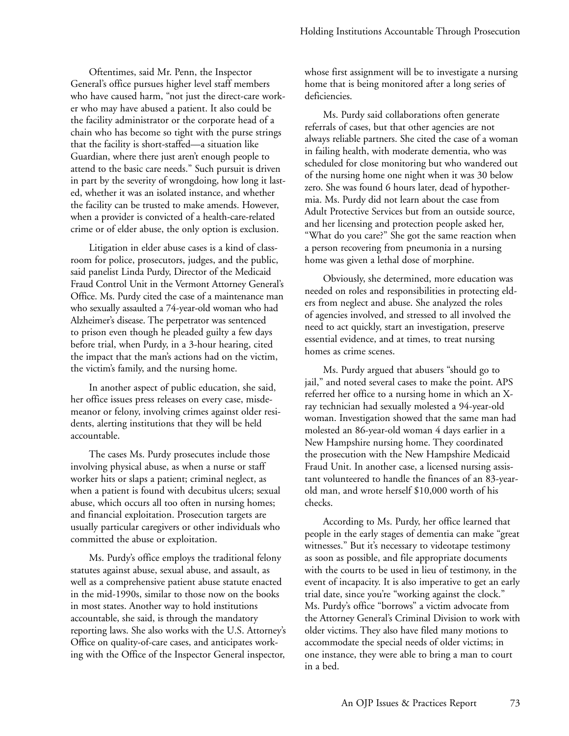Oftentimes, said Mr. Penn, the Inspector General's office pursues higher level staff members who have caused harm, "not just the direct-care worker who may have abused a patient. It also could be the facility administrator or the corporate head of a chain who has become so tight with the purse strings that the facility is short-staffed—a situation like Guardian, where there just aren't enough people to attend to the basic care needs." Such pursuit is driven in part by the severity of wrongdoing, how long it lasted, whether it was an isolated instance, and whether the facility can be trusted to make amends. However, when a provider is convicted of a health-care-related crime or of elder abuse, the only option is exclusion.

Litigation in elder abuse cases is a kind of classroom for police, prosecutors, judges, and the public, said panelist Linda Purdy, Director of the Medicaid Fraud Control Unit in the Vermont Attorney General's Office. Ms. Purdy cited the case of a maintenance man who sexually assaulted a 74-year-old woman who had Alzheimer's disease. The perpetrator was sentenced to prison even though he pleaded guilty a few days before trial, when Purdy, in a 3-hour hearing, cited the impact that the man's actions had on the victim, the victim's family, and the nursing home.

In another aspect of public education, she said, her office issues press releases on every case, misdemeanor or felony, involving crimes against older residents, alerting institutions that they will be held accountable.

The cases Ms. Purdy prosecutes include those involving physical abuse, as when a nurse or staff worker hits or slaps a patient; criminal neglect, as when a patient is found with decubitus ulcers; sexual abuse, which occurs all too often in nursing homes; and financial exploitation. Prosecution targets are usually particular caregivers or other individuals who committed the abuse or exploitation.

Ms. Purdy's office employs the traditional felony statutes against abuse, sexual abuse, and assault, as well as a comprehensive patient abuse statute enacted in the mid-1990s, similar to those now on the books in most states. Another way to hold institutions accountable, she said, is through the mandatory reporting laws. She also works with the U.S. Attorney's Office on quality-of-care cases, and anticipates working with the Office of the Inspector General inspector,

whose first assignment will be to investigate a nursing home that is being monitored after a long series of deficiencies.

Ms. Purdy said collaborations often generate referrals of cases, but that other agencies are not always reliable partners. She cited the case of a woman in failing health, with moderate dementia, who was scheduled for close monitoring but who wandered out of the nursing home one night when it was 30 below zero. She was found 6 hours later, dead of hypothermia. Ms. Purdy did not learn about the case from Adult Protective Services but from an outside source, and her licensing and protection people asked her, "What do you care?" She got the same reaction when a person recovering from pneumonia in a nursing home was given a lethal dose of morphine.

Obviously, she determined, more education was needed on roles and responsibilities in protecting elders from neglect and abuse. She analyzed the roles of agencies involved, and stressed to all involved the need to act quickly, start an investigation, preserve essential evidence, and at times, to treat nursing homes as crime scenes.

Ms. Purdy argued that abusers "should go to jail," and noted several cases to make the point. APS referred her office to a nursing home in which an Xray technician had sexually molested a 94-year-old woman. Investigation showed that the same man had molested an 86-year-old woman 4 days earlier in a New Hampshire nursing home. They coordinated the prosecution with the New Hampshire Medicaid Fraud Unit. In another case, a licensed nursing assistant volunteered to handle the finances of an 83-yearold man, and wrote herself \$10,000 worth of his checks.

According to Ms. Purdy, her office learned that people in the early stages of dementia can make "great witnesses." But it's necessary to videotape testimony as soon as possible, and file appropriate documents with the courts to be used in lieu of testimony, in the event of incapacity. It is also imperative to get an early trial date, since you're "working against the clock." Ms. Purdy's office "borrows" a victim advocate from the Attorney General's Criminal Division to work with older victims. They also have filed many motions to accommodate the special needs of older victims; in one instance, they were able to bring a man to court in a bed.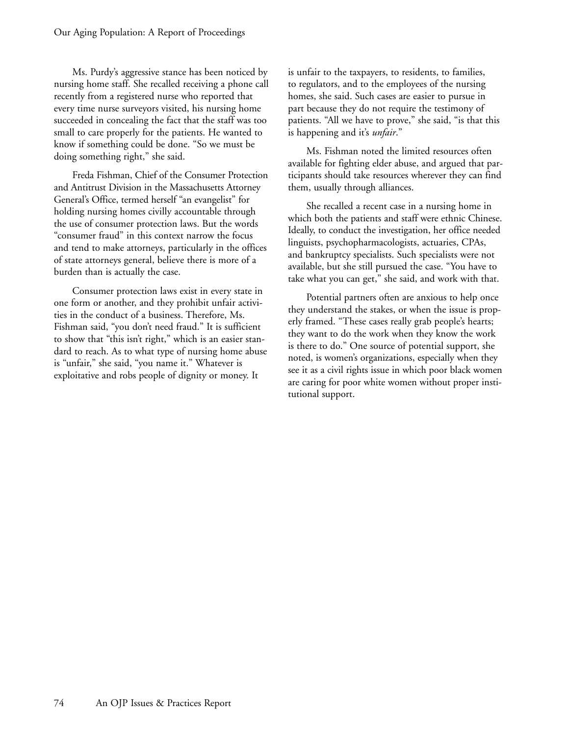Ms. Purdy's aggressive stance has been noticed by nursing home staff. She recalled receiving a phone call recently from a registered nurse who reported that every time nurse surveyors visited, his nursing home succeeded in concealing the fact that the staff was too small to care properly for the patients. He wanted to know if something could be done. "So we must be doing something right," she said.

Freda Fishman, Chief of the Consumer Protection and Antitrust Division in the Massachusetts Attorney General's Office, termed herself "an evangelist" for holding nursing homes civilly accountable through the use of consumer protection laws. But the words "consumer fraud" in this context narrow the focus and tend to make attorneys, particularly in the offices of state attorneys general, believe there is more of a burden than is actually the case.

Consumer protection laws exist in every state in one form or another, and they prohibit unfair activities in the conduct of a business. Therefore, Ms. Fishman said, "you don't need fraud." It is sufficient to show that "this isn't right," which is an easier standard to reach. As to what type of nursing home abuse is "unfair," she said, "you name it." Whatever is exploitative and robs people of dignity or money. It

is unfair to the taxpayers, to residents, to families, to regulators, and to the employees of the nursing homes, she said. Such cases are easier to pursue in part because they do not require the testimony of patients. "All we have to prove," she said, "is that this is happening and it's *unfair*."

Ms. Fishman noted the limited resources often available for fighting elder abuse, and argued that participants should take resources wherever they can find them, usually through alliances.

She recalled a recent case in a nursing home in which both the patients and staff were ethnic Chinese. Ideally, to conduct the investigation, her office needed linguists, psychopharmacologists, actuaries, CPAs, and bankruptcy specialists. Such specialists were not available, but she still pursued the case. "You have to take what you can get," she said, and work with that.

Potential partners often are anxious to help once they understand the stakes, or when the issue is properly framed. "These cases really grab people's hearts; they want to do the work when they know the work is there to do." One source of potential support, she noted, is women's organizations, especially when they see it as a civil rights issue in which poor black women are caring for poor white women without proper institutional support.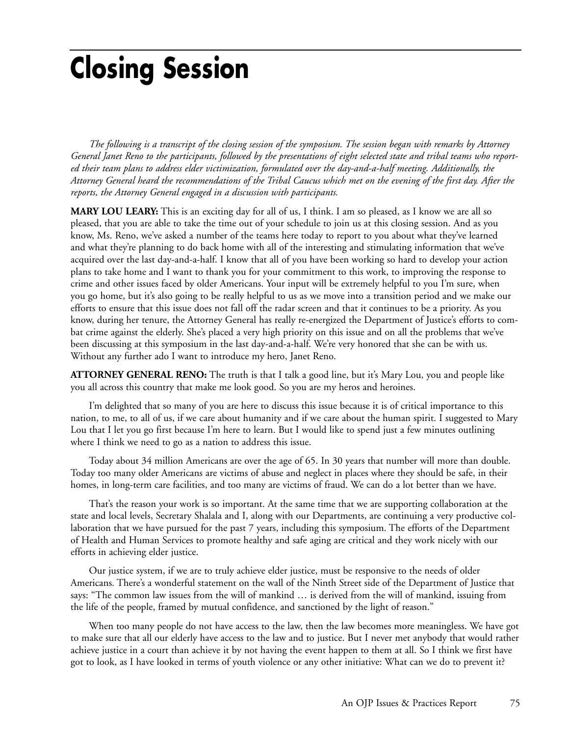# **Closing Session**

*The following is a transcript of the closing session of the symposium. The session began with remarks by Attorney General Janet Reno to the participants, followed by the presentations of eight selected state and tribal teams who reported their team plans to address elder victimization, formulated over the day-and-a-half meeting. Additionally, the Attorney General heard the recommendations of the Tribal Caucus which met on the evening of the first day. After the reports, the Attorney General engaged in a discussion with participants.*

**MARY LOU LEARY:** This is an exciting day for all of us, I think. I am so pleased, as I know we are all so pleased, that you are able to take the time out of your schedule to join us at this closing session. And as you know, Ms. Reno, we've asked a number of the teams here today to report to you about what they've learned and what they're planning to do back home with all of the interesting and stimulating information that we've acquired over the last day-and-a-half. I know that all of you have been working so hard to develop your action plans to take home and I want to thank you for your commitment to this work, to improving the response to crime and other issues faced by older Americans. Your input will be extremely helpful to you I'm sure, when you go home, but it's also going to be really helpful to us as we move into a transition period and we make our efforts to ensure that this issue does not fall off the radar screen and that it continues to be a priority. As you know, during her tenure, the Attorney General has really re-energized the Department of Justice's efforts to combat crime against the elderly. She's placed a very high priority on this issue and on all the problems that we've been discussing at this symposium in the last day-and-a-half. We're very honored that she can be with us. Without any further ado I want to introduce my hero, Janet Reno.

**ATTORNEY GENERAL RENO:** The truth is that I talk a good line, but it's Mary Lou, you and people like you all across this country that make me look good. So you are my heros and heroines.

I'm delighted that so many of you are here to discuss this issue because it is of critical importance to this nation, to me, to all of us, if we care about humanity and if we care about the human spirit. I suggested to Mary Lou that I let you go first because I'm here to learn. But I would like to spend just a few minutes outlining where I think we need to go as a nation to address this issue.

Today about 34 million Americans are over the age of 65. In 30 years that number will more than double. Today too many older Americans are victims of abuse and neglect in places where they should be safe, in their homes, in long-term care facilities, and too many are victims of fraud. We can do a lot better than we have.

That's the reason your work is so important. At the same time that we are supporting collaboration at the state and local levels, Secretary Shalala and I, along with our Departments, are continuing a very productive collaboration that we have pursued for the past 7 years, including this symposium. The efforts of the Department of Health and Human Services to promote healthy and safe aging are critical and they work nicely with our efforts in achieving elder justice.

Our justice system, if we are to truly achieve elder justice, must be responsive to the needs of older Americans. There's a wonderful statement on the wall of the Ninth Street side of the Department of Justice that says: "The common law issues from the will of mankind … is derived from the will of mankind, issuing from the life of the people, framed by mutual confidence, and sanctioned by the light of reason."

When too many people do not have access to the law, then the law becomes more meaningless. We have got to make sure that all our elderly have access to the law and to justice. But I never met anybody that would rather achieve justice in a court than achieve it by not having the event happen to them at all. So I think we first have got to look, as I have looked in terms of youth violence or any other initiative: What can we do to prevent it?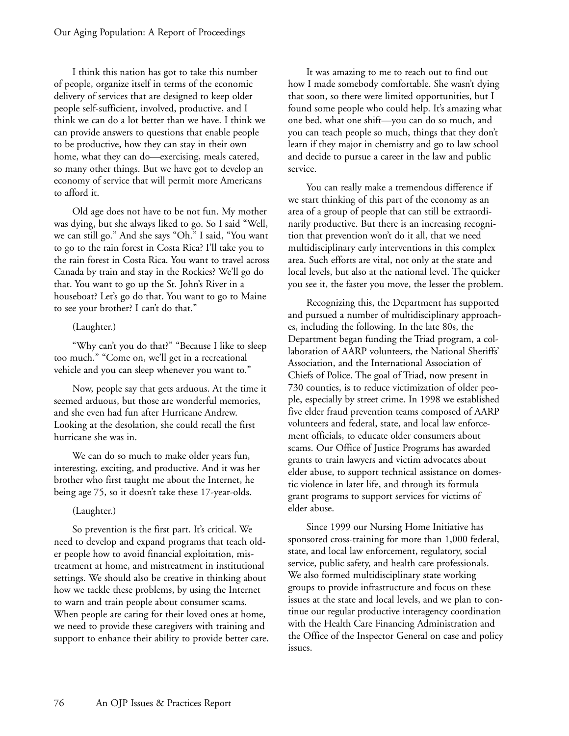I think this nation has got to take this number of people, organize itself in terms of the economic delivery of services that are designed to keep older people self-sufficient, involved, productive, and I think we can do a lot better than we have. I think we can provide answers to questions that enable people to be productive, how they can stay in their own home, what they can do—exercising, meals catered, so many other things. But we have got to develop an economy of service that will permit more Americans to afford it.

Old age does not have to be not fun. My mother was dying, but she always liked to go. So I said "Well, we can still go." And she says "Oh." I said, "You want to go to the rain forest in Costa Rica? I'll take you to the rain forest in Costa Rica. You want to travel across Canada by train and stay in the Rockies? We'll go do that. You want to go up the St. John's River in a houseboat? Let's go do that. You want to go to Maine to see your brother? I can't do that."

## (Laughter.)

"Why can't you do that?" "Because I like to sleep too much." "Come on, we'll get in a recreational vehicle and you can sleep whenever you want to."

Now, people say that gets arduous. At the time it seemed arduous, but those are wonderful memories, and she even had fun after Hurricane Andrew. Looking at the desolation, she could recall the first hurricane she was in.

We can do so much to make older years fun, interesting, exciting, and productive. And it was her brother who first taught me about the Internet, he being age 75, so it doesn't take these 17-year-olds.

## (Laughter.)

So prevention is the first part. It's critical. We need to develop and expand programs that teach older people how to avoid financial exploitation, mistreatment at home, and mistreatment in institutional settings. We should also be creative in thinking about how we tackle these problems, by using the Internet to warn and train people about consumer scams. When people are caring for their loved ones at home, we need to provide these caregivers with training and support to enhance their ability to provide better care.

It was amazing to me to reach out to find out how I made somebody comfortable. She wasn't dying that soon, so there were limited opportunities, but I found some people who could help. It's amazing what one bed, what one shift—you can do so much, and you can teach people so much, things that they don't learn if they major in chemistry and go to law school and decide to pursue a career in the law and public service.

You can really make a tremendous difference if we start thinking of this part of the economy as an area of a group of people that can still be extraordinarily productive. But there is an increasing recognition that prevention won't do it all, that we need multidisciplinary early interventions in this complex area. Such efforts are vital, not only at the state and local levels, but also at the national level. The quicker you see it, the faster you move, the lesser the problem.

Recognizing this, the Department has supported and pursued a number of multidisciplinary approaches, including the following. In the late 80s, the Department began funding the Triad program, a collaboration of AARP volunteers, the National Sheriffs' Association, and the International Association of Chiefs of Police. The goal of Triad, now present in 730 counties, is to reduce victimization of older people, especially by street crime. In 1998 we established five elder fraud prevention teams composed of AARP volunteers and federal, state, and local law enforcement officials, to educate older consumers about scams. Our Office of Justice Programs has awarded grants to train lawyers and victim advocates about elder abuse, to support technical assistance on domestic violence in later life, and through its formula grant programs to support services for victims of elder abuse.

Since 1999 our Nursing Home Initiative has sponsored cross-training for more than 1,000 federal, state, and local law enforcement, regulatory, social service, public safety, and health care professionals. We also formed multidisciplinary state working groups to provide infrastructure and focus on these issues at the state and local levels, and we plan to continue our regular productive interagency coordination with the Health Care Financing Administration and the Office of the Inspector General on case and policy issues.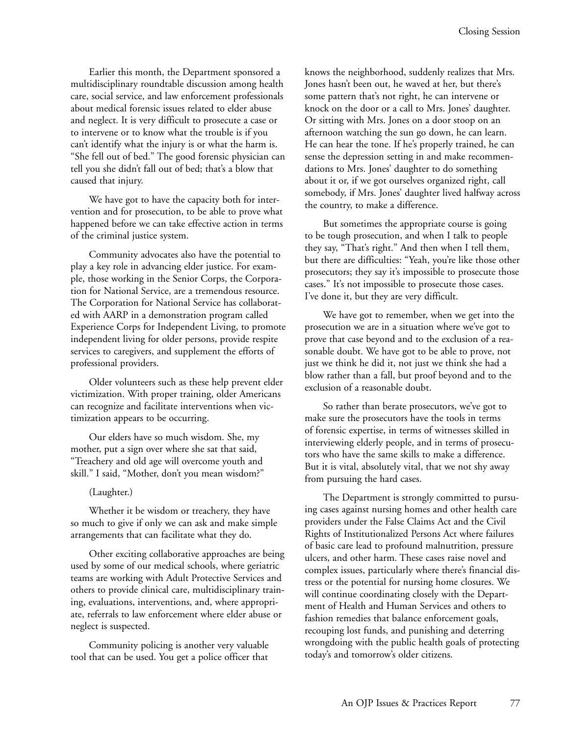Earlier this month, the Department sponsored a multidisciplinary roundtable discussion among health care, social service, and law enforcement professionals about medical forensic issues related to elder abuse and neglect. It is very difficult to prosecute a case or to intervene or to know what the trouble is if you can't identify what the injury is or what the harm is. "She fell out of bed." The good forensic physician can tell you she didn't fall out of bed; that's a blow that caused that injury.

We have got to have the capacity both for intervention and for prosecution, to be able to prove what happened before we can take effective action in terms of the criminal justice system.

Community advocates also have the potential to play a key role in advancing elder justice. For example, those working in the Senior Corps, the Corporation for National Service, are a tremendous resource. The Corporation for National Service has collaborated with AARP in a demonstration program called Experience Corps for Independent Living, to promote independent living for older persons, provide respite services to caregivers, and supplement the efforts of professional providers.

Older volunteers such as these help prevent elder victimization. With proper training, older Americans can recognize and facilitate interventions when victimization appears to be occurring.

Our elders have so much wisdom. She, my mother, put a sign over where she sat that said, "Treachery and old age will overcome youth and skill." I said, "Mother, don't you mean wisdom?"

#### (Laughter.)

Whether it be wisdom or treachery, they have so much to give if only we can ask and make simple arrangements that can facilitate what they do.

Other exciting collaborative approaches are being used by some of our medical schools, where geriatric teams are working with Adult Protective Services and others to provide clinical care, multidisciplinary training, evaluations, interventions, and, where appropriate, referrals to law enforcement where elder abuse or neglect is suspected.

Community policing is another very valuable tool that can be used. You get a police officer that

knows the neighborhood, suddenly realizes that Mrs. Jones hasn't been out, he waved at her, but there's some pattern that's not right, he can intervene or knock on the door or a call to Mrs. Jones' daughter. Or sitting with Mrs. Jones on a door stoop on an afternoon watching the sun go down, he can learn. He can hear the tone. If he's properly trained, he can sense the depression setting in and make recommendations to Mrs. Jones' daughter to do something about it or, if we got ourselves organized right, call somebody, if Mrs. Jones' daughter lived halfway across the country, to make a difference.

But sometimes the appropriate course is going to be tough prosecution, and when I talk to people they say, "That's right." And then when I tell them, but there are difficulties: "Yeah, you're like those other prosecutors; they say it's impossible to prosecute those cases." It's not impossible to prosecute those cases. I've done it, but they are very difficult.

We have got to remember, when we get into the prosecution we are in a situation where we've got to prove that case beyond and to the exclusion of a reasonable doubt. We have got to be able to prove, not just we think he did it, not just we think she had a blow rather than a fall, but proof beyond and to the exclusion of a reasonable doubt.

So rather than berate prosecutors, we've got to make sure the prosecutors have the tools in terms of forensic expertise, in terms of witnesses skilled in interviewing elderly people, and in terms of prosecutors who have the same skills to make a difference. But it is vital, absolutely vital, that we not shy away from pursuing the hard cases.

The Department is strongly committed to pursuing cases against nursing homes and other health care providers under the False Claims Act and the Civil Rights of Institutionalized Persons Act where failures of basic care lead to profound malnutrition, pressure ulcers, and other harm. These cases raise novel and complex issues, particularly where there's financial distress or the potential for nursing home closures. We will continue coordinating closely with the Department of Health and Human Services and others to fashion remedies that balance enforcement goals, recouping lost funds, and punishing and deterring wrongdoing with the public health goals of protecting today's and tomorrow's older citizens.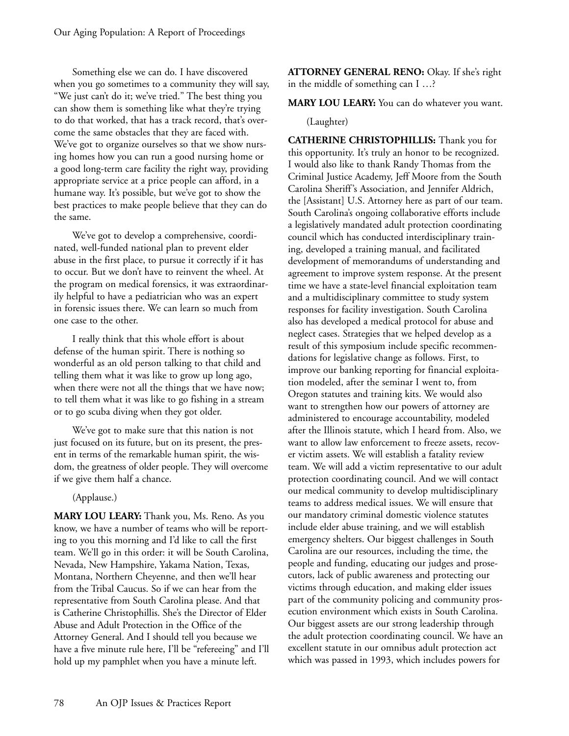Something else we can do. I have discovered when you go sometimes to a community they will say, "We just can't do it; we've tried." The best thing you can show them is something like what they're trying to do that worked, that has a track record, that's overcome the same obstacles that they are faced with. We've got to organize ourselves so that we show nursing homes how you can run a good nursing home or a good long-term care facility the right way, providing appropriate service at a price people can afford, in a humane way. It's possible, but we've got to show the best practices to make people believe that they can do the same.

We've got to develop a comprehensive, coordinated, well-funded national plan to prevent elder abuse in the first place, to pursue it correctly if it has to occur. But we don't have to reinvent the wheel. At the program on medical forensics, it was extraordinarily helpful to have a pediatrician who was an expert in forensic issues there. We can learn so much from one case to the other.

I really think that this whole effort is about defense of the human spirit. There is nothing so wonderful as an old person talking to that child and telling them what it was like to grow up long ago, when there were not all the things that we have now; to tell them what it was like to go fishing in a stream or to go scuba diving when they got older.

We've got to make sure that this nation is not just focused on its future, but on its present, the present in terms of the remarkable human spirit, the wisdom, the greatness of older people. They will overcome if we give them half a chance.

## (Applause.)

**MARY LOU LEARY:** Thank you, Ms. Reno. As you know, we have a number of teams who will be reporting to you this morning and I'd like to call the first team. We'll go in this order: it will be South Carolina, Nevada, New Hampshire, Yakama Nation, Texas, Montana, Northern Cheyenne, and then we'll hear from the Tribal Caucus. So if we can hear from the representative from South Carolina please. And that is Catherine Christophillis. She's the Director of Elder Abuse and Adult Protection in the Office of the Attorney General. And I should tell you because we have a five minute rule here, I'll be "refereeing" and I'll hold up my pamphlet when you have a minute left.

**ATTORNEY GENERAL RENO:** Okay. If she's right in the middle of something can I …?

**MARY LOU LEARY:** You can do whatever you want.

## (Laughter)

**CATHERINE CHRISTOPHILLIS:** Thank you for this opportunity. It's truly an honor to be recognized. I would also like to thank Randy Thomas from the Criminal Justice Academy, Jeff Moore from the South Carolina Sheriff's Association, and Jennifer Aldrich, the [Assistant] U.S. Attorney here as part of our team. South Carolina's ongoing collaborative efforts include a legislatively mandated adult protection coordinating council which has conducted interdisciplinary training, developed a training manual, and facilitated development of memorandums of understanding and agreement to improve system response. At the present time we have a state-level financial exploitation team and a multidisciplinary committee to study system responses for facility investigation. South Carolina also has developed a medical protocol for abuse and neglect cases. Strategies that we helped develop as a result of this symposium include specific recommendations for legislative change as follows. First, to improve our banking reporting for financial exploitation modeled, after the seminar I went to, from Oregon statutes and training kits. We would also want to strengthen how our powers of attorney are administered to encourage accountability, modeled after the Illinois statute, which I heard from. Also, we want to allow law enforcement to freeze assets, recover victim assets. We will establish a fatality review team. We will add a victim representative to our adult protection coordinating council. And we will contact our medical community to develop multidisciplinary teams to address medical issues. We will ensure that our mandatory criminal domestic violence statutes include elder abuse training, and we will establish emergency shelters. Our biggest challenges in South Carolina are our resources, including the time, the people and funding, educating our judges and prosecutors, lack of public awareness and protecting our victims through education, and making elder issues part of the community policing and community prosecution environment which exists in South Carolina. Our biggest assets are our strong leadership through the adult protection coordinating council. We have an excellent statute in our omnibus adult protection act which was passed in 1993, which includes powers for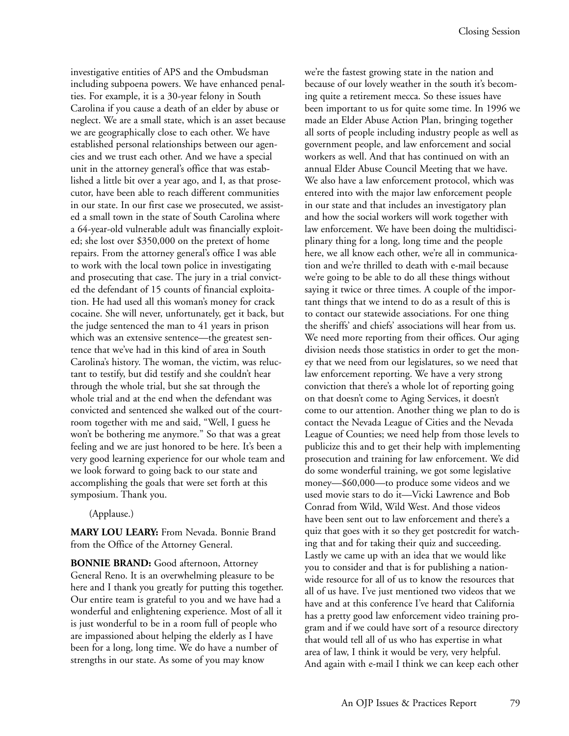investigative entities of APS and the Ombudsman including subpoena powers. We have enhanced penalties. For example, it is a 30-year felony in South Carolina if you cause a death of an elder by abuse or neglect. We are a small state, which is an asset because we are geographically close to each other. We have established personal relationships between our agencies and we trust each other. And we have a special unit in the attorney general's office that was established a little bit over a year ago, and I, as that prosecutor, have been able to reach different communities in our state. In our first case we prosecuted, we assisted a small town in the state of South Carolina where a 64-year-old vulnerable adult was financially exploited; she lost over \$350,000 on the pretext of home repairs. From the attorney general's office I was able to work with the local town police in investigating and prosecuting that case. The jury in a trial convicted the defendant of 15 counts of financial exploitation. He had used all this woman's money for crack cocaine. She will never, unfortunately, get it back, but the judge sentenced the man to 41 years in prison which was an extensive sentence—the greatest sentence that we've had in this kind of area in South Carolina's history. The woman, the victim, was reluctant to testify, but did testify and she couldn't hear through the whole trial, but she sat through the whole trial and at the end when the defendant was convicted and sentenced she walked out of the courtroom together with me and said, "Well, I guess he won't be bothering me anymore." So that was a great feeling and we are just honored to be here. It's been a very good learning experience for our whole team and we look forward to going back to our state and accomplishing the goals that were set forth at this symposium. Thank you.

(Applause.)

**MARY LOU LEARY:** From Nevada. Bonnie Brand from the Office of the Attorney General.

**BONNIE BRAND:** Good afternoon, Attorney General Reno. It is an overwhelming pleasure to be here and I thank you greatly for putting this together. Our entire team is grateful to you and we have had a wonderful and enlightening experience. Most of all it is just wonderful to be in a room full of people who are impassioned about helping the elderly as I have been for a long, long time. We do have a number of strengths in our state. As some of you may know

we're the fastest growing state in the nation and because of our lovely weather in the south it's becoming quite a retirement mecca. So these issues have been important to us for quite some time. In 1996 we made an Elder Abuse Action Plan, bringing together all sorts of people including industry people as well as government people, and law enforcement and social workers as well. And that has continued on with an annual Elder Abuse Council Meeting that we have. We also have a law enforcement protocol, which was entered into with the major law enforcement people in our state and that includes an investigatory plan and how the social workers will work together with law enforcement. We have been doing the multidisciplinary thing for a long, long time and the people here, we all know each other, we're all in communication and we're thrilled to death with e-mail because we're going to be able to do all these things without saying it twice or three times. A couple of the important things that we intend to do as a result of this is to contact our statewide associations. For one thing the sheriffs' and chiefs' associations will hear from us. We need more reporting from their offices. Our aging division needs those statistics in order to get the money that we need from our legislatures, so we need that law enforcement reporting. We have a very strong conviction that there's a whole lot of reporting going on that doesn't come to Aging Services, it doesn't come to our attention. Another thing we plan to do is contact the Nevada League of Cities and the Nevada League of Counties; we need help from those levels to publicize this and to get their help with implementing prosecution and training for law enforcement. We did do some wonderful training, we got some legislative money—\$60,000—to produce some videos and we used movie stars to do it—Vicki Lawrence and Bob Conrad from Wild, Wild West. And those videos have been sent out to law enforcement and there's a quiz that goes with it so they get postcredit for watching that and for taking their quiz and succeeding. Lastly we came up with an idea that we would like you to consider and that is for publishing a nationwide resource for all of us to know the resources that all of us have. I've just mentioned two videos that we have and at this conference I've heard that California has a pretty good law enforcement video training program and if we could have sort of a resource directory that would tell all of us who has expertise in what area of law, I think it would be very, very helpful. And again with e-mail I think we can keep each other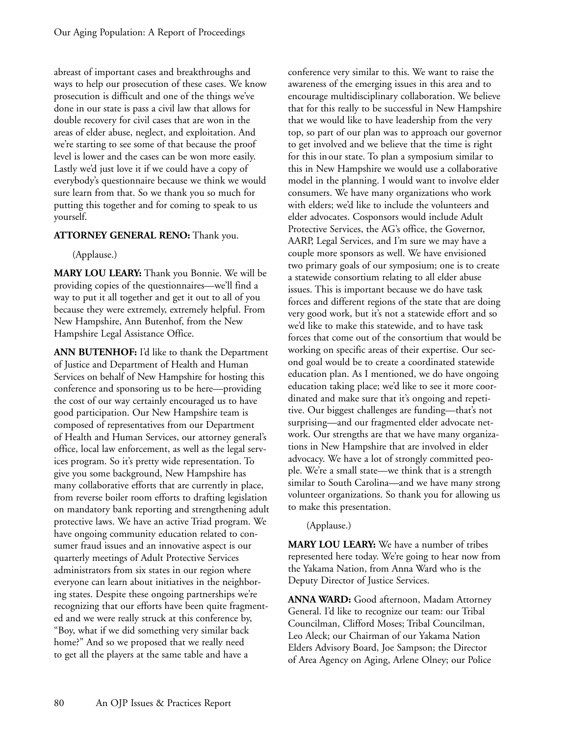abreast of important cases and breakthroughs and ways to help our prosecution of these cases. We know prosecution is difficult and one of the things we've done in our state is pass a civil law that allows for double recovery for civil cases that are won in the areas of elder abuse, neglect, and exploitation. And we're starting to see some of that because the proof level is lower and the cases can be won more easily. Lastly we'd just love it if we could have a copy of everybody's questionnaire because we think we would sure learn from that. So we thank you so much for putting this together and for coming to speak to us yourself.

## **ATTORNEY GENERAL RENO:** Thank you.

(Applause.)

**MARY LOU LEARY:** Thank you Bonnie. We will be providing copies of the questionnaires—we'll find a way to put it all together and get it out to all of you because they were extremely, extremely helpful. From New Hampshire, Ann Butenhof, from the New Hampshire Legal Assistance Office.

**ANN BUTENHOF:** I'd like to thank the Department of Justice and Department of Health and Human Services on behalf of New Hampshire for hosting this conference and sponsoring us to be here—providing the cost of our way certainly encouraged us to have good participation. Our New Hampshire team is composed of representatives from our Department of Health and Human Services, our attorney general's office, local law enforcement, as well as the legal services program. So it's pretty wide representation. To give you some background, New Hampshire has many collaborative efforts that are currently in place, from reverse boiler room efforts to drafting legislation on mandatory bank reporting and strengthening adult protective laws. We have an active Triad program. We have ongoing community education related to consumer fraud issues and an innovative aspect is our quarterly meetings of Adult Protective Services administrators from six states in our region where everyone can learn about initiatives in the neighboring states. Despite these ongoing partnerships we're recognizing that our efforts have been quite fragmented and we were really struck at this conference by, "Boy, what if we did something very similar back home?" And so we proposed that we really need to get all the players at the same table and have a

conference very similar to this. We want to raise the awareness of the emerging issues in this area and to encourage multidisciplinary collaboration. We believe that for this really to be successful in New Hampshire that we would like to have leadership from the very top, so part of our plan was to approach our governor to get involved and we believe that the time is right for this in our state. To plan a symposium similar to this in New Hampshire we would use a collaborative model in the planning. I would want to involve elder consumers. We have many organizations who work with elders; we'd like to include the volunteers and elder advocates. Cosponsors would include Adult Protective Services, the AG's office, the Governor, AARP, Legal Services, and I'm sure we may have a couple more sponsors as well. We have envisioned two primary goals of our symposium; one is to create a statewide consortium relating to all elder abuse issues. This is important because we do have task forces and different regions of the state that are doing very good work, but it's not a statewide effort and so we'd like to make this statewide, and to have task forces that come out of the consortium that would be working on specific areas of their expertise. Our second goal would be to create a coordinated statewide education plan. As I mentioned, we do have ongoing education taking place; we'd like to see it more coordinated and make sure that it's ongoing and repetitive. Our biggest challenges are funding—that's not surprising—and our fragmented elder advocate network. Our strengths are that we have many organizations in New Hampshire that are involved in elder advocacy. We have a lot of strongly committed people. We're a small state—we think that is a strength similar to South Carolina—and we have many strong volunteer organizations. So thank you for allowing us to make this presentation.

## (Applause.)

**MARY LOU LEARY:** We have a number of tribes represented here today. We're going to hear now from the Yakama Nation, from Anna Ward who is the Deputy Director of Justice Services.

**ANNA WARD:** Good afternoon, Madam Attorney General. I'd like to recognize our team: our Tribal Councilman, Clifford Moses; Tribal Councilman, Leo Aleck; our Chairman of our Yakama Nation Elders Advisory Board, Joe Sampson; the Director of Area Agency on Aging, Arlene Olney; our Police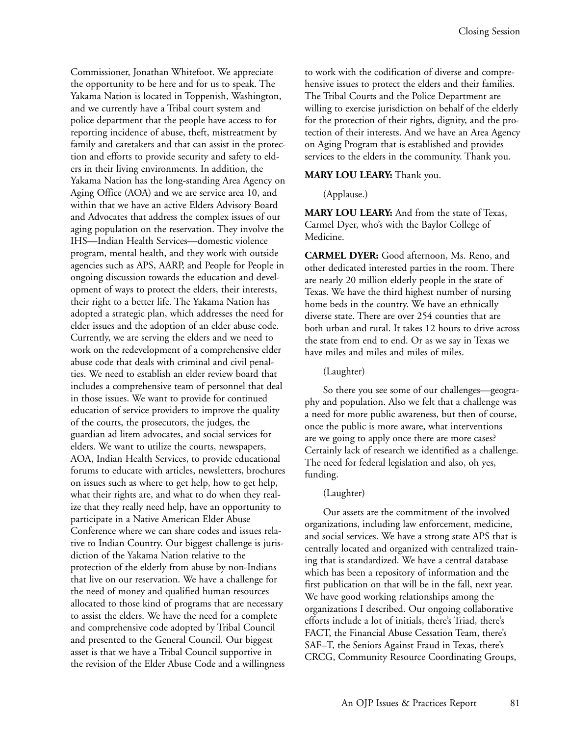Commissioner, Jonathan Whitefoot. We appreciate the opportunity to be here and for us to speak. The Yakama Nation is located in Toppenish, Washington, and we currently have a Tribal court system and police department that the people have access to for reporting incidence of abuse, theft, mistreatment by family and caretakers and that can assist in the protection and efforts to provide security and safety to elders in their living environments. In addition, the Yakama Nation has the long-standing Area Agency on Aging Office (AOA) and we are service area 10, and within that we have an active Elders Advisory Board and Advocates that address the complex issues of our aging population on the reservation. They involve the IHS—Indian Health Services—domestic violence program, mental health, and they work with outside agencies such as APS, AARP, and People for People in ongoing discussion towards the education and development of ways to protect the elders, their interests, their right to a better life. The Yakama Nation has adopted a strategic plan, which addresses the need for elder issues and the adoption of an elder abuse code. Currently, we are serving the elders and we need to work on the redevelopment of a comprehensive elder abuse code that deals with criminal and civil penalties. We need to establish an elder review board that includes a comprehensive team of personnel that deal in those issues. We want to provide for continued education of service providers to improve the quality of the courts, the prosecutors, the judges, the guardian ad litem advocates, and social services for elders. We want to utilize the courts, newspapers, AOA, Indian Health Services, to provide educational forums to educate with articles, newsletters, brochures on issues such as where to get help, how to get help, what their rights are, and what to do when they realize that they really need help, have an opportunity to participate in a Native American Elder Abuse Conference where we can share codes and issues relative to Indian Country. Our biggest challenge is jurisdiction of the Yakama Nation relative to the protection of the elderly from abuse by non-Indians that live on our reservation. We have a challenge for the need of money and qualified human resources allocated to those kind of programs that are necessary to assist the elders. We have the need for a complete and comprehensive code adopted by Tribal Council and presented to the General Council. Our biggest asset is that we have a Tribal Council supportive in the revision of the Elder Abuse Code and a willingness

to work with the codification of diverse and comprehensive issues to protect the elders and their families. The Tribal Courts and the Police Department are willing to exercise jurisdiction on behalf of the elderly for the protection of their rights, dignity, and the protection of their interests. And we have an Area Agency on Aging Program that is established and provides services to the elders in the community. Thank you.

#### **MARY LOU LEARY:** Thank you.

(Applause.)

**MARY LOU LEARY:** And from the state of Texas, Carmel Dyer, who's with the Baylor College of Medicine.

**CARMEL DYER:** Good afternoon, Ms. Reno, and other dedicated interested parties in the room. There are nearly 20 million elderly people in the state of Texas. We have the third highest number of nursing home beds in the country. We have an ethnically diverse state. There are over 254 counties that are both urban and rural. It takes 12 hours to drive across the state from end to end. Or as we say in Texas we have miles and miles and miles of miles.

#### (Laughter)

So there you see some of our challenges—geography and population. Also we felt that a challenge was a need for more public awareness, but then of course, once the public is more aware, what interventions are we going to apply once there are more cases? Certainly lack of research we identified as a challenge. The need for federal legislation and also, oh yes, funding.

#### (Laughter)

Our assets are the commitment of the involved organizations, including law enforcement, medicine, and social services. We have a strong state APS that is centrally located and organized with centralized training that is standardized. We have a central database which has been a repository of information and the first publication on that will be in the fall, next year. We have good working relationships among the organizations I described. Our ongoing collaborative efforts include a lot of initials, there's Triad, there's FACT, the Financial Abuse Cessation Team, there's SAF–T, the Seniors Against Fraud in Texas, there's CRCG, Community Resource Coordinating Groups,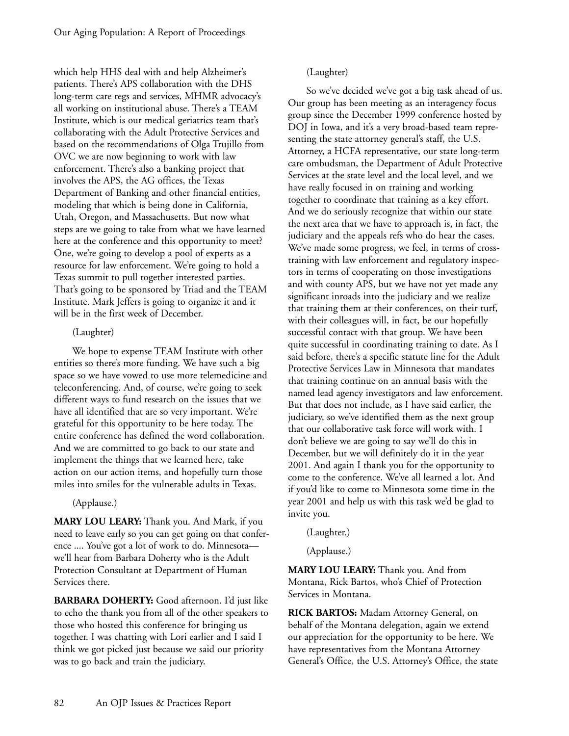which help HHS deal with and help Alzheimer's patients. There's APS collaboration with the DHS long-term care regs and services, MHMR advocacy's all working on institutional abuse. There's a TEAM Institute, which is our medical geriatrics team that's collaborating with the Adult Protective Services and based on the recommendations of Olga Trujillo from OVC we are now beginning to work with law enforcement. There's also a banking project that involves the APS, the AG offices, the Texas Department of Banking and other financial entities, modeling that which is being done in California, Utah, Oregon, and Massachusetts. But now what steps are we going to take from what we have learned here at the conference and this opportunity to meet? One, we're going to develop a pool of experts as a resource for law enforcement. We're going to hold a Texas summit to pull together interested parties. That's going to be sponsored by Triad and the TEAM Institute. Mark Jeffers is going to organize it and it will be in the first week of December.

#### (Laughter)

We hope to expense TEAM Institute with other entities so there's more funding. We have such a big space so we have vowed to use more telemedicine and teleconferencing. And, of course, we're going to seek different ways to fund research on the issues that we have all identified that are so very important. We're grateful for this opportunity to be here today. The entire conference has defined the word collaboration. And we are committed to go back to our state and implement the things that we learned here, take action on our action items, and hopefully turn those miles into smiles for the vulnerable adults in Texas.

#### (Applause.)

**MARY LOU LEARY:** Thank you. And Mark, if you need to leave early so you can get going on that conference .... You've got a lot of work to do. Minnesota we'll hear from Barbara Doherty who is the Adult Protection Consultant at Department of Human Services there.

**BARBARA DOHERTY:** Good afternoon. I'd just like to echo the thank you from all of the other speakers to those who hosted this conference for bringing us together. I was chatting with Lori earlier and I said I think we got picked just because we said our priority was to go back and train the judiciary.

## (Laughter)

So we've decided we've got a big task ahead of us. Our group has been meeting as an interagency focus group since the December 1999 conference hosted by DOJ in Iowa, and it's a very broad-based team representing the state attorney general's staff, the U.S. Attorney, a HCFA representative, our state long-term care ombudsman, the Department of Adult Protective Services at the state level and the local level, and we have really focused in on training and working together to coordinate that training as a key effort. And we do seriously recognize that within our state the next area that we have to approach is, in fact, the judiciary and the appeals refs who do hear the cases. We've made some progress, we feel, in terms of crosstraining with law enforcement and regulatory inspectors in terms of cooperating on those investigations and with county APS, but we have not yet made any significant inroads into the judiciary and we realize that training them at their conferences, on their turf, with their colleagues will, in fact, be our hopefully successful contact with that group. We have been quite successful in coordinating training to date. As I said before, there's a specific statute line for the Adult Protective Services Law in Minnesota that mandates that training continue on an annual basis with the named lead agency investigators and law enforcement. But that does not include, as I have said earlier, the judiciary, so we've identified them as the next group that our collaborative task force will work with. I don't believe we are going to say we'll do this in December, but we will definitely do it in the year 2001. And again I thank you for the opportunity to come to the conference. We've all learned a lot. And if you'd like to come to Minnesota some time in the year 2001 and help us with this task we'd be glad to invite you.

(Laughter.)

(Applause.)

**MARY LOU LEARY:** Thank you. And from Montana, Rick Bartos, who's Chief of Protection Services in Montana.

**RICK BARTOS:** Madam Attorney General, on behalf of the Montana delegation, again we extend our appreciation for the opportunity to be here. We have representatives from the Montana Attorney General's Office, the U.S. Attorney's Office, the state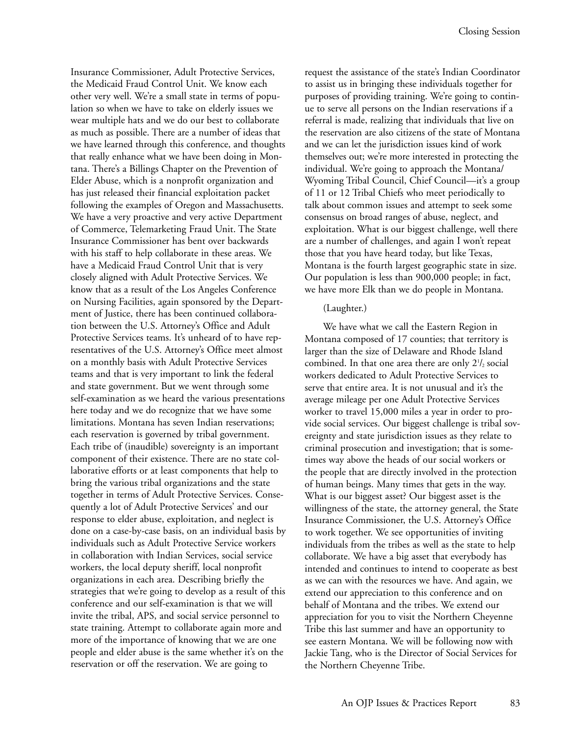Insurance Commissioner, Adult Protective Services, the Medicaid Fraud Control Unit. We know each other very well. We're a small state in terms of population so when we have to take on elderly issues we wear multiple hats and we do our best to collaborate as much as possible. There are a number of ideas that we have learned through this conference, and thoughts that really enhance what we have been doing in Montana. There's a Billings Chapter on the Prevention of Elder Abuse, which is a nonprofit organization and has just released their financial exploitation packet following the examples of Oregon and Massachusetts. We have a very proactive and very active Department of Commerce, Telemarketing Fraud Unit. The State Insurance Commissioner has bent over backwards with his staff to help collaborate in these areas. We have a Medicaid Fraud Control Unit that is very closely aligned with Adult Protective Services. We know that as a result of the Los Angeles Conference on Nursing Facilities, again sponsored by the Department of Justice, there has been continued collaboration between the U.S. Attorney's Office and Adult Protective Services teams. It's unheard of to have representatives of the U.S. Attorney's Office meet almost on a monthly basis with Adult Protective Services teams and that is very important to link the federal and state government. But we went through some self-examination as we heard the various presentations here today and we do recognize that we have some limitations. Montana has seven Indian reservations; each reservation is governed by tribal government. Each tribe of (inaudible) sovereignty is an important component of their existence. There are no state collaborative efforts or at least components that help to bring the various tribal organizations and the state together in terms of Adult Protective Services. Consequently a lot of Adult Protective Services' and our response to elder abuse, exploitation, and neglect is done on a case-by-case basis, on an individual basis by individuals such as Adult Protective Service workers in collaboration with Indian Services, social service workers, the local deputy sheriff, local nonprofit organizations in each area. Describing briefly the strategies that we're going to develop as a result of this conference and our self-examination is that we will invite the tribal, APS, and social service personnel to state training. Attempt to collaborate again more and more of the importance of knowing that we are one people and elder abuse is the same whether it's on the reservation or off the reservation. We are going to

request the assistance of the state's Indian Coordinator to assist us in bringing these individuals together for purposes of providing training. We're going to continue to serve all persons on the Indian reservations if a referral is made, realizing that individuals that live on the reservation are also citizens of the state of Montana and we can let the jurisdiction issues kind of work themselves out; we're more interested in protecting the individual. We're going to approach the Montana/ Wyoming Tribal Council, Chief Council—it's a group of 11 or 12 Tribal Chiefs who meet periodically to talk about common issues and attempt to seek some consensus on broad ranges of abuse, neglect, and exploitation. What is our biggest challenge, well there are a number of challenges, and again I won't repeat those that you have heard today, but like Texas, Montana is the fourth largest geographic state in size. Our population is less than 900,000 people; in fact, we have more Elk than we do people in Montana.

#### (Laughter.)

We have what we call the Eastern Region in Montana composed of 17 counties; that territory is larger than the size of Delaware and Rhode Island combined. In that one area there are only  $2^{1/2}$  social workers dedicated to Adult Protective Services to serve that entire area. It is not unusual and it's the average mileage per one Adult Protective Services worker to travel 15,000 miles a year in order to provide social services. Our biggest challenge is tribal sovereignty and state jurisdiction issues as they relate to criminal prosecution and investigation; that is sometimes way above the heads of our social workers or the people that are directly involved in the protection of human beings. Many times that gets in the way. What is our biggest asset? Our biggest asset is the willingness of the state, the attorney general, the State Insurance Commissioner, the U.S. Attorney's Office to work together. We see opportunities of inviting individuals from the tribes as well as the state to help collaborate. We have a big asset that everybody has intended and continues to intend to cooperate as best as we can with the resources we have. And again, we extend our appreciation to this conference and on behalf of Montana and the tribes. We extend our appreciation for you to visit the Northern Cheyenne Tribe this last summer and have an opportunity to see eastern Montana. We will be following now with Jackie Tang, who is the Director of Social Services for the Northern Cheyenne Tribe.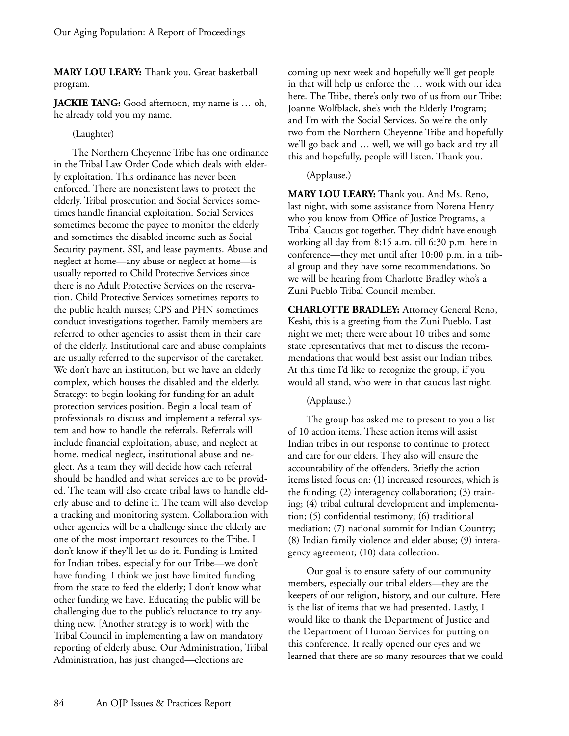**MARY LOU LEARY:** Thank you. Great basketball program.

**JACKIE TANG:** Good afternoon, my name is … oh, he already told you my name.

## (Laughter)

The Northern Cheyenne Tribe has one ordinance in the Tribal Law Order Code which deals with elderly exploitation. This ordinance has never been enforced. There are nonexistent laws to protect the elderly. Tribal prosecution and Social Services sometimes handle financial exploitation. Social Services sometimes become the payee to monitor the elderly and sometimes the disabled income such as Social Security payment, SSI, and lease payments. Abuse and neglect at home—any abuse or neglect at home—is usually reported to Child Protective Services since there is no Adult Protective Services on the reservation. Child Protective Services sometimes reports to the public health nurses; CPS and PHN sometimes conduct investigations together. Family members are referred to other agencies to assist them in their care of the elderly. Institutional care and abuse complaints are usually referred to the supervisor of the caretaker. We don't have an institution, but we have an elderly complex, which houses the disabled and the elderly. Strategy: to begin looking for funding for an adult protection services position. Begin a local team of professionals to discuss and implement a referral system and how to handle the referrals. Referrals will include financial exploitation, abuse, and neglect at home, medical neglect, institutional abuse and neglect. As a team they will decide how each referral should be handled and what services are to be provided. The team will also create tribal laws to handle elderly abuse and to define it. The team will also develop a tracking and monitoring system. Collaboration with other agencies will be a challenge since the elderly are one of the most important resources to the Tribe. I don't know if they'll let us do it. Funding is limited for Indian tribes, especially for our Tribe—we don't have funding. I think we just have limited funding from the state to feed the elderly; I don't know what other funding we have. Educating the public will be challenging due to the public's reluctance to try anything new. [Another strategy is to work] with the Tribal Council in implementing a law on mandatory reporting of elderly abuse. Our Administration, Tribal Administration, has just changed—elections are

coming up next week and hopefully we'll get people in that will help us enforce the … work with our idea here. The Tribe, there's only two of us from our Tribe: Joanne Wolfblack, she's with the Elderly Program; and I'm with the Social Services. So we're the only two from the Northern Cheyenne Tribe and hopefully we'll go back and … well, we will go back and try all this and hopefully, people will listen. Thank you.

## (Applause.)

**MARY LOU LEARY:** Thank you. And Ms. Reno, last night, with some assistance from Norena Henry who you know from Office of Justice Programs, a Tribal Caucus got together. They didn't have enough working all day from 8:15 a.m. till 6:30 p.m. here in conference—they met until after 10:00 p.m. in a tribal group and they have some recommendations. So we will be hearing from Charlotte Bradley who's a Zuni Pueblo Tribal Council member.

**CHARLOTTE BRADLEY:** Attorney General Reno, Keshi, this is a greeting from the Zuni Pueblo. Last night we met; there were about 10 tribes and some state representatives that met to discuss the recommendations that would best assist our Indian tribes. At this time I'd like to recognize the group, if you would all stand, who were in that caucus last night.

#### (Applause.)

The group has asked me to present to you a list of 10 action items. These action items will assist Indian tribes in our response to continue to protect and care for our elders. They also will ensure the accountability of the offenders. Briefly the action items listed focus on: (1) increased resources, which is the funding; (2) interagency collaboration; (3) training; (4) tribal cultural development and implementation; (5) confidential testimony; (6) traditional mediation; (7) national summit for Indian Country; (8) Indian family violence and elder abuse; (9) interagency agreement; (10) data collection.

Our goal is to ensure safety of our community members, especially our tribal elders—they are the keepers of our religion, history, and our culture. Here is the list of items that we had presented. Lastly, I would like to thank the Department of Justice and the Department of Human Services for putting on this conference. It really opened our eyes and we learned that there are so many resources that we could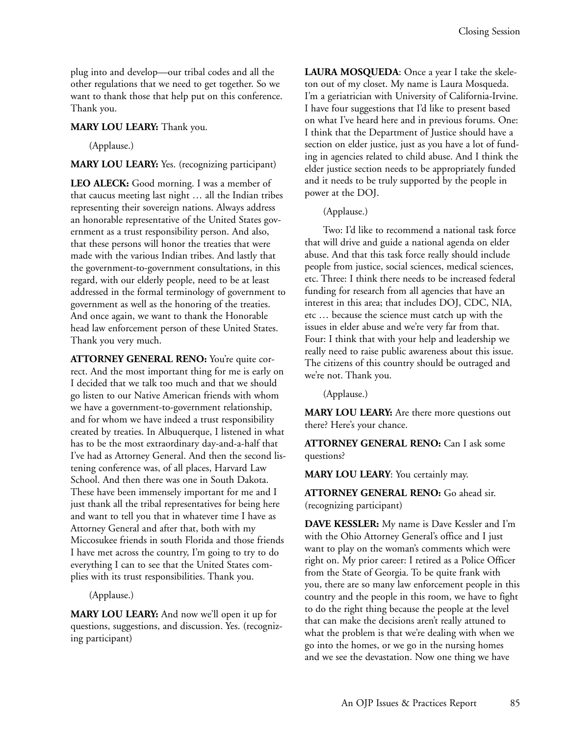plug into and develop—our tribal codes and all the other regulations that we need to get together. So we want to thank those that help put on this conference. Thank you.

## **MARY LOU LEARY:** Thank you.

(Applause.)

## **MARY LOU LEARY:** Yes. (recognizing participant)

**LEO ALECK:** Good morning. I was a member of that caucus meeting last night … all the Indian tribes representing their sovereign nations. Always address an honorable representative of the United States government as a trust responsibility person. And also, that these persons will honor the treaties that were made with the various Indian tribes. And lastly that the government-to-government consultations, in this regard, with our elderly people, need to be at least addressed in the formal terminology of government to government as well as the honoring of the treaties. And once again, we want to thank the Honorable head law enforcement person of these United States. Thank you very much.

**ATTORNEY GENERAL RENO:** You're quite correct. And the most important thing for me is early on I decided that we talk too much and that we should go listen to our Native American friends with whom we have a government-to-government relationship, and for whom we have indeed a trust responsibility created by treaties. In Albuquerque, I listened in what has to be the most extraordinary day-and-a-half that I've had as Attorney General. And then the second listening conference was, of all places, Harvard Law School. And then there was one in South Dakota. These have been immensely important for me and I just thank all the tribal representatives for being here and want to tell you that in whatever time I have as Attorney General and after that, both with my Miccosukee friends in south Florida and those friends I have met across the country, I'm going to try to do everything I can to see that the United States complies with its trust responsibilities. Thank you.

(Applause.)

**MARY LOU LEARY:** And now we'll open it up for questions, suggestions, and discussion. Yes. (recognizing participant)

**LAURA MOSQUEDA**: Once a year I take the skeleton out of my closet. My name is Laura Mosqueda. I'm a geriatrician with University of California-Irvine. I have four suggestions that I'd like to present based on what I've heard here and in previous forums. One: I think that the Department of Justice should have a section on elder justice, just as you have a lot of funding in agencies related to child abuse. And I think the elder justice section needs to be appropriately funded and it needs to be truly supported by the people in power at the DOJ.

(Applause.)

Two: I'd like to recommend a national task force that will drive and guide a national agenda on elder abuse. And that this task force really should include people from justice, social sciences, medical sciences, etc. Three: I think there needs to be increased federal funding for research from all agencies that have an interest in this area; that includes DOJ, CDC, NIA, etc … because the science must catch up with the issues in elder abuse and we're very far from that. Four: I think that with your help and leadership we really need to raise public awareness about this issue. The citizens of this country should be outraged and we're not. Thank you.

(Applause.)

**MARY LOU LEARY:** Are there more questions out there? Here's your chance.

**ATTORNEY GENERAL RENO:** Can I ask some questions?

**MARY LOU LEARY**: You certainly may.

**ATTORNEY GENERAL RENO:** Go ahead sir. (recognizing participant)

**DAVE KESSLER:** My name is Dave Kessler and I'm with the Ohio Attorney General's office and I just want to play on the woman's comments which were right on. My prior career: I retired as a Police Officer from the State of Georgia. To be quite frank with you, there are so many law enforcement people in this country and the people in this room, we have to fight to do the right thing because the people at the level that can make the decisions aren't really attuned to what the problem is that we're dealing with when we go into the homes, or we go in the nursing homes and we see the devastation. Now one thing we have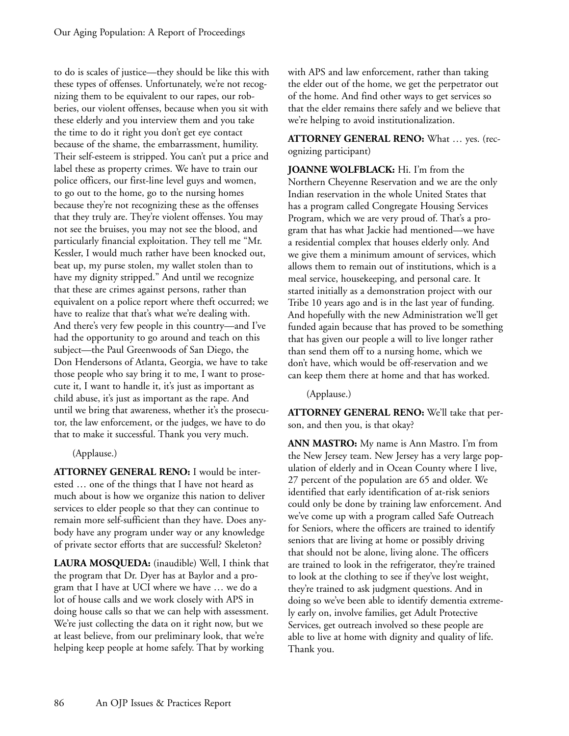to do is scales of justice—they should be like this with these types of offenses. Unfortunately, we're not recognizing them to be equivalent to our rapes, our robberies, our violent offenses, because when you sit with these elderly and you interview them and you take the time to do it right you don't get eye contact because of the shame, the embarrassment, humility. Their self-esteem is stripped. You can't put a price and label these as property crimes. We have to train our police officers, our first-line level guys and women, to go out to the home, go to the nursing homes because they're not recognizing these as the offenses that they truly are. They're violent offenses. You may not see the bruises, you may not see the blood, and particularly financial exploitation. They tell me "Mr. Kessler, I would much rather have been knocked out, beat up, my purse stolen, my wallet stolen than to have my dignity stripped." And until we recognize that these are crimes against persons, rather than equivalent on a police report where theft occurred; we have to realize that that's what we're dealing with. And there's very few people in this country—and I've had the opportunity to go around and teach on this subject—the Paul Greenwoods of San Diego, the Don Hendersons of Atlanta, Georgia, we have to take those people who say bring it to me, I want to prosecute it, I want to handle it, it's just as important as child abuse, it's just as important as the rape. And until we bring that awareness, whether it's the prosecutor, the law enforcement, or the judges, we have to do that to make it successful. Thank you very much.

(Applause.)

**ATTORNEY GENERAL RENO:** I would be interested … one of the things that I have not heard as much about is how we organize this nation to deliver services to elder people so that they can continue to remain more self-sufficient than they have. Does anybody have any program under way or any knowledge of private sector efforts that are successful? Skeleton?

**LAURA MOSQUEDA:** (inaudible) Well, I think that the program that Dr. Dyer has at Baylor and a program that I have at UCI where we have … we do a lot of house calls and we work closely with APS in doing house calls so that we can help with assessment. We're just collecting the data on it right now, but we at least believe, from our preliminary look, that we're helping keep people at home safely. That by working

with APS and law enforcement, rather than taking the elder out of the home, we get the perpetrator out of the home. And find other ways to get services so that the elder remains there safely and we believe that we're helping to avoid institutionalization.

**ATTORNEY GENERAL RENO:** What … yes. (recognizing participant)

**JOANNE WOLFBLACK:** Hi. I'm from the Northern Cheyenne Reservation and we are the only Indian reservation in the whole United States that has a program called Congregate Housing Services Program, which we are very proud of. That's a program that has what Jackie had mentioned—we have a residential complex that houses elderly only. And we give them a minimum amount of services, which allows them to remain out of institutions, which is a meal service, housekeeping, and personal care. It started initially as a demonstration project with our Tribe 10 years ago and is in the last year of funding. And hopefully with the new Administration we'll get funded again because that has proved to be something that has given our people a will to live longer rather than send them off to a nursing home, which we don't have, which would be off-reservation and we can keep them there at home and that has worked.

(Applause.)

**ATTORNEY GENERAL RENO:** We'll take that person, and then you, is that okay?

**ANN MASTRO:** My name is Ann Mastro. I'm from the New Jersey team. New Jersey has a very large population of elderly and in Ocean County where I live, 27 percent of the population are 65 and older. We identified that early identification of at-risk seniors could only be done by training law enforcement. And we've come up with a program called Safe Outreach for Seniors, where the officers are trained to identify seniors that are living at home or possibly driving that should not be alone, living alone. The officers are trained to look in the refrigerator, they're trained to look at the clothing to see if they've lost weight, they're trained to ask judgment questions. And in doing so we've been able to identify dementia extremely early on, involve families, get Adult Protective Services, get outreach involved so these people are able to live at home with dignity and quality of life. Thank you.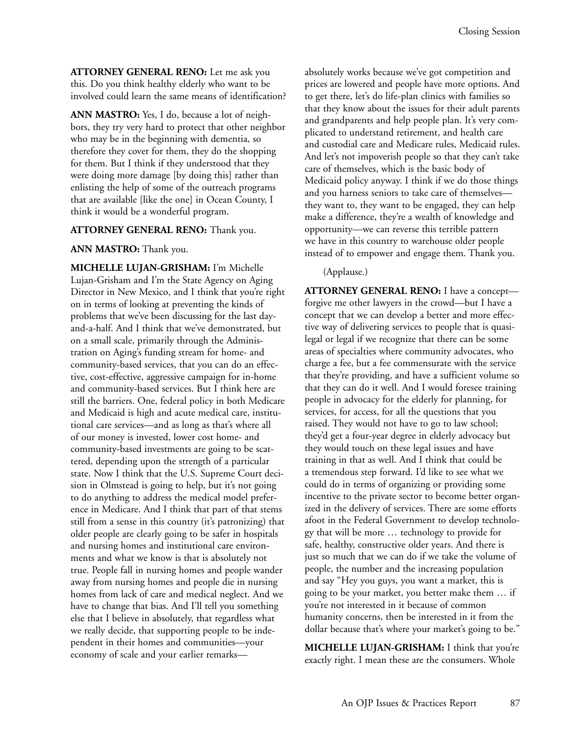**ATTORNEY GENERAL RENO:** Let me ask you this. Do you think healthy elderly who want to be involved could learn the same means of identification?

**ANN MASTRO:** Yes, I do, because a lot of neighbors, they try very hard to protect that other neighbor who may be in the beginning with dementia, so therefore they cover for them, they do the shopping for them. But I think if they understood that they were doing more damage [by doing this] rather than enlisting the help of some of the outreach programs that are available [like the one] in Ocean County, I think it would be a wonderful program.

#### **ATTORNEY GENERAL RENO:** Thank you.

#### **ANN MASTRO:** Thank you.

**MICHELLE LUJAN-GRISHAM:** I'm Michelle Lujan-Grisham and I'm the State Agency on Aging Director in New Mexico, and I think that you're right on in terms of looking at preventing the kinds of problems that we've been discussing for the last dayand-a-half. And I think that we've demonstrated, but on a small scale, primarily through the Administration on Aging's funding stream for home- and community-based services, that you can do an effective, cost-effective, aggressive campaign for in-home and community-based services. But I think here are still the barriers. One, federal policy in both Medicare and Medicaid is high and acute medical care, institutional care services—and as long as that's where all of our money is invested, lower cost home- and community-based investments are going to be scattered, depending upon the strength of a particular state. Now I think that the U.S. Supreme Court decision in Olmstead is going to help, but it's not going to do anything to address the medical model preference in Medicare. And I think that part of that stems still from a sense in this country (it's patronizing) that older people are clearly going to be safer in hospitals and nursing homes and institutional care environments and what we know is that is absolutely not true. People fall in nursing homes and people wander away from nursing homes and people die in nursing homes from lack of care and medical neglect. And we have to change that bias. And I'll tell you something else that I believe in absolutely, that regardless what we really decide, that supporting people to be independent in their homes and communities—your economy of scale and your earlier remarksabsolutely works because we've got competition and prices are lowered and people have more options. And to get there, let's do life-plan clinics with families so that they know about the issues for their adult parents and grandparents and help people plan. It's very complicated to understand retirement, and health care and custodial care and Medicare rules, Medicaid rules. And let's not impoverish people so that they can't take care of themselves, which is the basic body of Medicaid policy anyway. I think if we do those things and you harness seniors to take care of themselves they want to, they want to be engaged, they can help make a difference, they're a wealth of knowledge and opportunity—we can reverse this terrible pattern we have in this country to warehouse older people instead of to empower and engage them. Thank you.

#### (Applause.)

**ATTORNEY GENERAL RENO:** I have a concept forgive me other lawyers in the crowd—but I have a concept that we can develop a better and more effective way of delivering services to people that is quasilegal or legal if we recognize that there can be some areas of specialties where community advocates, who charge a fee, but a fee commensurate with the service that they're providing, and have a sufficient volume so that they can do it well. And I would foresee training people in advocacy for the elderly for planning, for services, for access, for all the questions that you raised. They would not have to go to law school; they'd get a four-year degree in elderly advocacy but they would touch on these legal issues and have training in that as well. And I think that could be a tremendous step forward. I'd like to see what we could do in terms of organizing or providing some incentive to the private sector to become better organized in the delivery of services. There are some efforts afoot in the Federal Government to develop technology that will be more … technology to provide for safe, healthy, constructive older years. And there is just so much that we can do if we take the volume of people, the number and the increasing population and say "Hey you guys, you want a market, this is going to be your market, you better make them … if you're not interested in it because of common humanity concerns, then be interested in it from the dollar because that's where your market's going to be."

**MICHELLE LUJAN-GRISHAM:** I think that you're exactly right. I mean these are the consumers. Whole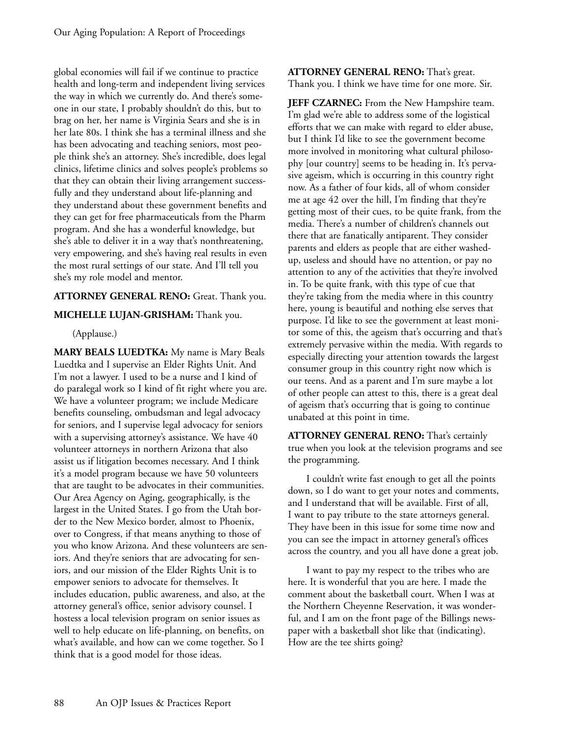global economies will fail if we continue to practice health and long-term and independent living services the way in which we currently do. And there's someone in our state, I probably shouldn't do this, but to brag on her, her name is Virginia Sears and she is in her late 80s. I think she has a terminal illness and she has been advocating and teaching seniors, most people think she's an attorney. She's incredible, does legal clinics, lifetime clinics and solves people's problems so that they can obtain their living arrangement successfully and they understand about life-planning and they understand about these government benefits and they can get for free pharmaceuticals from the Pharm program. And she has a wonderful knowledge, but she's able to deliver it in a way that's nonthreatening, very empowering, and she's having real results in even the most rural settings of our state. And I'll tell you she's my role model and mentor.

## **ATTORNEY GENERAL RENO:** Great. Thank you.

## **MICHELLE LUJAN-GRISHAM:** Thank you.

(Applause.)

**MARY BEALS LUEDTKA:** My name is Mary Beals Luedtka and I supervise an Elder Rights Unit. And I'm not a lawyer. I used to be a nurse and I kind of do paralegal work so I kind of fit right where you are. We have a volunteer program; we include Medicare benefits counseling, ombudsman and legal advocacy for seniors, and I supervise legal advocacy for seniors with a supervising attorney's assistance. We have 40 volunteer attorneys in northern Arizona that also assist us if litigation becomes necessary. And I think it's a model program because we have 50 volunteers that are taught to be advocates in their communities. Our Area Agency on Aging, geographically, is the largest in the United States. I go from the Utah border to the New Mexico border, almost to Phoenix, over to Congress, if that means anything to those of you who know Arizona. And these volunteers are seniors. And they're seniors that are advocating for seniors, and our mission of the Elder Rights Unit is to empower seniors to advocate for themselves. It includes education, public awareness, and also, at the attorney general's office, senior advisory counsel. I hostess a local television program on senior issues as well to help educate on life-planning, on benefits, on what's available, and how can we come together. So I think that is a good model for those ideas.

**ATTORNEY GENERAL RENO:** That's great. Thank you. I think we have time for one more. Sir.

**JEFF CZARNEC:** From the New Hampshire team. I'm glad we're able to address some of the logistical efforts that we can make with regard to elder abuse, but I think I'd like to see the government become more involved in monitoring what cultural philosophy [our country] seems to be heading in. It's pervasive ageism, which is occurring in this country right now. As a father of four kids, all of whom consider me at age 42 over the hill, I'm finding that they're getting most of their cues, to be quite frank, from the media. There's a number of children's channels out there that are fanatically antiparent. They consider parents and elders as people that are either washedup, useless and should have no attention, or pay no attention to any of the activities that they're involved in. To be quite frank, with this type of cue that they're taking from the media where in this country here, young is beautiful and nothing else serves that purpose. I'd like to see the government at least monitor some of this, the ageism that's occurring and that's extremely pervasive within the media. With regards to especially directing your attention towards the largest consumer group in this country right now which is our teens. And as a parent and I'm sure maybe a lot of other people can attest to this, there is a great deal of ageism that's occurring that is going to continue unabated at this point in time.

**ATTORNEY GENERAL RENO:** That's certainly true when you look at the television programs and see the programming.

I couldn't write fast enough to get all the points down, so I do want to get your notes and comments, and I understand that will be available. First of all, I want to pay tribute to the state attorneys general. They have been in this issue for some time now and you can see the impact in attorney general's offices across the country, and you all have done a great job.

I want to pay my respect to the tribes who are here. It is wonderful that you are here. I made the comment about the basketball court. When I was at the Northern Cheyenne Reservation, it was wonderful, and I am on the front page of the Billings newspaper with a basketball shot like that (indicating). How are the tee shirts going?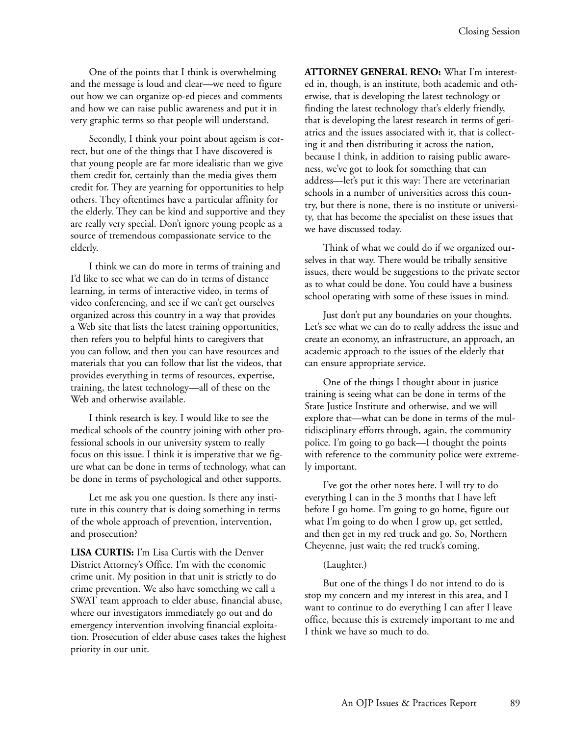One of the points that I think is overwhelming and the message is loud and clear—we need to figure out how we can organize op-ed pieces and comments and how we can raise public awareness and put it in very graphic terms so that people will understand.

Secondly, I think your point about ageism is correct, but one of the things that I have discovered is that young people are far more idealistic than we give them credit for, certainly than the media gives them credit for. They are yearning for opportunities to help others. They oftentimes have a particular affinity for the elderly. They can be kind and supportive and they are really very special. Don't ignore young people as a source of tremendous compassionate service to the elderly.

I think we can do more in terms of training and I'd like to see what we can do in terms of distance learning, in terms of interactive video, in terms of video conferencing, and see if we can't get ourselves organized across this country in a way that provides a Web site that lists the latest training opportunities, then refers you to helpful hints to caregivers that you can follow, and then you can have resources and materials that you can follow that list the videos, that provides everything in terms of resources, expertise, training, the latest technology—all of these on the Web and otherwise available.

I think research is key. I would like to see the medical schools of the country joining with other professional schools in our university system to really focus on this issue. I think it is imperative that we figure what can be done in terms of technology, what can be done in terms of psychological and other supports.

Let me ask you one question. Is there any institute in this country that is doing something in terms of the whole approach of prevention, intervention, and prosecution?

**LISA CURTIS:** I'm Lisa Curtis with the Denver District Attorney's Office. I'm with the economic crime unit. My position in that unit is strictly to do crime prevention. We also have something we call a SWAT team approach to elder abuse, financial abuse, where our investigators immediately go out and do emergency intervention involving financial exploitation. Prosecution of elder abuse cases takes the highest priority in our unit.

**ATTORNEY GENERAL RENO:** What I'm interested in, though, is an institute, both academic and otherwise, that is developing the latest technology or finding the latest technology that's elderly friendly, that is developing the latest research in terms of geriatrics and the issues associated with it, that is collecting it and then distributing it across the nation, because I think, in addition to raising public awareness, we've got to look for something that can address—let's put it this way: There are veterinarian schools in a number of universities across this country, but there is none, there is no institute or university, that has become the specialist on these issues that we have discussed today.

Think of what we could do if we organized ourselves in that way. There would be tribally sensitive issues, there would be suggestions to the private sector as to what could be done. You could have a business school operating with some of these issues in mind.

Just don't put any boundaries on your thoughts. Let's see what we can do to really address the issue and create an economy, an infrastructure, an approach, an academic approach to the issues of the elderly that can ensure appropriate service.

One of the things I thought about in justice training is seeing what can be done in terms of the State Justice Institute and otherwise, and we will explore that—what can be done in terms of the multidisciplinary efforts through, again, the community police. I'm going to go back—I thought the points with reference to the community police were extremely important.

I've got the other notes here. I will try to do everything I can in the 3 months that I have left before I go home. I'm going to go home, figure out what I'm going to do when I grow up, get settled, and then get in my red truck and go. So, Northern Cheyenne, just wait; the red truck's coming.

#### (Laughter.)

But one of the things I do not intend to do is stop my concern and my interest in this area, and I want to continue to do everything I can after I leave office, because this is extremely important to me and I think we have so much to do.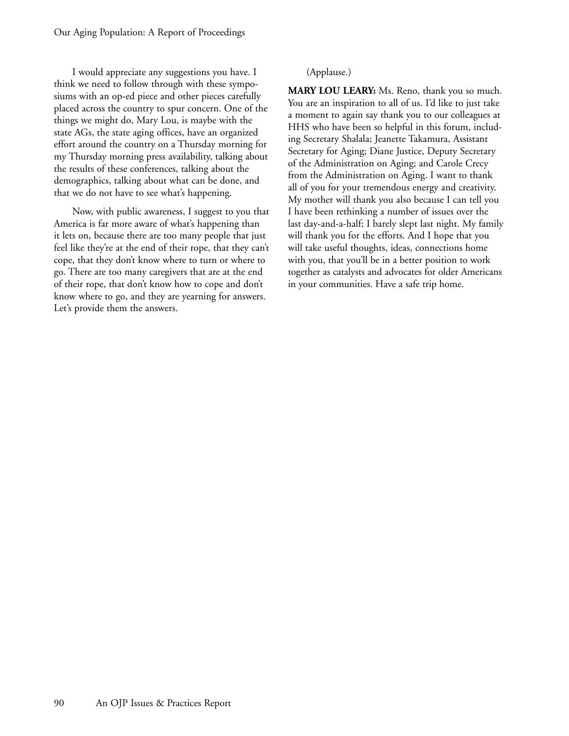I would appreciate any suggestions you have. I think we need to follow through with these symposiums with an op-ed piece and other pieces carefully placed across the country to spur concern. One of the things we might do, Mary Lou, is maybe with the state AGs, the state aging offices, have an organized effort around the country on a Thursday morning for my Thursday morning press availability, talking about the results of these conferences, talking about the demographics, talking about what can be done, and that we do not have to see what's happening.

Now, with public awareness, I suggest to you that America is far more aware of what's happening than it lets on, because there are too many people that just feel like they're at the end of their rope, that they can't cope, that they don't know where to turn or where to go. There are too many caregivers that are at the end of their rope, that don't know how to cope and don't know where to go, and they are yearning for answers. Let's provide them the answers.

## (Applause.)

**MARY LOU LEARY:** Ms. Reno, thank you so much. You are an inspiration to all of us. I'd like to just take a moment to again say thank you to our colleagues at HHS who have been so helpful in this forum, including Secretary Shalala; Jeanette Takamura, Assistant Secretary for Aging; Diane Justice, Deputy Secretary of the Administration on Aging; and Carole Crecy from the Administration on Aging. I want to thank all of you for your tremendous energy and creativity. My mother will thank you also because I can tell you I have been rethinking a number of issues over the last day-and-a-half; I barely slept last night. My family will thank you for the efforts. And I hope that you will take useful thoughts, ideas, connections home with you, that you'll be in a better position to work together as catalysts and advocates for older Americans in your communities. Have a safe trip home.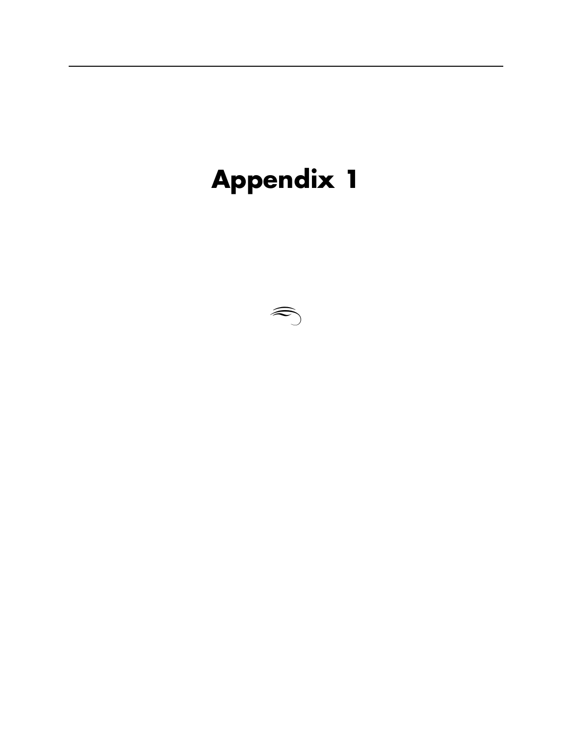# **Appendix 1**

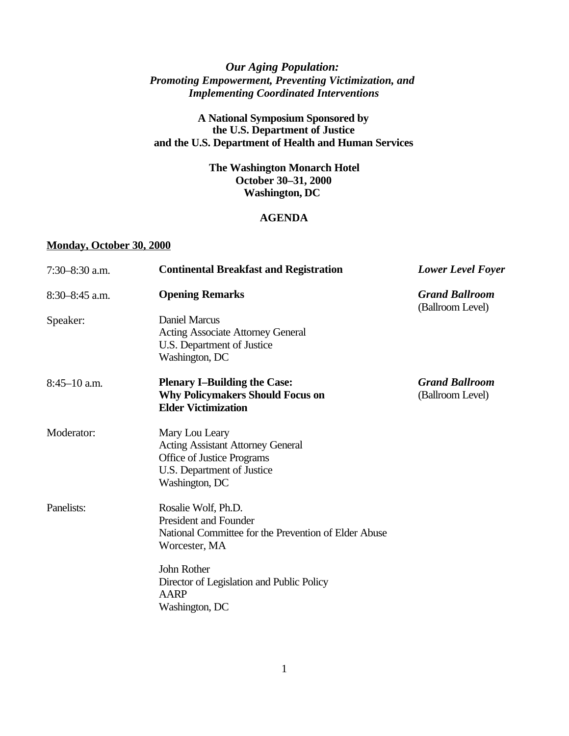## *Our Aging Population: Promoting Empowerment, Preventing Victimization, and Implementing Coordinated Interventions*

## **A National Symposium Sponsored by the U.S. Department of Justice and the U.S. Department of Health and Human Services**

## **The Washington Monarch Hotel October 30–31, 2000 Washington, DC**

## **AGENDA**

## **Monday, October 30, 2000**

| $7:30 - 8:30$ a.m. | <b>Continental Breakfast and Registration</b>                                                                                            | <b>Lower Level Foyer</b>                  |
|--------------------|------------------------------------------------------------------------------------------------------------------------------------------|-------------------------------------------|
| $8:30-8:45$ a.m.   | <b>Opening Remarks</b>                                                                                                                   | <b>Grand Ballroom</b><br>(Ballroom Level) |
| Speaker:           | <b>Daniel Marcus</b><br><b>Acting Associate Attorney General</b><br>U.S. Department of Justice<br>Washington, DC                         |                                           |
| $8:45-10$ a.m.     | <b>Plenary I-Building the Case:</b><br><b>Why Policymakers Should Focus on</b><br><b>Elder Victimization</b>                             | <b>Grand Ballroom</b><br>(Ballroom Level) |
| Moderator:         | Mary Lou Leary<br><b>Acting Assistant Attorney General</b><br>Office of Justice Programs<br>U.S. Department of Justice<br>Washington, DC |                                           |
| Panelists:         | Rosalie Wolf, Ph.D.<br><b>President and Founder</b><br>National Committee for the Prevention of Elder Abuse<br>Worcester, MA             |                                           |
|                    | John Rother<br>Director of Legislation and Public Policy<br><b>AARP</b><br>Washington, DC                                                |                                           |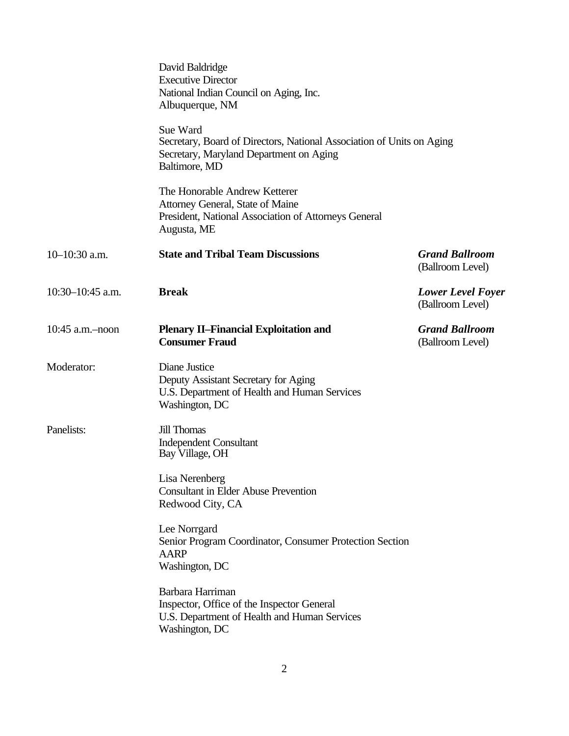|                  | David Baldridge<br><b>Executive Director</b><br>National Indian Council on Aging, Inc.<br>Albuquerque, NM                                     |                                              |
|------------------|-----------------------------------------------------------------------------------------------------------------------------------------------|----------------------------------------------|
|                  | Sue Ward<br>Secretary, Board of Directors, National Association of Units on Aging<br>Secretary, Maryland Department on Aging<br>Baltimore, MD |                                              |
|                  | The Honorable Andrew Ketterer<br>Attorney General, State of Maine<br>President, National Association of Attorneys General<br>Augusta, ME      |                                              |
| $10-10:30$ a.m.  | <b>State and Tribal Team Discussions</b>                                                                                                      | <b>Grand Ballroom</b><br>(Ballroom Level)    |
| 10:30-10:45 a.m. | <b>Break</b>                                                                                                                                  | <b>Lower Level Foyer</b><br>(Ballroom Level) |
| 10:45 a.m.-noon  | <b>Plenary II-Financial Exploitation and</b><br><b>Consumer Fraud</b>                                                                         | <b>Grand Ballroom</b><br>(Ballroom Level)    |
| Moderator:       | Diane Justice<br>Deputy Assistant Secretary for Aging<br>U.S. Department of Health and Human Services<br>Washington, DC                       |                                              |
| Panelists:       | <b>Jill Thomas</b><br><b>Independent Consultant</b><br>Bay Village, OH                                                                        |                                              |
|                  | Lisa Nerenberg<br><b>Consultant in Elder Abuse Prevention</b><br>Redwood City, CA                                                             |                                              |
|                  | Lee Norrgard<br>Senior Program Coordinator, Consumer Protection Section<br><b>AARP</b><br>Washington, DC                                      |                                              |
|                  | Barbara Harriman<br>Inspector, Office of the Inspector General<br>U.S. Department of Health and Human Services<br>Washington, DC              |                                              |
|                  |                                                                                                                                               |                                              |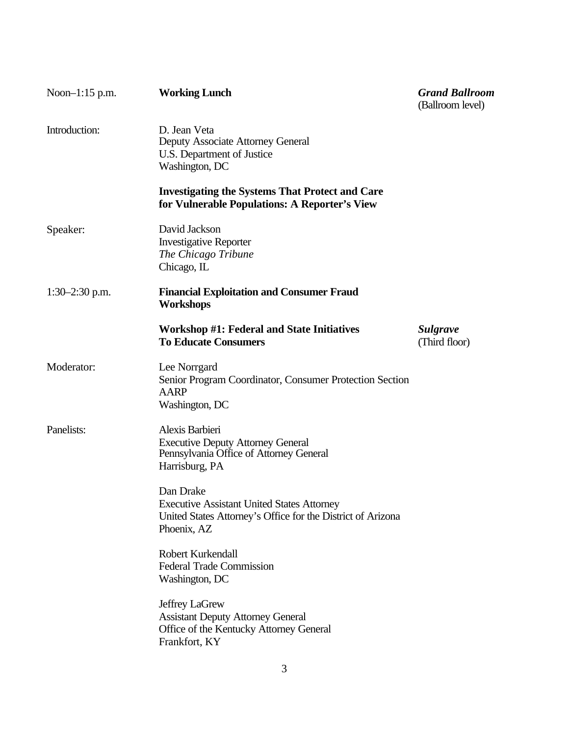| Noon-1:15 p.m.   | <b>Working Lunch</b>                                                                                                                         | <b>Grand Ballroom</b><br>(Ballroom level) |
|------------------|----------------------------------------------------------------------------------------------------------------------------------------------|-------------------------------------------|
| Introduction:    | D. Jean Veta<br>Deputy Associate Attorney General<br>U.S. Department of Justice<br>Washington, DC                                            |                                           |
|                  | <b>Investigating the Systems That Protect and Care</b><br>for Vulnerable Populations: A Reporter's View                                      |                                           |
| Speaker:         | David Jackson<br><b>Investigative Reporter</b><br>The Chicago Tribune<br>Chicago, IL                                                         |                                           |
| $1:30-2:30$ p.m. | <b>Financial Exploitation and Consumer Fraud</b><br>Workshops                                                                                |                                           |
|                  | <b>Workshop #1: Federal and State Initiatives</b><br><b>To Educate Consumers</b>                                                             | <b>Sulgrave</b><br>(Third floor)          |
| Moderator:       | Lee Norrgard<br>Senior Program Coordinator, Consumer Protection Section<br><b>AARP</b><br>Washington, DC                                     |                                           |
| Panelists:       | Alexis Barbieri<br><b>Executive Deputy Attorney General</b><br>Pennsylvania Office of Attorney General<br>Harrisburg, PA                     |                                           |
|                  | Dan Drake<br><b>Executive Assistant United States Attorney</b><br>United States Attorney's Office for the District of Arizona<br>Phoenix, AZ |                                           |
|                  | Robert Kurkendall<br><b>Federal Trade Commission</b><br>Washington, DC                                                                       |                                           |
|                  | Jeffrey LaGrew<br><b>Assistant Deputy Attorney General</b><br>Office of the Kentucky Attorney General<br>Frankfort, KY                       |                                           |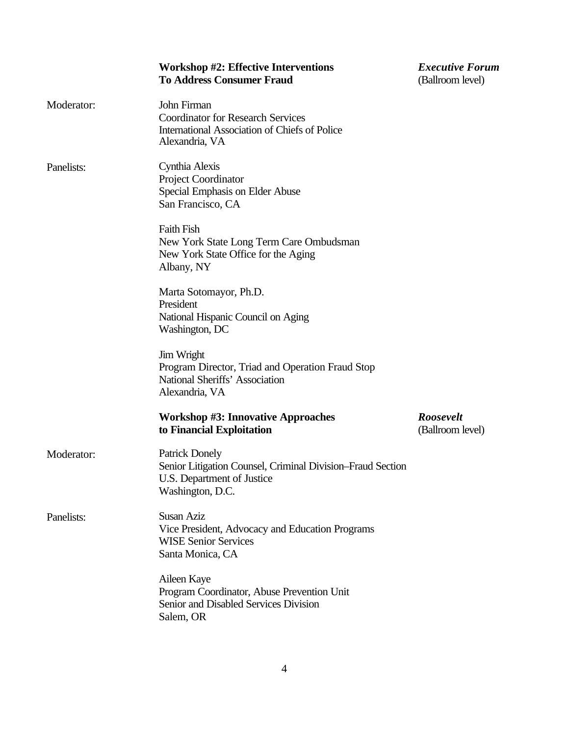|            | <b>Workshop #2: Effective Interventions</b><br><b>To Address Consumer Fraud</b>                                                       | <b>Executive Forum</b><br>(Ballroom level) |
|------------|---------------------------------------------------------------------------------------------------------------------------------------|--------------------------------------------|
| Moderator: | John Firman<br><b>Coordinator for Research Services</b><br>International Association of Chiefs of Police<br>Alexandria, VA            |                                            |
| Panelists: | Cynthia Alexis<br>Project Coordinator<br>Special Emphasis on Elder Abuse<br>San Francisco, CA                                         |                                            |
|            | <b>Faith Fish</b><br>New York State Long Term Care Ombudsman<br>New York State Office for the Aging<br>Albany, NY                     |                                            |
|            | Marta Sotomayor, Ph.D.<br>President<br>National Hispanic Council on Aging<br>Washington, DC                                           |                                            |
|            | Jim Wright<br>Program Director, Triad and Operation Fraud Stop<br>National Sheriffs' Association<br>Alexandria, VA                    |                                            |
|            | <b>Workshop #3: Innovative Approaches</b><br>to Financial Exploitation                                                                | Roosevelt<br>(Ballroom level)              |
| Moderator: | <b>Patrick Donely</b><br>Senior Litigation Counsel, Criminal Division–Fraud Section<br>U.S. Department of Justice<br>Washington, D.C. |                                            |
| Panelists: | Susan Aziz<br>Vice President, Advocacy and Education Programs<br><b>WISE Senior Services</b><br>Santa Monica, CA                      |                                            |
|            | Aileen Kaye<br>Program Coordinator, Abuse Prevention Unit<br>Senior and Disabled Services Division<br>Salem, OR                       |                                            |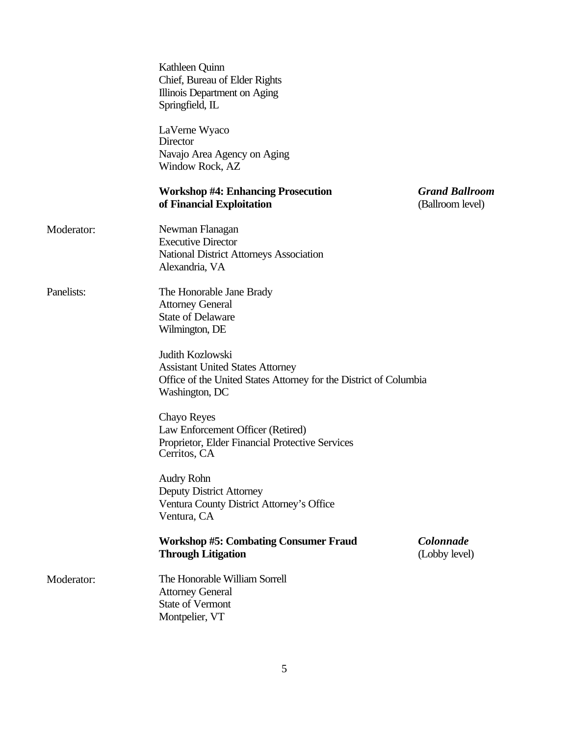|            | Kathleen Quinn<br>Chief, Bureau of Elder Rights<br>Illinois Department on Aging<br>Springfield, IL                                                 |                                           |
|------------|----------------------------------------------------------------------------------------------------------------------------------------------------|-------------------------------------------|
|            | LaVerne Wyaco<br>Director<br>Navajo Area Agency on Aging<br>Window Rock, AZ                                                                        |                                           |
|            | <b>Workshop #4: Enhancing Prosecution</b><br>of Financial Exploitation                                                                             | <b>Grand Ballroom</b><br>(Ballroom level) |
| Moderator: | Newman Flanagan<br><b>Executive Director</b><br>National District Attorneys Association<br>Alexandria, VA                                          |                                           |
| Panelists: | The Honorable Jane Brady<br><b>Attorney General</b><br><b>State of Delaware</b><br>Wilmington, DE                                                  |                                           |
|            | Judith Kozlowski<br><b>Assistant United States Attorney</b><br>Office of the United States Attorney for the District of Columbia<br>Washington, DC |                                           |
|            | Chayo Reyes<br>Law Enforcement Officer (Retired)<br>Proprietor, Elder Financial Protective Services<br>Cerritos, CA                                |                                           |
|            | <b>Audry Rohn</b><br><b>Deputy District Attorney</b><br>Ventura County District Attorney's Office<br>Ventura, CA                                   |                                           |
|            | <b>Workshop #5: Combating Consumer Fraud</b><br><b>Through Litigation</b>                                                                          | Colonnade<br>(Lobby level)                |
| Moderator: | The Honorable William Sorrell<br><b>Attorney General</b><br><b>State of Vermont</b><br>Montpelier, VT                                              |                                           |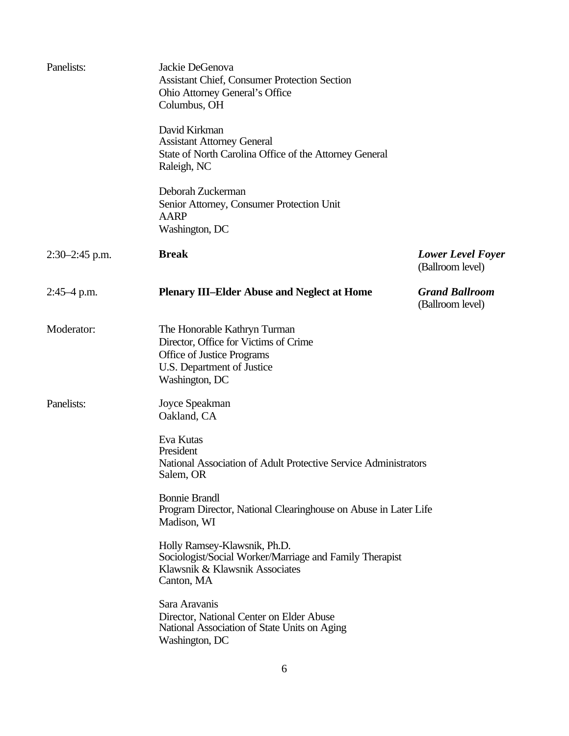| Panelists:       | Jackie DeGenova<br>Assistant Chief, Consumer Protection Section<br><b>Ohio Attorney General's Office</b><br>Columbus, OH                            |                                              |
|------------------|-----------------------------------------------------------------------------------------------------------------------------------------------------|----------------------------------------------|
|                  | David Kirkman<br><b>Assistant Attorney General</b><br>State of North Carolina Office of the Attorney General<br>Raleigh, NC                         |                                              |
|                  | Deborah Zuckerman<br>Senior Attorney, Consumer Protection Unit<br>AARP<br>Washington, DC                                                            |                                              |
| $2:30-2:45$ p.m. | <b>Break</b>                                                                                                                                        | <b>Lower Level Foyer</b><br>(Ballroom level) |
| $2:45-4$ p.m.    | <b>Plenary III-Elder Abuse and Neglect at Home</b>                                                                                                  | <b>Grand Ballroom</b><br>(Ballroom level)    |
| Moderator:       | The Honorable Kathryn Turman<br>Director, Office for Victims of Crime<br>Office of Justice Programs<br>U.S. Department of Justice<br>Washington, DC |                                              |
| Panelists:       | Joyce Speakman<br>Oakland, CA                                                                                                                       |                                              |
|                  | Eva Kutas<br>President<br>National Association of Adult Protective Service Administrators<br>Salem, OR                                              |                                              |
|                  | <b>Bonnie Brandl</b><br>Program Director, National Clearinghouse on Abuse in Later Life<br>Madison, WI                                              |                                              |
|                  | Holly Ramsey-Klawsnik, Ph.D.<br>Sociologist/Social Worker/Marriage and Family Therapist<br>Klawsnik & Klawsnik Associates<br>Canton, MA             |                                              |
|                  | Sara Aravanis<br>Director, National Center on Elder Abuse<br>National Association of State Units on Aging<br>Washington, DC                         |                                              |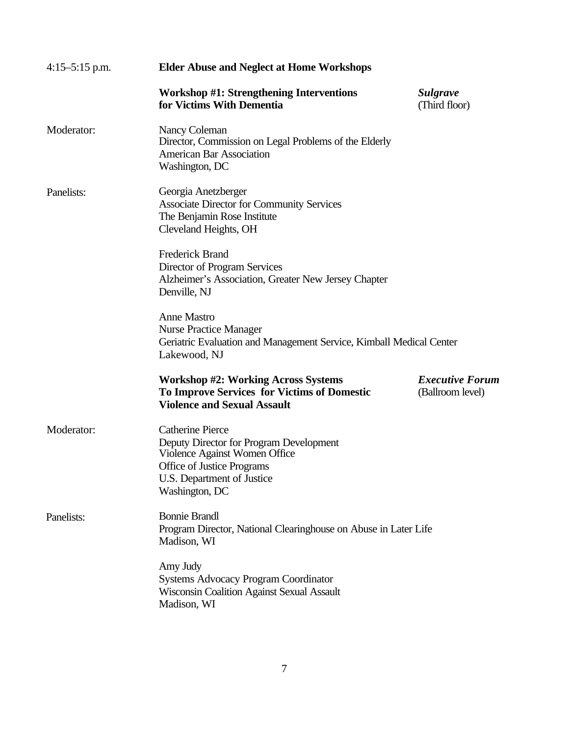| $4:15-5:15$ p.m. | <b>Elder Abuse and Neglect at Home Workshops</b>                                                                                                                                  |                                            |  |
|------------------|-----------------------------------------------------------------------------------------------------------------------------------------------------------------------------------|--------------------------------------------|--|
|                  | Workshop #1: Strengthening Interventions<br>for Victims With Dementia                                                                                                             | <b>Sulgrave</b><br>(Third floor)           |  |
| Moderator:       | Nancy Coleman<br>Director, Commission on Legal Problems of the Elderly<br><b>American Bar Association</b><br>Washington, DC                                                       |                                            |  |
| Panelists:       | Georgia Anetzberger<br><b>Associate Director for Community Services</b><br>The Benjamin Rose Institute<br>Cleveland Heights, OH                                                   |                                            |  |
|                  | <b>Frederick Brand</b><br>Director of Program Services<br>Alzheimer's Association, Greater New Jersey Chapter<br>Denville, NJ                                                     |                                            |  |
|                  | <b>Anne Mastro</b><br><b>Nurse Practice Manager</b><br>Geriatric Evaluation and Management Service, Kimball Medical Center<br>Lakewood, NJ                                        |                                            |  |
|                  | <b>Workshop #2: Working Across Systems</b><br><b>To Improve Services for Victims of Domestic</b><br><b>Violence and Sexual Assault</b>                                            | <b>Executive Forum</b><br>(Ballroom level) |  |
| Moderator:       | <b>Catherine Pierce</b><br>Deputy Director for Program Development<br>Violence Against Women Office<br>Office of Justice Programs<br>U.S. Department of Justice<br>Washington, DC |                                            |  |
| Panelists:       | <b>Bonnie Brandl</b><br>Program Director, National Clearinghouse on Abuse in Later Life<br>Madison, WI                                                                            |                                            |  |
|                  | Amy Judy<br><b>Systems Advocacy Program Coordinator</b><br><b>Wisconsin Coalition Against Sexual Assault</b><br>Madison, WI                                                       |                                            |  |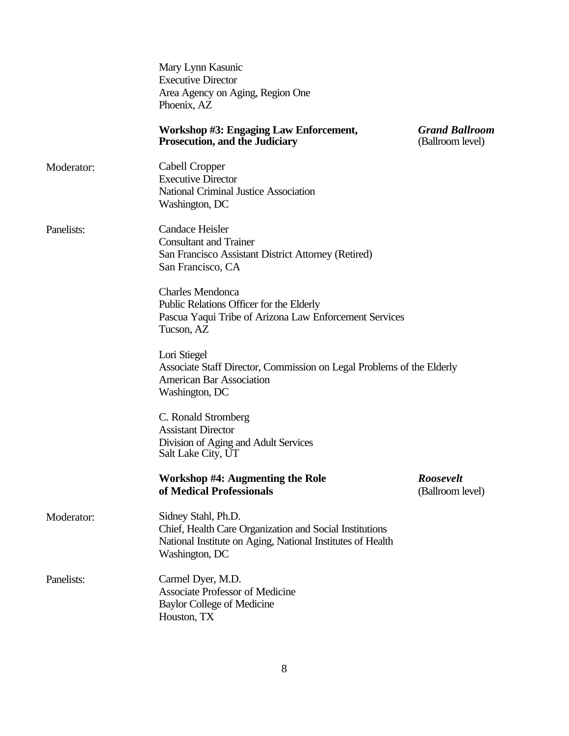|            | Mary Lynn Kasunic<br><b>Executive Director</b><br>Area Agency on Aging, Region One<br>Phoenix, AZ                                                              |                                           |
|------------|----------------------------------------------------------------------------------------------------------------------------------------------------------------|-------------------------------------------|
|            | Workshop #3: Engaging Law Enforcement,<br><b>Prosecution, and the Judiciary</b>                                                                                | <b>Grand Ballroom</b><br>(Ballroom level) |
| Moderator: | Cabell Cropper<br><b>Executive Director</b><br>National Criminal Justice Association<br>Washington, DC                                                         |                                           |
| Panelists: | Candace Heisler<br><b>Consultant and Trainer</b><br>San Francisco Assistant District Attorney (Retired)<br>San Francisco, CA                                   |                                           |
|            | <b>Charles Mendonca</b><br>Public Relations Officer for the Elderly<br>Pascua Yaqui Tribe of Arizona Law Enforcement Services<br>Tucson, AZ                    |                                           |
|            | Lori Stiegel<br>Associate Staff Director, Commission on Legal Problems of the Elderly<br><b>American Bar Association</b><br>Washington, DC                     |                                           |
|            | C. Ronald Stromberg<br><b>Assistant Director</b><br>Division of Aging and Adult Services<br>Salt Lake City, UT                                                 |                                           |
|            | <b>Workshop #4: Augmenting the Role</b><br>of Medical Professionals                                                                                            | Roosevelt<br>(Ballroom level)             |
| Moderator: | Sidney Stahl, Ph.D.<br>Chief, Health Care Organization and Social Institutions<br>National Institute on Aging, National Institutes of Health<br>Washington, DC |                                           |
| Panelists: | Carmel Dyer, M.D.<br><b>Associate Professor of Medicine</b><br><b>Baylor College of Medicine</b><br>Houston, TX                                                |                                           |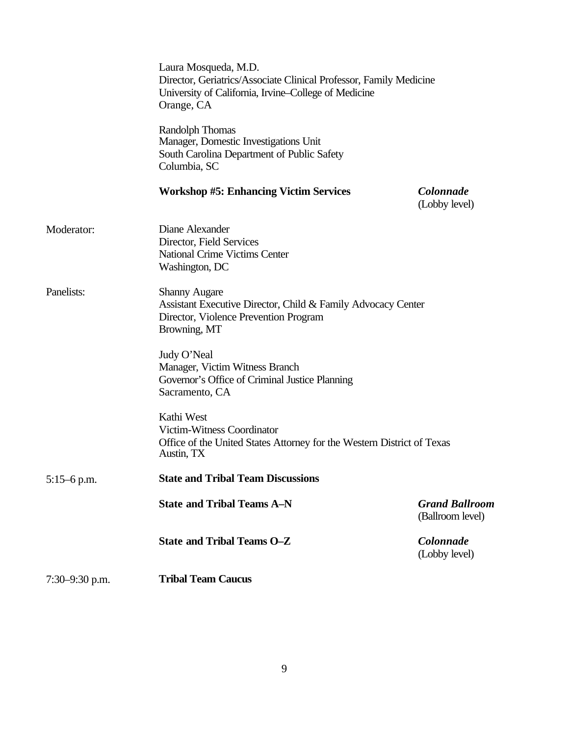|                    | Laura Mosqueda, M.D.<br>Director, Geriatrics/Associate Clinical Professor, Family Medicine<br>University of California, Irvine–College of Medicine<br>Orange, CA |                                           |
|--------------------|------------------------------------------------------------------------------------------------------------------------------------------------------------------|-------------------------------------------|
|                    | Randolph Thomas<br>Manager, Domestic Investigations Unit<br>South Carolina Department of Public Safety<br>Columbia, SC                                           |                                           |
|                    | <b>Workshop #5: Enhancing Victim Services</b>                                                                                                                    | Colonnade<br>(Lobby level)                |
| Moderator:         | Diane Alexander<br>Director, Field Services<br><b>National Crime Victims Center</b><br>Washington, DC                                                            |                                           |
| Panelists:         | <b>Shanny Augare</b><br>Assistant Executive Director, Child & Family Advocacy Center<br>Director, Violence Prevention Program<br>Browning, MT                    |                                           |
|                    | Judy O'Neal<br>Manager, Victim Witness Branch<br>Governor's Office of Criminal Justice Planning<br>Sacramento, CA                                                |                                           |
|                    | Kathi West<br><b>Victim-Witness Coordinator</b><br>Office of the United States Attorney for the Western District of Texas<br>Austin, TX                          |                                           |
| $5:15-6$ p.m.      | <b>State and Tribal Team Discussions</b>                                                                                                                         |                                           |
|                    | <b>State and Tribal Teams A-N</b>                                                                                                                                | <b>Grand Ballroom</b><br>(Ballroom level) |
|                    | <b>State and Tribal Teams O-Z</b>                                                                                                                                | Colonnade<br>(Lobby level)                |
| $7:30 - 9:30$ p.m. | <b>Tribal Team Caucus</b>                                                                                                                                        |                                           |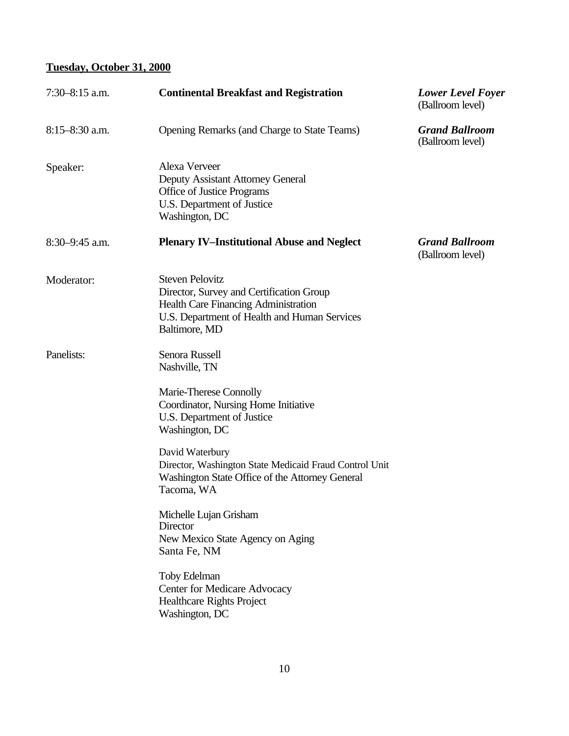## **Tuesday, October 31, 2000**

| $7:30-8:15$ a.m.   | <b>Continental Breakfast and Registration</b>                                                                                                                                      | <b>Lower Level Foyer</b><br>(Ballroom level) |
|--------------------|------------------------------------------------------------------------------------------------------------------------------------------------------------------------------------|----------------------------------------------|
| $8:15 - 8:30$ a.m. | Opening Remarks (and Charge to State Teams)                                                                                                                                        | <b>Grand Ballroom</b><br>(Ballroom level)    |
| Speaker:           | Alexa Verveer<br>Deputy Assistant Attorney General<br>Office of Justice Programs<br>U.S. Department of Justice<br>Washington, DC                                                   |                                              |
| $8:30-9:45$ a.m.   | <b>Plenary IV-Institutional Abuse and Neglect</b>                                                                                                                                  | <b>Grand Ballroom</b><br>(Ballroom level)    |
| Moderator:         | <b>Steven Pelovitz</b><br>Director, Survey and Certification Group<br><b>Health Care Financing Administration</b><br>U.S. Department of Health and Human Services<br>Baltimore, MD |                                              |
| Panelists:         | Senora Russell<br>Nashville, TN                                                                                                                                                    |                                              |
|                    | Marie-Therese Connolly<br>Coordinator, Nursing Home Initiative<br>U.S. Department of Justice<br>Washington, DC                                                                     |                                              |
|                    | David Waterbury<br>Director, Washington State Medicaid Fraud Control Unit<br>Washington State Office of the Attorney General<br>Tacoma, WA                                         |                                              |
|                    | Michelle Lujan Grisham<br>Director<br>New Mexico State Agency on Aging<br>Santa Fe, NM                                                                                             |                                              |
|                    | <b>Toby Edelman</b><br>Center for Medicare Advocacy<br><b>Healthcare Rights Project</b><br>Washington, DC                                                                          |                                              |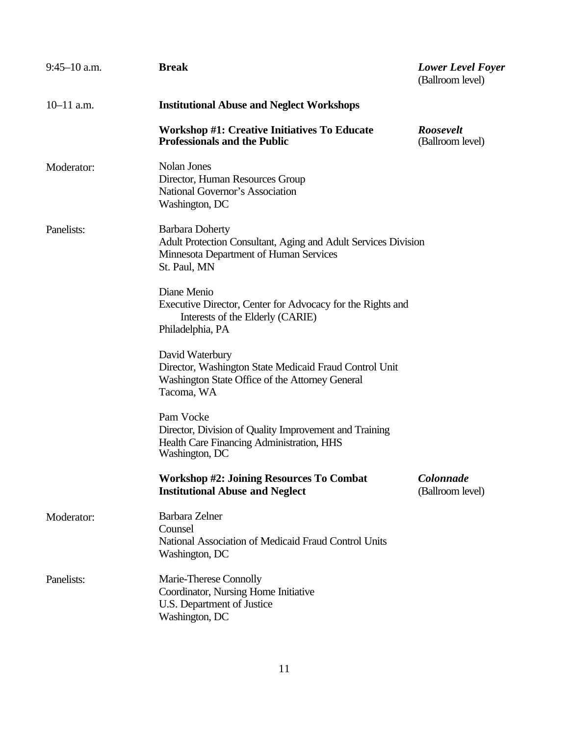| $9:45-10$ a.m. | <b>Break</b>                                                                                                                                       | <b>Lower Level Foyer</b><br>(Ballroom level) |
|----------------|----------------------------------------------------------------------------------------------------------------------------------------------------|----------------------------------------------|
| $10-11$ a.m.   | <b>Institutional Abuse and Neglect Workshops</b>                                                                                                   |                                              |
|                | <b>Workshop #1: Creative Initiatives To Educate</b><br><b>Professionals and the Public</b>                                                         | <b>Roosevelt</b><br>(Ballroom level)         |
| Moderator:     | Nolan Jones<br>Director, Human Resources Group<br>National Governor's Association<br>Washington, DC                                                |                                              |
| Panelists:     | <b>Barbara Doherty</b><br>Adult Protection Consultant, Aging and Adult Services Division<br>Minnesota Department of Human Services<br>St. Paul, MN |                                              |
|                | Diane Menio<br>Executive Director, Center for Advocacy for the Rights and<br>Interests of the Elderly (CARIE)<br>Philadelphia, PA                  |                                              |
|                | David Waterbury<br>Director, Washington State Medicaid Fraud Control Unit<br>Washington State Office of the Attorney General<br>Tacoma, WA         |                                              |
|                | Pam Vocke<br>Director, Division of Quality Improvement and Training<br>Health Care Financing Administration, HHS<br>Washington, DC                 |                                              |
|                | <b>Workshop #2: Joining Resources To Combat</b><br><b>Institutional Abuse and Neglect</b>                                                          | Colonnade<br>(Ballroom level)                |
| Moderator:     | Barbara Zelner<br>Counsel<br>National Association of Medicaid Fraud Control Units<br>Washington, DC                                                |                                              |
| Panelists:     | Marie-Therese Connolly<br>Coordinator, Nursing Home Initiative<br>U.S. Department of Justice<br>Washington, DC                                     |                                              |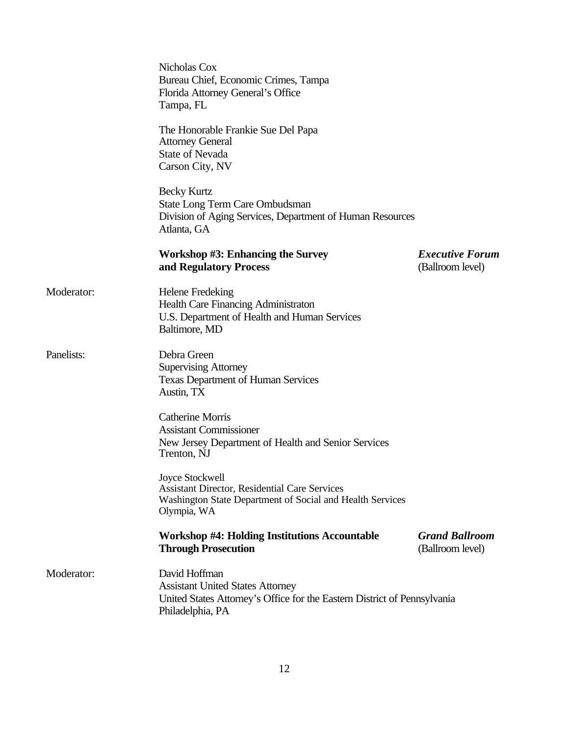|            | Nicholas Cox<br>Bureau Chief, Economic Crimes, Tampa<br>Florida Attorney General's Office<br>Tampa, FL                                                   |                                            |
|------------|----------------------------------------------------------------------------------------------------------------------------------------------------------|--------------------------------------------|
|            | The Honorable Frankie Sue Del Papa<br><b>Attorney General</b><br><b>State of Nevada</b><br>Carson City, NV                                               |                                            |
|            | <b>Becky Kurtz</b><br>State Long Term Care Ombudsman<br>Division of Aging Services, Department of Human Resources<br>Atlanta, GA                         |                                            |
|            | <b>Workshop #3: Enhancing the Survey</b><br>and Regulatory Process                                                                                       | <b>Executive Forum</b><br>(Ballroom level) |
| Moderator: | <b>Helene Fredeking</b><br><b>Health Care Financing Administraton</b><br>U.S. Department of Health and Human Services<br>Baltimore, MD                   |                                            |
| Panelists: | Debra Green<br><b>Supervising Attorney</b><br><b>Texas Department of Human Services</b><br>Austin, TX                                                    |                                            |
|            | <b>Catherine Morris</b><br><b>Assistant Commissioner</b><br>New Jersey Department of Health and Senior Services<br>Trenton, NJ                           |                                            |
|            | Joyce Stockwell<br><b>Assistant Director, Residential Care Services</b><br>Washington State Department of Social and Health Services<br>Olympia, WA      |                                            |
|            | <b>Workshop #4: Holding Institutions Accountable</b><br><b>Through Prosecution</b>                                                                       | <b>Grand Ballroom</b><br>(Ballroom level)  |
| Moderator: | David Hoffman<br><b>Assistant United States Attorney</b><br>United States Attorney's Office for the Eastern District of Pennsylvania<br>Philadelphia, PA |                                            |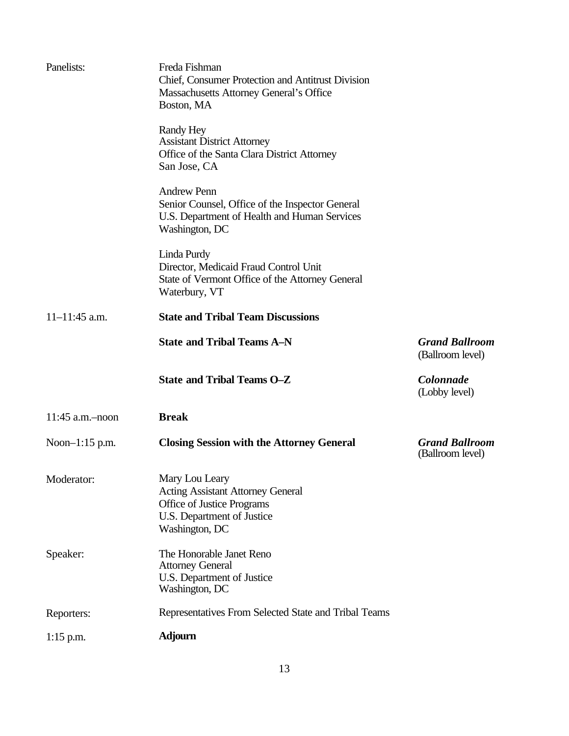| $1:15$ p.m.       | <b>Adjourn</b>                                                                                                                           |                                           |
|-------------------|------------------------------------------------------------------------------------------------------------------------------------------|-------------------------------------------|
| Reporters:        | Representatives From Selected State and Tribal Teams                                                                                     |                                           |
| Speaker:          | The Honorable Janet Reno<br><b>Attorney General</b><br>U.S. Department of Justice<br>Washington, DC                                      |                                           |
| Moderator:        | Mary Lou Leary<br><b>Acting Assistant Attorney General</b><br>Office of Justice Programs<br>U.S. Department of Justice<br>Washington, DC |                                           |
| Noon-1:15 p.m.    | <b>Closing Session with the Attorney General</b>                                                                                         | <b>Grand Ballroom</b><br>(Ballroom level) |
| $11:45$ a.m.-noon | <b>Break</b>                                                                                                                             |                                           |
|                   | <b>State and Tribal Teams O-Z</b>                                                                                                        | Colonnade<br>(Lobby level)                |
|                   | <b>State and Tribal Teams A-N</b>                                                                                                        | <b>Grand Ballroom</b><br>(Ballroom level) |
| $11-11:45$ a.m.   | <b>State and Tribal Team Discussions</b>                                                                                                 |                                           |
|                   | Linda Purdy<br>Director, Medicaid Fraud Control Unit<br>State of Vermont Office of the Attorney General<br>Waterbury, VT                 |                                           |
|                   | <b>Andrew Penn</b><br>Senior Counsel, Office of the Inspector General<br>U.S. Department of Health and Human Services<br>Washington, DC  |                                           |
|                   | Randy Hey<br><b>Assistant District Attorney</b><br>Office of the Santa Clara District Attorney<br>San Jose, CA                           |                                           |
| Panelists:        | Freda Fishman<br>Chief, Consumer Protection and Antitrust Division<br>Massachusetts Attorney General's Office<br>Boston, MA              |                                           |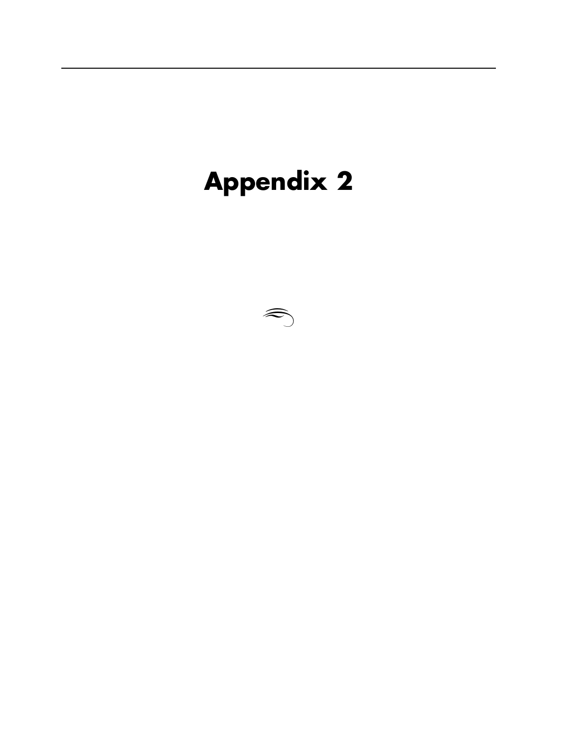## **Appendix 2**

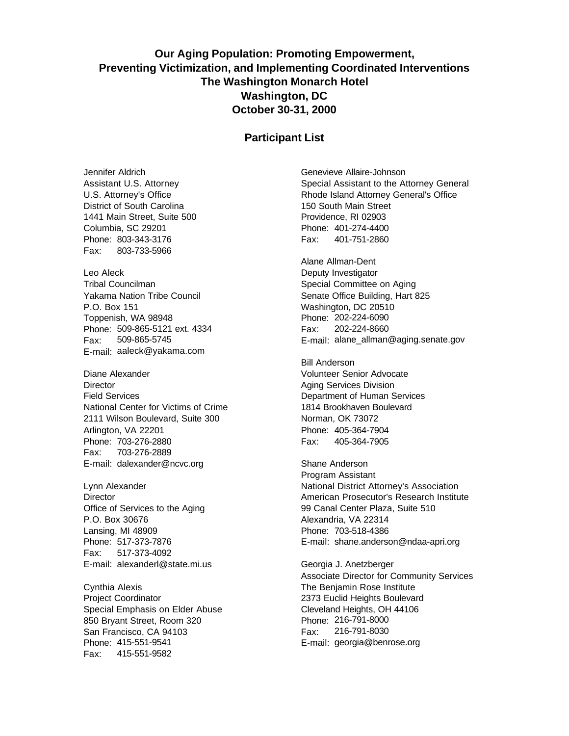## **Our Aging Population: Promoting Empowerment, Preventing Victimization, and Implementing Coordinated Interventions The Washington Monarch Hotel Washington, DC October 30-31, 2000**

#### **Participant List**

Jennifer Aldrich Assistant U.S. Attorney U.S. Attorney's Office District of South Carolina 1441 Main Street, Suite 500 Columbia, SC 29201 Phone: 803-343-3176 Fax: 803-733-5966

Leo Aleck Tribal Councilman Yakama Nation Tribe Council P.O. Box 151 Toppenish, WA 98948 Phone: 509-865-5121 ext. 4334 Fax: 509-865-5745 E-mail: aaleck@yakama.com

Diane Alexander **Director** Field Services National Center for Victims of Crime 2111 Wilson Boulevard, Suite 300 Arlington, VA 22201 Phone: 703-276-2880 Fax: 703-276-2889 E-mail: dalexander@ncvc.org

Lynn Alexander **Director** Office of Services to the Aging P.O. Box 30676 Lansing, MI 48909 Phone: 517-373-7876 Fax: 517-373-4092 E-mail: alexanderl@state.mi.us

Cynthia Alexis Project Coordinator Special Emphasis on Elder Abuse 850 Bryant Street, Room 320 San Francisco, CA 94103 Phone: 415-551-9541 Fax: 415-551-9582

Genevieve Allaire-Johnson Special Assistant to the Attorney General Rhode Island Attorney General's Office 150 South Main Street Providence, RI 02903 Phone: 401-274-4400 Fax: 401-751-2860

Alane Allman-Dent Deputy Investigator Special Committee on Aging Senate Office Building, Hart 825 Washington, DC 20510 Phone: 202-224-6090 Fax: 202-224-8660 E-mail: alane\_allman@aging.senate.gov

Bill Anderson Volunteer Senior Advocate Aging Services Division Department of Human Services 1814 Brookhaven Boulevard Norman, OK 73072 Phone: 405-364-7904 Fax: 405-364-7905

Shane Anderson Program Assistant National District Attorney's Association American Prosecutor's Research Institute 99 Canal Center Plaza, Suite 510 Alexandria, VA 22314 Phone: 703-518-4386 E-mail: shane.anderson@ndaa-apri.org

Georgia J. Anetzberger Associate Director for Community Services The Benjamin Rose Institute 2373 Euclid Heights Boulevard Cleveland Heights, OH 44106 Phone: 216-791-8000 Fax: 216-791-8030 E-mail: georgia@benrose.org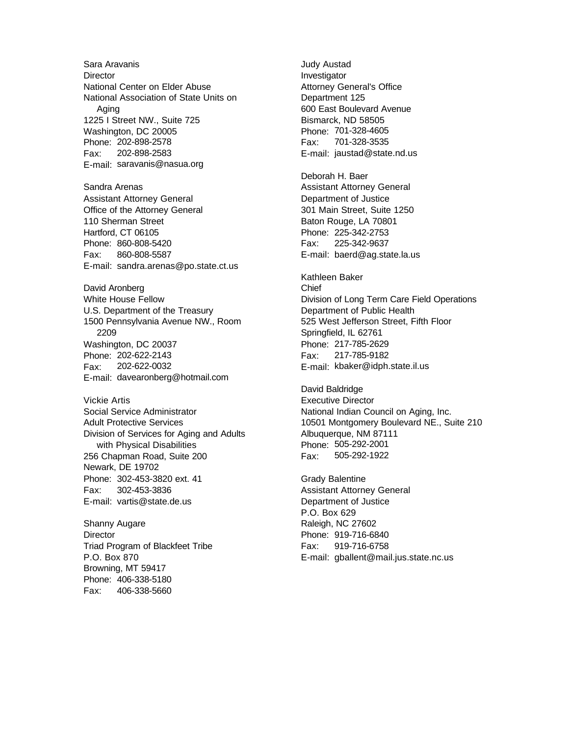Sara Aravanis **Director** National Center on Elder Abuse National Association of State Units on Aging 1225 I Street NW., Suite 725 Washington, DC 20005 Phone: 202-898-2578 Fax: 202-898-2583 E-mail: saravanis@nasua.org Sandra Arenas Assistant Attorney General Office of the Attorney General 110 Sherman Street Hartford, CT 06105 Phone: 860-808-5420 Fax: 860-808-5587 E-mail: sandra.arenas@po.state.ct.us David Aronberg White House Fellow U.S. Department of the Treasury 1500 Pennsylvania Avenue NW., Room 2209 Washington, DC 20037 Phone: 202-622-2143 Fax: 202-622-0032 E-mail: davearonberg@hotmail.com Vickie Artis Social Service Administrator Adult Protective Services Division of Services for Aging and Adults with Physical Disabilities 256 Chapman Road, Suite 200 Newark, DE 19702 Phone: 302-453-3820 ext. 41 Fax: 302-453-3836 E-mail: vartis@state.de.us Shanny Augare **Director** Triad Program of Blackfeet Tribe P.O. Box 870 Browning, MT 59417

Phone: 406-338-5180 Fax: 406-338-5660 Judy Austad Investigator Attorney General's Office Department 125 600 East Boulevard Avenue Bismarck, ND 58505 Phone: 701-328-4605 Fax: 701-328-3535 E-mail: jaustad@state.nd.us

Deborah H. Baer Assistant Attorney General Department of Justice 301 Main Street, Suite 1250 Baton Rouge, LA 70801 Phone: 225-342-2753 Fax: 225-342-9637 E-mail: baerd@ag.state.la.us

Kathleen Baker Chief Division of Long Term Care Field Operations Department of Public Health 525 West Jefferson Street, Fifth Floor Springfield, IL 62761 Phone: 217-785-2629 Fax: 217-785-9182 E-mail: kbaker@idph.state.il.us

David Baldridge Executive Director National Indian Council on Aging, Inc. 10501 Montgomery Boulevard NE., Suite 210 Albuquerque, NM 87111 Phone: 505-292-2001 Fax: 505-292-1922

Grady Balentine Assistant Attorney General Department of Justice P.O. Box 629 Raleigh, NC 27602 Phone: 919-716-6840 Fax: 919-716-6758 E-mail: gballent@mail.jus.state.nc.us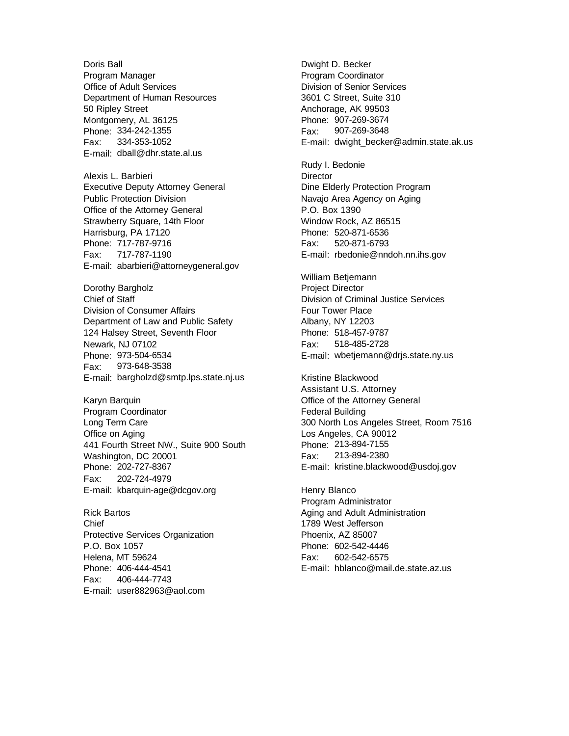Doris Ball Program Manager Office of Adult Services Department of Human Resources 50 Ripley Street Montgomery, AL 36125 Phone: 334-242-1355 Fax: 334-353-1052 E-mail: dball@dhr.state.al.us

Alexis L. Barbieri Executive Deputy Attorney General Public Protection Division Office of the Attorney General Strawberry Square, 14th Floor Harrisburg, PA 17120 Phone: 717-787-9716 Fax: 717-787-1190 E-mail: abarbieri@attorneygeneral.gov

Dorothy Bargholz Chief of Staff Division of Consumer Affairs Department of Law and Public Safety 124 Halsey Street, Seventh Floor Newark, NJ 07102 Phone: 973-504-6534 Fax: 973-648-3538 E-mail: bargholzd@smtp.lps.state.nj.us

Karyn Barquin Program Coordinator Long Term Care Office on Aging 441 Fourth Street NW., Suite 900 South Washington, DC 20001 Phone: 202-727-8367 Fax: 202-724-4979 E-mail: kbarquin-age@dcgov.org

Rick Bartos Chief Protective Services Organization P.O. Box 1057 Helena, MT 59624 Phone: 406-444-4541 Fax: 406-444-7743 E-mail: user882963@aol.com

Dwight D. Becker Program Coordinator Division of Senior Services 3601 C Street, Suite 310 Anchorage, AK 99503 Phone: 907-269-3674 Fax: 907-269-3648 E-mail: dwight\_becker@admin.state.ak.us

Rudy I. Bedonie **Director** Dine Elderly Protection Program Navajo Area Agency on Aging P.O. Box 1390 Window Rock, AZ 86515 Phone: 520-871-6536 Fax: 520-871-6793 E-mail: rbedonie@nndoh.nn.ihs.gov

William Betjemann Project Director Division of Criminal Justice Services Four Tower Place Albany, NY 12203 Phone: 518-457-9787 Fax: 518-485-2728 E-mail: wbetjemann@drjs.state.ny.us

Kristine Blackwood Assistant U.S. Attorney Office of the Attorney General Federal Building 300 North Los Angeles Street, Room 7516 Los Angeles, CA 90012 Phone: 213-894-7155 Fax: 213-894-2380 E-mail: kristine.blackwood@usdoj.gov

Henry Blanco Program Administrator Aging and Adult Administration 1789 West Jefferson Phoenix, AZ 85007 Phone: 602-542-4446 Fax: 602-542-6575 E-mail: hblanco@mail.de.state.az.us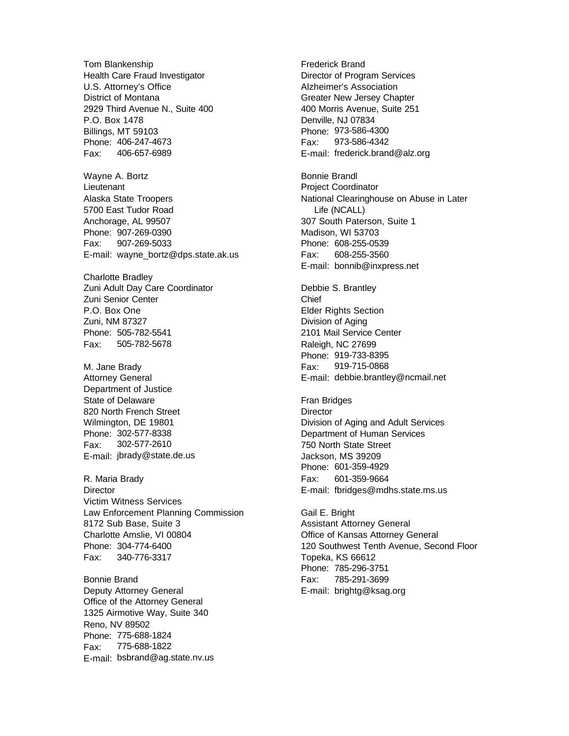Tom Blankenship Health Care Fraud Investigator U.S. Attorney's Office District of Montana 2929 Third Avenue N., Suite 400 P.O. Box 1478 Billings, MT 59103 Phone: 406-247-4673 Fax: 406-657-6989

Wayne A. Bortz Lieutenant Alaska State Troopers 5700 East Tudor Road Anchorage, AL 99507 Phone: 907-269-0390 Fax: 907-269-5033 E-mail: wayne\_bortz@dps.state.ak.us

Charlotte Bradley Zuni Adult Day Care Coordinator Zuni Senior Center P.O. Box One Zuni, NM 87327 Phone: 505-782-5541 Fax: 505-782-5678

M. Jane Brady Attorney General Department of Justice State of Delaware 820 North French Street Wilmington, DE 19801 Phone: 302-577-8338 Fax: 302-577-2610 E-mail: jbrady@state.de.us

R. Maria Brady **Director** Victim Witness Services Law Enforcement Planning Commission 8172 Sub Base, Suite 3 Charlotte Amslie, VI 00804 Phone: 304-774-6400 Fax: 340-776-3317

Bonnie Brand Deputy Attorney General Office of the Attorney General 1325 Airmotive Way, Suite 340 Reno, NV 89502 Phone: 775-688-1824 Fax: 775-688-1822 E-mail: bsbrand@ag.state.nv.us Frederick Brand Director of Program Services Alzheimer's Association Greater New Jersey Chapter 400 Morris Avenue, Suite 251 Denville, NJ 07834 Phone: 973-586-4300 Fax: 973-586-4342 E-mail: frederick.brand@alz.org

Bonnie Brandl Project Coordinator National Clearinghouse on Abuse in Later Life (NCALL) 307 South Paterson, Suite 1 Madison, WI 53703 Phone: 608-255-0539 Fax: 608-255-3560 E-mail: bonnib@inxpress.net

Debbie S. Brantley Chief Elder Rights Section Division of Aging 2101 Mail Service Center Raleigh, NC 27699 Phone: 919-733-8395 Fax: 919-715-0868 E-mail: debbie.brantley@ncmail.net

Fran Bridges **Director** Division of Aging and Adult Services Department of Human Services 750 North State Street Jackson, MS 39209 Phone: 601-359-4929 Fax: 601-359-9664 E-mail: fbridges@mdhs.state.ms.us

Gail E. Bright Assistant Attorney General Office of Kansas Attorney General 120 Southwest Tenth Avenue, Second Floor Topeka, KS 66612 Phone: 785-296-3751 Fax: 785-291-3699 E-mail: brightg@ksag.org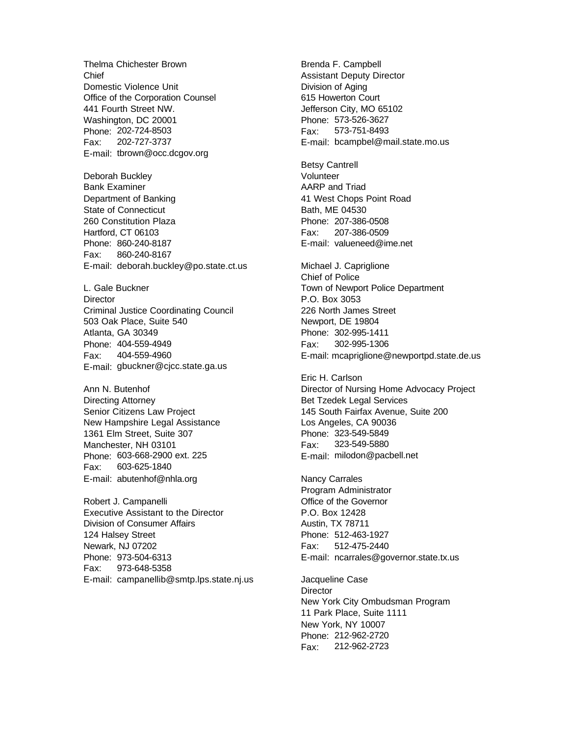Thelma Chichester Brown Chief Domestic Violence Unit Office of the Corporation Counsel 441 Fourth Street NW. Washington, DC 20001 Phone: 202-724-8503 Fax: 202-727-3737 E-mail: tbrown@occ.dcgov.org

Deborah Buckley Bank Examiner Department of Banking State of Connecticut 260 Constitution Plaza Hartford, CT 06103 Phone: 860-240-8187 Fax: 860-240-8167 E-mail: deborah.buckley@po.state.ct.us

L. Gale Buckner **Director** Criminal Justice Coordinating Council 503 Oak Place, Suite 540 Atlanta, GA 30349 Phone: 404-559-4949 Fax: 404-559-4960 E-mail: gbuckner@cjcc.state.ga.us

Ann N. Butenhof Directing Attorney Senior Citizens Law Project New Hampshire Legal Assistance 1361 Elm Street, Suite 307 Manchester, NH 03101 Phone: 603-668-2900 ext. 225 Fax: 603-625-1840 E-mail: abutenhof@nhla.org

Robert J. Campanelli Executive Assistant to the Director Division of Consumer Affairs 124 Halsey Street Newark, NJ 07202 Phone: 973-504-6313 Fax: 973-648-5358 E-mail: campanellib@smtp.lps.state.nj.us Brenda F. Campbell Assistant Deputy Director Division of Aging 615 Howerton Court Jefferson City, MO 65102 Phone: 573-526-3627 Fax: 573-751-8493 E-mail: bcampbel@mail.state.mo.us

Betsy Cantrell Volunteer AARP and Triad 41 West Chops Point Road Bath, ME 04530 Phone: 207-386-0508 Fax: 207-386-0509 E-mail: valueneed@ime.net

Michael J. Capriglione Chief of Police Town of Newport Police Department P.O. Box 3053 226 North James Street Newport, DE 19804 Phone: 302-995-1411 Fax: 302-995-1306 E-mail: mcapriglione@newportpd.state.de.us

Eric H. Carlson Director of Nursing Home Advocacy Project Bet Tzedek Legal Services 145 South Fairfax Avenue, Suite 200 Los Angeles, CA 90036 Phone: 323-549-5849 Fax: 323-549-5880 E-mail: milodon@pacbell.net

Nancy Carrales Program Administrator Office of the Governor P.O. Box 12428 Austin, TX 78711 Phone: 512-463-1927 Fax: 512-475-2440 E-mail: ncarrales@governor.state.tx.us

Jacqueline Case **Director** New York City Ombudsman Program 11 Park Place, Suite 1111 New York, NY 10007 Phone: 212-962-2720 Fax: 212-962-2723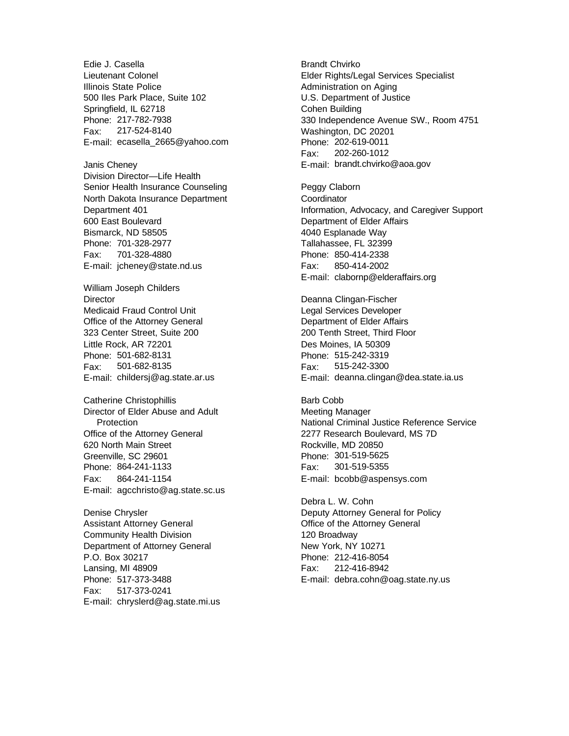Edie J. Casella Lieutenant Colonel Illinois State Police 500 Iles Park Place, Suite 102 Springfield, IL 62718 Phone: 217-782-7938 Fax: 217-524-8140 E-mail: ecasella\_2665@yahoo.com

Janis Cheney Division Director—Life Health Senior Health Insurance Counseling North Dakota Insurance Department Department 401 600 East Boulevard Bismarck, ND 58505 Phone: 701-328-2977 Fax: 701-328-4880 E-mail: jcheney@state.nd.us

William Joseph Childers **Director** Medicaid Fraud Control Unit Office of the Attorney General 323 Center Street, Suite 200 Little Rock, AR 72201 Phone: 501-682-8131 Fax: 501-682-8135 E-mail: childersj@ag.state.ar.us

Catherine Christophillis Director of Elder Abuse and Adult **Protection** Office of the Attorney General 620 North Main Street Greenville, SC 29601 Phone: 864-241-1133 Fax: 864-241-1154 E-mail: agcchristo@ag.state.sc.us

Denise Chrysler Assistant Attorney General Community Health Division Department of Attorney General P.O. Box 30217 Lansing, MI 48909 Phone: 517-373-3488 Fax: 517-373-0241 E-mail: chryslerd@ag.state.mi.us Brandt Chvirko Elder Rights/Legal Services Specialist Administration on Aging U.S. Department of Justice Cohen Building 330 Independence Avenue SW., Room 4751 Washington, DC 20201 Phone: 202-619-0011 Fax: 202-260-1012 E-mail: brandt.chvirko@aoa.gov

Peggy Claborn **Coordinator** Information, Advocacy, and Caregiver Support Department of Elder Affairs 4040 Esplanade Way Tallahassee, FL 32399 Phone: 850-414-2338 Fax: 850-414-2002 E-mail: clabornp@elderaffairs.org

Deanna Clingan-Fischer Legal Services Developer Department of Elder Affairs 200 Tenth Street, Third Floor Des Moines, IA 50309 Phone: 515-242-3319 Fax: 515-242-3300 E-mail: deanna.clingan@dea.state.ia.us

Barb Cobb Meeting Manager National Criminal Justice Reference Service 2277 Research Boulevard, MS 7D Rockville, MD 20850 Phone: 301-519-5625 Fax: 301-519-5355 E-mail: bcobb@aspensys.com

Debra L. W. Cohn Deputy Attorney General for Policy Office of the Attorney General 120 Broadway New York, NY 10271 Phone: 212-416-8054 Fax: 212-416-8942 E-mail: debra.cohn@oag.state.ny.us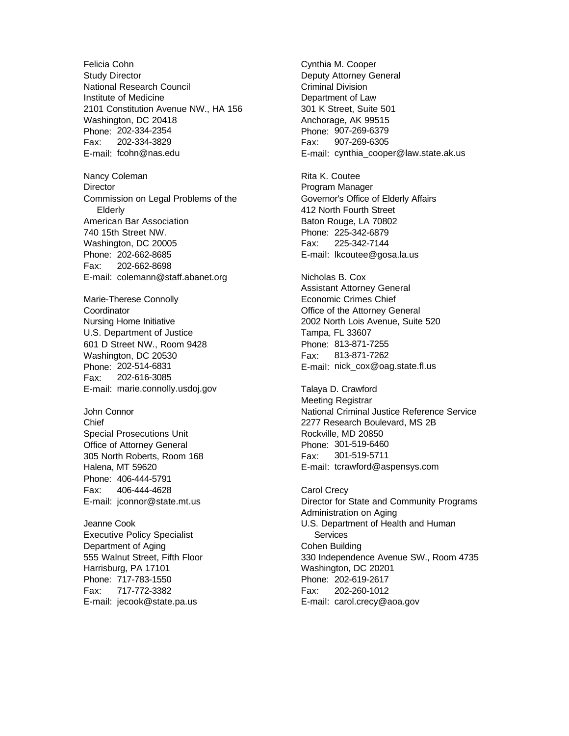Felicia Cohn Study Director National Research Council Institute of Medicine 2101 Constitution Avenue NW., HA 156 Washington, DC 20418 Phone: 202-334-2354 Fax: 202-334-3829 E-mail: fcohn@nas.edu

Nancy Coleman **Director** Commission on Legal Problems of the Elderly American Bar Association 740 15th Street NW. Washington, DC 20005 Phone: 202-662-8685 Fax: 202-662-8698 E-mail: colemann@staff.abanet.org

Marie-Therese Connolly **Coordinator** Nursing Home Initiative U.S. Department of Justice 601 D Street NW., Room 9428 Washington, DC 20530 Phone: 202-514-6831 Fax: 202-616-3085 E-mail: marie.connolly.usdoj.gov

John Connor **Chief** Special Prosecutions Unit Office of Attorney General 305 North Roberts, Room 168 Halena, MT 59620 Phone: 406-444-5791 Fax: 406-444-4628 E-mail: jconnor@state.mt.us

Jeanne Cook Executive Policy Specialist Department of Aging 555 Walnut Street, Fifth Floor Harrisburg, PA 17101 Phone: 717-783-1550 Fax: 717-772-3382 E-mail: jecook@state.pa.us

Cynthia M. Cooper Deputy Attorney General Criminal Division Department of Law 301 K Street, Suite 501 Anchorage, AK 99515 Phone: 907-269-6379 Fax: 907-269-6305 E-mail: cynthia\_cooper@law.state.ak.us

Rita K. Coutee Program Manager Governor's Office of Elderly Affairs 412 North Fourth Street Baton Rouge, LA 70802 Phone: 225-342-6879 Fax: 225-342-7144 E-mail: lkcoutee@gosa.la.us

Nicholas B. Cox Assistant Attorney General Economic Crimes Chief Office of the Attorney General 2002 North Lois Avenue, Suite 520 Tampa, FL 33607 Phone: 813-871-7255 Fax: 813-871-7262 E-mail: nick\_cox@oag.state.fl.us

Talaya D. Crawford Meeting Registrar National Criminal Justice Reference Service 2277 Research Boulevard, MS 2B Rockville, MD 20850 Phone: 301-519-6460 Fax: 301-519-5711 E-mail: tcrawford@aspensys.com

Carol Crecy Director for State and Community Programs Administration on Aging U.S. Department of Health and Human **Services** Cohen Building 330 Independence Avenue SW., Room 4735 Washington, DC 20201 Phone: 202-619-2617 Fax: 202-260-1012 E-mail: carol.crecy@aoa.gov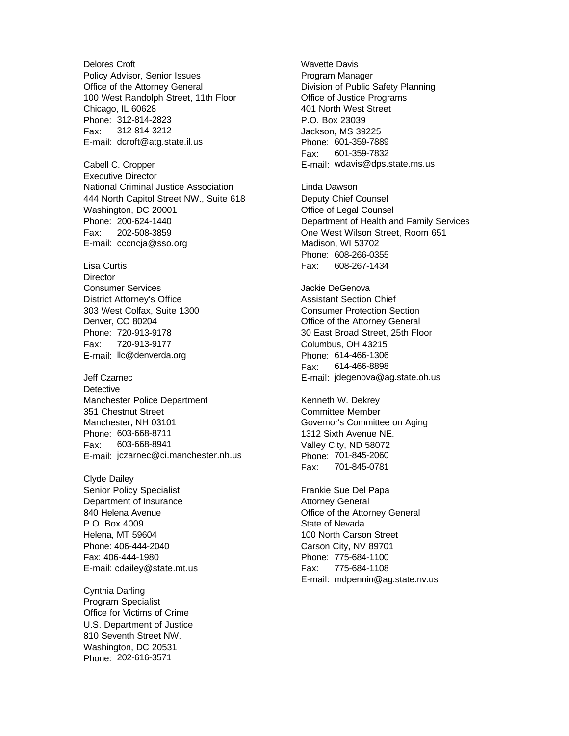Delores Croft Policy Advisor, Senior Issues Office of the Attorney General 100 West Randolph Street, 11th Floor Chicago, IL 60628 Phone: 312-814-2823 Fax: 312-814-3212 E-mail: dcroft@atg.state.il.us

Cabell C. Cropper Executive Director National Criminal Justice Association 444 North Capitol Street NW., Suite 618 Washington, DC 20001 Phone: 200-624-1440 Fax: 202-508-3859 E-mail: cccncja@sso.org

Lisa Curtis **Director** Consumer Services District Attorney's Office 303 West Colfax, Suite 1300 Denver, CO 80204 Phone: 720-913-9178 Fax: 720-913-9177 E-mail: llc@denverda.org

Jeff Czarnec **Detective** Manchester Police Department 351 Chestnut Street Manchester, NH 03101 Phone: 603-668-8711 Fax: 603-668-8941 E-mail: jczarnec@ci.manchester.nh.us

Clyde Dailey Senior Policy Specialist Department of Insurance 840 Helena Avenue P.O. Box 4009 Helena, MT 59604 Phone: 406-444-2040 Fax: 406-444-1980 E-mail: cdailey@state.mt.us

Cynthia Darling Program Specialist Office for Victims of Crime U.S. Department of Justice 810 Seventh Street NW. Washington, DC 20531 Phone: 202-616-3571

Wavette Davis Program Manager Division of Public Safety Planning Office of Justice Programs 401 North West Street P.O. Box 23039 Jackson, MS 39225 Phone: 601-359-7889 Fax: 601-359-7832 E-mail: wdavis@dps.state.ms.us

Linda Dawson Deputy Chief Counsel Office of Legal Counsel Department of Health and Family Services One West Wilson Street, Room 651 Madison, WI 53702 Phone: 608-266-0355 Fax: 608-267-1434

Jackie DeGenova Assistant Section Chief Consumer Protection Section Office of the Attorney General 30 East Broad Street, 25th Floor Columbus, OH 43215 Phone: 614-466-1306 Fax: 614-466-8898 E-mail: jdegenova@ag.state.oh.us

Kenneth W. Dekrey Committee Member Governor's Committee on Aging 1312 Sixth Avenue NE. Valley City, ND 58072 Phone: 701-845-2060 Fax: 701-845-0781

Frankie Sue Del Papa Attorney General Office of the Attorney General State of Nevada 100 North Carson Street Carson City, NV 89701 Phone: 775-684-1100 Fax: 775-684-1108 E-mail: mdpennin@ag.state.nv.us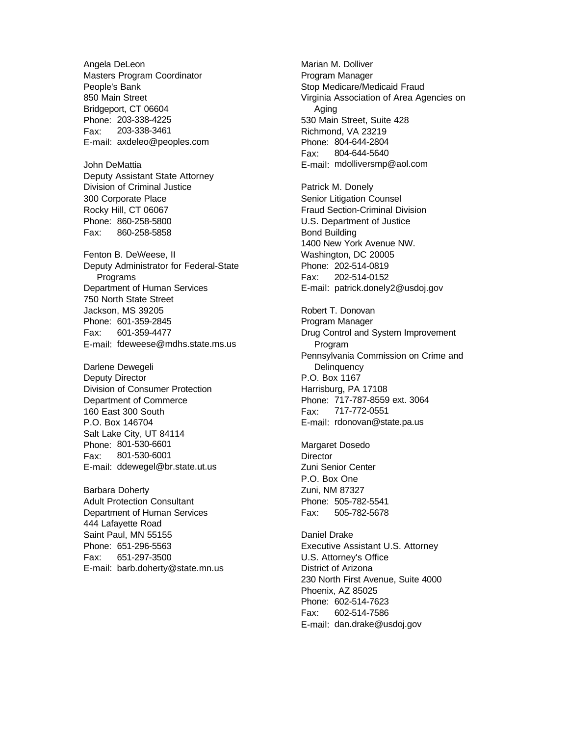Angela DeLeon Masters Program Coordinator People's Bank 850 Main Street Bridgeport, CT 06604 Phone: 203-338-4225 Fax: 203-338-3461 E-mail: axdeleo@peoples.com

John DeMattia Deputy Assistant State Attorney Division of Criminal Justice 300 Corporate Place Rocky Hill, CT 06067 Phone: 860-258-5800 Fax: 860-258-5858

Fenton B. DeWeese, II Deputy Administrator for Federal-State Programs Department of Human Services 750 North State Street Jackson, MS 39205 Phone: 601-359-2845 Fax: 601-359-4477 E-mail: fdeweese@mdhs.state.ms.us

Darlene Dewegeli Deputy Director Division of Consumer Protection Department of Commerce 160 East 300 South P.O. Box 146704 Salt Lake City, UT 84114 Phone: 801-530-6601 Fax: 801-530-6001 E-mail: ddewegel@br.state.ut.us

Barbara Doherty Adult Protection Consultant Department of Human Services 444 Lafayette Road Saint Paul, MN 55155 Phone: 651-296-5563 Fax: 651-297-3500 E-mail: barb.doherty@state.mn.us Marian M. Dolliver Program Manager Stop Medicare/Medicaid Fraud Virginia Association of Area Agencies on Aging 530 Main Street, Suite 428 Richmond, VA 23219 Phone: 804-644-2804 Fax: 804-644-5640 E-mail: mdolliversmp@aol.com

Patrick M. Donely Senior Litigation Counsel Fraud Section-Criminal Division U.S. Department of Justice Bond Building 1400 New York Avenue NW. Washington, DC 20005 Phone: 202-514-0819 Fax: 202-514-0152 E-mail: patrick.donely2@usdoj.gov

Robert T. Donovan Program Manager Drug Control and System Improvement Program Pennsylvania Commission on Crime and **Delinquency** P.O. Box 1167 Harrisburg, PA 17108 Phone: 717-787-8559 ext. 3064 Fax: 717-772-0551 E-mail: rdonovan@state.pa.us

Margaret Dosedo **Director** Zuni Senior Center P.O. Box One Zuni, NM 87327 Phone: 505-782-5541 Fax: 505-782-5678

Daniel Drake Executive Assistant U.S. Attorney U.S. Attorney's Office District of Arizona 230 North First Avenue, Suite 4000 Phoenix, AZ 85025 Phone: 602-514-7623 Fax: 602-514-7586 E-mail: dan.drake@usdoj.gov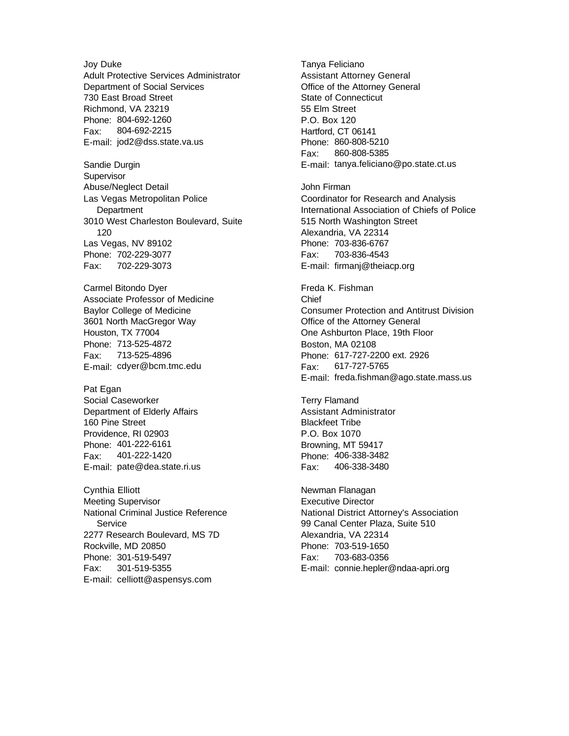Joy Duke Adult Protective Services Administrator Department of Social Services 730 East Broad Street Richmond, VA 23219 Phone: 804-692-1260 Fax: 804-692-2215 E-mail: jod2@dss.state.va.us

Sandie Durgin **Supervisor** Abuse/Neglect Detail Las Vegas Metropolitan Police **Department** 3010 West Charleston Boulevard, Suite 120 Las Vegas, NV 89102 Phone: 702-229-3077 Fax: 702-229-3073

Carmel Bitondo Dyer Associate Professor of Medicine Baylor College of Medicine 3601 North MacGregor Way Houston, TX 77004 Phone: 713-525-4872 Fax: 713-525-4896 E-mail: cdyer@bcm.tmc.edu

Pat Egan Social Caseworker Department of Elderly Affairs 160 Pine Street Providence, RI 02903 Phone: 401-222-6161 Fax: 401-222-1420 E-mail: pate@dea.state.ri.us

Cynthia Elliott Meeting Supervisor National Criminal Justice Reference **Service** 2277 Research Boulevard, MS 7D Rockville, MD 20850 Phone: 301-519-5497 Fax: 301-519-5355 E-mail: celliott@aspensys.com

Tanya Feliciano Assistant Attorney General Office of the Attorney General State of Connecticut 55 Elm Street P.O. Box 120 Hartford, CT 06141 Phone: 860-808-5210 Fax: 860-808-5385 E-mail: tanya.feliciano@po.state.ct.us

John Firman Coordinator for Research and Analysis International Association of Chiefs of Police 515 North Washington Street Alexandria, VA 22314 Phone: 703-836-6767 Fax: 703-836-4543 E-mail: firmanj@theiacp.org

Freda K. Fishman Chief Consumer Protection and Antitrust Division Office of the Attorney General One Ashburton Place, 19th Floor Boston, MA 02108 Phone: 617-727-2200 ext. 2926 Fax: 617-727-5765 E-mail: freda.fishman@ago.state.mass.us

Terry Flamand Assistant Administrator Blackfeet Tribe P.O. Box 1070 Browning, MT 59417 Phone: 406-338-3482 Fax: 406-338-3480

Newman Flanagan Executive Director National District Attorney's Association 99 Canal Center Plaza, Suite 510 Alexandria, VA 22314 Phone: 703-519-1650 Fax: 703-683-0356 E-mail: connie.hepler@ndaa-apri.org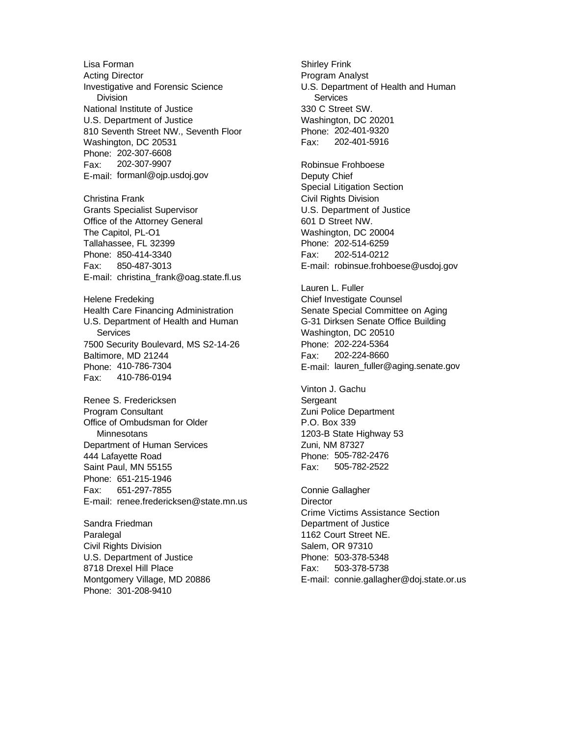Lisa Forman Acting Director Investigative and Forensic Science Division National Institute of Justice U.S. Department of Justice 810 Seventh Street NW., Seventh Floor Washington, DC 20531 Phone: 202-307-6608 Fax: 202-307-9907 E-mail: formanl@ojp.usdoj.gov Christina Frank Grants Specialist Supervisor Office of the Attorney General The Capitol, PL-O1 Tallahassee, FL 32399 Phone: 850-414-3340 Fax: 850-487-3013 E-mail: christina\_frank@oag.state.fl.us Helene Fredeking Health Care Financing Administration U.S. Department of Health and Human **Services** 7500 Security Boulevard, MS S2-14-26 Baltimore, MD 21244 Phone: 410-786-7304 Fax: 410-786-0194 Renee S. Fredericksen Program Consultant Office of Ombudsman for Older **Minnesotans** Department of Human Services 444 Lafayette Road Saint Paul, MN 55155 Phone: 651-215-1946 Fax: 651-297-7855 E-mail: renee.fredericksen@state.mn.us Sandra Friedman

**Paralegal** Civil Rights Division U.S. Department of Justice 8718 Drexel Hill Place Montgomery Village, MD 20886 Phone: 301-208-9410

Shirley Frink Program Analyst U.S. Department of Health and Human **Services** 330 C Street SW. Washington, DC 20201 Phone: 202-401-9320 Fax: 202-401-5916

Robinsue Frohboese Deputy Chief Special Litigation Section Civil Rights Division U.S. Department of Justice 601 D Street NW. Washington, DC 20004 Phone: 202-514-6259 Fax: 202-514-0212 E-mail: robinsue.frohboese@usdoj.gov

Lauren L. Fuller Chief Investigate Counsel Senate Special Committee on Aging G-31 Dirksen Senate Office Building Washington, DC 20510 Phone: 202-224-5364 Fax: 202-224-8660 E-mail: lauren\_fuller@aging.senate.gov

Vinton J. Gachu **Sergeant** Zuni Police Department P.O. Box 339 1203-B State Highway 53 Zuni, NM 87327 Phone: 505-782-2476 Fax: 505-782-2522

Connie Gallagher **Director** Crime Victims Assistance Section Department of Justice 1162 Court Street NE. Salem, OR 97310 Phone: 503-378-5348 Fax: 503-378-5738 E-mail: connie.gallagher@doj.state.or.us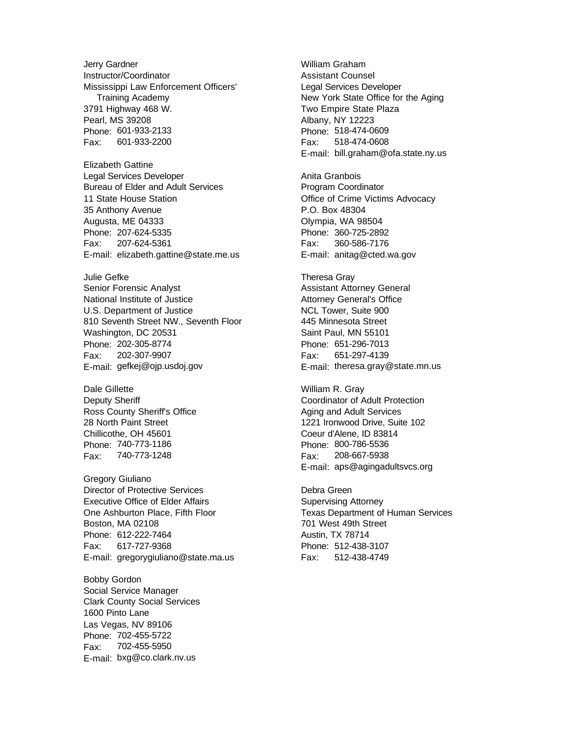Jerry Gardner Instructor/Coordinator Mississippi Law Enforcement Officers' Training Academy 3791 Highway 468 W. Pearl, MS 39208 Phone: 601-933-2133 Fax: 601-933-2200

Elizabeth Gattine Legal Services Developer Bureau of Elder and Adult Services 11 State House Station 35 Anthony Avenue Augusta, ME 04333 Phone: 207-624-5335 Fax: 207-624-5361 E-mail: elizabeth.gattine@state.me.us

Julie Gefke Senior Forensic Analyst National Institute of Justice U.S. Department of Justice 810 Seventh Street NW., Seventh Floor Washington, DC 20531 Phone: 202-305-8774 Fax: 202-307-9907 E-mail: gefkej@ojp.usdoj.gov

Dale Gillette Deputy Sheriff Ross County Sheriff's Office 28 North Paint Street Chillicothe, OH 45601 Phone: 740-773-1186 Fax: 740-773-1248

Gregory Giuliano Director of Protective Services Executive Office of Elder Affairs One Ashburton Place, Fifth Floor Boston, MA 02108 Phone: 612-222-7464 Fax: 617-727-9368 E-mail: gregorygiuliano@state.ma.us

Bobby Gordon Social Service Manager Clark County Social Services 1600 Pinto Lane Las Vegas, NV 89106 Phone: 702-455-5722 Fax: 702-455-5950 E-mail: bxg@co.clark.nv.us

William Graham Assistant Counsel Legal Services Developer New York State Office for the Aging Two Empire State Plaza Albany, NY 12223 Phone: 518-474-0609 Fax: 518-474-0608 E-mail: bill.graham@ofa.state.ny.us

Anita Granbois Program Coordinator Office of Crime Victims Advocacy P.O. Box 48304 Olympia, WA 98504 Phone: 360-725-2892 Fax: 360-586-7176 E-mail: anitag@cted.wa.gov

Theresa Gray Assistant Attorney General Attorney General's Office NCL Tower, Suite 900 445 Minnesota Street Saint Paul, MN 55101 Phone: 651-296-7013 Fax: 651-297-4139 E-mail: theresa.gray@state.mn.us

William R. Gray Coordinator of Adult Protection Aging and Adult Services 1221 Ironwood Drive, Suite 102 Coeur d'Alene, ID 83814 Phone: 800-786-5536 Fax: 208-667-5938 E-mail: aps@agingadultsvcs.org

Debra Green Supervising Attorney Texas Department of Human Services 701 West 49th Street Austin, TX 78714 Phone: 512-438-3107 Fax: 512-438-4749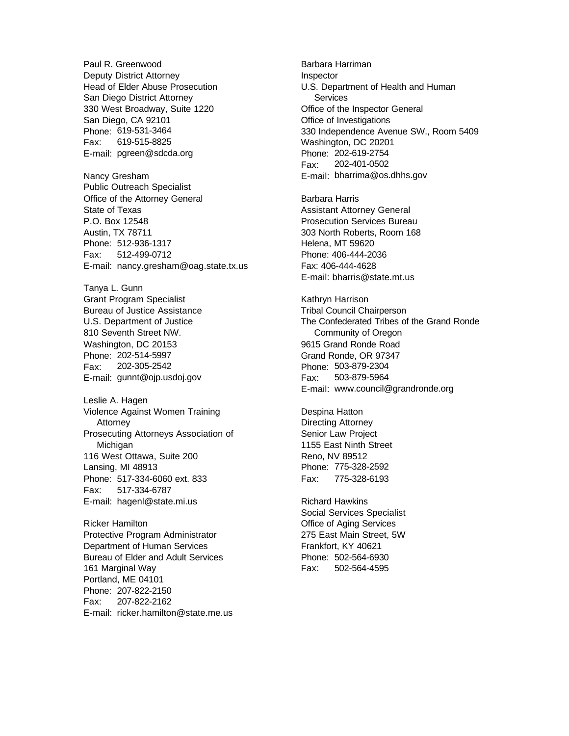Paul R. Greenwood Deputy District Attorney Head of Elder Abuse Prosecution San Diego District Attorney 330 West Broadway, Suite 1220 San Diego, CA 92101 Phone: 619-531-3464 Fax: 619-515-8825 E-mail: pgreen@sdcda.org Nancy Gresham Public Outreach Specialist Office of the Attorney General State of Texas P.O. Box 12548 Austin, TX 78711 Phone: 512-936-1317 Fax: 512-499-0712 E-mail: nancy.gresham@oag.state.tx.us Tanya L. Gunn Grant Program Specialist Bureau of Justice Assistance U.S. Department of Justice 810 Seventh Street NW. Washington, DC 20153 Phone: 202-514-5997

Fax: 202-305-2542 E-mail: gunnt@ojp.usdoj.gov

Leslie A. Hagen Violence Against Women Training Attorney Prosecuting Attorneys Association of Michigan 116 West Ottawa, Suite 200 Lansing, MI 48913 Phone: 517-334-6060 ext. 833 Fax: 517-334-6787 E-mail: hagenl@state.mi.us

Ricker Hamilton Protective Program Administrator Department of Human Services Bureau of Elder and Adult Services 161 Marginal Way Portland, ME 04101 Phone: 207-822-2150 Fax: 207-822-2162 E-mail: ricker.hamilton@state.me.us Barbara Harriman Inspector U.S. Department of Health and Human **Services** Office of the Inspector General Office of Investigations 330 Independence Avenue SW., Room 5409 Washington, DC 20201 Phone: 202-619-2754 Fax: 202-401-0502 E-mail: bharrima@os.dhhs.gov

Barbara Harris Assistant Attorney General Prosecution Services Bureau 303 North Roberts, Room 168 Helena, MT 59620 Phone: 406-444-2036 Fax: 406-444-4628 E-mail: bharris@state.mt.us

Kathryn Harrison Tribal Council Chairperson The Confederated Tribes of the Grand Ronde Community of Oregon 9615 Grand Ronde Road Grand Ronde, OR 97347 Phone: 503-879-2304 Fax: 503-879-5964 E-mail: www.council@grandronde.org

Despina Hatton Directing Attorney Senior Law Project 1155 East Ninth Street Reno, NV 89512 Phone: 775-328-2592 Fax: 775-328-6193

Richard Hawkins Social Services Specialist Office of Aging Services 275 East Main Street, 5W Frankfort, KY 40621 Phone: 502-564-6930 Fax: 502-564-4595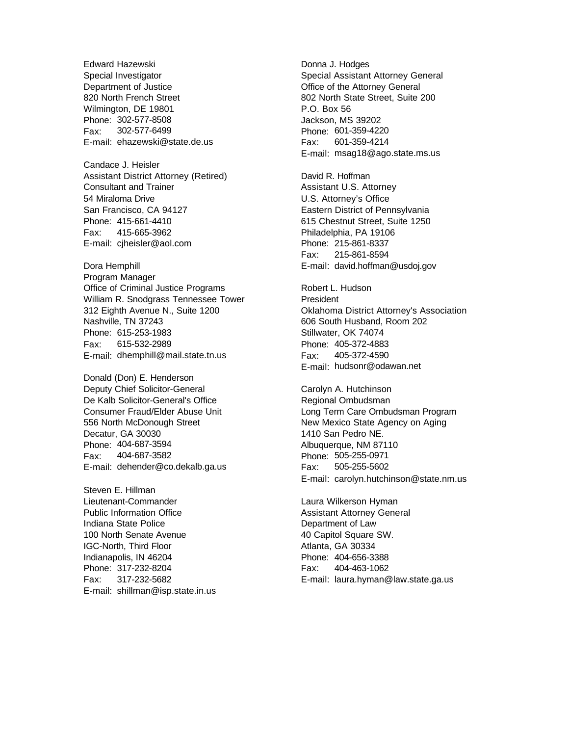Edward Hazewski Special Investigator Department of Justice 820 North French Street Wilmington, DE 19801 Phone: 302-577-8508 Fax: 302-577-6499 E-mail: ehazewski@state.de.us

Candace J. Heisler Assistant District Attorney (Retired) Consultant and Trainer 54 Miraloma Drive San Francisco, CA 94127 Phone: 415-661-4410 Fax: 415-665-3962 E-mail: cjheisler@aol.com

Dora Hemphill Program Manager Office of Criminal Justice Programs William R. Snodgrass Tennessee Tower 312 Eighth Avenue N., Suite 1200 Nashville, TN 37243 Phone: 615-253-1983 Fax: 615-532-2989 E-mail: dhemphill@mail.state.tn.us

Donald (Don) E. Henderson Deputy Chief Solicitor-General De Kalb Solicitor-General's Office Consumer Fraud/Elder Abuse Unit 556 North McDonough Street Decatur, GA 30030 Phone: 404-687-3594 Fax: 404-687-3582 E-mail: dehender@co.dekalb.ga.us

Steven E. Hillman Lieutenant-Commander Public Information Office Indiana State Police 100 North Senate Avenue IGC-North, Third Floor Indianapolis, IN 46204 Phone: 317-232-8204 Fax: 317-232-5682 E-mail: shillman@isp.state.in.us Donna J. Hodges Special Assistant Attorney General Office of the Attorney General 802 North State Street, Suite 200 P.O. Box 56 Jackson, MS 39202 Phone: 601-359-4220 Fax: 601-359-4214 E-mail: msag18@ago.state.ms.us

David R. Hoffman Assistant U.S. Attorney U.S. Attorney's Office Eastern District of Pennsylvania 615 Chestnut Street, Suite 1250 Philadelphia, PA 19106 Phone: 215-861-8337 Fax: 215-861-8594 E-mail: david.hoffman@usdoj.gov

Robert L. Hudson President Oklahoma District Attorney's Association 606 South Husband, Room 202 Stillwater, OK 74074 Phone: 405-372-4883 Fax: 405-372-4590 E-mail: hudsonr@odawan.net

Carolyn A. Hutchinson Regional Ombudsman Long Term Care Ombudsman Program New Mexico State Agency on Aging 1410 San Pedro NE. Albuquerque, NM 87110 Phone: 505-255-0971 Fax: 505-255-5602 E-mail: carolyn.hutchinson@state.nm.us

Laura Wilkerson Hyman Assistant Attorney General Department of Law 40 Capitol Square SW. Atlanta, GA 30334 Phone: 404-656-3388 Fax: 404-463-1062 E-mail: laura.hyman@law.state.ga.us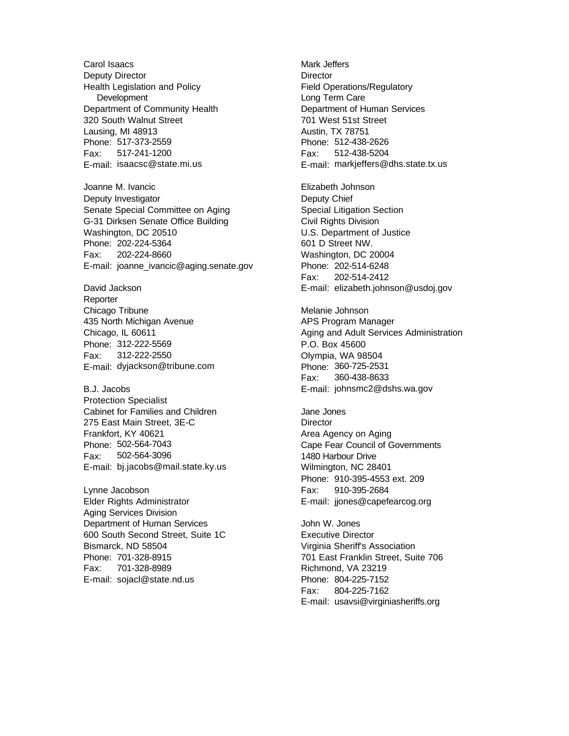Carol Isaacs Deputy Director Health Legislation and Policy **Development** Department of Community Health 320 South Walnut Street Lausing, MI 48913 Phone: 517-373-2559 Fax: 517-241-1200 E-mail: isaacsc@state.mi.us

Joanne M. Ivancic Deputy Investigator Senate Special Committee on Aging G-31 Dirksen Senate Office Building Washington, DC 20510 Phone: 202-224-5364 Fax: 202-224-8660 E-mail: joanne\_ivancic@aging.senate.gov

David Jackson Reporter Chicago Tribune 435 North Michigan Avenue Chicago, IL 60611 Phone: 312-222-5569 Fax: 312-222-2550 E-mail: dyjackson@tribune.com

B.J. Jacobs Protection Specialist Cabinet for Families and Children 275 East Main Street, 3E-C Frankfort, KY 40621 Phone: 502-564-7043 Fax: 502-564-3096 E-mail: bj.jacobs@mail.state.ky.us

Lynne Jacobson Elder Rights Administrator Aging Services Division Department of Human Services 600 South Second Street, Suite 1C Bismarck, ND 58504 Phone: 701-328-8915 Fax: 701-328-8989 E-mail: sojacl@state.nd.us

Mark Jeffers **Director** Field Operations/Regulatory Long Term Care Department of Human Services 701 West 51st Street Austin, TX 78751 Phone: 512-438-2626 Fax: 512-438-5204 E-mail: markjeffers@dhs.state.tx.us

Elizabeth Johnson Deputy Chief Special Litigation Section Civil Rights Division U.S. Department of Justice 601 D Street NW. Washington, DC 20004 Phone: 202-514-6248 Fax: 202-514-2412 E-mail: elizabeth.johnson@usdoj.gov

Melanie Johnson APS Program Manager Aging and Adult Services Administration P.O. Box 45600 Olympia, WA 98504 Phone: 360-725-2531 Fax: 360-438-8633 E-mail: johnsmc2@dshs.wa.gov

Jane Jones **Director** Area Agency on Aging Cape Fear Council of Governments 1480 Harbour Drive Wilmington, NC 28401 Phone: 910-395-4553 ext. 209 Fax: 910-395-2684 E-mail: jjones@capefearcog.org

John W. Jones Executive Director Virginia Sheriff's Association 701 East Franklin Street, Suite 706 Richmond, VA 23219 Phone: 804-225-7152 Fax: 804-225-7162 E-mail: usavsi@virginiasheriffs.org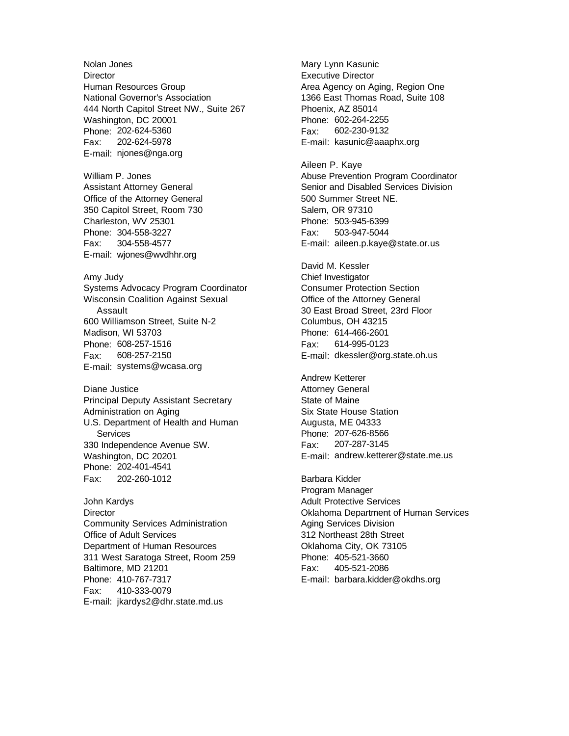Nolan Jones **Director** Human Resources Group National Governor's Association 444 North Capitol Street NW., Suite 267 Washington, DC 20001 Phone: 202-624-5360 Fax: 202-624-5978 E-mail: njones@nga.org William P. Jones Assistant Attorney General Office of the Attorney General 350 Capitol Street, Room 730 Charleston, WV 25301 Phone: 304-558-3227 Fax: 304-558-4577 E-mail: wjones@wvdhhr.org Amy Judy Systems Advocacy Program Coordinator Wisconsin Coalition Against Sexual Assault 600 Williamson Street, Suite N-2 Madison, WI 53703 Phone: 608-257-1516 Fax: 608-257-2150 E-mail: systems@wcasa.org Diane Justice Principal Deputy Assistant Secretary

Administration on Aging U.S. Department of Health and Human **Services** 330 Independence Avenue SW. Washington, DC 20201 Phone: 202-401-4541 Fax: 202-260-1012

John Kardys **Director** Community Services Administration Office of Adult Services Department of Human Resources 311 West Saratoga Street, Room 259 Baltimore, MD 21201 Phone: 410-767-7317 Fax: 410-333-0079 E-mail: jkardys2@dhr.state.md.us

Mary Lynn Kasunic Executive Director Area Agency on Aging, Region One 1366 East Thomas Road, Suite 108 Phoenix, AZ 85014 Phone: 602-264-2255 Fax: 602-230-9132 E-mail: kasunic@aaaphx.org

Aileen P. Kaye Abuse Prevention Program Coordinator Senior and Disabled Services Division 500 Summer Street NE. Salem, OR 97310 Phone: 503-945-6399 Fax: 503-947-5044 E-mail: aileen.p.kaye@state.or.us

David M. Kessler Chief Investigator Consumer Protection Section Office of the Attorney General 30 East Broad Street, 23rd Floor Columbus, OH 43215 Phone: 614-466-2601 Fax: 614-995-0123 E-mail: dkessler@org.state.oh.us

Andrew Ketterer Attorney General State of Maine Six State House Station Augusta, ME 04333 Phone: 207-626-8566 Fax: 207-287-3145 E-mail: andrew.ketterer@state.me.us

Barbara Kidder Program Manager Adult Protective Services Oklahoma Department of Human Services Aging Services Division 312 Northeast 28th Street Oklahoma City, OK 73105 Phone: 405-521-3660 Fax: 405-521-2086 E-mail: barbara.kidder@okdhs.org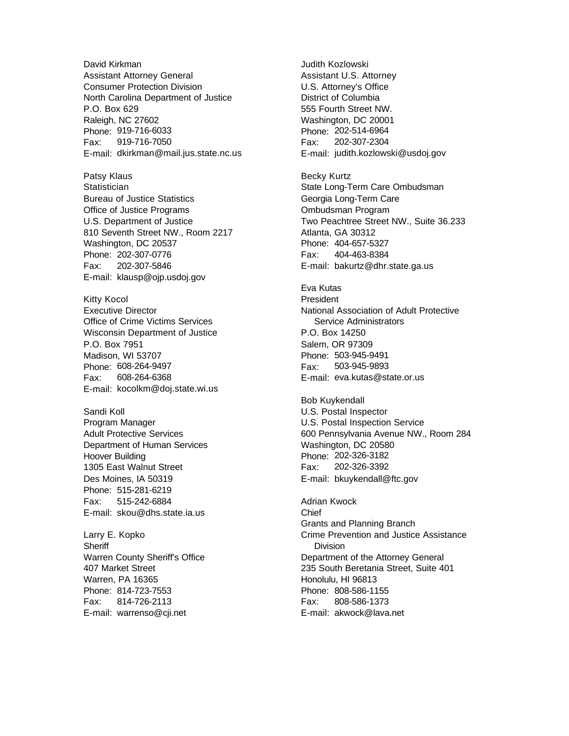David Kirkman Assistant Attorney General Consumer Protection Division North Carolina Department of Justice P.O. Box 629 Raleigh, NC 27602 Phone: 919-716-6033 Fax: 919-716-7050 E-mail: dkirkman@mail.jus.state.nc.us

Patsy Klaus **Statistician** Bureau of Justice Statistics Office of Justice Programs U.S. Department of Justice 810 Seventh Street NW., Room 2217 Washington, DC 20537 Phone: 202-307-0776 Fax: 202-307-5846 E-mail: klausp@ojp.usdoj.gov

Kitty Kocol Executive Director Office of Crime Victims Services Wisconsin Department of Justice P.O. Box 7951 Madison, WI 53707 Phone: 608-264-9497 Fax: 608-264-6368 E-mail: kocolkm@doj.state.wi.us

Sandi Koll Program Manager Adult Protective Services Department of Human Services Hoover Building 1305 East Walnut Street Des Moines, IA 50319 Phone: 515-281-6219 Fax: 515-242-6884 E-mail: skou@dhs.state.ia.us

Larry E. Kopko **Sheriff** Warren County Sheriff's Office 407 Market Street Warren, PA 16365 Phone: 814-723-7553 Fax: 814-726-2113 E-mail: warrenso@cji.net

Judith Kozlowski Assistant U.S. Attorney U.S. Attorney's Office District of Columbia 555 Fourth Street NW. Washington, DC 20001 Phone: 202-514-6964 Fax: 202-307-2304 E-mail: judith.kozlowski@usdoj.gov

Becky Kurtz State Long-Term Care Ombudsman Georgia Long-Term Care Ombudsman Program Two Peachtree Street NW., Suite 36.233 Atlanta, GA 30312 Phone: 404-657-5327 Fax: 404-463-8384 E-mail: bakurtz@dhr.state.ga.us

Eva Kutas President National Association of Adult Protective Service Administrators P.O. Box 14250 Salem, OR 97309 Phone: 503-945-9491 Fax: 503-945-9893 E-mail: eva.kutas@state.or.us

Bob Kuykendall U.S. Postal Inspector U.S. Postal Inspection Service 600 Pennsylvania Avenue NW., Room 284 Washington, DC 20580 Phone: 202-326-3182 Fax: 202-326-3392 E-mail: bkuykendall@ftc.gov

Adrian Kwock Chief Grants and Planning Branch Crime Prevention and Justice Assistance **Division** Department of the Attorney General 235 South Beretania Street, Suite 401 Honolulu, HI 96813 Phone: 808-586-1155 Fax: 808-586-1373 E-mail: akwock@lava.net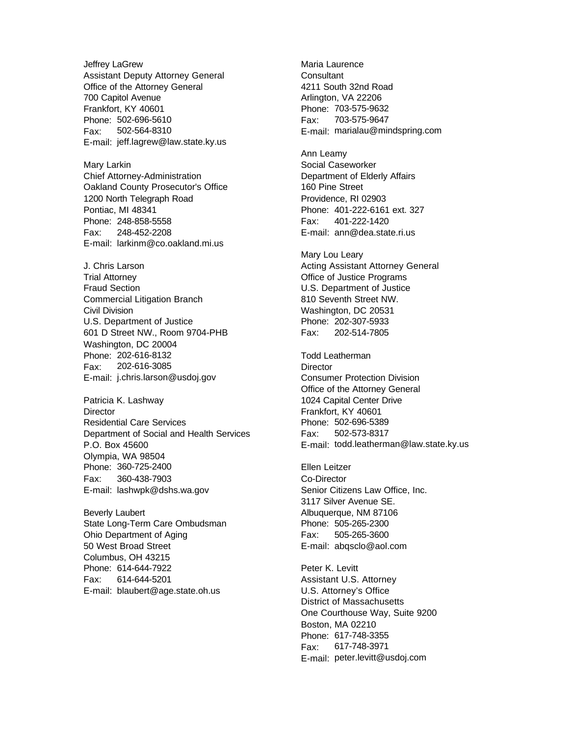Jeffrey LaGrew Assistant Deputy Attorney General Office of the Attorney General 700 Capitol Avenue Frankfort, KY 40601 Phone: 502-696-5610 Fax: 502-564-8310 E-mail: jeff.lagrew@law.state.ky.us

Mary Larkin Chief Attorney-Administration Oakland County Prosecutor's Office 1200 North Telegraph Road Pontiac, MI 48341 Phone: 248-858-5558 Fax: 248-452-2208 E-mail: larkinm@co.oakland.mi.us

J. Chris Larson Trial Attorney Fraud Section Commercial Litigation Branch Civil Division U.S. Department of Justice 601 D Street NW., Room 9704-PHB Washington, DC 20004 Phone: 202-616-8132 Fax: 202-616-3085 E-mail: j.chris.larson@usdoj.gov

Patricia K. Lashway **Director** Residential Care Services Department of Social and Health Services P.O. Box 45600 Olympia, WA 98504 Phone: 360-725-2400 Fax: 360-438-7903 E-mail: lashwpk@dshs.wa.gov

Beverly Laubert State Long-Term Care Ombudsman Ohio Department of Aging 50 West Broad Street Columbus, OH 43215 Phone: 614-644-7922 Fax: 614-644-5201 E-mail: blaubert@age.state.oh.us

Maria Laurence **Consultant** 4211 South 32nd Road Arlington, VA 22206 Phone: 703-575-9632 Fax: 703-575-9647 E-mail: marialau@mindspring.com

Ann Leamy Social Caseworker Department of Elderly Affairs 160 Pine Street Providence, RI 02903 Phone: 401-222-6161 ext. 327 Fax: 401-222-1420 E-mail: ann@dea.state.ri.us

Mary Lou Leary Acting Assistant Attorney General Office of Justice Programs U.S. Department of Justice 810 Seventh Street NW. Washington, DC 20531 Phone: 202-307-5933 Fax: 202-514-7805

Todd Leatherman **Director** Consumer Protection Division Office of the Attorney General 1024 Capital Center Drive Frankfort, KY 40601 Phone: 502-696-5389 Fax: 502-573-8317 E-mail: todd.leatherman@law.state.ky.us

Ellen Leitzer Co-Director Senior Citizens Law Office, Inc. 3117 Silver Avenue SE. Albuquerque, NM 87106 Phone: 505-265-2300 Fax: 505-265-3600 E-mail: abqsclo@aol.com

Peter K. Levitt Assistant U.S. Attorney U.S. Attorney's Office District of Massachusetts One Courthouse Way, Suite 9200 Boston, MA 02210 Phone: 617-748-3355 Fax: 617-748-3971 E-mail: peter.levitt@usdoj.com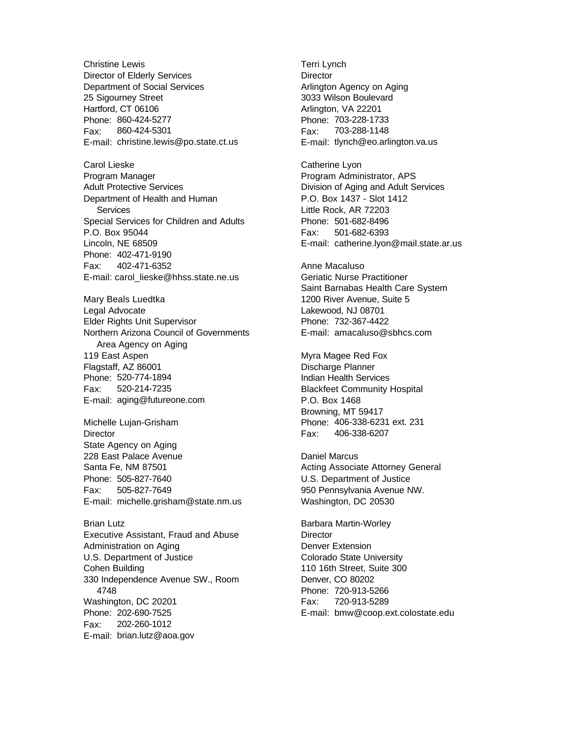Christine Lewis Director of Elderly Services Department of Social Services 25 Sigourney Street Hartford, CT 06106 Phone: 860-424-5277 Fax: 860-424-5301 E-mail: christine.lewis@po.state.ct.us

Carol Lieske Program Manager Adult Protective Services Department of Health and Human Services Special Services for Children and Adults P.O. Box 95044 Lincoln, NE 68509 Phone: 402-471-9190 Fax: 402-471-6352 E-mail: carol\_lieske@hhss.state.ne.us

Mary Beals Luedtka Legal Advocate Elder Rights Unit Supervisor Northern Arizona Council of Governments Area Agency on Aging 119 East Aspen Flagstaff, AZ 86001 Phone: 520-774-1894 Fax: 520-214-7235 E-mail: aging@futureone.com

Michelle Lujan-Grisham **Director** State Agency on Aging 228 East Palace Avenue Santa Fe, NM 87501 Phone: 505-827-7640 Fax: 505-827-7649 E-mail: michelle.grisham@state.nm.us

Brian Lutz Executive Assistant, Fraud and Abuse Administration on Aging U.S. Department of Justice Cohen Building 330 Independence Avenue SW., Room 4748 Washington, DC 20201 Phone: 202-690-7525 Fax: 202-260-1012 E-mail: brian.lutz@aoa.gov

Terri Lynch **Director** Arlington Agency on Aging 3033 Wilson Boulevard Arlington, VA 22201 Phone: 703-228-1733 Fax: 703-288-1148 E-mail: tlynch@eo.arlington.va.us

Catherine Lyon Program Administrator, APS Division of Aging and Adult Services P.O. Box 1437 - Slot 1412 Little Rock, AR 72203 Phone: 501-682-8496 Fax: 501-682-6393 E-mail: catherine.lyon@mail.state.ar.us

Anne Macaluso Geriatic Nurse Practitioner Saint Barnabas Health Care System 1200 River Avenue, Suite 5 Lakewood, NJ 08701 Phone: 732-367-4422 E-mail: amacaluso@sbhcs.com

Myra Magee Red Fox Discharge Planner Indian Health Services Blackfeet Community Hospital P.O. Box 1468 Browning, MT 59417 Phone: 406-338-6231 ext. 231 Fax: 406-338-6207

Daniel Marcus Acting Associate Attorney General U.S. Department of Justice 950 Pennsylvania Avenue NW. Washington, DC 20530

Barbara Martin-Worley **Director** Denver Extension Colorado State University 110 16th Street, Suite 300 Denver, CO 80202 Phone: 720-913-5266 Fax: 720-913-5289 E-mail: bmw@coop.ext.colostate.edu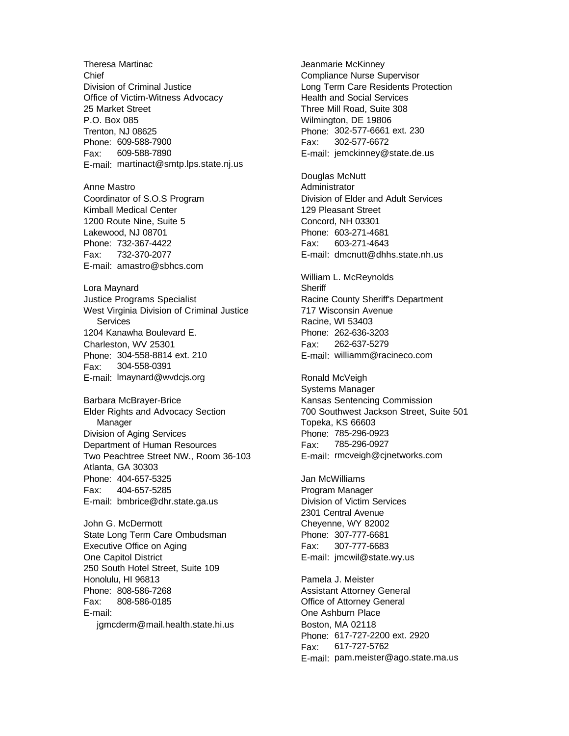Theresa Martinac Chief Division of Criminal Justice Office of Victim-Witness Advocacy 25 Market Street P.O. Box 085 Trenton, NJ 08625 Phone: 609-588-7900 Fax: 609-588-7890 E-mail: martinact@smtp.lps.state.nj.us Anne Mastro Coordinator of S.O.S Program Kimball Medical Center 1200 Route Nine, Suite 5 Lakewood, NJ 08701 Phone: 732-367-4422 Fax: 732-370-2077 E-mail: amastro@sbhcs.com Lora Maynard Justice Programs Specialist West Virginia Division of Criminal Justice Services 1204 Kanawha Boulevard E. Charleston, WV 25301 Phone: 304-558-8814 ext. 210 Fax: 304-558-0391 E-mail: lmaynard@wvdcjs.org Barbara McBrayer-Brice Elder Rights and Advocacy Section Manager Division of Aging Services Department of Human Resources Two Peachtree Street NW., Room 36-103 Atlanta, GA 30303 Phone: 404-657-5325 Fax: 404-657-5285 E-mail: bmbrice@dhr.state.ga.us John G. McDermott State Long Term Care Ombudsman Executive Office on Aging One Capitol District 250 South Hotel Street, Suite 109 Honolulu, HI 96813 Phone: 808-586-7268 Fax: 808-586-0185 E-mail:

jgmcderm@mail.health.state.hi.us

Jeanmarie McKinney Compliance Nurse Supervisor Long Term Care Residents Protection Health and Social Services Three Mill Road, Suite 308 Wilmington, DE 19806 Phone: 302-577-6661 ext. 230 Fax: 302-577-6672 E-mail: jemckinney@state.de.us

Douglas McNutt Administrator Division of Elder and Adult Services 129 Pleasant Street Concord, NH 03301 Phone: 603-271-4681 Fax: 603-271-4643 E-mail: dmcnutt@dhhs.state.nh.us

William L. McReynolds **Sheriff** Racine County Sheriff's Department 717 Wisconsin Avenue Racine, WI 53403 Phone: 262-636-3203 Fax: 262-637-5279 E-mail: williamm@racineco.com

Ronald McVeigh Systems Manager Kansas Sentencing Commission 700 Southwest Jackson Street, Suite 501 Topeka, KS 66603 Phone: 785-296-0923 Fax: 785-296-0927 E-mail: rmcveigh@cjnetworks.com

Jan McWilliams Program Manager Division of Victim Services 2301 Central Avenue Cheyenne, WY 82002 Phone: 307-777-6681 Fax: 307-777-6683 E-mail: jmcwil@state.wy.us

Pamela J. Meister Assistant Attorney General Office of Attorney General One Ashburn Place Boston, MA 02118 Phone: 617-727-2200 ext. 2920 Fax: 617-727-5762 E-mail: pam.meister@ago.state.ma.us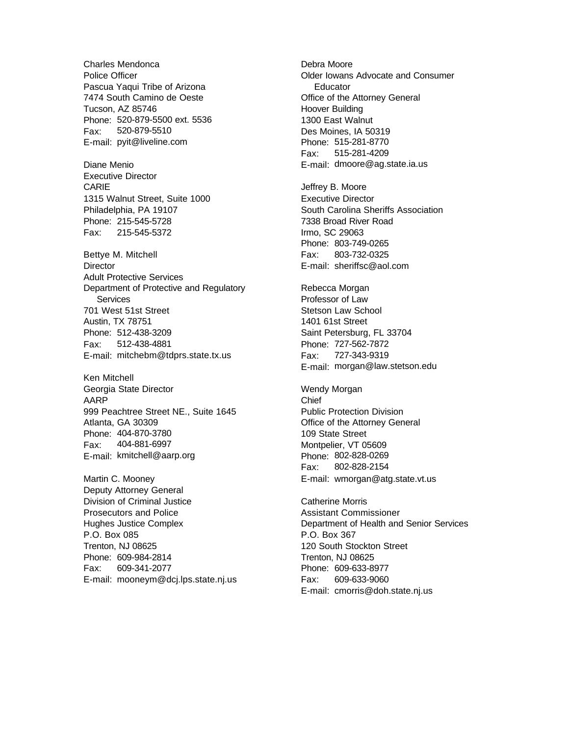Charles Mendonca Police Officer Pascua Yaqui Tribe of Arizona 7474 South Camino de Oeste Tucson, AZ 85746 Phone: 520-879-5500 ext. 5536 Fax: 520-879-5510 E-mail: pyit@liveline.com

Diane Menio Executive Director CARIE 1315 Walnut Street, Suite 1000 Philadelphia, PA 19107 Phone: 215-545-5728 Fax: 215-545-5372

Bettye M. Mitchell **Director** Adult Protective Services Department of Protective and Regulatory **Services** 701 West 51st Street Austin, TX 78751 Phone: 512-438-3209 Fax: 512-438-4881 E-mail: mitchebm@tdprs.state.tx.us

Ken Mitchell Georgia State Director AARP 999 Peachtree Street NE., Suite 1645 Atlanta, GA 30309 Phone: 404-870-3780 Fax: 404-881-6997 E-mail: kmitchell@aarp.org

Martin C. Mooney Deputy Attorney General Division of Criminal Justice Prosecutors and Police Hughes Justice Complex P.O. Box 085 Trenton, NJ 08625 Phone: 609-984-2814 Fax: 609-341-2077 E-mail: mooneym@dcj.lps.state.nj.us Debra Moore Older Iowans Advocate and Consumer **Educator** Office of the Attorney General Hoover Building 1300 East Walnut Des Moines, IA 50319 Phone: 515-281-8770 Fax: 515-281-4209 E-mail: dmoore@ag.state.ia.us

Jeffrey B. Moore Executive Director South Carolina Sheriffs Association 7338 Broad River Road Irmo, SC 29063 Phone: 803-749-0265 Fax: 803-732-0325 E-mail: sheriffsc@aol.com

Rebecca Morgan Professor of Law Stetson Law School 1401 61st Street Saint Petersburg, FL 33704 Phone: 727-562-7872 Fax: 727-343-9319 E-mail: morgan@law.stetson.edu

Wendy Morgan Chief Public Protection Division Office of the Attorney General 109 State Street Montpelier, VT 05609 Phone: 802-828-0269 Fax: 802-828-2154 E-mail: wmorgan@atg.state.vt.us

Catherine Morris Assistant Commissioner Department of Health and Senior Services P.O. Box 367 120 South Stockton Street Trenton, NJ 08625 Phone: 609-633-8977 Fax: 609-633-9060 E-mail: cmorris@doh.state.nj.us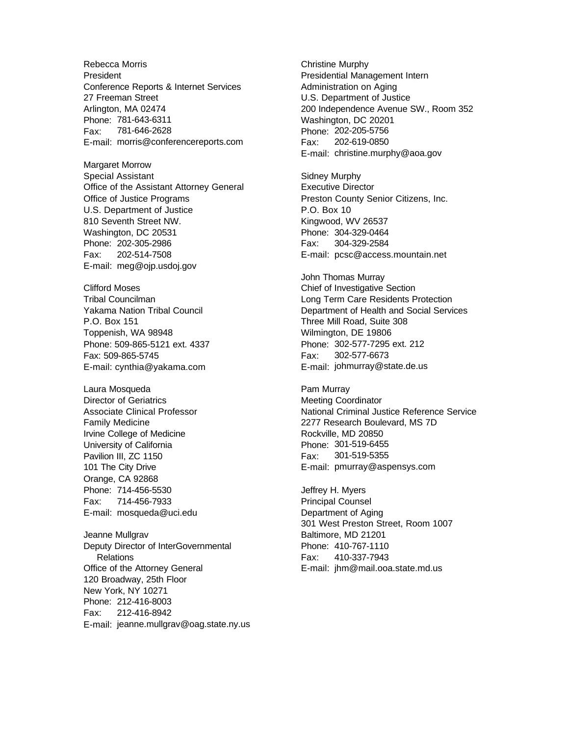Rebecca Morris **President** Conference Reports & Internet Services 27 Freeman Street Arlington, MA 02474 Phone: 781-643-6311 Fax: 781-646-2628 E-mail: morris@conferencereports.com

Margaret Morrow Special Assistant Office of the Assistant Attorney General Office of Justice Programs U.S. Department of Justice 810 Seventh Street NW. Washington, DC 20531 Phone: 202-305-2986 Fax: 202-514-7508 E-mail: meg@ojp.usdoj.gov

Clifford Moses Tribal Councilman Yakama Nation Tribal Council P.O. Box 151 Toppenish, WA 98948 Phone: 509-865-5121 ext. 4337 Fax: 509-865-5745 E-mail: cynthia@yakama.com

Laura Mosqueda Director of Geriatrics Associate Clinical Professor Family Medicine Irvine College of Medicine University of California Pavilion III, ZC 1150 101 The City Drive Orange, CA 92868 Phone: 714-456-5530 Fax: 714-456-7933 E-mail: mosqueda@uci.edu

Jeanne Mullgrav Deputy Director of InterGovernmental **Relations** Office of the Attorney General 120 Broadway, 25th Floor New York, NY 10271 Phone: 212-416-8003 Fax: 212-416-8942 E-mail: jeanne.mullgrav@oag.state.ny.us Christine Murphy Presidential Management Intern Administration on Aging U.S. Department of Justice 200 Independence Avenue SW., Room 352 Washington, DC 20201 Phone: 202-205-5756 Fax: 202-619-0850 E-mail: christine.murphy@aoa.gov

Sidney Murphy Executive Director Preston County Senior Citizens, Inc. P.O. Box 10 Kingwood, WV 26537 Phone: 304-329-0464 Fax: 304-329-2584 E-mail: pcsc@access.mountain.net

John Thomas Murray Chief of Investigative Section Long Term Care Residents Protection Department of Health and Social Services Three Mill Road, Suite 308 Wilmington, DE 19806 Phone: 302-577-7295 ext. 212 Fax: 302-577-6673 E-mail: johmurray@state.de.us

Pam Murray Meeting Coordinator National Criminal Justice Reference Service 2277 Research Boulevard, MS 7D Rockville, MD 20850 Phone: 301-519-6455 Fax: 301-519-5355 E-mail: pmurray@aspensys.com

Jeffrey H. Myers Principal Counsel Department of Aging 301 West Preston Street, Room 1007 Baltimore, MD 21201 Phone: 410-767-1110 Fax: 410-337-7943 E-mail: jhm@mail.ooa.state.md.us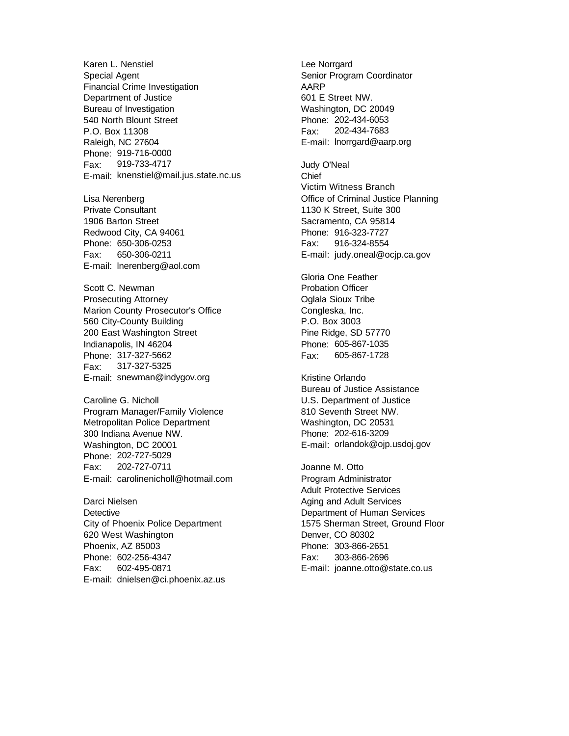Karen L. Nenstiel Special Agent Financial Crime Investigation Department of Justice Bureau of Investigation 540 North Blount Street P.O. Box 11308 Raleigh, NC 27604 Phone: 919-716-0000 Fax: 919-733-4717 E-mail: knenstiel@mail.jus.state.nc.us

Lisa Nerenberg Private Consultant 1906 Barton Street Redwood City, CA 94061 Phone: 650-306-0253 Fax: 650-306-0211 E-mail: lnerenberg@aol.com

Scott C. Newman Prosecuting Attorney Marion County Prosecutor's Office 560 City-County Building 200 East Washington Street Indianapolis, IN 46204 Phone: 317-327-5662 Fax: 317-327-5325 E-mail: snewman@indygov.org

Caroline G. Nicholl Program Manager/Family Violence Metropolitan Police Department 300 Indiana Avenue NW. Washington, DC 20001 Phone: 202-727-5029 Fax: 202-727-0711 E-mail: carolinenicholl@hotmail.com

Darci Nielsen **Detective** City of Phoenix Police Department 620 West Washington Phoenix, AZ 85003 Phone: 602-256-4347 Fax: 602-495-0871 E-mail: dnielsen@ci.phoenix.az.us Lee Norrgard Senior Program Coordinator AARP 601 E Street NW. Washington, DC 20049 Phone: 202-434-6053 Fax: 202-434-7683 E-mail: lnorrgard@aarp.org

Judy O'Neal Chief Victim Witness Branch Office of Criminal Justice Planning 1130 K Street, Suite 300 Sacramento, CA 95814 Phone: 916-323-7727 Fax: 916-324-8554 E-mail: judy.oneal@ocjp.ca.gov

Gloria One Feather Probation Officer Oglala Sioux Tribe Congleska, Inc. P.O. Box 3003 Pine Ridge, SD 57770 Phone: 605-867-1035 Fax: 605-867-1728

Kristine Orlando Bureau of Justice Assistance U.S. Department of Justice 810 Seventh Street NW. Washington, DC 20531 Phone: 202-616-3209 E-mail: orlandok@ojp.usdoj.gov

Joanne M. Otto Program Administrator Adult Protective Services Aging and Adult Services Department of Human Services 1575 Sherman Street, Ground Floor Denver, CO 80302 Phone: 303-866-2651 Fax: 303-866-2696 E-mail: joanne.otto@state.co.us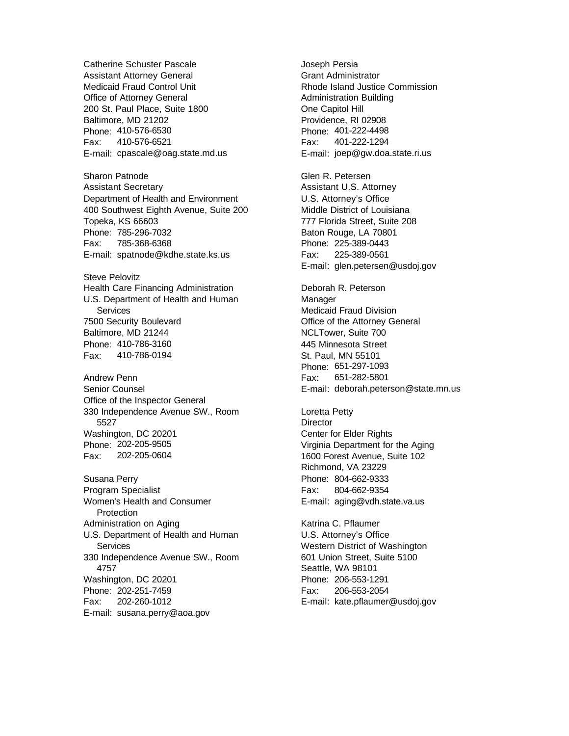Catherine Schuster Pascale Assistant Attorney General Medicaid Fraud Control Unit Office of Attorney General 200 St. Paul Place, Suite 1800 Baltimore, MD 21202 Phone: 410-576-6530 Fax: 410-576-6521 E-mail: cpascale@oag.state.md.us Sharon Patnode Assistant Secretary

Department of Health and Environment 400 Southwest Eighth Avenue, Suite 200 Topeka, KS 66603 Phone: 785-296-7032 Fax: 785-368-6368 E-mail: spatnode@kdhe.state.ks.us

Steve Pelovitz Health Care Financing Administration U.S. Department of Health and Human **Services** 7500 Security Boulevard Baltimore, MD 21244 Phone: 410-786-3160 Fax: 410-786-0194

Andrew Penn Senior Counsel Office of the Inspector General 330 Independence Avenue SW., Room 5527 Washington, DC 20201 Phone: 202-205-9505 Fax: 202-205-0604

Susana Perry Program Specialist Women's Health and Consumer **Protection** Administration on Aging U.S. Department of Health and Human **Services** 330 Independence Avenue SW., Room 4757 Washington, DC 20201 Phone: 202-251-7459 Fax: 202-260-1012 E-mail: susana.perry@aoa.gov

Joseph Persia Grant Administrator Rhode Island Justice Commission Administration Building One Capitol Hill Providence, RI 02908 Phone: 401-222-4498 Fax: 401-222-1294 E-mail: joep@gw.doa.state.ri.us

Glen R. Petersen Assistant U.S. Attorney U.S. Attorney's Office Middle District of Louisiana 777 Florida Street, Suite 208 Baton Rouge, LA 70801 Phone: 225-389-0443 Fax: 225-389-0561 E-mail: glen.petersen@usdoj.gov

Deborah R. Peterson Manager Medicaid Fraud Division Office of the Attorney General NCLTower, Suite 700 445 Minnesota Street St. Paul, MN 55101 Phone: 651-297-1093 Fax: 651-282-5801 E-mail: deborah.peterson@state.mn.us

Loretta Petty **Director** Center for Elder Rights Virginia Department for the Aging 1600 Forest Avenue, Suite 102 Richmond, VA 23229 Phone: 804-662-9333 Fax: 804-662-9354 E-mail: aging@vdh.state.va.us

Katrina C. Pflaumer U.S. Attorney's Office Western District of Washington 601 Union Street, Suite 5100 Seattle, WA 98101 Phone: 206-553-1291 Fax: 206-553-2054 E-mail: kate.pflaumer@usdoj.gov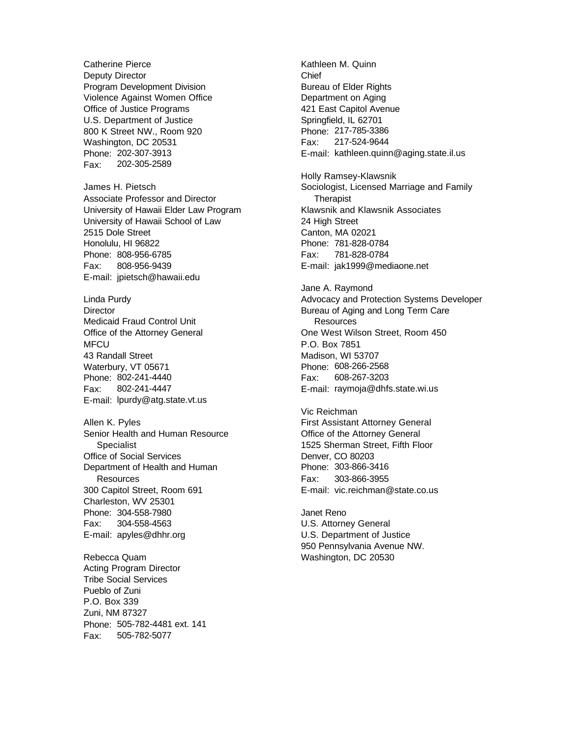Catherine Pierce Deputy Director Program Development Division Violence Against Women Office Office of Justice Programs U.S. Department of Justice 800 K Street NW., Room 920 Washington, DC 20531 Phone: 202-307-3913 Fax: 202-305-2589 James H. Pietsch Associate Professor and Director University of Hawaii Elder Law Program University of Hawaii School of Law 2515 Dole Street Honolulu, HI 96822 Phone: 808-956-6785 Fax: 808-956-9439 E-mail: jpietsch@hawaii.edu Linda Purdy **Director** Medicaid Fraud Control Unit Office of the Attorney General **MFCU** 43 Randall Street Waterbury, VT 05671 Phone: 802-241-4440 Fax: 802-241-4447 E-mail: lpurdy@atg.state.vt.us Allen K. Pyles Senior Health and Human Resource **Specialist** Office of Social Services Department of Health and Human **Resources** 300 Capitol Street, Room 691 Charleston, WV 25301 Phone: 304-558-7980 Fax: 304-558-4563 E-mail: apyles@dhhr.org Rebecca Quam Acting Program Director Tribe Social Services Pueblo of Zuni P.O. Box 339 Zuni, NM 87327 Phone: 505-782-4481 ext. 141

Fax: 505-782-5077

Kathleen M. Quinn Chief Bureau of Elder Rights Department on Aging 421 East Capitol Avenue Springfield, IL 62701 Phone: 217-785-3386 Fax: 217-524-9644 E-mail: kathleen.quinn@aging.state.il.us Holly Ramsey-Klawsnik Sociologist, Licensed Marriage and Family **Therapist** Klawsnik and Klawsnik Associates

24 High Street Canton, MA 02021 Phone: 781-828-0784 Fax: 781-828-0784

E-mail: jak1999@mediaone.net Jane A. Raymond Advocacy and Protection Systems Developer Bureau of Aging and Long Term Care **Resources** One West Wilson Street, Room 450 P.O. Box 7851 Madison, WI 53707 Phone: 608-266-2568 Fax: 608-267-3203 E-mail: raymoja@dhfs.state.wi.us

Vic Reichman First Assistant Attorney General Office of the Attorney General 1525 Sherman Street, Fifth Floor Denver, CO 80203 Phone: 303-866-3416 Fax: 303-866-3955 E-mail: vic.reichman@state.co.us

Janet Reno U.S. Attorney General U.S. Department of Justice 950 Pennsylvania Avenue NW. Washington, DC 20530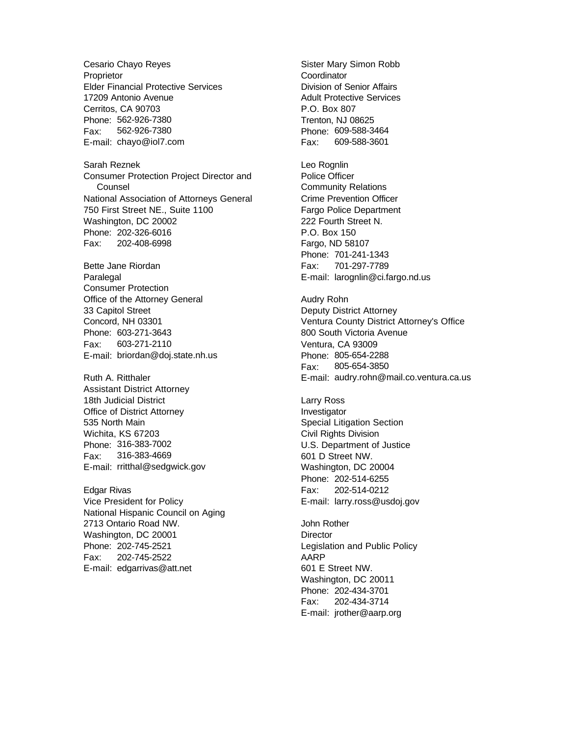Cesario Chayo Reyes Proprietor Elder Financial Protective Services 17209 Antonio Avenue Cerritos, CA 90703 Phone: 562-926-7380 Fax: 562-926-7380 E-mail: chayo@iol7.com

Sarah Reznek Consumer Protection Project Director and Counsel National Association of Attorneys General 750 First Street NE., Suite 1100 Washington, DC 20002 Phone: 202-326-6016 Fax: 202-408-6998

Bette Jane Riordan Paralegal Consumer Protection Office of the Attorney General 33 Capitol Street Concord, NH 03301 Phone: 603-271-3643 Fax: 603-271-2110 E-mail: briordan@doj.state.nh.us

Ruth A. Ritthaler Assistant District Attorney 18th Judicial District Office of District Attorney 535 North Main Wichita, KS 67203 Phone: 316-383-7002 Fax: 316-383-4669 E-mail: rritthal@sedgwick.gov

Edgar Rivas Vice President for Policy National Hispanic Council on Aging 2713 Ontario Road NW. Washington, DC 20001 Phone: 202-745-2521 Fax: 202-745-2522 E-mail: edgarrivas@att.net

Sister Mary Simon Robb **Coordinator** Division of Senior Affairs Adult Protective Services P.O. Box 807 Trenton, NJ 08625 Phone: 609-588-3464 Fax: 609-588-3601

Leo Rognlin Police Officer Community Relations Crime Prevention Officer Fargo Police Department 222 Fourth Street N. P.O. Box 150 Fargo, ND 58107 Phone: 701-241-1343 Fax: 701-297-7789 E-mail: larognlin@ci.fargo.nd.us

Audry Rohn Deputy District Attorney Ventura County District Attorney's Office 800 South Victoria Avenue Ventura, CA 93009 Phone: 805-654-2288 Fax: 805-654-3850 E-mail: audry.rohn@mail.co.ventura.ca.us

Larry Ross Investigator Special Litigation Section Civil Rights Division U.S. Department of Justice 601 D Street NW. Washington, DC 20004 Phone: 202-514-6255 Fax: 202-514-0212 E-mail: larry.ross@usdoj.gov

John Rother **Director** Legislation and Public Policy AARP 601 E Street NW. Washington, DC 20011 Phone: 202-434-3701 Fax: 202-434-3714 E-mail: jrother@aarp.org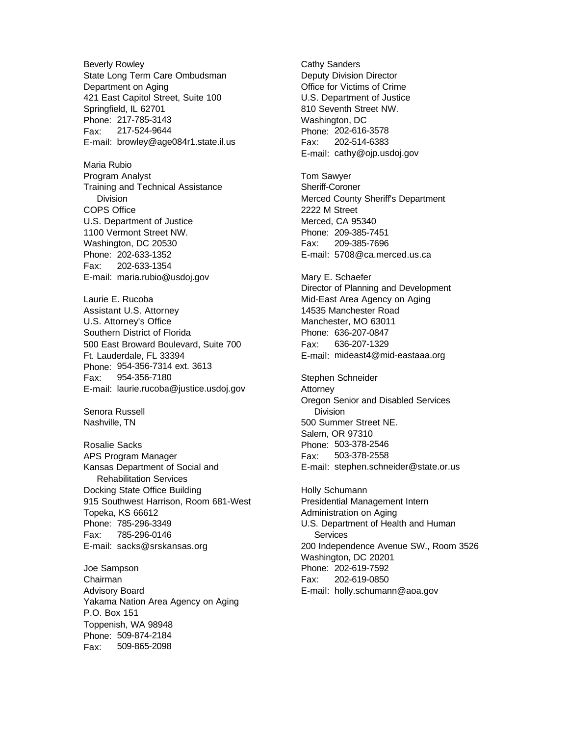Beverly Rowley State Long Term Care Ombudsman Department on Aging 421 East Capitol Street, Suite 100 Springfield, IL 62701 Phone: 217-785-3143 Fax: 217-524-9644 E-mail: browley@age084r1.state.il.us

Maria Rubio Program Analyst Training and Technical Assistance Division COPS Office U.S. Department of Justice 1100 Vermont Street NW. Washington, DC 20530 Phone: 202-633-1352 Fax: 202-633-1354 E-mail: maria.rubio@usdoj.gov

Laurie E. Rucoba Assistant U.S. Attorney U.S. Attorney's Office Southern District of Florida 500 East Broward Boulevard, Suite 700 Ft. Lauderdale, FL 33394 Phone: 954-356-7314 ext. 3613 Fax: 954-356-7180 E-mail: laurie.rucoba@justice.usdoj.gov

Senora Russell Nashville, TN

Rosalie Sacks APS Program Manager Kansas Department of Social and Rehabilitation Services Docking State Office Building 915 Southwest Harrison, Room 681-West Topeka, KS 66612 Phone: 785-296-3349 Fax: 785-296-0146 E-mail: sacks@srskansas.org

Joe Sampson Chairman Advisory Board Yakama Nation Area Agency on Aging P.O. Box 151 Toppenish, WA 98948 Phone: 509-874-2184 Fax: 509-865-2098

Cathy Sanders Deputy Division Director Office for Victims of Crime U.S. Department of Justice 810 Seventh Street NW. Washington, DC Phone: 202-616-3578 Fax: 202-514-6383 E-mail: cathy@ojp.usdoj.gov

Tom Sawyer Sheriff-Coroner Merced County Sheriff's Department 2222 M Street Merced, CA 95340 Phone: 209-385-7451 Fax: 209-385-7696 E-mail: 5708@ca.merced.us.ca

Mary E. Schaefer Director of Planning and Development Mid-East Area Agency on Aging 14535 Manchester Road Manchester, MO 63011 Phone: 636-207-0847 Fax: 636-207-1329 E-mail: mideast4@mid-eastaaa.org

Stephen Schneider **Attorney** Oregon Senior and Disabled Services Division 500 Summer Street NE. Salem, OR 97310 Phone: 503-378-2546 Fax: 503-378-2558 E-mail: stephen.schneider@state.or.us

Holly Schumann Presidential Management Intern Administration on Aging U.S. Department of Health and Human **Services** 200 Independence Avenue SW., Room 3526 Washington, DC 20201 Phone: 202-619-7592 Fax: 202-619-0850 E-mail: holly.schumann@aoa.gov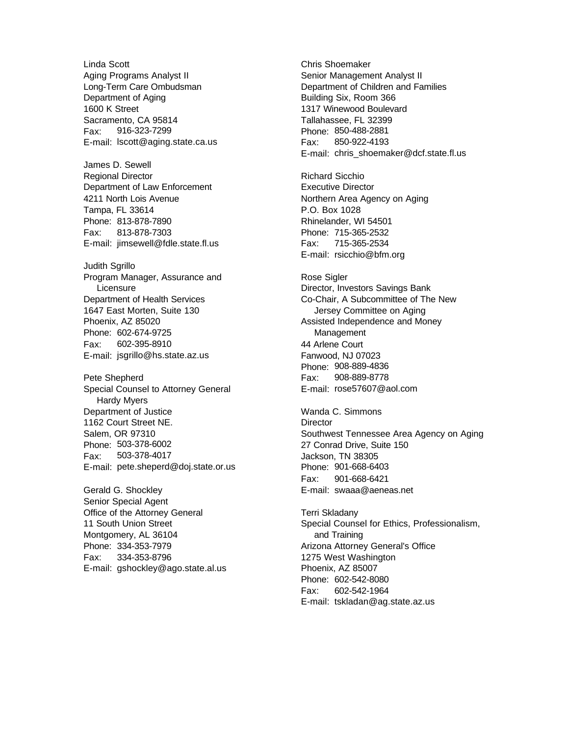Linda Scott Aging Programs Analyst II Long-Term Care Ombudsman Department of Aging 1600 K Street Sacramento, CA 95814 Fax: 916-323-7299 E-mail: lscott@aging.state.ca.us

James D. Sewell Regional Director Department of Law Enforcement 4211 North Lois Avenue Tampa, FL 33614 Phone: 813-878-7890 Fax: 813-878-7303 E-mail: jimsewell@fdle.state.fl.us

Judith Sgrillo Program Manager, Assurance and **Licensure** Department of Health Services 1647 East Morten, Suite 130 Phoenix, AZ 85020 Phone: 602-674-9725 Fax: 602-395-8910 E-mail: jsgrillo@hs.state.az.us

Pete Shepherd Special Counsel to Attorney General Hardy Myers Department of Justice 1162 Court Street NE. Salem, OR 97310 Phone: 503-378-6002 Fax: 503-378-4017 E-mail: pete.sheperd@doj.state.or.us

Gerald G. Shockley Senior Special Agent Office of the Attorney General 11 South Union Street Montgomery, AL 36104 Phone: 334-353-7979 Fax: 334-353-8796 E-mail: gshockley@ago.state.al.us Chris Shoemaker Senior Management Analyst II Department of Children and Families Building Six, Room 366 1317 Winewood Boulevard Tallahassee, FL 32399 Phone: 850-488-2881 Fax: 850-922-4193 E-mail: chris\_shoemaker@dcf.state.fl.us

Richard Sicchio Executive Director Northern Area Agency on Aging P.O. Box 1028 Rhinelander, WI 54501 Phone: 715-365-2532 Fax: 715-365-2534 E-mail: rsicchio@bfm.org

Rose Sigler Director, Investors Savings Bank Co-Chair, A Subcommittee of The New Jersey Committee on Aging Assisted Independence and Money **Management** 44 Arlene Court Fanwood, NJ 07023 Phone: 908-889-4836 Fax: 908-889-8778 E-mail: rose57607@aol.com

Wanda C. Simmons **Director** Southwest Tennessee Area Agency on Aging 27 Conrad Drive, Suite 150 Jackson, TN 38305 Phone: 901-668-6403 Fax: 901-668-6421 E-mail: swaaa@aeneas.net

Terri Skladany Special Counsel for Ethics, Professionalism, and Training Arizona Attorney General's Office 1275 West Washington Phoenix, AZ 85007 Phone: 602-542-8080 Fax: 602-542-1964 E-mail: tskladan@ag.state.az.us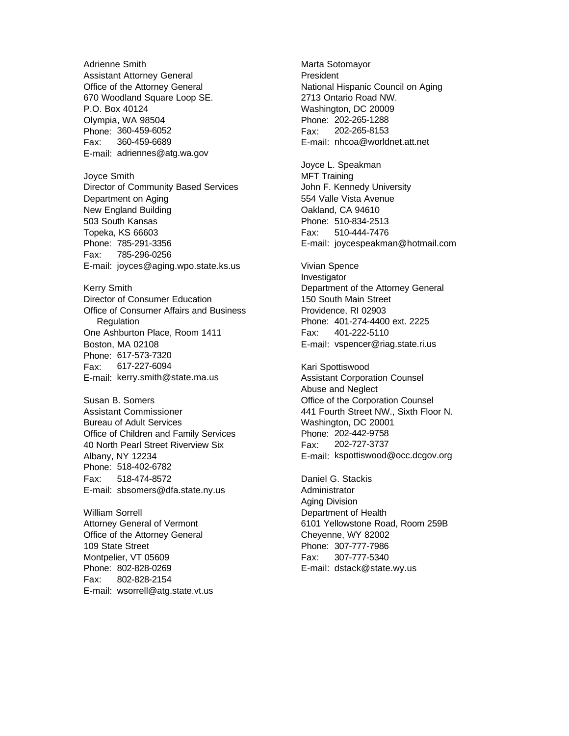Adrienne Smith Assistant Attorney General Office of the Attorney General 670 Woodland Square Loop SE. P.O. Box 40124 Olympia, WA 98504 Phone: 360-459-6052 Fax: 360-459-6689 E-mail: adriennes@atg.wa.gov Joyce Smith Director of Community Based Services Department on Aging New England Building 503 South Kansas Topeka, KS 66603 Phone: 785-291-3356 Fax: 785-296-0256 E-mail: joyces@aging.wpo.state.ks.us Kerry Smith Director of Consumer Education Office of Consumer Affairs and Business **Regulation** One Ashburton Place, Room 1411 Boston, MA 02108 Phone: 617-573-7320 Fax: 617-227-6094 E-mail: kerry.smith@state.ma.us Susan B. Somers Assistant Commissioner Bureau of Adult Services Office of Children and Family Services 40 North Pearl Street Riverview Six Albany, NY 12234 Phone: 518-402-6782 Fax: 518-474-8572 E-mail: sbsomers@dfa.state.ny.us William Sorrell

Attorney General of Vermont Office of the Attorney General 109 State Street Montpelier, VT 05609 Phone: 802-828-0269 Fax: 802-828-2154 E-mail: wsorrell@atg.state.vt.us Marta Sotomayor **President** National Hispanic Council on Aging 2713 Ontario Road NW. Washington, DC 20009 Phone: 202-265-1288 Fax: 202-265-8153 E-mail: nhcoa@worldnet.att.net

Joyce L. Speakman MFT Training John F. Kennedy University 554 Valle Vista Avenue Oakland, CA 94610 Phone: 510-834-2513 Fax: 510-444-7476 E-mail: joycespeakman@hotmail.com

Vivian Spence Investigator Department of the Attorney General 150 South Main Street Providence, RI 02903 Phone: 401-274-4400 ext. 2225 Fax: 401-222-5110 E-mail: vspencer@riag.state.ri.us

Kari Spottiswood Assistant Corporation Counsel Abuse and Neglect Office of the Corporation Counsel 441 Fourth Street NW., Sixth Floor N. Washington, DC 20001 Phone: 202-442-9758 Fax: 202-727-3737 E-mail: kspottiswood@occ.dcgov.org

Daniel G. Stackis Administrator Aging Division Department of Health 6101 Yellowstone Road, Room 259B Cheyenne, WY 82002 Phone: 307-777-7986 Fax: 307-777-5340 E-mail: dstack@state.wy.us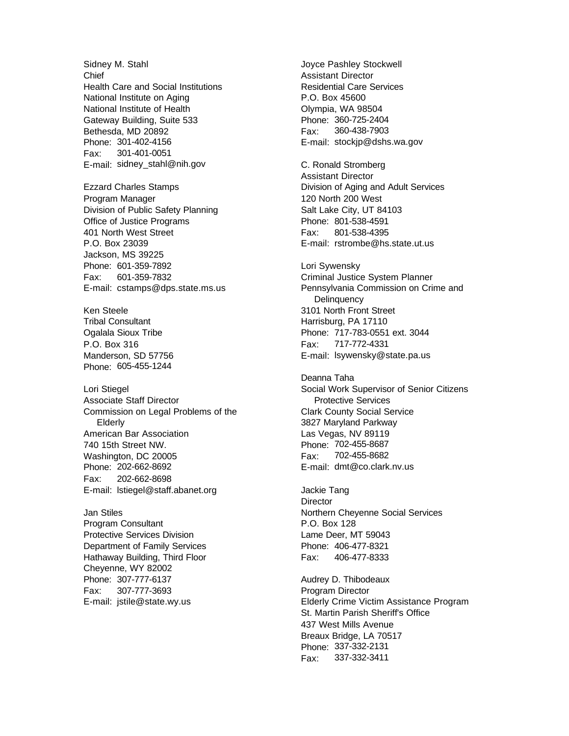Sidney M. Stahl Chief Health Care and Social Institutions National Institute on Aging National Institute of Health Gateway Building, Suite 533 Bethesda, MD 20892 Phone: 301-402-4156 Fax: 301-401-0051 E-mail: sidney\_stahl@nih.gov

Ezzard Charles Stamps Program Manager Division of Public Safety Planning Office of Justice Programs 401 North West Street P.O. Box 23039 Jackson, MS 39225 Phone: 601-359-7892 Fax: 601-359-7832 E-mail: cstamps@dps.state.ms.us

Ken Steele Tribal Consultant Ogalala Sioux Tribe P.O. Box 316 Manderson, SD 57756 Phone: 605-455-1244

Lori Stiegel Associate Staff Director Commission on Legal Problems of the Elderly American Bar Association 740 15th Street NW. Washington, DC 20005 Phone: 202-662-8692 Fax: 202-662-8698 E-mail: lstiegel@staff.abanet.org

Jan Stiles Program Consultant Protective Services Division Department of Family Services Hathaway Building, Third Floor Cheyenne, WY 82002 Phone: 307-777-6137 Fax: 307-777-3693 E-mail: jstile@state.wy.us

Joyce Pashley Stockwell Assistant Director Residential Care Services P.O. Box 45600 Olympia, WA 98504 Phone: 360-725-2404 Fax: 360-438-7903 E-mail: stockjp@dshs.wa.gov

C. Ronald Stromberg Assistant Director Division of Aging and Adult Services 120 North 200 West Salt Lake City, UT 84103 Phone: 801-538-4591 Fax: 801-538-4395 E-mail: rstrombe@hs.state.ut.us

Lori Sywensky Criminal Justice System Planner Pennsylvania Commission on Crime and **Delinquency** 3101 North Front Street Harrisburg, PA 17110 Phone: 717-783-0551 ext. 3044 Fax: 717-772-4331 E-mail: lsywensky@state.pa.us

Deanna Taha Social Work Supervisor of Senior Citizens Protective Services Clark County Social Service 3827 Maryland Parkway Las Vegas, NV 89119 Phone: 702-455-8687 Fax: 702-455-8682 E-mail: dmt@co.clark.nv.us

Jackie Tang **Director** Northern Cheyenne Social Services P.O. Box 128 Lame Deer, MT 59043 Phone: 406-477-8321 Fax: 406-477-8333

Audrey D. Thibodeaux Program Director Elderly Crime Victim Assistance Program St. Martin Parish Sheriff's Office 437 West Mills Avenue Breaux Bridge, LA 70517 Phone: 337-332-2131 Fax: 337-332-3411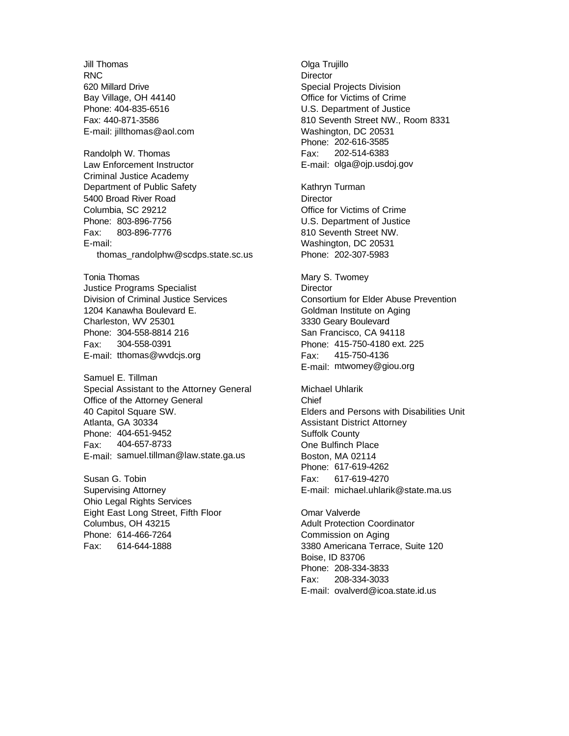Jill Thomas RNC 620 Millard Drive Bay Village, OH 44140 Phone: 404-835-6516 Fax: 440-871-3586 E-mail: jillthomas@aol.com Randolph W. Thomas Law Enforcement Instructor Criminal Justice Academy Department of Public Safety 5400 Broad River Road Columbia, SC 29212 Phone: 803-896-7756 Fax: 803-896-7776 E-mail: thomas\_randolphw@scdps.state.sc.us

Tonia Thomas Justice Programs Specialist Division of Criminal Justice Services 1204 Kanawha Boulevard E. Charleston, WV 25301 Phone: 304-558-8814 216 Fax: 304-558-0391 E-mail: tthomas@wvdcjs.org

Samuel E. Tillman Special Assistant to the Attorney General Office of the Attorney General 40 Capitol Square SW. Atlanta, GA 30334 Phone: 404-651-9452 Fax: 404-657-8733 E-mail: samuel.tillman@law.state.ga.us

Susan G. Tobin Supervising Attorney Ohio Legal Rights Services Eight East Long Street, Fifth Floor Columbus, OH 43215 Phone: 614-466-7264 Fax: 614-644-1888

Olga Trujillo **Director** Special Projects Division Office for Victims of Crime U.S. Department of Justice 810 Seventh Street NW., Room 8331 Washington, DC 20531 Phone: 202-616-3585 Fax: 202-514-6383 E-mail: olga@ojp.usdoj.gov

Kathryn Turman **Director** Office for Victims of Crime U.S. Department of Justice 810 Seventh Street NW. Washington, DC 20531 Phone: 202-307-5983

Mary S. Twomey **Director** Consortium for Elder Abuse Prevention Goldman Institute on Aging 3330 Geary Boulevard San Francisco, CA 94118 Phone: 415-750-4180 ext. 225 Fax: 415-750-4136 E-mail: mtwomey@giou.org

Michael Uhlarik Chief Elders and Persons with Disabilities Unit Assistant District Attorney Suffolk County One Bulfinch Place Boston, MA 02114 Phone: 617-619-4262 Fax: 617-619-4270 E-mail: michael.uhlarik@state.ma.us

Omar Valverde Adult Protection Coordinator Commission on Aging 3380 Americana Terrace, Suite 120 Boise, ID 83706 Phone: 208-334-3833 Fax: 208-334-3033 E-mail: ovalverd@icoa.state.id.us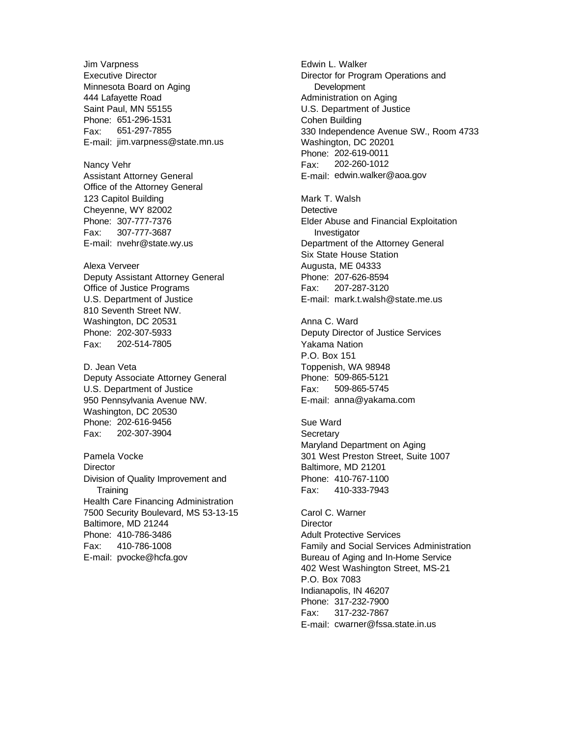Jim Varpness Executive Director Minnesota Board on Aging 444 Lafayette Road Saint Paul, MN 55155 Phone: 651-296-1531 Fax: 651-297-7855 E-mail: jim.varpness@state.mn.us

Nancy Vehr Assistant Attorney General Office of the Attorney General 123 Capitol Building Cheyenne, WY 82002 Phone: 307-777-7376 Fax: 307-777-3687 E-mail: nvehr@state.wy.us

Alexa Verveer Deputy Assistant Attorney General Office of Justice Programs U.S. Department of Justice 810 Seventh Street NW. Washington, DC 20531 Phone: 202-307-5933 Fax: 202-514-7805

D. Jean Veta Deputy Associate Attorney General U.S. Department of Justice 950 Pennsylvania Avenue NW. Washington, DC 20530 Phone: 202-616-9456 Fax: 202-307-3904

Pamela Vocke **Director** Division of Quality Improvement and **Training** Health Care Financing Administration 7500 Security Boulevard, MS 53-13-15 Baltimore, MD 21244 Phone: 410-786-3486 Fax: 410-786-1008 E-mail: pvocke@hcfa.gov

Edwin L. Walker Director for Program Operations and **Development** Administration on Aging U.S. Department of Justice Cohen Building 330 Independence Avenue SW., Room 4733 Washington, DC 20201 Phone: 202-619-0011 Fax: 202-260-1012 E-mail: edwin.walker@aoa.gov

Mark T. Walsh **Detective** Elder Abuse and Financial Exploitation Investigator Department of the Attorney General Six State House Station Augusta, ME 04333 Phone: 207-626-8594 Fax: 207-287-3120 E-mail: mark.t.walsh@state.me.us

Anna C. Ward Deputy Director of Justice Services Yakama Nation P.O. Box 151 Toppenish, WA 98948 Phone: 509-865-5121 Fax: 509-865-5745 E-mail: anna@yakama.com

Sue Ward **Secretary** Maryland Department on Aging 301 West Preston Street, Suite 1007 Baltimore, MD 21201 Phone: 410-767-1100 Fax: 410-333-7943

Carol C. Warner **Director** Adult Protective Services Family and Social Services Administration Bureau of Aging and In-Home Service 402 West Washington Street, MS-21 P.O. Box 7083 Indianapolis, IN 46207 Phone: 317-232-7900 Fax: 317-232-7867 E-mail: cwarner@fssa.state.in.us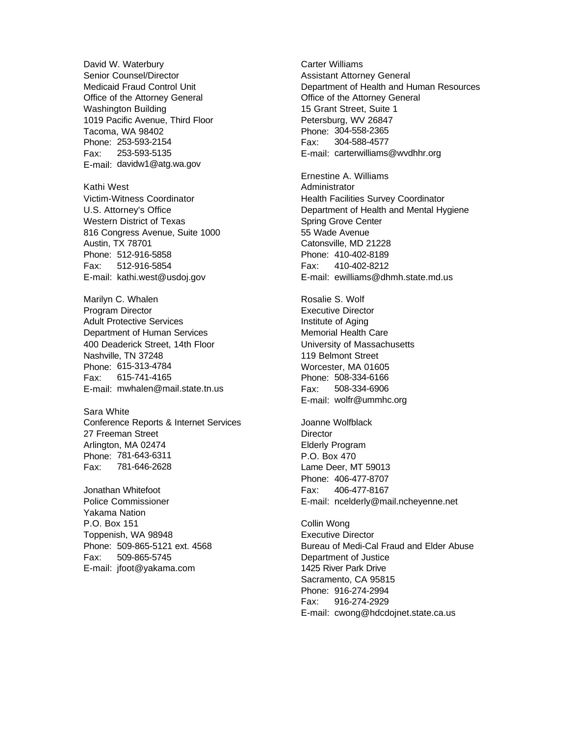David W. Waterbury Senior Counsel/Director Medicaid Fraud Control Unit Office of the Attorney General Washington Building 1019 Pacific Avenue, Third Floor Tacoma, WA 98402 Phone: 253-593-2154 Fax: 253-593-5135 E-mail: davidw1@atg.wa.gov

Kathi West Victim-Witness Coordinator U.S. Attorney's Office Western District of Texas 816 Congress Avenue, Suite 1000 Austin, TX 78701 Phone: 512-916-5858 Fax: 512-916-5854 E-mail: kathi.west@usdoj.gov

Marilyn C. Whalen Program Director Adult Protective Services Department of Human Services 400 Deaderick Street, 14th Floor Nashville, TN 37248 Phone: 615-313-4784 Fax: 615-741-4165 E-mail: mwhalen@mail.state.tn.us

Sara White Conference Reports & Internet Services 27 Freeman Street Arlington, MA 02474 Phone: 781-643-6311 Fax: 781-646-2628

Jonathan Whitefoot Police Commissioner Yakama Nation P.O. Box 151 Toppenish, WA 98948 Phone: 509-865-5121 ext. 4568 Fax: 509-865-5745 E-mail: jfoot@yakama.com

Carter Williams Assistant Attorney General Department of Health and Human Resources Office of the Attorney General 15 Grant Street, Suite 1 Petersburg, WV 26847 Phone: 304-558-2365 Fax: 304-588-4577 E-mail: carterwilliams@wvdhhr.org

Ernestine A. Williams Administrator Health Facilities Survey Coordinator Department of Health and Mental Hygiene Spring Grove Center 55 Wade Avenue Catonsville, MD 21228 Phone: 410-402-8189 Fax: 410-402-8212 E-mail: ewilliams@dhmh.state.md.us

Rosalie S. Wolf Executive Director Institute of Aging Memorial Health Care University of Massachusetts 119 Belmont Street Worcester, MA 01605 Phone: 508-334-6166 Fax: 508-334-6906 E-mail: wolfr@ummhc.org

Joanne Wolfblack **Director** Elderly Program P.O. Box 470 Lame Deer, MT 59013 Phone: 406-477-8707 Fax: 406-477-8167 E-mail: ncelderly@mail.ncheyenne.net

Collin Wong Executive Director Bureau of Medi-Cal Fraud and Elder Abuse Department of Justice 1425 River Park Drive Sacramento, CA 95815 Phone: 916-274-2994 Fax: 916-274-2929 E-mail: cwong@hdcdojnet.state.ca.us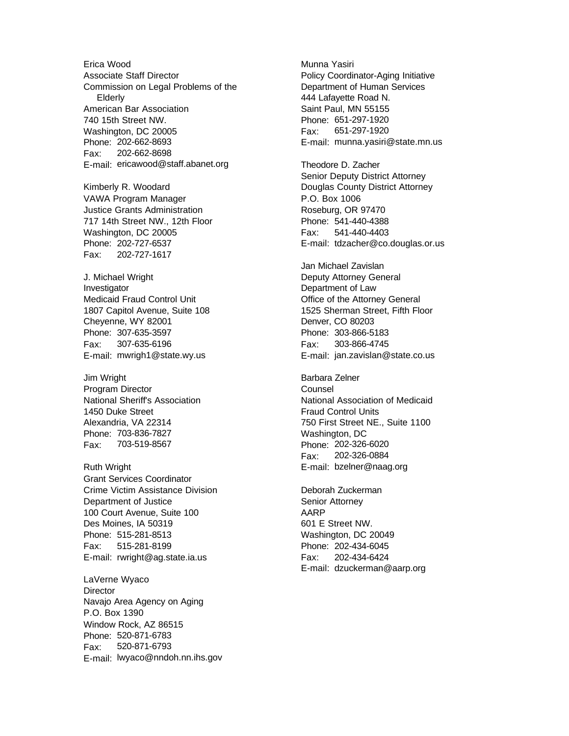Erica Wood Associate Staff Director Commission on Legal Problems of the Elderly American Bar Association 740 15th Street NW. Washington, DC 20005 Phone: 202-662-8693 Fax: 202-662-8698 E-mail: ericawood@staff.abanet.org

Kimberly R. Woodard VAWA Program Manager Justice Grants Administration 717 14th Street NW., 12th Floor Washington, DC 20005 Phone: 202-727-6537 Fax: 202-727-1617

J. Michael Wright Investigator Medicaid Fraud Control Unit 1807 Capitol Avenue, Suite 108 Cheyenne, WY 82001 Phone: 307-635-3597 Fax: 307-635-6196 E-mail: mwrigh1@state.wy.us

Jim Wright Program Director National Sheriff's Association 1450 Duke Street Alexandria, VA 22314 Phone: 703-836-7827 Fax: 703-519-8567

Ruth Wright Grant Services Coordinator Crime Victim Assistance Division Department of Justice 100 Court Avenue, Suite 100 Des Moines, IA 50319 Phone: 515-281-8513 Fax: 515-281-8199 E-mail: rwright@ag.state.ia.us

LaVerne Wyaco **Director** Navajo Area Agency on Aging P.O. Box 1390 Window Rock, AZ 86515 Phone: 520-871-6783 Fax: 520-871-6793 E-mail: lwyaco@nndoh.nn.ihs.gov Munna Yasiri Policy Coordinator-Aging Initiative Department of Human Services 444 Lafayette Road N. Saint Paul, MN 55155 Phone: 651-297-1920 Fax: 651-297-1920 E-mail: munna.yasiri@state.mn.us

Theodore D. Zacher Senior Deputy District Attorney Douglas County District Attorney P.O. Box 1006 Roseburg, OR 97470 Phone: 541-440-4388 Fax: 541-440-4403 E-mail: tdzacher@co.douglas.or.us

Jan Michael Zavislan Deputy Attorney General Department of Law Office of the Attorney General 1525 Sherman Street, Fifth Floor Denver, CO 80203 Phone: 303-866-5183 Fax: 303-866-4745 E-mail: jan.zavislan@state.co.us

Barbara Zelner Counsel National Association of Medicaid Fraud Control Units 750 First Street NE., Suite 1100 Washington, DC Phone: 202-326-6020 Fax: 202-326-0884 E-mail: bzelner@naag.org

Deborah Zuckerman Senior Attorney AARP 601 E Street NW. Washington, DC 20049 Phone: 202-434-6045 Fax: 202-434-6424 E-mail: dzuckerman@aarp.org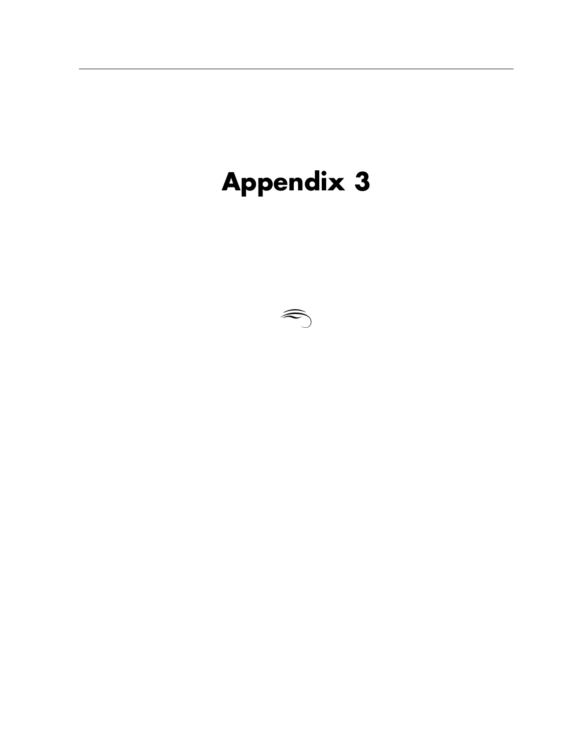# **Appendix 3**

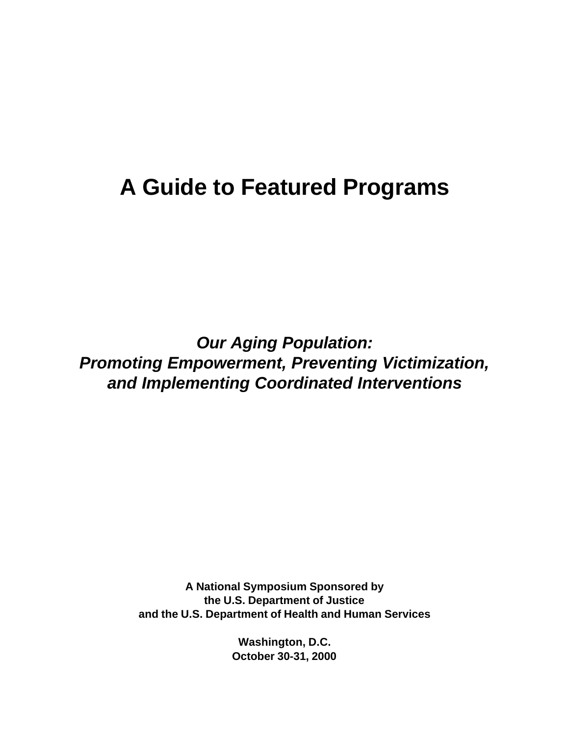## **A Guide to Featured Programs**

*Our Aging Population: Promoting Empowerment, Preventing Victimization, and Implementing Coordinated Interventions*

> **A National Symposium Sponsored by the U.S. Department of Justice and the U.S. Department of Health and Human Services**

> > **Washington, D.C. October 30-31, 2000**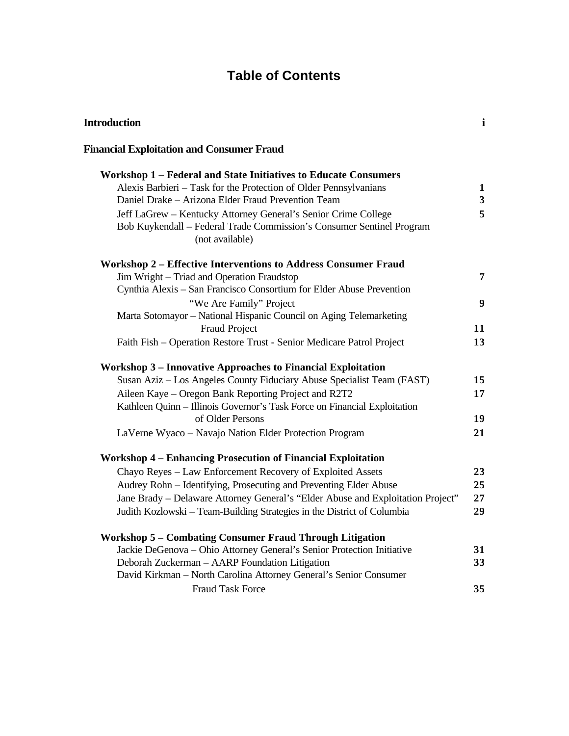### **Table of Contents**

| <b>Introduction</b>                                                                      | $\mathbf{i}$            |
|------------------------------------------------------------------------------------------|-------------------------|
| <b>Financial Exploitation and Consumer Fraud</b>                                         |                         |
| <b>Workshop 1 - Federal and State Initiatives to Educate Consumers</b>                   |                         |
| Alexis Barbieri - Task for the Protection of Older Pennsylvanians                        | 1                       |
| Daniel Drake - Arizona Elder Fraud Prevention Team                                       | $\overline{\mathbf{3}}$ |
| Jeff LaGrew - Kentucky Attorney General's Senior Crime College                           | 5                       |
| Bob Kuykendall - Federal Trade Commission's Consumer Sentinel Program<br>(not available) |                         |
| <b>Workshop 2 - Effective Interventions to Address Consumer Fraud</b>                    |                         |
| Jim Wright - Triad and Operation Fraudstop                                               | 7                       |
| Cynthia Alexis - San Francisco Consortium for Elder Abuse Prevention                     |                         |
| "We Are Family" Project                                                                  | 9                       |
| Marta Sotomayor - National Hispanic Council on Aging Telemarketing                       |                         |
| <b>Fraud Project</b>                                                                     | 11                      |
| Faith Fish - Operation Restore Trust - Senior Medicare Patrol Project                    | 13                      |
| <b>Workshop 3 – Innovative Approaches to Financial Exploitation</b>                      |                         |
| Susan Aziz - Los Angeles County Fiduciary Abuse Specialist Team (FAST)                   | 15                      |
| Aileen Kaye – Oregon Bank Reporting Project and R2T2                                     | 17                      |
| Kathleen Quinn - Illinois Governor's Task Force on Financial Exploitation                |                         |
| of Older Persons                                                                         | 19                      |
| LaVerne Wyaco - Navajo Nation Elder Protection Program                                   | 21                      |
|                                                                                          |                         |
| <b>Workshop 4 - Enhancing Prosecution of Financial Exploitation</b>                      |                         |
| Chayo Reyes - Law Enforcement Recovery of Exploited Assets                               | 23                      |
| Audrey Rohn - Identifying, Prosecuting and Preventing Elder Abuse                        | 25                      |
| Jane Brady - Delaware Attorney General's "Elder Abuse and Exploitation Project"          | 27                      |
| Judith Kozlowski - Team-Building Strategies in the District of Columbia                  | 29                      |
| <b>Workshop 5 - Combating Consumer Fraud Through Litigation</b>                          |                         |
| Jackie DeGenova - Ohio Attorney General's Senior Protection Initiative                   | 31                      |
| Deborah Zuckerman - AARP Foundation Litigation                                           | 33                      |
| David Kirkman - North Carolina Attorney General's Senior Consumer                        |                         |
| <b>Fraud Task Force</b>                                                                  | 35                      |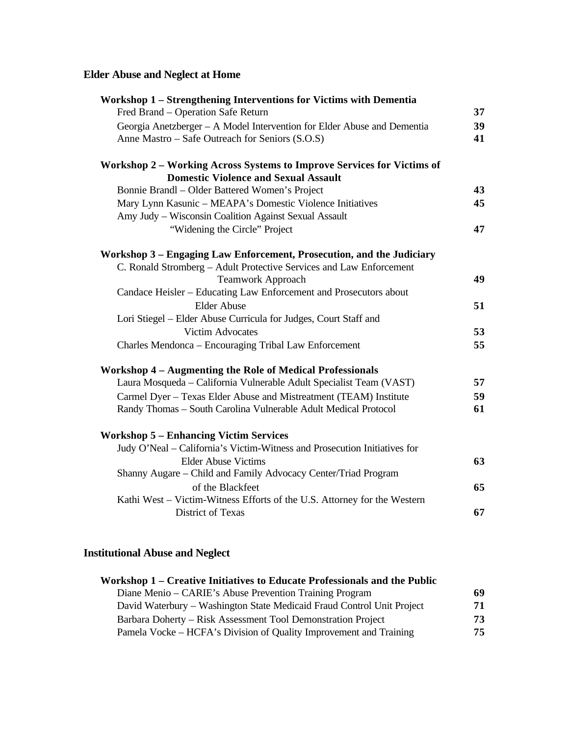#### **Elder Abuse and Neglect at Home**

| Workshop 1 – Strengthening Interventions for Victims with Dementia        |    |
|---------------------------------------------------------------------------|----|
| Fred Brand – Operation Safe Return                                        | 37 |
| Georgia Anetzberger - A Model Intervention for Elder Abuse and Dementia   | 39 |
| Anne Mastro – Safe Outreach for Seniors (S.O.S)                           | 41 |
| Workshop 2 - Working Across Systems to Improve Services for Victims of    |    |
| <b>Domestic Violence and Sexual Assault</b>                               |    |
| Bonnie Brandl - Older Battered Women's Project                            | 43 |
| Mary Lynn Kasunic - MEAPA's Domestic Violence Initiatives                 | 45 |
| Amy Judy - Wisconsin Coalition Against Sexual Assault                     |    |
| "Widening the Circle" Project                                             | 47 |
| Workshop 3 – Engaging Law Enforcement, Prosecution, and the Judiciary     |    |
| C. Ronald Stromberg - Adult Protective Services and Law Enforcement       |    |
| Teamwork Approach                                                         | 49 |
| Candace Heisler - Educating Law Enforcement and Prosecutors about         |    |
| <b>Elder Abuse</b>                                                        | 51 |
| Lori Stiegel - Elder Abuse Curricula for Judges, Court Staff and          |    |
| <b>Victim Advocates</b>                                                   | 53 |
| Charles Mendonca - Encouraging Tribal Law Enforcement                     | 55 |
| <b>Workshop 4 - Augmenting the Role of Medical Professionals</b>          |    |
| Laura Mosqueda - California Vulnerable Adult Specialist Team (VAST)       | 57 |
| Carmel Dyer - Texas Elder Abuse and Mistreatment (TEAM) Institute         | 59 |
| Randy Thomas - South Carolina Vulnerable Adult Medical Protocol           | 61 |
| <b>Workshop 5 - Enhancing Victim Services</b>                             |    |
| Judy O'Neal - California's Victim-Witness and Prosecution Initiatives for |    |
| <b>Elder Abuse Victims</b>                                                | 63 |
| Shanny Augare - Child and Family Advocacy Center/Triad Program            |    |
| of the Blackfeet                                                          | 65 |
| Kathi West - Victim-Witness Efforts of the U.S. Attorney for the Western  |    |
| <b>District of Texas</b>                                                  | 67 |

#### **Institutional Abuse and Neglect**

| Workshop 1 – Creative Initiatives to Educate Professionals and the Public |    |
|---------------------------------------------------------------------------|----|
| Diane Menio – CARIE's Abuse Prevention Training Program                   | 69 |
| David Waterbury – Washington State Medicaid Fraud Control Unit Project    | 71 |
| Barbara Doherty – Risk Assessment Tool Demonstration Project              | 73 |
| Pamela Vocke – HCFA's Division of Quality Improvement and Training        | 75 |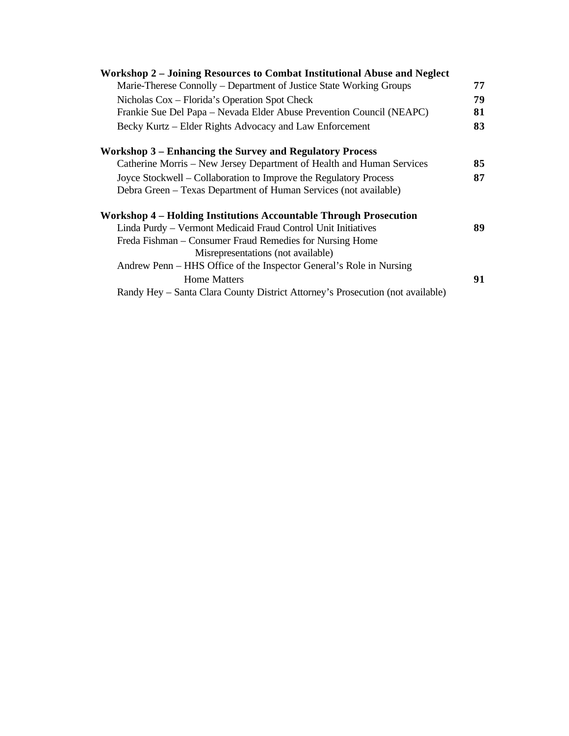| Workshop 2 – Joining Resources to Combat Institutional Abuse and Neglect       |    |
|--------------------------------------------------------------------------------|----|
| Marie-Therese Connolly – Department of Justice State Working Groups            | 77 |
| Nicholas Cox – Florida's Operation Spot Check                                  | 79 |
| Frankie Sue Del Papa – Nevada Elder Abuse Prevention Council (NEAPC)           | 81 |
| Becky Kurtz - Elder Rights Advocacy and Law Enforcement                        | 83 |
| Workshop 3 – Enhancing the Survey and Regulatory Process                       |    |
| Catherine Morris – New Jersey Department of Health and Human Services          | 85 |
| Joyce Stockwell – Collaboration to Improve the Regulatory Process              | 87 |
| Debra Green – Texas Department of Human Services (not available)               |    |
| Workshop 4 - Holding Institutions Accountable Through Prosecution              |    |
| Linda Purdy - Vermont Medicaid Fraud Control Unit Initiatives                  | 89 |
| Freda Fishman – Consumer Fraud Remedies for Nursing Home                       |    |
| Misrepresentations (not available)                                             |    |
| Andrew Penn – HHS Office of the Inspector General's Role in Nursing            |    |
| <b>Home Matters</b>                                                            | 91 |
| Randy Hey – Santa Clara County District Attorney's Prosecution (not available) |    |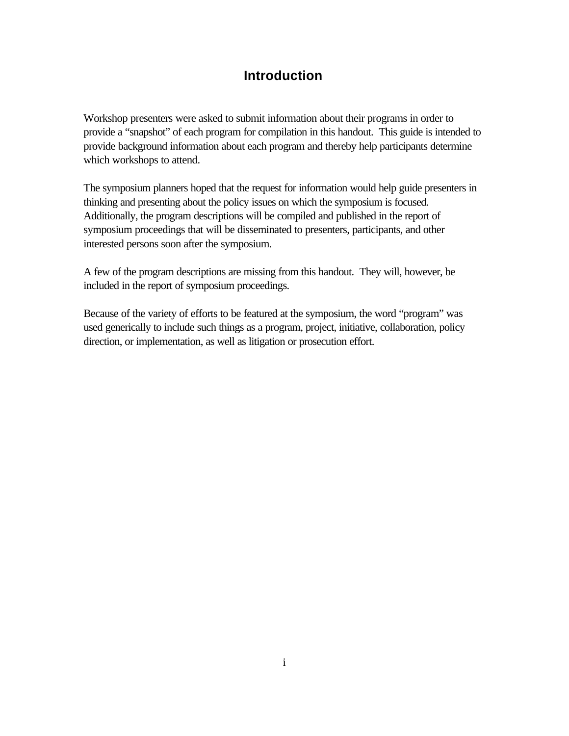# **Introduction**

Workshop presenters were asked to submit information about their programs in order to provide a "snapshot" of each program for compilation in this handout. This guide is intended to provide background information about each program and thereby help participants determine which workshops to attend.

The symposium planners hoped that the request for information would help guide presenters in thinking and presenting about the policy issues on which the symposium is focused. Additionally, the program descriptions will be compiled and published in the report of symposium proceedings that will be disseminated to presenters, participants, and other interested persons soon after the symposium.

A few of the program descriptions are missing from this handout. They will, however, be included in the report of symposium proceedings.

Because of the variety of efforts to be featured at the symposium, the word "program" was used generically to include such things as a program, project, initiative, collaboration, policy direction, or implementation, as well as litigation or prosecution effort.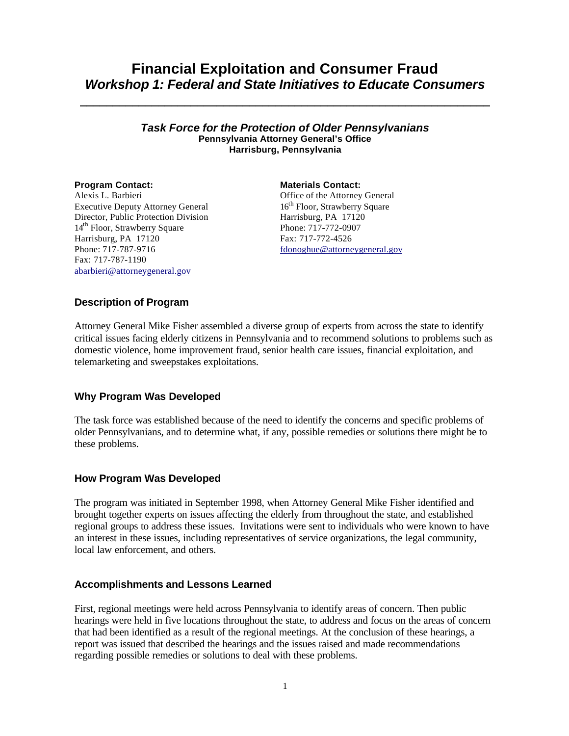# **Financial Exploitation and Consumer Fraud** *Workshop 1: Federal and State Initiatives to Educate Consumers*

**\_\_\_\_\_\_\_\_\_\_\_\_\_\_\_\_\_\_\_\_\_\_\_\_\_\_\_\_\_\_\_\_\_\_\_\_\_\_\_\_\_\_\_\_\_\_\_\_\_\_\_\_\_\_\_\_\_\_\_\_\_\_\_**

#### *Task Force for the Protection of Older Pennsylvanians* **Pennsylvania Attorney General's Office Harrisburg, Pennsylvania**

# Alexis L. Barbieri

Executive Deputy Attorney General Director, Public Protection Division 14<sup>th</sup> Floor, Strawberry Square Harrisburg, PA 17120 Phone: 717-787-9716 Fax: 717-787-1190 abarbieri@attorneygeneral.gov

**Program Contact: Materials Contact:** Office of the Attorney General 16<sup>th</sup> Floor, Strawberry Square Harrisburg, PA 17120 Phone: 717-772-0907 Fax: 717-772-4526 fdonoghue@attorneygeneral.gov

## **Description of Program**

Attorney General Mike Fisher assembled a diverse group of experts from across the state to identify critical issues facing elderly citizens in Pennsylvania and to recommend solutions to problems such as domestic violence, home improvement fraud, senior health care issues, financial exploitation, and telemarketing and sweepstakes exploitations.

## **Why Program Was Developed**

The task force was established because of the need to identify the concerns and specific problems of older Pennsylvanians, and to determine what, if any, possible remedies or solutions there might be to these problems.

# **How Program Was Developed**

The program was initiated in September 1998, when Attorney General Mike Fisher identified and brought together experts on issues affecting the elderly from throughout the state, and established regional groups to address these issues. Invitations were sent to individuals who were known to have an interest in these issues, including representatives of service organizations, the legal community, local law enforcement, and others.

## **Accomplishments and Lessons Learned**

First, regional meetings were held across Pennsylvania to identify areas of concern. Then public hearings were held in five locations throughout the state, to address and focus on the areas of concern that had been identified as a result of the regional meetings. At the conclusion of these hearings, a report was issued that described the hearings and the issues raised and made recommendations regarding possible remedies or solutions to deal with these problems.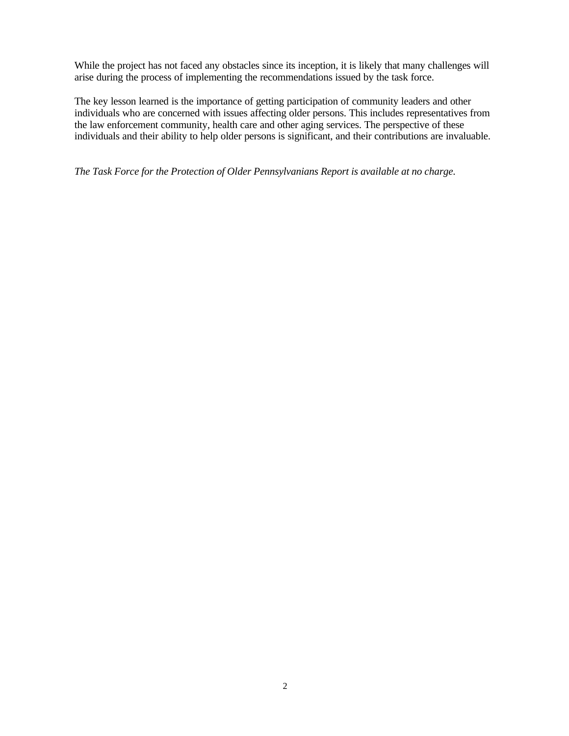While the project has not faced any obstacles since its inception, it is likely that many challenges will arise during the process of implementing the recommendations issued by the task force.

The key lesson learned is the importance of getting participation of community leaders and other individuals who are concerned with issues affecting older persons. This includes representatives from the law enforcement community, health care and other aging services. The perspective of these individuals and their ability to help older persons is significant, and their contributions are invaluable.

*The Task Force for the Protection of Older Pennsylvanians Report is available at no charge.*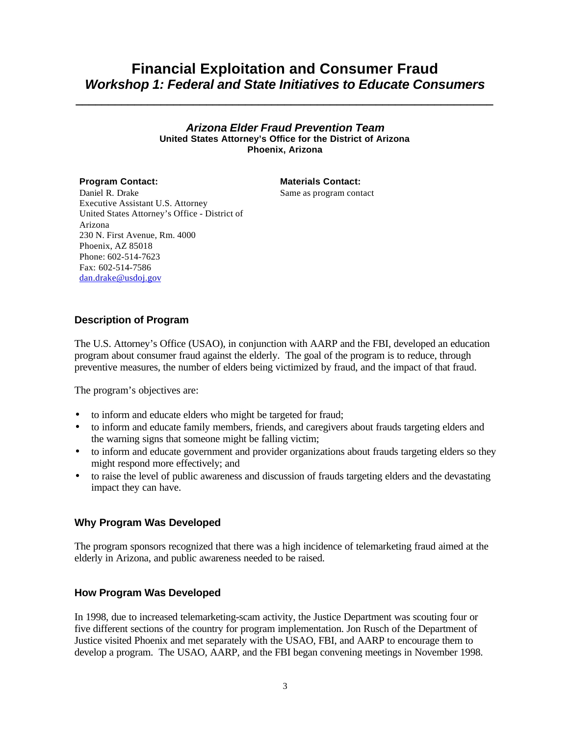# **Financial Exploitation and Consumer Fraud** *Workshop 1: Federal and State Initiatives to Educate Consumers*

*\_\_\_\_\_\_\_\_\_\_\_\_\_\_\_\_\_\_\_\_\_\_\_\_\_\_\_\_\_\_\_\_\_\_\_\_\_\_\_\_\_\_\_\_\_\_\_\_\_\_\_\_\_\_\_\_\_\_\_\_\_\_\_\_*

#### *Arizona Elder Fraud Prevention Team* **United States Attorney's Office for the District of Arizona Phoenix, Arizona**

# **Program Contact: Materials Contact:**

Same as program contact

Daniel R. Drake Executive Assistant U.S. Attorney United States Attorney's Office - District of Arizona 230 N. First Avenue, Rm. 4000 Phoenix, AZ 85018 Phone: 602-514-7623 Fax: 602-514-7586 dan.drake@usdoj.gov

# **Description of Program**

The U.S. Attorney's Office (USAO), in conjunction with AARP and the FBI, developed an education program about consumer fraud against the elderly. The goal of the program is to reduce, through preventive measures, the number of elders being victimized by fraud, and the impact of that fraud.

The program's objectives are:

- to inform and educate elders who might be targeted for fraud;
- to inform and educate family members, friends, and caregivers about frauds targeting elders and the warning signs that someone might be falling victim;
- to inform and educate government and provider organizations about frauds targeting elders so they might respond more effectively; and
- to raise the level of public awareness and discussion of frauds targeting elders and the devastating impact they can have.

## **Why Program Was Developed**

The program sponsors recognized that there was a high incidence of telemarketing fraud aimed at the elderly in Arizona, and public awareness needed to be raised.

## **How Program Was Developed**

In 1998, due to increased telemarketing-scam activity, the Justice Department was scouting four or five different sections of the country for program implementation. Jon Rusch of the Department of Justice visited Phoenix and met separately with the USAO, FBI, and AARP to encourage them to develop a program. The USAO, AARP, and the FBI began convening meetings in November 1998.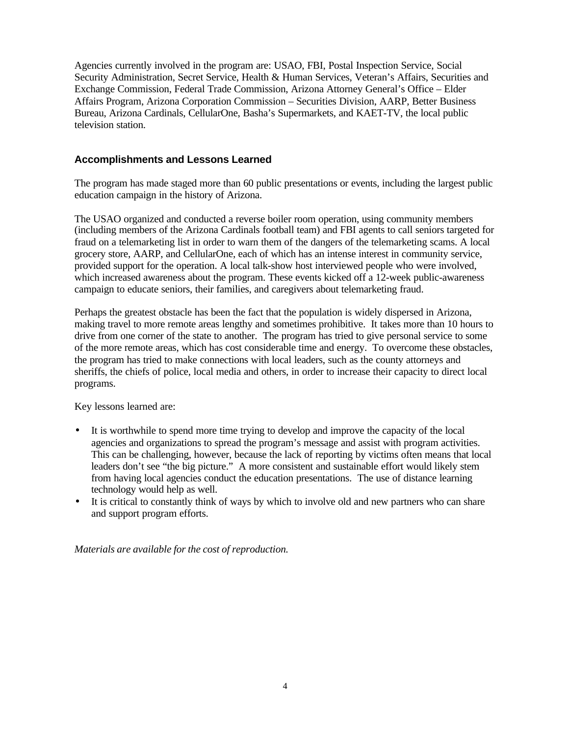Agencies currently involved in the program are: USAO, FBI, Postal Inspection Service, Social Security Administration, Secret Service, Health & Human Services, Veteran's Affairs, Securities and Exchange Commission, Federal Trade Commission, Arizona Attorney General's Office – Elder Affairs Program, Arizona Corporation Commission – Securities Division, AARP, Better Business Bureau, Arizona Cardinals, CellularOne, Basha's Supermarkets, and KAET-TV, the local public television station.

### **Accomplishments and Lessons Learned**

The program has made staged more than 60 public presentations or events, including the largest public education campaign in the history of Arizona.

The USAO organized and conducted a reverse boiler room operation, using community members (including members of the Arizona Cardinals football team) and FBI agents to call seniors targeted for fraud on a telemarketing list in order to warn them of the dangers of the telemarketing scams. A local grocery store, AARP, and CellularOne, each of which has an intense interest in community service, provided support for the operation. A local talk-show host interviewed people who were involved, which increased awareness about the program. These events kicked off a 12-week public-awareness campaign to educate seniors, their families, and caregivers about telemarketing fraud.

Perhaps the greatest obstacle has been the fact that the population is widely dispersed in Arizona, making travel to more remote areas lengthy and sometimes prohibitive. It takes more than 10 hours to drive from one corner of the state to another. The program has tried to give personal service to some of the more remote areas, which has cost considerable time and energy. To overcome these obstacles, the program has tried to make connections with local leaders, such as the county attorneys and sheriffs, the chiefs of police, local media and others, in order to increase their capacity to direct local programs.

Key lessons learned are:

- It is worthwhile to spend more time trying to develop and improve the capacity of the local agencies and organizations to spread the program's message and assist with program activities. This can be challenging, however, because the lack of reporting by victims often means that local leaders don't see "the big picture." A more consistent and sustainable effort would likely stem from having local agencies conduct the education presentations. The use of distance learning technology would help as well.
- It is critical to constantly think of ways by which to involve old and new partners who can share and support program efforts.

*Materials are available for the cost of reproduction.*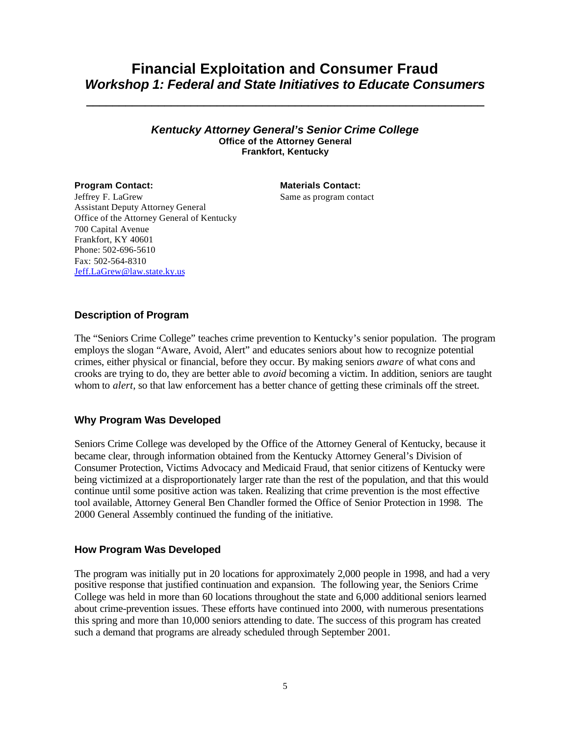# **Financial Exploitation and Consumer Fraud** *Workshop 1: Federal and State Initiatives to Educate Consumers*

**\_\_\_\_\_\_\_\_\_\_\_\_\_\_\_\_\_\_\_\_\_\_\_\_\_\_\_\_\_\_\_\_\_\_\_\_\_\_\_\_\_\_\_\_\_\_\_\_\_\_\_\_\_\_\_\_\_\_\_\_\_**

#### *Kentucky Attorney General's Senior Crime College* **Office of the Attorney General Frankfort, Kentucky**

### **Program Contact: Materials Contact:** Same as program contact

Jeffrey F. LaGrew Assistant Deputy Attorney General Office of the Attorney General of Kentucky 700 Capital Avenue Frankfort, KY 40601 Phone: 502-696-5610 Fax: 502-564-8310 Jeff.LaGrew@law.state.ky.us

# **Description of Program**

The "Seniors Crime College" teaches crime prevention to Kentucky's senior population. The program employs the slogan "Aware, Avoid, Alert" and educates seniors about how to recognize potential crimes, either physical or financial, before they occur. By making seniors *aware* of what cons and crooks are trying to do, they are better able to *avoid* becoming a victim. In addition, seniors are taught whom to *alert*, so that law enforcement has a better chance of getting these criminals off the street.

## **Why Program Was Developed**

Seniors Crime College was developed by the Office of the Attorney General of Kentucky, because it became clear, through information obtained from the Kentucky Attorney General's Division of Consumer Protection, Victims Advocacy and Medicaid Fraud, that senior citizens of Kentucky were being victimized at a disproportionately larger rate than the rest of the population, and that this would continue until some positive action was taken. Realizing that crime prevention is the most effective tool available, Attorney General Ben Chandler formed the Office of Senior Protection in 1998. The 2000 General Assembly continued the funding of the initiative.

#### **How Program Was Developed**

The program was initially put in 20 locations for approximately 2,000 people in 1998, and had a very positive response that justified continuation and expansion. The following year, the Seniors Crime College was held in more than 60 locations throughout the state and 6,000 additional seniors learned about crime-prevention issues. These efforts have continued into 2000, with numerous presentations this spring and more than 10,000 seniors attending to date. The success of this program has created such a demand that programs are already scheduled through September 2001.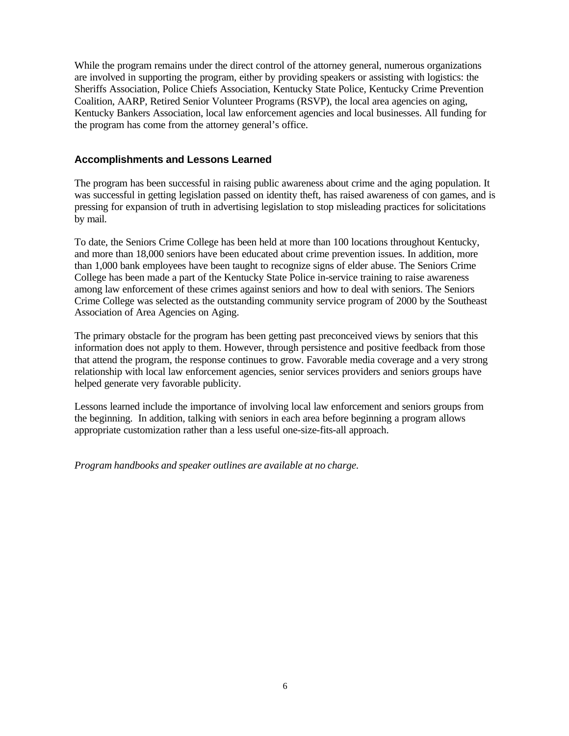While the program remains under the direct control of the attorney general, numerous organizations are involved in supporting the program, either by providing speakers or assisting with logistics: the Sheriffs Association, Police Chiefs Association, Kentucky State Police, Kentucky Crime Prevention Coalition, AARP, Retired Senior Volunteer Programs (RSVP), the local area agencies on aging, Kentucky Bankers Association, local law enforcement agencies and local businesses. All funding for the program has come from the attorney general's office.

#### **Accomplishments and Lessons Learned**

The program has been successful in raising public awareness about crime and the aging population. It was successful in getting legislation passed on identity theft, has raised awareness of con games, and is pressing for expansion of truth in advertising legislation to stop misleading practices for solicitations by mail.

To date, the Seniors Crime College has been held at more than 100 locations throughout Kentucky, and more than 18,000 seniors have been educated about crime prevention issues. In addition, more than 1,000 bank employees have been taught to recognize signs of elder abuse. The Seniors Crime College has been made a part of the Kentucky State Police in-service training to raise awareness among law enforcement of these crimes against seniors and how to deal with seniors. The Seniors Crime College was selected as the outstanding community service program of 2000 by the Southeast Association of Area Agencies on Aging.

The primary obstacle for the program has been getting past preconceived views by seniors that this information does not apply to them. However, through persistence and positive feedback from those that attend the program, the response continues to grow. Favorable media coverage and a very strong relationship with local law enforcement agencies, senior services providers and seniors groups have helped generate very favorable publicity.

Lessons learned include the importance of involving local law enforcement and seniors groups from the beginning. In addition, talking with seniors in each area before beginning a program allows appropriate customization rather than a less useful one-size-fits-all approach.

*Program handbooks and speaker outlines are available at no charge.*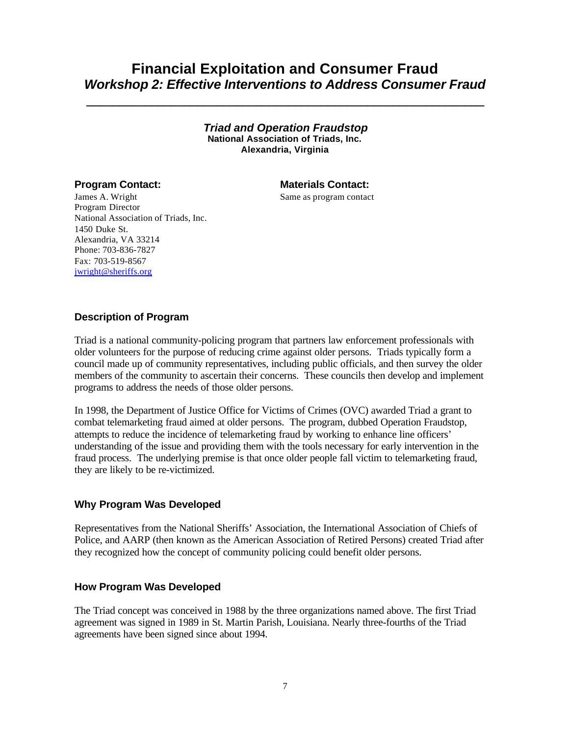# **Financial Exploitation and Consumer Fraud** *Workshop 2: Effective Interventions to Address Consumer Fraud*

**\_\_\_\_\_\_\_\_\_\_\_\_\_\_\_\_\_\_\_\_\_\_\_\_\_\_\_\_\_\_\_\_\_\_\_\_\_\_\_\_\_\_\_\_\_\_\_\_\_\_\_\_\_\_\_\_\_\_\_\_\_**

*Triad and Operation Fraudstop* **National Association of Triads, Inc. Alexandria, Virginia**

#### **Program Contact: Materials Contact:**

Same as program contact

James A. Wright Program Director National Association of Triads, Inc. 1450 Duke St. Alexandria, VA 33214 Phone: 703-836-7827 Fax: 703-519-8567 jwright@sheriffs.org

### **Description of Program**

Triad is a national community-policing program that partners law enforcement professionals with older volunteers for the purpose of reducing crime against older persons. Triads typically form a council made up of community representatives, including public officials, and then survey the older members of the community to ascertain their concerns. These councils then develop and implement programs to address the needs of those older persons.

In 1998, the Department of Justice Office for Victims of Crimes (OVC) awarded Triad a grant to combat telemarketing fraud aimed at older persons. The program, dubbed Operation Fraudstop, attempts to reduce the incidence of telemarketing fraud by working to enhance line officers' understanding of the issue and providing them with the tools necessary for early intervention in the fraud process. The underlying premise is that once older people fall victim to telemarketing fraud, they are likely to be re-victimized.

### **Why Program Was Developed**

Representatives from the National Sheriffs' Association, the International Association of Chiefs of Police, and AARP (then known as the American Association of Retired Persons) created Triad after they recognized how the concept of community policing could benefit older persons.

#### **How Program Was Developed**

The Triad concept was conceived in 1988 by the three organizations named above. The first Triad agreement was signed in 1989 in St. Martin Parish, Louisiana. Nearly three-fourths of the Triad agreements have been signed since about 1994.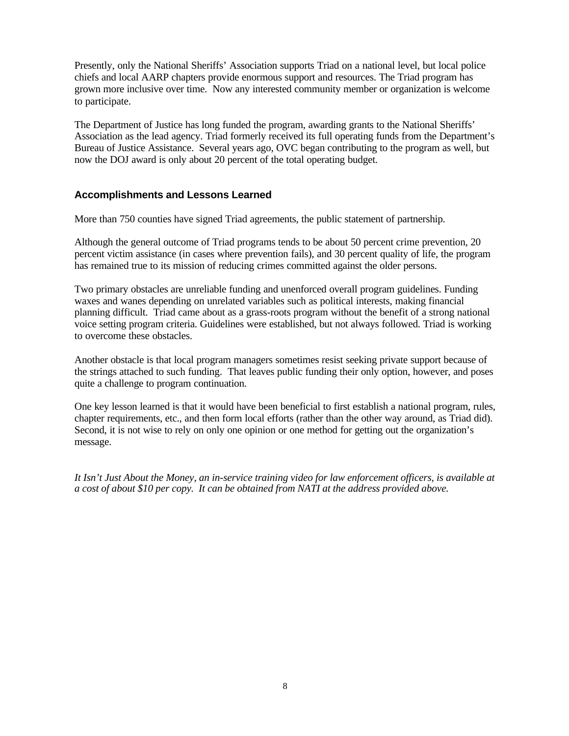Presently, only the National Sheriffs' Association supports Triad on a national level, but local police chiefs and local AARP chapters provide enormous support and resources. The Triad program has grown more inclusive over time. Now any interested community member or organization is welcome to participate.

The Department of Justice has long funded the program, awarding grants to the National Sheriffs' Association as the lead agency. Triad formerly received its full operating funds from the Department's Bureau of Justice Assistance. Several years ago, OVC began contributing to the program as well, but now the DOJ award is only about 20 percent of the total operating budget.

## **Accomplishments and Lessons Learned**

More than 750 counties have signed Triad agreements, the public statement of partnership.

Although the general outcome of Triad programs tends to be about 50 percent crime prevention, 20 percent victim assistance (in cases where prevention fails), and 30 percent quality of life, the program has remained true to its mission of reducing crimes committed against the older persons.

Two primary obstacles are unreliable funding and unenforced overall program guidelines. Funding waxes and wanes depending on unrelated variables such as political interests, making financial planning difficult. Triad came about as a grass-roots program without the benefit of a strong national voice setting program criteria. Guidelines were established, but not always followed. Triad is working to overcome these obstacles.

Another obstacle is that local program managers sometimes resist seeking private support because of the strings attached to such funding. That leaves public funding their only option, however, and poses quite a challenge to program continuation.

One key lesson learned is that it would have been beneficial to first establish a national program, rules, chapter requirements, etc., and then form local efforts (rather than the other way around, as Triad did). Second, it is not wise to rely on only one opinion or one method for getting out the organization's message.

*It Isn't Just About the Money, an in-service training video for law enforcement officers, is available at a cost of about \$10 per copy. It can be obtained from NATI at the address provided above.*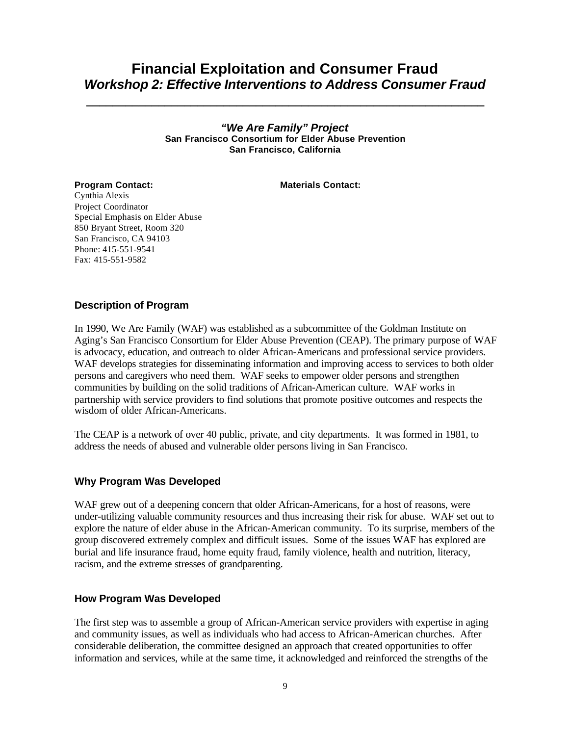# **Financial Exploitation and Consumer Fraud** *Workshop 2: Effective Interventions to Address Consumer Fraud*

**\_\_\_\_\_\_\_\_\_\_\_\_\_\_\_\_\_\_\_\_\_\_\_\_\_\_\_\_\_\_\_\_\_\_\_\_\_\_\_\_\_\_\_\_\_\_\_\_\_\_\_\_\_\_\_\_\_\_\_\_\_**

*"We Are Family" Project* **San Francisco Consortium for Elder Abuse Prevention San Francisco, California**

**Program Contact: Materials Contact:** 

Cynthia Alexis Project Coordinator Special Emphasis on Elder Abuse 850 Bryant Street, Room 320

San Francisco, CA 94103 Phone: 415-551-9541 Fax: 415-551-9582

### **Description of Program**

In 1990, We Are Family (WAF) was established as a subcommittee of the Goldman Institute on Aging's San Francisco Consortium for Elder Abuse Prevention (CEAP). The primary purpose of WAF is advocacy, education, and outreach to older African-Americans and professional service providers. WAF develops strategies for disseminating information and improving access to services to both older persons and caregivers who need them. WAF seeks to empower older persons and strengthen communities by building on the solid traditions of African-American culture. WAF works in partnership with service providers to find solutions that promote positive outcomes and respects the wisdom of older African-Americans.

The CEAP is a network of over 40 public, private, and city departments. It was formed in 1981, to address the needs of abused and vulnerable older persons living in San Francisco.

#### **Why Program Was Developed**

WAF grew out of a deepening concern that older African-Americans, for a host of reasons, were under-utilizing valuable community resources and thus increasing their risk for abuse. WAF set out to explore the nature of elder abuse in the African-American community. To its surprise, members of the group discovered extremely complex and difficult issues. Some of the issues WAF has explored are burial and life insurance fraud, home equity fraud, family violence, health and nutrition, literacy, racism, and the extreme stresses of grandparenting.

#### **How Program Was Developed**

The first step was to assemble a group of African-American service providers with expertise in aging and community issues, as well as individuals who had access to African-American churches. After considerable deliberation, the committee designed an approach that created opportunities to offer information and services, while at the same time, it acknowledged and reinforced the strengths of the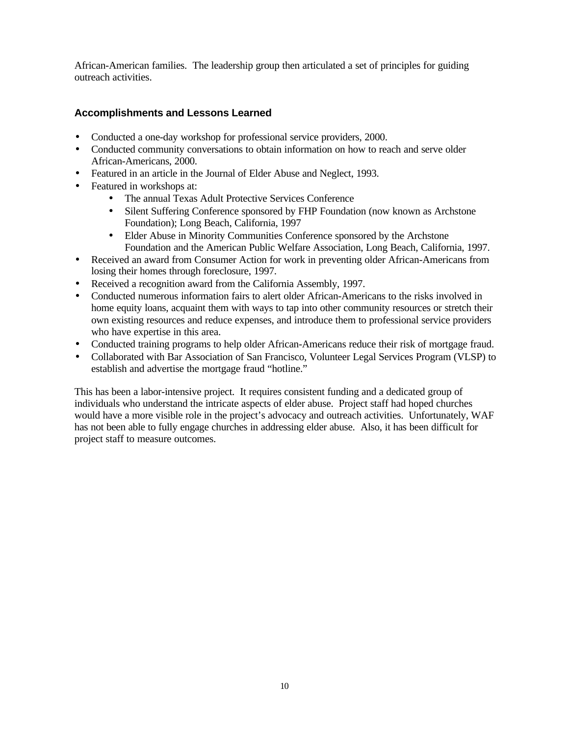African-American families. The leadership group then articulated a set of principles for guiding outreach activities.

# **Accomplishments and Lessons Learned**

- Conducted a one-day workshop for professional service providers, 2000.
- Conducted community conversations to obtain information on how to reach and serve older African-Americans, 2000.
- Featured in an article in the Journal of Elder Abuse and Neglect, 1993.
- Featured in workshops at:
	- The annual Texas Adult Protective Services Conference
	- Silent Suffering Conference sponsored by FHP Foundation (now known as Archstone Foundation); Long Beach, California, 1997
	- Elder Abuse in Minority Communities Conference sponsored by the Archstone Foundation and the American Public Welfare Association, Long Beach, California, 1997.
- Received an award from Consumer Action for work in preventing older African-Americans from losing their homes through foreclosure, 1997.
- Received a recognition award from the California Assembly, 1997.
- Conducted numerous information fairs to alert older African-Americans to the risks involved in home equity loans, acquaint them with ways to tap into other community resources or stretch their own existing resources and reduce expenses, and introduce them to professional service providers who have expertise in this area.
- Conducted training programs to help older African-Americans reduce their risk of mortgage fraud.
- Collaborated with Bar Association of San Francisco, Volunteer Legal Services Program (VLSP) to establish and advertise the mortgage fraud "hotline."

This has been a labor-intensive project. It requires consistent funding and a dedicated group of individuals who understand the intricate aspects of elder abuse. Project staff had hoped churches would have a more visible role in the project's advocacy and outreach activities. Unfortunately, WAF has not been able to fully engage churches in addressing elder abuse. Also, it has been difficult for project staff to measure outcomes.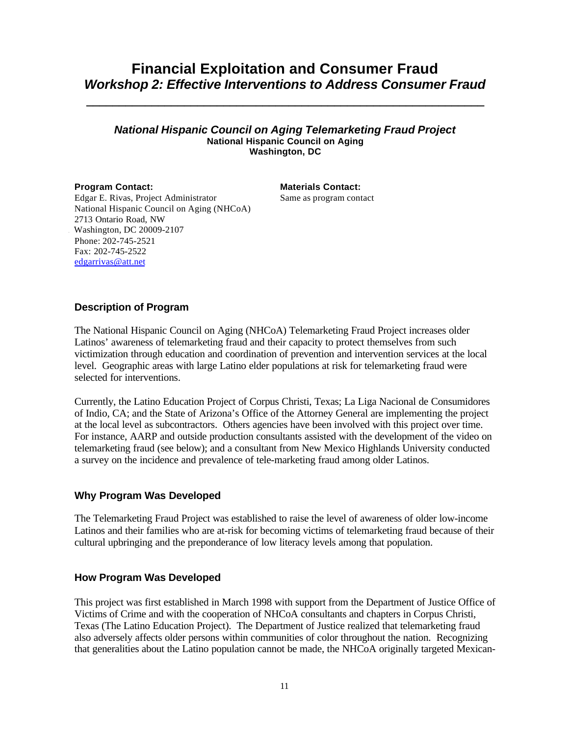# **Financial Exploitation and Consumer Fraud** *Workshop 2: Effective Interventions to Address Consumer Fraud*

**\_\_\_\_\_\_\_\_\_\_\_\_\_\_\_\_\_\_\_\_\_\_\_\_\_\_\_\_\_\_\_\_\_\_\_\_\_\_\_\_\_\_\_\_\_\_\_\_\_\_\_\_\_\_\_\_\_\_\_\_\_**

#### *National Hispanic Council on Aging Telemarketing Fraud Project* **National Hispanic Council on Aging Washington, DC**

**Program Contact: Materials Contact:** Same as program contact

Edgar E. Rivas, Project Administrator National Hispanic Council on Aging (NHCoA) 2713 Ontario Road, NW Washington, DC 20009-2107 Phone: 202-745-2521 Fax: 202-745-2522 edgarrivas@att.net

## **Description of Program**

The National Hispanic Council on Aging (NHCoA) Telemarketing Fraud Project increases older Latinos' awareness of telemarketing fraud and their capacity to protect themselves from such victimization through education and coordination of prevention and intervention services at the local level. Geographic areas with large Latino elder populations at risk for telemarketing fraud were selected for interventions.

Currently, the Latino Education Project of Corpus Christi, Texas; La Liga Nacional de Consumidores of Indio, CA; and the State of Arizona's Office of the Attorney General are implementing the project at the local level as subcontractors. Others agencies have been involved with this project over time. For instance, AARP and outside production consultants assisted with the development of the video on telemarketing fraud (see below); and a consultant from New Mexico Highlands University conducted a survey on the incidence and prevalence of tele-marketing fraud among older Latinos.

## **Why Program Was Developed**

The Telemarketing Fraud Project was established to raise the level of awareness of older low-income Latinos and their families who are at-risk for becoming victims of telemarketing fraud because of their cultural upbringing and the preponderance of low literacy levels among that population.

## **How Program Was Developed**

This project was first established in March 1998 with support from the Department of Justice Office of Victims of Crime and with the cooperation of NHCoA consultants and chapters in Corpus Christi, Texas (The Latino Education Project). The Department of Justice realized that telemarketing fraud also adversely affects older persons within communities of color throughout the nation. Recognizing that generalities about the Latino population cannot be made, the NHCoA originally targeted Mexican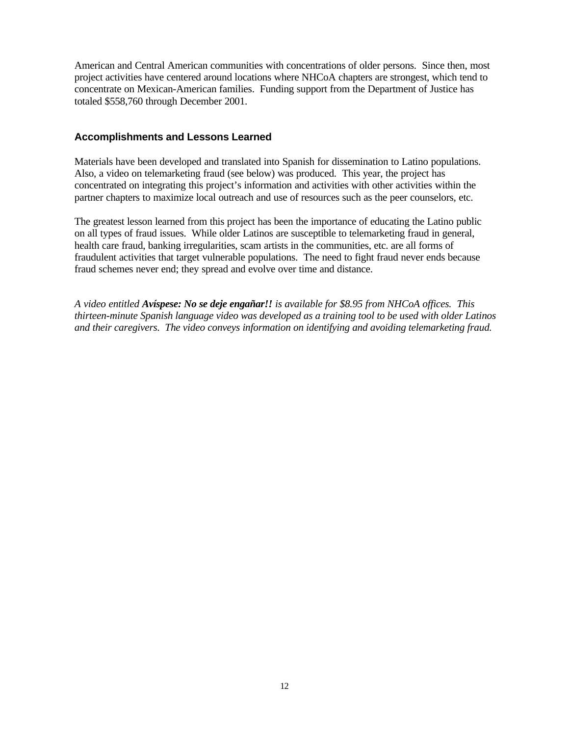American and Central American communities with concentrations of older persons. Since then, most project activities have centered around locations where NHCoA chapters are strongest, which tend to concentrate on Mexican-American families. Funding support from the Department of Justice has totaled \$558,760 through December 2001.

#### **Accomplishments and Lessons Learned**

Materials have been developed and translated into Spanish for dissemination to Latino populations. Also, a video on telemarketing fraud (see below) was produced. This year, the project has concentrated on integrating this project's information and activities with other activities within the partner chapters to maximize local outreach and use of resources such as the peer counselors, etc.

The greatest lesson learned from this project has been the importance of educating the Latino public on all types of fraud issues. While older Latinos are susceptible to telemarketing fraud in general, health care fraud, banking irregularities, scam artists in the communities, etc. are all forms of fraudulent activities that target vulnerable populations. The need to fight fraud never ends because fraud schemes never end; they spread and evolve over time and distance.

*A video entitled Avíspese: No se deje engañar!! is available for \$8.95 from NHCoA offices. This thirteen-minute Spanish language video was developed as a training tool to be used with older Latinos and their caregivers. The video conveys information on identifying and avoiding telemarketing fraud.*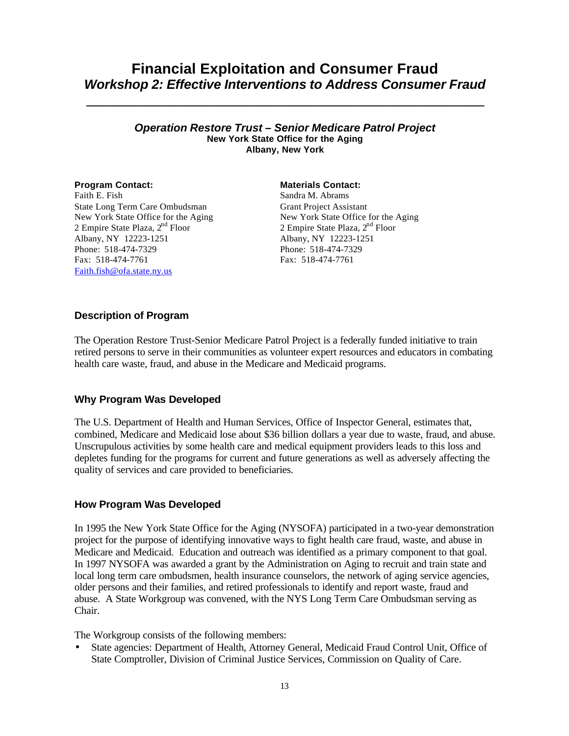# **Financial Exploitation and Consumer Fraud** *Workshop 2: Effective Interventions to Address Consumer Fraud*

**\_\_\_\_\_\_\_\_\_\_\_\_\_\_\_\_\_\_\_\_\_\_\_\_\_\_\_\_\_\_\_\_\_\_\_\_\_\_\_\_\_\_\_\_\_\_\_\_\_\_\_\_\_\_\_\_\_\_\_\_\_**

#### *Operation Restore Trust – Senior Medicare Patrol Project* **New York State Office for the Aging Albany, New York**

Faith E. Fish State Long Term Care Ombudsman New York State Office for the Aging 2 Empire State Plaza,  $2<sup>nd</sup>$  Floor Albany, NY 12223-1251 Phone: 518-474-7329 Fax: 518-474-7761 Faith.fish@ofa.state.ny.us

#### **Program Contact: Materials Contact:**

Sandra M. Abrams Grant Project Assistant New York State Office for the Aging 2 Empire State Plaza,  $2<sup>nd</sup>$  Floor Albany, NY 12223-1251 Phone: 518-474-7329 Fax: 518-474-7761

## **Description of Program**

The Operation Restore Trust-Senior Medicare Patrol Project is a federally funded initiative to train retired persons to serve in their communities as volunteer expert resources and educators in combating health care waste, fraud, and abuse in the Medicare and Medicaid programs.

## **Why Program Was Developed**

The U.S. Department of Health and Human Services, Office of Inspector General, estimates that, combined, Medicare and Medicaid lose about \$36 billion dollars a year due to waste, fraud, and abuse. Unscrupulous activities by some health care and medical equipment providers leads to this loss and depletes funding for the programs for current and future generations as well as adversely affecting the quality of services and care provided to beneficiaries.

## **How Program Was Developed**

In 1995 the New York State Office for the Aging (NYSOFA) participated in a two-year demonstration project for the purpose of identifying innovative ways to fight health care fraud, waste, and abuse in Medicare and Medicaid. Education and outreach was identified as a primary component to that goal. In 1997 NYSOFA was awarded a grant by the Administration on Aging to recruit and train state and local long term care ombudsmen, health insurance counselors, the network of aging service agencies, older persons and their families, and retired professionals to identify and report waste, fraud and abuse. A State Workgroup was convened, with the NYS Long Term Care Ombudsman serving as Chair.

The Workgroup consists of the following members:

• State agencies: Department of Health, Attorney General, Medicaid Fraud Control Unit, Office of State Comptroller, Division of Criminal Justice Services, Commission on Quality of Care.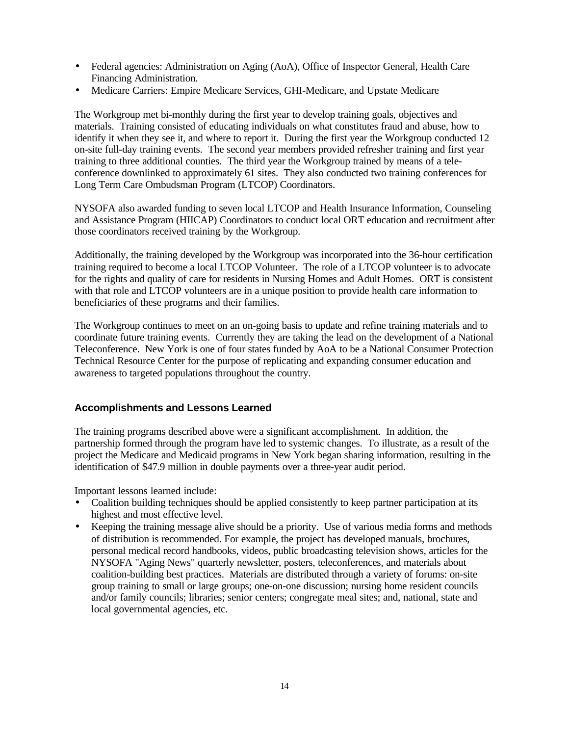- Federal agencies: Administration on Aging (AoA), Office of Inspector General, Health Care Financing Administration.
- Medicare Carriers: Empire Medicare Services, GHI-Medicare, and Upstate Medicare

The Workgroup met bi-monthly during the first year to develop training goals, objectives and materials. Training consisted of educating individuals on what constitutes fraud and abuse, how to identify it when they see it, and where to report it. During the first year the Workgroup conducted 12 on-site full-day training events. The second year members provided refresher training and first year training to three additional counties. The third year the Workgroup trained by means of a teleconference downlinked to approximately 61 sites. They also conducted two training conferences for Long Term Care Ombudsman Program (LTCOP) Coordinators.

NYSOFA also awarded funding to seven local LTCOP and Health Insurance Information, Counseling and Assistance Program (HIICAP) Coordinators to conduct local ORT education and recruitment after those coordinators received training by the Workgroup.

Additionally, the training developed by the Workgroup was incorporated into the 36-hour certification training required to become a local LTCOP Volunteer. The role of a LTCOP volunteer is to advocate for the rights and quality of care for residents in Nursing Homes and Adult Homes. ORT is consistent with that role and LTCOP volunteers are in a unique position to provide health care information to beneficiaries of these programs and their families.

The Workgroup continues to meet on an on-going basis to update and refine training materials and to coordinate future training events. Currently they are taking the lead on the development of a National Teleconference. New York is one of four states funded by AoA to be a National Consumer Protection Technical Resource Center for the purpose of replicating and expanding consumer education and awareness to targeted populations throughout the country.

## **Accomplishments and Lessons Learned**

The training programs described above were a significant accomplishment. In addition, the partnership formed through the program have led to systemic changes. To illustrate, as a result of the project the Medicare and Medicaid programs in New York began sharing information, resulting in the identification of \$47.9 million in double payments over a three-year audit period.

Important lessons learned include:

- Coalition building techniques should be applied consistently to keep partner participation at its highest and most effective level.
- Keeping the training message alive should be a priority. Use of various media forms and methods of distribution is recommended. For example, the project has developed manuals, brochures, personal medical record handbooks, videos, public broadcasting television shows, articles for the NYSOFA "Aging News" quarterly newsletter, posters, teleconferences, and materials about coalition-building best practices. Materials are distributed through a variety of forums: on-site group training to small or large groups; one-on-one discussion; nursing home resident councils and/or family councils; libraries; senior centers; congregate meal sites; and, national, state and local governmental agencies, etc.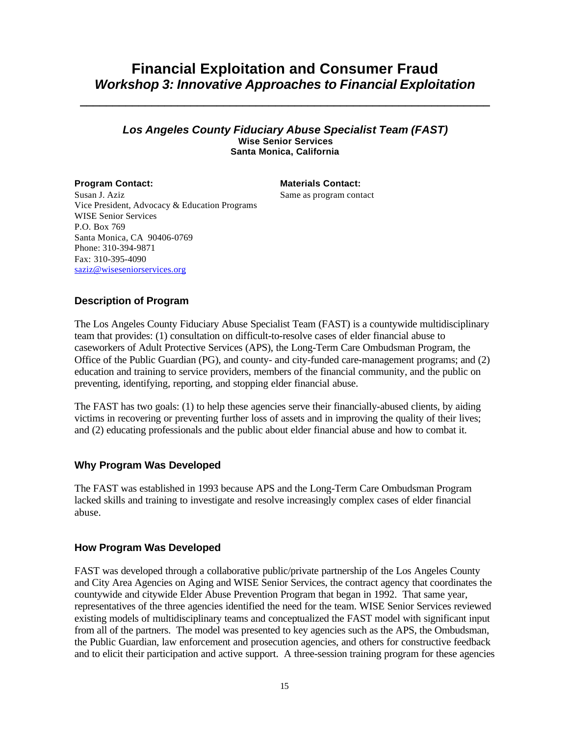# **Financial Exploitation and Consumer Fraud** *Workshop 3: Innovative Approaches to Financial Exploitation*

**\_\_\_\_\_\_\_\_\_\_\_\_\_\_\_\_\_\_\_\_\_\_\_\_\_\_\_\_\_\_\_\_\_\_\_\_\_\_\_\_\_\_\_\_\_\_\_\_\_\_\_\_\_\_\_\_\_\_\_\_\_\_\_**

#### *Los Angeles County Fiduciary Abuse Specialist Team (FAST)* **Wise Senior Services Santa Monica, California**

**Program Contact: Materials Contact: Materials Contact:** Same as program contact

Susan J. Aziz Vice President, Advocacy & Education Programs WISE Senior Services P.O. Box 769 Santa Monica, CA 90406-0769 Phone: 310-394-9871 Fax: 310-395-4090 saziz@wiseseniorservices.org

## **Description of Program**

The Los Angeles County Fiduciary Abuse Specialist Team (FAST) is a countywide multidisciplinary team that provides: (1) consultation on difficult-to-resolve cases of elder financial abuse to caseworkers of Adult Protective Services (APS), the Long-Term Care Ombudsman Program, the Office of the Public Guardian (PG), and county- and city-funded care-management programs; and (2) education and training to service providers, members of the financial community, and the public on preventing, identifying, reporting, and stopping elder financial abuse.

The FAST has two goals: (1) to help these agencies serve their financially-abused clients, by aiding victims in recovering or preventing further loss of assets and in improving the quality of their lives; and (2) educating professionals and the public about elder financial abuse and how to combat it.

#### **Why Program Was Developed**

The FAST was established in 1993 because APS and the Long-Term Care Ombudsman Program lacked skills and training to investigate and resolve increasingly complex cases of elder financial abuse.

## **How Program Was Developed**

FAST was developed through a collaborative public/private partnership of the Los Angeles County and City Area Agencies on Aging and WISE Senior Services, the contract agency that coordinates the countywide and citywide Elder Abuse Prevention Program that began in 1992. That same year, representatives of the three agencies identified the need for the team. WISE Senior Services reviewed existing models of multidisciplinary teams and conceptualized the FAST model with significant input from all of the partners. The model was presented to key agencies such as the APS, the Ombudsman, the Public Guardian, law enforcement and prosecution agencies, and others for constructive feedback and to elicit their participation and active support. A three-session training program for these agencies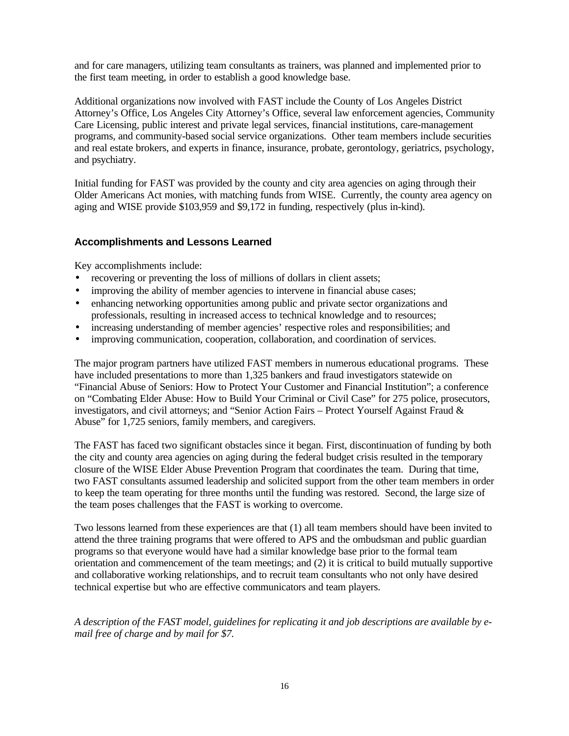and for care managers, utilizing team consultants as trainers, was planned and implemented prior to the first team meeting, in order to establish a good knowledge base.

Additional organizations now involved with FAST include the County of Los Angeles District Attorney's Office, Los Angeles City Attorney's Office, several law enforcement agencies, Community Care Licensing, public interest and private legal services, financial institutions, care-management programs, and community-based social service organizations. Other team members include securities and real estate brokers, and experts in finance, insurance, probate, gerontology, geriatrics, psychology, and psychiatry.

Initial funding for FAST was provided by the county and city area agencies on aging through their Older Americans Act monies, with matching funds from WISE. Currently, the county area agency on aging and WISE provide \$103,959 and \$9,172 in funding, respectively (plus in-kind).

### **Accomplishments and Lessons Learned**

Key accomplishments include:

- recovering or preventing the loss of millions of dollars in client assets;
- improving the ability of member agencies to intervene in financial abuse cases;
- enhancing networking opportunities among public and private sector organizations and professionals, resulting in increased access to technical knowledge and to resources;
- increasing understanding of member agencies' respective roles and responsibilities; and
- improving communication, cooperation, collaboration, and coordination of services.

The major program partners have utilized FAST members in numerous educational programs. These have included presentations to more than 1,325 bankers and fraud investigators statewide on "Financial Abuse of Seniors: How to Protect Your Customer and Financial Institution"; a conference on "Combating Elder Abuse: How to Build Your Criminal or Civil Case" for 275 police, prosecutors, investigators, and civil attorneys; and "Senior Action Fairs – Protect Yourself Against Fraud & Abuse" for 1,725 seniors, family members, and caregivers.

The FAST has faced two significant obstacles since it began. First, discontinuation of funding by both the city and county area agencies on aging during the federal budget crisis resulted in the temporary closure of the WISE Elder Abuse Prevention Program that coordinates the team. During that time, two FAST consultants assumed leadership and solicited support from the other team members in order to keep the team operating for three months until the funding was restored. Second, the large size of the team poses challenges that the FAST is working to overcome.

Two lessons learned from these experiences are that (1) all team members should have been invited to attend the three training programs that were offered to APS and the ombudsman and public guardian programs so that everyone would have had a similar knowledge base prior to the formal team orientation and commencement of the team meetings; and (2) it is critical to build mutually supportive and collaborative working relationships, and to recruit team consultants who not only have desired technical expertise but who are effective communicators and team players.

*A description of the FAST model, guidelines for replicating it and job descriptions are available by email free of charge and by mail for \$7.*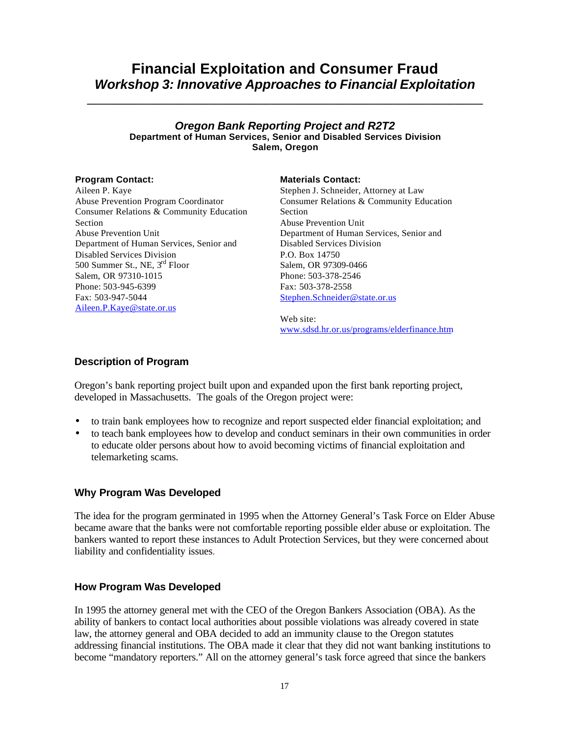# **Financial Exploitation and Consumer Fraud** *Workshop 3: Innovative Approaches to Financial Exploitation*

**\_\_\_\_\_\_\_\_\_\_\_\_\_\_\_\_\_\_\_\_\_\_\_\_\_\_\_\_\_\_\_\_\_\_\_\_\_\_\_\_\_\_\_\_\_\_\_\_\_\_\_\_\_\_\_\_\_\_\_\_\_\_\_\_\_\_\_\_\_\_\_**

#### *Oregon Bank Reporting Project and R2T2* **Department of Human Services, Senior and Disabled Services Division Salem, Oregon**

Aileen P. Kaye Abuse Prevention Program Coordinator Consumer Relations & Community Education Section Abuse Prevention Unit Department of Human Services, Senior and Disabled Services Division 500 Summer St., NE, 3rd Floor Salem, OR 97310-1015 Phone: 503-945-6399 Fax: 503-947-5044 Aileen.P.Kaye@state.or.us

#### **Program Contact: Materials Contact:**

Stephen J. Schneider, Attorney at Law Consumer Relations & Community Education Section Abuse Prevention Unit Department of Human Services, Senior and Disabled Services Division P.O. Box 14750 Salem, OR 97309-0466 Phone: 503-378-2546 Fax: 503-378-2558 Stephen.Schneider@state.or.us

Web site: www.sdsd.hr.or.us/programs/elderfinance.htm

### **Description of Program**

Oregon's bank reporting project built upon and expanded upon the first bank reporting project, developed in Massachusetts. The goals of the Oregon project were:

- to train bank employees how to recognize and report suspected elder financial exploitation; and
- to teach bank employees how to develop and conduct seminars in their own communities in order to educate older persons about how to avoid becoming victims of financial exploitation and telemarketing scams.

#### **Why Program Was Developed**

The idea for the program germinated in 1995 when the Attorney General's Task Force on Elder Abuse became aware that the banks were not comfortable reporting possible elder abuse or exploitation. The bankers wanted to report these instances to Adult Protection Services, but they were concerned about liability and confidentiality issues.

#### **How Program Was Developed**

In 1995 the attorney general met with the CEO of the Oregon Bankers Association (OBA). As the ability of bankers to contact local authorities about possible violations was already covered in state law, the attorney general and OBA decided to add an immunity clause to the Oregon statutes addressing financial institutions. The OBA made it clear that they did not want banking institutions to become "mandatory reporters." All on the attorney general's task force agreed that since the bankers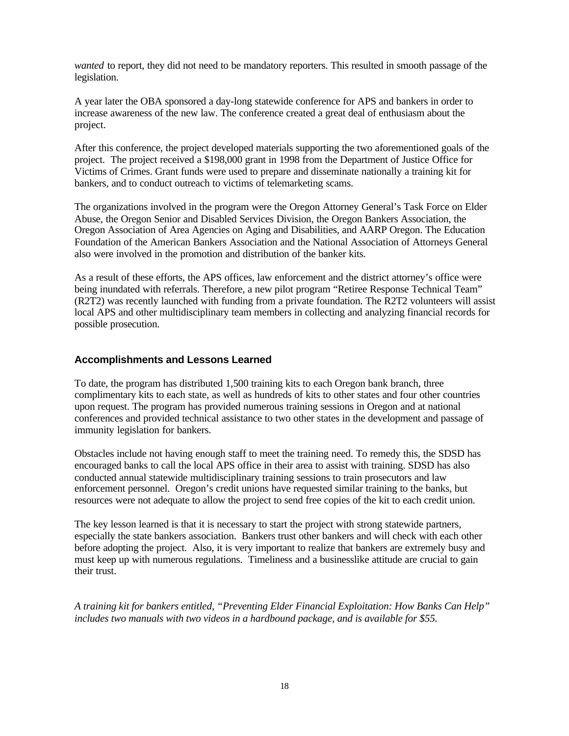*wanted* to report, they did not need to be mandatory reporters. This resulted in smooth passage of the legislation.

A year later the OBA sponsored a day-long statewide conference for APS and bankers in order to increase awareness of the new law. The conference created a great deal of enthusiasm about the project.

After this conference, the project developed materials supporting the two aforementioned goals of the project. The project received a \$198,000 grant in 1998 from the Department of Justice Office for Victims of Crimes. Grant funds were used to prepare and disseminate nationally a training kit for bankers, and to conduct outreach to victims of telemarketing scams.

The organizations involved in the program were the Oregon Attorney General's Task Force on Elder Abuse, the Oregon Senior and Disabled Services Division, the Oregon Bankers Association, the Oregon Association of Area Agencies on Aging and Disabilities, and AARP Oregon. The Education Foundation of the American Bankers Association and the National Association of Attorneys General also were involved in the promotion and distribution of the banker kits.

As a result of these efforts, the APS offices, law enforcement and the district attorney's office were being inundated with referrals. Therefore, a new pilot program "Retiree Response Technical Team" (R2T2) was recently launched with funding from a private foundation. The R2T2 volunteers will assist local APS and other multidisciplinary team members in collecting and analyzing financial records for possible prosecution.

### **Accomplishments and Lessons Learned**

To date, the program has distributed 1,500 training kits to each Oregon bank branch, three complimentary kits to each state, as well as hundreds of kits to other states and four other countries upon request. The program has provided numerous training sessions in Oregon and at national conferences and provided technical assistance to two other states in the development and passage of immunity legislation for bankers.

Obstacles include not having enough staff to meet the training need. To remedy this, the SDSD has encouraged banks to call the local APS office in their area to assist with training. SDSD has also conducted annual statewide multidisciplinary training sessions to train prosecutors and law enforcement personnel. Oregon's credit unions have requested similar training to the banks, but resources were not adequate to allow the project to send free copies of the kit to each credit union.

The key lesson learned is that it is necessary to start the project with strong statewide partners, especially the state bankers association. Bankers trust other bankers and will check with each other before adopting the project. Also, it is very important to realize that bankers are extremely busy and must keep up with numerous regulations. Timeliness and a businesslike attitude are crucial to gain their trust.

*A training kit for bankers entitled, "Preventing Elder Financial Exploitation: How Banks Can Help" includes two manuals with two videos in a hardbound package, and is available for \$55.*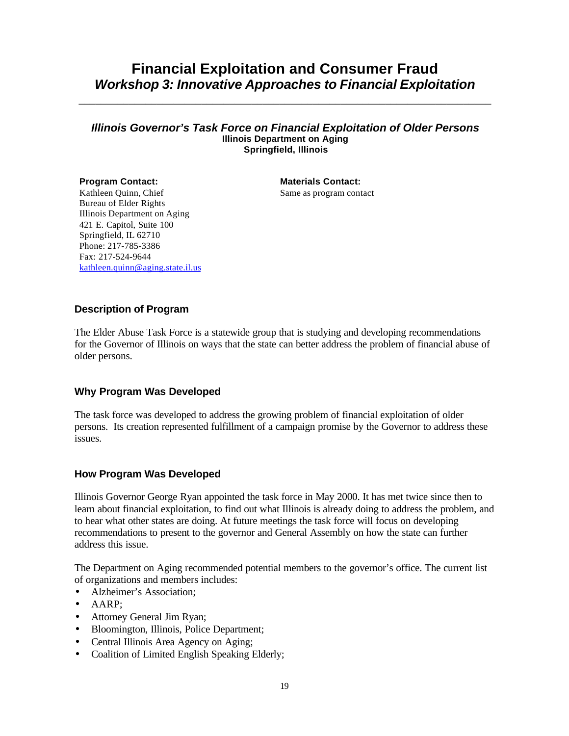# **Financial Exploitation and Consumer Fraud** *Workshop 3: Innovative Approaches to Financial Exploitation*

\_\_\_\_\_\_\_\_\_\_\_\_\_\_\_\_\_\_\_\_\_\_\_\_\_\_\_\_\_\_\_\_\_\_\_\_\_\_\_\_\_\_\_\_\_\_\_\_\_\_\_\_\_\_\_\_\_\_\_\_\_\_\_\_\_\_\_\_\_\_\_\_\_\_

#### *Illinois Governor's Task Force on Financial Exploitation of Older Persons* **Illinois Department on Aging Springfield, Illinois**

#### **Program Contact: Materials Contact:** Kathleen Quinn, Chief Bureau of Elder Rights Illinois Department on Aging 421 E. Capitol, Suite 100 Springfield, IL 62710 Phone: 217-785-3386 Fax: 217-524-9644 kathleen.quinn@aging.state.il.us

Same as program contact

## **Description of Program**

The Elder Abuse Task Force is a statewide group that is studying and developing recommendations for the Governor of Illinois on ways that the state can better address the problem of financial abuse of older persons.

## **Why Program Was Developed**

The task force was developed to address the growing problem of financial exploitation of older persons. Its creation represented fulfillment of a campaign promise by the Governor to address these issues.

## **How Program Was Developed**

Illinois Governor George Ryan appointed the task force in May 2000. It has met twice since then to learn about financial exploitation, to find out what Illinois is already doing to address the problem, and to hear what other states are doing. At future meetings the task force will focus on developing recommendations to present to the governor and General Assembly on how the state can further address this issue.

The Department on Aging recommended potential members to the governor's office. The current list of organizations and members includes:

- Alzheimer's Association:
- AARP;
- Attorney General Jim Ryan;
- Bloomington, Illinois, Police Department;
- Central Illinois Area Agency on Aging;
- Coalition of Limited English Speaking Elderly;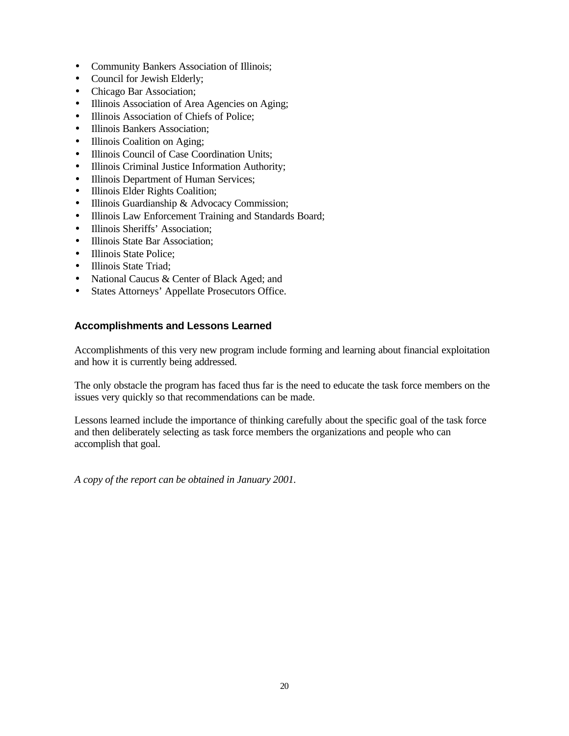- Community Bankers Association of Illinois;
- Council for Jewish Elderly;
- Chicago Bar Association;
- Illinois Association of Area Agencies on Aging;
- Illinois Association of Chiefs of Police;
- Illinois Bankers Association:
- Illinois Coalition on Aging;
- Illinois Council of Case Coordination Units;
- Illinois Criminal Justice Information Authority;
- Illinois Department of Human Services;
- Illinois Elder Rights Coalition;
- Illinois Guardianship & Advocacy Commission;
- Illinois Law Enforcement Training and Standards Board;
- Illinois Sheriffs' Association;
- Illinois State Bar Association;
- Illinois State Police:
- Illinois State Triad;
- National Caucus & Center of Black Aged; and
- States Attorneys' Appellate Prosecutors Office.

### **Accomplishments and Lessons Learned**

Accomplishments of this very new program include forming and learning about financial exploitation and how it is currently being addressed.

The only obstacle the program has faced thus far is the need to educate the task force members on the issues very quickly so that recommendations can be made.

Lessons learned include the importance of thinking carefully about the specific goal of the task force and then deliberately selecting as task force members the organizations and people who can accomplish that goal.

*A copy of the report can be obtained in January 2001.*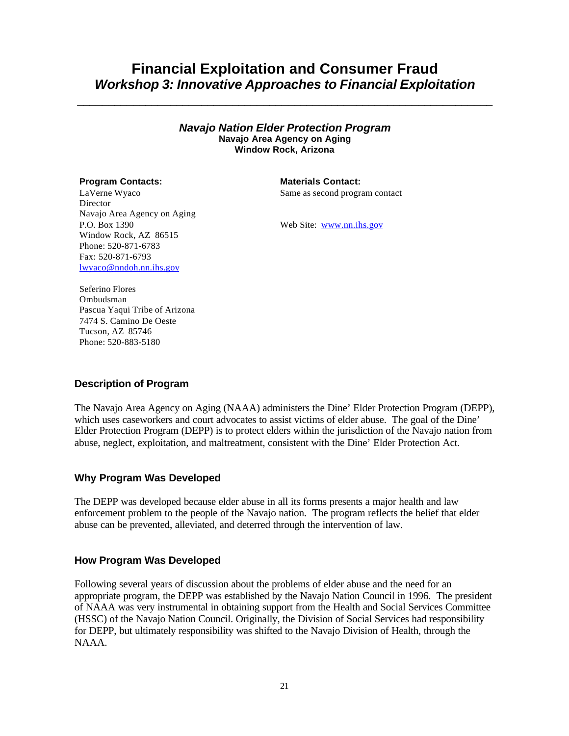# **Financial Exploitation and Consumer Fraud** *Workshop 3: Innovative Approaches to Financial Exploitation*

\_\_\_\_\_\_\_\_\_\_\_\_\_\_\_\_\_\_\_\_\_\_\_\_\_\_\_\_\_\_\_\_\_\_\_\_\_\_\_\_\_\_\_\_\_\_\_\_\_\_\_\_\_\_\_\_\_\_\_\_\_\_\_\_\_\_\_

*Navajo Nation Elder Protection Program* **Navajo Area Agency on Aging Window Rock, Arizona**

#### **Program Contacts: Materials Contact:**

LaVerne Wyaco Director Navajo Area Agency on Aging P.O. Box 1390 Window Rock, AZ 86515 Phone: 520-871-6783 Fax: 520-871-6793 lwyaco@nndoh.nn.ihs.gov

Same as second program contact

Web Site: www.nn.ihs.gov

Seferino Flores Ombudsman Pascua Yaqui Tribe of Arizona 7474 S. Camino De Oeste Tucson, AZ 85746 Phone: 520-883-5180

#### **Description of Program**

The Navajo Area Agency on Aging (NAAA) administers the Dine' Elder Protection Program (DEPP), which uses caseworkers and court advocates to assist victims of elder abuse. The goal of the Dine' Elder Protection Program (DEPP) is to protect elders within the jurisdiction of the Navajo nation from abuse, neglect, exploitation, and maltreatment, consistent with the Dine' Elder Protection Act.

#### **Why Program Was Developed**

The DEPP was developed because elder abuse in all its forms presents a major health and law enforcement problem to the people of the Navajo nation. The program reflects the belief that elder abuse can be prevented, alleviated, and deterred through the intervention of law.

#### **How Program Was Developed**

Following several years of discussion about the problems of elder abuse and the need for an appropriate program, the DEPP was established by the Navajo Nation Council in 1996. The president of NAAA was very instrumental in obtaining support from the Health and Social Services Committee (HSSC) of the Navajo Nation Council. Originally, the Division of Social Services had responsibility for DEPP, but ultimately responsibility was shifted to the Navajo Division of Health, through the NAAA.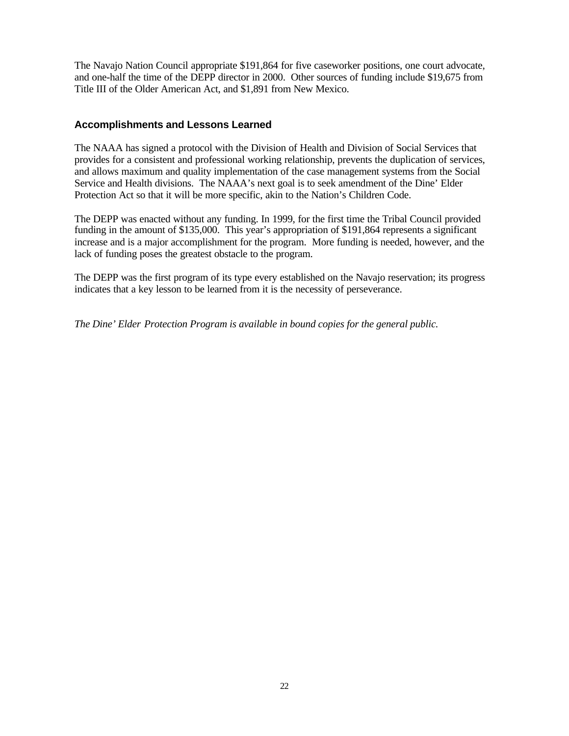The Navajo Nation Council appropriate \$191,864 for five caseworker positions, one court advocate, and one-half the time of the DEPP director in 2000. Other sources of funding include \$19,675 from Title III of the Older American Act, and \$1,891 from New Mexico.

### **Accomplishments and Lessons Learned**

The NAAA has signed a protocol with the Division of Health and Division of Social Services that provides for a consistent and professional working relationship, prevents the duplication of services, and allows maximum and quality implementation of the case management systems from the Social Service and Health divisions. The NAAA's next goal is to seek amendment of the Dine' Elder Protection Act so that it will be more specific, akin to the Nation's Children Code.

The DEPP was enacted without any funding. In 1999, for the first time the Tribal Council provided funding in the amount of \$135,000. This year's appropriation of \$191,864 represents a significant increase and is a major accomplishment for the program. More funding is needed, however, and the lack of funding poses the greatest obstacle to the program.

The DEPP was the first program of its type every established on the Navajo reservation; its progress indicates that a key lesson to be learned from it is the necessity of perseverance.

*The Dine' Elder Protection Program is available in bound copies for the general public.*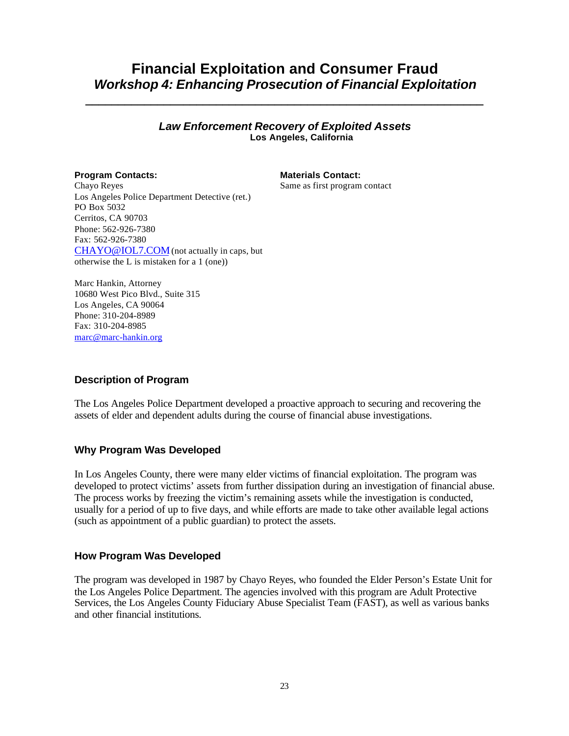# **Financial Exploitation and Consumer Fraud** *Workshop 4: Enhancing Prosecution of Financial Exploitation*

#### *Law Enforcement Recovery of Exploited Assets* **Los Angeles, California**

*\_\_\_\_\_\_\_\_\_\_\_\_\_\_\_\_\_\_\_\_\_\_\_\_\_\_\_\_\_\_\_\_\_\_\_\_\_\_\_\_\_\_\_\_\_\_\_\_\_\_\_\_\_\_\_\_\_\_\_\_\_*

**Program Contacts: Materials Contact:** Same as first program contact

Chayo Reyes Los Angeles Police Department Detective (ret.) PO Box 5032 Cerritos, CA 90703 Phone: 562-926-7380 Fax: 562-926-7380 CHAYO@IOL7.COM (not actually in caps, but otherwise the L is mistaken for a 1 (one))

Marc Hankin, Attorney 10680 West Pico Blvd., Suite 315 Los Angeles, CA 90064 Phone: 310-204-8989 Fax: 310-204-8985 marc@marc-hankin.org

# **Description of Program**

The Los Angeles Police Department developed a proactive approach to securing and recovering the assets of elder and dependent adults during the course of financial abuse investigations.

## **Why Program Was Developed**

In Los Angeles County, there were many elder victims of financial exploitation. The program was developed to protect victims' assets from further dissipation during an investigation of financial abuse. The process works by freezing the victim's remaining assets while the investigation is conducted, usually for a period of up to five days, and while efforts are made to take other available legal actions (such as appointment of a public guardian) to protect the assets.

#### **How Program Was Developed**

The program was developed in 1987 by Chayo Reyes, who founded the Elder Person's Estate Unit for the Los Angeles Police Department. The agencies involved with this program are Adult Protective Services, the Los Angeles County Fiduciary Abuse Specialist Team (FAST), as well as various banks and other financial institutions.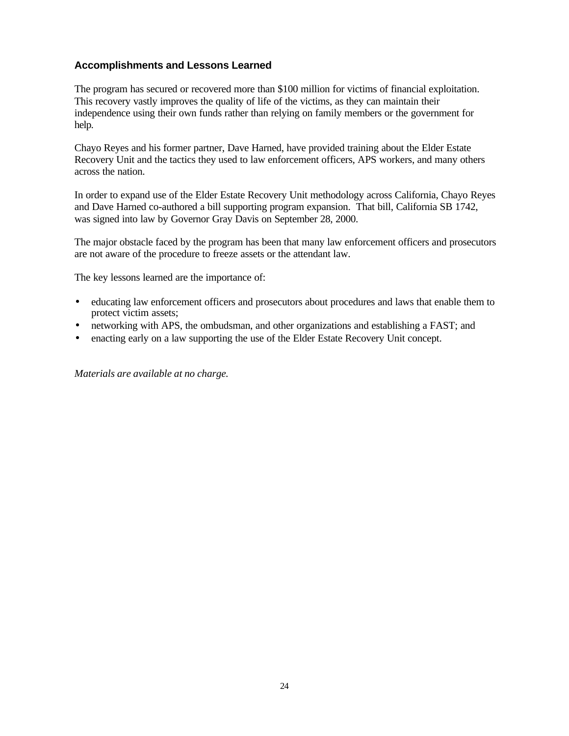### **Accomplishments and Lessons Learned**

The program has secured or recovered more than \$100 million for victims of financial exploitation. This recovery vastly improves the quality of life of the victims, as they can maintain their independence using their own funds rather than relying on family members or the government for help.

Chayo Reyes and his former partner, Dave Harned, have provided training about the Elder Estate Recovery Unit and the tactics they used to law enforcement officers, APS workers, and many others across the nation.

In order to expand use of the Elder Estate Recovery Unit methodology across California, Chayo Reyes and Dave Harned co-authored a bill supporting program expansion. That bill, California SB 1742, was signed into law by Governor Gray Davis on September 28, 2000.

The major obstacle faced by the program has been that many law enforcement officers and prosecutors are not aware of the procedure to freeze assets or the attendant law.

The key lessons learned are the importance of:

- educating law enforcement officers and prosecutors about procedures and laws that enable them to protect victim assets;
- networking with APS, the ombudsman, and other organizations and establishing a FAST; and
- enacting early on a law supporting the use of the Elder Estate Recovery Unit concept.

*Materials are available at no charge.*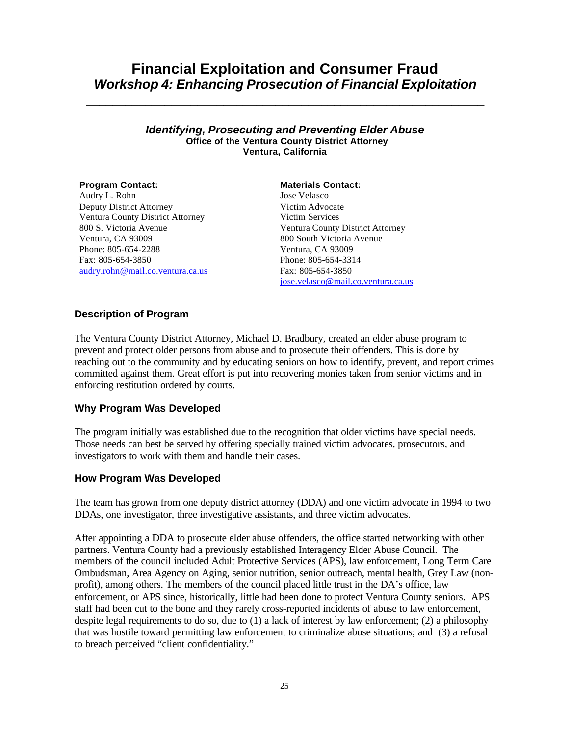# **Financial Exploitation and Consumer Fraud** *Workshop 4: Enhancing Prosecution of Financial Exploitation*

\_\_\_\_\_\_\_\_\_\_\_\_\_\_\_\_\_\_\_\_\_\_\_\_\_\_\_\_\_\_\_\_\_\_\_\_\_\_\_\_\_\_\_\_\_\_\_\_\_\_\_\_\_\_\_\_\_\_\_\_\_

#### *Identifying, Prosecuting and Preventing Elder Abuse* **Office of the Ventura County District Attorney Ventura, California**

Audry L. Rohn Deputy District Attorney Ventura County District Attorney 800 S. Victoria Avenue Ventura, CA 93009 Phone: 805-654-2288 Fax: 805-654-3850 audry.rohn@mail.co.ventura.ca.us

#### **Program Contact: Materials Contact:**

Jose Velasco Victim Advocate Victim Services Ventura County District Attorney 800 South Victoria Avenue Ventura, CA 93009 Phone: 805-654-3314 Fax: 805-654-3850 jose.velasco@mail.co.ventura.ca.us

### **Description of Program**

The Ventura County District Attorney, Michael D. Bradbury, created an elder abuse program to prevent and protect older persons from abuse and to prosecute their offenders. This is done by reaching out to the community and by educating seniors on how to identify, prevent, and report crimes committed against them. Great effort is put into recovering monies taken from senior victims and in enforcing restitution ordered by courts.

## **Why Program Was Developed**

The program initially was established due to the recognition that older victims have special needs. Those needs can best be served by offering specially trained victim advocates, prosecutors, and investigators to work with them and handle their cases.

## **How Program Was Developed**

The team has grown from one deputy district attorney (DDA) and one victim advocate in 1994 to two DDAs, one investigator, three investigative assistants, and three victim advocates.

After appointing a DDA to prosecute elder abuse offenders, the office started networking with other partners. Ventura County had a previously established Interagency Elder Abuse Council. The members of the council included Adult Protective Services (APS), law enforcement, Long Term Care Ombudsman, Area Agency on Aging, senior nutrition, senior outreach, mental health, Grey Law (nonprofit), among others. The members of the council placed little trust in the DA's office, law enforcement, or APS since, historically, little had been done to protect Ventura County seniors. APS staff had been cut to the bone and they rarely cross-reported incidents of abuse to law enforcement, despite legal requirements to do so, due to (1) a lack of interest by law enforcement; (2) a philosophy that was hostile toward permitting law enforcement to criminalize abuse situations; and (3) a refusal to breach perceived "client confidentiality."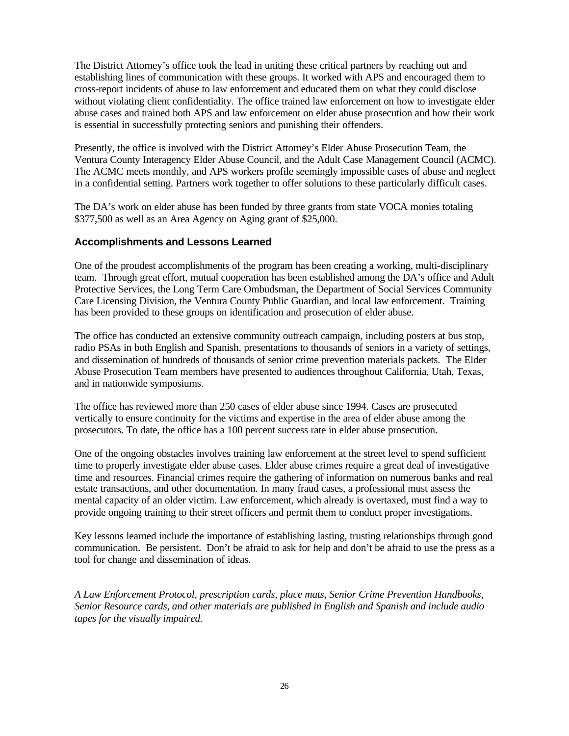The District Attorney's office took the lead in uniting these critical partners by reaching out and establishing lines of communication with these groups. It worked with APS and encouraged them to cross-report incidents of abuse to law enforcement and educated them on what they could disclose without violating client confidentiality. The office trained law enforcement on how to investigate elder abuse cases and trained both APS and law enforcement on elder abuse prosecution and how their work is essential in successfully protecting seniors and punishing their offenders.

Presently, the office is involved with the District Attorney's Elder Abuse Prosecution Team, the Ventura County Interagency Elder Abuse Council, and the Adult Case Management Council (ACMC). The ACMC meets monthly, and APS workers profile seemingly impossible cases of abuse and neglect in a confidential setting. Partners work together to offer solutions to these particularly difficult cases.

The DA's work on elder abuse has been funded by three grants from state VOCA monies totaling \$377,500 as well as an Area Agency on Aging grant of \$25,000.

## **Accomplishments and Lessons Learned**

One of the proudest accomplishments of the program has been creating a working, multi-disciplinary team. Through great effort, mutual cooperation has been established among the DA's office and Adult Protective Services, the Long Term Care Ombudsman, the Department of Social Services Community Care Licensing Division, the Ventura County Public Guardian, and local law enforcement. Training has been provided to these groups on identification and prosecution of elder abuse.

The office has conducted an extensive community outreach campaign, including posters at bus stop, radio PSAs in both English and Spanish, presentations to thousands of seniors in a variety of settings, and dissemination of hundreds of thousands of senior crime prevention materials packets. The Elder Abuse Prosecution Team members have presented to audiences throughout California, Utah, Texas, and in nationwide symposiums.

The office has reviewed more than 250 cases of elder abuse since 1994. Cases are prosecuted vertically to ensure continuity for the victims and expertise in the area of elder abuse among the prosecutors. To date, the office has a 100 percent success rate in elder abuse prosecution.

One of the ongoing obstacles involves training law enforcement at the street level to spend sufficient time to properly investigate elder abuse cases. Elder abuse crimes require a great deal of investigative time and resources. Financial crimes require the gathering of information on numerous banks and real estate transactions, and other documentation. In many fraud cases, a professional must assess the mental capacity of an older victim. Law enforcement, which already is overtaxed, must find a way to provide ongoing training to their street officers and permit them to conduct proper investigations.

Key lessons learned include the importance of establishing lasting, trusting relationships through good communication. Be persistent. Don't be afraid to ask for help and don't be afraid to use the press as a tool for change and dissemination of ideas.

*A Law Enforcement Protocol, prescription cards, place mats, Senior Crime Prevention Handbooks, Senior Resource cards, and other materials are published in English and Spanish and include audio tapes for the visually impaired.*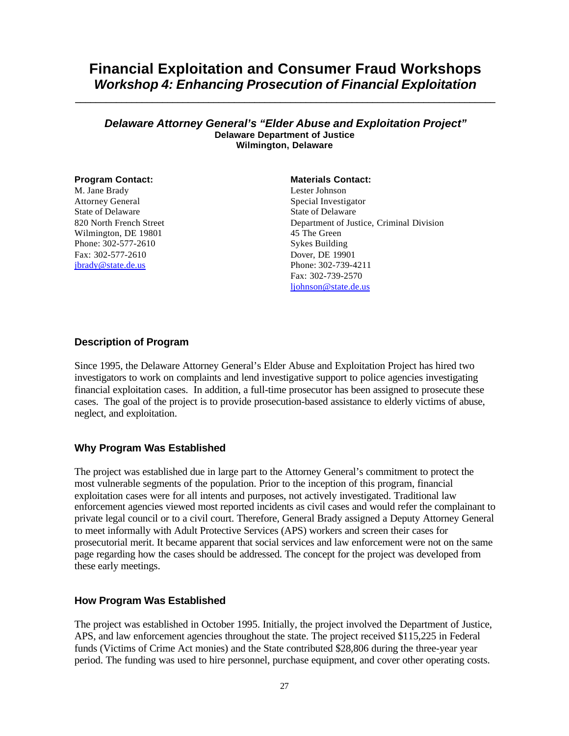# **Financial Exploitation and Consumer Fraud Workshops** *Workshop 4: Enhancing Prosecution of Financial Exploitation*

**\_\_\_\_\_\_\_\_\_\_\_\_\_\_\_\_\_\_\_\_\_\_\_\_\_\_\_\_\_\_\_\_\_\_\_\_\_\_\_\_\_\_\_\_\_\_\_\_\_\_\_\_\_\_\_\_\_\_\_\_\_\_\_\_\_\_\_\_\_\_\_\_\_\_\_\_\_\_\_\_\_\_**

#### *Delaware Attorney General's "Elder Abuse and Exploitation Project"* **Delaware Department of Justice Wilmington, Delaware**

M. Jane Brady Attorney General State of Delaware 820 North French Street Wilmington, DE 19801 Phone: 302-577-2610 Fax: 302-577-2610 jbrady@state.de.us

#### **Program Contact: Materials Contact: Materials Contact:**

Lester Johnson Special Investigator State of Delaware Department of Justice, Criminal Division 45 The Green Sykes Building Dover, DE 19901 Phone: 302-739-4211 Fax: 302-739-2570 ljohnson@state.de.us

#### **Description of Program**

Since 1995, the Delaware Attorney General's Elder Abuse and Exploitation Project has hired two investigators to work on complaints and lend investigative support to police agencies investigating financial exploitation cases. In addition, a full-time prosecutor has been assigned to prosecute these cases. The goal of the project is to provide prosecution-based assistance to elderly victims of abuse, neglect, and exploitation.

#### **Why Program Was Established**

The project was established due in large part to the Attorney General's commitment to protect the most vulnerable segments of the population. Prior to the inception of this program, financial exploitation cases were for all intents and purposes, not actively investigated. Traditional law enforcement agencies viewed most reported incidents as civil cases and would refer the complainant to private legal council or to a civil court. Therefore, General Brady assigned a Deputy Attorney General to meet informally with Adult Protective Services (APS) workers and screen their cases for prosecutorial merit. It became apparent that social services and law enforcement were not on the same page regarding how the cases should be addressed. The concept for the project was developed from these early meetings.

#### **How Program Was Established**

The project was established in October 1995. Initially, the project involved the Department of Justice, APS, and law enforcement agencies throughout the state. The project received \$115,225 in Federal funds (Victims of Crime Act monies) and the State contributed \$28,806 during the three-year year period. The funding was used to hire personnel, purchase equipment, and cover other operating costs.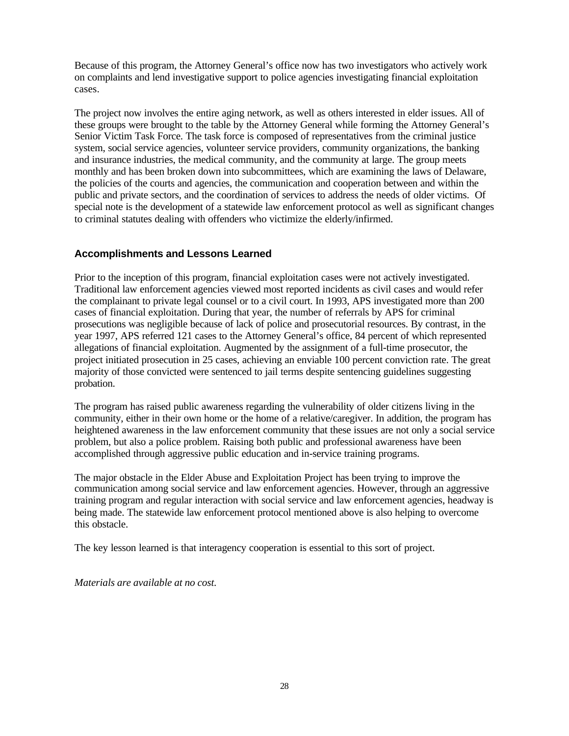Because of this program, the Attorney General's office now has two investigators who actively work on complaints and lend investigative support to police agencies investigating financial exploitation cases.

The project now involves the entire aging network, as well as others interested in elder issues. All of these groups were brought to the table by the Attorney General while forming the Attorney General's Senior Victim Task Force. The task force is composed of representatives from the criminal justice system, social service agencies, volunteer service providers, community organizations, the banking and insurance industries, the medical community, and the community at large. The group meets monthly and has been broken down into subcommittees, which are examining the laws of Delaware, the policies of the courts and agencies, the communication and cooperation between and within the public and private sectors, and the coordination of services to address the needs of older victims. Of special note is the development of a statewide law enforcement protocol as well as significant changes to criminal statutes dealing with offenders who victimize the elderly/infirmed.

## **Accomplishments and Lessons Learned**

Prior to the inception of this program, financial exploitation cases were not actively investigated. Traditional law enforcement agencies viewed most reported incidents as civil cases and would refer the complainant to private legal counsel or to a civil court. In 1993, APS investigated more than 200 cases of financial exploitation. During that year, the number of referrals by APS for criminal prosecutions was negligible because of lack of police and prosecutorial resources. By contrast, in the year 1997, APS referred 121 cases to the Attorney General's office, 84 percent of which represented allegations of financial exploitation. Augmented by the assignment of a full-time prosecutor, the project initiated prosecution in 25 cases, achieving an enviable 100 percent conviction rate. The great majority of those convicted were sentenced to jail terms despite sentencing guidelines suggesting probation.

The program has raised public awareness regarding the vulnerability of older citizens living in the community, either in their own home or the home of a relative/caregiver. In addition, the program has heightened awareness in the law enforcement community that these issues are not only a social service problem, but also a police problem. Raising both public and professional awareness have been accomplished through aggressive public education and in-service training programs.

The major obstacle in the Elder Abuse and Exploitation Project has been trying to improve the communication among social service and law enforcement agencies. However, through an aggressive training program and regular interaction with social service and law enforcement agencies, headway is being made. The statewide law enforcement protocol mentioned above is also helping to overcome this obstacle.

The key lesson learned is that interagency cooperation is essential to this sort of project.

*Materials are available at no cost.*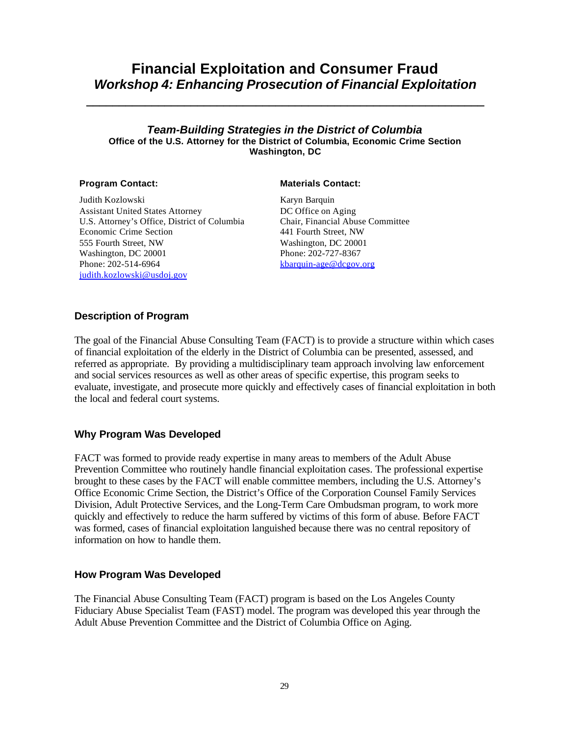# **Financial Exploitation and Consumer Fraud** *Workshop 4: Enhancing Prosecution of Financial Exploitation*

**\_\_\_\_\_\_\_\_\_\_\_\_\_\_\_\_\_\_\_\_\_\_\_\_\_\_\_\_\_\_\_\_\_\_\_\_\_\_\_\_\_\_\_\_\_\_\_\_\_\_\_\_\_\_\_\_\_\_\_\_\_**

#### *Team-Building Strategies in the District of Columbia* **Office of the U.S. Attorney for the District of Columbia, Economic Crime Section Washington, DC**

Judith Kozlowski Assistant United States Attorney U.S. Attorney's Office, District of Columbia Economic Crime Section 555 Fourth Street, NW Washington, DC 20001 Phone: 202-514-6964 judith.kozlowski@usdoj.gov

#### **Program Contact: Materials Contact:**

Karyn Barquin DC Office on Aging Chair, Financial Abuse Committee 441 Fourth Street, NW Washington, DC 20001 Phone: 202-727-8367 kbarquin-age@dcgov.org

#### **Description of Program**

The goal of the Financial Abuse Consulting Team (FACT) is to provide a structure within which cases of financial exploitation of the elderly in the District of Columbia can be presented, assessed, and referred as appropriate. By providing a multidisciplinary team approach involving law enforcement and social services resources as well as other areas of specific expertise, this program seeks to evaluate, investigate, and prosecute more quickly and effectively cases of financial exploitation in both the local and federal court systems.

#### **Why Program Was Developed**

FACT was formed to provide ready expertise in many areas to members of the Adult Abuse Prevention Committee who routinely handle financial exploitation cases. The professional expertise brought to these cases by the FACT will enable committee members, including the U.S. Attorney's Office Economic Crime Section, the District's Office of the Corporation Counsel Family Services Division, Adult Protective Services, and the Long-Term Care Ombudsman program, to work more quickly and effectively to reduce the harm suffered by victims of this form of abuse. Before FACT was formed, cases of financial exploitation languished because there was no central repository of information on how to handle them.

#### **How Program Was Developed**

The Financial Abuse Consulting Team (FACT) program is based on the Los Angeles County Fiduciary Abuse Specialist Team (FAST) model. The program was developed this year through the Adult Abuse Prevention Committee and the District of Columbia Office on Aging.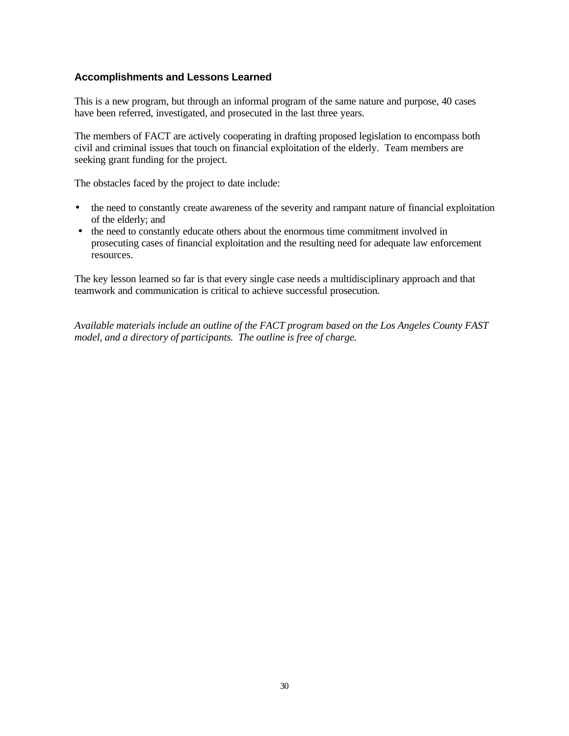## **Accomplishments and Lessons Learned**

This is a new program, but through an informal program of the same nature and purpose, 40 cases have been referred, investigated, and prosecuted in the last three years.

The members of FACT are actively cooperating in drafting proposed legislation to encompass both civil and criminal issues that touch on financial exploitation of the elderly. Team members are seeking grant funding for the project.

The obstacles faced by the project to date include:

- the need to constantly create awareness of the severity and rampant nature of financial exploitation of the elderly; and
- the need to constantly educate others about the enormous time commitment involved in prosecuting cases of financial exploitation and the resulting need for adequate law enforcement resources.

The key lesson learned so far is that every single case needs a multidisciplinary approach and that teamwork and communication is critical to achieve successful prosecution.

*Available materials include an outline of the FACT program based on the Los Angeles County FAST model, and a directory of participants. The outline is free of charge.*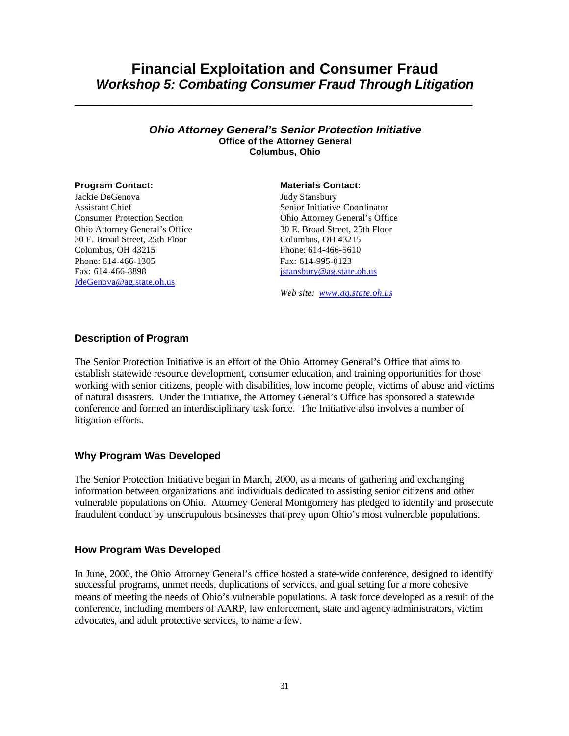# **Financial Exploitation and Consumer Fraud** *Workshop 5: Combating Consumer Fraud Through Litigation*

**\_\_\_\_\_\_\_\_\_\_\_\_\_\_\_\_\_\_\_\_\_\_\_\_\_\_\_\_\_\_\_\_\_\_\_\_\_\_\_\_\_\_\_\_\_\_\_\_\_\_\_\_\_\_\_\_\_\_\_\_\_**

#### *Ohio Attorney General's Senior Protection Initiative* **Office of the Attorney General Columbus, Ohio**

Jackie DeGenova Assistant Chief Consumer Protection Section Ohio Attorney General's Office 30 E. Broad Street, 25th Floor Columbus, OH 43215 Phone: 614-466-1305 Fax: 614-466-8898 JdeGenova@ag.state.oh.us

#### **Program Contact: Materials Contact:**

Judy Stansbury Senior Initiative Coordinator Ohio Attorney General's Office 30 E. Broad Street, 25th Floor Columbus, OH 43215 Phone: 614-466-5610 Fax: 614-995-0123 jstansbury@ag.state.oh.us

*Web site: www.ag.state.oh.us*

#### **Description of Program**

The Senior Protection Initiative is an effort of the Ohio Attorney General's Office that aims to establish statewide resource development, consumer education, and training opportunities for those working with senior citizens, people with disabilities, low income people, victims of abuse and victims of natural disasters. Under the Initiative, the Attorney General's Office has sponsored a statewide conference and formed an interdisciplinary task force. The Initiative also involves a number of litigation efforts.

#### **Why Program Was Developed**

The Senior Protection Initiative began in March, 2000, as a means of gathering and exchanging information between organizations and individuals dedicated to assisting senior citizens and other vulnerable populations on Ohio. Attorney General Montgomery has pledged to identify and prosecute fraudulent conduct by unscrupulous businesses that prey upon Ohio's most vulnerable populations.

#### **How Program Was Developed**

In June, 2000, the Ohio Attorney General's office hosted a state-wide conference, designed to identify successful programs, unmet needs, duplications of services, and goal setting for a more cohesive means of meeting the needs of Ohio's vulnerable populations. A task force developed as a result of the conference, including members of AARP, law enforcement, state and agency administrators, victim advocates, and adult protective services, to name a few.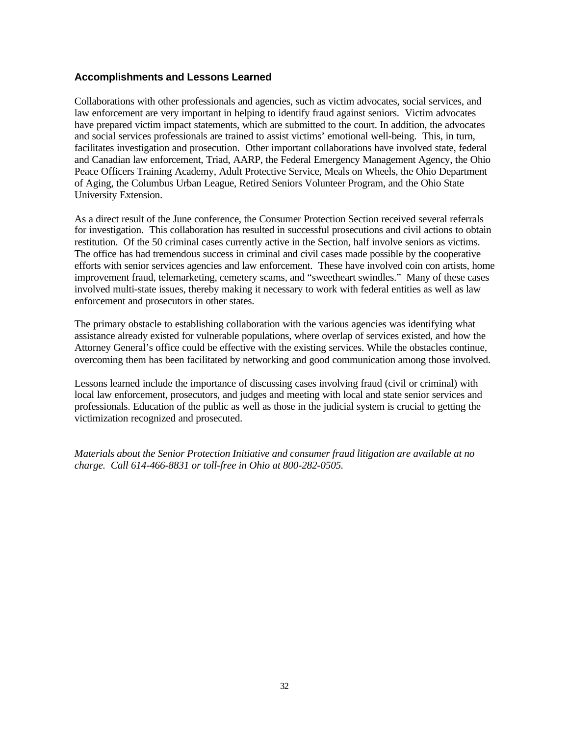### **Accomplishments and Lessons Learned**

Collaborations with other professionals and agencies, such as victim advocates, social services, and law enforcement are very important in helping to identify fraud against seniors. Victim advocates have prepared victim impact statements, which are submitted to the court. In addition, the advocates and social services professionals are trained to assist victims' emotional well-being. This, in turn, facilitates investigation and prosecution. Other important collaborations have involved state, federal and Canadian law enforcement, Triad, AARP, the Federal Emergency Management Agency, the Ohio Peace Officers Training Academy, Adult Protective Service, Meals on Wheels, the Ohio Department of Aging, the Columbus Urban League, Retired Seniors Volunteer Program, and the Ohio State University Extension.

As a direct result of the June conference, the Consumer Protection Section received several referrals for investigation. This collaboration has resulted in successful prosecutions and civil actions to obtain restitution. Of the 50 criminal cases currently active in the Section, half involve seniors as victims. The office has had tremendous success in criminal and civil cases made possible by the cooperative efforts with senior services agencies and law enforcement. These have involved coin con artists, home improvement fraud, telemarketing, cemetery scams, and "sweetheart swindles." Many of these cases involved multi-state issues, thereby making it necessary to work with federal entities as well as law enforcement and prosecutors in other states.

The primary obstacle to establishing collaboration with the various agencies was identifying what assistance already existed for vulnerable populations, where overlap of services existed, and how the Attorney General's office could be effective with the existing services. While the obstacles continue, overcoming them has been facilitated by networking and good communication among those involved.

Lessons learned include the importance of discussing cases involving fraud (civil or criminal) with local law enforcement, prosecutors, and judges and meeting with local and state senior services and professionals. Education of the public as well as those in the judicial system is crucial to getting the victimization recognized and prosecuted.

*Materials about the Senior Protection Initiative and consumer fraud litigation are available at no charge. Call 614-466-8831 or toll-free in Ohio at 800-282-0505.*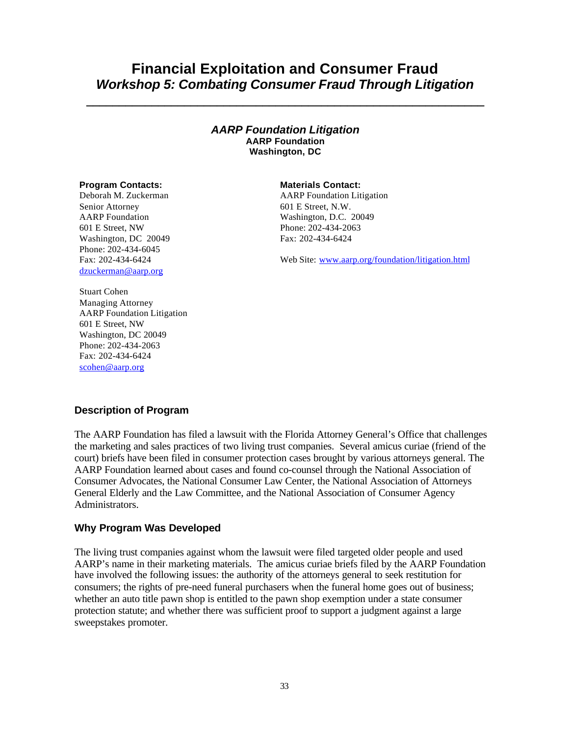# **Financial Exploitation and Consumer Fraud** *Workshop 5: Combating Consumer Fraud Through Litigation*

**\_\_\_\_\_\_\_\_\_\_\_\_\_\_\_\_\_\_\_\_\_\_\_\_\_\_\_\_\_\_\_\_\_\_\_\_\_\_\_\_\_\_\_\_\_\_\_\_\_\_\_\_\_\_\_\_\_\_\_\_\_**

#### *AARP Foundation Litigation* **AARP Foundation Washington, DC**

#### **Program Contacts: Materials Contact:**

Deborah M. Zuckerman Senior Attorney AARP Foundation 601 E Street, NW Washington, DC 20049 Phone: 202-434-6045 Fax: 202-434-6424 dzuckerman@aarp.org

AARP Foundation Litigation 601 E Street, N.W. Washington, D.C. 20049 Phone: 202-434-2063 Fax: 202-434-6424

Web Site: www.aarp.org/foundation/litigation.html

Stuart Cohen Managing Attorney AARP Foundation Litigation 601 E Street, NW Washington, DC 20049 Phone: 202-434-2063 Fax: 202-434-6424 scohen@aarp.org

## **Description of Program**

The AARP Foundation has filed a lawsuit with the Florida Attorney General's Office that challenges the marketing and sales practices of two living trust companies. Several amicus curiae (friend of the court) briefs have been filed in consumer protection cases brought by various attorneys general. The AARP Foundation learned about cases and found co-counsel through the National Association of Consumer Advocates, the National Consumer Law Center, the National Association of Attorneys General Elderly and the Law Committee, and the National Association of Consumer Agency Administrators.

#### **Why Program Was Developed**

The living trust companies against whom the lawsuit were filed targeted older people and used AARP's name in their marketing materials. The amicus curiae briefs filed by the AARP Foundation have involved the following issues: the authority of the attorneys general to seek restitution for consumers; the rights of pre-need funeral purchasers when the funeral home goes out of business; whether an auto title pawn shop is entitled to the pawn shop exemption under a state consumer protection statute; and whether there was sufficient proof to support a judgment against a large sweepstakes promoter.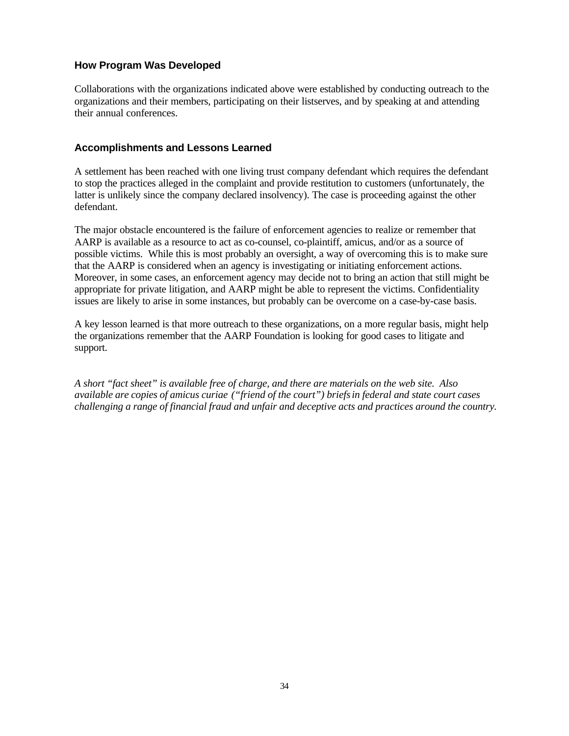## **How Program Was Developed**

Collaborations with the organizations indicated above were established by conducting outreach to the organizations and their members, participating on their listserves, and by speaking at and attending their annual conferences.

#### **Accomplishments and Lessons Learned**

A settlement has been reached with one living trust company defendant which requires the defendant to stop the practices alleged in the complaint and provide restitution to customers (unfortunately, the latter is unlikely since the company declared insolvency). The case is proceeding against the other defendant.

The major obstacle encountered is the failure of enforcement agencies to realize or remember that AARP is available as a resource to act as co-counsel, co-plaintiff, amicus, and/or as a source of possible victims. While this is most probably an oversight, a way of overcoming this is to make sure that the AARP is considered when an agency is investigating or initiating enforcement actions. Moreover, in some cases, an enforcement agency may decide not to bring an action that still might be appropriate for private litigation, and AARP might be able to represent the victims. Confidentiality issues are likely to arise in some instances, but probably can be overcome on a case-by-case basis.

A key lesson learned is that more outreach to these organizations, on a more regular basis, might help the organizations remember that the AARP Foundation is looking for good cases to litigate and support.

*A short "fact sheet" is available free of charge, and there are materials on the web site. Also available are copies of amicus curiae ("friend of the court") briefsin federal and state court cases challenging a range of financial fraud and unfair and deceptive acts and practices around the country.*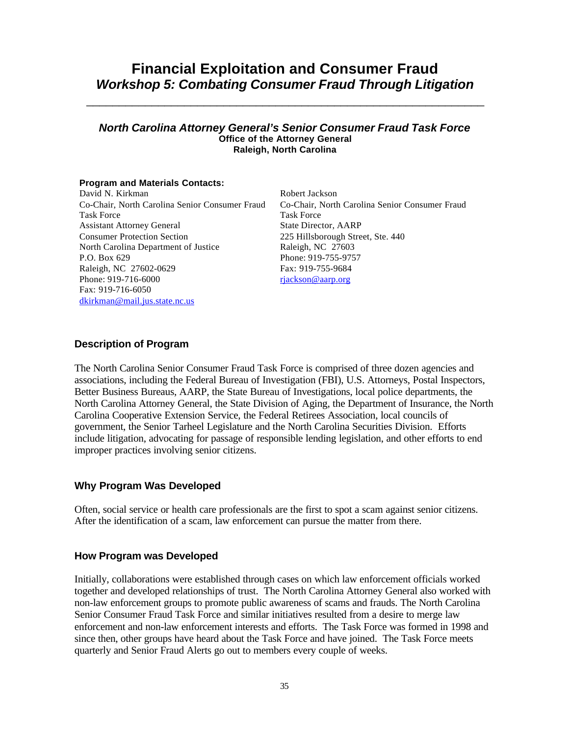# **Financial Exploitation and Consumer Fraud** *Workshop 5: Combating Consumer Fraud Through Litigation*

\_\_\_\_\_\_\_\_\_\_\_\_\_\_\_\_\_\_\_\_\_\_\_\_\_\_\_\_\_\_\_\_\_\_\_\_\_\_\_\_\_\_\_\_\_\_\_\_\_\_\_\_\_\_\_\_\_\_\_\_\_

#### *North Carolina Attorney General's Senior Consumer Fraud Task Force* **Office of the Attorney General Raleigh, North Carolina**

#### **Program and Materials Contacts:**

David N. Kirkman Co-Chair, North Carolina Senior Consumer Fraud Task Force Assistant Attorney General Consumer Protection Section North Carolina Department of Justice P.O. Box 629 Raleigh, NC 27602-0629 Phone: 919-716-6000 Fax: 919-716-6050 dkirkman@mail.jus.state.nc.us

Robert Jackson Co-Chair, North Carolina Senior Consumer Fraud Task Force State Director, AARP 225 Hillsborough Street, Ste. 440 Raleigh, NC 27603 Phone: 919-755-9757 Fax: 919-755-9684 rjackson@aarp.org

#### **Description of Program**

The North Carolina Senior Consumer Fraud Task Force is comprised of three dozen agencies and associations, including the Federal Bureau of Investigation (FBI), U.S. Attorneys, Postal Inspectors, Better Business Bureaus, AARP, the State Bureau of Investigations, local police departments, the North Carolina Attorney General, the State Division of Aging, the Department of Insurance, the North Carolina Cooperative Extension Service, the Federal Retirees Association, local councils of government, the Senior Tarheel Legislature and the North Carolina Securities Division. Efforts include litigation, advocating for passage of responsible lending legislation, and other efforts to end improper practices involving senior citizens.

#### **Why Program Was Developed**

Often, social service or health care professionals are the first to spot a scam against senior citizens. After the identification of a scam, law enforcement can pursue the matter from there.

#### **How Program was Developed**

Initially, collaborations were established through cases on which law enforcement officials worked together and developed relationships of trust. The North Carolina Attorney General also worked with non-law enforcement groups to promote public awareness of scams and frauds. The North Carolina Senior Consumer Fraud Task Force and similar initiatives resulted from a desire to merge law enforcement and non-law enforcement interests and efforts. The Task Force was formed in 1998 and since then, other groups have heard about the Task Force and have joined. The Task Force meets quarterly and Senior Fraud Alerts go out to members every couple of weeks.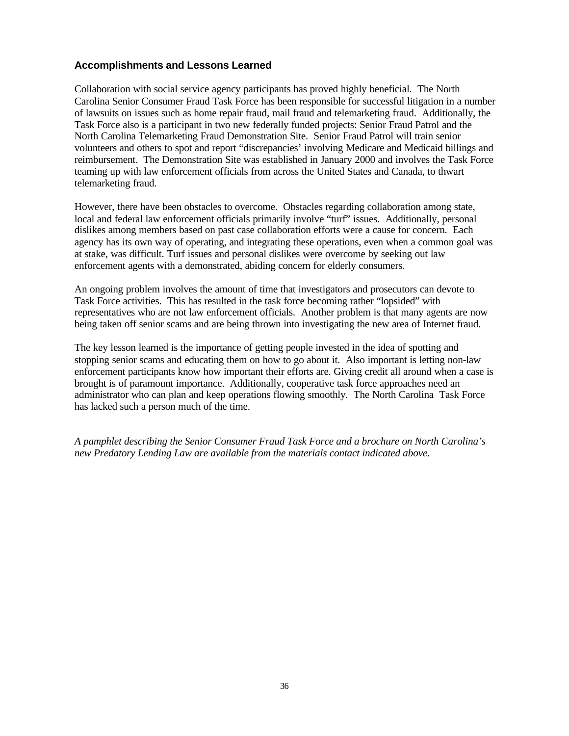### **Accomplishments and Lessons Learned**

Collaboration with social service agency participants has proved highly beneficial. The North Carolina Senior Consumer Fraud Task Force has been responsible for successful litigation in a number of lawsuits on issues such as home repair fraud, mail fraud and telemarketing fraud. Additionally, the Task Force also is a participant in two new federally funded projects: Senior Fraud Patrol and the North Carolina Telemarketing Fraud Demonstration Site. Senior Fraud Patrol will train senior volunteers and others to spot and report "discrepancies' involving Medicare and Medicaid billings and reimbursement. The Demonstration Site was established in January 2000 and involves the Task Force teaming up with law enforcement officials from across the United States and Canada, to thwart telemarketing fraud.

However, there have been obstacles to overcome. Obstacles regarding collaboration among state, local and federal law enforcement officials primarily involve "turf" issues. Additionally, personal dislikes among members based on past case collaboration efforts were a cause for concern. Each agency has its own way of operating, and integrating these operations, even when a common goal was at stake, was difficult. Turf issues and personal dislikes were overcome by seeking out law enforcement agents with a demonstrated, abiding concern for elderly consumers.

An ongoing problem involves the amount of time that investigators and prosecutors can devote to Task Force activities. This has resulted in the task force becoming rather "lopsided" with representatives who are not law enforcement officials. Another problem is that many agents are now being taken off senior scams and are being thrown into investigating the new area of Internet fraud.

The key lesson learned is the importance of getting people invested in the idea of spotting and stopping senior scams and educating them on how to go about it. Also important is letting non-law enforcement participants know how important their efforts are. Giving credit all around when a case is brought is of paramount importance. Additionally, cooperative task force approaches need an administrator who can plan and keep operations flowing smoothly. The North Carolina Task Force has lacked such a person much of the time.

*A pamphlet describing the Senior Consumer Fraud Task Force and a brochure on North Carolina's new Predatory Lending Law are available from the materials contact indicated above.*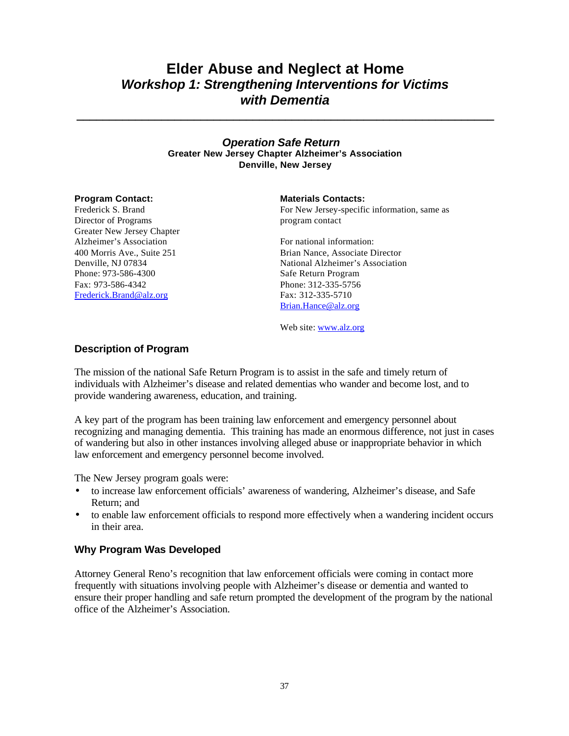# **Elder Abuse and Neglect at Home** *Workshop 1: Strengthening Interventions for Victims with Dementia*

**\_\_\_\_\_\_\_\_\_\_\_\_\_\_\_\_\_\_\_\_\_\_\_\_\_\_\_\_\_\_\_\_\_\_\_\_\_\_\_\_\_\_\_\_\_\_\_\_\_\_\_\_\_\_\_\_\_\_\_\_\_\_\_\_**

### *Operation Safe Return* **Greater New Jersey Chapter Alzheimer's Association Denville, New Jersey**

Frederick S. Brand Director of Programs Greater New Jersey Chapter Alzheimer's Association 400 Morris Ave., Suite 251 Denville, NJ 07834 Phone: 973-586-4300 Fax: 973-586-4342 Frederick.Brand@alz.org

### **Program Contact: Materials Contacts:**

For New Jersey-specific information, same as program contact

For national information: Brian Nance, Associate Director National Alzheimer's Association Safe Return Program Phone: 312-335-5756 Fax: 312-335-5710 Brian.Hance@alz.org

Web site: www.alz.org

### **Description of Program**

The mission of the national Safe Return Program is to assist in the safe and timely return of individuals with Alzheimer's disease and related dementias who wander and become lost, and to provide wandering awareness, education, and training.

A key part of the program has been training law enforcement and emergency personnel about recognizing and managing dementia. This training has made an enormous difference, not just in cases of wandering but also in other instances involving alleged abuse or inappropriate behavior in which law enforcement and emergency personnel become involved.

The New Jersey program goals were:

- to increase law enforcement officials' awareness of wandering, Alzheimer's disease, and Safe Return; and
- to enable law enforcement officials to respond more effectively when a wandering incident occurs in their area.

### **Why Program Was Developed**

Attorney General Reno's recognition that law enforcement officials were coming in contact more frequently with situations involving people with Alzheimer's disease or dementia and wanted to ensure their proper handling and safe return prompted the development of the program by the national office of the Alzheimer's Association.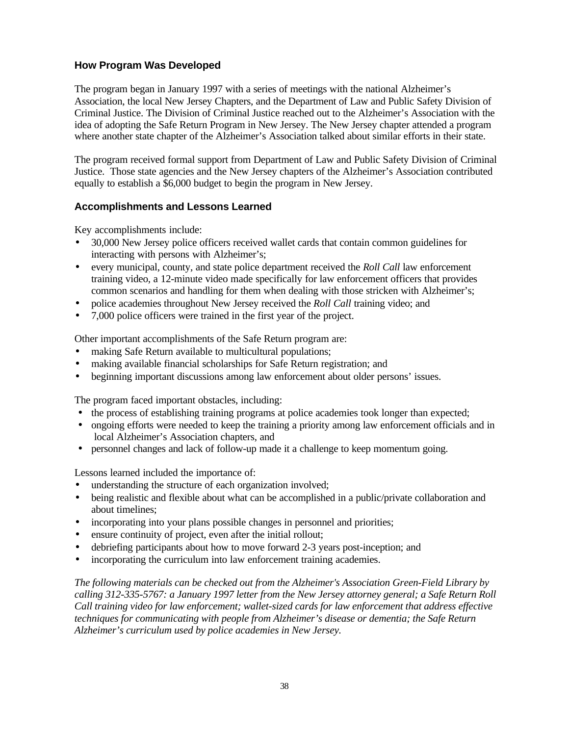# **How Program Was Developed**

The program began in January 1997 with a series of meetings with the national Alzheimer's Association, the local New Jersey Chapters, and the Department of Law and Public Safety Division of Criminal Justice. The Division of Criminal Justice reached out to the Alzheimer's Association with the idea of adopting the Safe Return Program in New Jersey. The New Jersey chapter attended a program where another state chapter of the Alzheimer's Association talked about similar efforts in their state.

The program received formal support from Department of Law and Public Safety Division of Criminal Justice. Those state agencies and the New Jersey chapters of the Alzheimer's Association contributed equally to establish a \$6,000 budget to begin the program in New Jersey.

# **Accomplishments and Lessons Learned**

Key accomplishments include:

- 30,000 New Jersey police officers received wallet cards that contain common guidelines for interacting with persons with Alzheimer's;
- every municipal, county, and state police department received the *Roll Call* law enforcement training video, a 12-minute video made specifically for law enforcement officers that provides common scenarios and handling for them when dealing with those stricken with Alzheimer's;
- police academies throughout New Jersey received the *Roll Call* training video; and
- 7,000 police officers were trained in the first year of the project.

Other important accomplishments of the Safe Return program are:

- making Safe Return available to multicultural populations;
- making available financial scholarships for Safe Return registration; and
- beginning important discussions among law enforcement about older persons' issues.

The program faced important obstacles, including:

- the process of establishing training programs at police academies took longer than expected;
- ongoing efforts were needed to keep the training a priority among law enforcement officials and in local Alzheimer's Association chapters, and
- personnel changes and lack of follow-up made it a challenge to keep momentum going.

Lessons learned included the importance of:

- understanding the structure of each organization involved;
- being realistic and flexible about what can be accomplished in a public/private collaboration and about timelines;
- incorporating into your plans possible changes in personnel and priorities;
- ensure continuity of project, even after the initial rollout;
- debriefing participants about how to move forward 2-3 years post-inception; and
- incorporating the curriculum into law enforcement training academies.

*The following materials can be checked out from the Alzheimer's Association Green-Field Library by calling 312-335-5767: a January 1997 letter from the New Jersey attorney general; a Safe Return Roll Call training video for law enforcement; wallet-sized cards for law enforcement that address effective techniques for communicating with people from Alzheimer's disease or dementia; the Safe Return Alzheimer's curriculum used by police academies in New Jersey.*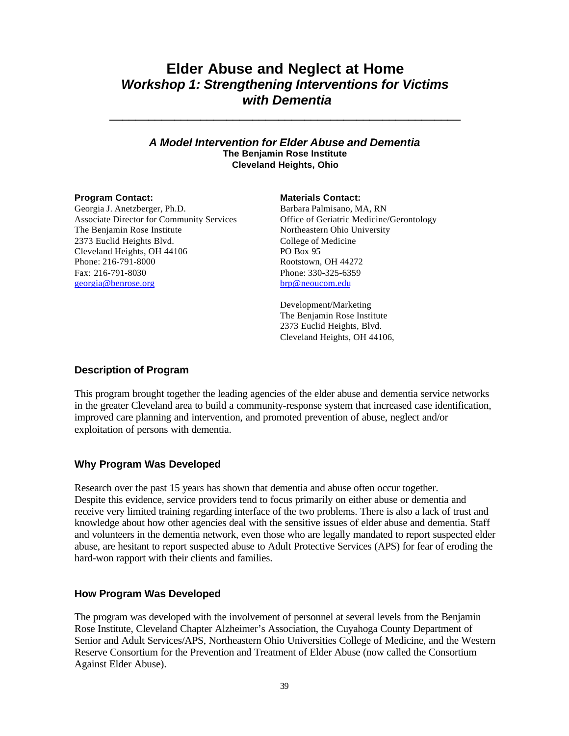# **Elder Abuse and Neglect at Home** *Workshop 1: Strengthening Interventions for Victims with Dementia*

### *A Model Intervention for Elder Abuse and Dementia* **The Benjamin Rose Institute Cleveland Heights, Ohio**

**\_\_\_\_\_\_\_\_\_\_\_\_\_\_\_\_\_\_\_\_\_\_\_\_\_\_\_\_\_\_\_\_\_\_\_\_\_\_\_\_\_\_\_\_\_\_\_\_\_\_\_\_\_\_**

Georgia J. Anetzberger, Ph.D. Associate Director for Community Services The Benjamin Rose Institute 2373 Euclid Heights Blvd. Cleveland Heights, OH 44106 Phone: 216-791-8000 Fax: 216-791-8030 georgia@benrose.org

### **Program Contact: Materials Contact:**

Barbara Palmisano, MA, RN Office of Geriatric Medicine/Gerontology Northeastern Ohio University College of Medicine PO Box 95 Rootstown, OH 44272 Phone: 330-325-6359 brp@neoucom.edu

Development/Marketing The Benjamin Rose Institute 2373 Euclid Heights, Blvd. Cleveland Heights, OH 44106,

### **Description of Program**

This program brought together the leading agencies of the elder abuse and dementia service networks in the greater Cleveland area to build a community-response system that increased case identification, improved care planning and intervention, and promoted prevention of abuse, neglect and/or exploitation of persons with dementia.

# **Why Program Was Developed**

Research over the past 15 years has shown that dementia and abuse often occur together. Despite this evidence, service providers tend to focus primarily on either abuse or dementia and receive very limited training regarding interface of the two problems. There is also a lack of trust and knowledge about how other agencies deal with the sensitive issues of elder abuse and dementia. Staff and volunteers in the dementia network, even those who are legally mandated to report suspected elder abuse, are hesitant to report suspected abuse to Adult Protective Services (APS) for fear of eroding the hard-won rapport with their clients and families.

# **How Program Was Developed**

The program was developed with the involvement of personnel at several levels from the Benjamin Rose Institute, Cleveland Chapter Alzheimer's Association, the Cuyahoga County Department of Senior and Adult Services/APS, Northeastern Ohio Universities College of Medicine, and the Western Reserve Consortium for the Prevention and Treatment of Elder Abuse (now called the Consortium Against Elder Abuse).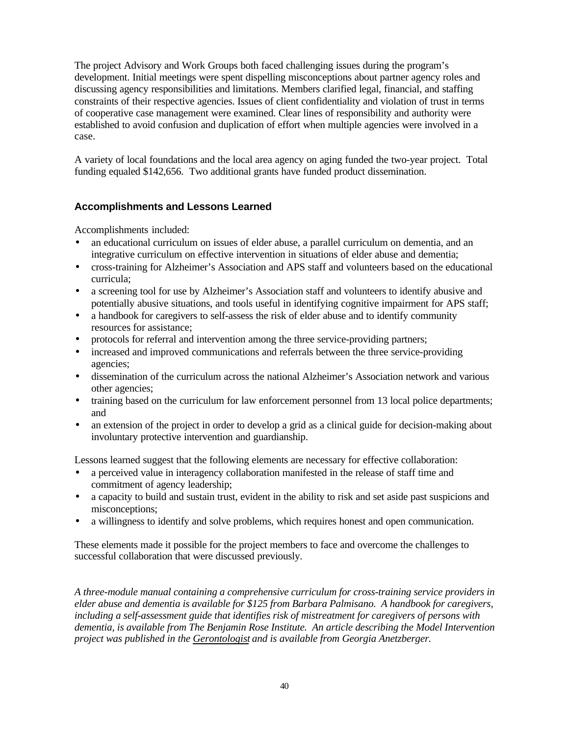The project Advisory and Work Groups both faced challenging issues during the program's development. Initial meetings were spent dispelling misconceptions about partner agency roles and discussing agency responsibilities and limitations. Members clarified legal, financial, and staffing constraints of their respective agencies. Issues of client confidentiality and violation of trust in terms of cooperative case management were examined. Clear lines of responsibility and authority were established to avoid confusion and duplication of effort when multiple agencies were involved in a case.

A variety of local foundations and the local area agency on aging funded the two-year project. Total funding equaled \$142,656. Two additional grants have funded product dissemination.

# **Accomplishments and Lessons Learned**

Accomplishments included:

- an educational curriculum on issues of elder abuse, a parallel curriculum on dementia, and an integrative curriculum on effective intervention in situations of elder abuse and dementia;
- cross-training for Alzheimer's Association and APS staff and volunteers based on the educational curricula;
- a screening tool for use by Alzheimer's Association staff and volunteers to identify abusive and potentially abusive situations, and tools useful in identifying cognitive impairment for APS staff;
- a handbook for caregivers to self-assess the risk of elder abuse and to identify community resources for assistance;
- protocols for referral and intervention among the three service-providing partners;
- increased and improved communications and referrals between the three service-providing agencies;
- dissemination of the curriculum across the national Alzheimer's Association network and various other agencies;
- training based on the curriculum for law enforcement personnel from 13 local police departments; and
- an extension of the project in order to develop a grid as a clinical guide for decision-making about involuntary protective intervention and guardianship.

Lessons learned suggest that the following elements are necessary for effective collaboration:

- a perceived value in interagency collaboration manifested in the release of staff time and commitment of agency leadership;
- a capacity to build and sustain trust, evident in the ability to risk and set aside past suspicions and misconceptions;
- a willingness to identify and solve problems, which requires honest and open communication.

These elements made it possible for the project members to face and overcome the challenges to successful collaboration that were discussed previously.

*A three-module manual containing a comprehensive curriculum for cross-training service providers in elder abuse and dementia is available for \$125 from Barbara Palmisano. A handbook for caregivers, including a self-assessment guide that identifies risk of mistreatment for caregivers of persons with dementia, is available from The Benjamin Rose Institute. An article describing the Model Intervention project was published in the Gerontologist and is available from Georgia Anetzberger.*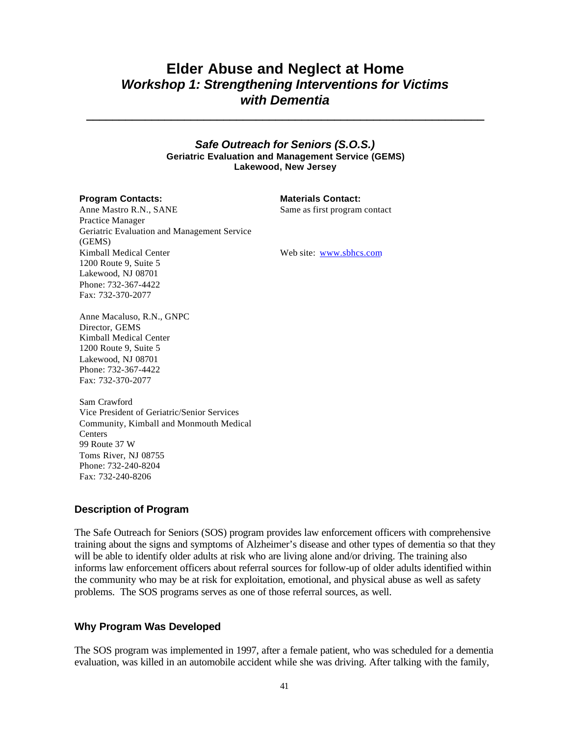# **Elder Abuse and Neglect at Home** *Workshop 1: Strengthening Interventions for Victims with Dementia*

**\_\_\_\_\_\_\_\_\_\_\_\_\_\_\_\_\_\_\_\_\_\_\_\_\_\_\_\_\_\_\_\_\_\_\_\_\_\_\_\_\_\_\_\_\_\_\_\_\_\_\_\_\_\_\_\_\_\_\_\_\_**

### *Safe Outreach for Seniors (S.O.S.)* **Geriatric Evaluation and Management Service (GEMS) Lakewood, New Jersey**

### **Program Contacts: Materials Contact:**

Same as first program contact

Anne Mastro R.N., SANE Practice Manager Geriatric Evaluation and Management Service (GEMS) Kimball Medical Center 1200 Route 9, Suite 5 Lakewood, NJ 08701 Phone: 732-367-4422 Fax: 732-370-2077

Web site: www.sbhcs.com

Anne Macaluso, R.N., GNPC Director, GEMS Kimball Medical Center 1200 Route 9, Suite 5 Lakewood, NJ 08701 Phone: 732-367-4422 Fax: 732-370-2077

Sam Crawford Vice President of Geriatric/Senior Services Community, Kimball and Monmouth Medical **Centers** 99 Route 37 W Toms River, NJ 08755 Phone: 732-240-8204 Fax: 732-240-8206

# **Description of Program**

The Safe Outreach for Seniors (SOS) program provides law enforcement officers with comprehensive training about the signs and symptoms of Alzheimer's disease and other types of dementia so that they will be able to identify older adults at risk who are living alone and/or driving. The training also informs law enforcement officers about referral sources for follow-up of older adults identified within the community who may be at risk for exploitation, emotional, and physical abuse as well as safety problems. The SOS programs serves as one of those referral sources, as well.

# **Why Program Was Developed**

The SOS program was implemented in 1997, after a female patient, who was scheduled for a dementia evaluation, was killed in an automobile accident while she was driving. After talking with the family,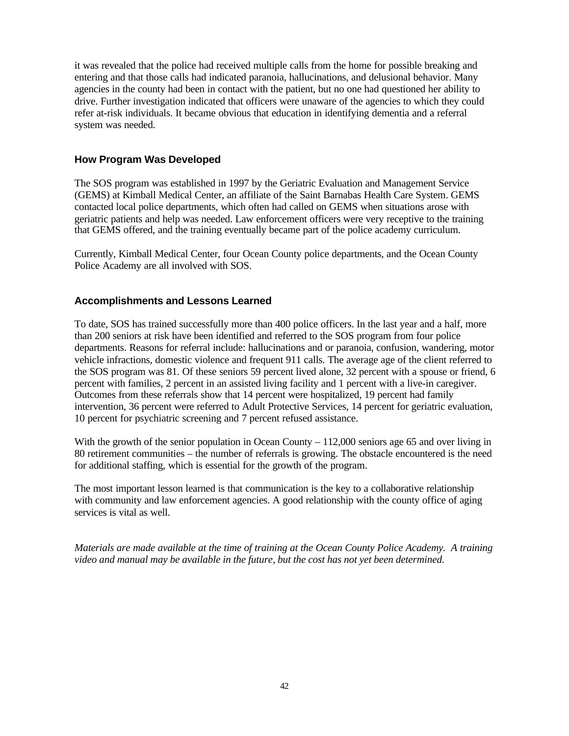it was revealed that the police had received multiple calls from the home for possible breaking and entering and that those calls had indicated paranoia, hallucinations, and delusional behavior. Many agencies in the county had been in contact with the patient, but no one had questioned her ability to drive. Further investigation indicated that officers were unaware of the agencies to which they could refer at-risk individuals. It became obvious that education in identifying dementia and a referral system was needed.

## **How Program Was Developed**

The SOS program was established in 1997 by the Geriatric Evaluation and Management Service (GEMS) at Kimball Medical Center, an affiliate of the Saint Barnabas Health Care System. GEMS contacted local police departments, which often had called on GEMS when situations arose with geriatric patients and help was needed. Law enforcement officers were very receptive to the training that GEMS offered, and the training eventually became part of the police academy curriculum.

Currently, Kimball Medical Center, four Ocean County police departments, and the Ocean County Police Academy are all involved with SOS.

## **Accomplishments and Lessons Learned**

To date, SOS has trained successfully more than 400 police officers. In the last year and a half, more than 200 seniors at risk have been identified and referred to the SOS program from four police departments. Reasons for referral include: hallucinations and or paranoia, confusion, wandering, motor vehicle infractions, domestic violence and frequent 911 calls. The average age of the client referred to the SOS program was 81. Of these seniors 59 percent lived alone, 32 percent with a spouse or friend, 6 percent with families, 2 percent in an assisted living facility and 1 percent with a live-in caregiver. Outcomes from these referrals show that 14 percent were hospitalized, 19 percent had family intervention, 36 percent were referred to Adult Protective Services, 14 percent for geriatric evaluation, 10 percent for psychiatric screening and 7 percent refused assistance.

With the growth of the senior population in Ocean County – 112,000 seniors age 65 and over living in 80 retirement communities – the number of referrals is growing. The obstacle encountered is the need for additional staffing, which is essential for the growth of the program.

The most important lesson learned is that communication is the key to a collaborative relationship with community and law enforcement agencies. A good relationship with the county office of aging services is vital as well.

*Materials are made available at the time of training at the Ocean County Police Academy. A training video and manual may be available in the future, but the cost has not yet been determined.*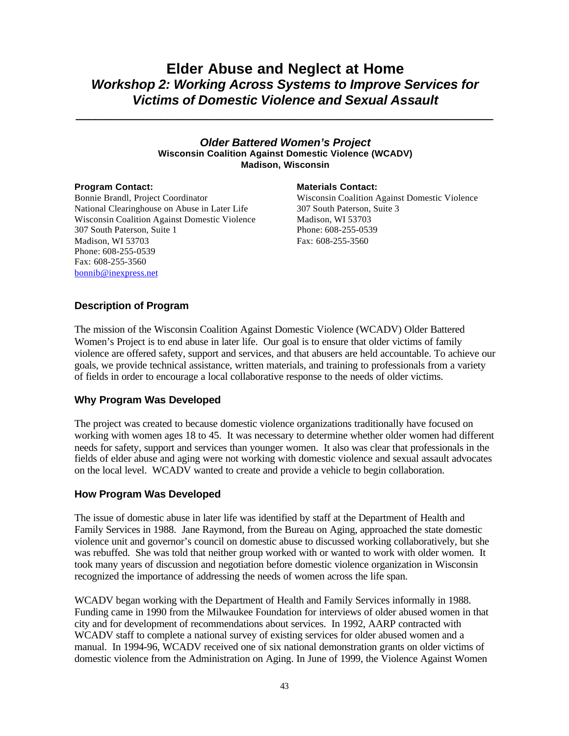# **Elder Abuse and Neglect at Home** *Workshop 2: Working Across Systems to Improve Services for Victims of Domestic Violence and Sexual Assault*

*\_\_\_\_\_\_\_\_\_\_\_\_\_\_\_\_\_\_\_\_\_\_\_\_\_\_\_\_\_\_\_\_\_\_\_\_\_\_\_\_\_\_\_\_\_\_\_\_\_\_\_\_\_\_\_\_\_\_\_\_\_\_\_\_*

### *Older Battered Women's Project* **Wisconsin Coalition Against Domestic Violence (WCADV) Madison, Wisconsin**

Bonnie Brandl, Project Coordinator National Clearinghouse on Abuse in Later Life Wisconsin Coalition Against Domestic Violence 307 South Paterson, Suite 1 Madison, WI 53703 Phone: 608-255-0539 Fax: 608-255-3560 bonnib@inexpress.net

### **Program Contact: Materials Contact: Materials Contact:**

Wisconsin Coalition Against Domestic Violence 307 South Paterson, Suite 3 Madison, WI 53703 Phone: 608-255-0539 Fax: 608-255-3560

## **Description of Program**

The mission of the Wisconsin Coalition Against Domestic Violence (WCADV) Older Battered Women's Project is to end abuse in later life. Our goal is to ensure that older victims of family violence are offered safety, support and services, and that abusers are held accountable. To achieve our goals, we provide technical assistance, written materials, and training to professionals from a variety of fields in order to encourage a local collaborative response to the needs of older victims.

### **Why Program Was Developed**

The project was created to because domestic violence organizations traditionally have focused on working with women ages 18 to 45. It was necessary to determine whether older women had different needs for safety, support and services than younger women. It also was clear that professionals in the fields of elder abuse and aging were not working with domestic violence and sexual assault advocates on the local level. WCADV wanted to create and provide a vehicle to begin collaboration.

### **How Program Was Developed**

The issue of domestic abuse in later life was identified by staff at the Department of Health and Family Services in 1988. Jane Raymond, from the Bureau on Aging, approached the state domestic violence unit and governor's council on domestic abuse to discussed working collaboratively, but she was rebuffed. She was told that neither group worked with or wanted to work with older women. It took many years of discussion and negotiation before domestic violence organization in Wisconsin recognized the importance of addressing the needs of women across the life span.

WCADV began working with the Department of Health and Family Services informally in 1988. Funding came in 1990 from the Milwaukee Foundation for interviews of older abused women in that city and for development of recommendations about services. In 1992, AARP contracted with WCADV staff to complete a national survey of existing services for older abused women and a manual. In 1994-96, WCADV received one of six national demonstration grants on older victims of domestic violence from the Administration on Aging. In June of 1999, the Violence Against Women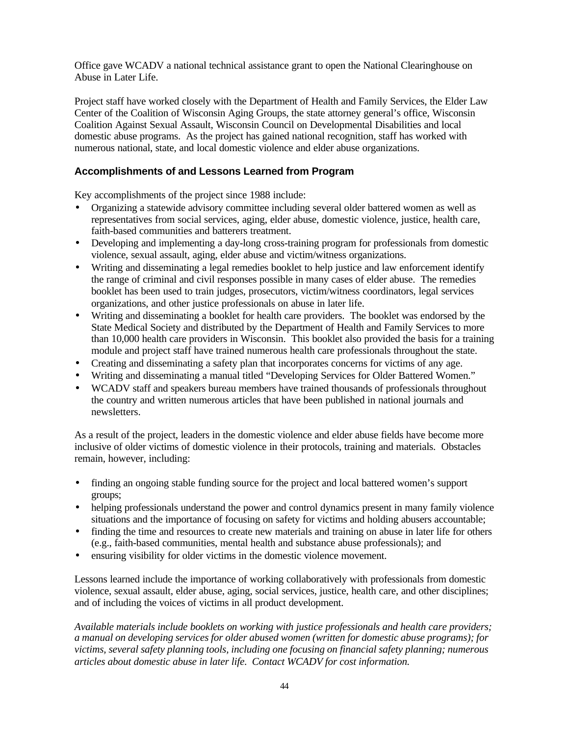Office gave WCADV a national technical assistance grant to open the National Clearinghouse on Abuse in Later Life.

Project staff have worked closely with the Department of Health and Family Services, the Elder Law Center of the Coalition of Wisconsin Aging Groups, the state attorney general's office, Wisconsin Coalition Against Sexual Assault, Wisconsin Council on Developmental Disabilities and local domestic abuse programs. As the project has gained national recognition, staff has worked with numerous national, state, and local domestic violence and elder abuse organizations.

# **Accomplishments of and Lessons Learned from Program**

Key accomplishments of the project since 1988 include:

- Organizing a statewide advisory committee including several older battered women as well as representatives from social services, aging, elder abuse, domestic violence, justice, health care, faith-based communities and batterers treatment.
- Developing and implementing a day-long cross-training program for professionals from domestic violence, sexual assault, aging, elder abuse and victim/witness organizations.
- Writing and disseminating a legal remedies booklet to help justice and law enforcement identify the range of criminal and civil responses possible in many cases of elder abuse. The remedies booklet has been used to train judges, prosecutors, victim/witness coordinators, legal services organizations, and other justice professionals on abuse in later life.
- Writing and disseminating a booklet for health care providers. The booklet was endorsed by the State Medical Society and distributed by the Department of Health and Family Services to more than 10,000 health care providers in Wisconsin. This booklet also provided the basis for a training module and project staff have trained numerous health care professionals throughout the state.
- Creating and disseminating a safety plan that incorporates concerns for victims of any age.
- Writing and disseminating a manual titled "Developing Services for Older Battered Women."
- WCADV staff and speakers bureau members have trained thousands of professionals throughout the country and written numerous articles that have been published in national journals and newsletters.

As a result of the project, leaders in the domestic violence and elder abuse fields have become more inclusive of older victims of domestic violence in their protocols, training and materials. Obstacles remain, however, including:

- finding an ongoing stable funding source for the project and local battered women's support groups;
- helping professionals understand the power and control dynamics present in many family violence situations and the importance of focusing on safety for victims and holding abusers accountable;
- finding the time and resources to create new materials and training on abuse in later life for others (e.g., faith-based communities, mental health and substance abuse professionals); and
- ensuring visibility for older victims in the domestic violence movement.

Lessons learned include the importance of working collaboratively with professionals from domestic violence, sexual assault, elder abuse, aging, social services, justice, health care, and other disciplines; and of including the voices of victims in all product development.

*Available materials include booklets on working with justice professionals and health care providers; a manual on developing services for older abused women (written for domestic abuse programs); for victims, several safety planning tools, including one focusing on financial safety planning; numerous articles about domestic abuse in later life. Contact WCADV for cost information.*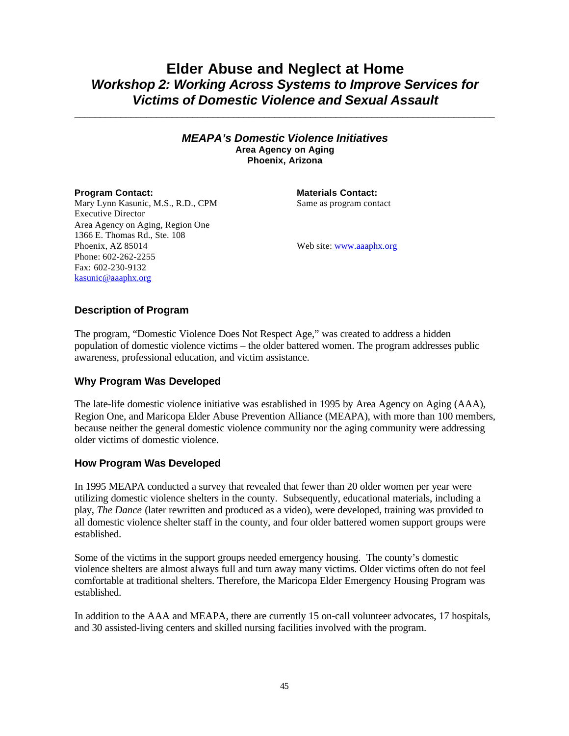# **Elder Abuse and Neglect at Home** *Workshop 2: Working Across Systems to Improve Services for Victims of Domestic Violence and Sexual Assault*

**\_\_\_\_\_\_\_\_\_\_\_\_\_\_\_\_\_\_\_\_\_\_\_\_\_\_\_\_\_\_\_\_\_\_\_\_\_\_\_\_\_\_\_\_\_\_\_\_\_\_\_\_\_\_\_\_\_\_\_\_\_\_\_\_\_\_\_\_\_\_\_\_\_\_\_\_\_\_\_\_\_\_**

*MEAPA's Domestic Violence Initiatives* **Area Agency on Aging Phoenix, Arizona**

**Program Contact: Materials Contact: Materials Contact:** Same as program contact

Mary Lynn Kasunic, M.S., R.D., CPM Executive Director Area Agency on Aging, Region One 1366 E. Thomas Rd., Ste. 108 Phoenix, AZ 85014 Phone: 602-262-2255 Fax: 602-230-9132 kasunic@aaaphx.org

Web site: www.aaaphx.org

## **Description of Program**

The program, "Domestic Violence Does Not Respect Age," was created to address a hidden population of domestic violence victims – the older battered women. The program addresses public awareness, professional education, and victim assistance.

### **Why Program Was Developed**

The late-life domestic violence initiative was established in 1995 by Area Agency on Aging (AAA), Region One, and Maricopa Elder Abuse Prevention Alliance (MEAPA), with more than 100 members, because neither the general domestic violence community nor the aging community were addressing older victims of domestic violence.

# **How Program Was Developed**

In 1995 MEAPA conducted a survey that revealed that fewer than 20 older women per year were utilizing domestic violence shelters in the county. Subsequently, educational materials, including a play, *The Dance* (later rewritten and produced as a video), were developed, training was provided to all domestic violence shelter staff in the county, and four older battered women support groups were established.

Some of the victims in the support groups needed emergency housing. The county's domestic violence shelters are almost always full and turn away many victims. Older victims often do not feel comfortable at traditional shelters. Therefore, the Maricopa Elder Emergency Housing Program was established.

In addition to the AAA and MEAPA, there are currently 15 on-call volunteer advocates, 17 hospitals, and 30 assisted-living centers and skilled nursing facilities involved with the program.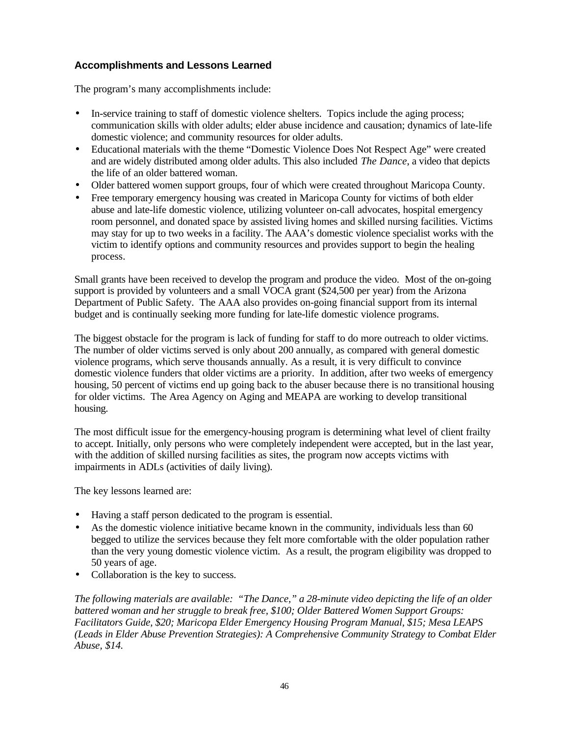# **Accomplishments and Lessons Learned**

The program's many accomplishments include:

- In-service training to staff of domestic violence shelters. Topics include the aging process; communication skills with older adults; elder abuse incidence and causation; dynamics of late-life domestic violence; and community resources for older adults.
- Educational materials with the theme "Domestic Violence Does Not Respect Age" were created and are widely distributed among older adults. This also included *The Dance*, a video that depicts the life of an older battered woman.
- Older battered women support groups, four of which were created throughout Maricopa County.
- Free temporary emergency housing was created in Maricopa County for victims of both elder abuse and late-life domestic violence, utilizing volunteer on-call advocates, hospital emergency room personnel, and donated space by assisted living homes and skilled nursing facilities. Victims may stay for up to two weeks in a facility. The AAA's domestic violence specialist works with the victim to identify options and community resources and provides support to begin the healing process.

Small grants have been received to develop the program and produce the video. Most of the on-going support is provided by volunteers and a small VOCA grant (\$24,500 per year) from the Arizona Department of Public Safety. The AAA also provides on-going financial support from its internal budget and is continually seeking more funding for late-life domestic violence programs.

The biggest obstacle for the program is lack of funding for staff to do more outreach to older victims. The number of older victims served is only about 200 annually, as compared with general domestic violence programs, which serve thousands annually. As a result, it is very difficult to convince domestic violence funders that older victims are a priority. In addition, after two weeks of emergency housing, 50 percent of victims end up going back to the abuser because there is no transitional housing for older victims. The Area Agency on Aging and MEAPA are working to develop transitional housing.

The most difficult issue for the emergency-housing program is determining what level of client frailty to accept. Initially, only persons who were completely independent were accepted, but in the last year, with the addition of skilled nursing facilities as sites, the program now accepts victims with impairments in ADLs (activities of daily living).

The key lessons learned are:

- Having a staff person dedicated to the program is essential.
- As the domestic violence initiative became known in the community, individuals less than 60 begged to utilize the services because they felt more comfortable with the older population rather than the very young domestic violence victim. As a result, the program eligibility was dropped to 50 years of age.
- Collaboration is the key to success.

*The following materials are available: "The Dance," a 28-minute video depicting the life of an older battered woman and her struggle to break free, \$100; Older Battered Women Support Groups: Facilitators Guide, \$20; Maricopa Elder Emergency Housing Program Manual, \$15; Mesa LEAPS (Leads in Elder Abuse Prevention Strategies): A Comprehensive Community Strategy to Combat Elder Abuse, \$14.*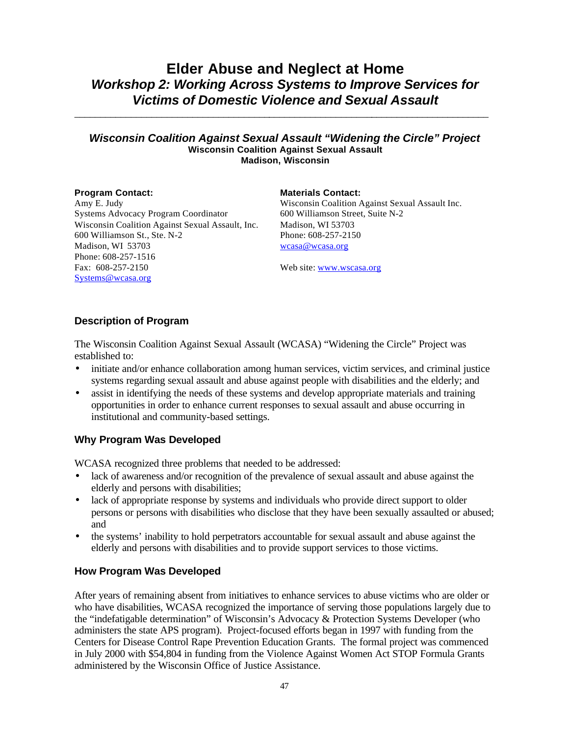# **Elder Abuse and Neglect at Home** *Workshop 2: Working Across Systems to Improve Services for Victims of Domestic Violence and Sexual Assault*

### *Wisconsin Coalition Against Sexual Assault "Widening the Circle" Project* **Wisconsin Coalition Against Sexual Assault Madison, Wisconsin**

*\_\_\_\_\_\_\_\_\_\_\_\_\_\_\_\_\_\_\_\_\_\_\_\_\_\_\_\_\_\_\_\_\_\_\_\_\_\_*\_\_\_\_\_\_\_\_\_\_\_\_\_\_\_\_\_\_\_\_*\_\_\_\_\_\_\_\_\_\_\_\_\_\_\_\_\_\_\_\_\_\_\_*

Amy E. Judy Systems Advocacy Program Coordinator Wisconsin Coalition Against Sexual Assault, Inc. 600 Williamson St., Ste. N-2 Madison, WI 53703 Phone: 608-257-1516 Fax: 608-257-2150 Systems@wcasa.org

### **Program Contact: Materials Contact:**

Wisconsin Coalition Against Sexual Assault Inc. 600 Williamson Street, Suite N-2 Madison, WI 53703 Phone: 608-257-2150 wcasa@wcasa.org

Web site: www.wscasa.org

# **Description of Program**

The Wisconsin Coalition Against Sexual Assault (WCASA) "Widening the Circle" Project was established to:

- initiate and/or enhance collaboration among human services, victim services, and criminal justice systems regarding sexual assault and abuse against people with disabilities and the elderly; and
- assist in identifying the needs of these systems and develop appropriate materials and training opportunities in order to enhance current responses to sexual assault and abuse occurring in institutional and community-based settings.

# **Why Program Was Developed**

WCASA recognized three problems that needed to be addressed:

- lack of awareness and/or recognition of the prevalence of sexual assault and abuse against the elderly and persons with disabilities;
- lack of appropriate response by systems and individuals who provide direct support to older persons or persons with disabilities who disclose that they have been sexually assaulted or abused; and
- the systems' inability to hold perpetrators accountable for sexual assault and abuse against the elderly and persons with disabilities and to provide support services to those victims.

# **How Program Was Developed**

After years of remaining absent from initiatives to enhance services to abuse victims who are older or who have disabilities, WCASA recognized the importance of serving those populations largely due to the "indefatigable determination" of Wisconsin's Advocacy & Protection Systems Developer (who administers the state APS program). Project-focused efforts began in 1997 with funding from the Centers for Disease Control Rape Prevention Education Grants. The formal project was commenced in July 2000 with \$54,804 in funding from the Violence Against Women Act STOP Formula Grants administered by the Wisconsin Office of Justice Assistance.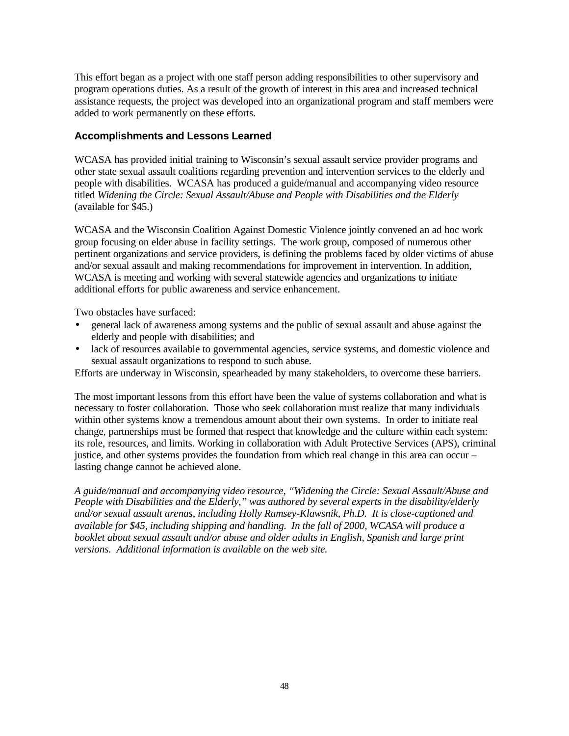This effort began as a project with one staff person adding responsibilities to other supervisory and program operations duties. As a result of the growth of interest in this area and increased technical assistance requests, the project was developed into an organizational program and staff members were added to work permanently on these efforts.

# **Accomplishments and Lessons Learned**

WCASA has provided initial training to Wisconsin's sexual assault service provider programs and other state sexual assault coalitions regarding prevention and intervention services to the elderly and people with disabilities. WCASA has produced a guide/manual and accompanying video resource titled *Widening the Circle: Sexual Assault/Abuse and People with Disabilities and the Elderly* (available for \$45.)

WCASA and the Wisconsin Coalition Against Domestic Violence jointly convened an ad hoc work group focusing on elder abuse in facility settings. The work group, composed of numerous other pertinent organizations and service providers, is defining the problems faced by older victims of abuse and/or sexual assault and making recommendations for improvement in intervention. In addition, WCASA is meeting and working with several statewide agencies and organizations to initiate additional efforts for public awareness and service enhancement.

Two obstacles have surfaced:

- general lack of awareness among systems and the public of sexual assault and abuse against the elderly and people with disabilities; and
- lack of resources available to governmental agencies, service systems, and domestic violence and sexual assault organizations to respond to such abuse.

Efforts are underway in Wisconsin, spearheaded by many stakeholders, to overcome these barriers.

The most important lessons from this effort have been the value of systems collaboration and what is necessary to foster collaboration. Those who seek collaboration must realize that many individuals within other systems know a tremendous amount about their own systems. In order to initiate real change, partnerships must be formed that respect that knowledge and the culture within each system: its role, resources, and limits. Working in collaboration with Adult Protective Services (APS), criminal justice, and other systems provides the foundation from which real change in this area can occur – lasting change cannot be achieved alone.

*A guide/manual and accompanying video resource, "Widening the Circle: Sexual Assault/Abuse and People with Disabilities and the Elderly," was authored by several experts in the disability/elderly and/or sexual assault arenas, including Holly Ramsey-Klawsnik, Ph.D. It is close-captioned and available for \$45, including shipping and handling. In the fall of 2000, WCASA will produce a booklet about sexual assault and/or abuse and older adults in English, Spanish and large print versions. Additional information is available on the web site.*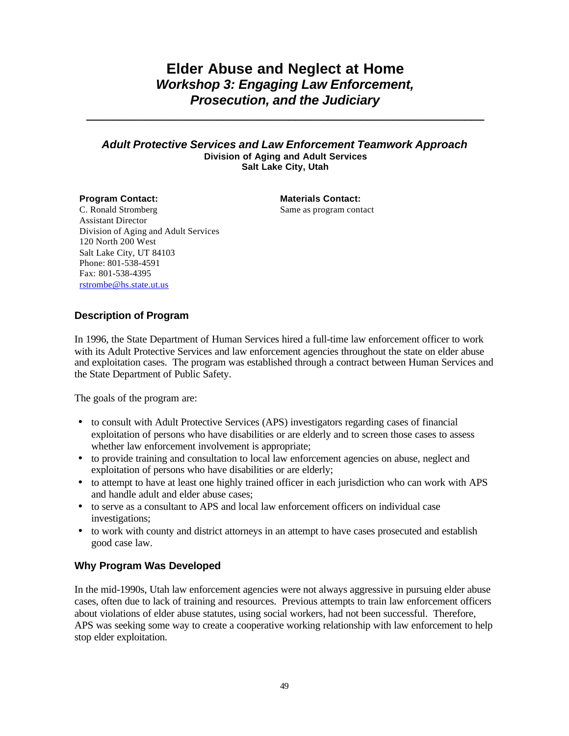# **Elder Abuse and Neglect at Home** *Workshop 3: Engaging Law Enforcement, Prosecution, and the Judiciary*

**\_\_\_\_\_\_\_\_\_\_\_\_\_\_\_\_\_\_\_\_\_\_\_\_\_\_\_\_\_\_\_\_\_\_\_\_\_\_\_\_\_\_\_\_\_\_\_\_\_\_\_\_\_\_\_\_\_\_\_\_\_**

### *Adult Protective Services and Law Enforcement Teamwork Approach* **Division of Aging and Adult Services Salt Lake City, Utah**

**Program Contact: Materials Contact:** Same as program contact

C. Ronald Stromberg Assistant Director Division of Aging and Adult Services 120 North 200 West Salt Lake City, UT 84103 Phone: 801-538-4591 Fax: 801-538-4395 rstrombe@hs.state.ut.us

# **Description of Program**

In 1996, the State Department of Human Services hired a full-time law enforcement officer to work with its Adult Protective Services and law enforcement agencies throughout the state on elder abuse and exploitation cases. The program was established through a contract between Human Services and the State Department of Public Safety.

The goals of the program are:

- to consult with Adult Protective Services (APS) investigators regarding cases of financial exploitation of persons who have disabilities or are elderly and to screen those cases to assess whether law enforcement involvement is appropriate;
- to provide training and consultation to local law enforcement agencies on abuse, neglect and exploitation of persons who have disabilities or are elderly;
- to attempt to have at least one highly trained officer in each jurisdiction who can work with APS and handle adult and elder abuse cases;
- to serve as a consultant to APS and local law enforcement officers on individual case investigations;
- to work with county and district attorneys in an attempt to have cases prosecuted and establish good case law.

# **Why Program Was Developed**

In the mid-1990s, Utah law enforcement agencies were not always aggressive in pursuing elder abuse cases, often due to lack of training and resources. Previous attempts to train law enforcement officers about violations of elder abuse statutes, using social workers, had not been successful. Therefore, APS was seeking some way to create a cooperative working relationship with law enforcement to help stop elder exploitation.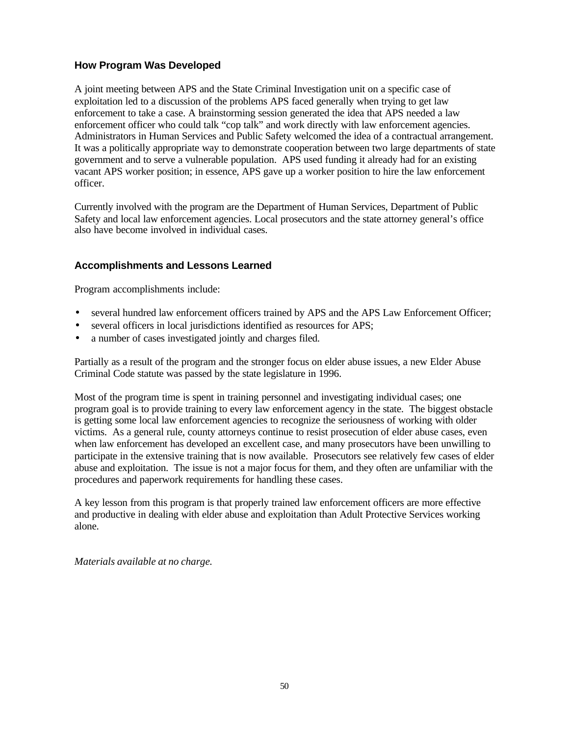# **How Program Was Developed**

A joint meeting between APS and the State Criminal Investigation unit on a specific case of exploitation led to a discussion of the problems APS faced generally when trying to get law enforcement to take a case. A brainstorming session generated the idea that APS needed a law enforcement officer who could talk "cop talk" and work directly with law enforcement agencies. Administrators in Human Services and Public Safety welcomed the idea of a contractual arrangement. It was a politically appropriate way to demonstrate cooperation between two large departments of state government and to serve a vulnerable population. APS used funding it already had for an existing vacant APS worker position; in essence, APS gave up a worker position to hire the law enforcement officer.

Currently involved with the program are the Department of Human Services, Department of Public Safety and local law enforcement agencies. Local prosecutors and the state attorney general's office also have become involved in individual cases.

# **Accomplishments and Lessons Learned**

Program accomplishments include:

- several hundred law enforcement officers trained by APS and the APS Law Enforcement Officer;
- several officers in local jurisdictions identified as resources for APS;
- a number of cases investigated jointly and charges filed.

Partially as a result of the program and the stronger focus on elder abuse issues, a new Elder Abuse Criminal Code statute was passed by the state legislature in 1996.

Most of the program time is spent in training personnel and investigating individual cases; one program goal is to provide training to every law enforcement agency in the state. The biggest obstacle is getting some local law enforcement agencies to recognize the seriousness of working with older victims. As a general rule, county attorneys continue to resist prosecution of elder abuse cases, even when law enforcement has developed an excellent case, and many prosecutors have been unwilling to participate in the extensive training that is now available. Prosecutors see relatively few cases of elder abuse and exploitation. The issue is not a major focus for them, and they often are unfamiliar with the procedures and paperwork requirements for handling these cases.

A key lesson from this program is that properly trained law enforcement officers are more effective and productive in dealing with elder abuse and exploitation than Adult Protective Services working alone.

*Materials available at no charge.*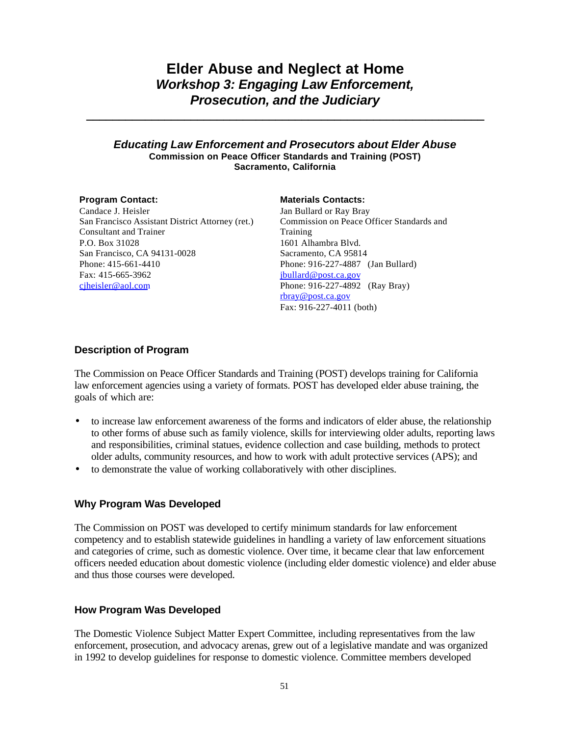# **Elder Abuse and Neglect at Home** *Workshop 3: Engaging Law Enforcement, Prosecution, and the Judiciary*

**\_\_\_\_\_\_\_\_\_\_\_\_\_\_\_\_\_\_\_\_\_\_\_\_\_\_\_\_\_\_\_\_\_\_\_\_\_\_\_\_\_\_\_\_\_\_\_\_\_\_\_\_\_\_\_\_\_\_\_\_\_**

### *Educating Law Enforcement and Prosecutors about Elder Abuse* **Commission on Peace Officer Standards and Training (POST) Sacramento, California**

Candace J. Heisler San Francisco Assistant District Attorney (ret.) Consultant and Trainer P.O. Box 31028 San Francisco, CA 94131-0028 Phone: 415-661-4410 Fax: 415-665-3962 cjheisler@aol.com

### **Program Contact: Materials Contacts:**

Jan Bullard or Ray Bray Commission on Peace Officer Standards and Training 1601 Alhambra Blvd. Sacramento, CA 95814 Phone: 916-227-4887 (Jan Bullard) jbullard@post.ca.gov Phone: 916-227-4892 (Ray Bray) rbray@post.ca.gov Fax: 916-227-4011 (both)

# **Description of Program**

The Commission on Peace Officer Standards and Training (POST) develops training for California law enforcement agencies using a variety of formats. POST has developed elder abuse training, the goals of which are:

- to increase law enforcement awareness of the forms and indicators of elder abuse, the relationship to other forms of abuse such as family violence, skills for interviewing older adults, reporting laws and responsibilities, criminal statues, evidence collection and case building, methods to protect older adults, community resources, and how to work with adult protective services (APS); and
- to demonstrate the value of working collaboratively with other disciplines.

# **Why Program Was Developed**

The Commission on POST was developed to certify minimum standards for law enforcement competency and to establish statewide guidelines in handling a variety of law enforcement situations and categories of crime, such as domestic violence. Over time, it became clear that law enforcement officers needed education about domestic violence (including elder domestic violence) and elder abuse and thus those courses were developed.

# **How Program Was Developed**

The Domestic Violence Subject Matter Expert Committee, including representatives from the law enforcement, prosecution, and advocacy arenas, grew out of a legislative mandate and was organized in 1992 to develop guidelines for response to domestic violence. Committee members developed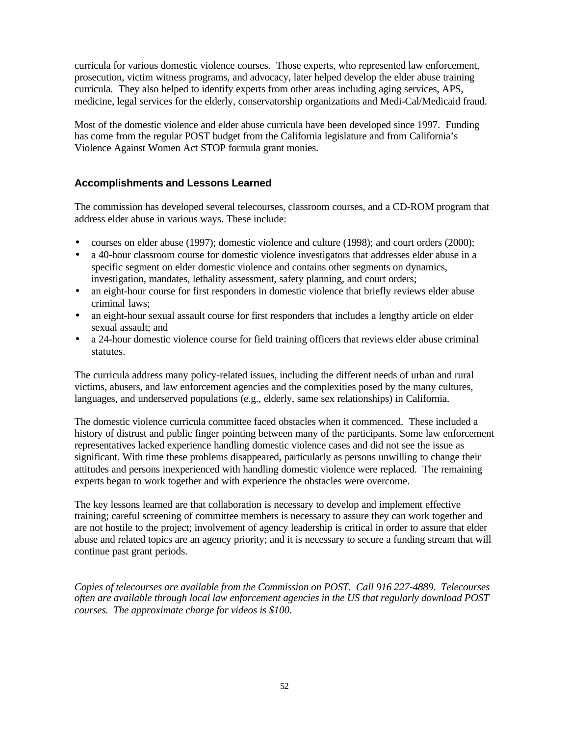curricula for various domestic violence courses. Those experts, who represented law enforcement, prosecution, victim witness programs, and advocacy, later helped develop the elder abuse training curricula. They also helped to identify experts from other areas including aging services, APS, medicine, legal services for the elderly, conservatorship organizations and Medi-Cal/Medicaid fraud.

Most of the domestic violence and elder abuse curricula have been developed since 1997. Funding has come from the regular POST budget from the California legislature and from California's Violence Against Women Act STOP formula grant monies.

# **Accomplishments and Lessons Learned**

The commission has developed several telecourses, classroom courses, and a CD-ROM program that address elder abuse in various ways. These include:

- courses on elder abuse (1997); domestic violence and culture (1998); and court orders (2000);
- a 40-hour classroom course for domestic violence investigators that addresses elder abuse in a specific segment on elder domestic violence and contains other segments on dynamics, investigation, mandates, lethality assessment, safety planning, and court orders;
- an eight-hour course for first responders in domestic violence that briefly reviews elder abuse criminal laws;
- an eight-hour sexual assault course for first responders that includes a lengthy article on elder sexual assault; and
- a 24-hour domestic violence course for field training officers that reviews elder abuse criminal statutes.

The curricula address many policy-related issues, including the different needs of urban and rural victims, abusers, and law enforcement agencies and the complexities posed by the many cultures, languages, and underserved populations (e.g., elderly, same sex relationships) in California.

The domestic violence curricula committee faced obstacles when it commenced. These included a history of distrust and public finger pointing between many of the participants. Some law enforcement representatives lacked experience handling domestic violence cases and did not see the issue as significant. With time these problems disappeared, particularly as persons unwilling to change their attitudes and persons inexperienced with handling domestic violence were replaced. The remaining experts began to work together and with experience the obstacles were overcome.

The key lessons learned are that collaboration is necessary to develop and implement effective training; careful screening of committee members is necessary to assure they can work together and are not hostile to the project; involvement of agency leadership is critical in order to assure that elder abuse and related topics are an agency priority; and it is necessary to secure a funding stream that will continue past grant periods.

*Copies of telecourses are available from the Commission on POST. Call 916 227-4889. Telecourses often are available through local law enforcement agencies in the US that regularly download POST courses. The approximate charge for videos is \$100.*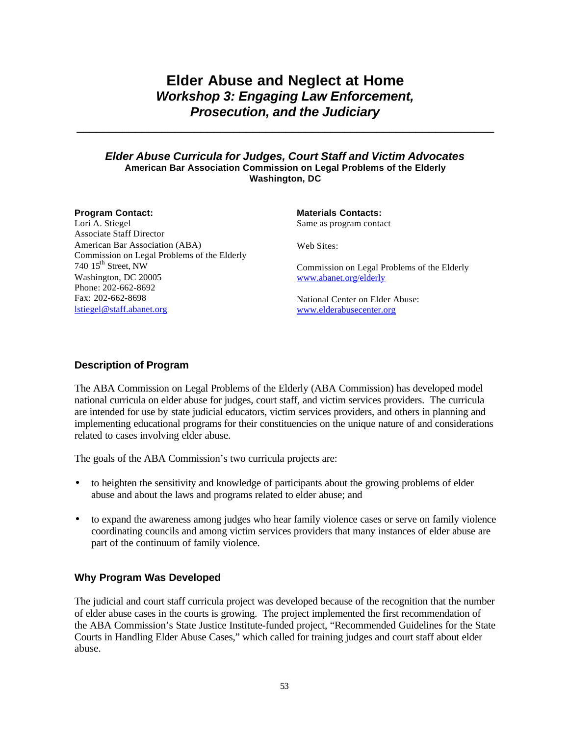# **Elder Abuse and Neglect at Home** *Workshop 3: Engaging Law Enforcement, Prosecution, and the Judiciary*

**\_\_\_\_\_\_\_\_\_\_\_\_\_\_\_\_\_\_\_\_\_\_\_\_\_\_\_\_\_\_\_\_\_\_\_\_\_\_\_\_\_\_\_\_\_\_\_\_\_\_\_\_\_\_\_\_\_\_\_\_\_\_\_\_**

### *Elder Abuse Curricula for Judges, Court Staff and Victim Advocates* **American Bar Association Commission on Legal Problems of the Elderly Washington, DC**

| <b>Program Contact:</b>                     | <b>Materials Contacts:</b>                  |
|---------------------------------------------|---------------------------------------------|
| Lori A. Stiegel                             | Same as program contact                     |
| <b>Associate Staff Director</b>             |                                             |
| American Bar Association (ABA)              | Web Sites:                                  |
| Commission on Legal Problems of the Elderly |                                             |
| 740 $15^{\text{th}}$ Street, NW             | Commission on Legal Problems of the Elderly |
| Washington, DC 20005                        | www.abanet.org/elderly                      |
| Phone: 202-662-8692                         |                                             |
| Fax: 202-662-8698                           | National Center on Elder Abuse:             |
| lstiegel@staff.abanet.org                   | www.elderabusecenter.org                    |

### **Description of Program**

The ABA Commission on Legal Problems of the Elderly (ABA Commission) has developed model national curricula on elder abuse for judges, court staff, and victim services providers. The curricula are intended for use by state judicial educators, victim services providers, and others in planning and implementing educational programs for their constituencies on the unique nature of and considerations related to cases involving elder abuse.

The goals of the ABA Commission's two curricula projects are:

- to heighten the sensitivity and knowledge of participants about the growing problems of elder abuse and about the laws and programs related to elder abuse; and
- to expand the awareness among judges who hear family violence cases or serve on family violence coordinating councils and among victim services providers that many instances of elder abuse are part of the continuum of family violence.

# **Why Program Was Developed**

The judicial and court staff curricula project was developed because of the recognition that the number of elder abuse cases in the courts is growing. The project implemented the first recommendation of the ABA Commission's State Justice Institute-funded project, "Recommended Guidelines for the State Courts in Handling Elder Abuse Cases," which called for training judges and court staff about elder abuse.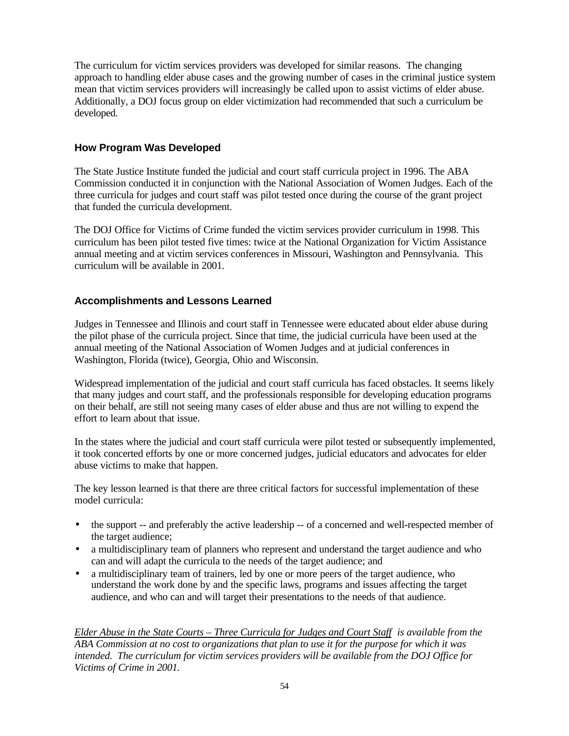The curriculum for victim services providers was developed for similar reasons. The changing approach to handling elder abuse cases and the growing number of cases in the criminal justice system mean that victim services providers will increasingly be called upon to assist victims of elder abuse. Additionally, a DOJ focus group on elder victimization had recommended that such a curriculum be developed.

# **How Program Was Developed**

The State Justice Institute funded the judicial and court staff curricula project in 1996. The ABA Commission conducted it in conjunction with the National Association of Women Judges. Each of the three curricula for judges and court staff was pilot tested once during the course of the grant project that funded the curricula development.

The DOJ Office for Victims of Crime funded the victim services provider curriculum in 1998. This curriculum has been pilot tested five times: twice at the National Organization for Victim Assistance annual meeting and at victim services conferences in Missouri, Washington and Pennsylvania. This curriculum will be available in 2001.

# **Accomplishments and Lessons Learned**

Judges in Tennessee and Illinois and court staff in Tennessee were educated about elder abuse during the pilot phase of the curricula project. Since that time, the judicial curricula have been used at the annual meeting of the National Association of Women Judges and at judicial conferences in Washington, Florida (twice), Georgia, Ohio and Wisconsin.

Widespread implementation of the judicial and court staff curricula has faced obstacles. It seems likely that many judges and court staff, and the professionals responsible for developing education programs on their behalf, are still not seeing many cases of elder abuse and thus are not willing to expend the effort to learn about that issue.

In the states where the judicial and court staff curricula were pilot tested or subsequently implemented, it took concerted efforts by one or more concerned judges, judicial educators and advocates for elder abuse victims to make that happen.

The key lesson learned is that there are three critical factors for successful implementation of these model curricula:

- the support -- and preferably the active leadership -- of a concerned and well-respected member of the target audience;
- a multidisciplinary team of planners who represent and understand the target audience and who can and will adapt the curricula to the needs of the target audience; and
- a multidisciplinary team of trainers, led by one or more peers of the target audience, who understand the work done by and the specific laws, programs and issues affecting the target audience, and who can and will target their presentations to the needs of that audience.

*Elder Abuse in the State Courts – Three Curricula for Judges and Court Staff is available from the ABA Commission at no cost to organizations that plan to use it for the purpose for which it was intended. The curriculum for victim services providers will be available from the DOJ Office for Victims of Crime in 2001.*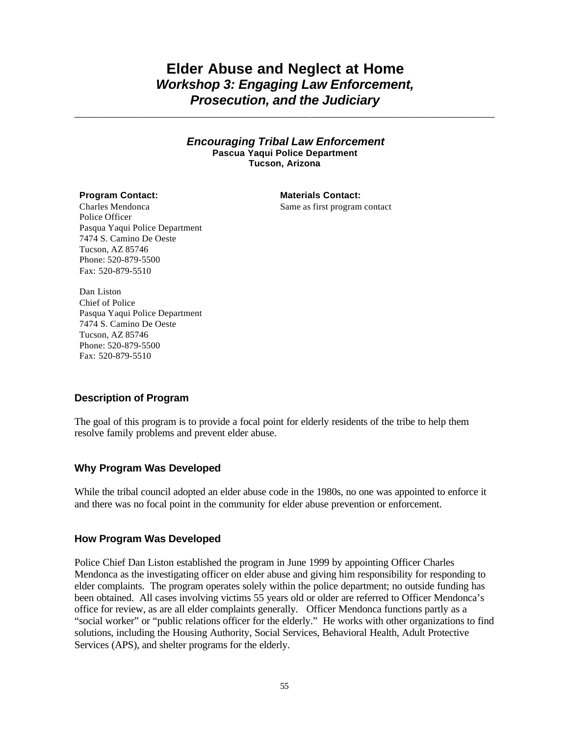# **Elder Abuse and Neglect at Home** *Workshop 3: Engaging Law Enforcement, Prosecution, and the Judiciary*

*\_\_\_\_\_\_\_\_\_\_\_\_\_\_\_\_\_\_\_\_\_\_\_\_\_\_\_\_\_\_\_\_\_\_\_\_\_\_\_\_\_\_\_\_\_\_*\_\_\_\_\_\_\_\_\_\_\_\_\_\_\_\_\_\_\_\_\_\_*\_\_\_\_\_\_\_\_\_\_\_\_\_\_*

### *Encouraging Tribal Law Enforcement* **Pascua Yaqui Police Department Tucson, Arizona**

### **Program Contact: Materials Contact:**

Same as first program contact

Charles Mendonca Police Officer Pasqua Yaqui Police Department 7474 S. Camino De Oeste Tucson, AZ 85746 Phone: 520-879-5500 Fax: 520-879-5510

Dan Liston Chief of Police Pasqua Yaqui Police Department 7474 S. Camino De Oeste Tucson, AZ 85746 Phone: 520-879-5500 Fax: 520-879-5510

### **Description of Program**

The goal of this program is to provide a focal point for elderly residents of the tribe to help them resolve family problems and prevent elder abuse.

### **Why Program Was Developed**

While the tribal council adopted an elder abuse code in the 1980s, no one was appointed to enforce it and there was no focal point in the community for elder abuse prevention or enforcement.

### **How Program Was Developed**

Police Chief Dan Liston established the program in June 1999 by appointing Officer Charles Mendonca as the investigating officer on elder abuse and giving him responsibility for responding to elder complaints. The program operates solely within the police department; no outside funding has been obtained. All cases involving victims 55 years old or older are referred to Officer Mendonca's office for review, as are all elder complaints generally. Officer Mendonca functions partly as a "social worker" or "public relations officer for the elderly." He works with other organizations to find solutions, including the Housing Authority, Social Services, Behavioral Health, Adult Protective Services (APS), and shelter programs for the elderly.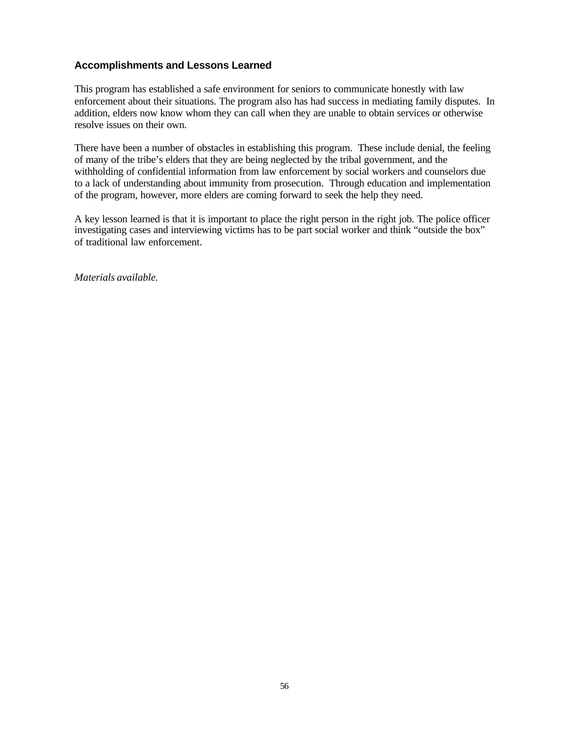## **Accomplishments and Lessons Learned**

This program has established a safe environment for seniors to communicate honestly with law enforcement about their situations. The program also has had success in mediating family disputes. In addition, elders now know whom they can call when they are unable to obtain services or otherwise resolve issues on their own.

There have been a number of obstacles in establishing this program. These include denial, the feeling of many of the tribe's elders that they are being neglected by the tribal government, and the withholding of confidential information from law enforcement by social workers and counselors due to a lack of understanding about immunity from prosecution. Through education and implementation of the program, however, more elders are coming forward to seek the help they need.

A key lesson learned is that it is important to place the right person in the right job. The police officer investigating cases and interviewing victims has to be part social worker and think "outside the box" of traditional law enforcement.

*Materials available.*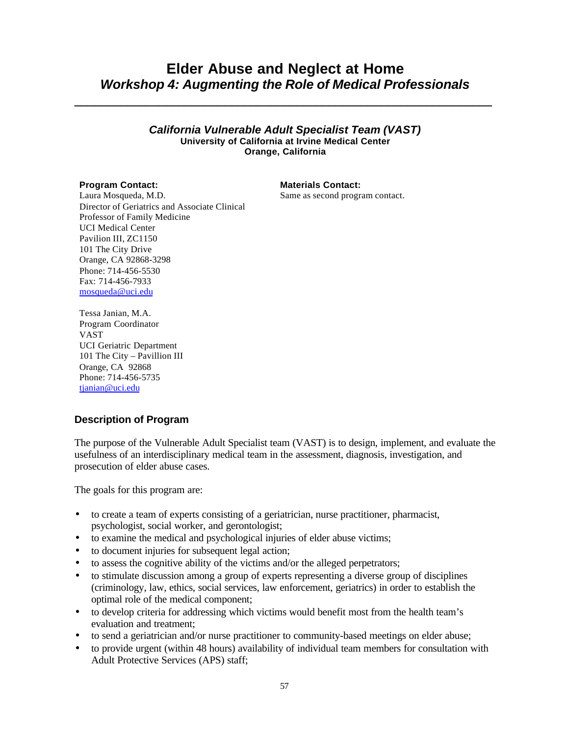# **Elder Abuse and Neglect at Home** *Workshop 4: Augmenting the Role of Medical Professionals*

**\_\_\_\_\_\_\_\_\_\_\_\_\_\_\_\_\_\_\_\_\_\_\_\_\_\_\_\_\_\_\_\_\_\_\_\_\_\_\_\_\_\_\_\_\_\_\_\_\_\_\_\_\_\_\_\_\_\_\_\_\_\_\_\_**

### *California Vulnerable Adult Specialist Team (VAST)* **University of California at Irvine Medical Center Orange, California**

### **Program Contact: Materials Contact:**

Laura Mosqueda, M.D. Director of Geriatrics and Associate Clinical Professor of Family Medicine UCI Medical Center Pavilion III, ZC1150 101 The City Drive Orange, CA 92868-3298 Phone: 714-456-5530 Fax: 714-456-7933 mosqueda@uci.edu

Same as second program contact.

Tessa Janian, M.A. Program Coordinator VAST UCI Geriatric Department 101 The City – Pavillion III Orange, CA 92868 Phone: 714-456-5735 tianian@uci.edu

# **Description of Program**

The purpose of the Vulnerable Adult Specialist team (VAST) is to design, implement, and evaluate the usefulness of an interdisciplinary medical team in the assessment, diagnosis, investigation, and prosecution of elder abuse cases.

The goals for this program are:

- to create a team of experts consisting of a geriatrician, nurse practitioner, pharmacist, psychologist, social worker, and gerontologist;
- to examine the medical and psychological injuries of elder abuse victims;
- to document injuries for subsequent legal action;
- to assess the cognitive ability of the victims and/or the alleged perpetrators;
- to stimulate discussion among a group of experts representing a diverse group of disciplines (criminology, law, ethics, social services, law enforcement, geriatrics) in order to establish the optimal role of the medical component;
- to develop criteria for addressing which victims would benefit most from the health team's evaluation and treatment;
- to send a geriatrician and/or nurse practitioner to community-based meetings on elder abuse;
- to provide urgent (within 48 hours) availability of individual team members for consultation with Adult Protective Services (APS) staff;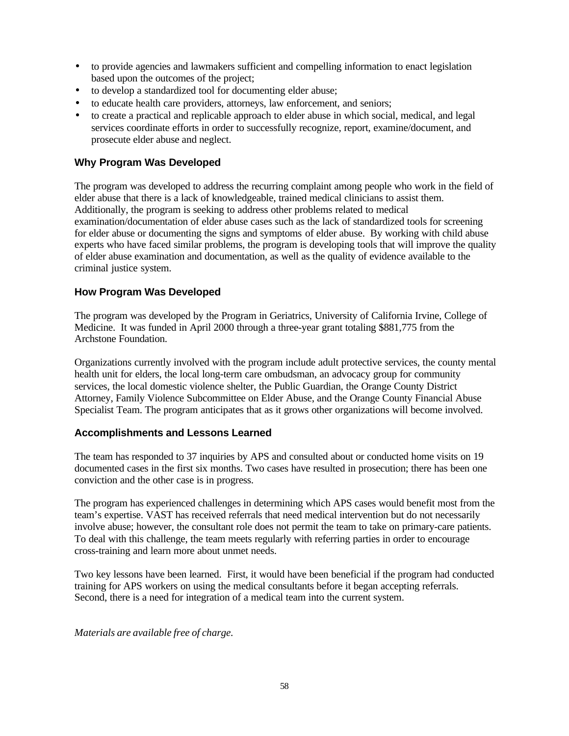- to provide agencies and lawmakers sufficient and compelling information to enact legislation based upon the outcomes of the project;
- to develop a standardized tool for documenting elder abuse;
- to educate health care providers, attorneys, law enforcement, and seniors;
- to create a practical and replicable approach to elder abuse in which social, medical, and legal services coordinate efforts in order to successfully recognize, report, examine/document, and prosecute elder abuse and neglect.

# **Why Program Was Developed**

The program was developed to address the recurring complaint among people who work in the field of elder abuse that there is a lack of knowledgeable, trained medical clinicians to assist them. Additionally, the program is seeking to address other problems related to medical examination/documentation of elder abuse cases such as the lack of standardized tools for screening for elder abuse or documenting the signs and symptoms of elder abuse. By working with child abuse experts who have faced similar problems, the program is developing tools that will improve the quality of elder abuse examination and documentation, as well as the quality of evidence available to the criminal justice system.

# **How Program Was Developed**

The program was developed by the Program in Geriatrics, University of California Irvine, College of Medicine. It was funded in April 2000 through a three-year grant totaling \$881,775 from the Archstone Foundation.

Organizations currently involved with the program include adult protective services, the county mental health unit for elders, the local long-term care ombudsman, an advocacy group for community services, the local domestic violence shelter, the Public Guardian, the Orange County District Attorney, Family Violence Subcommittee on Elder Abuse, and the Orange County Financial Abuse Specialist Team. The program anticipates that as it grows other organizations will become involved.

# **Accomplishments and Lessons Learned**

The team has responded to 37 inquiries by APS and consulted about or conducted home visits on 19 documented cases in the first six months. Two cases have resulted in prosecution; there has been one conviction and the other case is in progress.

The program has experienced challenges in determining which APS cases would benefit most from the team's expertise. VAST has received referrals that need medical intervention but do not necessarily involve abuse; however, the consultant role does not permit the team to take on primary-care patients. To deal with this challenge, the team meets regularly with referring parties in order to encourage cross-training and learn more about unmet needs.

Two key lessons have been learned. First, it would have been beneficial if the program had conducted training for APS workers on using the medical consultants before it began accepting referrals. Second, there is a need for integration of a medical team into the current system.

*Materials are available free of charge.*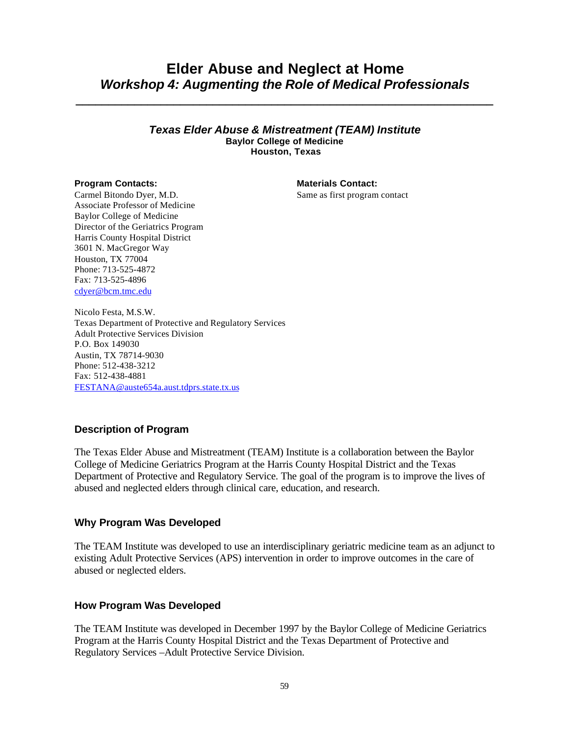# **Elder Abuse and Neglect at Home** *Workshop 4: Augmenting the Role of Medical Professionals*

*\_\_\_\_\_\_\_\_\_\_\_\_\_\_\_\_\_\_\_\_\_\_\_\_\_\_\_\_\_\_\_\_\_\_\_\_\_\_\_\_\_\_\_\_\_\_\_\_\_\_\_\_\_\_\_\_\_\_\_\_\_\_\_\_*

### *Texas Elder Abuse & Mistreatment (TEAM) Institute* **Baylor College of Medicine Houston, Texas**

### **Program Contacts: Materials Contact: Materials Contact:**

Same as first program contact

Carmel Bitondo Dyer, M.D. Associate Professor of Medicine Baylor College of Medicine Director of the Geriatrics Program Harris County Hospital District 3601 N. MacGregor Way Houston, TX 77004 Phone: 713-525-4872 Fax: 713-525-4896 cdyer@bcm.tmc.edu

Nicolo Festa, M.S.W. Texas Department of Protective and Regulatory Services Adult Protective Services Division P.O. Box 149030 Austin, TX 78714-9030 Phone: 512-438-3212 Fax: 512-438-4881 FESTANA@auste654a.aust.tdprs.state.tx.us

# **Description of Program**

The Texas Elder Abuse and Mistreatment (TEAM) Institute is a collaboration between the Baylor College of Medicine Geriatrics Program at the Harris County Hospital District and the Texas Department of Protective and Regulatory Service. The goal of the program is to improve the lives of abused and neglected elders through clinical care, education, and research.

### **Why Program Was Developed**

The TEAM Institute was developed to use an interdisciplinary geriatric medicine team as an adjunct to existing Adult Protective Services (APS) intervention in order to improve outcomes in the care of abused or neglected elders.

### **How Program Was Developed**

The TEAM Institute was developed in December 1997 by the Baylor College of Medicine Geriatrics Program at the Harris County Hospital District and the Texas Department of Protective and Regulatory Services –Adult Protective Service Division.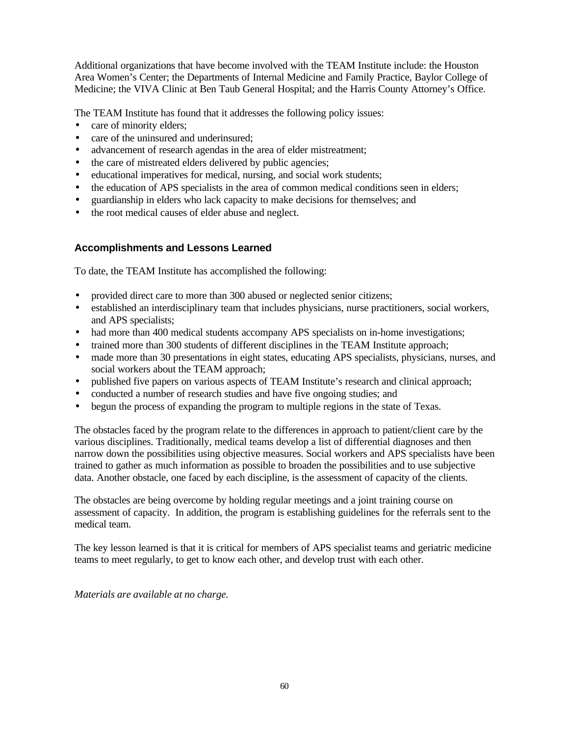Additional organizations that have become involved with the TEAM Institute include: the Houston Area Women's Center; the Departments of Internal Medicine and Family Practice, Baylor College of Medicine; the VIVA Clinic at Ben Taub General Hospital; and the Harris County Attorney's Office.

The TEAM Institute has found that it addresses the following policy issues:

- care of minority elders:
- care of the uninsured and underinsured;
- advancement of research agendas in the area of elder mistreatment;
- the care of mistreated elders delivered by public agencies;
- educational imperatives for medical, nursing, and social work students;
- the education of APS specialists in the area of common medical conditions seen in elders;
- guardianship in elders who lack capacity to make decisions for themselves; and
- the root medical causes of elder abuse and neglect.

# **Accomplishments and Lessons Learned**

To date, the TEAM Institute has accomplished the following:

- provided direct care to more than 300 abused or neglected senior citizens;
- established an interdisciplinary team that includes physicians, nurse practitioners, social workers, and APS specialists;
- had more than 400 medical students accompany APS specialists on in-home investigations;
- trained more than 300 students of different disciplines in the TEAM Institute approach;
- made more than 30 presentations in eight states, educating APS specialists, physicians, nurses, and social workers about the TEAM approach;
- published five papers on various aspects of TEAM Institute's research and clinical approach;
- conducted a number of research studies and have five ongoing studies; and
- begun the process of expanding the program to multiple regions in the state of Texas.

The obstacles faced by the program relate to the differences in approach to patient/client care by the various disciplines. Traditionally, medical teams develop a list of differential diagnoses and then narrow down the possibilities using objective measures. Social workers and APS specialists have been trained to gather as much information as possible to broaden the possibilities and to use subjective data. Another obstacle, one faced by each discipline, is the assessment of capacity of the clients.

The obstacles are being overcome by holding regular meetings and a joint training course on assessment of capacity. In addition, the program is establishing guidelines for the referrals sent to the medical team.

The key lesson learned is that it is critical for members of APS specialist teams and geriatric medicine teams to meet regularly, to get to know each other, and develop trust with each other.

*Materials are available at no charge.*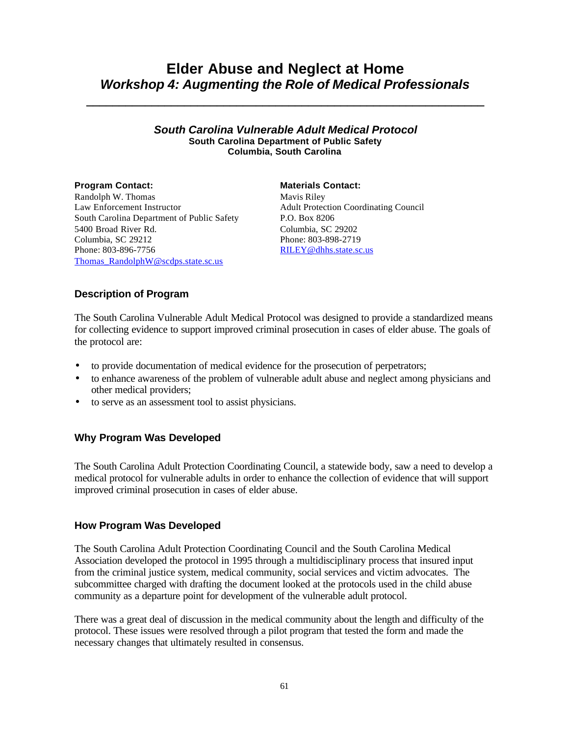# **Elder Abuse and Neglect at Home** *Workshop 4: Augmenting the Role of Medical Professionals*

**\_\_\_\_\_\_\_\_\_\_\_\_\_\_\_\_\_\_\_\_\_\_\_\_\_\_\_\_\_\_\_\_\_\_\_\_\_\_\_\_\_\_\_\_\_\_\_\_\_\_\_\_\_\_\_\_\_\_\_\_\_**

### *South Carolina Vulnerable Adult Medical Protocol* **South Carolina Department of Public Safety Columbia, South Carolina**

Randolph W. Thomas Law Enforcement Instructor South Carolina Department of Public Safety 5400 Broad River Rd. Columbia, SC 29212 Phone: 803-896-7756 Thomas RandolphW@scdps.state.sc.us

### **Program Contact: Materials Contact:**

Mavis Riley Adult Protection Coordinating Council P.O. Box 8206 Columbia, SC 29202 Phone: 803-898-2719 RILEY@dhhs.state.sc.us

# **Description of Program**

The South Carolina Vulnerable Adult Medical Protocol was designed to provide a standardized means for collecting evidence to support improved criminal prosecution in cases of elder abuse. The goals of the protocol are:

- to provide documentation of medical evidence for the prosecution of perpetrators;
- to enhance awareness of the problem of vulnerable adult abuse and neglect among physicians and other medical providers;
- to serve as an assessment tool to assist physicians.

# **Why Program Was Developed**

The South Carolina Adult Protection Coordinating Council, a statewide body, saw a need to develop a medical protocol for vulnerable adults in order to enhance the collection of evidence that will support improved criminal prosecution in cases of elder abuse.

### **How Program Was Developed**

The South Carolina Adult Protection Coordinating Council and the South Carolina Medical Association developed the protocol in 1995 through a multidisciplinary process that insured input from the criminal justice system, medical community, social services and victim advocates. The subcommittee charged with drafting the document looked at the protocols used in the child abuse community as a departure point for development of the vulnerable adult protocol.

There was a great deal of discussion in the medical community about the length and difficulty of the protocol. These issues were resolved through a pilot program that tested the form and made the necessary changes that ultimately resulted in consensus.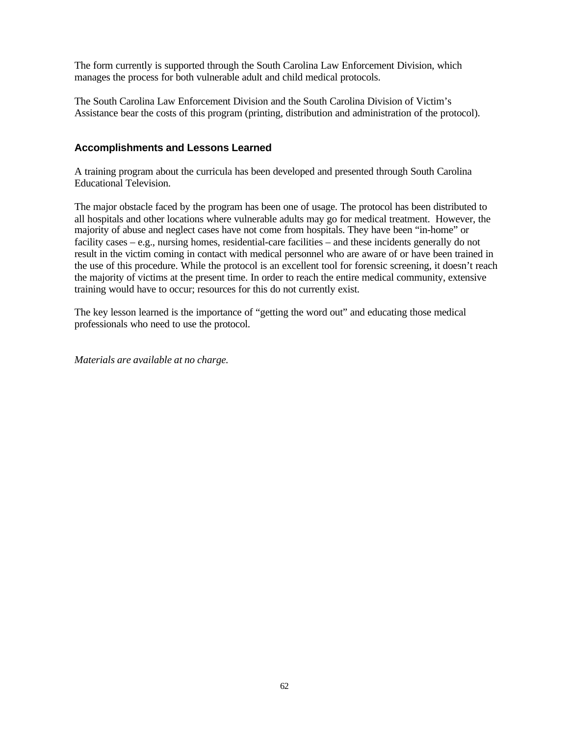The form currently is supported through the South Carolina Law Enforcement Division, which manages the process for both vulnerable adult and child medical protocols.

The South Carolina Law Enforcement Division and the South Carolina Division of Victim's Assistance bear the costs of this program (printing, distribution and administration of the protocol).

## **Accomplishments and Lessons Learned**

A training program about the curricula has been developed and presented through South Carolina Educational Television.

The major obstacle faced by the program has been one of usage. The protocol has been distributed to all hospitals and other locations where vulnerable adults may go for medical treatment. However, the majority of abuse and neglect cases have not come from hospitals. They have been "in-home" or facility cases – e.g., nursing homes, residential-care facilities – and these incidents generally do not result in the victim coming in contact with medical personnel who are aware of or have been trained in the use of this procedure. While the protocol is an excellent tool for forensic screening, it doesn't reach the majority of victims at the present time. In order to reach the entire medical community, extensive training would have to occur; resources for this do not currently exist.

The key lesson learned is the importance of "getting the word out" and educating those medical professionals who need to use the protocol.

*Materials are available at no charge.*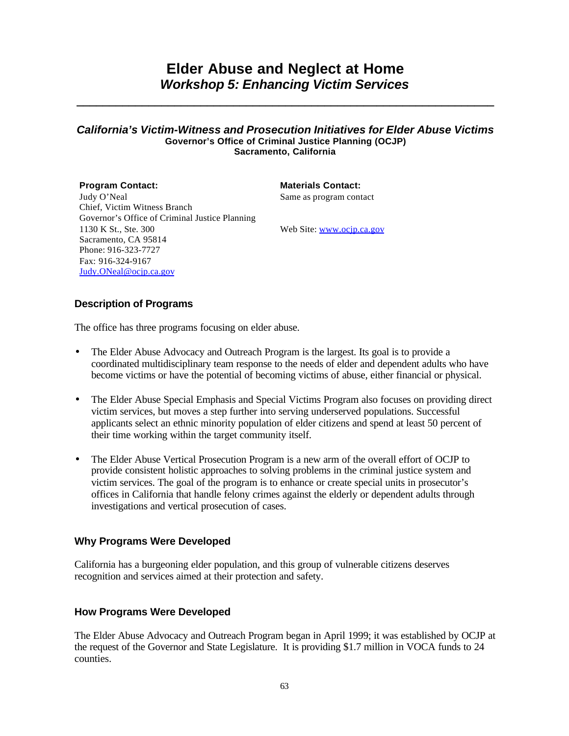# **Elder Abuse and Neglect at Home** *Workshop 5: Enhancing Victim Services*

**\_\_\_\_\_\_\_\_\_\_\_\_\_\_\_\_\_\_\_\_\_\_\_\_\_\_\_\_\_\_\_\_\_\_\_\_\_\_\_\_\_\_\_\_\_\_\_\_\_\_\_\_\_\_\_\_\_\_\_\_\_\_\_\_**

### *California's Victim-Witness and Prosecution Initiatives for Elder Abuse Victims* **Governor's Office of Criminal Justice Planning (OCJP) Sacramento, California**

**Program Contact: Materials Contact:** Judy O'Neal Chief, Victim Witness Branch Governor's Office of Criminal Justice Planning 1130 K St., Ste. 300 Sacramento, CA 95814 Phone: 916-323-7727 Fax: 916-324-9167 Judy.ONeal@ocjp.ca.gov

Same as program contact

Web Site: www.ocjp.ca.gov

# **Description of Programs**

The office has three programs focusing on elder abuse.

- The Elder Abuse Advocacy and Outreach Program is the largest. Its goal is to provide a coordinated multidisciplinary team response to the needs of elder and dependent adults who have become victims or have the potential of becoming victims of abuse, either financial or physical.
- The Elder Abuse Special Emphasis and Special Victims Program also focuses on providing direct victim services, but moves a step further into serving underserved populations. Successful applicants select an ethnic minority population of elder citizens and spend at least 50 percent of their time working within the target community itself.
- The Elder Abuse Vertical Prosecution Program is a new arm of the overall effort of OCJP to provide consistent holistic approaches to solving problems in the criminal justice system and victim services. The goal of the program is to enhance or create special units in prosecutor's offices in California that handle felony crimes against the elderly or dependent adults through investigations and vertical prosecution of cases.

### **Why Programs Were Developed**

California has a burgeoning elder population, and this group of vulnerable citizens deserves recognition and services aimed at their protection and safety.

### **How Programs Were Developed**

The Elder Abuse Advocacy and Outreach Program began in April 1999; it was established by OCJP at the request of the Governor and State Legislature. It is providing \$1.7 million in VOCA funds to 24 counties.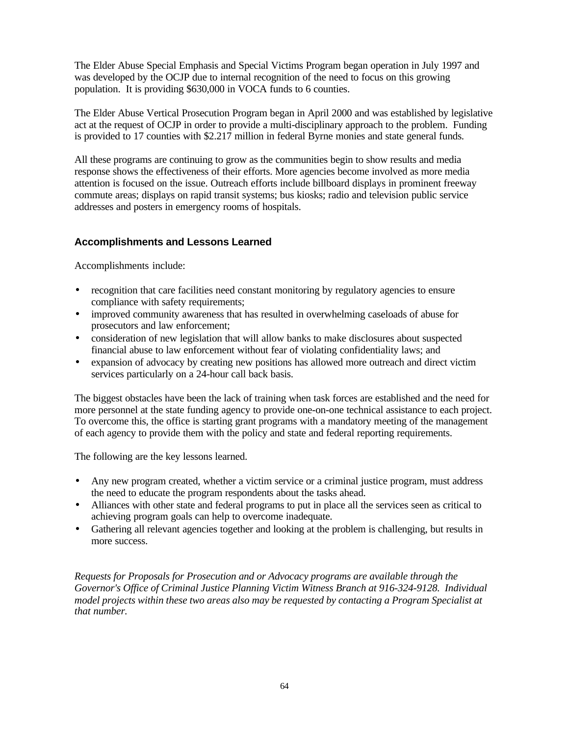The Elder Abuse Special Emphasis and Special Victims Program began operation in July 1997 and was developed by the OCJP due to internal recognition of the need to focus on this growing population. It is providing \$630,000 in VOCA funds to 6 counties.

The Elder Abuse Vertical Prosecution Program began in April 2000 and was established by legislative act at the request of OCJP in order to provide a multi-disciplinary approach to the problem. Funding is provided to 17 counties with \$2.217 million in federal Byrne monies and state general funds.

All these programs are continuing to grow as the communities begin to show results and media response shows the effectiveness of their efforts. More agencies become involved as more media attention is focused on the issue. Outreach efforts include billboard displays in prominent freeway commute areas; displays on rapid transit systems; bus kiosks; radio and television public service addresses and posters in emergency rooms of hospitals.

# **Accomplishments and Lessons Learned**

Accomplishments include:

- recognition that care facilities need constant monitoring by regulatory agencies to ensure compliance with safety requirements;
- improved community awareness that has resulted in overwhelming caseloads of abuse for prosecutors and law enforcement;
- consideration of new legislation that will allow banks to make disclosures about suspected financial abuse to law enforcement without fear of violating confidentiality laws; and
- expansion of advocacy by creating new positions has allowed more outreach and direct victim services particularly on a 24-hour call back basis.

The biggest obstacles have been the lack of training when task forces are established and the need for more personnel at the state funding agency to provide one-on-one technical assistance to each project. To overcome this, the office is starting grant programs with a mandatory meeting of the management of each agency to provide them with the policy and state and federal reporting requirements.

The following are the key lessons learned.

- Any new program created, whether a victim service or a criminal justice program, must address the need to educate the program respondents about the tasks ahead.
- Alliances with other state and federal programs to put in place all the services seen as critical to achieving program goals can help to overcome inadequate.
- Gathering all relevant agencies together and looking at the problem is challenging, but results in more success.

*Requests for Proposals for Prosecution and or Advocacy programs are available through the Governor's Office of Criminal Justice Planning Victim Witness Branch at 916-324-9128. Individual model projects within these two areas also may be requested by contacting a Program Specialist at that number.*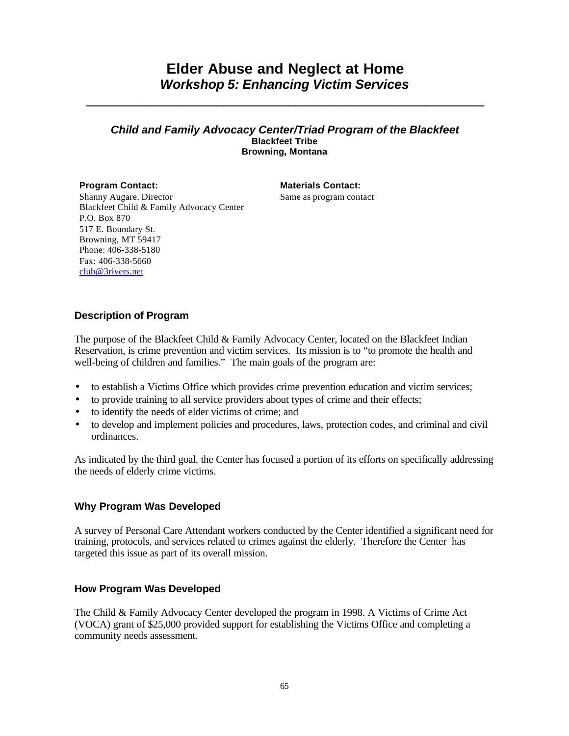# **Elder Abuse and Neglect at Home** *Workshop 5: Enhancing Victim Services*

**\_\_\_\_\_\_\_\_\_\_\_\_\_\_\_\_\_\_\_\_\_\_\_\_\_\_\_\_\_\_\_\_\_\_\_\_\_\_\_\_\_\_\_\_\_\_\_\_\_\_\_\_\_\_\_\_\_\_\_\_\_**

### *Child and Family Advocacy Center/Triad Program of the Blackfeet* **Blackfeet Tribe Browning, Montana**

# **Program Contact: Materials Contact:**

Same as program contact

Shanny Augare, Director Blackfeet Child & Family Advocacy Center P.O. Box 870 517 E. Boundary St. Browning, MT 59417 Phone: 406-338-5180 Fax: 406-338-5660 club@3rivers.net

# **Description of Program**

The purpose of the Blackfeet Child & Family Advocacy Center, located on the Blackfeet Indian Reservation, is crime prevention and victim services. Its mission is to "to promote the health and well-being of children and families." The main goals of the program are:

- to establish a Victims Office which provides crime prevention education and victim services;
- to provide training to all service providers about types of crime and their effects;
- to identify the needs of elder victims of crime; and
- to develop and implement policies and procedures, laws, protection codes, and criminal and civil ordinances.

As indicated by the third goal, the Center has focused a portion of its efforts on specifically addressing the needs of elderly crime victims.

# **Why Program Was Developed**

A survey of Personal Care Attendant workers conducted by the Center identified a significant need for training, protocols, and services related to crimes against the elderly. Therefore the Center has targeted this issue as part of its overall mission.

# **How Program Was Developed**

The Child & Family Advocacy Center developed the program in 1998. A Victims of Crime Act (VOCA) grant of \$25,000 provided support for establishing the Victims Office and completing a community needs assessment.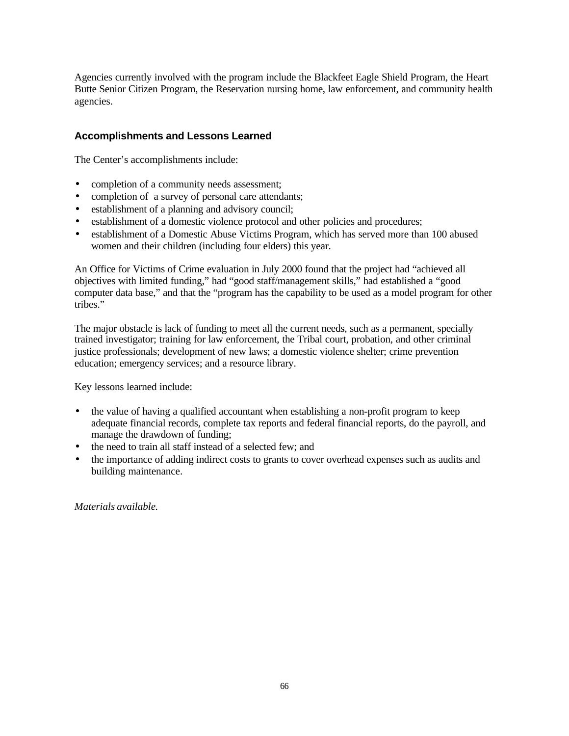Agencies currently involved with the program include the Blackfeet Eagle Shield Program, the Heart Butte Senior Citizen Program, the Reservation nursing home, law enforcement, and community health agencies.

# **Accomplishments and Lessons Learned**

The Center's accomplishments include:

- completion of a community needs assessment;
- completion of a survey of personal care attendants;
- establishment of a planning and advisory council;
- establishment of a domestic violence protocol and other policies and procedures;
- establishment of a Domestic Abuse Victims Program, which has served more than 100 abused women and their children (including four elders) this year.

An Office for Victims of Crime evaluation in July 2000 found that the project had "achieved all objectives with limited funding," had "good staff/management skills," had established a "good computer data base," and that the "program has the capability to be used as a model program for other tribes."

The major obstacle is lack of funding to meet all the current needs, such as a permanent, specially trained investigator; training for law enforcement, the Tribal court, probation, and other criminal justice professionals; development of new laws; a domestic violence shelter; crime prevention education; emergency services; and a resource library.

Key lessons learned include:

- the value of having a qualified accountant when establishing a non-profit program to keep adequate financial records, complete tax reports and federal financial reports, do the payroll, and manage the drawdown of funding;
- the need to train all staff instead of a selected few; and
- the importance of adding indirect costs to grants to cover overhead expenses such as audits and building maintenance.

*Materials available.*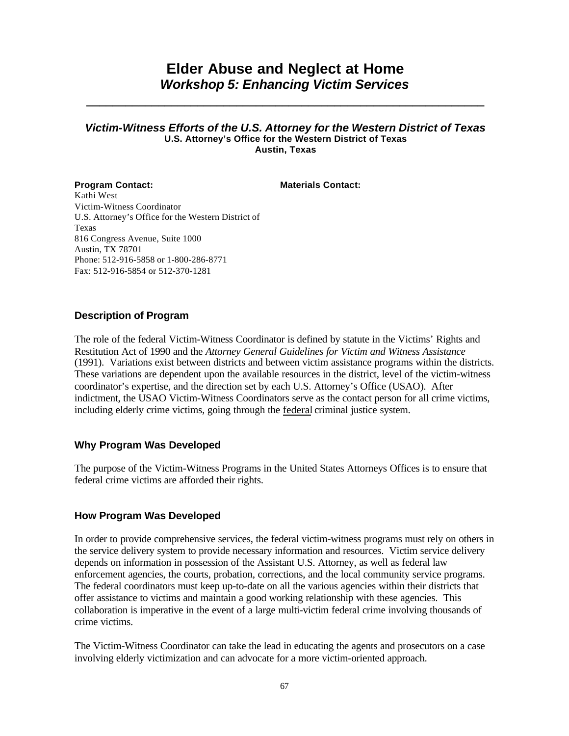# **Elder Abuse and Neglect at Home** *Workshop 5: Enhancing Victim Services*

**\_\_\_\_\_\_\_\_\_\_\_\_\_\_\_\_\_\_\_\_\_\_\_\_\_\_\_\_\_\_\_\_\_\_\_\_\_\_\_\_\_\_\_\_\_\_\_\_\_\_\_\_\_\_\_\_\_\_\_\_\_**

### *Victim-Witness Efforts of the U.S. Attorney for the Western District of Texas* **U.S. Attorney's Office for the Western District of Texas Austin, Texas**

**Program Contact: Materials Contact:** Kathi West Victim-Witness Coordinator U.S. Attorney's Office for the Western District of Texas 816 Congress Avenue, Suite 1000 Austin, TX 78701 Phone: 512-916-5858 or 1-800-286-8771 Fax: 512-916-5854 or 512-370-1281

## **Description of Program**

The role of the federal Victim-Witness Coordinator is defined by statute in the Victims' Rights and Restitution Act of 1990 and the *Attorney General Guidelines for Victim and Witness Assistance* (1991). Variations exist between districts and between victim assistance programs within the districts. These variations are dependent upon the available resources in the district, level of the victim-witness coordinator's expertise, and the direction set by each U.S. Attorney's Office (USAO). After indictment, the USAO Victim-Witness Coordinators serve as the contact person for all crime victims, including elderly crime victims, going through the federal criminal justice system.

# **Why Program Was Developed**

The purpose of the Victim-Witness Programs in the United States Attorneys Offices is to ensure that federal crime victims are afforded their rights.

### **How Program Was Developed**

In order to provide comprehensive services, the federal victim-witness programs must rely on others in the service delivery system to provide necessary information and resources. Victim service delivery depends on information in possession of the Assistant U.S. Attorney, as well as federal law enforcement agencies, the courts, probation, corrections, and the local community service programs. The federal coordinators must keep up-to-date on all the various agencies within their districts that offer assistance to victims and maintain a good working relationship with these agencies. This collaboration is imperative in the event of a large multi-victim federal crime involving thousands of crime victims.

The Victim-Witness Coordinator can take the lead in educating the agents and prosecutors on a case involving elderly victimization and can advocate for a more victim-oriented approach.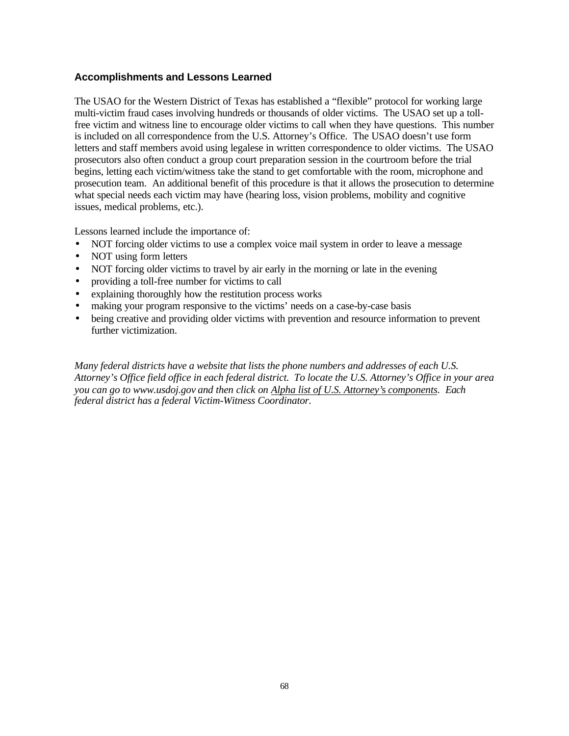# **Accomplishments and Lessons Learned**

The USAO for the Western District of Texas has established a "flexible" protocol for working large multi-victim fraud cases involving hundreds or thousands of older victims. The USAO set up a tollfree victim and witness line to encourage older victims to call when they have questions. This number is included on all correspondence from the U.S. Attorney's Office. The USAO doesn't use form letters and staff members avoid using legalese in written correspondence to older victims. The USAO prosecutors also often conduct a group court preparation session in the courtroom before the trial begins, letting each victim/witness take the stand to get comfortable with the room, microphone and prosecution team. An additional benefit of this procedure is that it allows the prosecution to determine what special needs each victim may have (hearing loss, vision problems, mobility and cognitive issues, medical problems, etc.).

Lessons learned include the importance of:

- NOT forcing older victims to use a complex voice mail system in order to leave a message
- NOT using form letters
- NOT forcing older victims to travel by air early in the morning or late in the evening
- providing a toll-free number for victims to call
- explaining thoroughly how the restitution process works
- making your program responsive to the victims' needs on a case-by-case basis
- being creative and providing older victims with prevention and resource information to prevent further victimization.

*Many federal districts have a website that lists the phone numbers and addresses of each U.S. Attorney's Office field office in each federal district. To locate the U.S. Attorney's Office in your area you can go to www.usdoj.gov and then click on Alpha list of U.S. Attorney'*s *components. Each federal district has a federal Victim-Witness Coordinator.*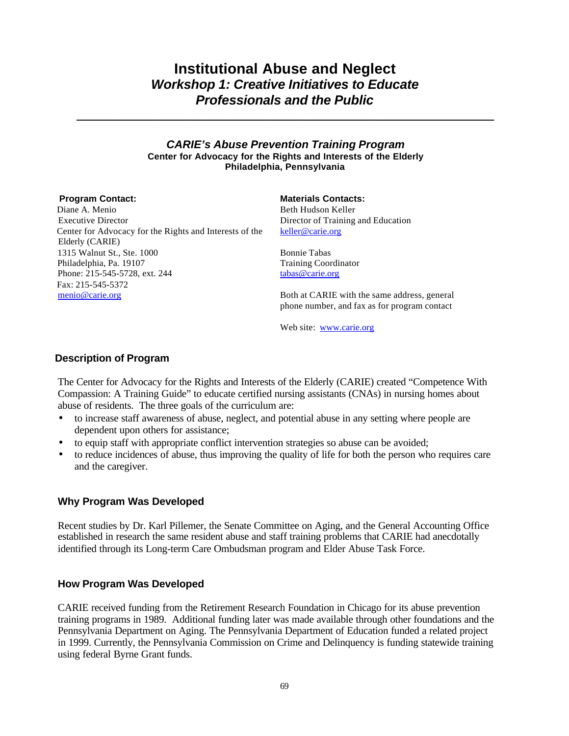# **Institutional Abuse and Neglect** *Workshop 1: Creative Initiatives to Educate Professionals and the Public*

**\_\_\_\_\_\_\_\_\_\_\_\_\_\_\_\_\_\_\_\_\_\_\_\_\_\_\_\_\_\_\_\_\_\_\_\_\_\_\_\_\_\_\_\_\_\_\_\_\_\_\_\_\_\_\_\_\_\_\_\_\_\_\_\_**

### *CARIE's Abuse Prevention Training Program* **Center for Advocacy for the Rights and Interests of the Elderly Philadelphia, Pennsylvania**

 Diane A. Menio Executive Director Center for Advocacy for the Rights and Interests of the Elderly (CARIE) 1315 Walnut St., Ste. 1000 Philadelphia, Pa. 19107 Phone: 215-545-5728, ext. 244 Fax: 215-545-5372 menio@carie.org

**Program Contact: Materials Contacts:** Beth Hudson Keller Director of Training and Education keller@carie.org

> Bonnie Tabas Training Coordinator tabas@carie.org

Both at CARIE with the same address, general phone number, and fax as for program contact

Web site: www.carie.org

## **Description of Program**

The Center for Advocacy for the Rights and Interests of the Elderly (CARIE) created "Competence With Compassion: A Training Guide" to educate certified nursing assistants (CNAs) in nursing homes about abuse of residents. The three goals of the curriculum are:

- to increase staff awareness of abuse, neglect, and potential abuse in any setting where people are dependent upon others for assistance;
- to equip staff with appropriate conflict intervention strategies so abuse can be avoided;
- to reduce incidences of abuse, thus improving the quality of life for both the person who requires care and the caregiver.

### **Why Program Was Developed**

Recent studies by Dr. Karl Pillemer, the Senate Committee on Aging, and the General Accounting Office established in research the same resident abuse and staff training problems that CARIE had anecdotally identified through its Long-term Care Ombudsman program and Elder Abuse Task Force.

### **How Program Was Developed**

CARIE received funding from the Retirement Research Foundation in Chicago for its abuse prevention training programs in 1989. Additional funding later was made available through other foundations and the Pennsylvania Department on Aging. The Pennsylvania Department of Education funded a related project in 1999. Currently, the Pennsylvania Commission on Crime and Delinquency is funding statewide training using federal Byrne Grant funds.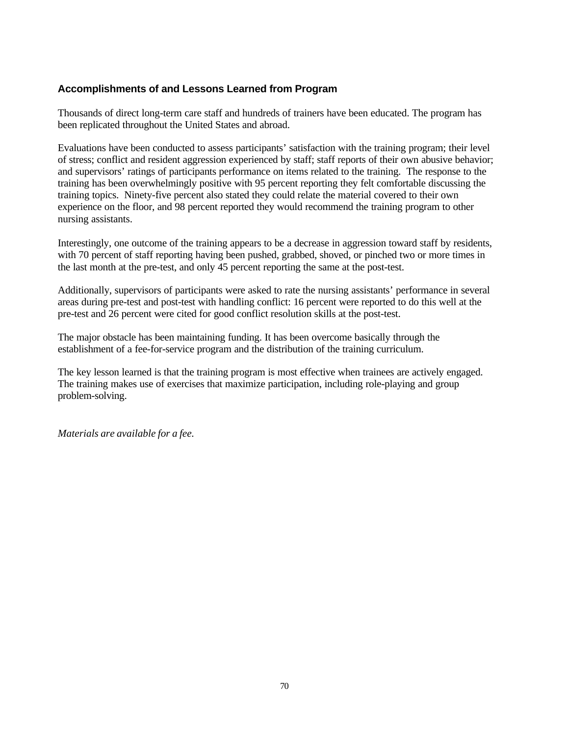# **Accomplishments of and Lessons Learned from Program**

Thousands of direct long-term care staff and hundreds of trainers have been educated. The program has been replicated throughout the United States and abroad.

Evaluations have been conducted to assess participants' satisfaction with the training program; their level of stress; conflict and resident aggression experienced by staff; staff reports of their own abusive behavior; and supervisors' ratings of participants performance on items related to the training. The response to the training has been overwhelmingly positive with 95 percent reporting they felt comfortable discussing the training topics. Ninety-five percent also stated they could relate the material covered to their own experience on the floor, and 98 percent reported they would recommend the training program to other nursing assistants.

Interestingly, one outcome of the training appears to be a decrease in aggression toward staff by residents, with 70 percent of staff reporting having been pushed, grabbed, shoved, or pinched two or more times in the last month at the pre-test, and only 45 percent reporting the same at the post-test.

Additionally, supervisors of participants were asked to rate the nursing assistants' performance in several areas during pre-test and post-test with handling conflict: 16 percent were reported to do this well at the pre-test and 26 percent were cited for good conflict resolution skills at the post-test.

The major obstacle has been maintaining funding. It has been overcome basically through the establishment of a fee-for-service program and the distribution of the training curriculum.

The key lesson learned is that the training program is most effective when trainees are actively engaged. The training makes use of exercises that maximize participation, including role-playing and group problem-solving.

*Materials are available for a fee.*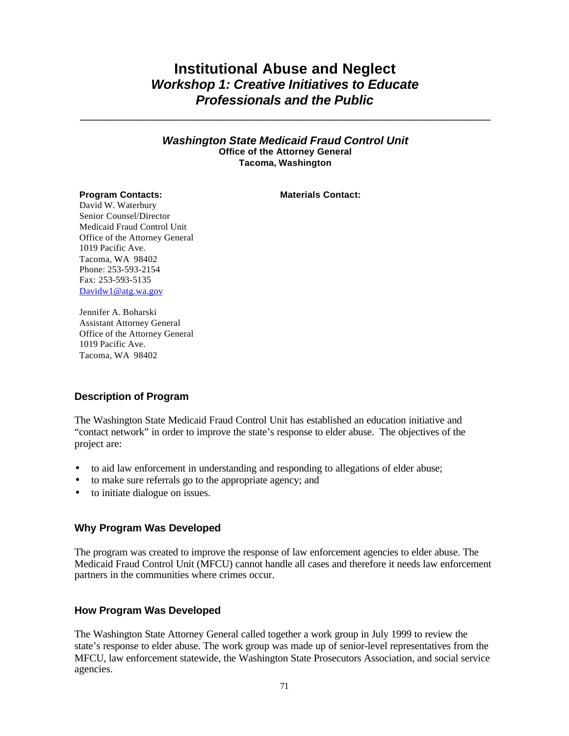# **Institutional Abuse and Neglect** *Workshop 1: Creative Initiatives to Educate Professionals and the Public*

\_\_\_\_\_\_\_\_\_\_\_\_\_\_\_\_\_\_\_\_\_\_\_\_\_\_\_\_\_\_\_\_\_\_\_\_\_\_\_\_\_\_\_\_\_\_\_\_\_\_\_\_\_\_\_\_\_\_\_\_\_\_\_\_\_\_

*Washington State Medicaid Fraud Control Unit* **Office of the Attorney General Tacoma, Washington**

### **Program Contacts: Materials Contact:**

David W. Waterbury Senior Counsel/Director Medicaid Fraud Control Unit Office of the Attorney General 1019 Pacific Ave. Tacoma, WA 98402 Phone: 253-593-2154 Fax: 253-593-5135 Davidw1@atg.wa.gov

Jennifer A. Boharski Assistant Attorney General Office of the Attorney General 1019 Pacific Ave. Tacoma, WA 98402

### **Description of Program**

The Washington State Medicaid Fraud Control Unit has established an education initiative and "contact network" in order to improve the state's response to elder abuse. The objectives of the project are:

- to aid law enforcement in understanding and responding to allegations of elder abuse;
- to make sure referrals go to the appropriate agency; and
- to initiate dialogue on issues.

### **Why Program Was Developed**

The program was created to improve the response of law enforcement agencies to elder abuse. The Medicaid Fraud Control Unit (MFCU) cannot handle all cases and therefore it needs law enforcement partners in the communities where crimes occur.

### **How Program Was Developed**

The Washington State Attorney General called together a work group in July 1999 to review the state's response to elder abuse. The work group was made up of senior-level representatives from the MFCU, law enforcement statewide, the Washington State Prosecutors Association, and social service agencies.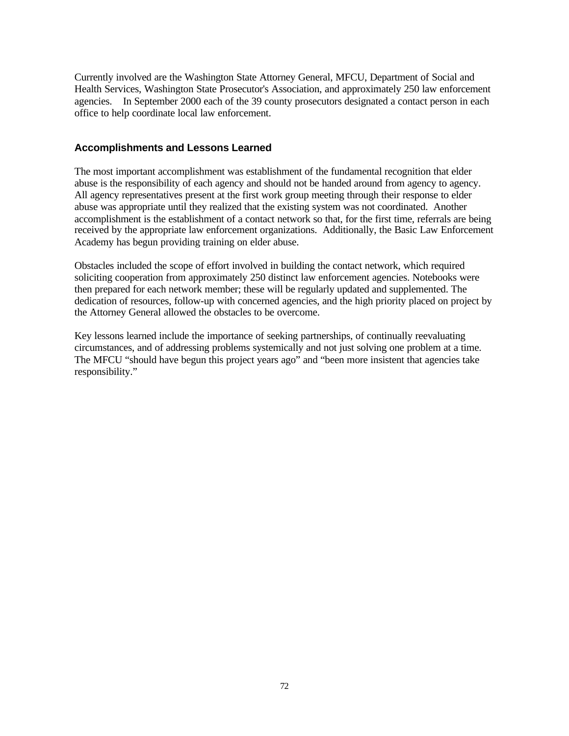Currently involved are the Washington State Attorney General, MFCU, Department of Social and Health Services, Washington State Prosecutor's Association, and approximately 250 law enforcement agencies. In September 2000 each of the 39 county prosecutors designated a contact person in each office to help coordinate local law enforcement.

## **Accomplishments and Lessons Learned**

The most important accomplishment was establishment of the fundamental recognition that elder abuse is the responsibility of each agency and should not be handed around from agency to agency. All agency representatives present at the first work group meeting through their response to elder abuse was appropriate until they realized that the existing system was not coordinated. Another accomplishment is the establishment of a contact network so that, for the first time, referrals are being received by the appropriate law enforcement organizations. Additionally, the Basic Law Enforcement Academy has begun providing training on elder abuse.

Obstacles included the scope of effort involved in building the contact network, which required soliciting cooperation from approximately 250 distinct law enforcement agencies. Notebooks were then prepared for each network member; these will be regularly updated and supplemented. The dedication of resources, follow-up with concerned agencies, and the high priority placed on project by the Attorney General allowed the obstacles to be overcome.

Key lessons learned include the importance of seeking partnerships, of continually reevaluating circumstances, and of addressing problems systemically and not just solving one problem at a time. The MFCU "should have begun this project years ago" and "been more insistent that agencies take responsibility."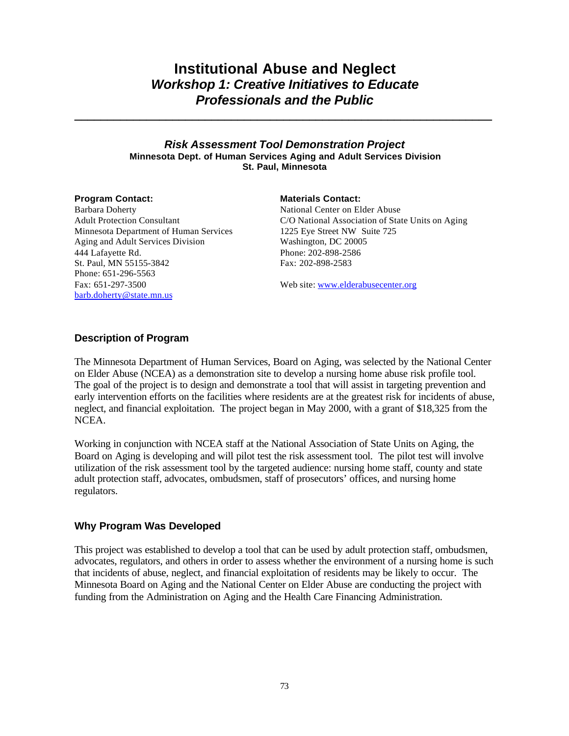## **Institutional Abuse and Neglect** *Workshop 1: Creative Initiatives to Educate Professionals and the Public*

**\_\_\_\_\_\_\_\_\_\_\_\_\_\_\_\_\_\_\_\_\_\_\_\_\_\_\_\_\_\_\_\_\_\_\_\_\_\_\_\_\_\_\_\_\_\_\_\_\_\_\_\_\_\_\_\_\_\_\_\_\_\_\_\_**

## *Risk Assessment Tool Demonstration Project* **Minnesota Dept. of Human Services Aging and Adult Services Division St. Paul, Minnesota**

Barbara Doherty Adult Protection Consultant Minnesota Department of Human Services Aging and Adult Services Division 444 Lafayette Rd. St. Paul, MN 55155-3842 Phone: 651-296-5563 Fax: 651-297-3500 barb.doherty@state.mn.us

### **Program Contact: Materials Contact:**

National Center on Elder Abuse C/O National Association of State Units on Aging 1225 Eye Street NW Suite 725 Washington, DC 20005 Phone: 202-898-2586 Fax: 202-898-2583

Web site: www.elderabusecenter.org

## **Description of Program**

The Minnesota Department of Human Services, Board on Aging, was selected by the National Center on Elder Abuse (NCEA) as a demonstration site to develop a nursing home abuse risk profile tool. The goal of the project is to design and demonstrate a tool that will assist in targeting prevention and early intervention efforts on the facilities where residents are at the greatest risk for incidents of abuse, neglect, and financial exploitation. The project began in May 2000, with a grant of \$18,325 from the NCEA.

Working in conjunction with NCEA staff at the National Association of State Units on Aging, the Board on Aging is developing and will pilot test the risk assessment tool. The pilot test will involve utilization of the risk assessment tool by the targeted audience: nursing home staff, county and state adult protection staff, advocates, ombudsmen, staff of prosecutors' offices, and nursing home regulators.

## **Why Program Was Developed**

This project was established to develop a tool that can be used by adult protection staff, ombudsmen, advocates, regulators, and others in order to assess whether the environment of a nursing home is such that incidents of abuse, neglect, and financial exploitation of residents may be likely to occur. The Minnesota Board on Aging and the National Center on Elder Abuse are conducting the project with funding from the Administration on Aging and the Health Care Financing Administration.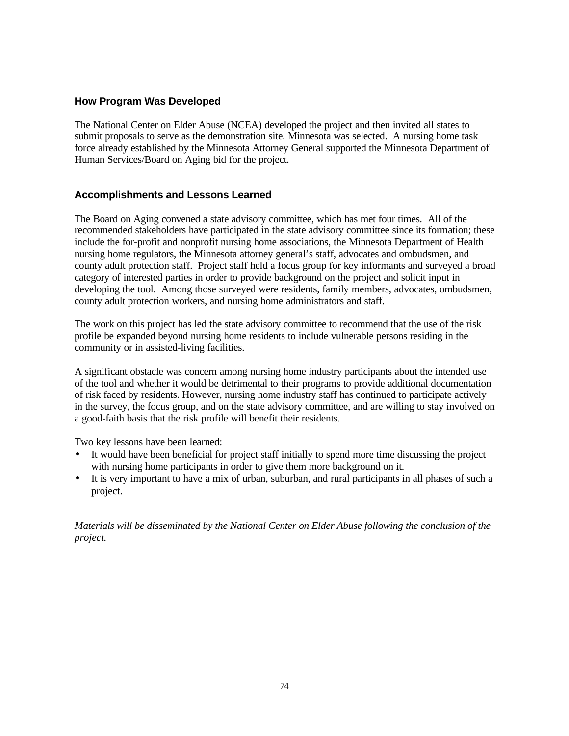## **How Program Was Developed**

The National Center on Elder Abuse (NCEA) developed the project and then invited all states to submit proposals to serve as the demonstration site. Minnesota was selected. A nursing home task force already established by the Minnesota Attorney General supported the Minnesota Department of Human Services/Board on Aging bid for the project.

## **Accomplishments and Lessons Learned**

The Board on Aging convened a state advisory committee, which has met four times. All of the recommended stakeholders have participated in the state advisory committee since its formation; these include the for-profit and nonprofit nursing home associations, the Minnesota Department of Health nursing home regulators, the Minnesota attorney general's staff, advocates and ombudsmen, and county adult protection staff. Project staff held a focus group for key informants and surveyed a broad category of interested parties in order to provide background on the project and solicit input in developing the tool. Among those surveyed were residents, family members, advocates, ombudsmen, county adult protection workers, and nursing home administrators and staff.

The work on this project has led the state advisory committee to recommend that the use of the risk profile be expanded beyond nursing home residents to include vulnerable persons residing in the community or in assisted-living facilities.

A significant obstacle was concern among nursing home industry participants about the intended use of the tool and whether it would be detrimental to their programs to provide additional documentation of risk faced by residents. However, nursing home industry staff has continued to participate actively in the survey, the focus group, and on the state advisory committee, and are willing to stay involved on a good-faith basis that the risk profile will benefit their residents.

Two key lessons have been learned:

- It would have been beneficial for project staff initially to spend more time discussing the project with nursing home participants in order to give them more background on it.
- It is very important to have a mix of urban, suburban, and rural participants in all phases of such a project.

*Materials will be disseminated by the National Center on Elder Abuse following the conclusion of the project.*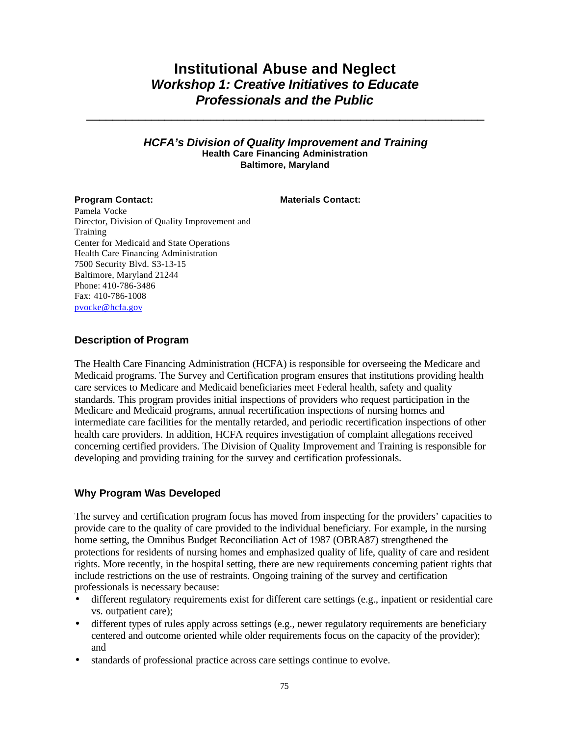## **Institutional Abuse and Neglect** *Workshop 1: Creative Initiatives to Educate Professionals and the Public*

**\_\_\_\_\_\_\_\_\_\_\_\_\_\_\_\_\_\_\_\_\_\_\_\_\_\_\_\_\_\_\_\_\_\_\_\_\_\_\_\_\_\_\_\_\_\_\_\_\_\_\_\_\_\_\_\_\_\_\_\_\_**

## *HCFA's Division of Quality Improvement and Training* **Health Care Financing Administration Baltimore, Maryland**

**Program Contact: Materials Contact: Materials Contact:** 

Pamela Vocke Director, Division of Quality Improvement and Training Center for Medicaid and State Operations Health Care Financing Administration 7500 Security Blvd. S3-13-15 Baltimore, Maryland 21244 Phone: 410-786-3486 Fax: 410-786-1008 pvocke@hcfa.gov

## **Description of Program**

The Health Care Financing Administration (HCFA) is responsible for overseeing the Medicare and Medicaid programs. The Survey and Certification program ensures that institutions providing health care services to Medicare and Medicaid beneficiaries meet Federal health, safety and quality standards. This program provides initial inspections of providers who request participation in the Medicare and Medicaid programs, annual recertification inspections of nursing homes and intermediate care facilities for the mentally retarded, and periodic recertification inspections of other health care providers. In addition, HCFA requires investigation of complaint allegations received concerning certified providers. The Division of Quality Improvement and Training is responsible for developing and providing training for the survey and certification professionals.

## **Why Program Was Developed**

The survey and certification program focus has moved from inspecting for the providers' capacities to provide care to the quality of care provided to the individual beneficiary. For example, in the nursing home setting, the Omnibus Budget Reconciliation Act of 1987 (OBRA87) strengthened the protections for residents of nursing homes and emphasized quality of life, quality of care and resident rights. More recently, in the hospital setting, there are new requirements concerning patient rights that include restrictions on the use of restraints. Ongoing training of the survey and certification professionals is necessary because:

- different regulatory requirements exist for different care settings (e.g., inpatient or residential care vs. outpatient care);
- different types of rules apply across settings (e.g., newer regulatory requirements are beneficiary centered and outcome oriented while older requirements focus on the capacity of the provider); and
- standards of professional practice across care settings continue to evolve.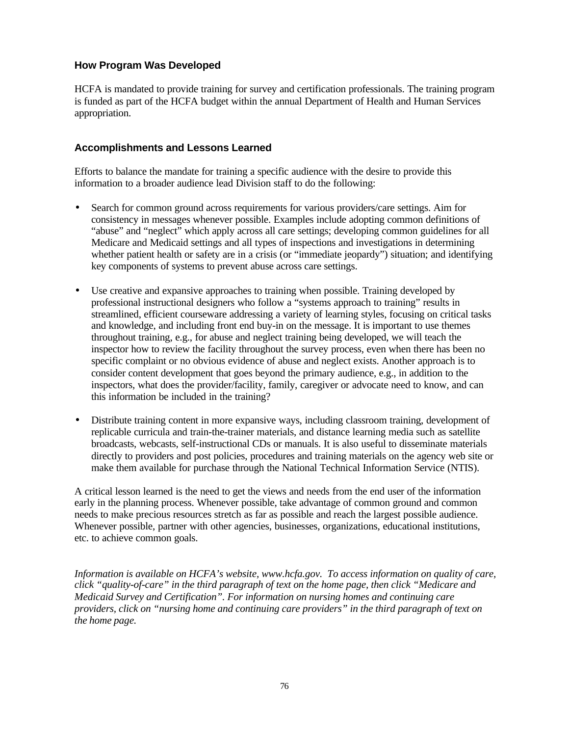## **How Program Was Developed**

HCFA is mandated to provide training for survey and certification professionals. The training program is funded as part of the HCFA budget within the annual Department of Health and Human Services appropriation.

## **Accomplishments and Lessons Learned**

Efforts to balance the mandate for training a specific audience with the desire to provide this information to a broader audience lead Division staff to do the following:

- Search for common ground across requirements for various providers/care settings. Aim for consistency in messages whenever possible. Examples include adopting common definitions of "abuse" and "neglect" which apply across all care settings; developing common guidelines for all Medicare and Medicaid settings and all types of inspections and investigations in determining whether patient health or safety are in a crisis (or "immediate jeopardy") situation; and identifying key components of systems to prevent abuse across care settings.
- Use creative and expansive approaches to training when possible. Training developed by professional instructional designers who follow a "systems approach to training" results in streamlined, efficient courseware addressing a variety of learning styles, focusing on critical tasks and knowledge, and including front end buy-in on the message. It is important to use themes throughout training, e.g., for abuse and neglect training being developed, we will teach the inspector how to review the facility throughout the survey process, even when there has been no specific complaint or no obvious evidence of abuse and neglect exists. Another approach is to consider content development that goes beyond the primary audience, e.g., in addition to the inspectors, what does the provider/facility, family, caregiver or advocate need to know, and can this information be included in the training?
- Distribute training content in more expansive ways, including classroom training, development of replicable curricula and train-the-trainer materials, and distance learning media such as satellite broadcasts, webcasts, self-instructional CDs or manuals. It is also useful to disseminate materials directly to providers and post policies, procedures and training materials on the agency web site or make them available for purchase through the National Technical Information Service (NTIS).

A critical lesson learned is the need to get the views and needs from the end user of the information early in the planning process. Whenever possible, take advantage of common ground and common needs to make precious resources stretch as far as possible and reach the largest possible audience. Whenever possible, partner with other agencies, businesses, organizations, educational institutions, etc. to achieve common goals.

*Information is available on HCFA's website, www.hcfa.gov. To access information on quality of care, click "quality-of-care" in the third paragraph of text on the home page, then click "Medicare and Medicaid Survey and Certification". For information on nursing homes and continuing care providers, click on "nursing home and continuing care providers" in the third paragraph of text on the home page.*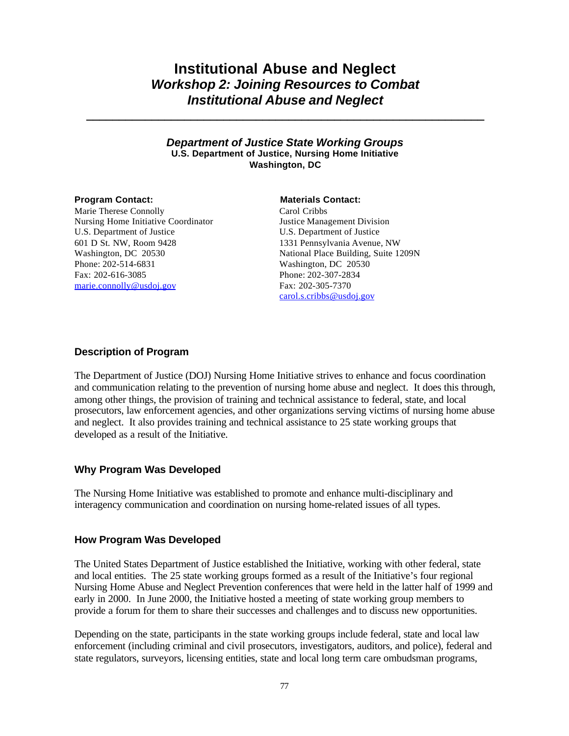## **Institutional Abuse and Neglect** *Workshop 2: Joining Resources to Combat Institutional Abuse and Neglect*

**\_\_\_\_\_\_\_\_\_\_\_\_\_\_\_\_\_\_\_\_\_\_\_\_\_\_\_\_\_\_\_\_\_\_\_\_\_\_\_\_\_\_\_\_\_\_\_\_\_\_\_\_\_\_\_\_\_\_\_\_\_**

## *Department of Justice State Working Groups* **U.S. Department of Justice, Nursing Home Initiative Washington, DC**

Marie Therese Connolly Nursing Home Initiative Coordinator U.S. Department of Justice 601 D St. NW, Room 9428 Washington, DC 20530 Phone: 202-514-6831 Fax: 202-616-3085 marie.connolly@usdoj.gov

### **Program Contact: Materials Contact: Materials Contact:**

Carol Cribbs Justice Management Division U.S. Department of Justice 1331 Pennsylvania Avenue, NW National Place Building, Suite 1209N Washington, DC 20530 Phone: 202-307-2834 Fax: 202-305-7370 carol.s.cribbs@usdoj.gov

## **Description of Program**

The Department of Justice (DOJ) Nursing Home Initiative strives to enhance and focus coordination and communication relating to the prevention of nursing home abuse and neglect. It does this through, among other things, the provision of training and technical assistance to federal, state, and local prosecutors, law enforcement agencies, and other organizations serving victims of nursing home abuse and neglect. It also provides training and technical assistance to 25 state working groups that developed as a result of the Initiative.

## **Why Program Was Developed**

The Nursing Home Initiative was established to promote and enhance multi-disciplinary and interagency communication and coordination on nursing home-related issues of all types.

## **How Program Was Developed**

The United States Department of Justice established the Initiative, working with other federal, state and local entities. The 25 state working groups formed as a result of the Initiative's four regional Nursing Home Abuse and Neglect Prevention conferences that were held in the latter half of 1999 and early in 2000. In June 2000, the Initiative hosted a meeting of state working group members to provide a forum for them to share their successes and challenges and to discuss new opportunities.

Depending on the state, participants in the state working groups include federal, state and local law enforcement (including criminal and civil prosecutors, investigators, auditors, and police), federal and state regulators, surveyors, licensing entities, state and local long term care ombudsman programs,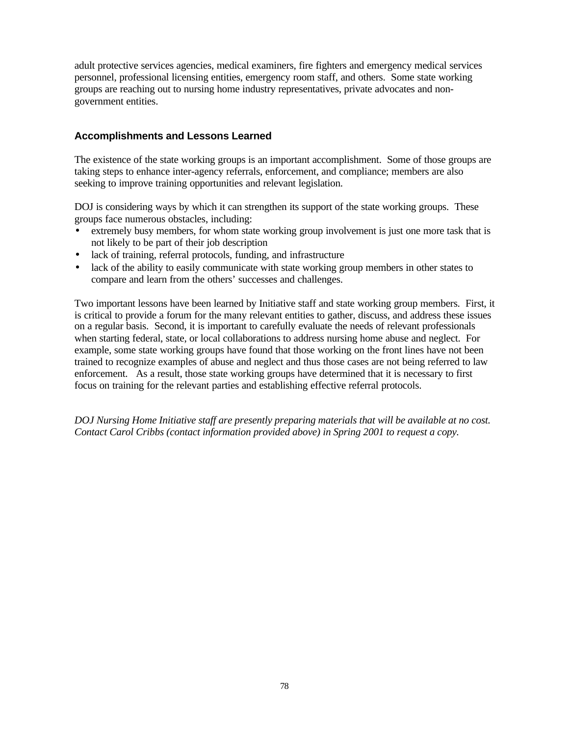adult protective services agencies, medical examiners, fire fighters and emergency medical services personnel, professional licensing entities, emergency room staff, and others. Some state working groups are reaching out to nursing home industry representatives, private advocates and nongovernment entities.

## **Accomplishments and Lessons Learned**

The existence of the state working groups is an important accomplishment. Some of those groups are taking steps to enhance inter-agency referrals, enforcement, and compliance; members are also seeking to improve training opportunities and relevant legislation.

DOJ is considering ways by which it can strengthen its support of the state working groups. These groups face numerous obstacles, including:

- extremely busy members, for whom state working group involvement is just one more task that is not likely to be part of their job description
- lack of training, referral protocols, funding, and infrastructure
- lack of the ability to easily communicate with state working group members in other states to compare and learn from the others' successes and challenges.

Two important lessons have been learned by Initiative staff and state working group members. First, it is critical to provide a forum for the many relevant entities to gather, discuss, and address these issues on a regular basis. Second, it is important to carefully evaluate the needs of relevant professionals when starting federal, state, or local collaborations to address nursing home abuse and neglect. For example, some state working groups have found that those working on the front lines have not been trained to recognize examples of abuse and neglect and thus those cases are not being referred to law enforcement. As a result, those state working groups have determined that it is necessary to first focus on training for the relevant parties and establishing effective referral protocols.

*DOJ Nursing Home Initiative staff are presently preparing materials that will be available at no cost. Contact Carol Cribbs (contact information provided above) in Spring 2001 to request a copy.*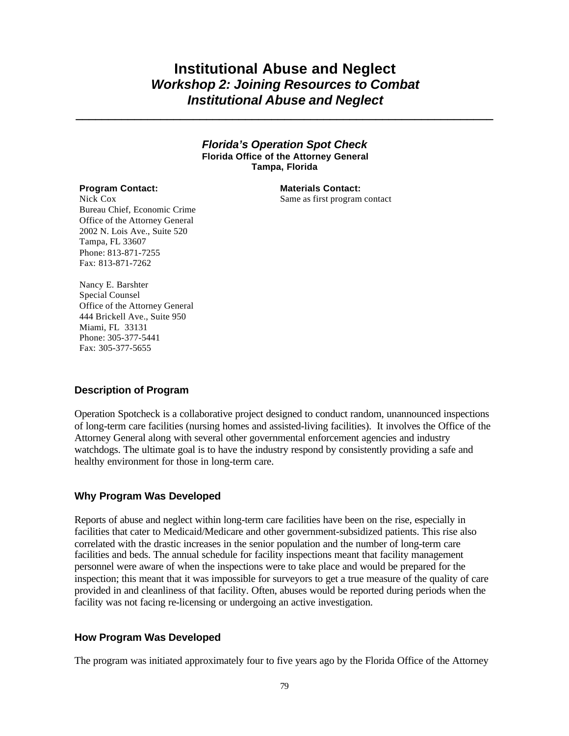## **Institutional Abuse and Neglect** *Workshop 2: Joining Resources to Combat Institutional Abuse and Neglect*

*\_\_\_\_\_\_\_\_\_\_\_\_\_\_\_\_\_\_\_\_\_\_\_\_\_\_\_\_\_\_\_\_\_\_\_\_\_\_\_\_\_\_\_\_\_\_\_\_\_\_\_\_\_\_\_\_\_\_\_\_\_\_\_\_*

### *Florida's Operation Spot Check* **Florida Office of the Attorney General Tampa, Florida**

Nick Cox Bureau Chief, Economic Crime Office of the Attorney General 2002 N. Lois Ave., Suite 520 Tampa, FL 33607 Phone: 813-871-7255 Fax: 813-871-7262

**Program Contact: Materials Contact:** Same as first program contact

Nancy E. Barshter Special Counsel Office of the Attorney General 444 Brickell Ave., Suite 950 Miami, FL 33131 Phone: 305-377-5441 Fax: 305-377-5655

## **Description of Program**

Operation Spotcheck is a collaborative project designed to conduct random, unannounced inspections of long-term care facilities (nursing homes and assisted-living facilities). It involves the Office of the Attorney General along with several other governmental enforcement agencies and industry watchdogs. The ultimate goal is to have the industry respond by consistently providing a safe and healthy environment for those in long-term care.

## **Why Program Was Developed**

Reports of abuse and neglect within long-term care facilities have been on the rise, especially in facilities that cater to Medicaid/Medicare and other government-subsidized patients. This rise also correlated with the drastic increases in the senior population and the number of long-term care facilities and beds. The annual schedule for facility inspections meant that facility management personnel were aware of when the inspections were to take place and would be prepared for the inspection; this meant that it was impossible for surveyors to get a true measure of the quality of care provided in and cleanliness of that facility. Often, abuses would be reported during periods when the facility was not facing re-licensing or undergoing an active investigation.

## **How Program Was Developed**

The program was initiated approximately four to five years ago by the Florida Office of the Attorney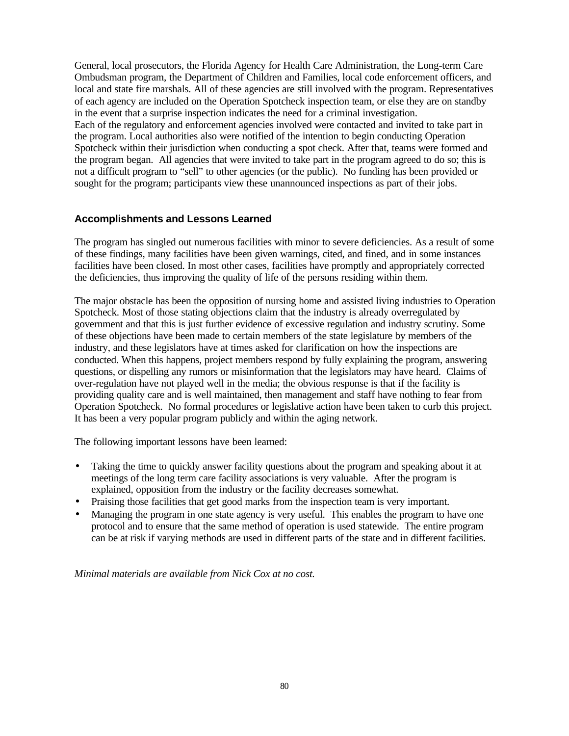General, local prosecutors, the Florida Agency for Health Care Administration, the Long-term Care Ombudsman program, the Department of Children and Families, local code enforcement officers, and local and state fire marshals. All of these agencies are still involved with the program. Representatives of each agency are included on the Operation Spotcheck inspection team, or else they are on standby in the event that a surprise inspection indicates the need for a criminal investigation. Each of the regulatory and enforcement agencies involved were contacted and invited to take part in the program. Local authorities also were notified of the intention to begin conducting Operation Spotcheck within their jurisdiction when conducting a spot check. After that, teams were formed and the program began. All agencies that were invited to take part in the program agreed to do so; this is not a difficult program to "sell" to other agencies (or the public). No funding has been provided or sought for the program; participants view these unannounced inspections as part of their jobs.

## **Accomplishments and Lessons Learned**

The program has singled out numerous facilities with minor to severe deficiencies. As a result of some of these findings, many facilities have been given warnings, cited, and fined, and in some instances facilities have been closed. In most other cases, facilities have promptly and appropriately corrected the deficiencies, thus improving the quality of life of the persons residing within them.

The major obstacle has been the opposition of nursing home and assisted living industries to Operation Spotcheck. Most of those stating objections claim that the industry is already overregulated by government and that this is just further evidence of excessive regulation and industry scrutiny. Some of these objections have been made to certain members of the state legislature by members of the industry, and these legislators have at times asked for clarification on how the inspections are conducted. When this happens, project members respond by fully explaining the program, answering questions, or dispelling any rumors or misinformation that the legislators may have heard. Claims of over-regulation have not played well in the media; the obvious response is that if the facility is providing quality care and is well maintained, then management and staff have nothing to fear from Operation Spotcheck. No formal procedures or legislative action have been taken to curb this project. It has been a very popular program publicly and within the aging network.

The following important lessons have been learned:

- Taking the time to quickly answer facility questions about the program and speaking about it at meetings of the long term care facility associations is very valuable. After the program is explained, opposition from the industry or the facility decreases somewhat.
- Praising those facilities that get good marks from the inspection team is very important.
- Managing the program in one state agency is very useful. This enables the program to have one protocol and to ensure that the same method of operation is used statewide. The entire program can be at risk if varying methods are used in different parts of the state and in different facilities.

*Minimal materials are available from Nick Cox at no cost.*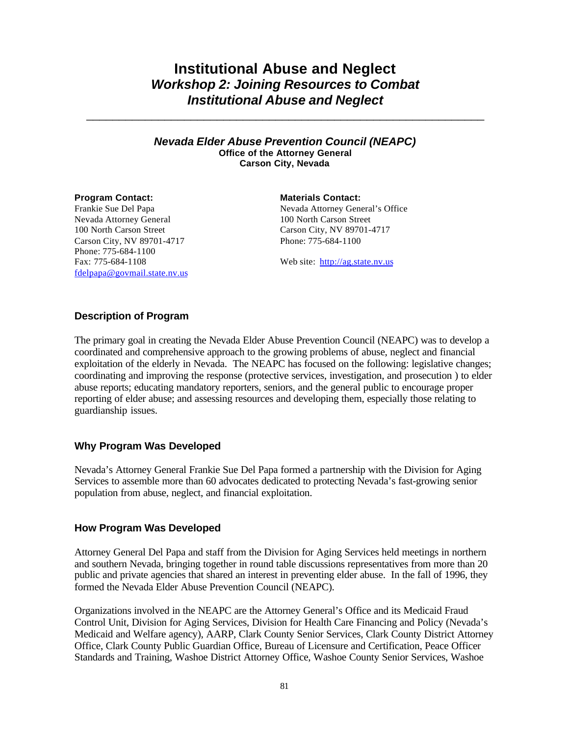## **Institutional Abuse and Neglect** *Workshop 2: Joining Resources to Combat Institutional Abuse and Neglect*

*\_\_\_\_\_\_\_\_\_\_\_\_\_\_\_\_\_\_\_\_\_\_\_\_\_\_\_\_\_\_\_\_\_\_\_\_\_\_\_\_\_\_\_\_\_\_\_\_\_\_\_\_\_\_\_\_\_\_\_\_\_*

### *Nevada Elder Abuse Prevention Council (NEAPC)* **Office of the Attorney General Carson City, Nevada**

Frankie Sue Del Papa Nevada Attorney General 100 North Carson Street Carson City, NV 89701-4717 Phone: 775-684-1100 Fax: 775-684-1108 fdelpapa@govmail.state.nv.us

**Program Contact: Materials Contact:** 

Nevada Attorney General's Office 100 North Carson Street Carson City, NV 89701-4717 Phone: 775-684-1100

Web site: http://ag.state.nv.us

## **Description of Program**

The primary goal in creating the Nevada Elder Abuse Prevention Council (NEAPC) was to develop a coordinated and comprehensive approach to the growing problems of abuse, neglect and financial exploitation of the elderly in Nevada. The NEAPC has focused on the following: legislative changes; coordinating and improving the response (protective services, investigation, and prosecution ) to elder abuse reports; educating mandatory reporters, seniors, and the general public to encourage proper reporting of elder abuse; and assessing resources and developing them, especially those relating to guardianship issues.

## **Why Program Was Developed**

Nevada's Attorney General Frankie Sue Del Papa formed a partnership with the Division for Aging Services to assemble more than 60 advocates dedicated to protecting Nevada's fast-growing senior population from abuse, neglect, and financial exploitation.

## **How Program Was Developed**

Attorney General Del Papa and staff from the Division for Aging Services held meetings in northern and southern Nevada, bringing together in round table discussions representatives from more than 20 public and private agencies that shared an interest in preventing elder abuse. In the fall of 1996, they formed the Nevada Elder Abuse Prevention Council (NEAPC).

Organizations involved in the NEAPC are the Attorney General's Office and its Medicaid Fraud Control Unit, Division for Aging Services, Division for Health Care Financing and Policy (Nevada's Medicaid and Welfare agency), AARP, Clark County Senior Services, Clark County District Attorney Office, Clark County Public Guardian Office, Bureau of Licensure and Certification, Peace Officer Standards and Training, Washoe District Attorney Office, Washoe County Senior Services, Washoe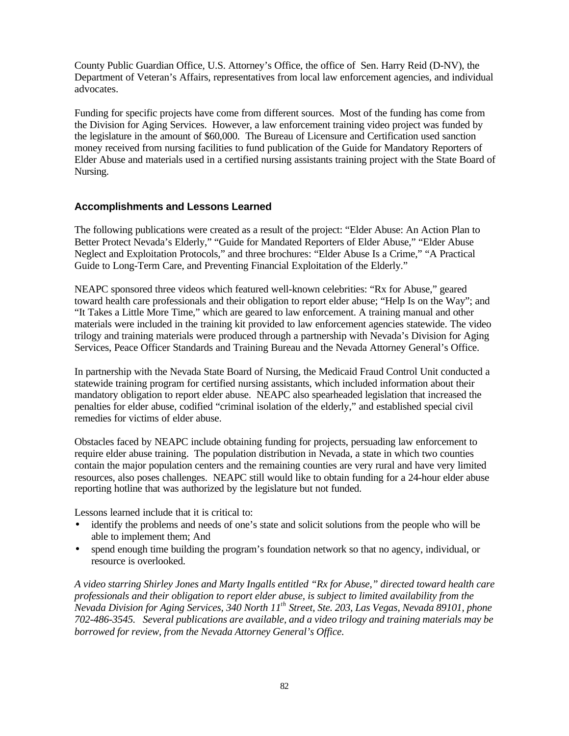County Public Guardian Office, U.S. Attorney's Office, the office of Sen. Harry Reid (D-NV), the Department of Veteran's Affairs, representatives from local law enforcement agencies, and individual advocates.

Funding for specific projects have come from different sources. Most of the funding has come from the Division for Aging Services. However, a law enforcement training video project was funded by the legislature in the amount of \$60,000. The Bureau of Licensure and Certification used sanction money received from nursing facilities to fund publication of the Guide for Mandatory Reporters of Elder Abuse and materials used in a certified nursing assistants training project with the State Board of Nursing.

## **Accomplishments and Lessons Learned**

The following publications were created as a result of the project: "Elder Abuse: An Action Plan to Better Protect Nevada's Elderly," "Guide for Mandated Reporters of Elder Abuse," "Elder Abuse Neglect and Exploitation Protocols," and three brochures: "Elder Abuse Is a Crime," "A Practical Guide to Long-Term Care, and Preventing Financial Exploitation of the Elderly."

NEAPC sponsored three videos which featured well-known celebrities: "Rx for Abuse," geared toward health care professionals and their obligation to report elder abuse; "Help Is on the Way"; and "It Takes a Little More Time," which are geared to law enforcement. A training manual and other materials were included in the training kit provided to law enforcement agencies statewide. The video trilogy and training materials were produced through a partnership with Nevada's Division for Aging Services, Peace Officer Standards and Training Bureau and the Nevada Attorney General's Office.

In partnership with the Nevada State Board of Nursing, the Medicaid Fraud Control Unit conducted a statewide training program for certified nursing assistants, which included information about their mandatory obligation to report elder abuse. NEAPC also spearheaded legislation that increased the penalties for elder abuse, codified "criminal isolation of the elderly," and established special civil remedies for victims of elder abuse.

Obstacles faced by NEAPC include obtaining funding for projects, persuading law enforcement to require elder abuse training. The population distribution in Nevada, a state in which two counties contain the major population centers and the remaining counties are very rural and have very limited resources, also poses challenges. NEAPC still would like to obtain funding for a 24-hour elder abuse reporting hotline that was authorized by the legislature but not funded.

Lessons learned include that it is critical to:

- identify the problems and needs of one's state and solicit solutions from the people who will be able to implement them; And
- spend enough time building the program's foundation network so that no agency, individual, or resource is overlooked.

*A video starring Shirley Jones and Marty Ingalls entitled "Rx for Abuse," directed toward health care professionals and their obligation to report elder abuse, is subject to limited availability from the Nevada Division for Aging Services, 340 North 11th Street, Ste. 203, Las Vegas, Nevada 89101, phone 702-486-3545. Several publications are available, and a video trilogy and training materials may be borrowed for review, from the Nevada Attorney General's Office.*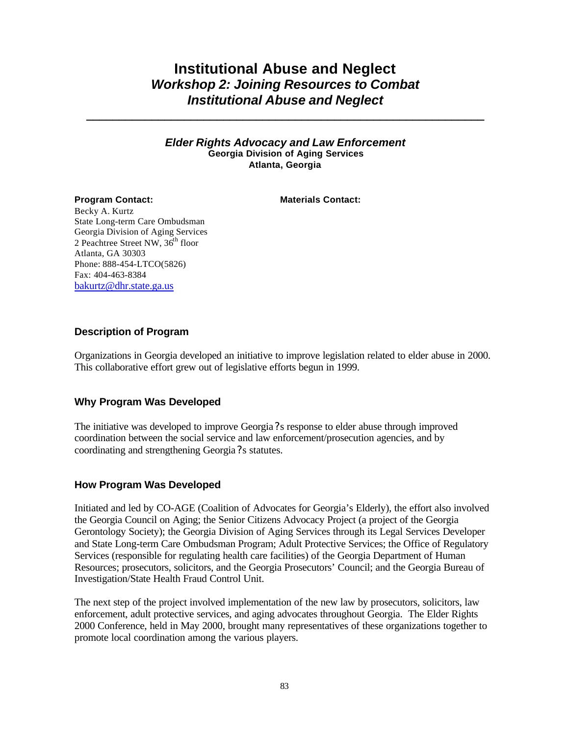## **Institutional Abuse and Neglect** *Workshop 2: Joining Resources to Combat Institutional Abuse and Neglect*

**\_\_\_\_\_\_\_\_\_\_\_\_\_\_\_\_\_\_\_\_\_\_\_\_\_\_\_\_\_\_\_\_\_\_\_\_\_\_\_\_\_\_\_\_\_\_\_\_\_\_\_\_\_\_\_\_\_\_\_\_\_**

## *Elder Rights Advocacy and Law Enforcement* **Georgia Division of Aging Services Atlanta, Georgia**

**Program Contact: Materials Contact:** 

Becky A. Kurtz State Long-term Care Ombudsman Georgia Division of Aging Services 2 Peachtree Street NW, 36<sup>th</sup> floor Atlanta, GA 30303 Phone: 888-454-LTCO(5826) Fax: 404-463-8384 bakurtz@dhr.state.ga.us

## **Description of Program**

Organizations in Georgia developed an initiative to improve legislation related to elder abuse in 2000. This collaborative effort grew out of legislative efforts begun in 1999.

## **Why Program Was Developed**

The initiative was developed to improve Georgia ?s response to elder abuse through improved coordination between the social service and law enforcement/prosecution agencies, and by coordinating and strengthening Georgia? s statutes.

## **How Program Was Developed**

Initiated and led by CO-AGE (Coalition of Advocates for Georgia's Elderly), the effort also involved the Georgia Council on Aging; the Senior Citizens Advocacy Project (a project of the Georgia Gerontology Society); the Georgia Division of Aging Services through its Legal Services Developer and State Long-term Care Ombudsman Program; Adult Protective Services; the Office of Regulatory Services (responsible for regulating health care facilities) of the Georgia Department of Human Resources; prosecutors, solicitors, and the Georgia Prosecutors' Council; and the Georgia Bureau of Investigation/State Health Fraud Control Unit.

The next step of the project involved implementation of the new law by prosecutors, solicitors, law enforcement, adult protective services, and aging advocates throughout Georgia. The Elder Rights 2000 Conference, held in May 2000, brought many representatives of these organizations together to promote local coordination among the various players.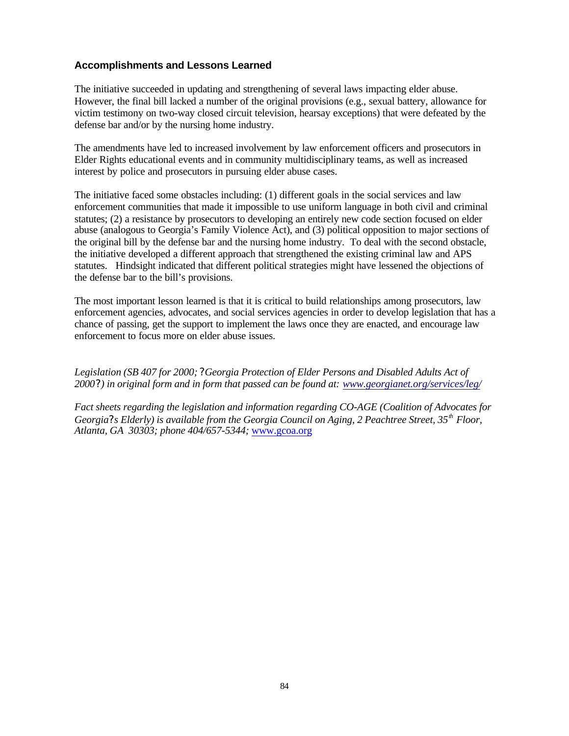## **Accomplishments and Lessons Learned**

The initiative succeeded in updating and strengthening of several laws impacting elder abuse. However, the final bill lacked a number of the original provisions (e.g., sexual battery, allowance for victim testimony on two-way closed circuit television, hearsay exceptions) that were defeated by the defense bar and/or by the nursing home industry.

The amendments have led to increased involvement by law enforcement officers and prosecutors in Elder Rights educational events and in community multidisciplinary teams, as well as increased interest by police and prosecutors in pursuing elder abuse cases.

The initiative faced some obstacles including: (1) different goals in the social services and law enforcement communities that made it impossible to use uniform language in both civil and criminal statutes; (2) a resistance by prosecutors to developing an entirely new code section focused on elder abuse (analogous to Georgia's Family Violence Act), and (3) political opposition to major sections of the original bill by the defense bar and the nursing home industry. To deal with the second obstacle, the initiative developed a different approach that strengthened the existing criminal law and APS statutes. Hindsight indicated that different political strategies might have lessened the objections of the defense bar to the bill's provisions.

The most important lesson learned is that it is critical to build relationships among prosecutors, law enforcement agencies, advocates, and social services agencies in order to develop legislation that has a chance of passing, get the support to implement the laws once they are enacted, and encourage law enforcement to focus more on elder abuse issues.

*Legislation (SB 407 for 2000; ? Georgia Protection of Elder Persons and Disabled Adults Act of 2000?) in original form and in form that passed can be found at: www.georgianet.org/services/leg/*

*Fact sheets regarding the legislation and information regarding CO-AGE (Coalition of Advocates for Georgia?s Elderly) is available from the Georgia Council on Aging, 2 Peachtree Street, 35th Floor, Atlanta, GA 30303; phone 404/657-5344;* www.gcoa.org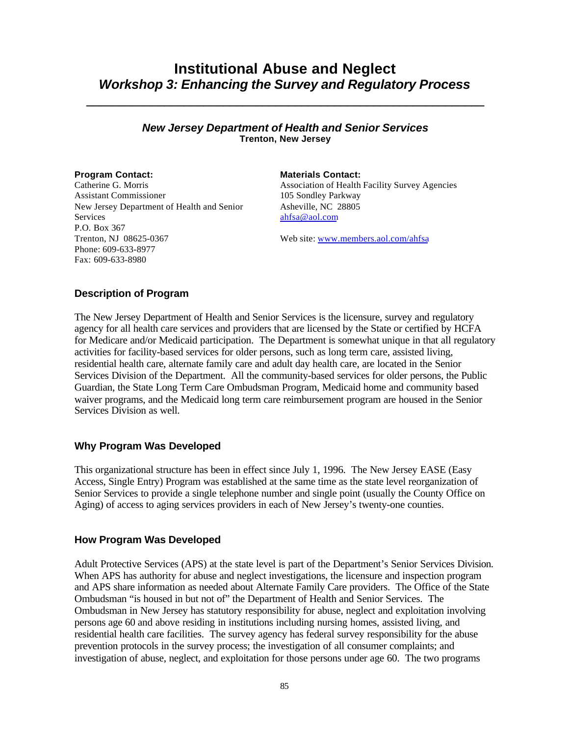## **Institutional Abuse and Neglect** *Workshop 3: Enhancing the Survey and Regulatory Process*

**\_\_\_\_\_\_\_\_\_\_\_\_\_\_\_\_\_\_\_\_\_\_\_\_\_\_\_\_\_\_\_\_\_\_\_\_\_\_\_\_\_\_\_\_\_\_\_\_\_\_\_\_\_\_\_\_\_\_\_\_\_**

## *New Jersey Department of Health and Senior Services* **Trenton, New Jersey**

**Program Contact: Materials Contact:** Catherine G. Morris Assistant Commissioner New Jersey Department of Health and Senior **Services** P.O. Box 367 Trenton, NJ 08625-0367 Phone: 609-633-8977 Fax: 609-633-8980

Association of Health Facility Survey Agencies 105 Sondley Parkway Asheville, NC 28805 ahfsa@aol.com

Web site: www.members.aol.com/ahfsa

## **Description of Program**

The New Jersey Department of Health and Senior Services is the licensure, survey and regulatory agency for all health care services and providers that are licensed by the State or certified by HCFA for Medicare and/or Medicaid participation. The Department is somewhat unique in that all regulatory activities for facility-based services for older persons, such as long term care, assisted living, residential health care, alternate family care and adult day health care, are located in the Senior Services Division of the Department. All the community-based services for older persons, the Public Guardian, the State Long Term Care Ombudsman Program, Medicaid home and community based waiver programs, and the Medicaid long term care reimbursement program are housed in the Senior Services Division as well.

## **Why Program Was Developed**

This organizational structure has been in effect since July 1, 1996. The New Jersey EASE (Easy Access, Single Entry) Program was established at the same time as the state level reorganization of Senior Services to provide a single telephone number and single point (usually the County Office on Aging) of access to aging services providers in each of New Jersey's twenty-one counties.

## **How Program Was Developed**

Adult Protective Services (APS) at the state level is part of the Department's Senior Services Division. When APS has authority for abuse and neglect investigations, the licensure and inspection program and APS share information as needed about Alternate Family Care providers. The Office of the State Ombudsman "is housed in but not of" the Department of Health and Senior Services. The Ombudsman in New Jersey has statutory responsibility for abuse, neglect and exploitation involving persons age 60 and above residing in institutions including nursing homes, assisted living, and residential health care facilities. The survey agency has federal survey responsibility for the abuse prevention protocols in the survey process; the investigation of all consumer complaints; and investigation of abuse, neglect, and exploitation for those persons under age 60. The two programs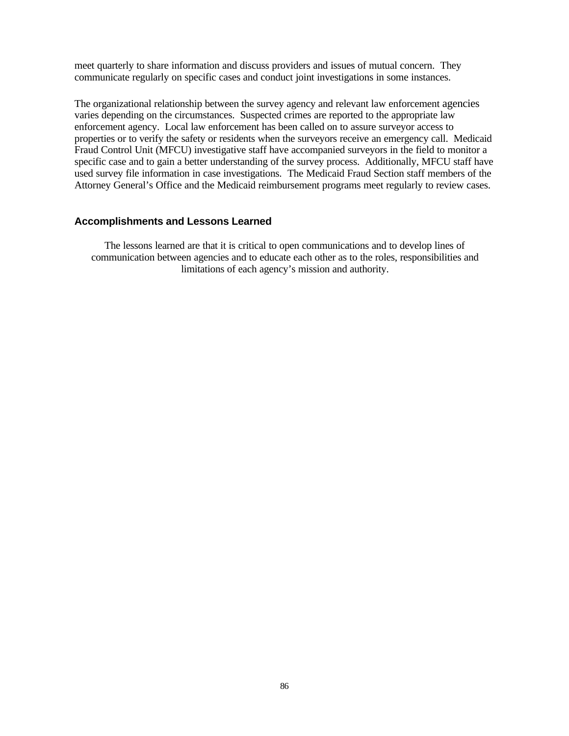meet quarterly to share information and discuss providers and issues of mutual concern. They communicate regularly on specific cases and conduct joint investigations in some instances.

The organizational relationship between the survey agency and relevant law enforcement agencies varies depending on the circumstances. Suspected crimes are reported to the appropriate law enforcement agency. Local law enforcement has been called on to assure surveyor access to properties or to verify the safety or residents when the surveyors receive an emergency call. Medicaid Fraud Control Unit (MFCU) investigative staff have accompanied surveyors in the field to monitor a specific case and to gain a better understanding of the survey process. Additionally, MFCU staff have used survey file information in case investigations. The Medicaid Fraud Section staff members of the Attorney General's Office and the Medicaid reimbursement programs meet regularly to review cases.

## **Accomplishments and Lessons Learned**

The lessons learned are that it is critical to open communications and to develop lines of communication between agencies and to educate each other as to the roles, responsibilities and limitations of each agency's mission and authority.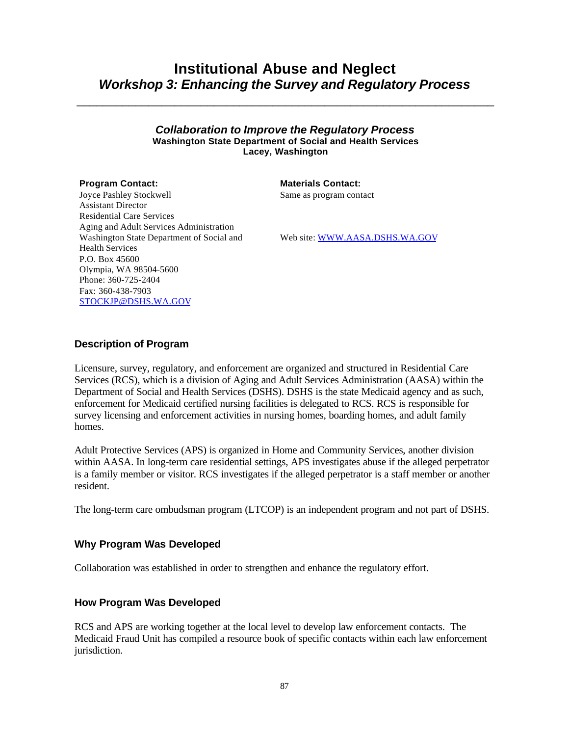## **Institutional Abuse and Neglect** *Workshop 3: Enhancing the Survey and Regulatory Process*

\_\_\_\_\_\_\_\_\_\_\_\_\_\_\_\_\_\_\_\_\_\_\_\_\_\_\_\_\_\_\_\_\_\_\_\_\_\_\_\_\_\_\_\_\_\_\_\_\_\_\_\_\_\_\_\_\_\_\_\_\_\_\_\_

*Collaboration to Improve the Regulatory Process* **Washington State Department of Social and Health Services Lacey, Washington**

**Program Contact: Materials Contact:** 

Same as program contact

Joyce Pashley Stockwell Assistant Director Residential Care Services Aging and Adult Services Administration Washington State Department of Social and Health Services P.O. Box 45600 Olympia, WA 98504-5600 Phone: 360-725-2404 Fax: 360-438-7903 STOCKJP@DSHS.WA.GOV

Web site: WWW.AASA.DSHS.WA.GOV

## **Description of Program**

Licensure, survey, regulatory, and enforcement are organized and structured in Residential Care Services (RCS), which is a division of Aging and Adult Services Administration (AASA) within the Department of Social and Health Services (DSHS). DSHS is the state Medicaid agency and as such, enforcement for Medicaid certified nursing facilities is delegated to RCS. RCS is responsible for survey licensing and enforcement activities in nursing homes, boarding homes, and adult family homes.

Adult Protective Services (APS) is organized in Home and Community Services, another division within AASA. In long-term care residential settings, APS investigates abuse if the alleged perpetrator is a family member or visitor. RCS investigates if the alleged perpetrator is a staff member or another resident.

The long-term care ombudsman program (LTCOP) is an independent program and not part of DSHS.

## **Why Program Was Developed**

Collaboration was established in order to strengthen and enhance the regulatory effort.

## **How Program Was Developed**

RCS and APS are working together at the local level to develop law enforcement contacts. The Medicaid Fraud Unit has compiled a resource book of specific contacts within each law enforcement jurisdiction.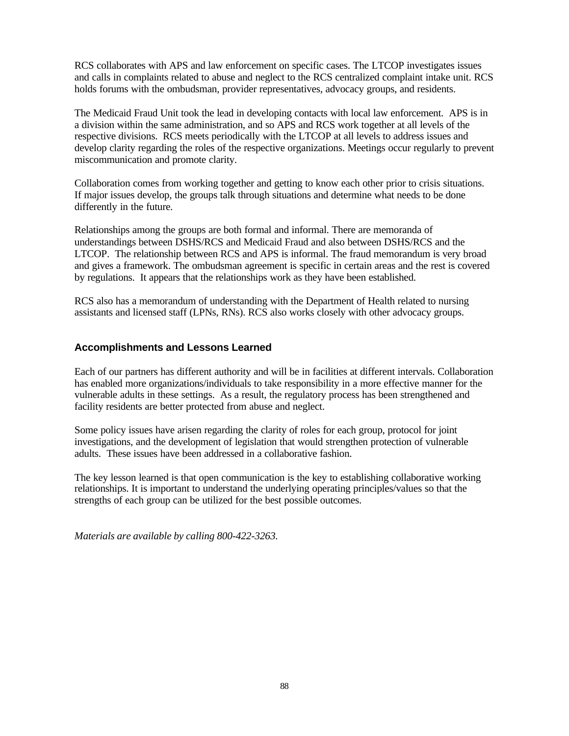RCS collaborates with APS and law enforcement on specific cases. The LTCOP investigates issues and calls in complaints related to abuse and neglect to the RCS centralized complaint intake unit. RCS holds forums with the ombudsman, provider representatives, advocacy groups, and residents.

The Medicaid Fraud Unit took the lead in developing contacts with local law enforcement. APS is in a division within the same administration, and so APS and RCS work together at all levels of the respective divisions. RCS meets periodically with the LTCOP at all levels to address issues and develop clarity regarding the roles of the respective organizations. Meetings occur regularly to prevent miscommunication and promote clarity.

Collaboration comes from working together and getting to know each other prior to crisis situations. If major issues develop, the groups talk through situations and determine what needs to be done differently in the future.

Relationships among the groups are both formal and informal. There are memoranda of understandings between DSHS/RCS and Medicaid Fraud and also between DSHS/RCS and the LTCOP. The relationship between RCS and APS is informal. The fraud memorandum is very broad and gives a framework. The ombudsman agreement is specific in certain areas and the rest is covered by regulations. It appears that the relationships work as they have been established.

RCS also has a memorandum of understanding with the Department of Health related to nursing assistants and licensed staff (LPNs, RNs). RCS also works closely with other advocacy groups.

## **Accomplishments and Lessons Learned**

Each of our partners has different authority and will be in facilities at different intervals. Collaboration has enabled more organizations/individuals to take responsibility in a more effective manner for the vulnerable adults in these settings. As a result, the regulatory process has been strengthened and facility residents are better protected from abuse and neglect.

Some policy issues have arisen regarding the clarity of roles for each group, protocol for joint investigations, and the development of legislation that would strengthen protection of vulnerable adults. These issues have been addressed in a collaborative fashion.

The key lesson learned is that open communication is the key to establishing collaborative working relationships. It is important to understand the underlying operating principles/values so that the strengths of each group can be utilized for the best possible outcomes.

*Materials are available by calling 800-422-3263.*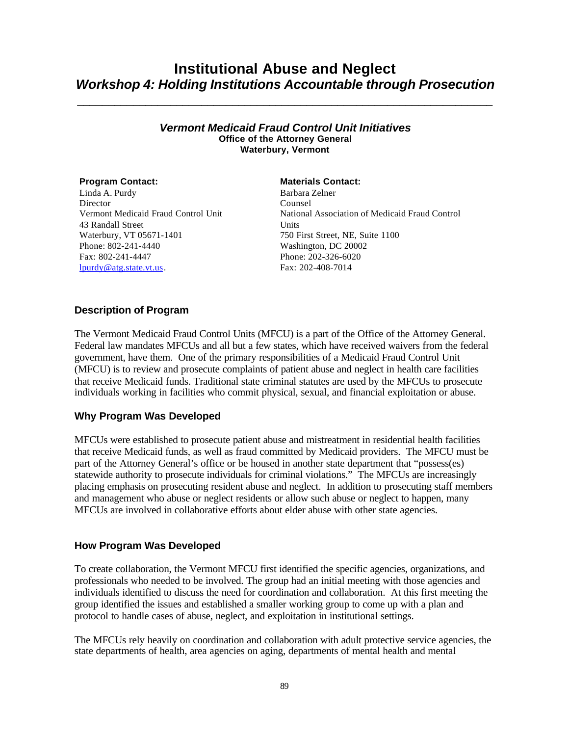## **Institutional Abuse and Neglect** *Workshop 4: Holding Institutions Accountable through Prosecution*

\_\_\_\_\_\_\_\_\_\_\_\_\_\_\_\_\_\_\_\_\_\_\_\_\_\_\_\_\_\_\_\_\_\_\_\_\_\_\_\_\_\_\_\_\_\_\_\_\_\_\_\_\_\_\_\_\_\_\_\_\_\_\_\_\_\_\_

## *Vermont Medicaid Fraud Control Unit Initiatives* **Office of the Attorney General Waterbury, Vermont**

Linda A. Purdy Director Vermont Medicaid Fraud Control Unit 43 Randall Street Waterbury, VT 05671-1401

Phone: 802-241-4440 Fax: 802-241-4447 lpurdy@atg.state.vt.us.

### **Program Contact: Materials Contact:**

Barbara Zelner Counsel National Association of Medicaid Fraud Control **Units** 750 First Street, NE, Suite 1100 Washington, DC 20002 Phone: 202-326-6020 Fax: 202-408-7014

## **Description of Program**

The Vermont Medicaid Fraud Control Units (MFCU) is a part of the Office of the Attorney General. Federal law mandates MFCUs and all but a few states, which have received waivers from the federal government, have them. One of the primary responsibilities of a Medicaid Fraud Control Unit (MFCU) is to review and prosecute complaints of patient abuse and neglect in health care facilities that receive Medicaid funds. Traditional state criminal statutes are used by the MFCUs to prosecute individuals working in facilities who commit physical, sexual, and financial exploitation or abuse.

## **Why Program Was Developed**

MFCUs were established to prosecute patient abuse and mistreatment in residential health facilities that receive Medicaid funds, as well as fraud committed by Medicaid providers. The MFCU must be part of the Attorney General's office or be housed in another state department that "possess(es) statewide authority to prosecute individuals for criminal violations." The MFCUs are increasingly placing emphasis on prosecuting resident abuse and neglect. In addition to prosecuting staff members and management who abuse or neglect residents or allow such abuse or neglect to happen, many MFCUs are involved in collaborative efforts about elder abuse with other state agencies.

## **How Program Was Developed**

To create collaboration, the Vermont MFCU first identified the specific agencies, organizations, and professionals who needed to be involved. The group had an initial meeting with those agencies and individuals identified to discuss the need for coordination and collaboration. At this first meeting the group identified the issues and established a smaller working group to come up with a plan and protocol to handle cases of abuse, neglect, and exploitation in institutional settings.

The MFCUs rely heavily on coordination and collaboration with adult protective service agencies, the state departments of health, area agencies on aging, departments of mental health and mental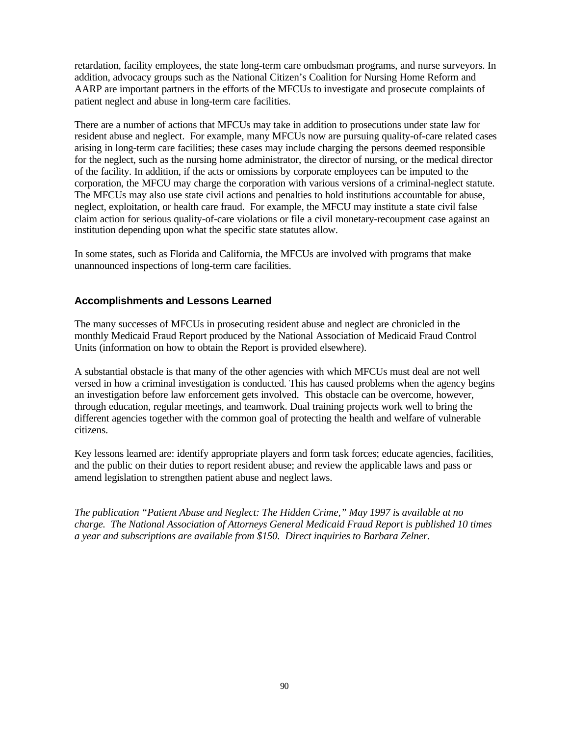retardation, facility employees, the state long-term care ombudsman programs, and nurse surveyors. In addition, advocacy groups such as the National Citizen's Coalition for Nursing Home Reform and AARP are important partners in the efforts of the MFCUs to investigate and prosecute complaints of patient neglect and abuse in long-term care facilities.

There are a number of actions that MFCUs may take in addition to prosecutions under state law for resident abuse and neglect. For example, many MFCUs now are pursuing quality-of-care related cases arising in long-term care facilities; these cases may include charging the persons deemed responsible for the neglect, such as the nursing home administrator, the director of nursing, or the medical director of the facility. In addition, if the acts or omissions by corporate employees can be imputed to the corporation, the MFCU may charge the corporation with various versions of a criminal-neglect statute. The MFCUs may also use state civil actions and penalties to hold institutions accountable for abuse, neglect, exploitation, or health care fraud. For example, the MFCU may institute a state civil false claim action for serious quality-of-care violations or file a civil monetary-recoupment case against an institution depending upon what the specific state statutes allow.

In some states, such as Florida and California, the MFCUs are involved with programs that make unannounced inspections of long-term care facilities.

## **Accomplishments and Lessons Learned**

The many successes of MFCUs in prosecuting resident abuse and neglect are chronicled in the monthly Medicaid Fraud Report produced by the National Association of Medicaid Fraud Control Units (information on how to obtain the Report is provided elsewhere).

A substantial obstacle is that many of the other agencies with which MFCUs must deal are not well versed in how a criminal investigation is conducted. This has caused problems when the agency begins an investigation before law enforcement gets involved. This obstacle can be overcome, however, through education, regular meetings, and teamwork. Dual training projects work well to bring the different agencies together with the common goal of protecting the health and welfare of vulnerable citizens.

Key lessons learned are: identify appropriate players and form task forces; educate agencies, facilities, and the public on their duties to report resident abuse; and review the applicable laws and pass or amend legislation to strengthen patient abuse and neglect laws.

*The publication "Patient Abuse and Neglect: The Hidden Crime," May 1997 is available at no charge. The National Association of Attorneys General Medicaid Fraud Report is published 10 times a year and subscriptions are available from \$150. Direct inquiries to Barbara Zelner.*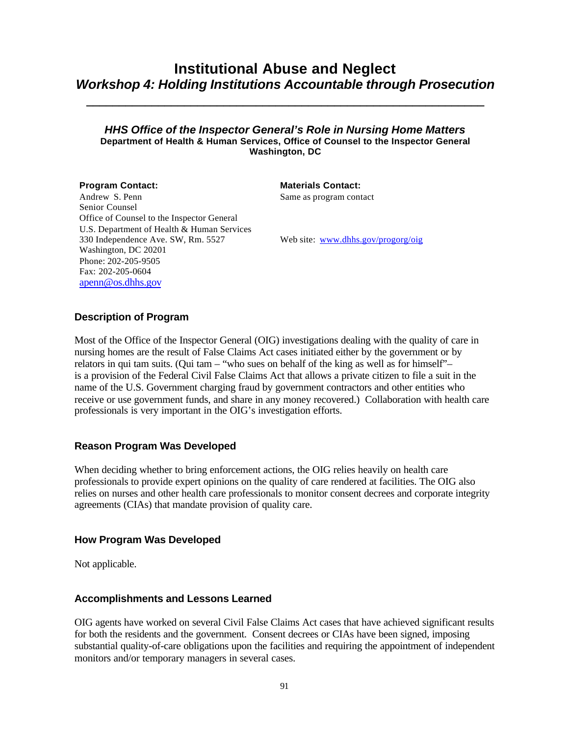## **Institutional Abuse and Neglect** *Workshop 4: Holding Institutions Accountable through Prosecution*

**\_\_\_\_\_\_\_\_\_\_\_\_\_\_\_\_\_\_\_\_\_\_\_\_\_\_\_\_\_\_\_\_\_\_\_\_\_\_\_\_\_\_\_\_\_\_\_\_\_\_\_\_\_\_\_\_\_\_\_\_\_**

## *HHS Office of the Inspector General's Role in Nursing Home Matters* **Department of Health & Human Services, Office of Counsel to the Inspector General Washington, DC**

Andrew S. Penn

**Program Contact: Materials Contact:** 

Same as program contact

Senior Counsel Office of Counsel to the Inspector General U.S. Department of Health & Human Services 330 Independence Ave. SW, Rm. 5527 Washington, DC 20201 Phone: 202-205-9505 Fax: 202-205-0604 apenn@os.dhhs.gov

Web site: www.dhhs.gov/progorg/oig

## **Description of Program**

Most of the Office of the Inspector General (OIG) investigations dealing with the quality of care in nursing homes are the result of False Claims Act cases initiated either by the government or by relators in qui tam suits. (Qui tam – "who sues on behalf of the king as well as for himself"– is a provision of the Federal Civil False Claims Act that allows a private citizen to file a suit in the name of the U.S. Government charging fraud by government contractors and other entities who receive or use government funds, and share in any money recovered.) Collaboration with health care professionals is very important in the OIG's investigation efforts.

## **Reason Program Was Developed**

When deciding whether to bring enforcement actions, the OIG relies heavily on health care professionals to provide expert opinions on the quality of care rendered at facilities. The OIG also relies on nurses and other health care professionals to monitor consent decrees and corporate integrity agreements (CIAs) that mandate provision of quality care.

## **How Program Was Developed**

Not applicable.

## **Accomplishments and Lessons Learned**

OIG agents have worked on several Civil False Claims Act cases that have achieved significant results for both the residents and the government. Consent decrees or CIAs have been signed, imposing substantial quality-of-care obligations upon the facilities and requiring the appointment of independent monitors and/or temporary managers in several cases.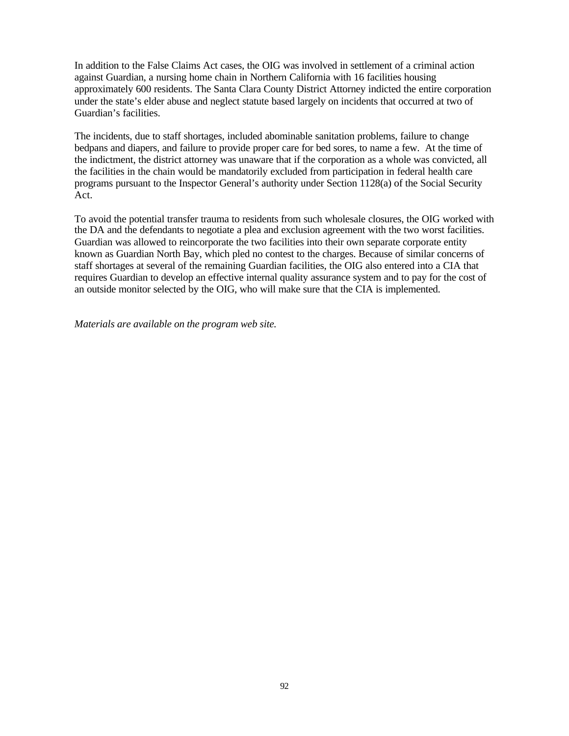In addition to the False Claims Act cases, the OIG was involved in settlement of a criminal action against Guardian, a nursing home chain in Northern California with 16 facilities housing approximately 600 residents. The Santa Clara County District Attorney indicted the entire corporation under the state's elder abuse and neglect statute based largely on incidents that occurred at two of Guardian's facilities.

The incidents, due to staff shortages, included abominable sanitation problems, failure to change bedpans and diapers, and failure to provide proper care for bed sores, to name a few. At the time of the indictment, the district attorney was unaware that if the corporation as a whole was convicted, all the facilities in the chain would be mandatorily excluded from participation in federal health care programs pursuant to the Inspector General's authority under Section 1128(a) of the Social Security Act.

To avoid the potential transfer trauma to residents from such wholesale closures, the OIG worked with the DA and the defendants to negotiate a plea and exclusion agreement with the two worst facilities. Guardian was allowed to reincorporate the two facilities into their own separate corporate entity known as Guardian North Bay, which pled no contest to the charges. Because of similar concerns of staff shortages at several of the remaining Guardian facilities, the OIG also entered into a CIA that requires Guardian to develop an effective internal quality assurance system and to pay for the cost of an outside monitor selected by the OIG, who will make sure that the CIA is implemented.

*Materials are available on the program web site.*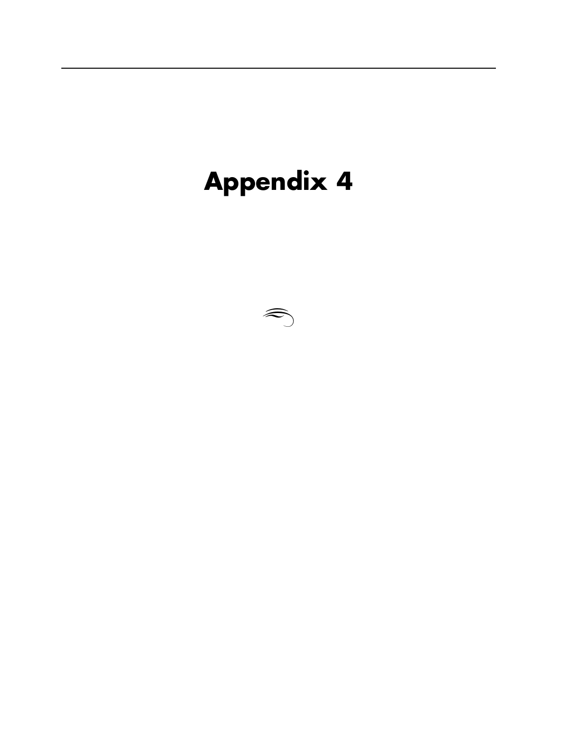# **Appendix 4**

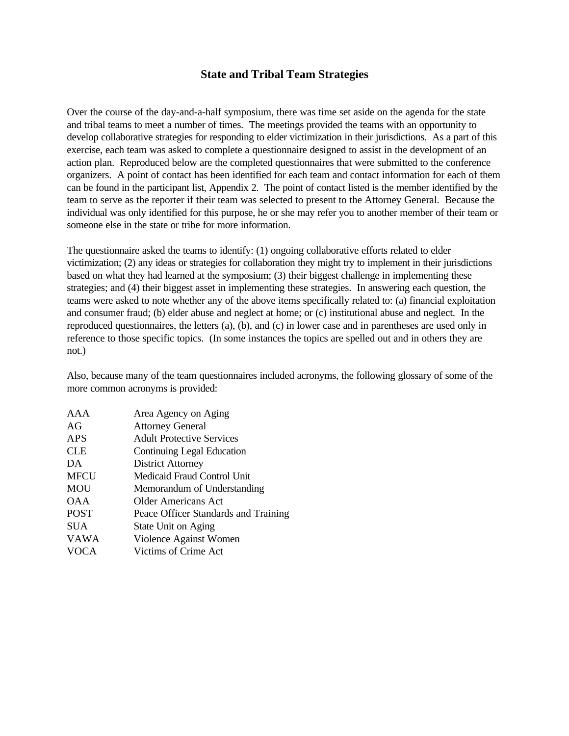## **State and Tribal Team Strategies**

Over the course of the day-and-a-half symposium, there was time set aside on the agenda for the state and tribal teams to meet a number of times. The meetings provided the teams with an opportunity to develop collaborative strategies for responding to elder victimization in their jurisdictions. As a part of this exercise, each team was asked to complete a questionnaire designed to assist in the development of an action plan. Reproduced below are the completed questionnaires that were submitted to the conference organizers. A point of contact has been identified for each team and contact information for each of them can be found in the participant list, Appendix 2. The point of contact listed is the member identified by the team to serve as the reporter if their team was selected to present to the Attorney General. Because the individual was only identified for this purpose, he or she may refer you to another member of their team or someone else in the state or tribe for more information.

The questionnaire asked the teams to identify: (1) ongoing collaborative efforts related to elder victimization; (2) any ideas or strategies for collaboration they might try to implement in their jurisdictions based on what they had learned at the symposium; (3) their biggest challenge in implementing these strategies; and (4) their biggest asset in implementing these strategies. In answering each question, the teams were asked to note whether any of the above items specifically related to: (a) financial exploitation and consumer fraud; (b) elder abuse and neglect at home; or (c) institutional abuse and neglect. In the reproduced questionnaires, the letters (a), (b), and (c) in lower case and in parentheses are used only in reference to those specific topics. (In some instances the topics are spelled out and in others they are not.)

Also, because many of the team questionnaires included acronyms, the following glossary of some of the more common acronyms is provided:

| AAA         | Area Agency on Aging                 |
|-------------|--------------------------------------|
| AG          | <b>Attorney General</b>              |
| APS         | <b>Adult Protective Services</b>     |
| CLE         | Continuing Legal Education           |
| DA          | <b>District Attorney</b>             |
| <b>MFCU</b> | Medicaid Fraud Control Unit          |
| MOU         | Memorandum of Understanding          |
| <b>OAA</b>  | Older Americans Act                  |
| <b>POST</b> | Peace Officer Standards and Training |
| <b>SUA</b>  | State Unit on Aging                  |
| <b>VAWA</b> | Violence Against Women               |
| <b>VOCA</b> | Victims of Crime Act                 |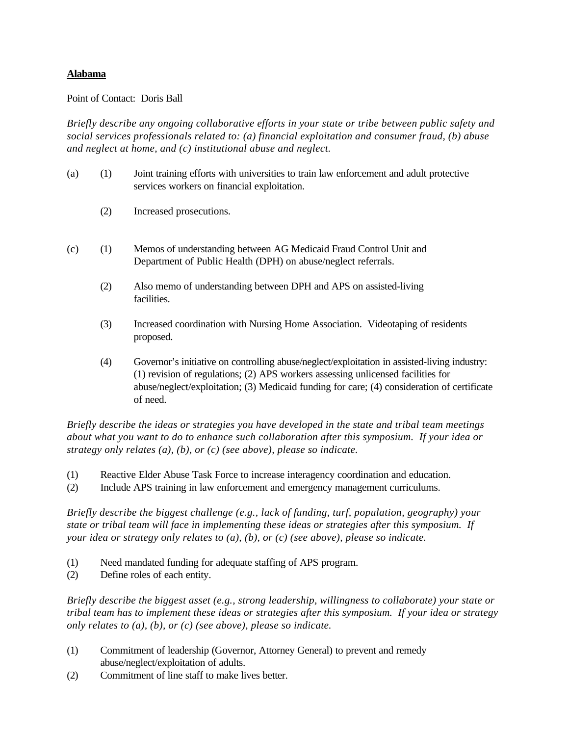## **Alabama**

## Point of Contact: Doris Ball

*Briefly describe any ongoing collaborative efforts in your state or tribe between public safety and social services professionals related to: (a) financial exploitation and consumer fraud, (b) abuse and neglect at home, and (c) institutional abuse and neglect.*

- (a) (1) Joint training efforts with universities to train law enforcement and adult protective services workers on financial exploitation.
	- (2) Increased prosecutions.
- (c) (1) Memos of understanding between AG Medicaid Fraud Control Unit and Department of Public Health (DPH) on abuse/neglect referrals.
	- (2) Also memo of understanding between DPH and APS on assisted-living facilities.
	- (3) Increased coordination with Nursing Home Association. Videotaping of residents proposed.
	- (4) Governor's initiative on controlling abuse/neglect/exploitation in assisted-living industry: (1) revision of regulations; (2) APS workers assessing unlicensed facilities for abuse/neglect/exploitation; (3) Medicaid funding for care; (4) consideration of certificate of need.

*Briefly describe the ideas or strategies you have developed in the state and tribal team meetings about what you want to do to enhance such collaboration after this symposium. If your idea or strategy only relates (a), (b), or (c) (see above), please so indicate.*

- (1) Reactive Elder Abuse Task Force to increase interagency coordination and education.
- (2) Include APS training in law enforcement and emergency management curriculums.

*Briefly describe the biggest challenge (e.g., lack of funding, turf, population, geography) your state or tribal team will face in implementing these ideas or strategies after this symposium. If your idea or strategy only relates to (a), (b), or (c) (see above), please so indicate.*

- (1) Need mandated funding for adequate staffing of APS program.
- (2) Define roles of each entity.

*Briefly describe the biggest asset (e.g., strong leadership, willingness to collaborate) your state or tribal team has to implement these ideas or strategies after this symposium. If your idea or strategy only relates to (a), (b), or (c) (see above), please so indicate.*

- (1) Commitment of leadership (Governor, Attorney General) to prevent and remedy abuse/neglect/exploitation of adults.
- (2) Commitment of line staff to make lives better.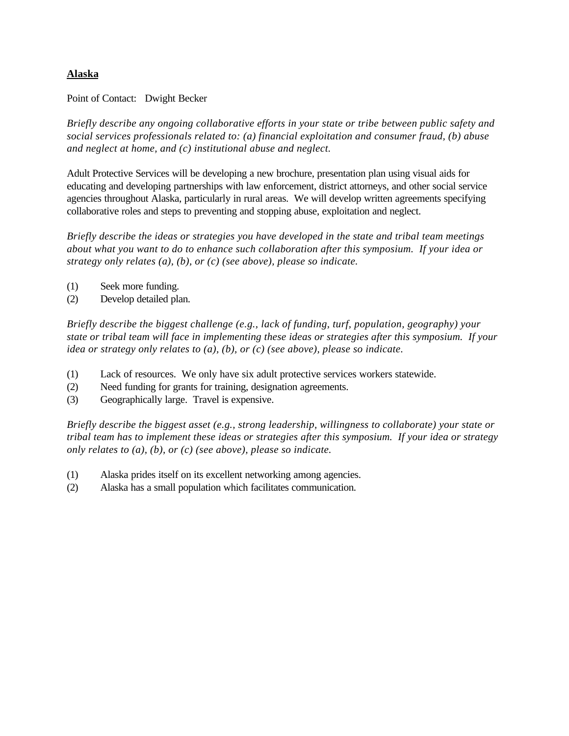## **Alaska**

Point of Contact: Dwight Becker

*Briefly describe any ongoing collaborative efforts in your state or tribe between public safety and social services professionals related to: (a) financial exploitation and consumer fraud, (b) abuse and neglect at home, and (c) institutional abuse and neglect.*

Adult Protective Services will be developing a new brochure, presentation plan using visual aids for educating and developing partnerships with law enforcement, district attorneys, and other social service agencies throughout Alaska, particularly in rural areas. We will develop written agreements specifying collaborative roles and steps to preventing and stopping abuse, exploitation and neglect.

*Briefly describe the ideas or strategies you have developed in the state and tribal team meetings about what you want to do to enhance such collaboration after this symposium. If your idea or strategy only relates (a), (b), or (c) (see above), please so indicate.*

- (1) Seek more funding.
- (2) Develop detailed plan.

*Briefly describe the biggest challenge (e.g., lack of funding, turf, population, geography) your state or tribal team will face in implementing these ideas or strategies after this symposium. If your idea or strategy only relates to (a), (b), or (c) (see above), please so indicate.*

- (1) Lack of resources. We only have six adult protective services workers statewide.
- (2) Need funding for grants for training, designation agreements.
- (3) Geographically large. Travel is expensive.

*Briefly describe the biggest asset (e.g., strong leadership, willingness to collaborate) your state or tribal team has to implement these ideas or strategies after this symposium. If your idea or strategy only relates to (a), (b), or (c) (see above), please so indicate.*

- (1) Alaska prides itself on its excellent networking among agencies.
- (2) Alaska has a small population which facilitates communication.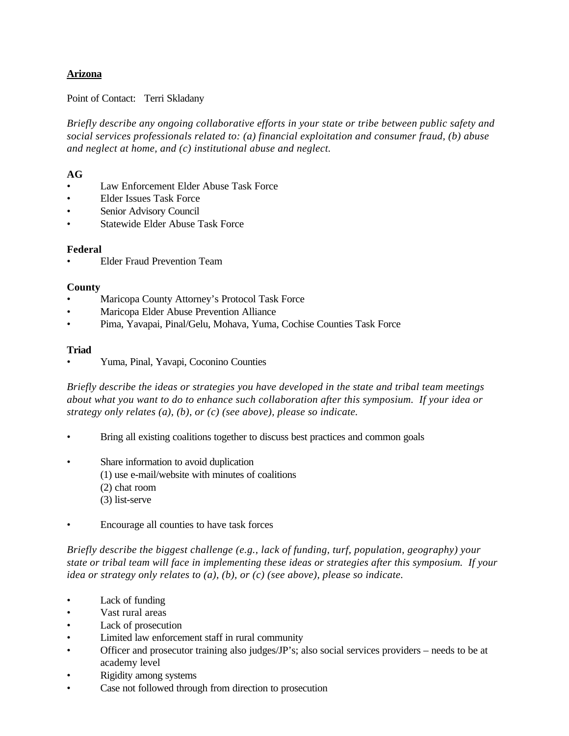## **Arizona**

## Point of Contact: Terri Skladany

*Briefly describe any ongoing collaborative efforts in your state or tribe between public safety and social services professionals related to: (a) financial exploitation and consumer fraud, (b) abuse and neglect at home, and (c) institutional abuse and neglect.*

## **AG**

- Law Enforcement Elder Abuse Task Force
- Elder Issues Task Force
- Senior Advisory Council
- Statewide Elder Abuse Task Force

## **Federal**

• Elder Fraud Prevention Team

## **County**

- Maricopa County Attorney's Protocol Task Force
- Maricopa Elder Abuse Prevention Alliance
- Pima, Yavapai, Pinal/Gelu, Mohava, Yuma, Cochise Counties Task Force

## **Triad**

• Yuma, Pinal, Yavapi, Coconino Counties

*Briefly describe the ideas or strategies you have developed in the state and tribal team meetings about what you want to do to enhance such collaboration after this symposium. If your idea or strategy only relates (a), (b), or (c) (see above), please so indicate.*

- Bring all existing coalitions together to discuss best practices and common goals
- Share information to avoid duplication
	- (1) use e-mail/website with minutes of coalitions
	- (2) chat room
	- (3) list-serve
- Encourage all counties to have task forces

*Briefly describe the biggest challenge (e.g., lack of funding, turf, population, geography) your state or tribal team will face in implementing these ideas or strategies after this symposium. If your idea or strategy only relates to (a), (b), or (c) (see above), please so indicate.*

- Lack of funding
- Vast rural areas
- Lack of prosecution
- Limited law enforcement staff in rural community
- Officer and prosecutor training also judges/JP's; also social services providers needs to be at academy level
- Rigidity among systems
- Case not followed through from direction to prosecution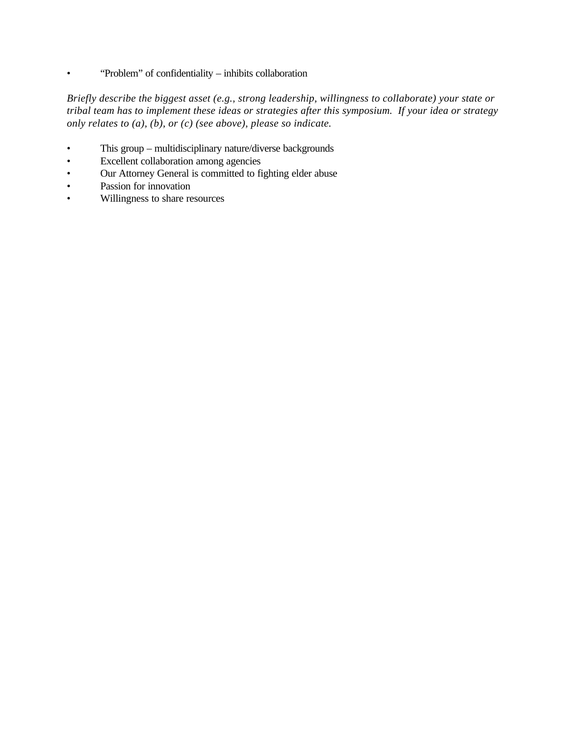• "Problem" of confidentiality – inhibits collaboration

*Briefly describe the biggest asset (e.g., strong leadership, willingness to collaborate) your state or tribal team has to implement these ideas or strategies after this symposium. If your idea or strategy only relates to (a), (b), or (c) (see above), please so indicate.*

- This group multidisciplinary nature/diverse backgrounds
- Excellent collaboration among agencies
- Our Attorney General is committed to fighting elder abuse
- Passion for innovation
- Willingness to share resources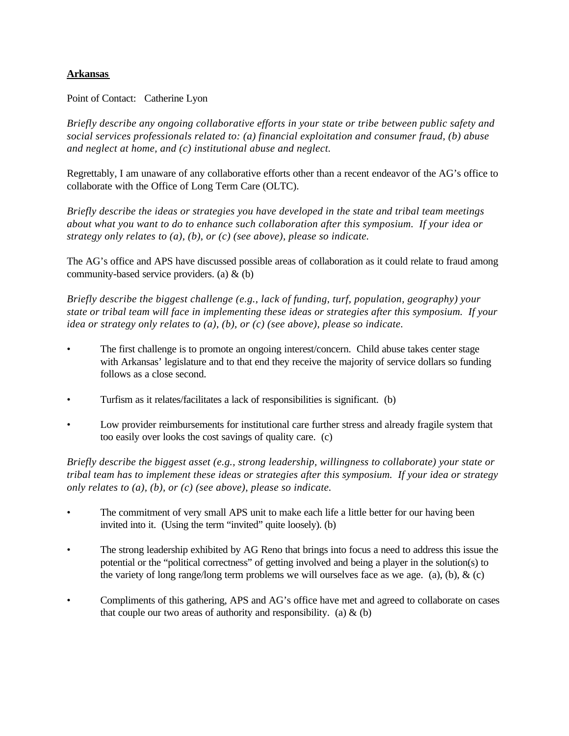## **Arkansas**

Point of Contact: Catherine Lyon

*Briefly describe any ongoing collaborative efforts in your state or tribe between public safety and social services professionals related to: (a) financial exploitation and consumer fraud, (b) abuse and neglect at home, and (c) institutional abuse and neglect.*

Regrettably, I am unaware of any collaborative efforts other than a recent endeavor of the AG's office to collaborate with the Office of Long Term Care (OLTC).

*Briefly describe the ideas or strategies you have developed in the state and tribal team meetings about what you want to do to enhance such collaboration after this symposium. If your idea or strategy only relates to (a), (b), or (c) (see above), please so indicate.*

The AG's office and APS have discussed possible areas of collaboration as it could relate to fraud among community-based service providers. (a) & (b)

*Briefly describe the biggest challenge (e.g., lack of funding, turf, population, geography) your state or tribal team will face in implementing these ideas or strategies after this symposium. If your idea or strategy only relates to (a), (b), or (c) (see above), please so indicate.*

- The first challenge is to promote an ongoing interest/concern. Child abuse takes center stage with Arkansas' legislature and to that end they receive the majority of service dollars so funding follows as a close second.
- Turfism as it relates/facilitates a lack of responsibilities is significant. (b)
- Low provider reimbursements for institutional care further stress and already fragile system that too easily over looks the cost savings of quality care. (c)

*Briefly describe the biggest asset (e.g., strong leadership, willingness to collaborate) your state or tribal team has to implement these ideas or strategies after this symposium. If your idea or strategy only relates to (a), (b), or (c) (see above), please so indicate.*

- The commitment of very small APS unit to make each life a little better for our having been invited into it. (Using the term "invited" quite loosely). (b)
- The strong leadership exhibited by AG Reno that brings into focus a need to address this issue the potential or the "political correctness" of getting involved and being a player in the solution(s) to the variety of long range/long term problems we will ourselves face as we age. (a), (b),  $\&$  (c)
- Compliments of this gathering, APS and AG's office have met and agreed to collaborate on cases that couple our two areas of authority and responsibility. (a)  $\&$  (b)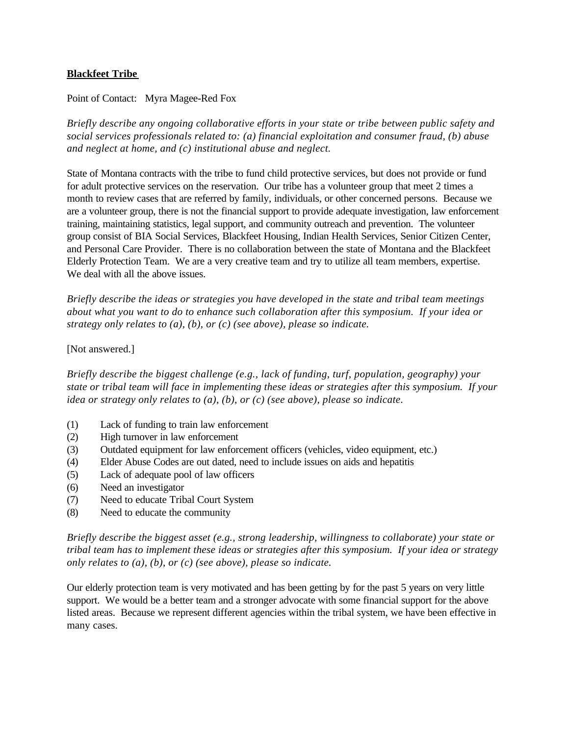## **Blackfeet Tribe**

## Point of Contact: Myra Magee-Red Fox

*Briefly describe any ongoing collaborative efforts in your state or tribe between public safety and social services professionals related to: (a) financial exploitation and consumer fraud, (b) abuse and neglect at home, and (c) institutional abuse and neglect.*

State of Montana contracts with the tribe to fund child protective services, but does not provide or fund for adult protective services on the reservation. Our tribe has a volunteer group that meet 2 times a month to review cases that are referred by family, individuals, or other concerned persons. Because we are a volunteer group, there is not the financial support to provide adequate investigation, law enforcement training, maintaining statistics, legal support, and community outreach and prevention. The volunteer group consist of BIA Social Services, Blackfeet Housing, Indian Health Services, Senior Citizen Center, and Personal Care Provider. There is no collaboration between the state of Montana and the Blackfeet Elderly Protection Team. We are a very creative team and try to utilize all team members, expertise. We deal with all the above issues.

*Briefly describe the ideas or strategies you have developed in the state and tribal team meetings about what you want to do to enhance such collaboration after this symposium. If your idea or strategy only relates to (a), (b), or (c) (see above), please so indicate.*

## [Not answered.]

*Briefly describe the biggest challenge (e.g., lack of funding, turf, population, geography) your state or tribal team will face in implementing these ideas or strategies after this symposium. If your idea or strategy only relates to (a), (b), or (c) (see above), please so indicate.*

- (1) Lack of funding to train law enforcement
- (2) High turnover in law enforcement
- (3) Outdated equipment for law enforcement officers (vehicles, video equipment, etc.)
- (4) Elder Abuse Codes are out dated, need to include issues on aids and hepatitis
- (5) Lack of adequate pool of law officers
- (6) Need an investigator
- (7) Need to educate Tribal Court System
- (8) Need to educate the community

*Briefly describe the biggest asset (e.g., strong leadership, willingness to collaborate) your state or tribal team has to implement these ideas or strategies after this symposium. If your idea or strategy only relates to (a), (b), or (c) (see above), please so indicate.*

Our elderly protection team is very motivated and has been getting by for the past 5 years on very little support. We would be a better team and a stronger advocate with some financial support for the above listed areas. Because we represent different agencies within the tribal system, we have been effective in many cases.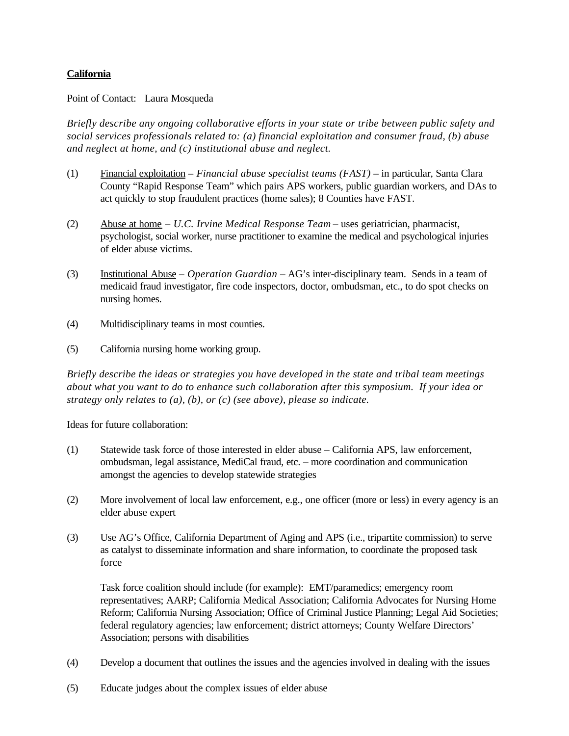## **California**

Point of Contact: Laura Mosqueda

*Briefly describe any ongoing collaborative efforts in your state or tribe between public safety and social services professionals related to: (a) financial exploitation and consumer fraud, (b) abuse and neglect at home, and (c) institutional abuse and neglect.*

- (1) Financial exploitation *Financial abuse specialist teams (FAST)* in particular, Santa Clara County "Rapid Response Team" which pairs APS workers, public guardian workers, and DAs to act quickly to stop fraudulent practices (home sales); 8 Counties have FAST.
- (2) Abuse at home *U.C. Irvine Medical Response Team* uses geriatrician, pharmacist, psychologist, social worker, nurse practitioner to examine the medical and psychological injuries of elder abuse victims.
- (3) Institutional Abuse *Operation Guardian* AG's inter-disciplinary team. Sends in a team of medicaid fraud investigator, fire code inspectors, doctor, ombudsman, etc., to do spot checks on nursing homes.
- (4) Multidisciplinary teams in most counties.
- (5) California nursing home working group.

*Briefly describe the ideas or strategies you have developed in the state and tribal team meetings about what you want to do to enhance such collaboration after this symposium. If your idea or strategy only relates to (a), (b), or (c) (see above), please so indicate.*

Ideas for future collaboration:

- (1) Statewide task force of those interested in elder abuse California APS, law enforcement, ombudsman, legal assistance, MediCal fraud, etc. – more coordination and communication amongst the agencies to develop statewide strategies
- (2) More involvement of local law enforcement, e.g., one officer (more or less) in every agency is an elder abuse expert
- (3) Use AG's Office, California Department of Aging and APS (i.e., tripartite commission) to serve as catalyst to disseminate information and share information, to coordinate the proposed task force

Task force coalition should include (for example): EMT/paramedics; emergency room representatives; AARP; California Medical Association; California Advocates for Nursing Home Reform; California Nursing Association; Office of Criminal Justice Planning; Legal Aid Societies; federal regulatory agencies; law enforcement; district attorneys; County Welfare Directors' Association; persons with disabilities

- (4) Develop a document that outlines the issues and the agencies involved in dealing with the issues
- (5) Educate judges about the complex issues of elder abuse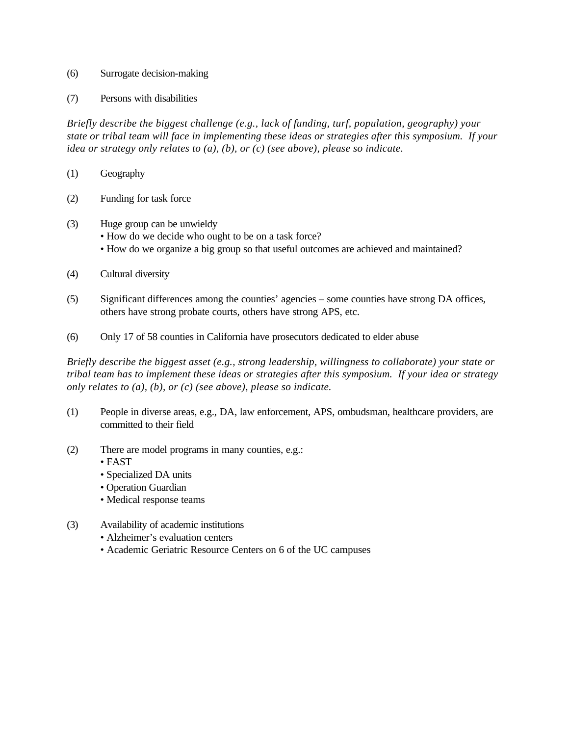- (6) Surrogate decision-making
- (7) Persons with disabilities

*Briefly describe the biggest challenge (e.g., lack of funding, turf, population, geography) your state or tribal team will face in implementing these ideas or strategies after this symposium. If your idea or strategy only relates to (a), (b), or (c) (see above), please so indicate.*

- (1) Geography
- (2) Funding for task force
- (3) Huge group can be unwieldy
	- How do we decide who ought to be on a task force?
	- How do we organize a big group so that useful outcomes are achieved and maintained?
- (4) Cultural diversity
- (5) Significant differences among the counties' agencies some counties have strong DA offices, others have strong probate courts, others have strong APS, etc.
- (6) Only 17 of 58 counties in California have prosecutors dedicated to elder abuse

*Briefly describe the biggest asset (e.g., strong leadership, willingness to collaborate) your state or tribal team has to implement these ideas or strategies after this symposium. If your idea or strategy only relates to (a), (b), or (c) (see above), please so indicate.*

- (1) People in diverse areas, e.g., DA, law enforcement, APS, ombudsman, healthcare providers, are committed to their field
- (2) There are model programs in many counties, e.g.:
	- FAST
	- Specialized DA units
	- Operation Guardian
	- Medical response teams
- (3) Availability of academic institutions
	- Alzheimer's evaluation centers
	- Academic Geriatric Resource Centers on 6 of the UC campuses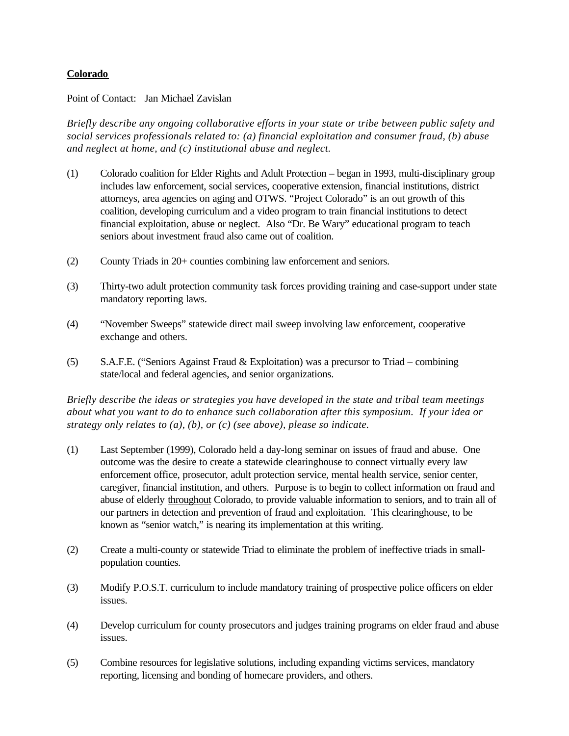## **Colorado**

## Point of Contact: Jan Michael Zavislan

*Briefly describe any ongoing collaborative efforts in your state or tribe between public safety and social services professionals related to: (a) financial exploitation and consumer fraud, (b) abuse and neglect at home, and (c) institutional abuse and neglect.*

- (1) Colorado coalition for Elder Rights and Adult Protection began in 1993, multi-disciplinary group includes law enforcement, social services, cooperative extension, financial institutions, district attorneys, area agencies on aging and OTWS. "Project Colorado" is an out growth of this coalition, developing curriculum and a video program to train financial institutions to detect financial exploitation, abuse or neglect. Also "Dr. Be Wary" educational program to teach seniors about investment fraud also came out of coalition.
- (2) County Triads in 20+ counties combining law enforcement and seniors.
- (3) Thirty-two adult protection community task forces providing training and case-support under state mandatory reporting laws.
- (4) "November Sweeps" statewide direct mail sweep involving law enforcement, cooperative exchange and others.
- (5) S.A.F.E. ("Seniors Against Fraud & Exploitation) was a precursor to Triad combining state/local and federal agencies, and senior organizations.

*Briefly describe the ideas or strategies you have developed in the state and tribal team meetings about what you want to do to enhance such collaboration after this symposium. If your idea or strategy only relates to (a), (b), or (c) (see above), please so indicate.*

- (1) Last September (1999), Colorado held a day-long seminar on issues of fraud and abuse. One outcome was the desire to create a statewide clearinghouse to connect virtually every law enforcement office, prosecutor, adult protection service, mental health service, senior center, caregiver, financial institution, and others. Purpose is to begin to collect information on fraud and abuse of elderly throughout Colorado, to provide valuable information to seniors, and to train all of our partners in detection and prevention of fraud and exploitation. This clearinghouse, to be known as "senior watch," is nearing its implementation at this writing.
- (2) Create a multi-county or statewide Triad to eliminate the problem of ineffective triads in smallpopulation counties.
- (3) Modify P.O.S.T. curriculum to include mandatory training of prospective police officers on elder issues.
- (4) Develop curriculum for county prosecutors and judges training programs on elder fraud and abuse issues.
- (5) Combine resources for legislative solutions, including expanding victims services, mandatory reporting, licensing and bonding of homecare providers, and others.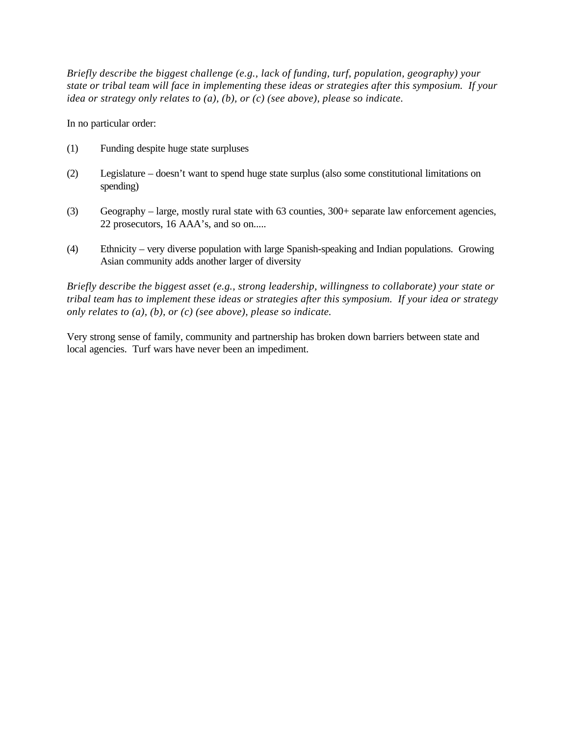*Briefly describe the biggest challenge (e.g., lack of funding, turf, population, geography) your state or tribal team will face in implementing these ideas or strategies after this symposium. If your idea or strategy only relates to (a), (b), or (c) (see above), please so indicate.*

In no particular order:

- (1) Funding despite huge state surpluses
- (2) Legislature doesn't want to spend huge state surplus (also some constitutional limitations on spending)
- (3) Geography large, mostly rural state with 63 counties, 300+ separate law enforcement agencies, 22 prosecutors, 16 AAA's, and so on.....
- (4) Ethnicity very diverse population with large Spanish-speaking and Indian populations. Growing Asian community adds another larger of diversity

*Briefly describe the biggest asset (e.g., strong leadership, willingness to collaborate) your state or tribal team has to implement these ideas or strategies after this symposium. If your idea or strategy only relates to (a), (b), or (c) (see above), please so indicate.*

Very strong sense of family, community and partnership has broken down barriers between state and local agencies. Turf wars have never been an impediment.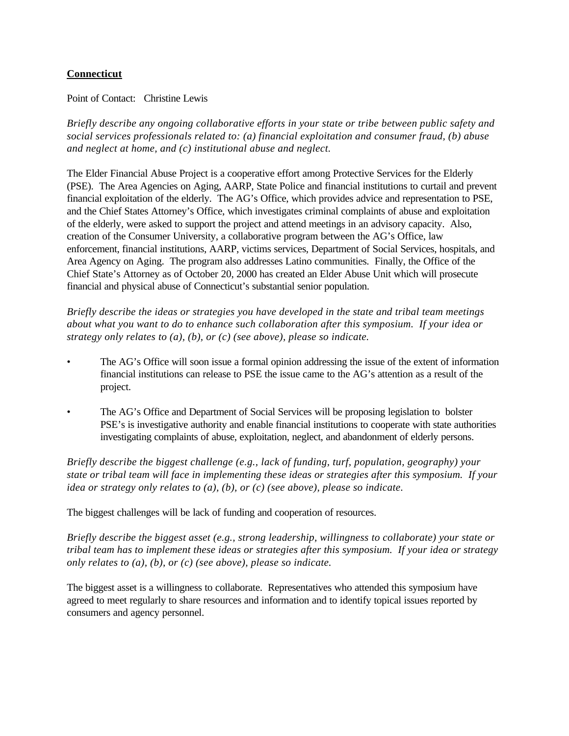## **Connecticut**

Point of Contact: Christine Lewis

*Briefly describe any ongoing collaborative efforts in your state or tribe between public safety and social services professionals related to: (a) financial exploitation and consumer fraud, (b) abuse and neglect at home, and (c) institutional abuse and neglect.*

The Elder Financial Abuse Project is a cooperative effort among Protective Services for the Elderly (PSE). The Area Agencies on Aging, AARP, State Police and financial institutions to curtail and prevent financial exploitation of the elderly. The AG's Office, which provides advice and representation to PSE, and the Chief States Attorney's Office, which investigates criminal complaints of abuse and exploitation of the elderly, were asked to support the project and attend meetings in an advisory capacity. Also, creation of the Consumer University, a collaborative program between the AG's Office, law enforcement, financial institutions, AARP, victims services, Department of Social Services, hospitals, and Area Agency on Aging. The program also addresses Latino communities. Finally, the Office of the Chief State's Attorney as of October 20, 2000 has created an Elder Abuse Unit which will prosecute financial and physical abuse of Connecticut's substantial senior population.

*Briefly describe the ideas or strategies you have developed in the state and tribal team meetings about what you want to do to enhance such collaboration after this symposium. If your idea or strategy only relates to (a), (b), or (c) (see above), please so indicate.*

- The AG's Office will soon issue a formal opinion addressing the issue of the extent of information financial institutions can release to PSE the issue came to the AG's attention as a result of the project.
- The AG's Office and Department of Social Services will be proposing legislation to bolster PSE's is investigative authority and enable financial institutions to cooperate with state authorities investigating complaints of abuse, exploitation, neglect, and abandonment of elderly persons.

*Briefly describe the biggest challenge (e.g., lack of funding, turf, population, geography) your state or tribal team will face in implementing these ideas or strategies after this symposium. If your idea or strategy only relates to (a), (b), or (c) (see above), please so indicate.*

The biggest challenges will be lack of funding and cooperation of resources.

*Briefly describe the biggest asset (e.g., strong leadership, willingness to collaborate) your state or tribal team has to implement these ideas or strategies after this symposium. If your idea or strategy only relates to (a), (b), or (c) (see above), please so indicate.* 

The biggest asset is a willingness to collaborate. Representatives who attended this symposium have agreed to meet regularly to share resources and information and to identify topical issues reported by consumers and agency personnel.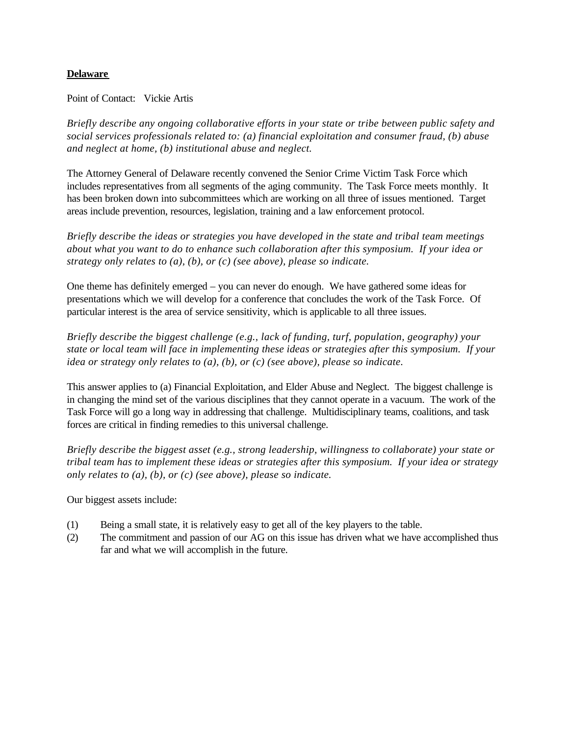## **Delaware**

Point of Contact: Vickie Artis

*Briefly describe any ongoing collaborative efforts in your state or tribe between public safety and social services professionals related to: (a) financial exploitation and consumer fraud, (b) abuse and neglect at home, (b) institutional abuse and neglect.*

The Attorney General of Delaware recently convened the Senior Crime Victim Task Force which includes representatives from all segments of the aging community. The Task Force meets monthly. It has been broken down into subcommittees which are working on all three of issues mentioned. Target areas include prevention, resources, legislation, training and a law enforcement protocol.

*Briefly describe the ideas or strategies you have developed in the state and tribal team meetings about what you want to do to enhance such collaboration after this symposium. If your idea or strategy only relates to (a), (b), or (c) (see above), please so indicate.*

One theme has definitely emerged – you can never do enough. We have gathered some ideas for presentations which we will develop for a conference that concludes the work of the Task Force. Of particular interest is the area of service sensitivity, which is applicable to all three issues.

*Briefly describe the biggest challenge (e.g., lack of funding, turf, population, geography) your state or local team will face in implementing these ideas or strategies after this symposium. If your idea or strategy only relates to (a), (b), or (c) (see above), please so indicate.*

This answer applies to (a) Financial Exploitation, and Elder Abuse and Neglect. The biggest challenge is in changing the mind set of the various disciplines that they cannot operate in a vacuum. The work of the Task Force will go a long way in addressing that challenge. Multidisciplinary teams, coalitions, and task forces are critical in finding remedies to this universal challenge.

*Briefly describe the biggest asset (e.g., strong leadership, willingness to collaborate) your state or tribal team has to implement these ideas or strategies after this symposium. If your idea or strategy only relates to (a), (b), or (c) (see above), please so indicate.*

Our biggest assets include:

- (1) Being a small state, it is relatively easy to get all of the key players to the table.
- (2) The commitment and passion of our AG on this issue has driven what we have accomplished thus far and what we will accomplish in the future.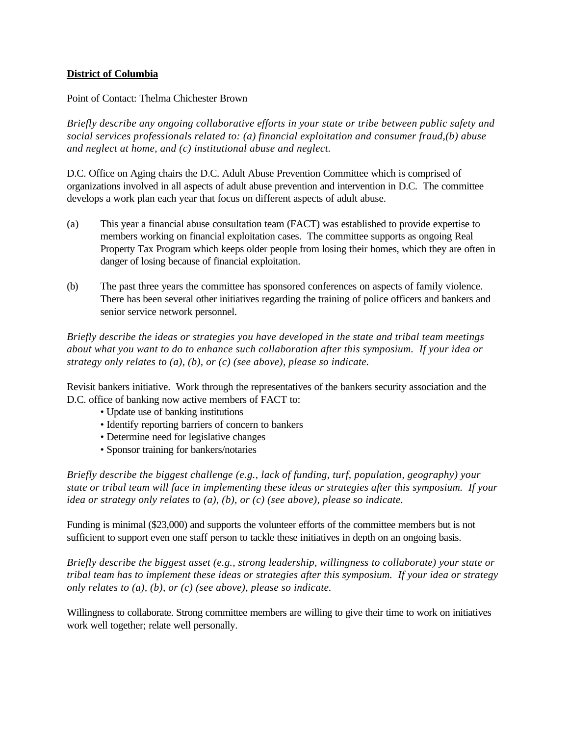## **District of Columbia**

## Point of Contact: Thelma Chichester Brown

*Briefly describe any ongoing collaborative efforts in your state or tribe between public safety and social services professionals related to: (a) financial exploitation and consumer fraud,(b) abuse and neglect at home, and (c) institutional abuse and neglect.*

D.C. Office on Aging chairs the D.C. Adult Abuse Prevention Committee which is comprised of organizations involved in all aspects of adult abuse prevention and intervention in D.C. The committee develops a work plan each year that focus on different aspects of adult abuse.

- (a) This year a financial abuse consultation team (FACT) was established to provide expertise to members working on financial exploitation cases. The committee supports as ongoing Real Property Tax Program which keeps older people from losing their homes, which they are often in danger of losing because of financial exploitation.
- (b) The past three years the committee has sponsored conferences on aspects of family violence. There has been several other initiatives regarding the training of police officers and bankers and senior service network personnel.

*Briefly describe the ideas or strategies you have developed in the state and tribal team meetings about what you want to do to enhance such collaboration after this symposium. If your idea or strategy only relates to (a), (b), or (c) (see above), please so indicate.*

Revisit bankers initiative. Work through the representatives of the bankers security association and the D.C. office of banking now active members of FACT to:

- Update use of banking institutions
- Identify reporting barriers of concern to bankers
- Determine need for legislative changes
- Sponsor training for bankers/notaries

*Briefly describe the biggest challenge (e.g., lack of funding, turf, population, geography) your state or tribal team will face in implementing these ideas or strategies after this symposium. If your idea or strategy only relates to (a), (b), or (c) (see above), please so indicate.*

Funding is minimal (\$23,000) and supports the volunteer efforts of the committee members but is not sufficient to support even one staff person to tackle these initiatives in depth on an ongoing basis.

*Briefly describe the biggest asset (e.g., strong leadership, willingness to collaborate) your state or tribal team has to implement these ideas or strategies after this symposium. If your idea or strategy only relates to (a), (b), or (c) (see above), please so indicate.*

Willingness to collaborate. Strong committee members are willing to give their time to work on initiatives work well together; relate well personally.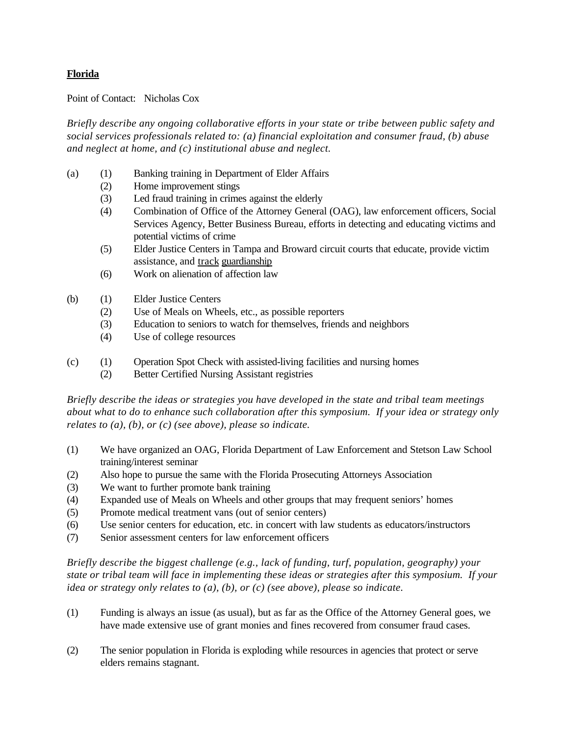## **Florida**

Point of Contact: Nicholas Cox

*Briefly describe any ongoing collaborative efforts in your state or tribe between public safety and social services professionals related to: (a) financial exploitation and consumer fraud, (b) abuse and neglect at home, and (c) institutional abuse and neglect.*

- (a) (1) Banking training in Department of Elder Affairs
	- (2) Home improvement stings
	- (3) Led fraud training in crimes against the elderly
	- (4) Combination of Office of the Attorney General (OAG), law enforcement officers, Social Services Agency, Better Business Bureau, efforts in detecting and educating victims and potential victims of crime
	- (5) Elder Justice Centers in Tampa and Broward circuit courts that educate, provide victim assistance, and track guardianship
	- (6) Work on alienation of affection law
- (b) (1) Elder Justice Centers
	- (2) Use of Meals on Wheels, etc., as possible reporters
	- (3) Education to seniors to watch for themselves, friends and neighbors
	- (4) Use of college resources
- (c) (1) Operation Spot Check with assisted-living facilities and nursing homes
	- (2) Better Certified Nursing Assistant registries

*Briefly describe the ideas or strategies you have developed in the state and tribal team meetings about what to do to enhance such collaboration after this symposium. If your idea or strategy only relates to (a), (b), or (c) (see above), please so indicate.*

- (1) We have organized an OAG, Florida Department of Law Enforcement and Stetson Law School training/interest seminar
- (2) Also hope to pursue the same with the Florida Prosecuting Attorneys Association
- (3) We want to further promote bank training
- (4) Expanded use of Meals on Wheels and other groups that may frequent seniors' homes
- (5) Promote medical treatment vans (out of senior centers)
- (6) Use senior centers for education, etc. in concert with law students as educators/instructors
- (7) Senior assessment centers for law enforcement officers

*Briefly describe the biggest challenge (e.g., lack of funding, turf, population, geography) your state or tribal team will face in implementing these ideas or strategies after this symposium. If your idea or strategy only relates to (a), (b), or (c) (see above), please so indicate.*

- (1) Funding is always an issue (as usual), but as far as the Office of the Attorney General goes, we have made extensive use of grant monies and fines recovered from consumer fraud cases.
- (2) The senior population in Florida is exploding while resources in agencies that protect or serve elders remains stagnant.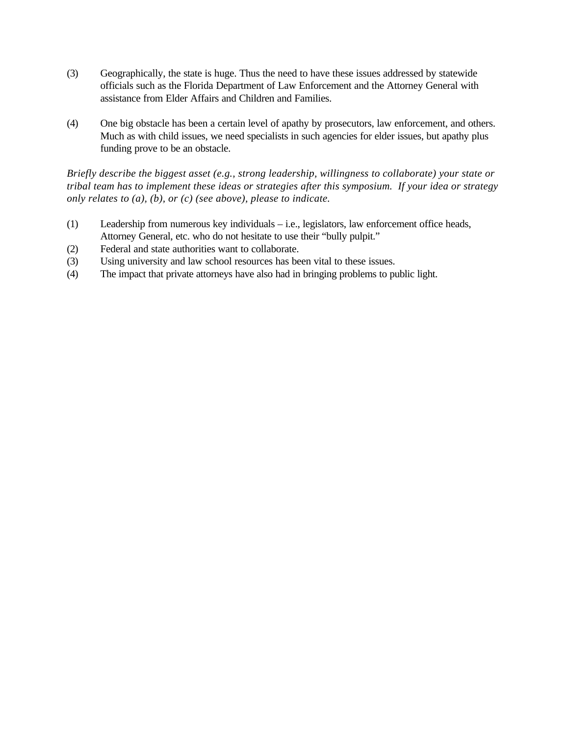- (3) Geographically, the state is huge. Thus the need to have these issues addressed by statewide officials such as the Florida Department of Law Enforcement and the Attorney General with assistance from Elder Affairs and Children and Families.
- (4) One big obstacle has been a certain level of apathy by prosecutors, law enforcement, and others. Much as with child issues, we need specialists in such agencies for elder issues, but apathy plus funding prove to be an obstacle.

- (1) Leadership from numerous key individuals i.e., legislators, law enforcement office heads, Attorney General, etc. who do not hesitate to use their "bully pulpit."
- (2) Federal and state authorities want to collaborate.
- (3) Using university and law school resources has been vital to these issues.
- (4) The impact that private attorneys have also had in bringing problems to public light.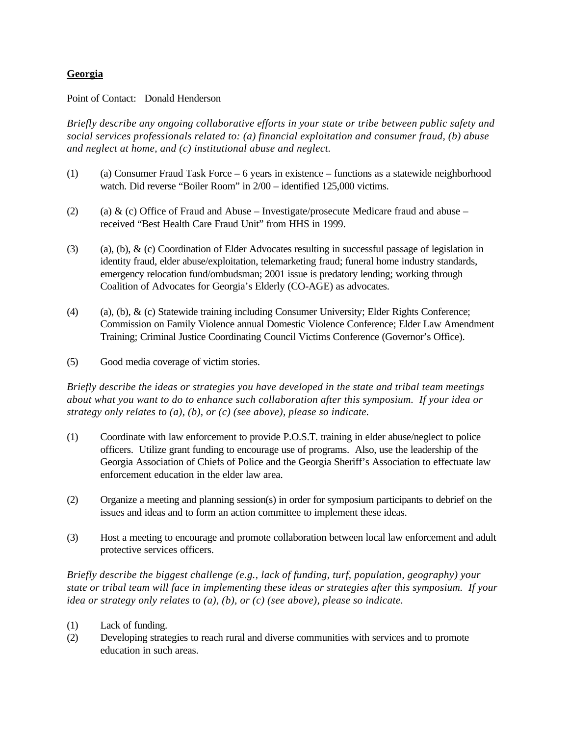## **Georgia**

Point of Contact: Donald Henderson

*Briefly describe any ongoing collaborative efforts in your state or tribe between public safety and social services professionals related to: (a) financial exploitation and consumer fraud, (b) abuse and neglect at home, and (c) institutional abuse and neglect.*

- (1) (a) Consumer Fraud Task Force  $-6$  years in existence functions as a statewide neighborhood watch. Did reverse "Boiler Room" in 2/00 – identified 125,000 victims.
- (2) (a) & (c) Office of Fraud and Abuse Investigate/prosecute Medicare fraud and abuse received "Best Health Care Fraud Unit" from HHS in 1999.
- (3) (a), (b),  $\&$  (c) Coordination of Elder Advocates resulting in successful passage of legislation in identity fraud, elder abuse/exploitation, telemarketing fraud; funeral home industry standards, emergency relocation fund/ombudsman; 2001 issue is predatory lending; working through Coalition of Advocates for Georgia's Elderly (CO-AGE) as advocates.
- (4) (a), (b), & (c) Statewide training including Consumer University; Elder Rights Conference; Commission on Family Violence annual Domestic Violence Conference; Elder Law Amendment Training; Criminal Justice Coordinating Council Victims Conference (Governor's Office).
- (5) Good media coverage of victim stories.

*Briefly describe the ideas or strategies you have developed in the state and tribal team meetings about what you want to do to enhance such collaboration after this symposium. If your idea or strategy only relates to (a), (b), or (c) (see above), please so indicate.*

- (1) Coordinate with law enforcement to provide P.O.S.T. training in elder abuse/neglect to police officers. Utilize grant funding to encourage use of programs. Also, use the leadership of the Georgia Association of Chiefs of Police and the Georgia Sheriff's Association to effectuate law enforcement education in the elder law area.
- (2) Organize a meeting and planning session(s) in order for symposium participants to debrief on the issues and ideas and to form an action committee to implement these ideas.
- (3) Host a meeting to encourage and promote collaboration between local law enforcement and adult protective services officers.

*Briefly describe the biggest challenge (e.g., lack of funding, turf, population, geography) your state or tribal team will face in implementing these ideas or strategies after this symposium. If your idea or strategy only relates to (a), (b), or (c) (see above), please so indicate.*

- (1) Lack of funding.
- (2) Developing strategies to reach rural and diverse communities with services and to promote education in such areas.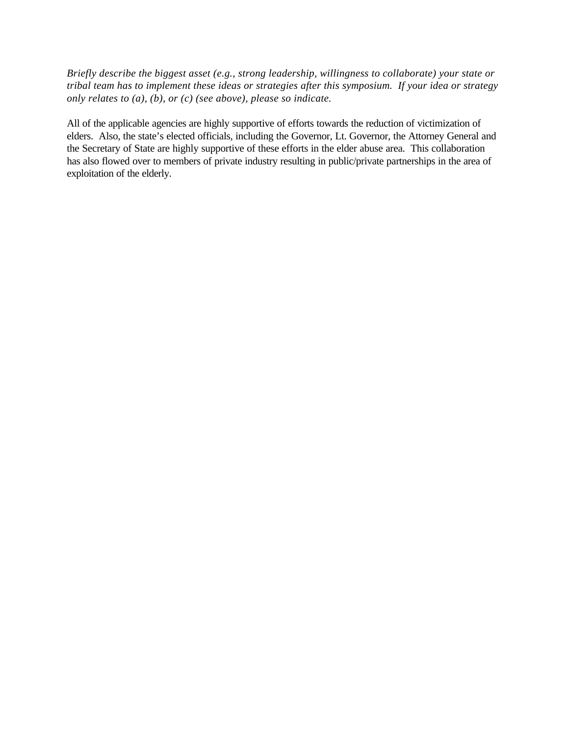*Briefly describe the biggest asset (e.g., strong leadership, willingness to collaborate) your state or tribal team has to implement these ideas or strategies after this symposium. If your idea or strategy only relates to (a), (b), or (c) (see above), please so indicate.* 

All of the applicable agencies are highly supportive of efforts towards the reduction of victimization of elders. Also, the state's elected officials, including the Governor, Lt. Governor, the Attorney General and the Secretary of State are highly supportive of these efforts in the elder abuse area. This collaboration has also flowed over to members of private industry resulting in public/private partnerships in the area of exploitation of the elderly.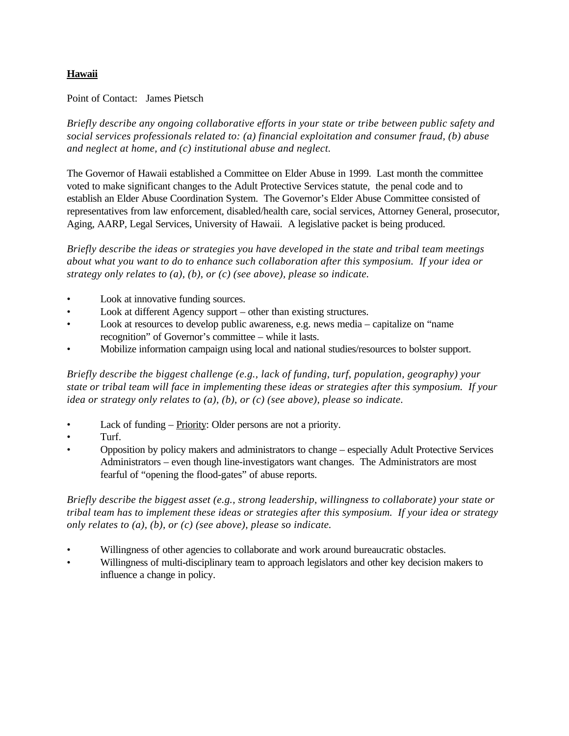# **Hawaii**

Point of Contact: James Pietsch

*Briefly describe any ongoing collaborative efforts in your state or tribe between public safety and social services professionals related to: (a) financial exploitation and consumer fraud, (b) abuse and neglect at home, and (c) institutional abuse and neglect.*

The Governor of Hawaii established a Committee on Elder Abuse in 1999. Last month the committee voted to make significant changes to the Adult Protective Services statute, the penal code and to establish an Elder Abuse Coordination System. The Governor's Elder Abuse Committee consisted of representatives from law enforcement, disabled/health care, social services, Attorney General, prosecutor, Aging, AARP, Legal Services, University of Hawaii. A legislative packet is being produced.

*Briefly describe the ideas or strategies you have developed in the state and tribal team meetings about what you want to do to enhance such collaboration after this symposium. If your idea or strategy only relates to (a), (b), or (c) (see above), please so indicate.*

- Look at innovative funding sources.
- Look at different Agency support other than existing structures.
- Look at resources to develop public awareness, e.g. news media capitalize on "name" recognition" of Governor's committee – while it lasts.
- Mobilize information campaign using local and national studies/resources to bolster support.

*Briefly describe the biggest challenge (e.g., lack of funding, turf, population, geography) your state or tribal team will face in implementing these ideas or strategies after this symposium. If your idea or strategy only relates to (a), (b), or (c) (see above), please so indicate.*

- Lack of funding Priority: Older persons are not a priority.
- Turf.
- Opposition by policy makers and administrators to change especially Adult Protective Services Administrators – even though line-investigators want changes. The Administrators are most fearful of "opening the flood-gates" of abuse reports.

- Willingness of other agencies to collaborate and work around bureaucratic obstacles.
- Willingness of multi-disciplinary team to approach legislators and other key decision makers to influence a change in policy.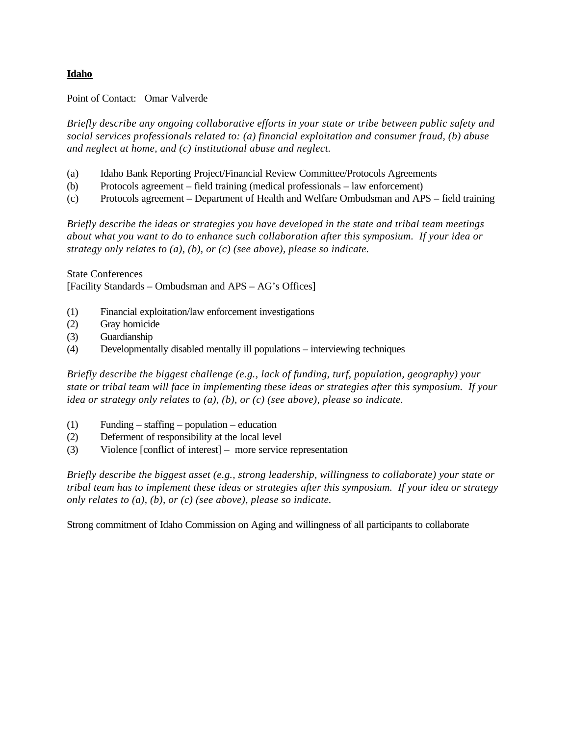## **Idaho**

Point of Contact: Omar Valverde

*Briefly describe any ongoing collaborative efforts in your state or tribe between public safety and social services professionals related to: (a) financial exploitation and consumer fraud, (b) abuse and neglect at home, and (c) institutional abuse and neglect.*

- (a) Idaho Bank Reporting Project/Financial Review Committee/Protocols Agreements
- (b) Protocols agreement field training (medical professionals law enforcement)
- (c) Protocols agreement Department of Health and Welfare Ombudsman and APS field training

*Briefly describe the ideas or strategies you have developed in the state and tribal team meetings about what you want to do to enhance such collaboration after this symposium. If your idea or strategy only relates to (a), (b), or (c) (see above), please so indicate.*

State Conferences [Facility Standards – Ombudsman and APS – AG's Offices]

- (1) Financial exploitation/law enforcement investigations
- (2) Gray homicide
- (3) Guardianship
- (4) Developmentally disabled mentally ill populations interviewing techniques

*Briefly describe the biggest challenge (e.g., lack of funding, turf, population, geography) your state or tribal team will face in implementing these ideas or strategies after this symposium. If your idea or strategy only relates to (a), (b), or (c) (see above), please so indicate.*

- (1) Funding staffing population education
- (2) Deferment of responsibility at the local level
- (3) Violence [conflict of interest] more service representation

*Briefly describe the biggest asset (e.g., strong leadership, willingness to collaborate) your state or tribal team has to implement these ideas or strategies after this symposium. If your idea or strategy only relates to (a), (b), or (c) (see above), please so indicate.*

Strong commitment of Idaho Commission on Aging and willingness of all participants to collaborate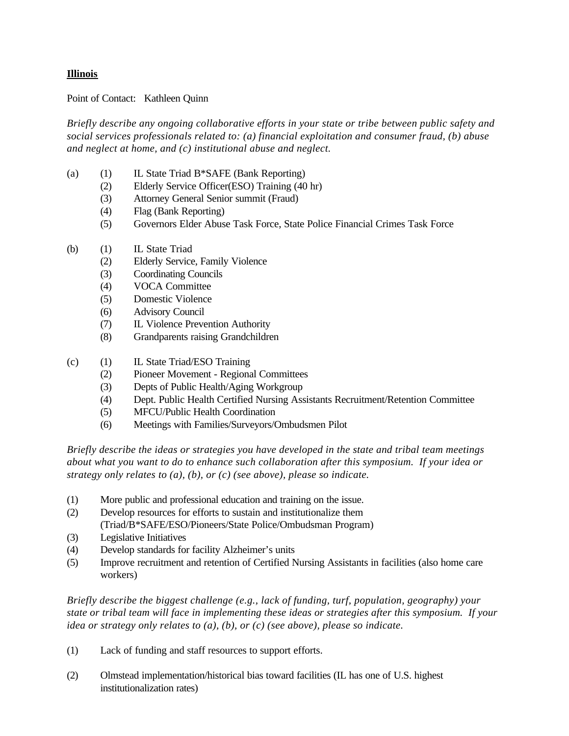## **Illinois**

Point of Contact: Kathleen Quinn

*Briefly describe any ongoing collaborative efforts in your state or tribe between public safety and social services professionals related to: (a) financial exploitation and consumer fraud, (b) abuse and neglect at home, and (c) institutional abuse and neglect.*

- (a) (1) IL State Triad B\*SAFE (Bank Reporting)
	- (2) Elderly Service Officer(ESO) Training (40 hr)
	- (3) Attorney General Senior summit (Fraud)
	- (4) Flag (Bank Reporting)
	- (5) Governors Elder Abuse Task Force, State Police Financial Crimes Task Force
- (b) (1) IL State Triad
	- (2) Elderly Service, Family Violence
	- (3) Coordinating Councils
	- (4) VOCA Committee
	- (5) Domestic Violence
	- (6) Advisory Council
	- (7) IL Violence Prevention Authority
	- (8) Grandparents raising Grandchildren
- (c) (1) IL State Triad/ESO Training
	- (2) Pioneer Movement Regional Committees
	- (3) Depts of Public Health/Aging Workgroup
	- (4) Dept. Public Health Certified Nursing Assistants Recruitment/Retention Committee
	- (5) MFCU/Public Health Coordination
	- (6) Meetings with Families/Surveyors/Ombudsmen Pilot

*Briefly describe the ideas or strategies you have developed in the state and tribal team meetings about what you want to do to enhance such collaboration after this symposium. If your idea or strategy only relates to (a), (b), or (c) (see above), please so indicate.*

- (1) More public and professional education and training on the issue.
- (2) Develop resources for efforts to sustain and institutionalize them (Triad/B\*SAFE/ESO/Pioneers/State Police/Ombudsman Program)
- (3) Legislative Initiatives
- (4) Develop standards for facility Alzheimer's units
- (5) Improve recruitment and retention of Certified Nursing Assistants in facilities (also home care workers)

*Briefly describe the biggest challenge (e.g., lack of funding, turf, population, geography) your state or tribal team will face in implementing these ideas or strategies after this symposium. If your idea or strategy only relates to (a), (b), or (c) (see above), please so indicate.*

- (1) Lack of funding and staff resources to support efforts.
- (2) Olmstead implementation/historical bias toward facilities (IL has one of U.S. highest institutionalization rates)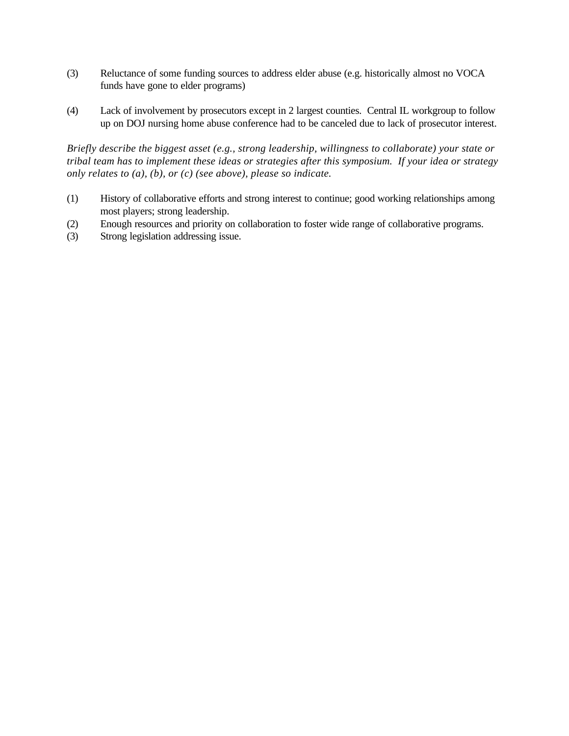- (3) Reluctance of some funding sources to address elder abuse (e.g. historically almost no VOCA funds have gone to elder programs)
- (4) Lack of involvement by prosecutors except in 2 largest counties. Central IL workgroup to follow up on DOJ nursing home abuse conference had to be canceled due to lack of prosecutor interest.

- (1) History of collaborative efforts and strong interest to continue; good working relationships among most players; strong leadership.
- (2) Enough resources and priority on collaboration to foster wide range of collaborative programs.
- (3) Strong legislation addressing issue.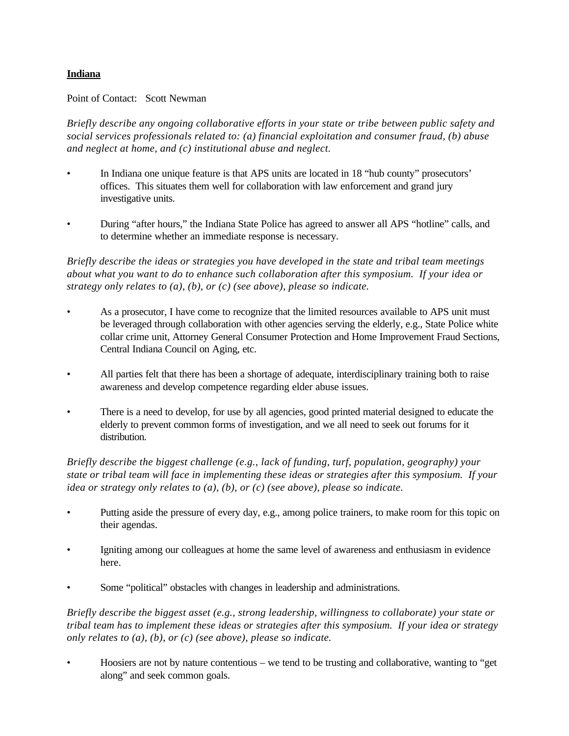## **Indiana**

### Point of Contact: Scott Newman

*Briefly describe any ongoing collaborative efforts in your state or tribe between public safety and social services professionals related to: (a) financial exploitation and consumer fraud, (b) abuse and neglect at home, and (c) institutional abuse and neglect.*

- In Indiana one unique feature is that APS units are located in 18 "hub county" prosecutors' offices. This situates them well for collaboration with law enforcement and grand jury investigative units.
- During "after hours," the Indiana State Police has agreed to answer all APS "hotline" calls, and to determine whether an immediate response is necessary.

*Briefly describe the ideas or strategies you have developed in the state and tribal team meetings about what you want to do to enhance such collaboration after this symposium. If your idea or strategy only relates to (a), (b), or (c) (see above), please so indicate.*

- As a prosecutor, I have come to recognize that the limited resources available to APS unit must be leveraged through collaboration with other agencies serving the elderly, e.g., State Police white collar crime unit, Attorney General Consumer Protection and Home Improvement Fraud Sections, Central Indiana Council on Aging, etc.
- All parties felt that there has been a shortage of adequate, interdisciplinary training both to raise awareness and develop competence regarding elder abuse issues.
- There is a need to develop, for use by all agencies, good printed material designed to educate the elderly to prevent common forms of investigation, and we all need to seek out forums for it distribution.

*Briefly describe the biggest challenge (e.g., lack of funding, turf, population, geography) your state or tribal team will face in implementing these ideas or strategies after this symposium. If your idea or strategy only relates to (a), (b), or (c) (see above), please so indicate.*

- Putting aside the pressure of every day, e.g., among police trainers, to make room for this topic on their agendas.
- Igniting among our colleagues at home the same level of awareness and enthusiasm in evidence here.
- Some "political" obstacles with changes in leadership and administrations.

*Briefly describe the biggest asset (e.g., strong leadership, willingness to collaborate) your state or tribal team has to implement these ideas or strategies after this symposium. If your idea or strategy only relates to (a), (b), or (c) (see above), please so indicate.*

• Hoosiers are not by nature contentious – we tend to be trusting and collaborative, wanting to "get along" and seek common goals.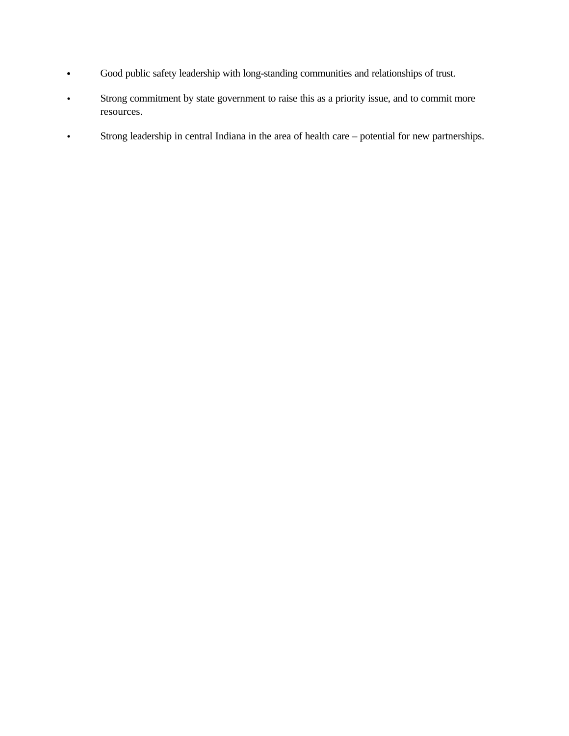- **•** Good public safety leadership with long-standing communities and relationships of trust.
- Strong commitment by state government to raise this as a priority issue, and to commit more resources.
- Strong leadership in central Indiana in the area of health care potential for new partnerships.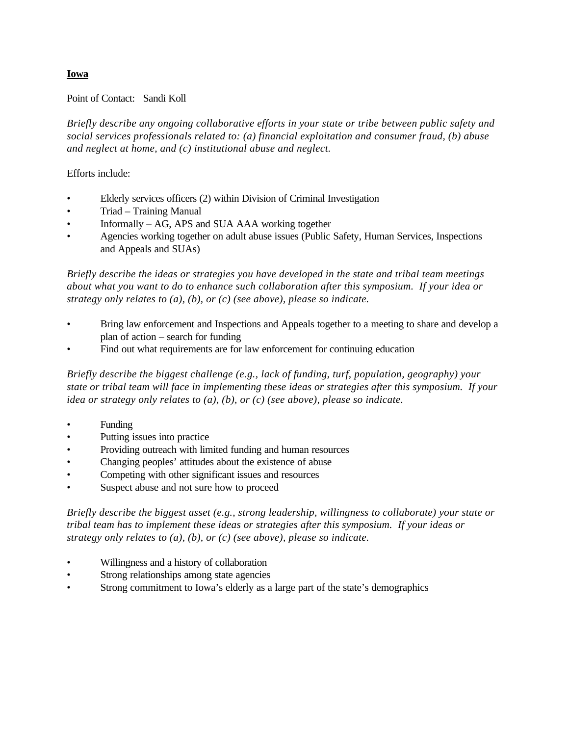### **Iowa**

#### Point of Contact: Sandi Koll

*Briefly describe any ongoing collaborative efforts in your state or tribe between public safety and social services professionals related to: (a) financial exploitation and consumer fraud, (b) abuse and neglect at home, and (c) institutional abuse and neglect.*

### Efforts include:

- Elderly services officers (2) within Division of Criminal Investigation
- Triad Training Manual
- Informally AG, APS and SUA AAA working together
- Agencies working together on adult abuse issues (Public Safety, Human Services, Inspections and Appeals and SUAs)

*Briefly describe the ideas or strategies you have developed in the state and tribal team meetings about what you want to do to enhance such collaboration after this symposium. If your idea or strategy only relates to (a), (b), or (c) (see above), please so indicate.*

- Bring law enforcement and Inspections and Appeals together to a meeting to share and develop a plan of action – search for funding
- Find out what requirements are for law enforcement for continuing education

*Briefly describe the biggest challenge (e.g., lack of funding, turf, population, geography) your state or tribal team will face in implementing these ideas or strategies after this symposium. If your idea or strategy only relates to (a), (b), or (c) (see above), please so indicate.*

- **Funding**
- Putting issues into practice
- Providing outreach with limited funding and human resources
- Changing peoples' attitudes about the existence of abuse
- Competing with other significant issues and resources
- Suspect abuse and not sure how to proceed

- Willingness and a history of collaboration
- Strong relationships among state agencies
- Strong commitment to Iowa's elderly as a large part of the state's demographics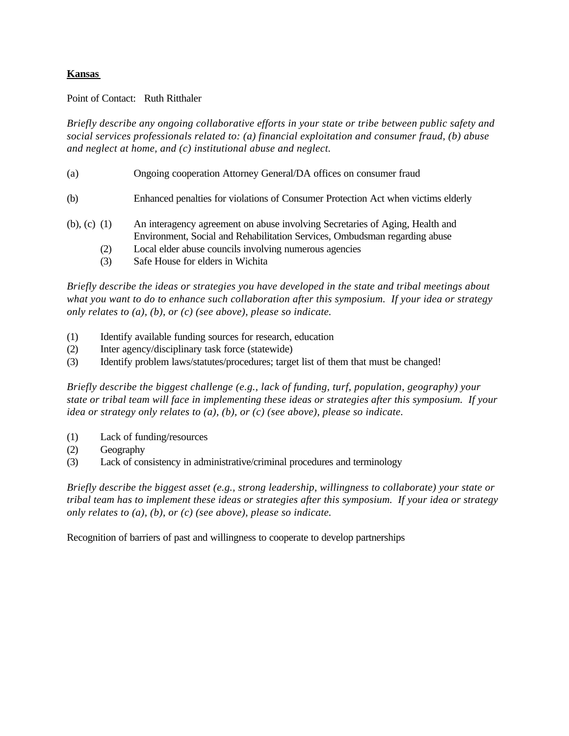## **Kansas**

### Point of Contact: Ruth Ritthaler

*Briefly describe any ongoing collaborative efforts in your state or tribe between public safety and social services professionals related to: (a) financial exploitation and consumer fraud, (b) abuse and neglect at home, and (c) institutional abuse and neglect.*

- (a) Ongoing cooperation Attorney General/DA offices on consumer fraud
- (b) Enhanced penalties for violations of Consumer Protection Act when victims elderly
- (b), (c) (1) An interagency agreement on abuse involving Secretaries of Aging, Health and Environment, Social and Rehabilitation Services, Ombudsman regarding abuse
	- (2) Local elder abuse councils involving numerous agencies
	- (3) Safe House for elders in Wichita

*Briefly describe the ideas or strategies you have developed in the state and tribal meetings about what you want to do to enhance such collaboration after this symposium. If your idea or strategy only relates to (a), (b), or (c) (see above), please so indicate.*

- (1) Identify available funding sources for research, education
- (2) Inter agency/disciplinary task force (statewide)
- (3) Identify problem laws/statutes/procedures; target list of them that must be changed!

*Briefly describe the biggest challenge (e.g., lack of funding, turf, population, geography) your state or tribal team will face in implementing these ideas or strategies after this symposium. If your idea or strategy only relates to (a), (b), or (c) (see above), please so indicate.*

- (1) Lack of funding/resources
- (2) Geography
- (3) Lack of consistency in administrative/criminal procedures and terminology

*Briefly describe the biggest asset (e.g., strong leadership, willingness to collaborate) your state or tribal team has to implement these ideas or strategies after this symposium. If your idea or strategy only relates to (a), (b), or (c) (see above), please so indicate.*

Recognition of barriers of past and willingness to cooperate to develop partnerships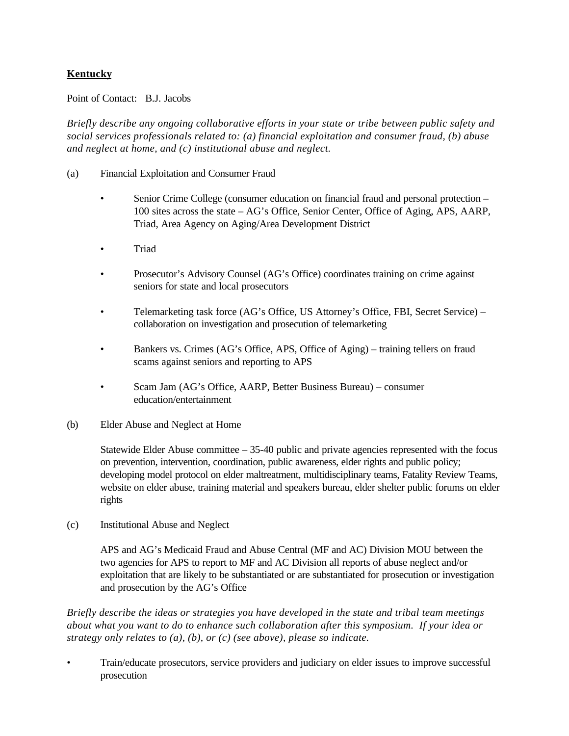# **Kentucky**

### Point of Contact: B.J. Jacobs

*Briefly describe any ongoing collaborative efforts in your state or tribe between public safety and social services professionals related to: (a) financial exploitation and consumer fraud, (b) abuse and neglect at home, and (c) institutional abuse and neglect.*

- (a) Financial Exploitation and Consumer Fraud
	- Senior Crime College (consumer education on financial fraud and personal protection 100 sites across the state – AG's Office, Senior Center, Office of Aging, APS, AARP, Triad, Area Agency on Aging/Area Development District
	- Triad
	- Prosecutor's Advisory Counsel (AG's Office) coordinates training on crime against seniors for state and local prosecutors
	- Telemarketing task force (AG's Office, US Attorney's Office, FBI, Secret Service) collaboration on investigation and prosecution of telemarketing
	- Bankers vs. Crimes (AG's Office, APS, Office of Aging) training tellers on fraud scams against seniors and reporting to APS
	- Scam Jam (AG's Office, AARP, Better Business Bureau) consumer education/entertainment
- (b) Elder Abuse and Neglect at Home

Statewide Elder Abuse committee – 35-40 public and private agencies represented with the focus on prevention, intervention, coordination, public awareness, elder rights and public policy; developing model protocol on elder maltreatment, multidisciplinary teams, Fatality Review Teams, website on elder abuse, training material and speakers bureau, elder shelter public forums on elder rights

(c) Institutional Abuse and Neglect

APS and AG's Medicaid Fraud and Abuse Central (MF and AC) Division MOU between the two agencies for APS to report to MF and AC Division all reports of abuse neglect and/or exploitation that are likely to be substantiated or are substantiated for prosecution or investigation and prosecution by the AG's Office

*Briefly describe the ideas or strategies you have developed in the state and tribal team meetings about what you want to do to enhance such collaboration after this symposium. If your idea or strategy only relates to (a), (b), or (c) (see above), please so indicate.*

• Train/educate prosecutors, service providers and judiciary on elder issues to improve successful prosecution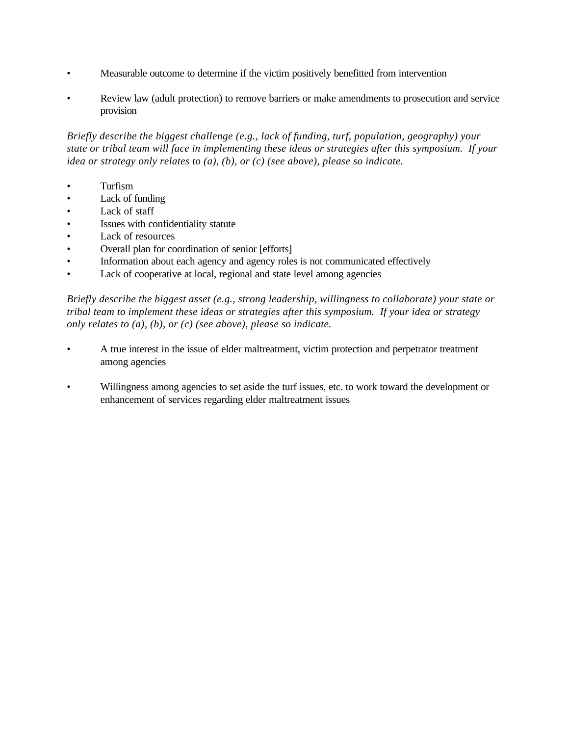- Measurable outcome to determine if the victim positively benefitted from intervention
- Review law (adult protection) to remove barriers or make amendments to prosecution and service provision

*Briefly describe the biggest challenge (e.g., lack of funding, turf, population, geography) your state or tribal team will face in implementing these ideas or strategies after this symposium. If your idea or strategy only relates to (a), (b), or (c) (see above), please so indicate.*

- Turfism
- Lack of funding
- Lack of staff
- Issues with confidentiality statute
- Lack of resources
- Overall plan for coordination of senior [efforts]
- Information about each agency and agency roles is not communicated effectively
- Lack of cooperative at local, regional and state level among agencies

- A true interest in the issue of elder maltreatment, victim protection and perpetrator treatment among agencies
- Willingness among agencies to set aside the turf issues, etc. to work toward the development or enhancement of services regarding elder maltreatment issues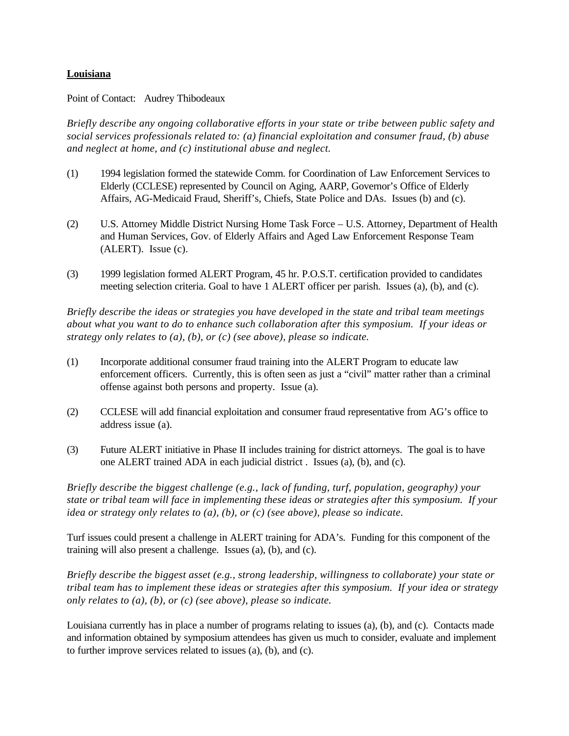### **Louisiana**

Point of Contact: Audrey Thibodeaux

*Briefly describe any ongoing collaborative efforts in your state or tribe between public safety and social services professionals related to: (a) financial exploitation and consumer fraud, (b) abuse and neglect at home, and (c) institutional abuse and neglect.*

- (1) 1994 legislation formed the statewide Comm. for Coordination of Law Enforcement Services to Elderly (CCLESE) represented by Council on Aging, AARP, Governor's Office of Elderly Affairs, AG-Medicaid Fraud, Sheriff's, Chiefs, State Police and DAs. Issues (b) and (c).
- (2) U.S. Attorney Middle District Nursing Home Task Force U.S. Attorney, Department of Health and Human Services, Gov. of Elderly Affairs and Aged Law Enforcement Response Team (ALERT). Issue (c).
- (3) 1999 legislation formed ALERT Program, 45 hr. P.O.S.T. certification provided to candidates meeting selection criteria. Goal to have 1 ALERT officer per parish. Issues (a), (b), and (c).

*Briefly describe the ideas or strategies you have developed in the state and tribal team meetings about what you want to do to enhance such collaboration after this symposium. If your ideas or strategy only relates to (a), (b), or (c) (see above), please so indicate.*

- (1) Incorporate additional consumer fraud training into the ALERT Program to educate law enforcement officers. Currently, this is often seen as just a "civil" matter rather than a criminal offense against both persons and property. Issue (a).
- (2) CCLESE will add financial exploitation and consumer fraud representative from AG's office to address issue (a).
- (3) Future ALERT initiative in Phase II includes training for district attorneys. The goal is to have one ALERT trained ADA in each judicial district . Issues (a), (b), and (c).

*Briefly describe the biggest challenge (e.g., lack of funding, turf, population, geography) your state or tribal team will face in implementing these ideas or strategies after this symposium. If your idea or strategy only relates to (a), (b), or (c) (see above), please so indicate.*

Turf issues could present a challenge in ALERT training for ADA's. Funding for this component of the training will also present a challenge. Issues (a), (b), and (c).

*Briefly describe the biggest asset (e.g., strong leadership, willingness to collaborate) your state or tribal team has to implement these ideas or strategies after this symposium. If your idea or strategy only relates to (a), (b), or (c) (see above), please so indicate.*

Louisiana currently has in place a number of programs relating to issues (a), (b), and (c). Contacts made and information obtained by symposium attendees has given us much to consider, evaluate and implement to further improve services related to issues (a), (b), and (c).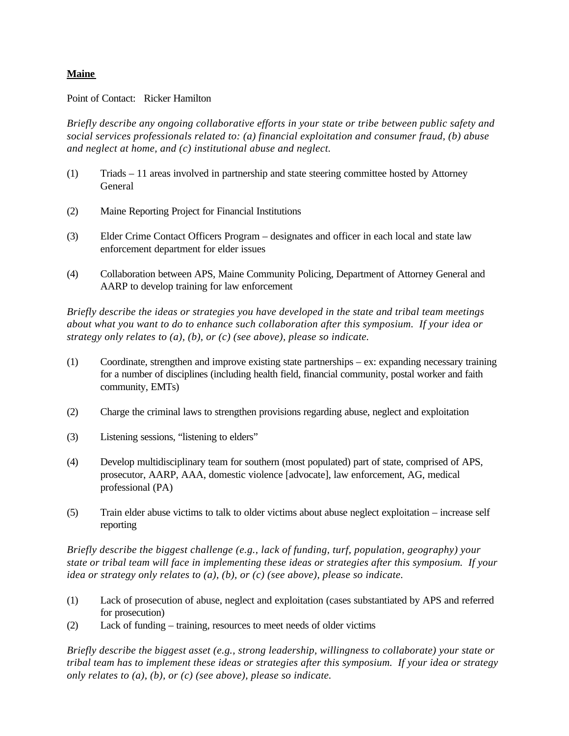### **Maine**

Point of Contact: Ricker Hamilton

*Briefly describe any ongoing collaborative efforts in your state or tribe between public safety and social services professionals related to: (a) financial exploitation and consumer fraud, (b) abuse and neglect at home, and (c) institutional abuse and neglect.*

- (1) Triads 11 areas involved in partnership and state steering committee hosted by Attorney General
- (2) Maine Reporting Project for Financial Institutions
- (3) Elder Crime Contact Officers Program designates and officer in each local and state law enforcement department for elder issues
- (4) Collaboration between APS, Maine Community Policing, Department of Attorney General and AARP to develop training for law enforcement

*Briefly describe the ideas or strategies you have developed in the state and tribal team meetings about what you want to do to enhance such collaboration after this symposium. If your idea or strategy only relates to (a), (b), or (c) (see above), please so indicate.*

- (1) Coordinate, strengthen and improve existing state partnerships ex: expanding necessary training for a number of disciplines (including health field, financial community, postal worker and faith community, EMTs)
- (2) Charge the criminal laws to strengthen provisions regarding abuse, neglect and exploitation
- (3) Listening sessions, "listening to elders"
- (4) Develop multidisciplinary team for southern (most populated) part of state, comprised of APS, prosecutor, AARP, AAA, domestic violence [advocate], law enforcement, AG, medical professional (PA)
- (5) Train elder abuse victims to talk to older victims about abuse neglect exploitation increase self reporting

*Briefly describe the biggest challenge (e.g., lack of funding, turf, population, geography) your state or tribal team will face in implementing these ideas or strategies after this symposium. If your idea or strategy only relates to (a), (b), or (c) (see above), please so indicate.*

- (1) Lack of prosecution of abuse, neglect and exploitation (cases substantiated by APS and referred for prosecution)
- (2) Lack of funding training, resources to meet needs of older victims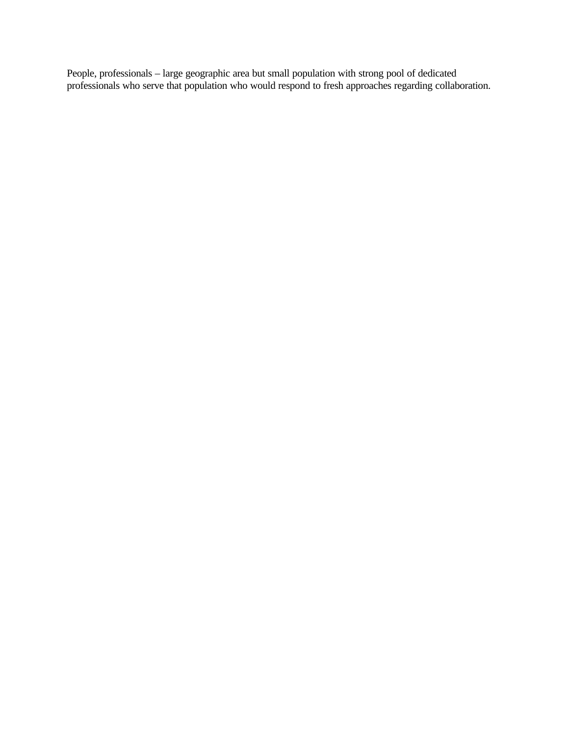People, professionals – large geographic area but small population with strong pool of dedicated professionals who serve that population who would respond to fresh approaches regarding collaboration.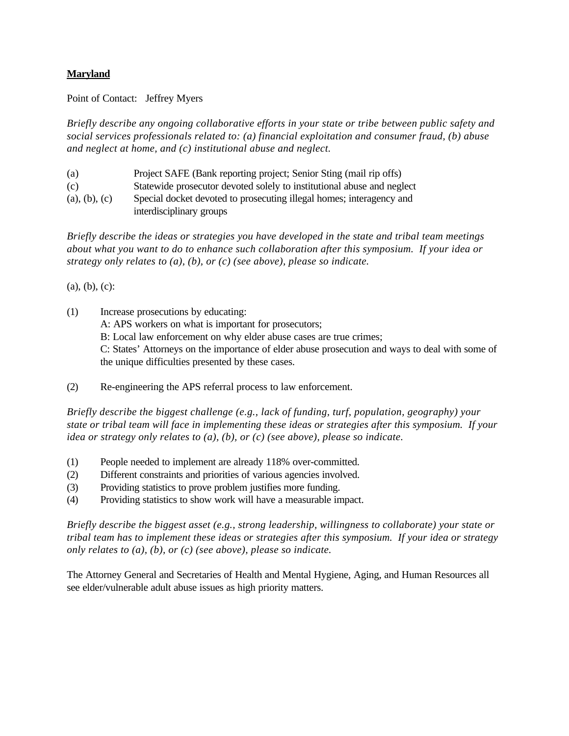## **Maryland**

Point of Contact: Jeffrey Myers

*Briefly describe any ongoing collaborative efforts in your state or tribe between public safety and social services professionals related to: (a) financial exploitation and consumer fraud, (b) abuse and neglect at home, and (c) institutional abuse and neglect.*

| (a)           | Project SAFE (Bank reporting project; Senior Sting (mail rip offs)     |
|---------------|------------------------------------------------------------------------|
| (c)           | Statewide prosecutor devoted solely to institutional abuse and neglect |
| (a), (b), (c) | Special docket devoted to prosecuting illegal homes; interagency and   |
|               | interdisciplinary groups                                               |

*Briefly describe the ideas or strategies you have developed in the state and tribal team meetings about what you want to do to enhance such collaboration after this symposium. If your idea or strategy only relates to (a), (b), or (c) (see above), please so indicate.*

(a), (b), (c):

(1) Increase prosecutions by educating:

A: APS workers on what is important for prosecutors;

B: Local law enforcement on why elder abuse cases are true crimes;

C: States' Attorneys on the importance of elder abuse prosecution and ways to deal with some of the unique difficulties presented by these cases.

(2) Re-engineering the APS referral process to law enforcement.

*Briefly describe the biggest challenge (e.g., lack of funding, turf, population, geography) your state or tribal team will face in implementing these ideas or strategies after this symposium. If your idea or strategy only relates to (a), (b), or (c) (see above), please so indicate.*

- (1) People needed to implement are already 118% over-committed.
- (2) Different constraints and priorities of various agencies involved.
- (3) Providing statistics to prove problem justifies more funding.
- (4) Providing statistics to show work will have a measurable impact.

*Briefly describe the biggest asset (e.g., strong leadership, willingness to collaborate) your state or tribal team has to implement these ideas or strategies after this symposium. If your idea or strategy only relates to (a), (b), or (c) (see above), please so indicate.*

The Attorney General and Secretaries of Health and Mental Hygiene, Aging, and Human Resources all see elder/vulnerable adult abuse issues as high priority matters.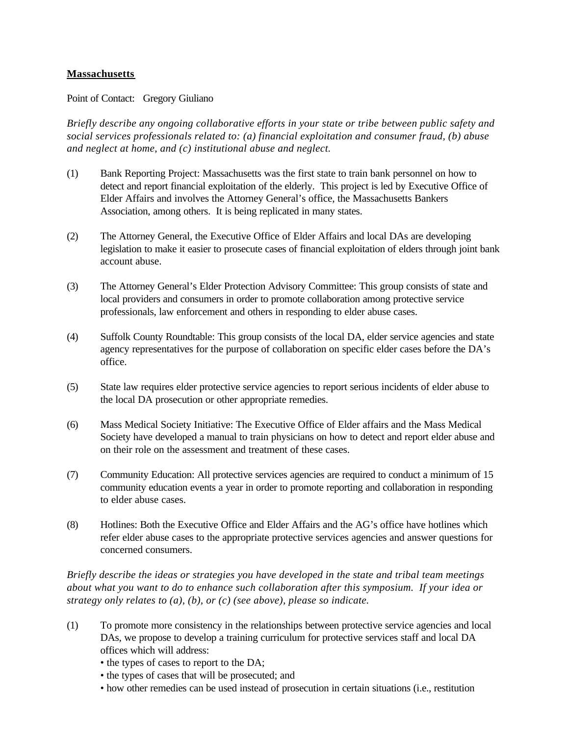### **Massachusetts**

Point of Contact: Gregory Giuliano

*Briefly describe any ongoing collaborative efforts in your state or tribe between public safety and social services professionals related to: (a) financial exploitation and consumer fraud, (b) abuse and neglect at home, and (c) institutional abuse and neglect.*

- (1) Bank Reporting Project: Massachusetts was the first state to train bank personnel on how to detect and report financial exploitation of the elderly. This project is led by Executive Office of Elder Affairs and involves the Attorney General's office, the Massachusetts Bankers Association, among others. It is being replicated in many states.
- (2) The Attorney General, the Executive Office of Elder Affairs and local DAs are developing legislation to make it easier to prosecute cases of financial exploitation of elders through joint bank account abuse.
- (3) The Attorney General's Elder Protection Advisory Committee: This group consists of state and local providers and consumers in order to promote collaboration among protective service professionals, law enforcement and others in responding to elder abuse cases.
- (4) Suffolk County Roundtable: This group consists of the local DA, elder service agencies and state agency representatives for the purpose of collaboration on specific elder cases before the DA's office.
- (5) State law requires elder protective service agencies to report serious incidents of elder abuse to the local DA prosecution or other appropriate remedies.
- (6) Mass Medical Society Initiative: The Executive Office of Elder affairs and the Mass Medical Society have developed a manual to train physicians on how to detect and report elder abuse and on their role on the assessment and treatment of these cases.
- (7) Community Education: All protective services agencies are required to conduct a minimum of 15 community education events a year in order to promote reporting and collaboration in responding to elder abuse cases.
- (8) Hotlines: Both the Executive Office and Elder Affairs and the AG's office have hotlines which refer elder abuse cases to the appropriate protective services agencies and answer questions for concerned consumers.

*Briefly describe the ideas or strategies you have developed in the state and tribal team meetings about what you want to do to enhance such collaboration after this symposium. If your idea or strategy only relates to (a), (b), or (c) (see above), please so indicate.*

- (1) To promote more consistency in the relationships between protective service agencies and local DAs, we propose to develop a training curriculum for protective services staff and local DA offices which will address:
	- the types of cases to report to the DA;
	- the types of cases that will be prosecuted; and
	- how other remedies can be used instead of prosecution in certain situations (i.e., restitution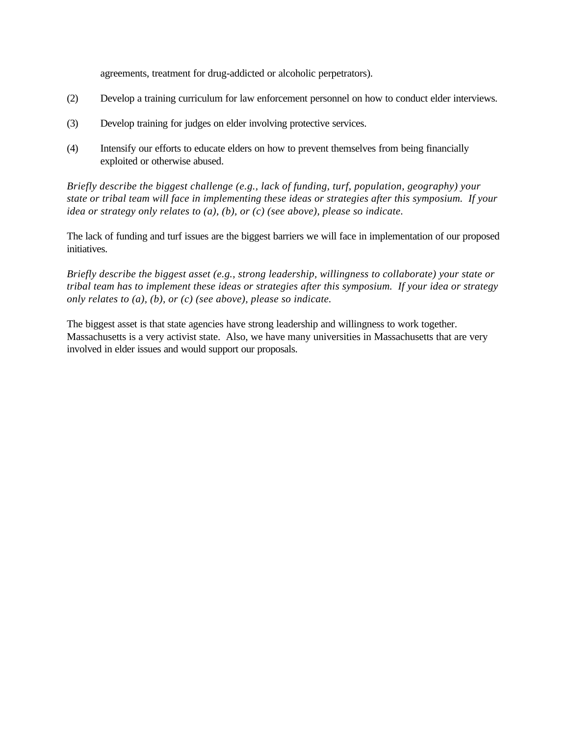agreements, treatment for drug-addicted or alcoholic perpetrators).

- (2) Develop a training curriculum for law enforcement personnel on how to conduct elder interviews.
- (3) Develop training for judges on elder involving protective services.
- (4) Intensify our efforts to educate elders on how to prevent themselves from being financially exploited or otherwise abused.

*Briefly describe the biggest challenge (e.g., lack of funding, turf, population, geography) your state or tribal team will face in implementing these ideas or strategies after this symposium. If your idea or strategy only relates to (a), (b), or (c) (see above), please so indicate.*

The lack of funding and turf issues are the biggest barriers we will face in implementation of our proposed initiatives.

*Briefly describe the biggest asset (e.g., strong leadership, willingness to collaborate) your state or tribal team has to implement these ideas or strategies after this symposium. If your idea or strategy only relates to (a), (b), or (c) (see above), please so indicate.*

The biggest asset is that state agencies have strong leadership and willingness to work together. Massachusetts is a very activist state. Also, we have many universities in Massachusetts that are very involved in elder issues and would support our proposals.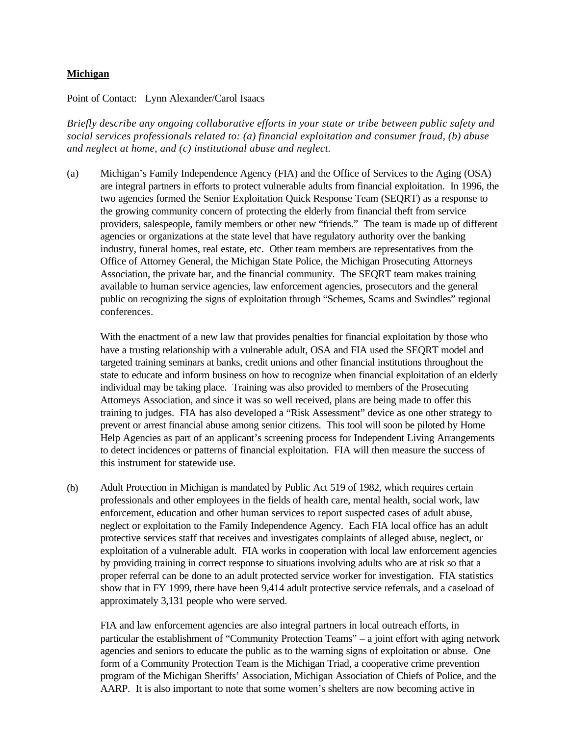#### **Michigan**

#### Point of Contact: Lynn Alexander/Carol Isaacs

*Briefly describe any ongoing collaborative efforts in your state or tribe between public safety and social services professionals related to: (a) financial exploitation and consumer fraud, (b) abuse and neglect at home, and (c) institutional abuse and neglect.*

(a) Michigan's Family Independence Agency (FIA) and the Office of Services to the Aging (OSA) are integral partners in efforts to protect vulnerable adults from financial exploitation. In 1996, the two agencies formed the Senior Exploitation Quick Response Team (SEQRT) as a response to the growing community concern of protecting the elderly from financial theft from service providers, salespeople, family members or other new "friends." The team is made up of different agencies or organizations at the state level that have regulatory authority over the banking industry, funeral homes, real estate, etc. Other team members are representatives from the Office of Attorney General, the Michigan State Police, the Michigan Prosecuting Attorneys Association, the private bar, and the financial community. The SEQRT team makes training available to human service agencies, law enforcement agencies, prosecutors and the general public on recognizing the signs of exploitation through "Schemes, Scams and Swindles" regional conferences.

With the enactment of a new law that provides penalties for financial exploitation by those who have a trusting relationship with a vulnerable adult, OSA and FIA used the SEQRT model and targeted training seminars at banks, credit unions and other financial institutions throughout the state to educate and inform business on how to recognize when financial exploitation of an elderly individual may be taking place. Training was also provided to members of the Prosecuting Attorneys Association, and since it was so well received, plans are being made to offer this training to judges. FIA has also developed a "Risk Assessment" device as one other strategy to prevent or arrest financial abuse among senior citizens. This tool will soon be piloted by Home Help Agencies as part of an applicant's screening process for Independent Living Arrangements to detect incidences or patterns of financial exploitation. FIA will then measure the success of this instrument for statewide use.

(b) Adult Protection in Michigan is mandated by Public Act 519 of 1982, which requires certain professionals and other employees in the fields of health care, mental health, social work, law enforcement, education and other human services to report suspected cases of adult abuse, neglect or exploitation to the Family Independence Agency. Each FIA local office has an adult protective services staff that receives and investigates complaints of alleged abuse, neglect, or exploitation of a vulnerable adult. FIA works in cooperation with local law enforcement agencies by providing training in correct response to situations involving adults who are at risk so that a proper referral can be done to an adult protected service worker for investigation. FIA statistics show that in FY 1999, there have been 9,414 adult protective service referrals, and a caseload of approximately 3,131 people who were served.

FIA and law enforcement agencies are also integral partners in local outreach efforts, in particular the establishment of "Community Protection Teams" – a joint effort with aging network agencies and seniors to educate the public as to the warning signs of exploitation or abuse. One form of a Community Protection Team is the Michigan Triad, a cooperative crime prevention program of the Michigan Sheriffs' Association, Michigan Association of Chiefs of Police, and the AARP. It is also important to note that some women's shelters are now becoming active in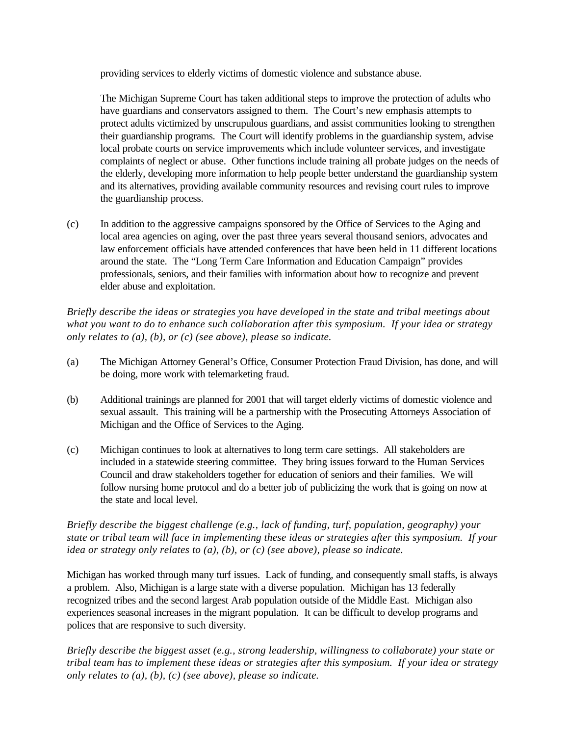providing services to elderly victims of domestic violence and substance abuse.

The Michigan Supreme Court has taken additional steps to improve the protection of adults who have guardians and conservators assigned to them. The Court's new emphasis attempts to protect adults victimized by unscrupulous guardians, and assist communities looking to strengthen their guardianship programs. The Court will identify problems in the guardianship system, advise local probate courts on service improvements which include volunteer services, and investigate complaints of neglect or abuse. Other functions include training all probate judges on the needs of the elderly, developing more information to help people better understand the guardianship system and its alternatives, providing available community resources and revising court rules to improve the guardianship process.

(c) In addition to the aggressive campaigns sponsored by the Office of Services to the Aging and local area agencies on aging, over the past three years several thousand seniors, advocates and law enforcement officials have attended conferences that have been held in 11 different locations around the state. The "Long Term Care Information and Education Campaign" provides professionals, seniors, and their families with information about how to recognize and prevent elder abuse and exploitation.

*Briefly describe the ideas or strategies you have developed in the state and tribal meetings about what you want to do to enhance such collaboration after this symposium. If your idea or strategy only relates to (a), (b), or (c) (see above), please so indicate.*

- (a) The Michigan Attorney General's Office, Consumer Protection Fraud Division, has done, and will be doing, more work with telemarketing fraud.
- (b) Additional trainings are planned for 2001 that will target elderly victims of domestic violence and sexual assault. This training will be a partnership with the Prosecuting Attorneys Association of Michigan and the Office of Services to the Aging.
- (c) Michigan continues to look at alternatives to long term care settings. All stakeholders are included in a statewide steering committee. They bring issues forward to the Human Services Council and draw stakeholders together for education of seniors and their families. We will follow nursing home protocol and do a better job of publicizing the work that is going on now at the state and local level.

## *Briefly describe the biggest challenge (e.g., lack of funding, turf, population, geography) your state or tribal team will face in implementing these ideas or strategies after this symposium. If your idea or strategy only relates to (a), (b), or (c) (see above), please so indicate.*

Michigan has worked through many turf issues. Lack of funding, and consequently small staffs, is always a problem. Also, Michigan is a large state with a diverse population. Michigan has 13 federally recognized tribes and the second largest Arab population outside of the Middle East. Michigan also experiences seasonal increases in the migrant population. It can be difficult to develop programs and polices that are responsive to such diversity.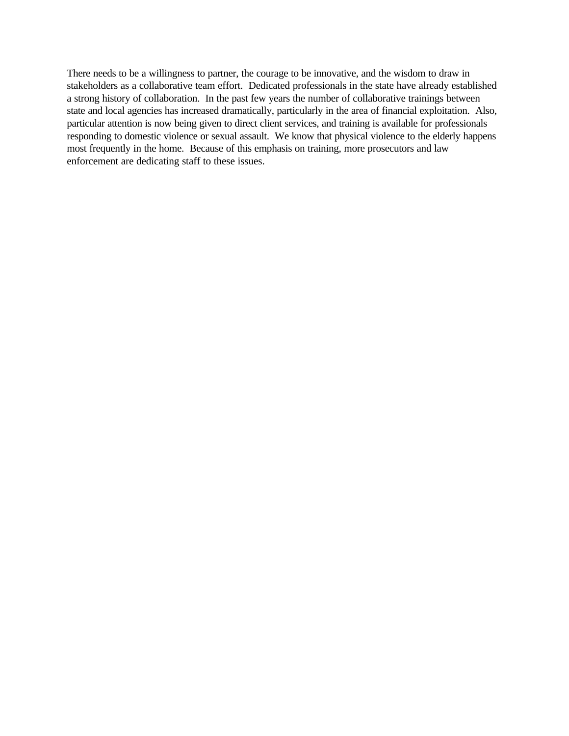There needs to be a willingness to partner, the courage to be innovative, and the wisdom to draw in stakeholders as a collaborative team effort. Dedicated professionals in the state have already established a strong history of collaboration. In the past few years the number of collaborative trainings between state and local agencies has increased dramatically, particularly in the area of financial exploitation. Also, particular attention is now being given to direct client services, and training is available for professionals responding to domestic violence or sexual assault. We know that physical violence to the elderly happens most frequently in the home. Because of this emphasis on training, more prosecutors and law enforcement are dedicating staff to these issues.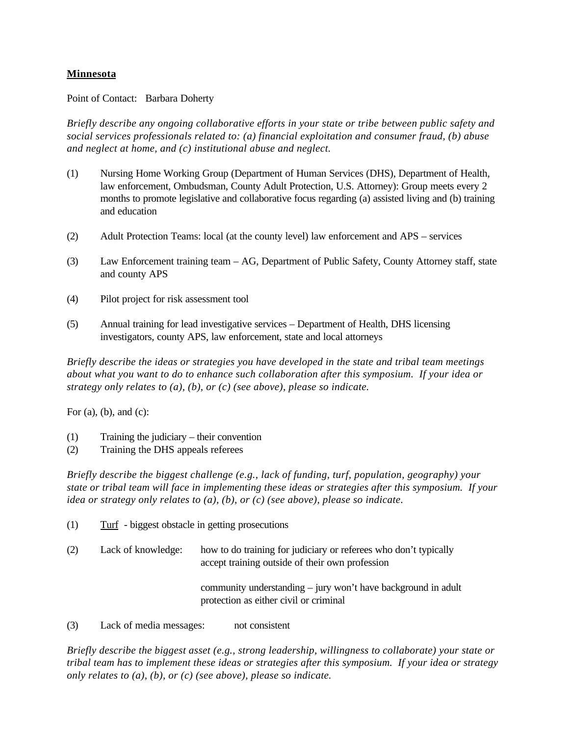## **Minnesota**

Point of Contact: Barbara Doherty

*Briefly describe any ongoing collaborative efforts in your state or tribe between public safety and social services professionals related to: (a) financial exploitation and consumer fraud, (b) abuse and neglect at home, and (c) institutional abuse and neglect.*

- (1) Nursing Home Working Group (Department of Human Services (DHS), Department of Health, law enforcement, Ombudsman, County Adult Protection, U.S. Attorney): Group meets every 2 months to promote legislative and collaborative focus regarding (a) assisted living and (b) training and education
- (2) Adult Protection Teams: local (at the county level) law enforcement and APS services
- (3) Law Enforcement training team AG, Department of Public Safety, County Attorney staff, state and county APS
- (4) Pilot project for risk assessment tool
- (5) Annual training for lead investigative services Department of Health, DHS licensing investigators, county APS, law enforcement, state and local attorneys

*Briefly describe the ideas or strategies you have developed in the state and tribal team meetings about what you want to do to enhance such collaboration after this symposium. If your idea or strategy only relates to (a), (b), or (c) (see above), please so indicate.*

For  $(a)$ ,  $(b)$ , and  $(c)$ :

- (1) Training the judiciary their convention
- (2) Training the DHS appeals referees

*Briefly describe the biggest challenge (e.g., lack of funding, turf, population, geography) your state or tribal team will face in implementing these ideas or strategies after this symposium. If your idea or strategy only relates to (a), (b), or (c) (see above), please so indicate.*

- (1) Turf biggest obstacle in getting prosecutions
- (2) Lack of knowledge: how to do training for judiciary or referees who don't typically accept training outside of their own profession

community understanding – jury won't have background in adult protection as either civil or criminal

(3) Lack of media messages: not consistent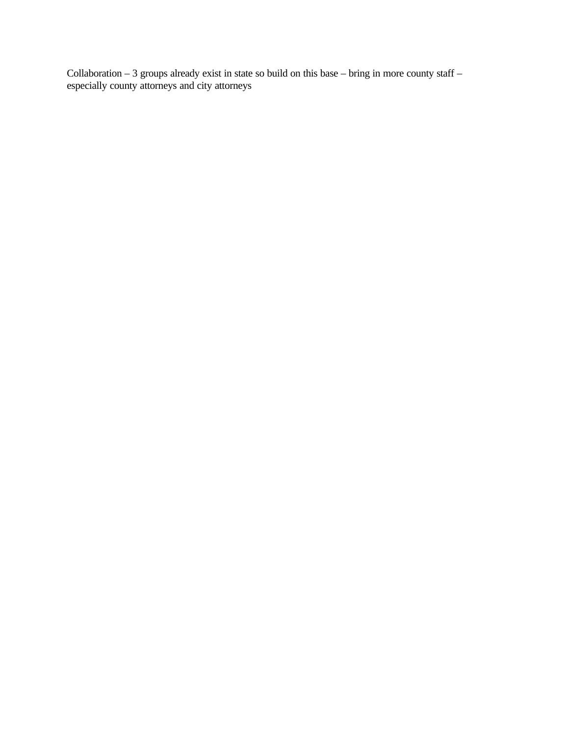Collaboration  $-3$  groups already exist in state so build on this base  $-$  bring in more county staff  $$ especially county attorneys and city attorneys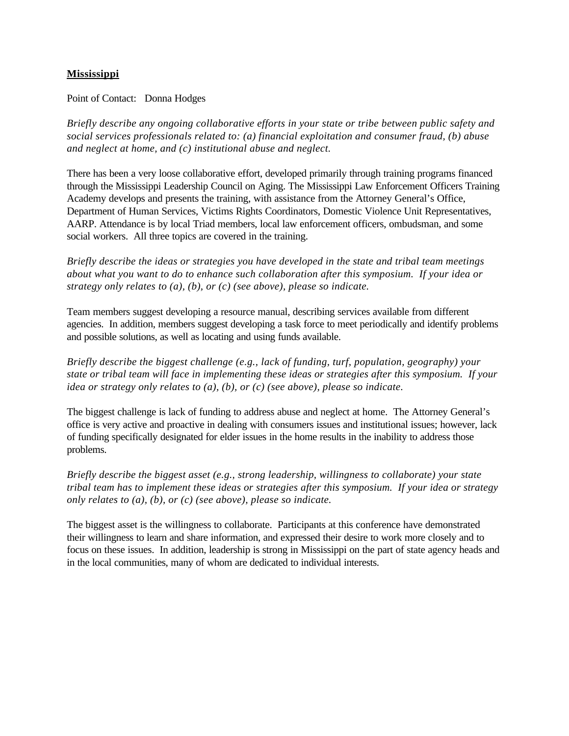### **Mississippi**

Point of Contact: Donna Hodges

*Briefly describe any ongoing collaborative efforts in your state or tribe between public safety and social services professionals related to: (a) financial exploitation and consumer fraud, (b) abuse and neglect at home, and (c) institutional abuse and neglect.*

There has been a very loose collaborative effort, developed primarily through training programs financed through the Mississippi Leadership Council on Aging. The Mississippi Law Enforcement Officers Training Academy develops and presents the training, with assistance from the Attorney General's Office, Department of Human Services, Victims Rights Coordinators, Domestic Violence Unit Representatives, AARP. Attendance is by local Triad members, local law enforcement officers, ombudsman, and some social workers. All three topics are covered in the training.

*Briefly describe the ideas or strategies you have developed in the state and tribal team meetings about what you want to do to enhance such collaboration after this symposium. If your idea or strategy only relates to (a), (b), or (c) (see above), please so indicate.*

Team members suggest developing a resource manual, describing services available from different agencies. In addition, members suggest developing a task force to meet periodically and identify problems and possible solutions, as well as locating and using funds available.

*Briefly describe the biggest challenge (e.g., lack of funding, turf, population, geography) your state or tribal team will face in implementing these ideas or strategies after this symposium. If your idea or strategy only relates to (a), (b), or (c) (see above), please so indicate.*

The biggest challenge is lack of funding to address abuse and neglect at home. The Attorney General's office is very active and proactive in dealing with consumers issues and institutional issues; however, lack of funding specifically designated for elder issues in the home results in the inability to address those problems.

*Briefly describe the biggest asset (e.g., strong leadership, willingness to collaborate) your state tribal team has to implement these ideas or strategies after this symposium. If your idea or strategy only relates to (a), (b), or (c) (see above), please so indicate.*

The biggest asset is the willingness to collaborate. Participants at this conference have demonstrated their willingness to learn and share information, and expressed their desire to work more closely and to focus on these issues. In addition, leadership is strong in Mississippi on the part of state agency heads and in the local communities, many of whom are dedicated to individual interests.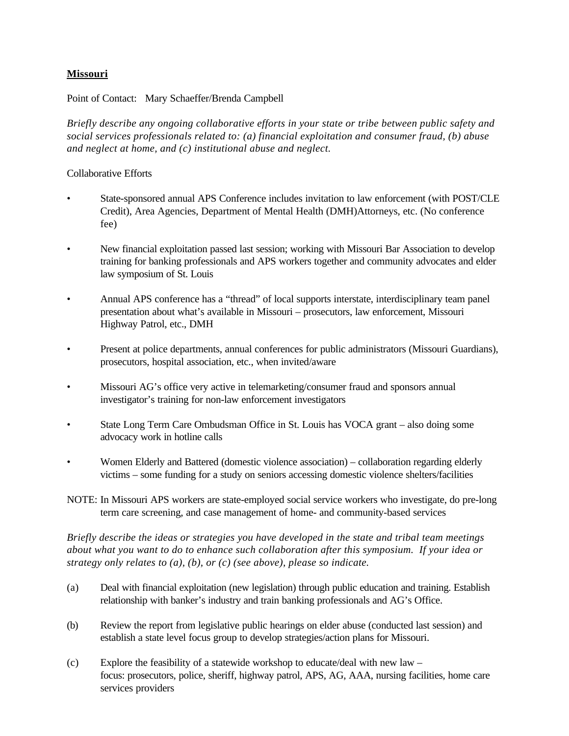## **Missouri**

Point of Contact: Mary Schaeffer/Brenda Campbell

*Briefly describe any ongoing collaborative efforts in your state or tribe between public safety and social services professionals related to: (a) financial exploitation and consumer fraud, (b) abuse and neglect at home, and (c) institutional abuse and neglect.*

### Collaborative Efforts

- State-sponsored annual APS Conference includes invitation to law enforcement (with POST/CLE Credit), Area Agencies, Department of Mental Health (DMH)Attorneys, etc. (No conference fee)
- New financial exploitation passed last session; working with Missouri Bar Association to develop training for banking professionals and APS workers together and community advocates and elder law symposium of St. Louis
- Annual APS conference has a "thread" of local supports interstate, interdisciplinary team panel presentation about what's available in Missouri – prosecutors, law enforcement, Missouri Highway Patrol, etc., DMH
- Present at police departments, annual conferences for public administrators (Missouri Guardians), prosecutors, hospital association, etc., when invited/aware
- Missouri AG's office very active in telemarketing/consumer fraud and sponsors annual investigator's training for non-law enforcement investigators
- State Long Term Care Ombudsman Office in St. Louis has VOCA grant also doing some advocacy work in hotline calls
- Women Elderly and Battered (domestic violence association) collaboration regarding elderly victims – some funding for a study on seniors accessing domestic violence shelters/facilities
- NOTE: In Missouri APS workers are state-employed social service workers who investigate, do pre-long term care screening, and case management of home- and community-based services

*Briefly describe the ideas or strategies you have developed in the state and tribal team meetings about what you want to do to enhance such collaboration after this symposium. If your idea or strategy only relates to (a), (b), or (c) (see above), please so indicate.*

- (a) Deal with financial exploitation (new legislation) through public education and training. Establish relationship with banker's industry and train banking professionals and AG's Office.
- (b) Review the report from legislative public hearings on elder abuse (conducted last session) and establish a state level focus group to develop strategies/action plans for Missouri.
- (c) Explore the feasibility of a statewide workshop to educate/deal with new law focus: prosecutors, police, sheriff, highway patrol, APS, AG, AAA, nursing facilities, home care services providers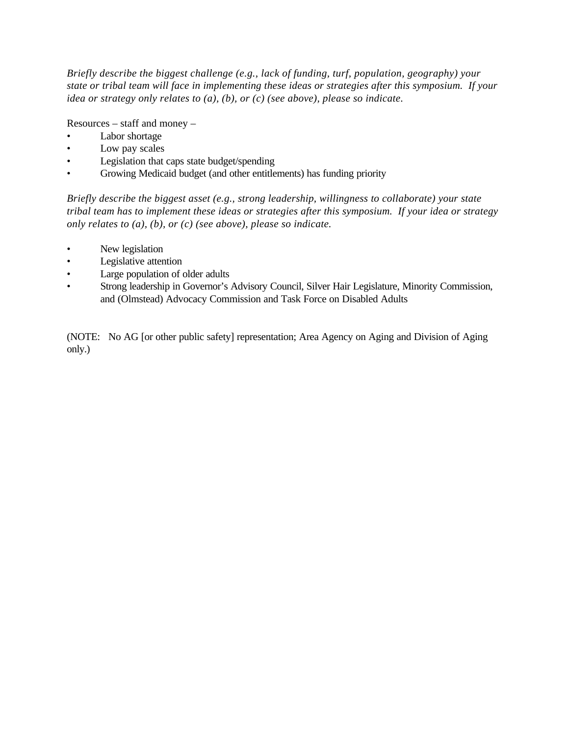*Briefly describe the biggest challenge (e.g., lack of funding, turf, population, geography) your state or tribal team will face in implementing these ideas or strategies after this symposium. If your idea or strategy only relates to (a), (b), or (c) (see above), please so indicate.*

Resources – staff and money –

- Labor shortage
- Low pay scales
- Legislation that caps state budget/spending
- Growing Medicaid budget (and other entitlements) has funding priority

*Briefly describe the biggest asset (e.g., strong leadership, willingness to collaborate) your state tribal team has to implement these ideas or strategies after this symposium. If your idea or strategy only relates to (a), (b), or (c) (see above), please so indicate.*

- New legislation
- Legislative attention
- Large population of older adults
- Strong leadership in Governor's Advisory Council, Silver Hair Legislature, Minority Commission, and (Olmstead) Advocacy Commission and Task Force on Disabled Adults

(NOTE: No AG [or other public safety] representation; Area Agency on Aging and Division of Aging only.)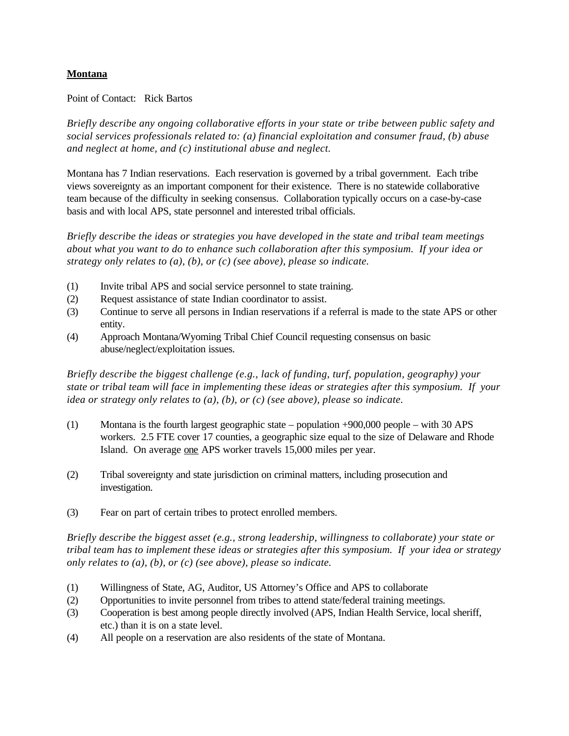## **Montana**

#### Point of Contact: Rick Bartos

*Briefly describe any ongoing collaborative efforts in your state or tribe between public safety and social services professionals related to: (a) financial exploitation and consumer fraud, (b) abuse and neglect at home, and (c) institutional abuse and neglect.*

Montana has 7 Indian reservations. Each reservation is governed by a tribal government. Each tribe views sovereignty as an important component for their existence. There is no statewide collaborative team because of the difficulty in seeking consensus. Collaboration typically occurs on a case-by-case basis and with local APS, state personnel and interested tribal officials.

*Briefly describe the ideas or strategies you have developed in the state and tribal team meetings about what you want to do to enhance such collaboration after this symposium. If your idea or strategy only relates to (a), (b), or (c) (see above), please so indicate.*

- (1) Invite tribal APS and social service personnel to state training.
- (2) Request assistance of state Indian coordinator to assist.
- (3) Continue to serve all persons in Indian reservations if a referral is made to the state APS or other entity.
- (4) Approach Montana/Wyoming Tribal Chief Council requesting consensus on basic abuse/neglect/exploitation issues.

*Briefly describe the biggest challenge (e.g., lack of funding, turf, population, geography) your state or tribal team will face in implementing these ideas or strategies after this symposium. If your idea or strategy only relates to (a), (b), or (c) (see above), please so indicate.*

- (1) Montana is the fourth largest geographic state population +900,000 people with 30 APS workers. 2.5 FTE cover 17 counties, a geographic size equal to the size of Delaware and Rhode Island. On average one APS worker travels 15,000 miles per year.
- (2) Tribal sovereignty and state jurisdiction on criminal matters, including prosecution and investigation.
- (3) Fear on part of certain tribes to protect enrolled members.

- (1) Willingness of State, AG, Auditor, US Attorney's Office and APS to collaborate
- (2) Opportunities to invite personnel from tribes to attend state/federal training meetings.
- (3) Cooperation is best among people directly involved (APS, Indian Health Service, local sheriff, etc.) than it is on a state level.
- (4) All people on a reservation are also residents of the state of Montana.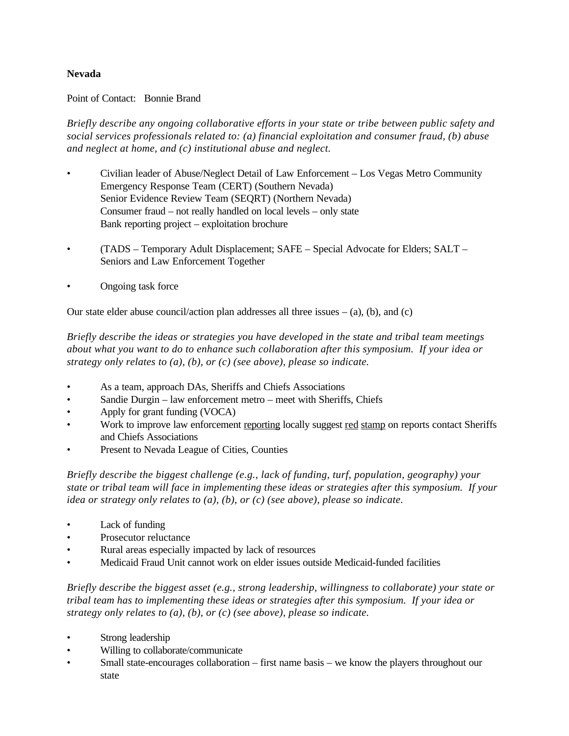## **Nevada**

Point of Contact: Bonnie Brand

*Briefly describe any ongoing collaborative efforts in your state or tribe between public safety and social services professionals related to: (a) financial exploitation and consumer fraud, (b) abuse and neglect at home, and (c) institutional abuse and neglect.*

- Civilian leader of Abuse/Neglect Detail of Law Enforcement Los Vegas Metro Community Emergency Response Team (CERT) (Southern Nevada) Senior Evidence Review Team (SEQRT) (Northern Nevada) Consumer fraud – not really handled on local levels – only state Bank reporting project – exploitation brochure
- (TADS Temporary Adult Displacement; SAFE Special Advocate for Elders; SALT Seniors and Law Enforcement Together
- Ongoing task force

Our state elder abuse council/action plan addresses all three issues  $-$  (a), (b), and (c)

*Briefly describe the ideas or strategies you have developed in the state and tribal team meetings about what you want to do to enhance such collaboration after this symposium. If your idea or strategy only relates to (a), (b), or (c) (see above), please so indicate.*

- As a team, approach DAs, Sheriffs and Chiefs Associations
- Sandie Durgin law enforcement metro meet with Sheriffs, Chiefs
- Apply for grant funding (VOCA)
- Work to improve law enforcement reporting locally suggest red stamp on reports contact Sheriffs and Chiefs Associations
- Present to Nevada League of Cities, Counties

*Briefly describe the biggest challenge (e.g., lack of funding, turf, population, geography) your state or tribal team will face in implementing these ideas or strategies after this symposium. If your idea or strategy only relates to (a), (b), or (c) (see above), please so indicate.*

- Lack of funding
- Prosecutor reluctance
- Rural areas especially impacted by lack of resources
- Medicaid Fraud Unit cannot work on elder issues outside Medicaid-funded facilities

- Strong leadership
- Willing to collaborate/communicate
- Small state-encourages collaboration first name basis we know the players throughout our state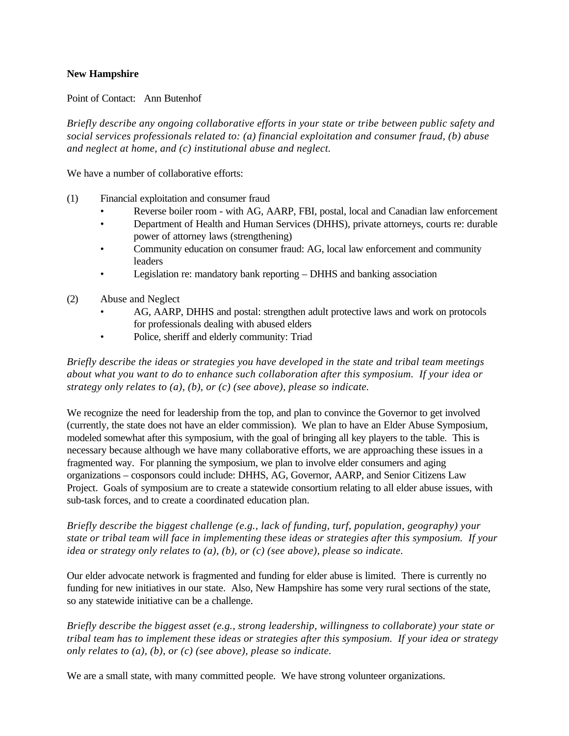### **New Hampshire**

Point of Contact: Ann Butenhof

*Briefly describe any ongoing collaborative efforts in your state or tribe between public safety and social services professionals related to: (a) financial exploitation and consumer fraud, (b) abuse and neglect at home, and (c) institutional abuse and neglect.*

We have a number of collaborative efforts:

- (1) Financial exploitation and consumer fraud
	- Reverse boiler room with AG, AARP, FBI, postal, local and Canadian law enforcement
	- Department of Health and Human Services (DHHS), private attorneys, courts re: durable power of attorney laws (strengthening)
	- Community education on consumer fraud: AG, local law enforcement and community leaders
	- Legislation re: mandatory bank reporting DHHS and banking association
- (2) Abuse and Neglect
	- AG, AARP, DHHS and postal: strengthen adult protective laws and work on protocols for professionals dealing with abused elders
	- Police, sheriff and elderly community: Triad

*Briefly describe the ideas or strategies you have developed in the state and tribal team meetings about what you want to do to enhance such collaboration after this symposium. If your idea or strategy only relates to (a), (b), or (c) (see above), please so indicate.*

We recognize the need for leadership from the top, and plan to convince the Governor to get involved (currently, the state does not have an elder commission). We plan to have an Elder Abuse Symposium, modeled somewhat after this symposium, with the goal of bringing all key players to the table. This is necessary because although we have many collaborative efforts, we are approaching these issues in a fragmented way. For planning the symposium, we plan to involve elder consumers and aging organizations – cosponsors could include: DHHS, AG, Governor, AARP, and Senior Citizens Law Project. Goals of symposium are to create a statewide consortium relating to all elder abuse issues, with sub-task forces, and to create a coordinated education plan.

*Briefly describe the biggest challenge (e.g., lack of funding, turf, population, geography) your state or tribal team will face in implementing these ideas or strategies after this symposium. If your idea or strategy only relates to (a), (b), or (c) (see above), please so indicate.*

Our elder advocate network is fragmented and funding for elder abuse is limited. There is currently no funding for new initiatives in our state. Also, New Hampshire has some very rural sections of the state, so any statewide initiative can be a challenge.

*Briefly describe the biggest asset (e.g., strong leadership, willingness to collaborate) your state or tribal team has to implement these ideas or strategies after this symposium. If your idea or strategy only relates to (a), (b), or (c) (see above), please so indicate.*

We are a small state, with many committed people. We have strong volunteer organizations.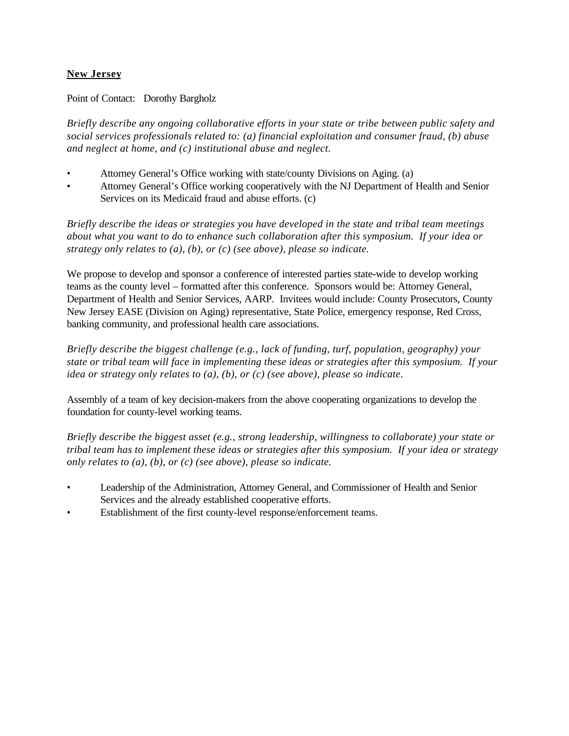# **New Jersey**

Point of Contact: Dorothy Bargholz

*Briefly describe any ongoing collaborative efforts in your state or tribe between public safety and social services professionals related to: (a) financial exploitation and consumer fraud, (b) abuse and neglect at home, and (c) institutional abuse and neglect.*

- Attorney General's Office working with state/county Divisions on Aging. (a)
- Attorney General's Office working cooperatively with the NJ Department of Health and Senior Services on its Medicaid fraud and abuse efforts. (c)

*Briefly describe the ideas or strategies you have developed in the state and tribal team meetings about what you want to do to enhance such collaboration after this symposium. If your idea or strategy only relates to (a), (b), or (c) (see above), please so indicate.*

We propose to develop and sponsor a conference of interested parties state-wide to develop working teams as the county level – formatted after this conference. Sponsors would be: Attorney General, Department of Health and Senior Services, AARP. Invitees would include: County Prosecutors, County New Jersey EASE (Division on Aging) representative, State Police, emergency response, Red Cross, banking community, and professional health care associations.

*Briefly describe the biggest challenge (e.g., lack of funding, turf, population, geography) your state or tribal team will face in implementing these ideas or strategies after this symposium. If your idea or strategy only relates to (a), (b), or (c) (see above), please so indicate.*

Assembly of a team of key decision-makers from the above cooperating organizations to develop the foundation for county-level working teams.

- Leadership of the Administration, Attorney General, and Commissioner of Health and Senior Services and the already established cooperative efforts.
- Establishment of the first county-level response/enforcement teams.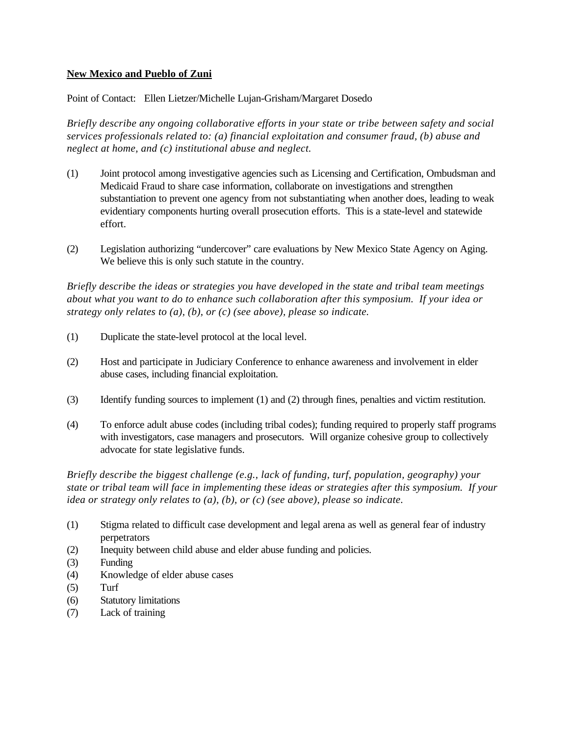## **New Mexico and Pueblo of Zuni**

Point of Contact: Ellen Lietzer/Michelle Lujan-Grisham/Margaret Dosedo

*Briefly describe any ongoing collaborative efforts in your state or tribe between safety and social services professionals related to: (a) financial exploitation and consumer fraud, (b) abuse and neglect at home, and (c) institutional abuse and neglect.*

- (1) Joint protocol among investigative agencies such as Licensing and Certification, Ombudsman and Medicaid Fraud to share case information, collaborate on investigations and strengthen substantiation to prevent one agency from not substantiating when another does, leading to weak evidentiary components hurting overall prosecution efforts. This is a state-level and statewide effort.
- (2) Legislation authorizing "undercover" care evaluations by New Mexico State Agency on Aging. We believe this is only such statute in the country.

*Briefly describe the ideas or strategies you have developed in the state and tribal team meetings about what you want to do to enhance such collaboration after this symposium. If your idea or strategy only relates to (a), (b), or (c) (see above), please so indicate.*

- (1) Duplicate the state-level protocol at the local level.
- (2) Host and participate in Judiciary Conference to enhance awareness and involvement in elder abuse cases, including financial exploitation.
- (3) Identify funding sources to implement (1) and (2) through fines, penalties and victim restitution.
- (4) To enforce adult abuse codes (including tribal codes); funding required to properly staff programs with investigators, case managers and prosecutors. Will organize cohesive group to collectively advocate for state legislative funds.

*Briefly describe the biggest challenge (e.g., lack of funding, turf, population, geography) your state or tribal team will face in implementing these ideas or strategies after this symposium. If your idea or strategy only relates to (a), (b), or (c) (see above), please so indicate.*

- (1) Stigma related to difficult case development and legal arena as well as general fear of industry perpetrators
- (2) Inequity between child abuse and elder abuse funding and policies.
- (3) Funding
- (4) Knowledge of elder abuse cases
- $(5)$  Turf
- (6) Statutory limitations
- (7) Lack of training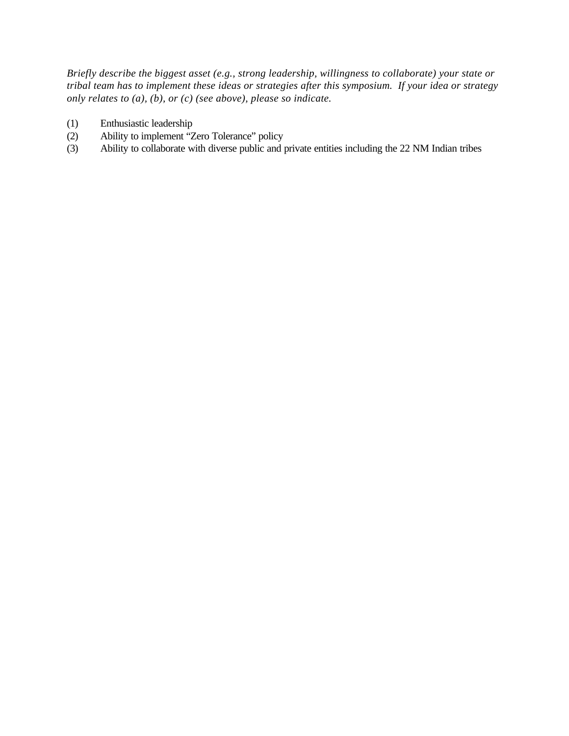- (1) Enthusiastic leadership
- (2) Ability to implement "Zero Tolerance" policy
- (3) Ability to collaborate with diverse public and private entities including the 22 NM Indian tribes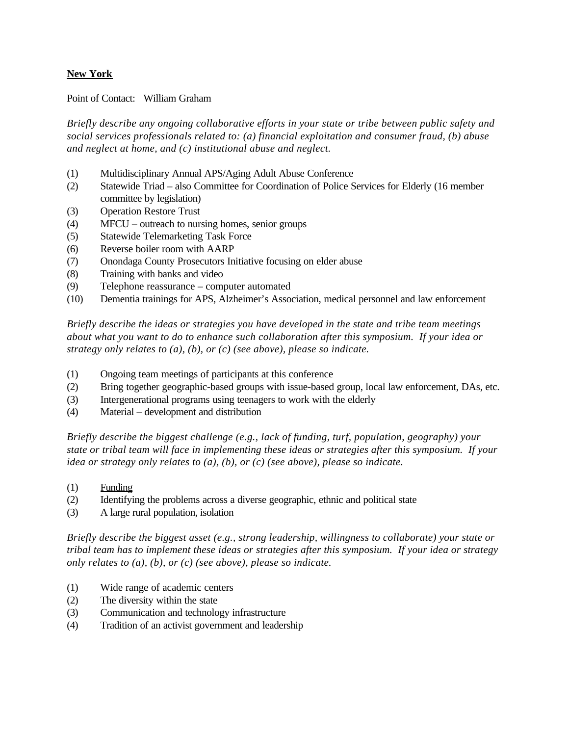## **New York**

Point of Contact: William Graham

*Briefly describe any ongoing collaborative efforts in your state or tribe between public safety and social services professionals related to: (a) financial exploitation and consumer fraud, (b) abuse and neglect at home, and (c) institutional abuse and neglect.*

- (1) Multidisciplinary Annual APS/Aging Adult Abuse Conference
- (2) Statewide Triad also Committee for Coordination of Police Services for Elderly (16 member committee by legislation)
- (3) Operation Restore Trust
- (4) MFCU outreach to nursing homes, senior groups
- (5) Statewide Telemarketing Task Force
- (6) Reverse boiler room with AARP
- (7) Onondaga County Prosecutors Initiative focusing on elder abuse
- (8) Training with banks and video
- (9) Telephone reassurance computer automated
- (10) Dementia trainings for APS, Alzheimer's Association, medical personnel and law enforcement

*Briefly describe the ideas or strategies you have developed in the state and tribe team meetings about what you want to do to enhance such collaboration after this symposium. If your idea or strategy only relates to (a), (b), or (c) (see above), please so indicate.*

- (1) Ongoing team meetings of participants at this conference
- (2) Bring together geographic-based groups with issue-based group, local law enforcement, DAs, etc.
- (3) Intergenerational programs using teenagers to work with the elderly
- (4) Material development and distribution

*Briefly describe the biggest challenge (e.g., lack of funding, turf, population, geography) your state or tribal team will face in implementing these ideas or strategies after this symposium. If your idea or strategy only relates to (a), (b), or (c) (see above), please so indicate.*

- (1) Funding
- (2) Identifying the problems across a diverse geographic, ethnic and political state
- (3) A large rural population, isolation

- (1) Wide range of academic centers
- (2) The diversity within the state
- (3) Communication and technology infrastructure
- (4) Tradition of an activist government and leadership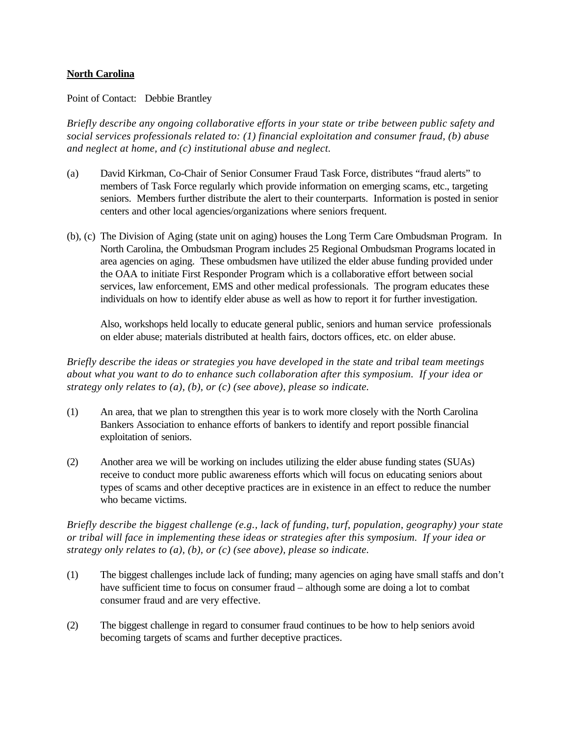### **North Carolina**

Point of Contact: Debbie Brantley

*Briefly describe any ongoing collaborative efforts in your state or tribe between public safety and social services professionals related to: (1) financial exploitation and consumer fraud, (b) abuse and neglect at home, and (c) institutional abuse and neglect.*

- (a) David Kirkman, Co-Chair of Senior Consumer Fraud Task Force, distributes "fraud alerts" to members of Task Force regularly which provide information on emerging scams, etc., targeting seniors. Members further distribute the alert to their counterparts. Information is posted in senior centers and other local agencies/organizations where seniors frequent.
- (b), (c) The Division of Aging (state unit on aging) houses the Long Term Care Ombudsman Program. In North Carolina, the Ombudsman Program includes 25 Regional Ombudsman Programs located in area agencies on aging. These ombudsmen have utilized the elder abuse funding provided under the OAA to initiate First Responder Program which is a collaborative effort between social services, law enforcement, EMS and other medical professionals. The program educates these individuals on how to identify elder abuse as well as how to report it for further investigation.

Also, workshops held locally to educate general public, seniors and human service professionals on elder abuse; materials distributed at health fairs, doctors offices, etc. on elder abuse.

*Briefly describe the ideas or strategies you have developed in the state and tribal team meetings about what you want to do to enhance such collaboration after this symposium. If your idea or strategy only relates to (a), (b), or (c) (see above), please so indicate.*

- (1) An area, that we plan to strengthen this year is to work more closely with the North Carolina Bankers Association to enhance efforts of bankers to identify and report possible financial exploitation of seniors.
- (2) Another area we will be working on includes utilizing the elder abuse funding states (SUAs) receive to conduct more public awareness efforts which will focus on educating seniors about types of scams and other deceptive practices are in existence in an effect to reduce the number who became victims.

*Briefly describe the biggest challenge (e.g., lack of funding, turf, population, geography) your state or tribal will face in implementing these ideas or strategies after this symposium. If your idea or strategy only relates to (a), (b), or (c) (see above), please so indicate.*

- (1) The biggest challenges include lack of funding; many agencies on aging have small staffs and don't have sufficient time to focus on consumer fraud – although some are doing a lot to combat consumer fraud and are very effective.
- (2) The biggest challenge in regard to consumer fraud continues to be how to help seniors avoid becoming targets of scams and further deceptive practices.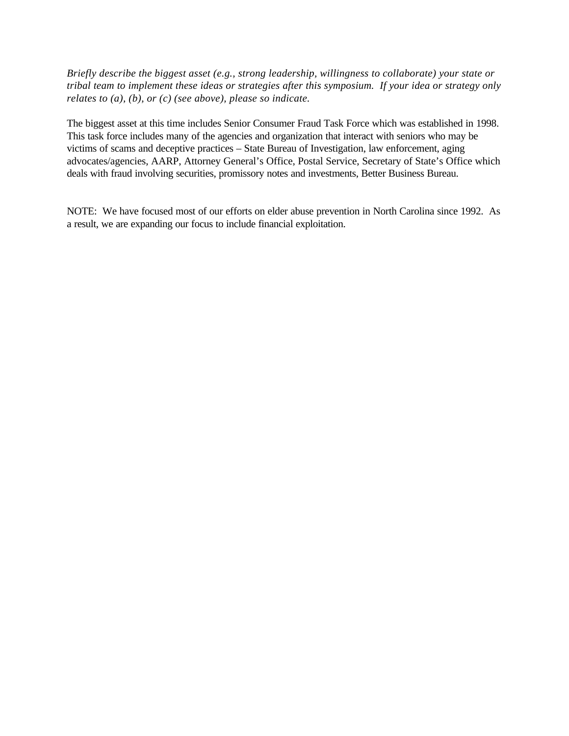*Briefly describe the biggest asset (e.g., strong leadership, willingness to collaborate) your state or tribal team to implement these ideas or strategies after this symposium. If your idea or strategy only relates to (a), (b), or (c) (see above), please so indicate.*

The biggest asset at this time includes Senior Consumer Fraud Task Force which was established in 1998. This task force includes many of the agencies and organization that interact with seniors who may be victims of scams and deceptive practices – State Bureau of Investigation, law enforcement, aging advocates/agencies, AARP, Attorney General's Office, Postal Service, Secretary of State's Office which deals with fraud involving securities, promissory notes and investments, Better Business Bureau.

NOTE: We have focused most of our efforts on elder abuse prevention in North Carolina since 1992. As a result, we are expanding our focus to include financial exploitation.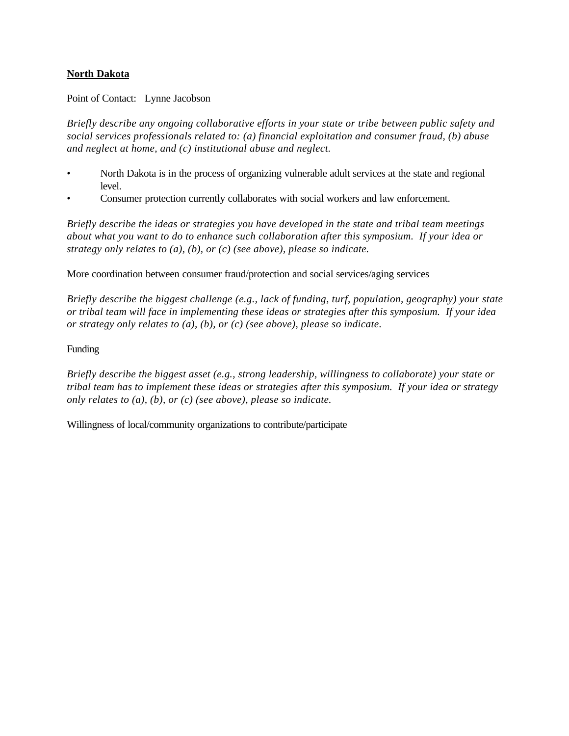## **North Dakota**

Point of Contact: Lynne Jacobson

*Briefly describe any ongoing collaborative efforts in your state or tribe between public safety and social services professionals related to: (a) financial exploitation and consumer fraud, (b) abuse and neglect at home, and (c) institutional abuse and neglect.*

- North Dakota is in the process of organizing vulnerable adult services at the state and regional level.
- Consumer protection currently collaborates with social workers and law enforcement.

*Briefly describe the ideas or strategies you have developed in the state and tribal team meetings about what you want to do to enhance such collaboration after this symposium. If your idea or strategy only relates to (a), (b), or (c) (see above), please so indicate.*

More coordination between consumer fraud/protection and social services/aging services

*Briefly describe the biggest challenge (e.g., lack of funding, turf, population, geography) your state or tribal team will face in implementing these ideas or strategies after this symposium. If your idea or strategy only relates to (a), (b), or (c) (see above), please so indicate.*

Funding

*Briefly describe the biggest asset (e.g., strong leadership, willingness to collaborate) your state or tribal team has to implement these ideas or strategies after this symposium. If your idea or strategy only relates to (a), (b), or (c) (see above), please so indicate.*

Willingness of local/community organizations to contribute/participate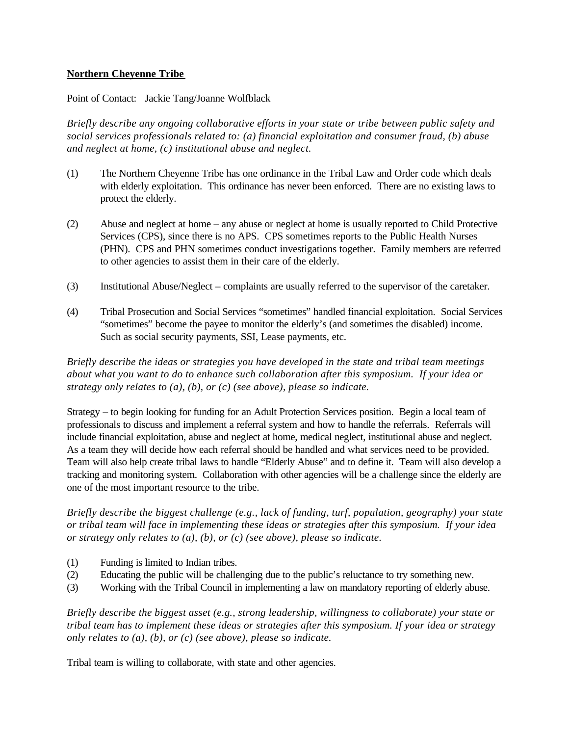## **Northern Cheyenne Tribe**

Point of Contact: Jackie Tang/Joanne Wolfblack

*Briefly describe any ongoing collaborative efforts in your state or tribe between public safety and social services professionals related to: (a) financial exploitation and consumer fraud, (b) abuse and neglect at home, (c) institutional abuse and neglect.*

- (1) The Northern Cheyenne Tribe has one ordinance in the Tribal Law and Order code which deals with elderly exploitation. This ordinance has never been enforced. There are no existing laws to protect the elderly.
- (2) Abuse and neglect at home any abuse or neglect at home is usually reported to Child Protective Services (CPS), since there is no APS. CPS sometimes reports to the Public Health Nurses (PHN). CPS and PHN sometimes conduct investigations together. Family members are referred to other agencies to assist them in their care of the elderly.
- (3) Institutional Abuse/Neglect complaints are usually referred to the supervisor of the caretaker.
- (4) Tribal Prosecution and Social Services "sometimes" handled financial exploitation. Social Services "sometimes" become the payee to monitor the elderly's (and sometimes the disabled) income. Such as social security payments, SSI, Lease payments, etc.

*Briefly describe the ideas or strategies you have developed in the state and tribal team meetings about what you want to do to enhance such collaboration after this symposium. If your idea or strategy only relates to (a), (b), or (c) (see above), please so indicate.*

Strategy – to begin looking for funding for an Adult Protection Services position. Begin a local team of professionals to discuss and implement a referral system and how to handle the referrals. Referrals will include financial exploitation, abuse and neglect at home, medical neglect, institutional abuse and neglect. As a team they will decide how each referral should be handled and what services need to be provided. Team will also help create tribal laws to handle "Elderly Abuse" and to define it. Team will also develop a tracking and monitoring system. Collaboration with other agencies will be a challenge since the elderly are one of the most important resource to the tribe.

*Briefly describe the biggest challenge (e.g., lack of funding, turf, population, geography) your state or tribal team will face in implementing these ideas or strategies after this symposium. If your idea or strategy only relates to (a), (b), or (c) (see above), please so indicate.*

- (1) Funding is limited to Indian tribes.
- (2) Educating the public will be challenging due to the public's reluctance to try something new.
- (3) Working with the Tribal Council in implementing a law on mandatory reporting of elderly abuse.

*Briefly describe the biggest asset (e.g., strong leadership, willingness to collaborate) your state or tribal team has to implement these ideas or strategies after this symposium. If your idea or strategy only relates to (a), (b), or (c) (see above), please so indicate.*

Tribal team is willing to collaborate, with state and other agencies.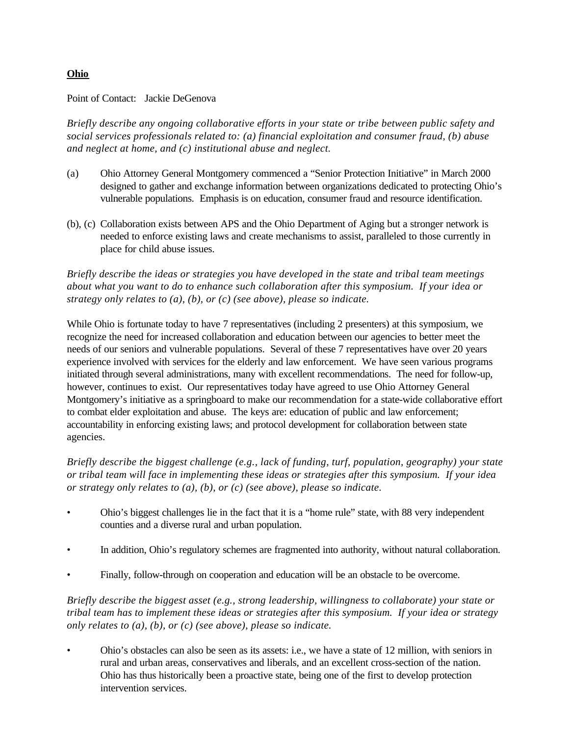#### **Ohio**

#### Point of Contact: Jackie DeGenova

*Briefly describe any ongoing collaborative efforts in your state or tribe between public safety and social services professionals related to: (a) financial exploitation and consumer fraud, (b) abuse and neglect at home, and (c) institutional abuse and neglect.*

- (a) Ohio Attorney General Montgomery commenced a "Senior Protection Initiative" in March 2000 designed to gather and exchange information between organizations dedicated to protecting Ohio's vulnerable populations. Emphasis is on education, consumer fraud and resource identification.
- (b), (c) Collaboration exists between APS and the Ohio Department of Aging but a stronger network is needed to enforce existing laws and create mechanisms to assist, paralleled to those currently in place for child abuse issues.

*Briefly describe the ideas or strategies you have developed in the state and tribal team meetings about what you want to do to enhance such collaboration after this symposium. If your idea or strategy only relates to (a), (b), or (c) (see above), please so indicate.*

While Ohio is fortunate today to have 7 representatives (including 2 presenters) at this symposium, we recognize the need for increased collaboration and education between our agencies to better meet the needs of our seniors and vulnerable populations. Several of these 7 representatives have over 20 years experience involved with services for the elderly and law enforcement. We have seen various programs initiated through several administrations, many with excellent recommendations. The need for follow-up, however, continues to exist. Our representatives today have agreed to use Ohio Attorney General Montgomery's initiative as a springboard to make our recommendation for a state-wide collaborative effort to combat elder exploitation and abuse. The keys are: education of public and law enforcement; accountability in enforcing existing laws; and protocol development for collaboration between state agencies.

*Briefly describe the biggest challenge (e.g., lack of funding, turf, population, geography) your state or tribal team will face in implementing these ideas or strategies after this symposium. If your idea or strategy only relates to (a), (b), or (c) (see above), please so indicate.*

- Ohio's biggest challenges lie in the fact that it is a "home rule" state, with 88 very independent counties and a diverse rural and urban population.
- In addition, Ohio's regulatory schemes are fragmented into authority, without natural collaboration.
- Finally, follow-through on cooperation and education will be an obstacle to be overcome.

*Briefly describe the biggest asset (e.g., strong leadership, willingness to collaborate) your state or tribal team has to implement these ideas or strategies after this symposium. If your idea or strategy only relates to (a), (b), or (c) (see above), please so indicate.*

• Ohio's obstacles can also be seen as its assets: i.e., we have a state of 12 million, with seniors in rural and urban areas, conservatives and liberals, and an excellent cross-section of the nation. Ohio has thus historically been a proactive state, being one of the first to develop protection intervention services.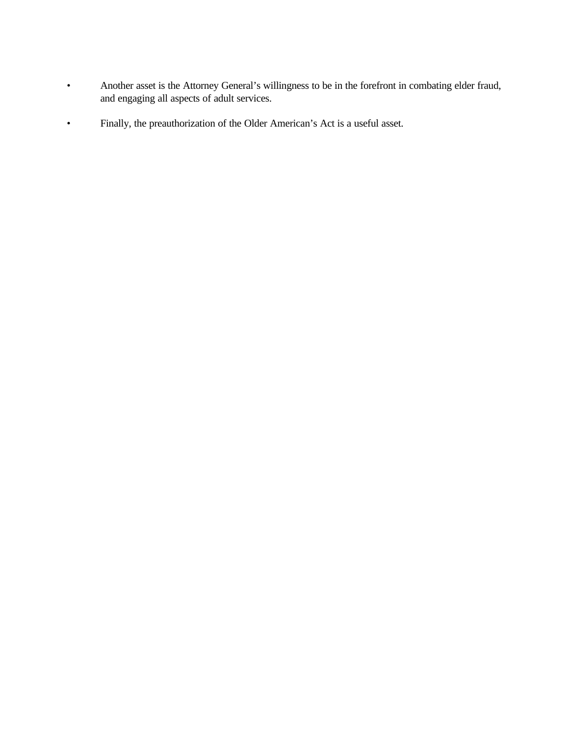- Another asset is the Attorney General's willingness to be in the forefront in combating elder fraud, and engaging all aspects of adult services.
- Finally, the preauthorization of the Older American's Act is a useful asset.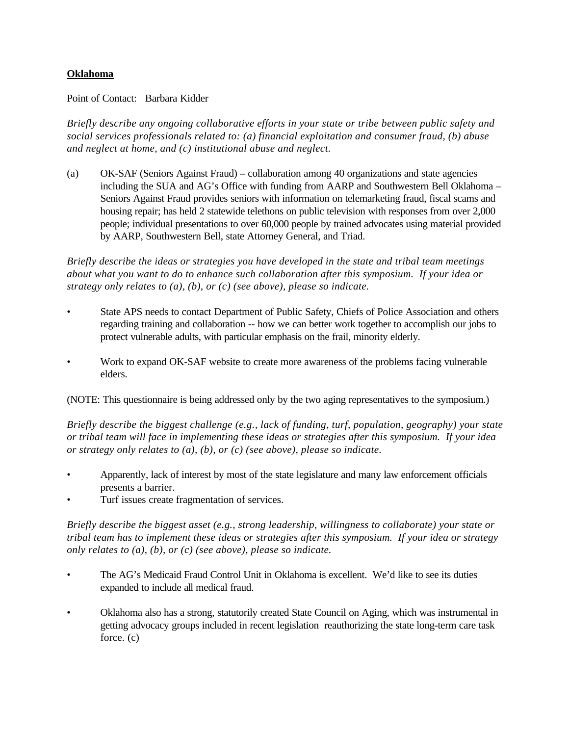#### **Oklahoma**

Point of Contact: Barbara Kidder

*Briefly describe any ongoing collaborative efforts in your state or tribe between public safety and social services professionals related to: (a) financial exploitation and consumer fraud, (b) abuse and neglect at home, and (c) institutional abuse and neglect.*

(a) OK-SAF (Seniors Against Fraud) – collaboration among 40 organizations and state agencies including the SUA and AG's Office with funding from AARP and Southwestern Bell Oklahoma – Seniors Against Fraud provides seniors with information on telemarketing fraud, fiscal scams and housing repair; has held 2 statewide telethons on public television with responses from over 2,000 people; individual presentations to over 60,000 people by trained advocates using material provided by AARP, Southwestern Bell, state Attorney General, and Triad.

*Briefly describe the ideas or strategies you have developed in the state and tribal team meetings about what you want to do to enhance such collaboration after this symposium. If your idea or strategy only relates to (a), (b), or (c) (see above), please so indicate.*

- State APS needs to contact Department of Public Safety, Chiefs of Police Association and others regarding training and collaboration -- how we can better work together to accomplish our jobs to protect vulnerable adults, with particular emphasis on the frail, minority elderly.
- Work to expand OK-SAF website to create more awareness of the problems facing vulnerable elders.

(NOTE: This questionnaire is being addressed only by the two aging representatives to the symposium.)

*Briefly describe the biggest challenge (e.g., lack of funding, turf, population, geography) your state or tribal team will face in implementing these ideas or strategies after this symposium. If your idea or strategy only relates to (a), (b), or (c) (see above), please so indicate.*

- Apparently, lack of interest by most of the state legislature and many law enforcement officials presents a barrier.
- Turf issues create fragmentation of services.

- The AG's Medicaid Fraud Control Unit in Oklahoma is excellent. We'd like to see its duties expanded to include all medical fraud.
- Oklahoma also has a strong, statutorily created State Council on Aging, which was instrumental in getting advocacy groups included in recent legislation reauthorizing the state long-term care task force. (c)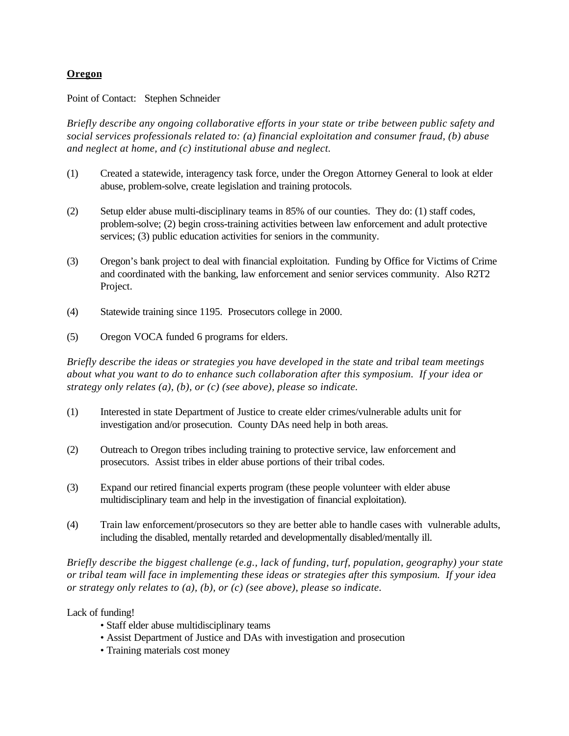## **Oregon**

Point of Contact: Stephen Schneider

*Briefly describe any ongoing collaborative efforts in your state or tribe between public safety and social services professionals related to: (a) financial exploitation and consumer fraud, (b) abuse and neglect at home, and (c) institutional abuse and neglect.*

- (1) Created a statewide, interagency task force, under the Oregon Attorney General to look at elder abuse, problem-solve, create legislation and training protocols.
- (2) Setup elder abuse multi-disciplinary teams in 85% of our counties. They do: (1) staff codes, problem-solve; (2) begin cross-training activities between law enforcement and adult protective services; (3) public education activities for seniors in the community.
- (3) Oregon's bank project to deal with financial exploitation. Funding by Office for Victims of Crime and coordinated with the banking, law enforcement and senior services community. Also R2T2 Project.
- (4) Statewide training since 1195. Prosecutors college in 2000.
- (5) Oregon VOCA funded 6 programs for elders.

*Briefly describe the ideas or strategies you have developed in the state and tribal team meetings about what you want to do to enhance such collaboration after this symposium. If your idea or strategy only relates (a), (b), or (c) (see above), please so indicate.*

- (1) Interested in state Department of Justice to create elder crimes/vulnerable adults unit for investigation and/or prosecution. County DAs need help in both areas.
- (2) Outreach to Oregon tribes including training to protective service, law enforcement and prosecutors. Assist tribes in elder abuse portions of their tribal codes.
- (3) Expand our retired financial experts program (these people volunteer with elder abuse multidisciplinary team and help in the investigation of financial exploitation).
- (4) Train law enforcement/prosecutors so they are better able to handle cases with vulnerable adults, including the disabled, mentally retarded and developmentally disabled/mentally ill.

*Briefly describe the biggest challenge (e.g., lack of funding, turf, population, geography) your state or tribal team will face in implementing these ideas or strategies after this symposium. If your idea or strategy only relates to (a), (b), or (c) (see above), please so indicate.*

Lack of funding!

- Staff elder abuse multidisciplinary teams
- Assist Department of Justice and DAs with investigation and prosecution
- Training materials cost money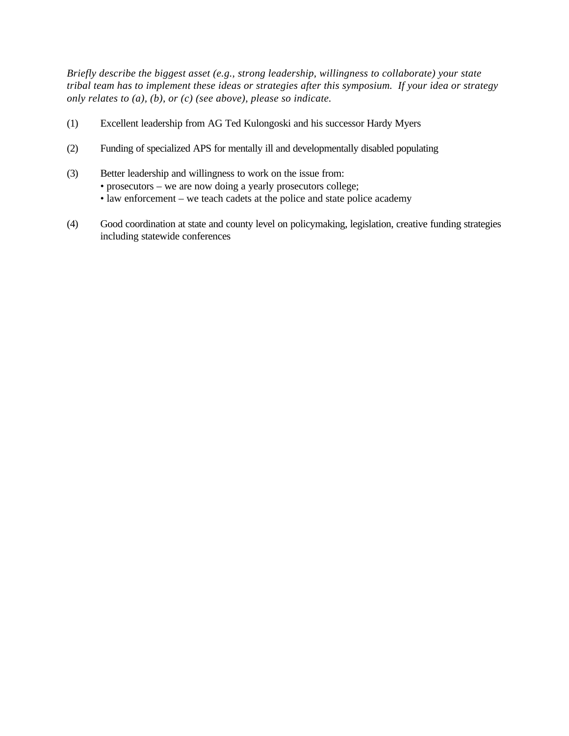- (1) Excellent leadership from AG Ted Kulongoski and his successor Hardy Myers
- (2) Funding of specialized APS for mentally ill and developmentally disabled populating
- (3) Better leadership and willingness to work on the issue from:
	- prosecutors we are now doing a yearly prosecutors college;
	- law enforcement we teach cadets at the police and state police academy
- (4) Good coordination at state and county level on policymaking, legislation, creative funding strategies including statewide conferences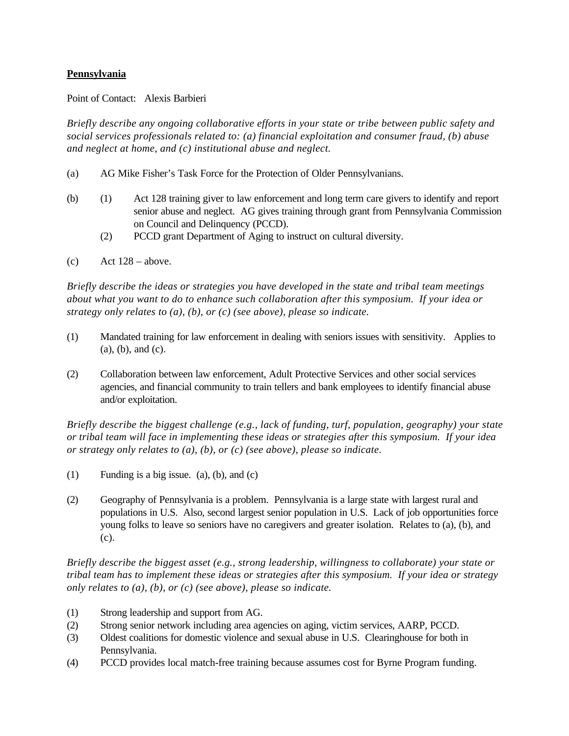## **Pennsylvania**

Point of Contact: Alexis Barbieri

*Briefly describe any ongoing collaborative efforts in your state or tribe between public safety and social services professionals related to: (a) financial exploitation and consumer fraud, (b) abuse and neglect at home, and (c) institutional abuse and neglect.*

- (a) AG Mike Fisher's Task Force for the Protection of Older Pennsylvanians.
- (b) (1) Act 128 training giver to law enforcement and long term care givers to identify and report senior abuse and neglect. AG gives training through grant from Pennsylvania Commission on Council and Delinquency (PCCD).
	- (2) PCCD grant Department of Aging to instruct on cultural diversity.
- (c) Act  $128 above$ .

*Briefly describe the ideas or strategies you have developed in the state and tribal team meetings about what you want to do to enhance such collaboration after this symposium. If your idea or strategy only relates to (a), (b), or (c) (see above), please so indicate.*

- (1) Mandated training for law enforcement in dealing with seniors issues with sensitivity. Applies to (a), (b), and (c).
- (2) Collaboration between law enforcement, Adult Protective Services and other social services agencies, and financial community to train tellers and bank employees to identify financial abuse and/or exploitation.

*Briefly describe the biggest challenge (e.g., lack of funding, turf, population, geography) your state or tribal team will face in implementing these ideas or strategies after this symposium. If your idea or strategy only relates to (a), (b), or (c) (see above), please so indicate.*

- (1) Funding is a big issue. (a), (b), and (c)
- (2) Geography of Pennsylvania is a problem. Pennsylvania is a large state with largest rural and populations in U.S. Also, second largest senior population in U.S. Lack of job opportunities force young folks to leave so seniors have no caregivers and greater isolation. Relates to (a), (b), and (c).

- (1) Strong leadership and support from AG.
- (2) Strong senior network including area agencies on aging, victim services, AARP, PCCD.
- (3) Oldest coalitions for domestic violence and sexual abuse in U.S. Clearinghouse for both in Pennsylvania.
- (4) PCCD provides local match-free training because assumes cost for Byrne Program funding.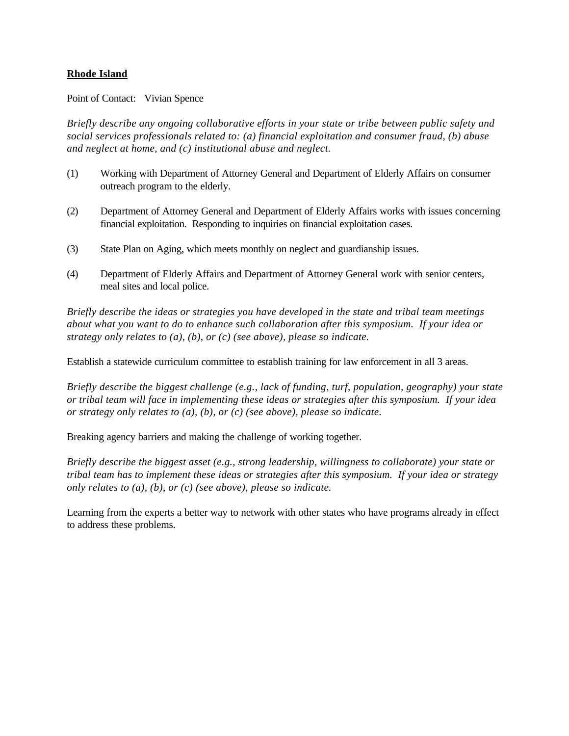#### **Rhode Island**

Point of Contact: Vivian Spence

*Briefly describe any ongoing collaborative efforts in your state or tribe between public safety and social services professionals related to: (a) financial exploitation and consumer fraud, (b) abuse and neglect at home, and (c) institutional abuse and neglect.*

- (1) Working with Department of Attorney General and Department of Elderly Affairs on consumer outreach program to the elderly.
- (2) Department of Attorney General and Department of Elderly Affairs works with issues concerning financial exploitation. Responding to inquiries on financial exploitation cases.
- (3) State Plan on Aging, which meets monthly on neglect and guardianship issues.
- (4) Department of Elderly Affairs and Department of Attorney General work with senior centers, meal sites and local police.

*Briefly describe the ideas or strategies you have developed in the state and tribal team meetings about what you want to do to enhance such collaboration after this symposium. If your idea or strategy only relates to (a), (b), or (c) (see above), please so indicate.*

Establish a statewide curriculum committee to establish training for law enforcement in all 3 areas.

*Briefly describe the biggest challenge (e.g., lack of funding, turf, population, geography) your state or tribal team will face in implementing these ideas or strategies after this symposium. If your idea or strategy only relates to (a), (b), or (c) (see above), please so indicate.*

Breaking agency barriers and making the challenge of working together.

*Briefly describe the biggest asset (e.g., strong leadership, willingness to collaborate) your state or tribal team has to implement these ideas or strategies after this symposium. If your idea or strategy only relates to (a), (b), or (c) (see above), please so indicate.*

Learning from the experts a better way to network with other states who have programs already in effect to address these problems.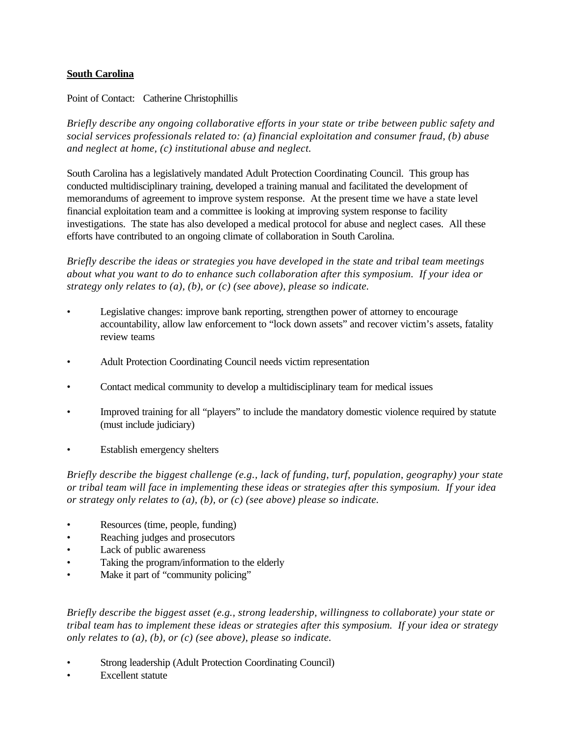#### **South Carolina**

Point of Contact: Catherine Christophillis

*Briefly describe any ongoing collaborative efforts in your state or tribe between public safety and social services professionals related to: (a) financial exploitation and consumer fraud, (b) abuse and neglect at home, (c) institutional abuse and neglect.*

South Carolina has a legislatively mandated Adult Protection Coordinating Council. This group has conducted multidisciplinary training, developed a training manual and facilitated the development of memorandums of agreement to improve system response. At the present time we have a state level financial exploitation team and a committee is looking at improving system response to facility investigations. The state has also developed a medical protocol for abuse and neglect cases. All these efforts have contributed to an ongoing climate of collaboration in South Carolina.

*Briefly describe the ideas or strategies you have developed in the state and tribal team meetings about what you want to do to enhance such collaboration after this symposium. If your idea or strategy only relates to (a), (b), or (c) (see above), please so indicate.*

- Legislative changes: improve bank reporting, strengthen power of attorney to encourage accountability, allow law enforcement to "lock down assets" and recover victim's assets, fatality review teams
- Adult Protection Coordinating Council needs victim representation
- Contact medical community to develop a multidisciplinary team for medical issues
- Improved training for all "players" to include the mandatory domestic violence required by statute (must include judiciary)
- Establish emergency shelters

*Briefly describe the biggest challenge (e.g., lack of funding, turf, population, geography) your state or tribal team will face in implementing these ideas or strategies after this symposium. If your idea or strategy only relates to (a), (b), or (c) (see above) please so indicate.*

- Resources (time, people, funding)
- Reaching judges and prosecutors
- Lack of public awareness
- Taking the program/information to the elderly
- Make it part of "community policing"

- Strong leadership (Adult Protection Coordinating Council)
- Excellent statute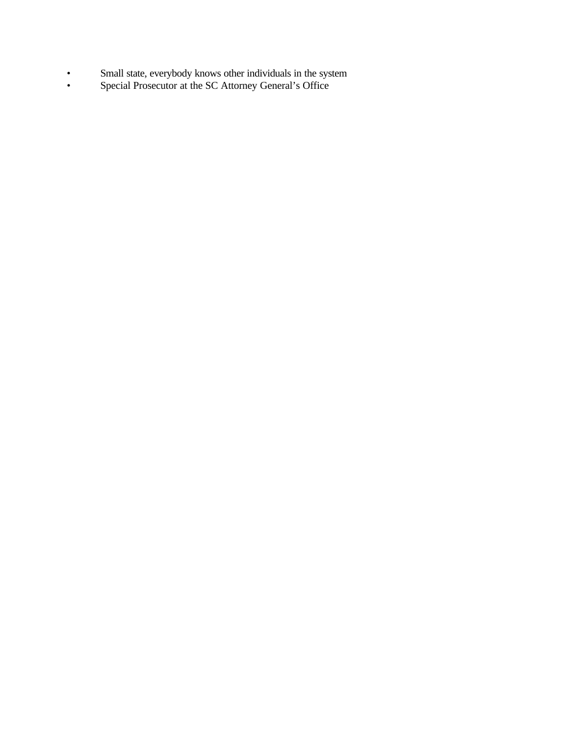- Small state, everybody knows other individuals in the system
- Special Prosecutor at the SC Attorney General's Office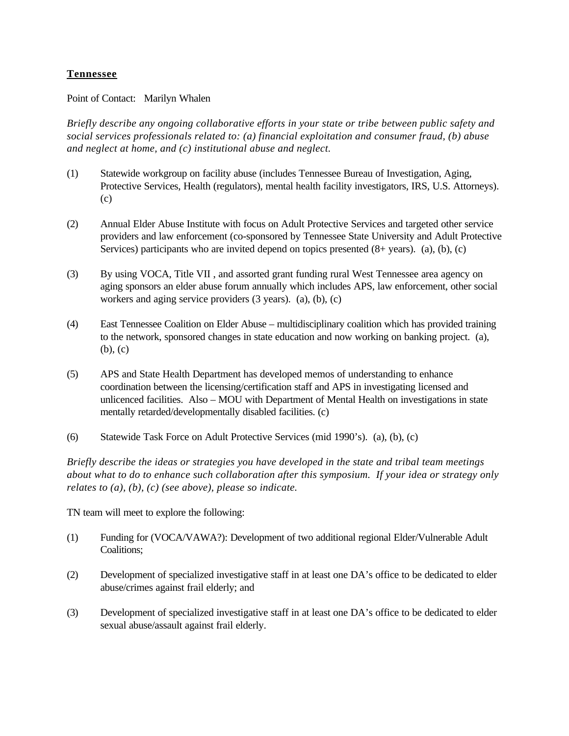## **Tennessee**

Point of Contact: Marilyn Whalen

*Briefly describe any ongoing collaborative efforts in your state or tribe between public safety and social services professionals related to: (a) financial exploitation and consumer fraud, (b) abuse and neglect at home, and (c) institutional abuse and neglect.*

- (1) Statewide workgroup on facility abuse (includes Tennessee Bureau of Investigation, Aging, Protective Services, Health (regulators), mental health facility investigators, IRS, U.S. Attorneys). (c)
- (2) Annual Elder Abuse Institute with focus on Adult Protective Services and targeted other service providers and law enforcement (co-sponsored by Tennessee State University and Adult Protective Services) participants who are invited depend on topics presented (8+ years). (a), (b), (c)
- (3) By using VOCA, Title VII , and assorted grant funding rural West Tennessee area agency on aging sponsors an elder abuse forum annually which includes APS, law enforcement, other social workers and aging service providers (3 years). (a), (b), (c)
- (4) East Tennessee Coalition on Elder Abuse multidisciplinary coalition which has provided training to the network, sponsored changes in state education and now working on banking project. (a), (b), (c)
- (5) APS and State Health Department has developed memos of understanding to enhance coordination between the licensing/certification staff and APS in investigating licensed and unlicenced facilities. Also – MOU with Department of Mental Health on investigations in state mentally retarded/developmentally disabled facilities. (c)
- (6) Statewide Task Force on Adult Protective Services (mid 1990's). (a), (b), (c)

*Briefly describe the ideas or strategies you have developed in the state and tribal team meetings about what to do to enhance such collaboration after this symposium. If your idea or strategy only relates to (a), (b), (c) (see above), please so indicate.*

TN team will meet to explore the following:

- (1) Funding for (VOCA/VAWA?): Development of two additional regional Elder/Vulnerable Adult Coalitions;
- (2) Development of specialized investigative staff in at least one DA's office to be dedicated to elder abuse/crimes against frail elderly; and
- (3) Development of specialized investigative staff in at least one DA's office to be dedicated to elder sexual abuse/assault against frail elderly.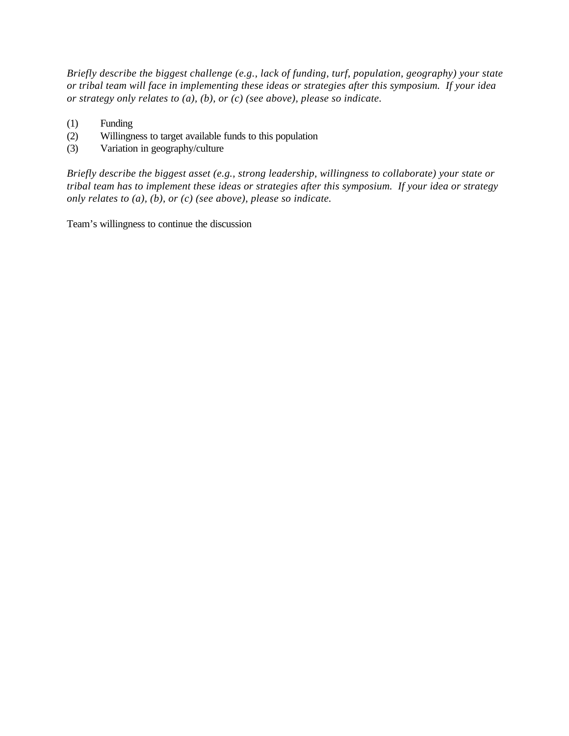*Briefly describe the biggest challenge (e.g., lack of funding, turf, population, geography) your state or tribal team will face in implementing these ideas or strategies after this symposium. If your idea or strategy only relates to (a), (b), or (c) (see above), please so indicate.*

- (1) Funding
- (2) Willingness to target available funds to this population
- (3) Variation in geography/culture

*Briefly describe the biggest asset (e.g., strong leadership, willingness to collaborate) your state or tribal team has to implement these ideas or strategies after this symposium. If your idea or strategy only relates to (a), (b), or (c) (see above), please so indicate.*

Team's willingness to continue the discussion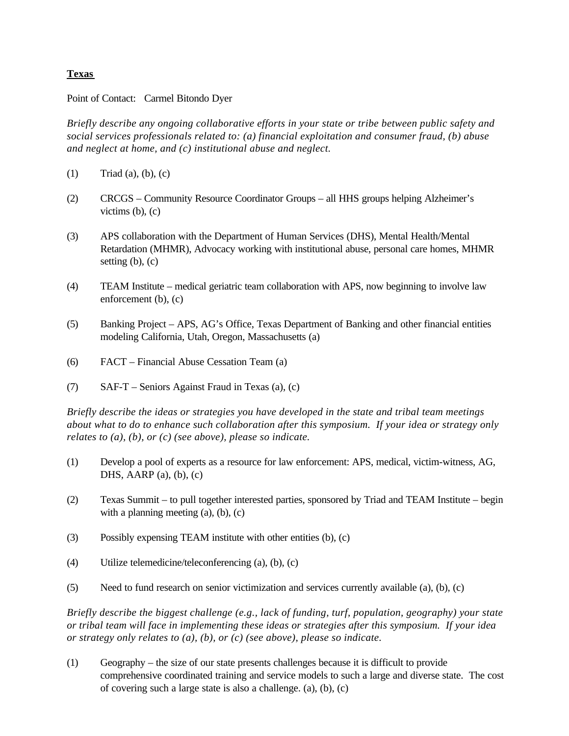#### **Texas**

Point of Contact: Carmel Bitondo Dyer

*Briefly describe any ongoing collaborative efforts in your state or tribe between public safety and social services professionals related to: (a) financial exploitation and consumer fraud, (b) abuse and neglect at home, and (c) institutional abuse and neglect.*

- (1) Triad (a), (b), (c)
- (2) CRCGS Community Resource Coordinator Groups all HHS groups helping Alzheimer's victims  $(b)$ ,  $(c)$
- (3) APS collaboration with the Department of Human Services (DHS), Mental Health/Mental Retardation (MHMR), Advocacy working with institutional abuse, personal care homes, MHMR setting  $(b)$ ,  $(c)$
- (4) TEAM Institute medical geriatric team collaboration with APS, now beginning to involve law enforcement (b), (c)
- (5) Banking Project APS, AG's Office, Texas Department of Banking and other financial entities modeling California, Utah, Oregon, Massachusetts (a)
- (6) FACT Financial Abuse Cessation Team (a)
- (7) SAF-T Seniors Against Fraud in Texas (a), (c)

*Briefly describe the ideas or strategies you have developed in the state and tribal team meetings about what to do to enhance such collaboration after this symposium. If your idea or strategy only relates to (a), (b), or (c) (see above), please so indicate.*

- (1) Develop a pool of experts as a resource for law enforcement: APS, medical, victim-witness, AG, DHS, AARP $(a)$ ,  $(b)$ ,  $(c)$
- (2) Texas Summit to pull together interested parties, sponsored by Triad and TEAM Institute begin with a planning meeting  $(a)$ ,  $(b)$ ,  $(c)$
- (3) Possibly expensing TEAM institute with other entities (b), (c)
- (4) Utilize telemedicine/teleconferencing (a), (b), (c)
- (5) Need to fund research on senior victimization and services currently available (a), (b), (c)

*Briefly describe the biggest challenge (e.g., lack of funding, turf, population, geography) your state or tribal team will face in implementing these ideas or strategies after this symposium. If your idea or strategy only relates to (a), (b), or (c) (see above), please so indicate.*

(1) Geography – the size of our state presents challenges because it is difficult to provide comprehensive coordinated training and service models to such a large and diverse state. The cost of covering such a large state is also a challenge. (a), (b), (c)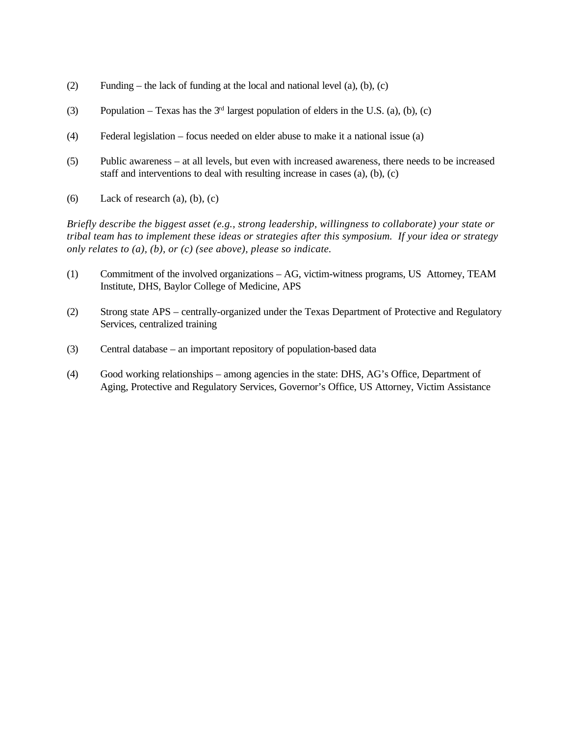- (2) Funding the lack of funding at the local and national level (a), (b), (c)
- (3) Population Texas has the  $3<sup>rd</sup>$  largest population of elders in the U.S. (a), (b), (c)
- (4) Federal legislation focus needed on elder abuse to make it a national issue (a)
- (5) Public awareness at all levels, but even with increased awareness, there needs to be increased staff and interventions to deal with resulting increase in cases (a), (b), (c)
- (6) Lack of research (a), (b), (c)

- (1) Commitment of the involved organizations AG, victim-witness programs, US Attorney, TEAM Institute, DHS, Baylor College of Medicine, APS
- (2) Strong state APS centrally-organized under the Texas Department of Protective and Regulatory Services, centralized training
- (3) Central database an important repository of population-based data
- (4) Good working relationships among agencies in the state: DHS, AG's Office, Department of Aging, Protective and Regulatory Services, Governor's Office, US Attorney, Victim Assistance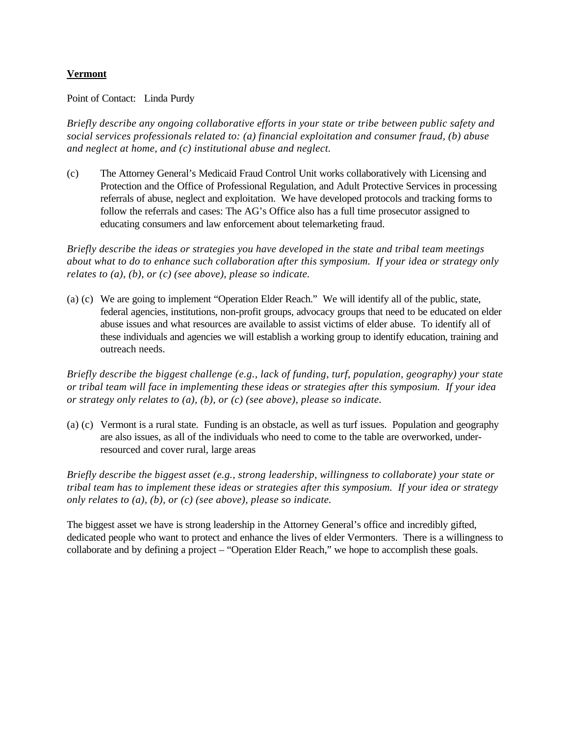## **Vermont**

Point of Contact: Linda Purdy

*Briefly describe any ongoing collaborative efforts in your state or tribe between public safety and social services professionals related to: (a) financial exploitation and consumer fraud, (b) abuse and neglect at home, and (c) institutional abuse and neglect.*

(c) The Attorney General's Medicaid Fraud Control Unit works collaboratively with Licensing and Protection and the Office of Professional Regulation, and Adult Protective Services in processing referrals of abuse, neglect and exploitation. We have developed protocols and tracking forms to follow the referrals and cases: The AG's Office also has a full time prosecutor assigned to educating consumers and law enforcement about telemarketing fraud.

*Briefly describe the ideas or strategies you have developed in the state and tribal team meetings about what to do to enhance such collaboration after this symposium. If your idea or strategy only relates to (a), (b), or (c) (see above), please so indicate.*

(a) (c) We are going to implement "Operation Elder Reach." We will identify all of the public, state, federal agencies, institutions, non-profit groups, advocacy groups that need to be educated on elder abuse issues and what resources are available to assist victims of elder abuse. To identify all of these individuals and agencies we will establish a working group to identify education, training and outreach needs.

*Briefly describe the biggest challenge (e.g., lack of funding, turf, population, geography) your state or tribal team will face in implementing these ideas or strategies after this symposium. If your idea or strategy only relates to (a), (b), or (c) (see above), please so indicate.*

(a) (c) Vermont is a rural state. Funding is an obstacle, as well as turf issues. Population and geography are also issues, as all of the individuals who need to come to the table are overworked, underresourced and cover rural, large areas

*Briefly describe the biggest asset (e.g., strong leadership, willingness to collaborate) your state or tribal team has to implement these ideas or strategies after this symposium. If your idea or strategy only relates to (a), (b), or (c) (see above), please so indicate.*

The biggest asset we have is strong leadership in the Attorney General's office and incredibly gifted, dedicated people who want to protect and enhance the lives of elder Vermonters. There is a willingness to collaborate and by defining a project – "Operation Elder Reach," we hope to accomplish these goals.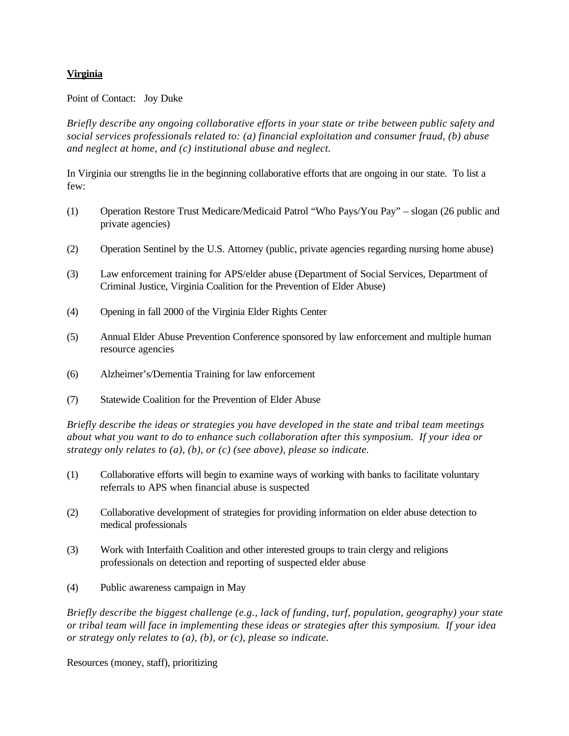## **Virginia**

Point of Contact: Joy Duke

*Briefly describe any ongoing collaborative efforts in your state or tribe between public safety and social services professionals related to: (a) financial exploitation and consumer fraud, (b) abuse and neglect at home, and (c) institutional abuse and neglect.*

In Virginia our strengths lie in the beginning collaborative efforts that are ongoing in our state. To list a few:

- (1) Operation Restore Trust Medicare/Medicaid Patrol "Who Pays/You Pay" slogan (26 public and private agencies)
- (2) Operation Sentinel by the U.S. Attorney (public, private agencies regarding nursing home abuse)
- (3) Law enforcement training for APS/elder abuse (Department of Social Services, Department of Criminal Justice, Virginia Coalition for the Prevention of Elder Abuse)
- (4) Opening in fall 2000 of the Virginia Elder Rights Center
- (5) Annual Elder Abuse Prevention Conference sponsored by law enforcement and multiple human resource agencies
- (6) Alzheimer's/Dementia Training for law enforcement
- (7) Statewide Coalition for the Prevention of Elder Abuse

*Briefly describe the ideas or strategies you have developed in the state and tribal team meetings about what you want to do to enhance such collaboration after this symposium. If your idea or strategy only relates to (a), (b), or (c) (see above), please so indicate.*

- (1) Collaborative efforts will begin to examine ways of working with banks to facilitate voluntary referrals to APS when financial abuse is suspected
- (2) Collaborative development of strategies for providing information on elder abuse detection to medical professionals
- (3) Work with Interfaith Coalition and other interested groups to train clergy and religions professionals on detection and reporting of suspected elder abuse
- (4) Public awareness campaign in May

*Briefly describe the biggest challenge (e.g., lack of funding, turf, population, geography) your state or tribal team will face in implementing these ideas or strategies after this symposium. If your idea or strategy only relates to (a), (b), or (c), please so indicate.*

Resources (money, staff), prioritizing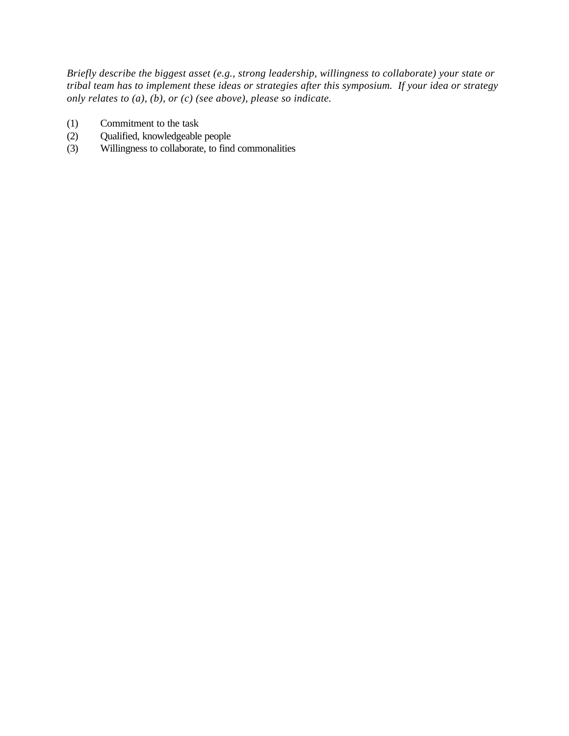- (1) Commitment to the task
- (2) Qualified, knowledgeable people
- (3) Willingness to collaborate, to find commonalities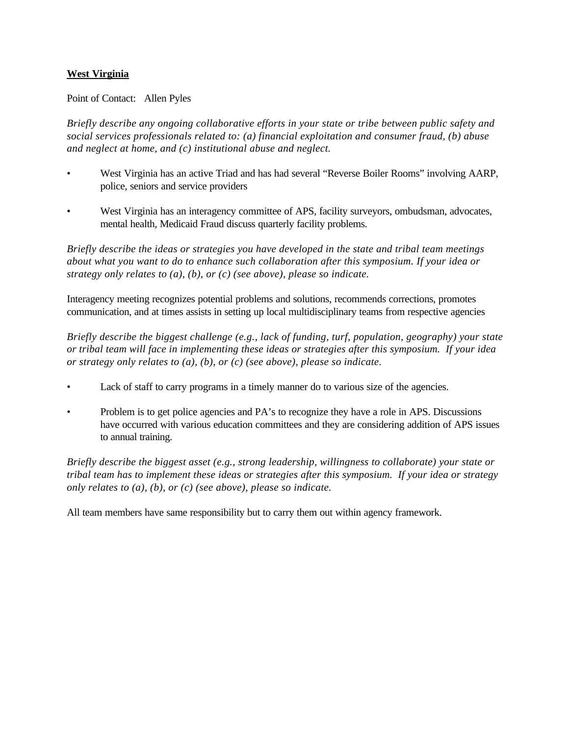## **West Virginia**

#### Point of Contact: Allen Pyles

*Briefly describe any ongoing collaborative efforts in your state or tribe between public safety and social services professionals related to: (a) financial exploitation and consumer fraud, (b) abuse and neglect at home, and (c) institutional abuse and neglect.*

- West Virginia has an active Triad and has had several "Reverse Boiler Rooms" involving AARP, police, seniors and service providers
- West Virginia has an interagency committee of APS, facility surveyors, ombudsman, advocates, mental health, Medicaid Fraud discuss quarterly facility problems.

*Briefly describe the ideas or strategies you have developed in the state and tribal team meetings about what you want to do to enhance such collaboration after this symposium. If your idea or strategy only relates to (a), (b), or (c) (see above), please so indicate.*

Interagency meeting recognizes potential problems and solutions, recommends corrections, promotes communication, and at times assists in setting up local multidisciplinary teams from respective agencies

*Briefly describe the biggest challenge (e.g., lack of funding, turf, population, geography) your state or tribal team will face in implementing these ideas or strategies after this symposium. If your idea or strategy only relates to (a), (b), or (c) (see above), please so indicate.*

- Lack of staff to carry programs in a timely manner do to various size of the agencies.
- Problem is to get police agencies and PA's to recognize they have a role in APS. Discussions have occurred with various education committees and they are considering addition of APS issues to annual training.

*Briefly describe the biggest asset (e.g., strong leadership, willingness to collaborate) your state or tribal team has to implement these ideas or strategies after this symposium. If your idea or strategy only relates to (a), (b), or (c) (see above), please so indicate.*

All team members have same responsibility but to carry them out within agency framework.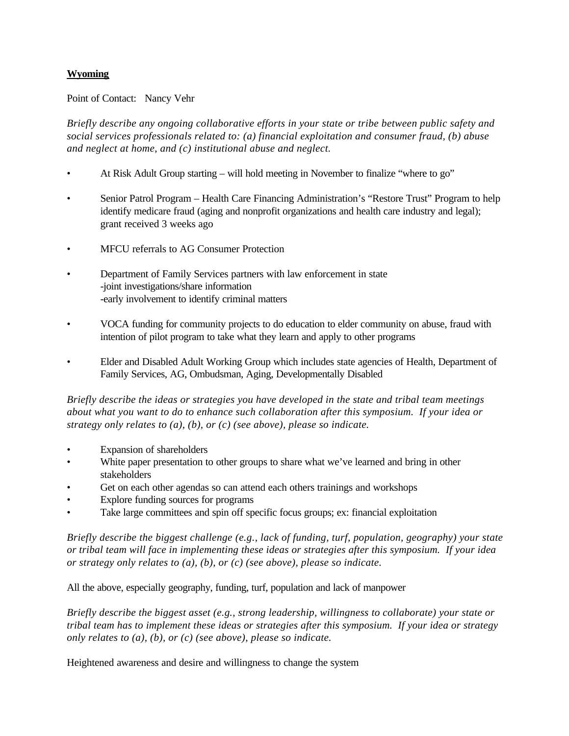## **Wyoming**

Point of Contact: Nancy Vehr

*Briefly describe any ongoing collaborative efforts in your state or tribe between public safety and social services professionals related to: (a) financial exploitation and consumer fraud, (b) abuse and neglect at home, and (c) institutional abuse and neglect.*

- At Risk Adult Group starting will hold meeting in November to finalize "where to go"
- Senior Patrol Program Health Care Financing Administration's "Restore Trust" Program to help identify medicare fraud (aging and nonprofit organizations and health care industry and legal); grant received 3 weeks ago
- MFCU referrals to AG Consumer Protection
- Department of Family Services partners with law enforcement in state -joint investigations/share information -early involvement to identify criminal matters
- VOCA funding for community projects to do education to elder community on abuse, fraud with intention of pilot program to take what they learn and apply to other programs
- Elder and Disabled Adult Working Group which includes state agencies of Health, Department of Family Services, AG, Ombudsman, Aging, Developmentally Disabled

*Briefly describe the ideas or strategies you have developed in the state and tribal team meetings about what you want to do to enhance such collaboration after this symposium. If your idea or strategy only relates to (a), (b), or (c) (see above), please so indicate.*

- Expansion of shareholders
- White paper presentation to other groups to share what we've learned and bring in other stakeholders
- Get on each other agendas so can attend each others trainings and workshops
- Explore funding sources for programs
- Take large committees and spin off specific focus groups; ex: financial exploitation

*Briefly describe the biggest challenge (e.g., lack of funding, turf, population, geography) your state or tribal team will face in implementing these ideas or strategies after this symposium. If your idea or strategy only relates to (a), (b), or (c) (see above), please so indicate.*

All the above, especially geography, funding, turf, population and lack of manpower

*Briefly describe the biggest asset (e.g., strong leadership, willingness to collaborate) your state or tribal team has to implement these ideas or strategies after this symposium. If your idea or strategy only relates to (a), (b), or (c) (see above), please so indicate.*

Heightened awareness and desire and willingness to change the system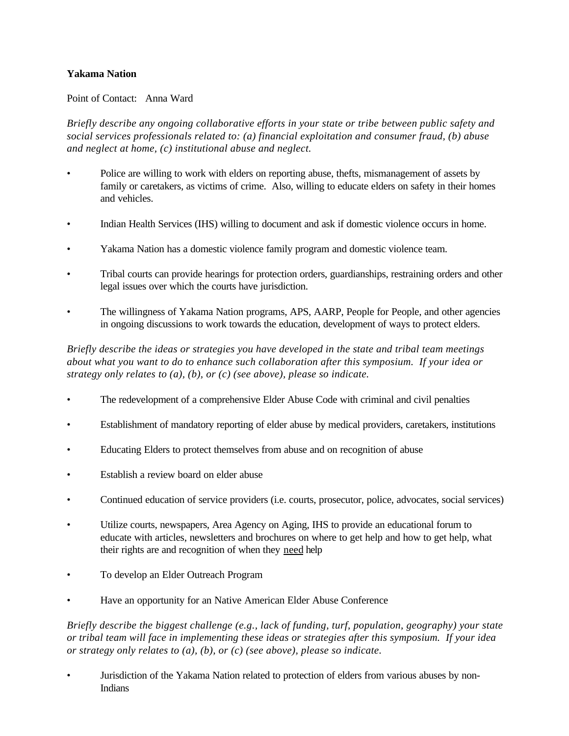## **Yakama Nation**

#### Point of Contact: Anna Ward

*Briefly describe any ongoing collaborative efforts in your state or tribe between public safety and social services professionals related to: (a) financial exploitation and consumer fraud, (b) abuse and neglect at home, (c) institutional abuse and neglect.*

- Police are willing to work with elders on reporting abuse, thefts, mismanagement of assets by family or caretakers, as victims of crime. Also, willing to educate elders on safety in their homes and vehicles.
- Indian Health Services (IHS) willing to document and ask if domestic violence occurs in home.
- Yakama Nation has a domestic violence family program and domestic violence team.
- Tribal courts can provide hearings for protection orders, guardianships, restraining orders and other legal issues over which the courts have jurisdiction.
- The willingness of Yakama Nation programs, APS, AARP, People for People, and other agencies in ongoing discussions to work towards the education, development of ways to protect elders.

*Briefly describe the ideas or strategies you have developed in the state and tribal team meetings about what you want to do to enhance such collaboration after this symposium. If your idea or strategy only relates to (a), (b), or (c) (see above), please so indicate.*

- The redevelopment of a comprehensive Elder Abuse Code with criminal and civil penalties
- Establishment of mandatory reporting of elder abuse by medical providers, caretakers, institutions
- Educating Elders to protect themselves from abuse and on recognition of abuse
- Establish a review board on elder abuse
- Continued education of service providers (i.e. courts, prosecutor, police, advocates, social services)
- Utilize courts, newspapers, Area Agency on Aging, IHS to provide an educational forum to educate with articles, newsletters and brochures on where to get help and how to get help, what their rights are and recognition of when they need help
- To develop an Elder Outreach Program
- Have an opportunity for an Native American Elder Abuse Conference

*Briefly describe the biggest challenge (e.g., lack of funding, turf, population, geography) your state or tribal team will face in implementing these ideas or strategies after this symposium. If your idea or strategy only relates to (a), (b), or (c) (see above), please so indicate.* 

• Jurisdiction of the Yakama Nation related to protection of elders from various abuses by non-Indians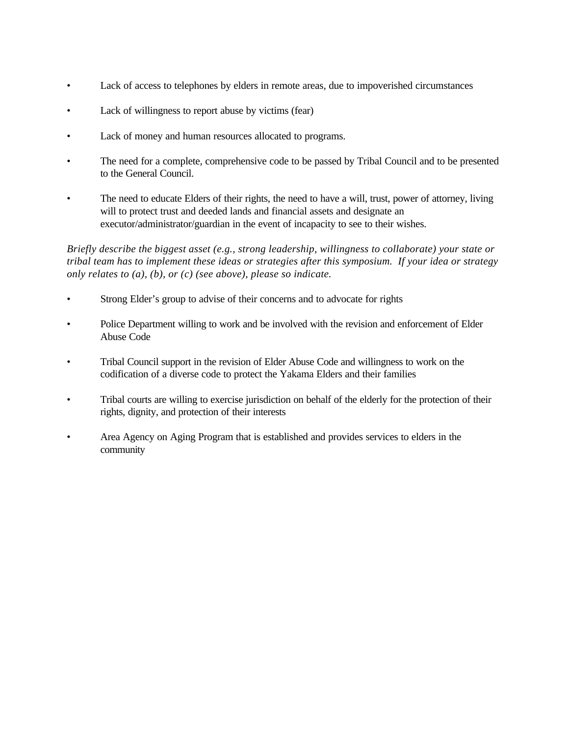- Lack of access to telephones by elders in remote areas, due to impoverished circumstances
- Lack of willingness to report abuse by victims (fear)
- Lack of money and human resources allocated to programs.
- The need for a complete, comprehensive code to be passed by Tribal Council and to be presented to the General Council.
- The need to educate Elders of their rights, the need to have a will, trust, power of attorney, living will to protect trust and deeded lands and financial assets and designate an executor/administrator/guardian in the event of incapacity to see to their wishes.

- Strong Elder's group to advise of their concerns and to advocate for rights
- Police Department willing to work and be involved with the revision and enforcement of Elder Abuse Code
- Tribal Council support in the revision of Elder Abuse Code and willingness to work on the codification of a diverse code to protect the Yakama Elders and their families
- Tribal courts are willing to exercise jurisdiction on behalf of the elderly for the protection of their rights, dignity, and protection of their interests
- Area Agency on Aging Program that is established and provides services to elders in the community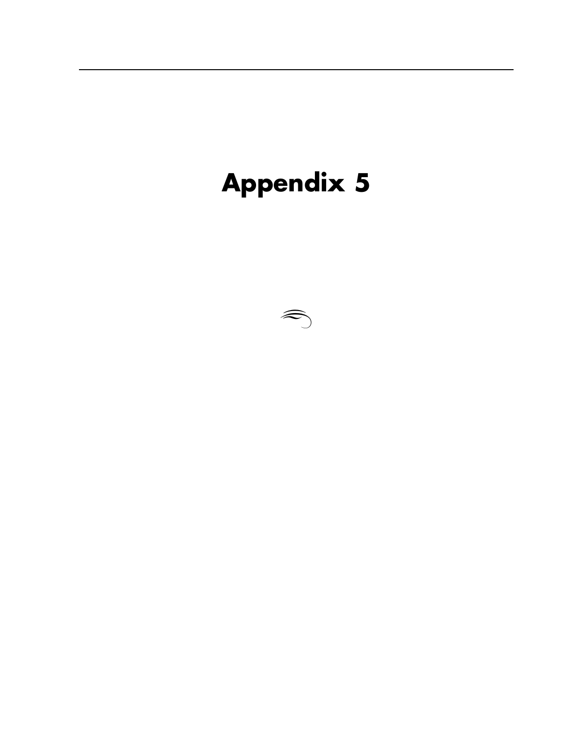# **Appendix 5**